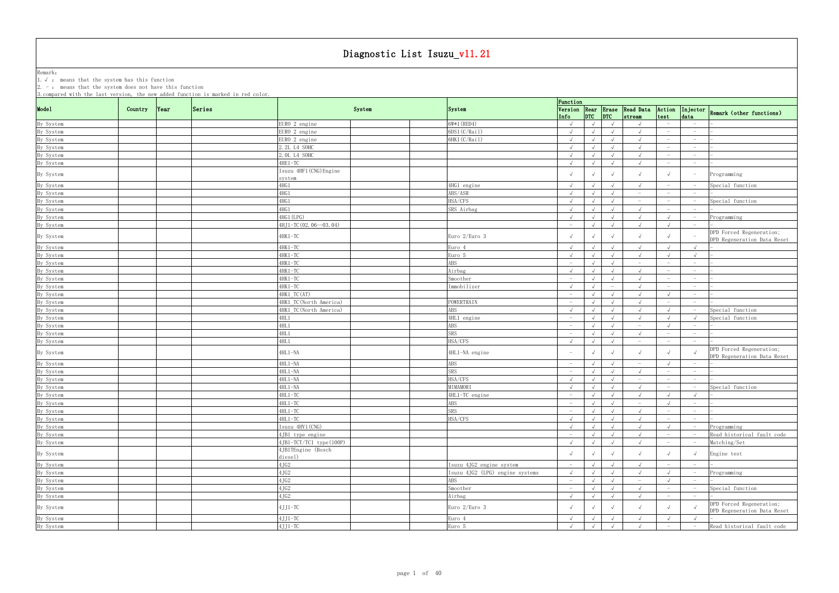Remark: The contract of the contract of  $\mathbb{R}$  and  $\mathbb{R}$  are contract of  $\mathbb{R}$  and  $\mathbb{R}$  are contract of  $\mathbb{R}$  and  $\mathbb{R}$  are contract of  $\mathbb{R}$  and  $\mathbb{R}$  are contract of  $\mathbb{R}$  and  $\mathbb{R}$  are cont 1.√ : means that the system has this function

|           | 3. compared with the last version, the new added function is marked in red color. |        |                               |                                 | Function                        |            |                                 |                                                     |                                 |                                 |                                                         |
|-----------|-----------------------------------------------------------------------------------|--------|-------------------------------|---------------------------------|---------------------------------|------------|---------------------------------|-----------------------------------------------------|---------------------------------|---------------------------------|---------------------------------------------------------|
| Mode1     | Country<br> Year                                                                  | Series | System                        | System                          |                                 |            |                                 | Version Rear Erase Read Data<br>Info DTC DTC stream |                                 |                                 | Action Injector Remark (other functions)                |
| By System |                                                                                   |        | EURO 2 engine                 | 6W*1 (RED4)                     | $\sqrt{ }$                      | $\sqrt{ }$ | $\sqrt{ }$                      | $\sqrt{ }$                                          |                                 |                                 |                                                         |
| By System |                                                                                   |        | EURO 2 engine                 | 6DS1(C/Rail)                    | $\sqrt{ }$                      | $\sqrt{ }$ | $\sqrt{}$                       | $\sqrt{ }$                                          | $-$                             | $-$                             |                                                         |
| By System |                                                                                   |        | EURO 2 engine                 | 6HK1(C/Rail)                    | $\sqrt{ }$                      | $\sqrt{ }$ | $\sqrt{ }$                      |                                                     | $\overline{\phantom{0}}$        | $\overline{\phantom{0}}$        |                                                         |
| By System |                                                                                   |        | 2.2L L4 SOHC                  |                                 | $\sqrt{ }$                      | $\sqrt{ }$ | $\sqrt{ }$                      | $\sqrt{ }$                                          | $\hspace{0.1mm}-\hspace{0.1mm}$ | $\overline{\phantom{0}}$        |                                                         |
| By System |                                                                                   |        | 2. OL L4 SOHC                 |                                 | $\sqrt{ }$                      | $\sqrt{ }$ | $\sqrt{ }$                      | $\sqrt{ }$                                          | $\hspace{0.1mm}-\hspace{0.1mm}$ | $-$                             |                                                         |
| By System |                                                                                   |        | $4HE1-TC$                     |                                 | $\sqrt{ }$                      |            | $\sqrt{ }$                      | $\sqrt{ }$                                          | $\overline{\phantom{0}}$        | $\overline{\phantom{0}}$        |                                                         |
|           |                                                                                   |        | Isuzu 4HF1 (CNG) Engine       |                                 |                                 |            |                                 |                                                     |                                 |                                 |                                                         |
| By System |                                                                                   |        | system                        |                                 |                                 | $\sqrt{ }$ | $\sqrt{ }$                      |                                                     |                                 |                                 | Programming                                             |
| By System |                                                                                   |        | 4HG 1                         | 4HG1 engine                     | $\sqrt{ }$                      | $\sqrt{ }$ | $\sqrt{ }$                      | $\sqrt{ }$                                          |                                 |                                 | Special function                                        |
| By System |                                                                                   |        | 4HG1                          | ABS/ASR                         | $\sqrt{ }$                      | $\sqrt{ }$ | $\sqrt{ }$                      | $\hspace{0.1mm}-\hspace{0.1mm}$                     |                                 |                                 |                                                         |
| By System |                                                                                   |        | 4HG 1                         | HSA/CFS                         | $\sqrt{ }$                      |            | $\sqrt{ }$                      | $\hspace{0.1mm}-\hspace{0.1mm}$                     |                                 |                                 | Special function                                        |
| By System |                                                                                   |        | 4HG 1                         | SRS Airbag                      | $\sqrt{ }$                      | $\sqrt{ }$ | $\sqrt{ }$                      | $\sqrt{ }$                                          |                                 |                                 |                                                         |
| By System |                                                                                   |        | 4HG1 (LPG)                    |                                 | $\sqrt{ }$                      | $\sqrt{ }$ | $\sqrt{ }$                      | $\sqrt{ }$                                          |                                 |                                 | Programming                                             |
| By System |                                                                                   |        | 4HJ1-TC (02.06--03.04)        |                                 | $-$                             | $\sqrt{ }$ | $\sqrt{ }$                      | $\sqrt{ }$                                          |                                 |                                 |                                                         |
| By System |                                                                                   |        | 4HK1-TC                       | Euro 2/Euro 3                   |                                 | $\sqrt{ }$ | $\sqrt{ }$                      |                                                     |                                 |                                 | DPD Forced Regeneration;<br>DPD Regeneration Data Reset |
|           |                                                                                   |        | 4HK1-TC                       | Euro 4                          | $\sqrt{ }$                      | $\sqrt{ }$ | $\sqrt{ }$                      | $\sqrt{ }$                                          |                                 |                                 |                                                         |
| By System |                                                                                   |        |                               |                                 | $\sqrt{ }$                      |            | $\sqrt{ }$                      | $\sqrt{ }$                                          |                                 | $\sqrt{ }$                      |                                                         |
| By System |                                                                                   |        | 4HK1-TC                       | Euro 5                          |                                 | $\sqrt{ }$ |                                 |                                                     |                                 |                                 |                                                         |
| By System |                                                                                   |        | 4HK1-TC                       | ABS                             | $ \,$                           | $\sqrt{ }$ | $\sqrt{ }$                      | $-$                                                 | $\hspace{0.1mm}-\hspace{0.1mm}$ | $-$                             |                                                         |
| By System |                                                                                   |        | 4HK1-TC                       | Airbag                          | $\sqrt{ }$                      |            | $\sqrt{ }$                      | $\sqrt{ }$                                          | $-$                             | $\overline{\phantom{0}}$        |                                                         |
| By System |                                                                                   |        | 4HK1-TC                       | Smoother                        | $\hspace{0.1mm}-\hspace{0.1mm}$ | $\sqrt{ }$ | $\sqrt{ }$                      | $\sqrt{ }$                                          | $\hspace{0.1mm}-\hspace{0.1mm}$ | $\hspace{0.1mm}-\hspace{0.1mm}$ |                                                         |
| By System |                                                                                   |        | $4HK1-TC$                     | Immobilizer                     | $\sqrt{ }$                      | $\sqrt{ }$ | $\hspace{0.1mm}-\hspace{0.1mm}$ | $\sqrt{ }$                                          | $\hspace{0.1mm}-\hspace{0.1mm}$ | $-$                             |                                                         |
| By System |                                                                                   |        | 4HK1_TC(AT)                   |                                 | $-$                             | $\sqrt{ }$ | $\sqrt{ }$                      | $\sqrt{ }$                                          | $\sqrt{ }$                      | $-$                             |                                                         |
| By System |                                                                                   |        | 4HK1_TC(North America)        | POWERTRAIN                      | $\hspace{0.1mm}-\hspace{0.1mm}$ | $\sqrt{ }$ | $\sqrt{ }$                      | $\sqrt{ }$                                          | $\overline{\phantom{0}}$        |                                 |                                                         |
| By System |                                                                                   |        | 4HK1_TC(North America)        | ABS                             | $\sqrt{ }$                      | $\sqrt{ }$ | $\sqrt{ }$                      | $\sqrt{ }$                                          |                                 |                                 | Special function                                        |
| By System |                                                                                   |        | 4HL1                          | 4HL1 engine                     | $\hspace{0.1mm}-\hspace{0.1mm}$ | $\sqrt{ }$ | $\sqrt{ }$                      | $\sqrt{ }$                                          |                                 |                                 | Special function                                        |
| By System |                                                                                   |        | 4HL1                          | ABS                             | $\hspace{0.1mm}-\hspace{0.1mm}$ | $\sqrt{ }$ | $\sqrt{ }$                      | $\overline{\phantom{0}}$                            |                                 | $\overline{\phantom{0}}$        |                                                         |
| By System |                                                                                   |        | 4HL1                          | SRS                             |                                 | $\sqrt{ }$ | $\sqrt{ }$                      |                                                     |                                 | $\hspace{0.1mm}-\hspace{0.1mm}$ |                                                         |
| By System |                                                                                   |        | 4HL1                          | HSA/CFS                         | $\sqrt{ }$                      |            | $\sqrt{ }$                      | $\hspace{0.1mm}-\hspace{0.1mm}$                     | $\overline{\phantom{a}}$        | $\hspace{0.1mm}-\hspace{0.1mm}$ |                                                         |
| By System |                                                                                   |        | $4HL1 - NA$                   | 4HL1-NA engine                  | $\hspace{0.1mm}-\hspace{0.1mm}$ | $\sqrt{ }$ | $\sqrt{ }$                      |                                                     |                                 |                                 | DPD Forced Regeneration;<br>DPD Regeneration Data Reset |
| By System |                                                                                   |        | 4HL1-NA                       | ABS                             | $-$                             | $\sqrt{ }$ | $\sqrt{ }$                      | $-$                                                 |                                 | $\overline{\phantom{0}}$        |                                                         |
|           |                                                                                   |        | $4HL1 - NA$                   | SRS                             | $-$                             | $\sqrt{ }$ |                                 |                                                     | $\hspace{0.1mm}-\hspace{0.1mm}$ |                                 |                                                         |
| By System |                                                                                   |        |                               |                                 |                                 |            | $\sqrt{ }$                      | $\sqrt{ }$                                          |                                 | $-$                             |                                                         |
| By System |                                                                                   |        | $4HL1 - NA$                   | HSA/CFS                         | $\sqrt{ }$                      | $\sqrt{ }$ | $\sqrt{ }$                      | $-$                                                 | $\hspace{0.1mm}-\hspace{0.1mm}$ | $-$                             |                                                         |
| By System |                                                                                   |        | 4HL1-NA                       | MIMAMORI                        | $\sqrt{ }$                      |            | $\sqrt{ }$                      | $\sqrt{ }$                                          | $\hspace{0.1mm}-\hspace{0.1mm}$ |                                 | Special function                                        |
| By System |                                                                                   |        | 4HL1-TC                       | 4HL1-TC engine                  | $\overline{\phantom{0}}$        | $\sqrt{ }$ | $\sqrt{ }$                      | $\sqrt{ }$                                          | $\sqrt{ }$                      | $\sqrt{ }$                      |                                                         |
| By System |                                                                                   |        | 4HL1-TC                       | ABS                             | $-$                             | $\sqrt{ }$ | $\sqrt{ }$                      | $-$                                                 | $\sqrt{ }$                      | $\overline{\phantom{0}}$        |                                                         |
| By System |                                                                                   |        | $4HL1-TC$                     | <b>SRS</b>                      | $\hspace{0.1mm}-\hspace{0.1mm}$ | $\sqrt{ }$ | $\sqrt{ }$                      | $\sqrt{ }$                                          | $\hspace{0.1mm}-\hspace{0.1mm}$ | $-$                             |                                                         |
| By System |                                                                                   |        | $4HL1-TC$                     | HSA/CFS                         | $\sqrt{ }$                      | $\sqrt{ }$ | $\sqrt{ }$                      | $\sqrt{ }$                                          | $-$                             | $\sim$                          |                                                         |
| By System |                                                                                   |        | Isuzu 4HV1 (CNG)              |                                 | $\sqrt{ }$                      | $\sqrt{ }$ | $\sqrt{ }$                      | $\sqrt{ }$                                          | $\sqrt{ }$                      |                                 | Programming                                             |
| By System |                                                                                   |        | 4JB1 type engine              |                                 | $ \,$                           | $\sqrt{ }$ | $\sqrt{ }$                      | $\sqrt{ }$                                          | $\hspace{0.1mm}-\hspace{0.1mm}$ |                                 | Read historical fault code                              |
| By System |                                                                                   |        | 4JB1-TCT/TC1 type(100P)       |                                 | $\sqrt{ }$                      | $\sqrt{ }$ | $\sqrt{ }$                      | $\sqrt{ }$                                          | $-$                             |                                 | Matching/Set                                            |
| By System |                                                                                   |        | 4JBITEngine (Bosch<br>diesel) |                                 |                                 | $\sqrt{ }$ | $\sqrt{ }$                      |                                                     |                                 |                                 | Engine test                                             |
|           |                                                                                   |        | 4JG2                          | Isuzu 4JG2 engine system        | $-$                             | $\sqrt{ }$ | $\sqrt{ }$                      |                                                     | $\hspace{0.1mm}-\hspace{0.1mm}$ | $\hspace{0.1mm}-\hspace{0.1mm}$ |                                                         |
| By System |                                                                                   |        |                               |                                 |                                 |            |                                 |                                                     |                                 |                                 |                                                         |
| By System |                                                                                   |        | 4JG2                          | Isuzu 4JG2 (LPG) engine systems | $\sqrt{ }$                      | $\sqrt{ }$ | $\sqrt{ }$                      | $\sqrt{ }$                                          | $\sqrt{ }$                      | $\hspace{0.1mm}-\hspace{0.1mm}$ | Programming                                             |
| By System |                                                                                   |        | 4JG2                          | ABS                             | $\overline{\phantom{0}}$        | $\sqrt{ }$ | $\sqrt{ }$                      | $-$                                                 | $\sqrt{ }$                      | $\overline{\phantom{0}}$        |                                                         |
| By System |                                                                                   |        | $4{\rm J}62$                  | Smoother                        | $-$                             | $\sqrt{ }$ | $\sqrt{ }$                      | $\sqrt{ }$                                          | $-$                             |                                 | Special function                                        |
| By System |                                                                                   |        | 4JG2                          | Airbag                          | $\sqrt{ }$                      | $\sqrt{ }$ | $\sqrt{ }$                      | $\sqrt{ }$                                          |                                 |                                 |                                                         |
| By System |                                                                                   |        | $4JJ1-TC$                     | Euro 2/Euro 3                   |                                 | $\sqrt{ }$ | $\sqrt{ }$                      |                                                     |                                 |                                 | DPD Forced Regeneration;<br>DPD Regeneration Data Reset |
| By System |                                                                                   |        | $4JJ1-TC$                     | Euro 4                          | $\sqrt{ }$                      | $\sqrt{ }$ | $\sqrt{ }$                      | $\sqrt{ }$                                          | $\sqrt{ }$                      |                                 |                                                         |
| By System |                                                                                   |        | $4JJ1-TC$                     | Euro 5                          | $\sqrt{ }$                      | $\sqrt{ }$ | $\sqrt{ }$                      | $\sqrt{ }$                                          | $-$                             |                                 | Read historical fault code                              |
|           |                                                                                   |        |                               |                                 |                                 |            |                                 |                                                     |                                 |                                 |                                                         |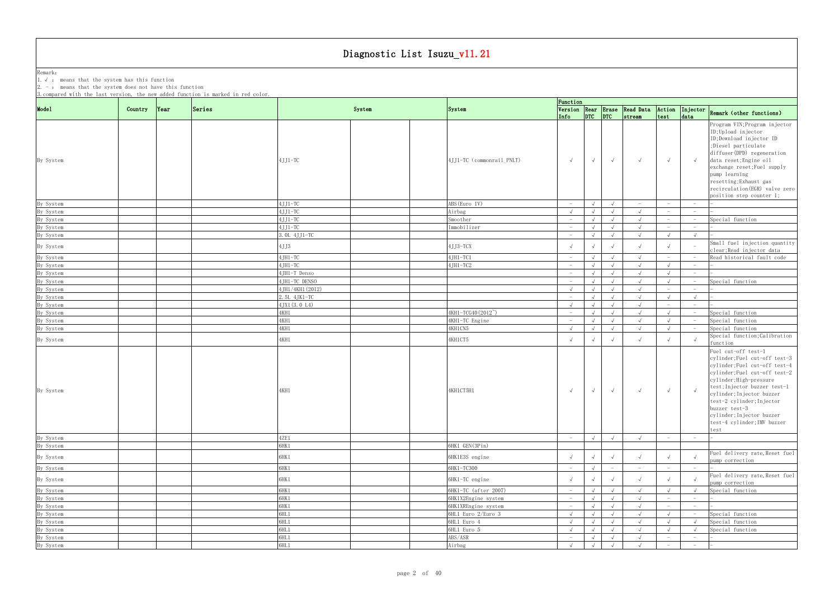Remark: The contract of the contract of  $\mathbb{R}$  and  $\mathbb{R}$  are contract of  $\mathbb{R}$  and  $\mathbb{R}$  are contract of  $\mathbb{R}$  and  $\mathbb{R}$  are contract of  $\mathbb{R}$  and  $\mathbb{R}$  are contract of  $\mathbb{R}$  and  $\mathbb{R}$  are cont 1.√ : means that the system has this function 2. - : means that the system does not have this function

| arca wrth the rast                               |         |      |                      |        |                                 | Function                 |            |                          |                                                     |                                 |                                 |                                                                                                                                                                                                                                                                                                                                 |
|--------------------------------------------------|---------|------|----------------------|--------|---------------------------------|--------------------------|------------|--------------------------|-----------------------------------------------------|---------------------------------|---------------------------------|---------------------------------------------------------------------------------------------------------------------------------------------------------------------------------------------------------------------------------------------------------------------------------------------------------------------------------|
| Mode1                                            | Country | Year | Series               | System | System                          |                          |            |                          | Version Rear Erase Read Data<br>Info DTC DTC stream | Action<br>test                  | Injector<br>data                | Remark (other functions)                                                                                                                                                                                                                                                                                                        |
| By System                                        |         |      | $4JJ1-TC$            |        | 4JJ1-TC (commonrail_PNLT)       | $\sqrt{ }$               | $\sqrt{ }$ | $\sqrt{ }$               | $\sqrt{ }$                                          | $\sqrt{ }$                      |                                 | Program VIN; Program injector<br>ID; Upload injector<br>ID;Download injector ID<br>;Diesel particulate<br>diffuser(DPD) regeneration<br>data reset; Engine oil<br>exchange reset; Fuel supply<br>pump learning<br>resetting; Exhaust gas<br>recirculation (EGR) valve zero                                                      |
|                                                  |         |      |                      |        |                                 | $-$                      |            |                          |                                                     | $\hspace{0.1mm}-\hspace{0.1mm}$ |                                 | position step counter 1;                                                                                                                                                                                                                                                                                                        |
| By System<br>By System                           |         |      | $4JJ1-TC$<br>4JJ1-TC |        | ABS (Euro IV)<br>Airbag         | $\sqrt{ }$               | $\sqrt{ }$ | $\sqrt{ }$               | $ \,$<br>$\sqrt{ }$                                 | $\hspace{0.1mm}-\hspace{0.1mm}$ | $-$<br>$-$                      |                                                                                                                                                                                                                                                                                                                                 |
| By System                                        |         |      | $4JJ1-TC$            |        | Smoother                        | $\sim$                   |            | $\sqrt{ }$               | $\sqrt{ }$                                          | $\overline{\phantom{m}}$        | $-$                             | Special function                                                                                                                                                                                                                                                                                                                |
| By System                                        |         |      | $4JJ1-TC$            |        | Immobilizer                     | $-$                      |            | $\sqrt{ }$               | $\sqrt{ }$                                          |                                 | $-$                             |                                                                                                                                                                                                                                                                                                                                 |
| By System                                        |         |      | 3. OL 4JJ1-TC        |        |                                 | $-$                      | $\sqrt{ }$ | $\sqrt{ }$               | $\sqrt{ }$                                          |                                 | $\sqrt{ }$                      |                                                                                                                                                                                                                                                                                                                                 |
| By System                                        |         |      | 4JJ3                 |        | 4JJ3-TCX                        |                          |            |                          | $\sqrt{ }$                                          |                                 |                                 | Small fuel injection quantity<br>clear; Read injector data                                                                                                                                                                                                                                                                      |
| By System                                        |         |      | $4JH1-TC$            |        | 4JH1-TC1                        | $\sim$                   | $\sqrt{ }$ | $\sqrt{ }$               | $\sqrt{ }$                                          |                                 |                                 | Read historical fault code                                                                                                                                                                                                                                                                                                      |
| By System                                        |         |      | $4JH1-TC$            |        | $4JH1-TC2$                      | $-$                      |            | $\sqrt{}$                | $\sqrt{ }$                                          |                                 | $-$                             |                                                                                                                                                                                                                                                                                                                                 |
| By System                                        |         |      | 4JH1-T Denso         |        |                                 | $-$                      |            | $\sqrt{ }$               | $\sqrt{ }$                                          |                                 | $\hspace{0.1mm}-\hspace{0.1mm}$ |                                                                                                                                                                                                                                                                                                                                 |
| By System                                        |         |      | 4JH1-TC DENSO        |        |                                 | $-$                      | $\sqrt{ }$ | $\sqrt{ }$               | $\sqrt{ }$                                          |                                 |                                 | Special function                                                                                                                                                                                                                                                                                                                |
| By System                                        |         |      | 4JH1/4KH1 (2012)     |        |                                 | $\sqrt{ }$               | $\sqrt{ }$ | $\sqrt{ }$               | $\sqrt{ }$                                          |                                 | $\overline{\phantom{0}}$        |                                                                                                                                                                                                                                                                                                                                 |
| By System                                        |         |      | 2.5L 4JK1-TC         |        |                                 | $-$                      |            | $\sqrt{ }$               | $\sqrt{ }$                                          |                                 | $\sqrt{ }$                      |                                                                                                                                                                                                                                                                                                                                 |
| By System                                        |         |      | 4JX1 (3.0 L4)        |        |                                 | $\sqrt{ }$               |            | $\sqrt{ }$               | $\sqrt{ }$                                          | $\hspace{0.1mm}-\hspace{0.1mm}$ | $\hspace{0.1mm}-\hspace{0.1mm}$ |                                                                                                                                                                                                                                                                                                                                 |
| By System                                        |         |      | 4KH1                 |        | 4KH1-TCG40 (2012 <sup>~</sup> ) | $-$                      | $\sqrt{ }$ | $\sqrt{ }$               | $\sqrt{ }$                                          | $\sqrt{ }$                      |                                 | Special function                                                                                                                                                                                                                                                                                                                |
| By System                                        |         |      | 4KH1                 |        | 4KH1-TC Engine                  | $-$                      | $\sqrt{ }$ | $\sqrt{ }$               | $\sqrt{ }$                                          |                                 |                                 | Special function                                                                                                                                                                                                                                                                                                                |
| By System                                        |         |      | 4KH1                 |        | 4KH1CN5                         | $\sqrt{ }$               | $\sqrt{ }$ | $\sqrt{ }$               | $\sqrt{ }$                                          |                                 |                                 | Special function                                                                                                                                                                                                                                                                                                                |
| By System                                        |         |      | 4KH1                 |        | 4KH1CT5                         |                          |            |                          | $\sqrt{ }$                                          |                                 |                                 | Special function; Calibration<br>function                                                                                                                                                                                                                                                                                       |
| By System                                        |         |      | 4KH1                 |        | 4KH1CT5H1                       | $\sqrt{ }$               | $\sqrt{ }$ | $\sqrt{ }$               | $\sqrt{ }$                                          | $\sqrt{ }$                      |                                 | Fuel cut-off test-1<br>cylinder; Fuel cut-off test-3<br>cylinder; Fuel cut-off test-4<br>cylinder;Fuel cut-off test-2<br>cylinder; High-pressure<br>test; Injector buzzer test-1<br>cylinder; Injector buzzer<br>test-2 cylinder; Injector<br>buzzer test-3<br>cylinder; Injector buzzer<br>test-4 cylinder; IMV buzzer<br>test |
| By System                                        |         |      | 4ZE1                 |        |                                 | $-$                      | $\sqrt{ }$ | $\sqrt{ }$               | $\sqrt{ }$                                          |                                 |                                 |                                                                                                                                                                                                                                                                                                                                 |
| By System                                        |         |      | SHK1                 |        | 6HK1 GEN(3Pin)                  |                          |            |                          |                                                     |                                 |                                 |                                                                                                                                                                                                                                                                                                                                 |
| By System                                        |         |      | 5HK 1                |        | 6HK1E3S engine                  |                          | $\sqrt{ }$ | $\sqrt{ }$               | $\sqrt{ }$                                          |                                 |                                 | Fuel delivery rate, Reset fuel<br>pump correction                                                                                                                                                                                                                                                                               |
| By System                                        |         |      | 6HK1                 |        | 6НК1-ТС300                      | $-$                      |            | $\overline{\phantom{m}}$ | $-$                                                 | $\hspace{0.1mm}-\hspace{0.1mm}$ | $-$                             |                                                                                                                                                                                                                                                                                                                                 |
| By System                                        |         |      | 6HK 1                |        | 6HK1-TC engine                  |                          | $\sqrt{ }$ | $\sqrt{ }$               | $\sqrt{ }$                                          |                                 |                                 | Fuel delivery rate, Reset fuel<br>pump correction                                                                                                                                                                                                                                                                               |
| By System                                        |         |      | 6HK1                 |        | 6HK1-TC (after 2007)            | $-$                      | $\sqrt{ }$ | $\sqrt{ }$               | $\sqrt{ }$                                          |                                 |                                 | Special function                                                                                                                                                                                                                                                                                                                |
| By System                                        |         |      | 6HK1                 |        | 6HK1X2Engine system             | $\sim$                   |            | $\sqrt{ }$               | $\sqrt{ }$                                          | $\overline{\phantom{a}}$        | $\sim$                          |                                                                                                                                                                                                                                                                                                                                 |
|                                                  |         |      | 6HK1                 |        | 6HK1XREngine system             | $-$                      |            | $\sqrt{ }$               | $\sqrt{ }$                                          | $\hspace{0.1mm}-\hspace{0.1mm}$ | $-$                             |                                                                                                                                                                                                                                                                                                                                 |
|                                                  |         |      | 5HL 1                |        | 6HL1 Euro 2/Euro 3              | $\sqrt{ }$               | $\sqrt{ }$ | $\sqrt{ }$               | $\sqrt{ }$                                          |                                 |                                 | Special function                                                                                                                                                                                                                                                                                                                |
| By System<br>By System<br>By System<br>By System |         |      | 3HL1<br>6HL1         |        | 6HL1 Euro 4<br>6HL1 Euro 5      | $\sqrt{ }$<br>$\sqrt{ }$ | $\sqrt{ }$ | $\sqrt{ }$               | $\sqrt{ }$<br>$\sqrt{ }$                            |                                 |                                 | Special function                                                                                                                                                                                                                                                                                                                |
| By System                                        |         |      | 6HL <sub>1</sub>     |        | ABS/ASR                         | $-$                      | $\sqrt{ }$ | $\sqrt{ }$<br>$\sqrt{ }$ | $\sqrt{ }$                                          | $\hspace{0.1mm}-\hspace{0.1mm}$ | $-$                             | Special function                                                                                                                                                                                                                                                                                                                |
| By System                                        |         |      | 6HL1                 |        | Airbag                          | $\sqrt{ }$               | $\sqrt{ }$ | $\sqrt{ }$               |                                                     | $-$                             | $-$                             |                                                                                                                                                                                                                                                                                                                                 |
|                                                  |         |      |                      |        |                                 |                          |            |                          |                                                     |                                 |                                 |                                                                                                                                                                                                                                                                                                                                 |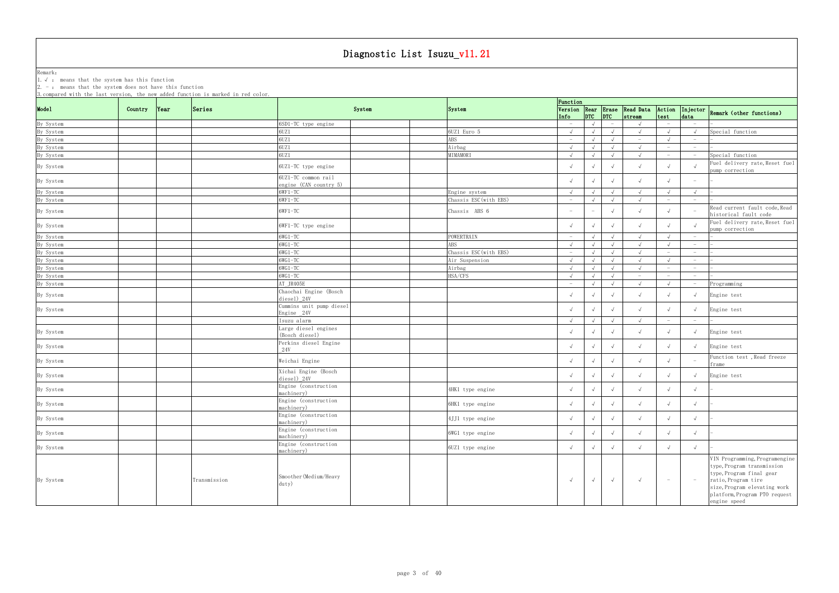Remark: The contract of the contract of  $\mathbb{R}$  and  $\mathbb{R}$  are contract of  $\mathbb{R}$  and  $\mathbb{R}$  are contract of  $\mathbb{R}$  and  $\mathbb{R}$  are contract of  $\mathbb{R}$  and  $\mathbb{R}$  are contract of  $\mathbb{R}$  and  $\mathbb{R}$  are cont 1.√ : means that the system has this function

2. - : means that the system does not have this function

|           |         |      | 0. COMPAIGA WITH THE IGST VEISION, THE HEW GUUGU IUNCTION IS MAINEU IN IGU COIOI. |                                               |        |                        | Function                        |            |            |                                                     |                          |                                   |                                                                                                                                                                                                  |
|-----------|---------|------|-----------------------------------------------------------------------------------|-----------------------------------------------|--------|------------------------|---------------------------------|------------|------------|-----------------------------------------------------|--------------------------|-----------------------------------|--------------------------------------------------------------------------------------------------------------------------------------------------------------------------------------------------|
| Mode1     | Country | Year | Series                                                                            |                                               | System | System                 |                                 |            |            | Version Rear Erase Read Data<br>Info DTC DTC stream | Action<br>test           | data                              | Injector Remark (other functions)                                                                                                                                                                |
| By System |         |      |                                                                                   | 6SD1-TC type engine                           |        |                        | $-$                             |            |            | $\sqrt{ }$                                          |                          | $-$                               |                                                                                                                                                                                                  |
| By System |         |      |                                                                                   | 6UZ1                                          |        | 6UZ1 Euro 5            | $\sqrt{ }$                      |            |            | $\sqrt{ }$                                          |                          |                                   | Special function                                                                                                                                                                                 |
| By System |         |      |                                                                                   | 6UZ1                                          |        | ABS                    | $-$                             | $\sqrt{ }$ | $\sqrt{ }$ | $ \,$                                               |                          | $\overline{\phantom{0}}$          |                                                                                                                                                                                                  |
| By System |         |      |                                                                                   | 6UZ1                                          |        | Airbag                 | $\sqrt{ }$                      |            | $\sqrt{ }$ | $\sqrt{ }$                                          |                          |                                   |                                                                                                                                                                                                  |
| By System |         |      |                                                                                   | 6UZ1                                          |        | MIMAMORI               | $\sqrt{ }$                      |            | $\sqrt{ }$ | $\sqrt{ }$                                          | $\overline{\phantom{m}}$ | $\hspace{0.1mm}-\hspace{0.1mm}$   | Special function                                                                                                                                                                                 |
| By System |         |      |                                                                                   | 6UZ1-TC type engine                           |        |                        | $\sqrt{ }$                      |            | $\sqrt{ }$ | $\sqrt{ }$                                          |                          |                                   | Fuel delivery rate, Reset fuel<br>pump correction                                                                                                                                                |
| By System |         |      |                                                                                   | 6UZ1-TC common rail<br>engine (CAN country 5) |        |                        |                                 |            | $\sqrt{ }$ |                                                     |                          |                                   |                                                                                                                                                                                                  |
| By System |         |      |                                                                                   | $6WF1-TC$                                     |        | Engine system          | $\sqrt{ }$                      | $\sqrt{ }$ | $\sqrt{ }$ | $\sqrt{ }$                                          |                          |                                   |                                                                                                                                                                                                  |
| By System |         |      |                                                                                   | $6WF1-TC$                                     |        | Chassis ESC (with EBS) | $-$                             |            | $\sqrt{ }$ | $\sqrt{ }$                                          |                          | $-$                               |                                                                                                                                                                                                  |
| By System |         |      |                                                                                   | $6WF1-TC$                                     |        | Chassis ABS 6          | $\hspace{0.1mm}-\hspace{0.1mm}$ |            |            |                                                     |                          |                                   | Read current fault code, Read<br>historical fault code                                                                                                                                           |
| By System |         |      |                                                                                   | 6WF1-TC type engine                           |        |                        | $\sqrt{ }$                      |            | $\sqrt{ }$ | $\sqrt{ }$                                          |                          |                                   | Fuel delivery rate, Reset fuel<br>pump correction                                                                                                                                                |
| By System |         |      |                                                                                   | $6WG1-TC$                                     |        | POWERTRAIN             | $-$                             |            |            | $\sqrt{ }$                                          |                          | $\overline{\phantom{0}}$          |                                                                                                                                                                                                  |
| By System |         |      |                                                                                   | $6WG1-TC$                                     |        | ABS                    | $\sqrt{ }$                      |            | $\sqrt{ }$ | $\sqrt{ }$                                          |                          | $\overline{\phantom{0}}$          |                                                                                                                                                                                                  |
| By System |         |      |                                                                                   | $6WG1-TC$                                     |        | Chassis ESC (with EBS) | $-$                             |            | $\sqrt{ }$ | $\sqrt{ }$                                          |                          | $-$                               |                                                                                                                                                                                                  |
| By System |         |      |                                                                                   | $6WG1-TC$                                     |        | Air Suspension         | $\sqrt{ }$                      |            | $\sqrt{ }$ | $\sqrt{ }$                                          |                          | $\overline{\phantom{0}}$          |                                                                                                                                                                                                  |
| By System |         |      |                                                                                   | $6WG1-TC$                                     |        | Airbag                 | $\sqrt{ }$                      | $\sqrt{ }$ | $\sqrt{ }$ | $\sqrt{ }$                                          | $\overline{\phantom{a}}$ | $\overline{\phantom{m}}$          |                                                                                                                                                                                                  |
| By System |         |      |                                                                                   | $6WG1-TC$                                     |        | HSA/CFS                | $\sqrt{ }$                      |            | $\sqrt{ }$ | $ \,$                                               |                          | $\hspace{0.1mm}-\hspace{0.1mm}$   |                                                                                                                                                                                                  |
| By System |         |      |                                                                                   | AT_JR405E                                     |        |                        | $\hspace{0.1mm}-\hspace{0.1mm}$ |            | $\sqrt{ }$ | $\sqrt{ }$                                          |                          | $\hspace{1.0cm} - \hspace{1.0cm}$ | Programming                                                                                                                                                                                      |
| By System |         |      |                                                                                   | Chaochai Engine (Bosch<br>$diesel) _{24}V$    |        |                        |                                 |            |            |                                                     |                          |                                   | Engine test                                                                                                                                                                                      |
| By System |         |      |                                                                                   | Cummins unit pump diesel<br>Engine 24V        |        |                        |                                 |            |            | $\sqrt{ }$                                          |                          |                                   | Engine test                                                                                                                                                                                      |
|           |         |      |                                                                                   | Isuzu alarm                                   |        |                        |                                 |            |            |                                                     |                          |                                   |                                                                                                                                                                                                  |
| By System |         |      |                                                                                   | Large diesel engines<br>(Bosch diesel)        |        |                        | $\sqrt{ }$                      |            |            | $\sqrt{ }$                                          |                          |                                   | Engine test                                                                                                                                                                                      |
| By System |         |      |                                                                                   | Perkins diesel Engine<br><b>24V</b>           |        |                        |                                 |            |            | $\sqrt{ }$                                          |                          |                                   | Engine test                                                                                                                                                                                      |
| By System |         |      |                                                                                   | Weichai Engine                                |        |                        |                                 |            |            | $\sqrt{ }$                                          |                          |                                   | Function test, Read freeze<br>rame?                                                                                                                                                              |
| By System |         |      |                                                                                   | Xichai Engine (Bosch<br>diesel) 24V           |        |                        | $\sqrt{ }$                      |            | $\sqrt{ }$ | $\sqrt{ }$                                          |                          |                                   | Engine test                                                                                                                                                                                      |
| By System |         |      |                                                                                   | Engine (construction<br>machinery)            |        | 4HK1 type engine       |                                 |            |            | $\sqrt{ }$                                          |                          |                                   |                                                                                                                                                                                                  |
| By System |         |      |                                                                                   | Engine (construction<br>machinery)            |        | 6HK1 type engine       | $\sqrt{ }$                      |            |            |                                                     |                          |                                   |                                                                                                                                                                                                  |
| By System |         |      |                                                                                   | Engine (construction<br>machinery)            |        | 4JJ1 type engine       | $\sqrt{ }$                      | $\sqrt{ }$ | $\sqrt{ }$ | $\sqrt{ }$                                          | $\sqrt{ }$               |                                   |                                                                                                                                                                                                  |
| By System |         |      |                                                                                   | Engine (construction<br>machinery)            |        | 6WG1 type engine       | $\sqrt{ }$                      |            | $\sqrt{ }$ | $\sqrt{ }$                                          |                          |                                   |                                                                                                                                                                                                  |
| By System |         |      |                                                                                   | Engine (construction<br>machinery)            |        | 6UZ1 type engine       | $\sqrt{ }$                      |            | $\sqrt{ }$ | $\sqrt{ }$                                          | $\sqrt{ }$               |                                   |                                                                                                                                                                                                  |
| By System |         |      | Transmission                                                                      | Smoother (Medium/Heavy<br>$_{\text{duty}}$    |        |                        | $\sqrt{ }$                      | $\sqrt{ }$ | $\sqrt{ }$ | $\sqrt{ }$                                          | $-$                      |                                   | VIN Programming, Programengine<br>type, Program transmission<br>type, Program final gear<br>ratio, Program tire<br>size, Program elevating work<br>platform, Program PTO request<br>engine speed |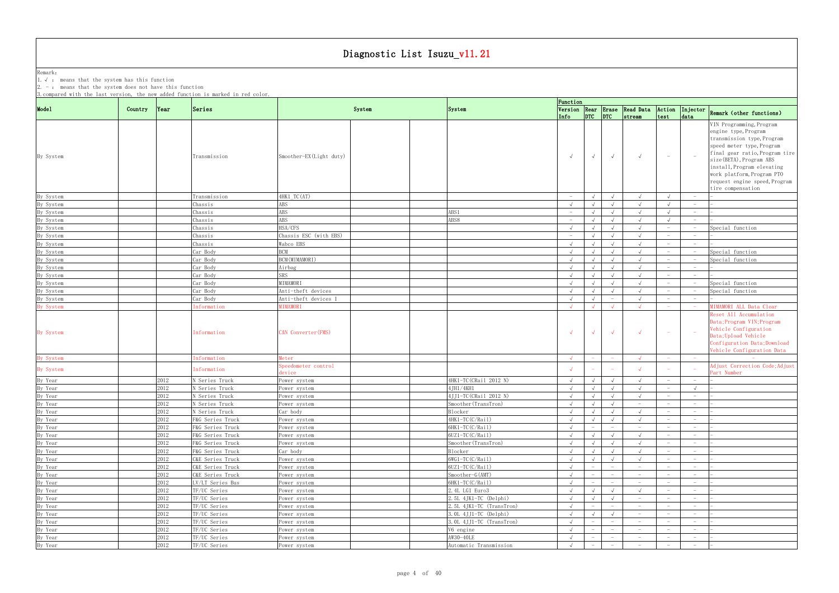Remark: The contract of the contract of  $\mathbb{R}$  and  $\mathbb{R}$  are contract of  $\mathbb{R}$  and  $\mathbb{R}$  are contract of  $\mathbb{R}$  and  $\mathbb{R}$  are contract of  $\mathbb{R}$  and  $\mathbb{R}$  are contract of  $\mathbb{R}$  and  $\mathbb{R}$  are cont 1.√ : means that the system has this function 2. - : means that the system does not have this function

| Mode1<br>Version Rear Erase Read Data Action Injector<br>Series<br>System<br>Country<br> Year <br>System<br>$ $ <sub>DTC</sub> $ $ <sub>DTC</sub><br>test<br>Info<br>strean<br>data<br>By System<br>Smoother-EX(Light duty)<br>Transmission<br>$\sqrt{ }$<br>$\sqrt{ }$<br>$\sqrt{ }$<br>$\hspace{0.1mm}-\hspace{0.1mm}$<br>4HK1 TC(AT)<br>By System<br>Transmission<br>$\sim$<br>$\sqrt{ }$<br>$\sqrt{ }$<br>$\sqrt{ }$<br>$-$<br>By System<br>ABS<br>Chassis<br>$\sqrt{ }$<br>$\sqrt{ }$<br>$-$<br>By System<br>ABS<br>ABS1<br>Chassis<br>$\sqrt{ }$<br>$-$<br>$\sqrt{ }$<br>$\overline{\phantom{0}}$<br>ABS8<br>By System<br>ABS<br>Chassis<br>$\sqrt{ }$<br>$\sqrt{ }$<br>$\hspace{0.1mm}-\hspace{0.1mm}$<br>$\hspace{1.0cm} - \hspace{1.0cm}$<br>By System<br>HSA/CFS<br>Special function<br>Chassis<br>$\sqrt{ }$<br>$\sqrt{ }$<br>$\sqrt{ }$<br>Chassis ESC (with EBS)<br>By System<br>Chassis<br>$\sqrt{ }$<br>$-$<br>$\hspace{0.1mm}-\hspace{0.1mm}$<br>By System<br>Wabco EBS<br>Chassis<br>$\sqrt{ }$<br>$\sqrt{ }$<br>By System<br>Car Body<br>BCM<br>Special function<br>$\sqrt{ }$<br>By System<br>BCM (MIMAMORI)<br>Car Body<br>Special function<br>$\sqrt{ }$<br>$\hspace{0.1mm}-\hspace{0.1mm}$<br>$\hspace{0.1mm}-\hspace{0.1mm}$<br>By System<br>Car Body<br>Airbag<br>$\sqrt{ }$<br>$\hspace{0.1mm}-\hspace{0.1mm}$<br>$-$<br>By System<br>SRS<br>Car Body<br>$\sqrt{ }$<br>$\sqrt{ }$<br>$\hspace{0.1mm}-\hspace{0.1mm}$<br>MIMAMORI<br>Special function<br>By System<br>Car Body<br>$\sqrt{ }$<br>$\sqrt{ }$<br>$\sqrt{ }$<br>Car Body<br>Anti-theft devices<br>By System<br>$\sqrt{ }$<br>$\sqrt{ }$<br>Special function<br>$\hspace{0.1mm}-\hspace{0.1mm}$<br>Car Body<br>Anti-theft devices 1<br>By System<br>$\sqrt{ }$<br>$\sqrt{ }$<br>$\overline{\phantom{m}}$<br>By System<br><b>NIMAMORI</b><br>Information<br>$\sim$<br>$\sqrt{ }$<br>$\sqrt{ }$<br>$\sqrt{ }$<br>$\sqrt{ }$<br>CAN Converter(FMS)<br>By System<br>Information<br>$\sim$<br><i>nformation</i><br>By System<br>leter<br>$\sqrt{ }$<br>$\sqrt{ }$<br>Speedometer control<br>By System<br>Information<br>$\sqrt{ }$<br>$\sqrt{ }$<br>Part Number<br>evice<br>By Year<br>2012<br>4HK1-TC (CRail 2012 N)<br>N Series Truck<br>$\sqrt{ }$<br>ower system<br>$\sqrt{ }$<br>$\sqrt{ }$<br>$\sqrt{ }$<br>$\overline{\phantom{0}}$<br>2012<br>4JH1/4KH1<br>By Year<br>By Year<br>By Year<br>N Series Truck<br>$\sqrt{ }$<br>$\sqrt{ }$<br>Power system<br>4JJ1-TC (CRail 2012 N)<br>2012<br>N Series Truck<br>$\sqrt{ }$<br>$\sqrt{ }$<br>Power system<br>2012<br>N Series Truck<br>Smoother (TransTron)<br>Power system<br>$\sqrt{ }$<br>$\hspace{0.1mm}-\hspace{0.1mm}$<br>By Year<br>2012<br>N Series Truck<br>Car body<br>Blocker<br>$\sqrt{ }$<br>$\sqrt{ }$<br>$\sqrt{ }$<br>$\sqrt{ }$<br>$\hspace{0.1mm}-\hspace{0.1mm}$<br>By Year<br>By Year<br>By Year<br>2012<br>4HK1-TC(C/Rail)<br>F&G Series Truck<br>Power system<br>$\sqrt{ }$<br>$\sqrt{ }$<br>$ \,$<br>$\hspace{0.1mm}-\hspace{0.1mm}$<br>2012<br>6HK1-TC(C/Rail)<br>F&G Series Truck<br>Power system<br>$\sqrt{ }$<br>$ \,$<br>$\hspace{0.1mm}-\hspace{0.1mm}$<br>$-$<br>$-$<br>2012<br>6UZ1-TC(C/Rail)<br>F&G Series Truck<br>$\sqrt{ }$<br>$\sqrt{ }$<br>$\sqrt{ }$<br>ower system<br>$-$<br>By Year<br>2012<br>F&G Series Truck<br>Smoother (TransTron)<br>$\sqrt{ }$<br>$\sqrt{ }$<br>Power system<br>$\sqrt{ }$<br>$\overline{\phantom{0}}$<br>By Year<br>By Year<br>2012<br>F&G Series Truck<br>Car body<br>Blocker<br>$\sqrt{ }$<br>$\sqrt{ }$<br>$\sqrt{ }$<br>$\overline{\phantom{0}}$<br>2012<br>$6WG1-TC(C/Rai1)$<br>C&E Series Truck<br>$\sqrt{ }$<br>Power system<br>$\sqrt{ }$<br>By Year<br>6UZ1-TC(C/Rail)<br>2012<br>C&E Series Truck<br>Power system<br>$\overline{\phantom{a}}$<br>$\sim$<br>$\hspace{0.1mm}-\hspace{0.1mm}$<br>By Year<br>2012<br>C&E Series Truck<br>Smoother-G(AMT)<br>Power system<br>$\sqrt{ }$<br>$ \,$<br>$\overline{\phantom{0}}$<br>$\overline{\phantom{m}}$<br>$\overline{\phantom{m}}$<br>By Year<br>2012<br>LV/LT Series Bus<br>6HK1-TC(C/Rail)<br>Power system<br>$-$<br>$-$<br>$\qquad \qquad -$<br>$\hspace{0.1mm}-\hspace{0.1mm}$<br>2012<br>By Year<br>TF/UC Series<br>2.4L LG1 Euro3<br>Power system<br>$\overline{\phantom{0}}$<br>By Year<br>2012<br>2.5L 4JK1-TC (Delphi)<br>TF/UC Series<br>Power system<br>$\sqrt{ }$<br>$ \,$<br>$-$<br>By Year<br>2012<br>TF/UC Series<br>2.5L 4JK1-TC (TransTron)<br>$\sqrt{ }$<br>Power system<br>$\overline{\phantom{0}}$<br>$-$<br>By Year<br>2012<br>3. OL 4JJ1-TC (Delphi)<br>TF/UC Series<br>Power system<br>$\sqrt{ }$<br>$ \,$<br>$-$<br>By Year<br>2012<br>3.0L 4JJ1-TC (TransTron)<br>TF/UC Series<br>Power system<br>$\sqrt{ }$<br>$-$<br>$\overline{\phantom{0}}$<br>$\hspace{0.1mm}-\hspace{0.1mm}$<br>By Year<br>2012<br>TF/UC Series<br>V6 engine<br>$\sqrt{ }$<br>$-$<br>Power system<br>$\overline{\phantom{m}}$<br>$\hspace{0.1mm}-\hspace{0.1mm}$<br>$\overline{\phantom{0}}$<br>AW30-40LE<br>2012<br>By Year<br>TF/UC Series<br>Power system<br>$\sqrt{ }$<br>$\sim$<br>$\hspace{0.1mm}-\hspace{0.1mm}$<br>$\overline{\phantom{0}}$<br>$-$<br>$-$<br>By Year<br>2012<br>Automatic Transmission<br>TF/UC Series<br>$\sqrt{ }$<br>Power system<br>$\hspace{0.1mm}-\hspace{0.1mm}$<br>$\hspace{0.1mm}-\hspace{0.1mm}$<br>$-$<br>$\overline{\phantom{0}}$ |  | 3. compared with the last version, the new added function is marked in red color. |  | Function |  |  |                                                                                                                                                                                                                                                                                             |
|---------------------------------------------------------------------------------------------------------------------------------------------------------------------------------------------------------------------------------------------------------------------------------------------------------------------------------------------------------------------------------------------------------------------------------------------------------------------------------------------------------------------------------------------------------------------------------------------------------------------------------------------------------------------------------------------------------------------------------------------------------------------------------------------------------------------------------------------------------------------------------------------------------------------------------------------------------------------------------------------------------------------------------------------------------------------------------------------------------------------------------------------------------------------------------------------------------------------------------------------------------------------------------------------------------------------------------------------------------------------------------------------------------------------------------------------------------------------------------------------------------------------------------------------------------------------------------------------------------------------------------------------------------------------------------------------------------------------------------------------------------------------------------------------------------------------------------------------------------------------------------------------------------------------------------------------------------------------------------------------------------------------------------------------------------------------------------------------------------------------------------------------------------------------------------------------------------------------------------------------------------------------------------------------------------------------------------------------------------------------------------------------------------------------------------------------------------------------------------------------------------------------------------------------------------------------------------------------------------------------------------------------------------------------------------------------------------------------------------------------------------------------------------------------------------------------------------------------------------------------------------------------------------------------------------------------------------------------------------------------------------------------------------------------------------------------------------------------------------------------------------------------------------------------------------------------------------------------------------------------------------------------------------------------------------------------------------------------------------------------------------------------------------------------------------------------------------------------------------------------------------------------------------------------------------------------------------------------------------------------------------------------------------------------------------------------------------------------------------------------------------------------------------------------------------------------------------------------------------------------------------------------------------------------------------------------------------------------------------------------------------------------------------------------------------------------------------------------------------------------------------------------------------------------------------------------------------------------------------------------------------------------------------------------------------------------------------------------------------------------------------------------------------------------------------------------------------------------------------------------------------------------------------------------------------------------------------------------------------------------------------------------------------------------------------------------------------------------------------------------------------------------------------------------------------------------------------------------------------------------------------------------------------------------------------------------------------------------------------------------------------------------------------------------------------------------------------------------------------------------------------------------------------------------------------------------------------------------------------------------------------------------------------------------------------------------------------|--|-----------------------------------------------------------------------------------|--|----------|--|--|---------------------------------------------------------------------------------------------------------------------------------------------------------------------------------------------------------------------------------------------------------------------------------------------|
|                                                                                                                                                                                                                                                                                                                                                                                                                                                                                                                                                                                                                                                                                                                                                                                                                                                                                                                                                                                                                                                                                                                                                                                                                                                                                                                                                                                                                                                                                                                                                                                                                                                                                                                                                                                                                                                                                                                                                                                                                                                                                                                                                                                                                                                                                                                                                                                                                                                                                                                                                                                                                                                                                                                                                                                                                                                                                                                                                                                                                                                                                                                                                                                                                                                                                                                                                                                                                                                                                                                                                                                                                                                                                                                                                                                                                                                                                                                                                                                                                                                                                                                                                                                                                                                                                                                                                                                                                                                                                                                                                                                                                                                                                                                                                                                                                                                                                                                                                                                                                                                                                                                                                                                                                                                                                                                                 |  |                                                                                   |  |          |  |  | Remark (other functions)                                                                                                                                                                                                                                                                    |
|                                                                                                                                                                                                                                                                                                                                                                                                                                                                                                                                                                                                                                                                                                                                                                                                                                                                                                                                                                                                                                                                                                                                                                                                                                                                                                                                                                                                                                                                                                                                                                                                                                                                                                                                                                                                                                                                                                                                                                                                                                                                                                                                                                                                                                                                                                                                                                                                                                                                                                                                                                                                                                                                                                                                                                                                                                                                                                                                                                                                                                                                                                                                                                                                                                                                                                                                                                                                                                                                                                                                                                                                                                                                                                                                                                                                                                                                                                                                                                                                                                                                                                                                                                                                                                                                                                                                                                                                                                                                                                                                                                                                                                                                                                                                                                                                                                                                                                                                                                                                                                                                                                                                                                                                                                                                                                                                 |  |                                                                                   |  |          |  |  | VIN Programming, Program<br>engine type, Program<br>transmission type, Program<br>speed meter type, Program<br>final gear ratio, Program tire<br>size (BETA), Program ABS<br>install, Program elevating<br>work platform, Program PTO<br>request engine speed, Program<br>tire compensation |
|                                                                                                                                                                                                                                                                                                                                                                                                                                                                                                                                                                                                                                                                                                                                                                                                                                                                                                                                                                                                                                                                                                                                                                                                                                                                                                                                                                                                                                                                                                                                                                                                                                                                                                                                                                                                                                                                                                                                                                                                                                                                                                                                                                                                                                                                                                                                                                                                                                                                                                                                                                                                                                                                                                                                                                                                                                                                                                                                                                                                                                                                                                                                                                                                                                                                                                                                                                                                                                                                                                                                                                                                                                                                                                                                                                                                                                                                                                                                                                                                                                                                                                                                                                                                                                                                                                                                                                                                                                                                                                                                                                                                                                                                                                                                                                                                                                                                                                                                                                                                                                                                                                                                                                                                                                                                                                                                 |  |                                                                                   |  |          |  |  |                                                                                                                                                                                                                                                                                             |
|                                                                                                                                                                                                                                                                                                                                                                                                                                                                                                                                                                                                                                                                                                                                                                                                                                                                                                                                                                                                                                                                                                                                                                                                                                                                                                                                                                                                                                                                                                                                                                                                                                                                                                                                                                                                                                                                                                                                                                                                                                                                                                                                                                                                                                                                                                                                                                                                                                                                                                                                                                                                                                                                                                                                                                                                                                                                                                                                                                                                                                                                                                                                                                                                                                                                                                                                                                                                                                                                                                                                                                                                                                                                                                                                                                                                                                                                                                                                                                                                                                                                                                                                                                                                                                                                                                                                                                                                                                                                                                                                                                                                                                                                                                                                                                                                                                                                                                                                                                                                                                                                                                                                                                                                                                                                                                                                 |  |                                                                                   |  |          |  |  |                                                                                                                                                                                                                                                                                             |
|                                                                                                                                                                                                                                                                                                                                                                                                                                                                                                                                                                                                                                                                                                                                                                                                                                                                                                                                                                                                                                                                                                                                                                                                                                                                                                                                                                                                                                                                                                                                                                                                                                                                                                                                                                                                                                                                                                                                                                                                                                                                                                                                                                                                                                                                                                                                                                                                                                                                                                                                                                                                                                                                                                                                                                                                                                                                                                                                                                                                                                                                                                                                                                                                                                                                                                                                                                                                                                                                                                                                                                                                                                                                                                                                                                                                                                                                                                                                                                                                                                                                                                                                                                                                                                                                                                                                                                                                                                                                                                                                                                                                                                                                                                                                                                                                                                                                                                                                                                                                                                                                                                                                                                                                                                                                                                                                 |  |                                                                                   |  |          |  |  |                                                                                                                                                                                                                                                                                             |
|                                                                                                                                                                                                                                                                                                                                                                                                                                                                                                                                                                                                                                                                                                                                                                                                                                                                                                                                                                                                                                                                                                                                                                                                                                                                                                                                                                                                                                                                                                                                                                                                                                                                                                                                                                                                                                                                                                                                                                                                                                                                                                                                                                                                                                                                                                                                                                                                                                                                                                                                                                                                                                                                                                                                                                                                                                                                                                                                                                                                                                                                                                                                                                                                                                                                                                                                                                                                                                                                                                                                                                                                                                                                                                                                                                                                                                                                                                                                                                                                                                                                                                                                                                                                                                                                                                                                                                                                                                                                                                                                                                                                                                                                                                                                                                                                                                                                                                                                                                                                                                                                                                                                                                                                                                                                                                                                 |  |                                                                                   |  |          |  |  |                                                                                                                                                                                                                                                                                             |
|                                                                                                                                                                                                                                                                                                                                                                                                                                                                                                                                                                                                                                                                                                                                                                                                                                                                                                                                                                                                                                                                                                                                                                                                                                                                                                                                                                                                                                                                                                                                                                                                                                                                                                                                                                                                                                                                                                                                                                                                                                                                                                                                                                                                                                                                                                                                                                                                                                                                                                                                                                                                                                                                                                                                                                                                                                                                                                                                                                                                                                                                                                                                                                                                                                                                                                                                                                                                                                                                                                                                                                                                                                                                                                                                                                                                                                                                                                                                                                                                                                                                                                                                                                                                                                                                                                                                                                                                                                                                                                                                                                                                                                                                                                                                                                                                                                                                                                                                                                                                                                                                                                                                                                                                                                                                                                                                 |  |                                                                                   |  |          |  |  |                                                                                                                                                                                                                                                                                             |
|                                                                                                                                                                                                                                                                                                                                                                                                                                                                                                                                                                                                                                                                                                                                                                                                                                                                                                                                                                                                                                                                                                                                                                                                                                                                                                                                                                                                                                                                                                                                                                                                                                                                                                                                                                                                                                                                                                                                                                                                                                                                                                                                                                                                                                                                                                                                                                                                                                                                                                                                                                                                                                                                                                                                                                                                                                                                                                                                                                                                                                                                                                                                                                                                                                                                                                                                                                                                                                                                                                                                                                                                                                                                                                                                                                                                                                                                                                                                                                                                                                                                                                                                                                                                                                                                                                                                                                                                                                                                                                                                                                                                                                                                                                                                                                                                                                                                                                                                                                                                                                                                                                                                                                                                                                                                                                                                 |  |                                                                                   |  |          |  |  |                                                                                                                                                                                                                                                                                             |
|                                                                                                                                                                                                                                                                                                                                                                                                                                                                                                                                                                                                                                                                                                                                                                                                                                                                                                                                                                                                                                                                                                                                                                                                                                                                                                                                                                                                                                                                                                                                                                                                                                                                                                                                                                                                                                                                                                                                                                                                                                                                                                                                                                                                                                                                                                                                                                                                                                                                                                                                                                                                                                                                                                                                                                                                                                                                                                                                                                                                                                                                                                                                                                                                                                                                                                                                                                                                                                                                                                                                                                                                                                                                                                                                                                                                                                                                                                                                                                                                                                                                                                                                                                                                                                                                                                                                                                                                                                                                                                                                                                                                                                                                                                                                                                                                                                                                                                                                                                                                                                                                                                                                                                                                                                                                                                                                 |  |                                                                                   |  |          |  |  |                                                                                                                                                                                                                                                                                             |
|                                                                                                                                                                                                                                                                                                                                                                                                                                                                                                                                                                                                                                                                                                                                                                                                                                                                                                                                                                                                                                                                                                                                                                                                                                                                                                                                                                                                                                                                                                                                                                                                                                                                                                                                                                                                                                                                                                                                                                                                                                                                                                                                                                                                                                                                                                                                                                                                                                                                                                                                                                                                                                                                                                                                                                                                                                                                                                                                                                                                                                                                                                                                                                                                                                                                                                                                                                                                                                                                                                                                                                                                                                                                                                                                                                                                                                                                                                                                                                                                                                                                                                                                                                                                                                                                                                                                                                                                                                                                                                                                                                                                                                                                                                                                                                                                                                                                                                                                                                                                                                                                                                                                                                                                                                                                                                                                 |  |                                                                                   |  |          |  |  |                                                                                                                                                                                                                                                                                             |
|                                                                                                                                                                                                                                                                                                                                                                                                                                                                                                                                                                                                                                                                                                                                                                                                                                                                                                                                                                                                                                                                                                                                                                                                                                                                                                                                                                                                                                                                                                                                                                                                                                                                                                                                                                                                                                                                                                                                                                                                                                                                                                                                                                                                                                                                                                                                                                                                                                                                                                                                                                                                                                                                                                                                                                                                                                                                                                                                                                                                                                                                                                                                                                                                                                                                                                                                                                                                                                                                                                                                                                                                                                                                                                                                                                                                                                                                                                                                                                                                                                                                                                                                                                                                                                                                                                                                                                                                                                                                                                                                                                                                                                                                                                                                                                                                                                                                                                                                                                                                                                                                                                                                                                                                                                                                                                                                 |  |                                                                                   |  |          |  |  |                                                                                                                                                                                                                                                                                             |
|                                                                                                                                                                                                                                                                                                                                                                                                                                                                                                                                                                                                                                                                                                                                                                                                                                                                                                                                                                                                                                                                                                                                                                                                                                                                                                                                                                                                                                                                                                                                                                                                                                                                                                                                                                                                                                                                                                                                                                                                                                                                                                                                                                                                                                                                                                                                                                                                                                                                                                                                                                                                                                                                                                                                                                                                                                                                                                                                                                                                                                                                                                                                                                                                                                                                                                                                                                                                                                                                                                                                                                                                                                                                                                                                                                                                                                                                                                                                                                                                                                                                                                                                                                                                                                                                                                                                                                                                                                                                                                                                                                                                                                                                                                                                                                                                                                                                                                                                                                                                                                                                                                                                                                                                                                                                                                                                 |  |                                                                                   |  |          |  |  |                                                                                                                                                                                                                                                                                             |
|                                                                                                                                                                                                                                                                                                                                                                                                                                                                                                                                                                                                                                                                                                                                                                                                                                                                                                                                                                                                                                                                                                                                                                                                                                                                                                                                                                                                                                                                                                                                                                                                                                                                                                                                                                                                                                                                                                                                                                                                                                                                                                                                                                                                                                                                                                                                                                                                                                                                                                                                                                                                                                                                                                                                                                                                                                                                                                                                                                                                                                                                                                                                                                                                                                                                                                                                                                                                                                                                                                                                                                                                                                                                                                                                                                                                                                                                                                                                                                                                                                                                                                                                                                                                                                                                                                                                                                                                                                                                                                                                                                                                                                                                                                                                                                                                                                                                                                                                                                                                                                                                                                                                                                                                                                                                                                                                 |  |                                                                                   |  |          |  |  |                                                                                                                                                                                                                                                                                             |
|                                                                                                                                                                                                                                                                                                                                                                                                                                                                                                                                                                                                                                                                                                                                                                                                                                                                                                                                                                                                                                                                                                                                                                                                                                                                                                                                                                                                                                                                                                                                                                                                                                                                                                                                                                                                                                                                                                                                                                                                                                                                                                                                                                                                                                                                                                                                                                                                                                                                                                                                                                                                                                                                                                                                                                                                                                                                                                                                                                                                                                                                                                                                                                                                                                                                                                                                                                                                                                                                                                                                                                                                                                                                                                                                                                                                                                                                                                                                                                                                                                                                                                                                                                                                                                                                                                                                                                                                                                                                                                                                                                                                                                                                                                                                                                                                                                                                                                                                                                                                                                                                                                                                                                                                                                                                                                                                 |  |                                                                                   |  |          |  |  |                                                                                                                                                                                                                                                                                             |
|                                                                                                                                                                                                                                                                                                                                                                                                                                                                                                                                                                                                                                                                                                                                                                                                                                                                                                                                                                                                                                                                                                                                                                                                                                                                                                                                                                                                                                                                                                                                                                                                                                                                                                                                                                                                                                                                                                                                                                                                                                                                                                                                                                                                                                                                                                                                                                                                                                                                                                                                                                                                                                                                                                                                                                                                                                                                                                                                                                                                                                                                                                                                                                                                                                                                                                                                                                                                                                                                                                                                                                                                                                                                                                                                                                                                                                                                                                                                                                                                                                                                                                                                                                                                                                                                                                                                                                                                                                                                                                                                                                                                                                                                                                                                                                                                                                                                                                                                                                                                                                                                                                                                                                                                                                                                                                                                 |  |                                                                                   |  |          |  |  |                                                                                                                                                                                                                                                                                             |
|                                                                                                                                                                                                                                                                                                                                                                                                                                                                                                                                                                                                                                                                                                                                                                                                                                                                                                                                                                                                                                                                                                                                                                                                                                                                                                                                                                                                                                                                                                                                                                                                                                                                                                                                                                                                                                                                                                                                                                                                                                                                                                                                                                                                                                                                                                                                                                                                                                                                                                                                                                                                                                                                                                                                                                                                                                                                                                                                                                                                                                                                                                                                                                                                                                                                                                                                                                                                                                                                                                                                                                                                                                                                                                                                                                                                                                                                                                                                                                                                                                                                                                                                                                                                                                                                                                                                                                                                                                                                                                                                                                                                                                                                                                                                                                                                                                                                                                                                                                                                                                                                                                                                                                                                                                                                                                                                 |  |                                                                                   |  |          |  |  |                                                                                                                                                                                                                                                                                             |
|                                                                                                                                                                                                                                                                                                                                                                                                                                                                                                                                                                                                                                                                                                                                                                                                                                                                                                                                                                                                                                                                                                                                                                                                                                                                                                                                                                                                                                                                                                                                                                                                                                                                                                                                                                                                                                                                                                                                                                                                                                                                                                                                                                                                                                                                                                                                                                                                                                                                                                                                                                                                                                                                                                                                                                                                                                                                                                                                                                                                                                                                                                                                                                                                                                                                                                                                                                                                                                                                                                                                                                                                                                                                                                                                                                                                                                                                                                                                                                                                                                                                                                                                                                                                                                                                                                                                                                                                                                                                                                                                                                                                                                                                                                                                                                                                                                                                                                                                                                                                                                                                                                                                                                                                                                                                                                                                 |  |                                                                                   |  |          |  |  | MIMAMORI ALL Data Clear<br>Reset All Accumulation<br>Data; Program VIN; Program<br>Vehicle Configuration                                                                                                                                                                                    |
|                                                                                                                                                                                                                                                                                                                                                                                                                                                                                                                                                                                                                                                                                                                                                                                                                                                                                                                                                                                                                                                                                                                                                                                                                                                                                                                                                                                                                                                                                                                                                                                                                                                                                                                                                                                                                                                                                                                                                                                                                                                                                                                                                                                                                                                                                                                                                                                                                                                                                                                                                                                                                                                                                                                                                                                                                                                                                                                                                                                                                                                                                                                                                                                                                                                                                                                                                                                                                                                                                                                                                                                                                                                                                                                                                                                                                                                                                                                                                                                                                                                                                                                                                                                                                                                                                                                                                                                                                                                                                                                                                                                                                                                                                                                                                                                                                                                                                                                                                                                                                                                                                                                                                                                                                                                                                                                                 |  |                                                                                   |  |          |  |  | Data;Upload Vehicle<br>Configuration Data; Download<br>Vehicle Configuration Data                                                                                                                                                                                                           |
|                                                                                                                                                                                                                                                                                                                                                                                                                                                                                                                                                                                                                                                                                                                                                                                                                                                                                                                                                                                                                                                                                                                                                                                                                                                                                                                                                                                                                                                                                                                                                                                                                                                                                                                                                                                                                                                                                                                                                                                                                                                                                                                                                                                                                                                                                                                                                                                                                                                                                                                                                                                                                                                                                                                                                                                                                                                                                                                                                                                                                                                                                                                                                                                                                                                                                                                                                                                                                                                                                                                                                                                                                                                                                                                                                                                                                                                                                                                                                                                                                                                                                                                                                                                                                                                                                                                                                                                                                                                                                                                                                                                                                                                                                                                                                                                                                                                                                                                                                                                                                                                                                                                                                                                                                                                                                                                                 |  |                                                                                   |  |          |  |  |                                                                                                                                                                                                                                                                                             |
|                                                                                                                                                                                                                                                                                                                                                                                                                                                                                                                                                                                                                                                                                                                                                                                                                                                                                                                                                                                                                                                                                                                                                                                                                                                                                                                                                                                                                                                                                                                                                                                                                                                                                                                                                                                                                                                                                                                                                                                                                                                                                                                                                                                                                                                                                                                                                                                                                                                                                                                                                                                                                                                                                                                                                                                                                                                                                                                                                                                                                                                                                                                                                                                                                                                                                                                                                                                                                                                                                                                                                                                                                                                                                                                                                                                                                                                                                                                                                                                                                                                                                                                                                                                                                                                                                                                                                                                                                                                                                                                                                                                                                                                                                                                                                                                                                                                                                                                                                                                                                                                                                                                                                                                                                                                                                                                                 |  |                                                                                   |  |          |  |  | Adjust Correction Code;Adjust                                                                                                                                                                                                                                                               |
|                                                                                                                                                                                                                                                                                                                                                                                                                                                                                                                                                                                                                                                                                                                                                                                                                                                                                                                                                                                                                                                                                                                                                                                                                                                                                                                                                                                                                                                                                                                                                                                                                                                                                                                                                                                                                                                                                                                                                                                                                                                                                                                                                                                                                                                                                                                                                                                                                                                                                                                                                                                                                                                                                                                                                                                                                                                                                                                                                                                                                                                                                                                                                                                                                                                                                                                                                                                                                                                                                                                                                                                                                                                                                                                                                                                                                                                                                                                                                                                                                                                                                                                                                                                                                                                                                                                                                                                                                                                                                                                                                                                                                                                                                                                                                                                                                                                                                                                                                                                                                                                                                                                                                                                                                                                                                                                                 |  |                                                                                   |  |          |  |  |                                                                                                                                                                                                                                                                                             |
|                                                                                                                                                                                                                                                                                                                                                                                                                                                                                                                                                                                                                                                                                                                                                                                                                                                                                                                                                                                                                                                                                                                                                                                                                                                                                                                                                                                                                                                                                                                                                                                                                                                                                                                                                                                                                                                                                                                                                                                                                                                                                                                                                                                                                                                                                                                                                                                                                                                                                                                                                                                                                                                                                                                                                                                                                                                                                                                                                                                                                                                                                                                                                                                                                                                                                                                                                                                                                                                                                                                                                                                                                                                                                                                                                                                                                                                                                                                                                                                                                                                                                                                                                                                                                                                                                                                                                                                                                                                                                                                                                                                                                                                                                                                                                                                                                                                                                                                                                                                                                                                                                                                                                                                                                                                                                                                                 |  |                                                                                   |  |          |  |  |                                                                                                                                                                                                                                                                                             |
|                                                                                                                                                                                                                                                                                                                                                                                                                                                                                                                                                                                                                                                                                                                                                                                                                                                                                                                                                                                                                                                                                                                                                                                                                                                                                                                                                                                                                                                                                                                                                                                                                                                                                                                                                                                                                                                                                                                                                                                                                                                                                                                                                                                                                                                                                                                                                                                                                                                                                                                                                                                                                                                                                                                                                                                                                                                                                                                                                                                                                                                                                                                                                                                                                                                                                                                                                                                                                                                                                                                                                                                                                                                                                                                                                                                                                                                                                                                                                                                                                                                                                                                                                                                                                                                                                                                                                                                                                                                                                                                                                                                                                                                                                                                                                                                                                                                                                                                                                                                                                                                                                                                                                                                                                                                                                                                                 |  |                                                                                   |  |          |  |  |                                                                                                                                                                                                                                                                                             |
|                                                                                                                                                                                                                                                                                                                                                                                                                                                                                                                                                                                                                                                                                                                                                                                                                                                                                                                                                                                                                                                                                                                                                                                                                                                                                                                                                                                                                                                                                                                                                                                                                                                                                                                                                                                                                                                                                                                                                                                                                                                                                                                                                                                                                                                                                                                                                                                                                                                                                                                                                                                                                                                                                                                                                                                                                                                                                                                                                                                                                                                                                                                                                                                                                                                                                                                                                                                                                                                                                                                                                                                                                                                                                                                                                                                                                                                                                                                                                                                                                                                                                                                                                                                                                                                                                                                                                                                                                                                                                                                                                                                                                                                                                                                                                                                                                                                                                                                                                                                                                                                                                                                                                                                                                                                                                                                                 |  |                                                                                   |  |          |  |  |                                                                                                                                                                                                                                                                                             |
|                                                                                                                                                                                                                                                                                                                                                                                                                                                                                                                                                                                                                                                                                                                                                                                                                                                                                                                                                                                                                                                                                                                                                                                                                                                                                                                                                                                                                                                                                                                                                                                                                                                                                                                                                                                                                                                                                                                                                                                                                                                                                                                                                                                                                                                                                                                                                                                                                                                                                                                                                                                                                                                                                                                                                                                                                                                                                                                                                                                                                                                                                                                                                                                                                                                                                                                                                                                                                                                                                                                                                                                                                                                                                                                                                                                                                                                                                                                                                                                                                                                                                                                                                                                                                                                                                                                                                                                                                                                                                                                                                                                                                                                                                                                                                                                                                                                                                                                                                                                                                                                                                                                                                                                                                                                                                                                                 |  |                                                                                   |  |          |  |  |                                                                                                                                                                                                                                                                                             |
|                                                                                                                                                                                                                                                                                                                                                                                                                                                                                                                                                                                                                                                                                                                                                                                                                                                                                                                                                                                                                                                                                                                                                                                                                                                                                                                                                                                                                                                                                                                                                                                                                                                                                                                                                                                                                                                                                                                                                                                                                                                                                                                                                                                                                                                                                                                                                                                                                                                                                                                                                                                                                                                                                                                                                                                                                                                                                                                                                                                                                                                                                                                                                                                                                                                                                                                                                                                                                                                                                                                                                                                                                                                                                                                                                                                                                                                                                                                                                                                                                                                                                                                                                                                                                                                                                                                                                                                                                                                                                                                                                                                                                                                                                                                                                                                                                                                                                                                                                                                                                                                                                                                                                                                                                                                                                                                                 |  |                                                                                   |  |          |  |  |                                                                                                                                                                                                                                                                                             |
|                                                                                                                                                                                                                                                                                                                                                                                                                                                                                                                                                                                                                                                                                                                                                                                                                                                                                                                                                                                                                                                                                                                                                                                                                                                                                                                                                                                                                                                                                                                                                                                                                                                                                                                                                                                                                                                                                                                                                                                                                                                                                                                                                                                                                                                                                                                                                                                                                                                                                                                                                                                                                                                                                                                                                                                                                                                                                                                                                                                                                                                                                                                                                                                                                                                                                                                                                                                                                                                                                                                                                                                                                                                                                                                                                                                                                                                                                                                                                                                                                                                                                                                                                                                                                                                                                                                                                                                                                                                                                                                                                                                                                                                                                                                                                                                                                                                                                                                                                                                                                                                                                                                                                                                                                                                                                                                                 |  |                                                                                   |  |          |  |  |                                                                                                                                                                                                                                                                                             |
|                                                                                                                                                                                                                                                                                                                                                                                                                                                                                                                                                                                                                                                                                                                                                                                                                                                                                                                                                                                                                                                                                                                                                                                                                                                                                                                                                                                                                                                                                                                                                                                                                                                                                                                                                                                                                                                                                                                                                                                                                                                                                                                                                                                                                                                                                                                                                                                                                                                                                                                                                                                                                                                                                                                                                                                                                                                                                                                                                                                                                                                                                                                                                                                                                                                                                                                                                                                                                                                                                                                                                                                                                                                                                                                                                                                                                                                                                                                                                                                                                                                                                                                                                                                                                                                                                                                                                                                                                                                                                                                                                                                                                                                                                                                                                                                                                                                                                                                                                                                                                                                                                                                                                                                                                                                                                                                                 |  |                                                                                   |  |          |  |  |                                                                                                                                                                                                                                                                                             |
|                                                                                                                                                                                                                                                                                                                                                                                                                                                                                                                                                                                                                                                                                                                                                                                                                                                                                                                                                                                                                                                                                                                                                                                                                                                                                                                                                                                                                                                                                                                                                                                                                                                                                                                                                                                                                                                                                                                                                                                                                                                                                                                                                                                                                                                                                                                                                                                                                                                                                                                                                                                                                                                                                                                                                                                                                                                                                                                                                                                                                                                                                                                                                                                                                                                                                                                                                                                                                                                                                                                                                                                                                                                                                                                                                                                                                                                                                                                                                                                                                                                                                                                                                                                                                                                                                                                                                                                                                                                                                                                                                                                                                                                                                                                                                                                                                                                                                                                                                                                                                                                                                                                                                                                                                                                                                                                                 |  |                                                                                   |  |          |  |  |                                                                                                                                                                                                                                                                                             |
|                                                                                                                                                                                                                                                                                                                                                                                                                                                                                                                                                                                                                                                                                                                                                                                                                                                                                                                                                                                                                                                                                                                                                                                                                                                                                                                                                                                                                                                                                                                                                                                                                                                                                                                                                                                                                                                                                                                                                                                                                                                                                                                                                                                                                                                                                                                                                                                                                                                                                                                                                                                                                                                                                                                                                                                                                                                                                                                                                                                                                                                                                                                                                                                                                                                                                                                                                                                                                                                                                                                                                                                                                                                                                                                                                                                                                                                                                                                                                                                                                                                                                                                                                                                                                                                                                                                                                                                                                                                                                                                                                                                                                                                                                                                                                                                                                                                                                                                                                                                                                                                                                                                                                                                                                                                                                                                                 |  |                                                                                   |  |          |  |  |                                                                                                                                                                                                                                                                                             |
|                                                                                                                                                                                                                                                                                                                                                                                                                                                                                                                                                                                                                                                                                                                                                                                                                                                                                                                                                                                                                                                                                                                                                                                                                                                                                                                                                                                                                                                                                                                                                                                                                                                                                                                                                                                                                                                                                                                                                                                                                                                                                                                                                                                                                                                                                                                                                                                                                                                                                                                                                                                                                                                                                                                                                                                                                                                                                                                                                                                                                                                                                                                                                                                                                                                                                                                                                                                                                                                                                                                                                                                                                                                                                                                                                                                                                                                                                                                                                                                                                                                                                                                                                                                                                                                                                                                                                                                                                                                                                                                                                                                                                                                                                                                                                                                                                                                                                                                                                                                                                                                                                                                                                                                                                                                                                                                                 |  |                                                                                   |  |          |  |  |                                                                                                                                                                                                                                                                                             |
|                                                                                                                                                                                                                                                                                                                                                                                                                                                                                                                                                                                                                                                                                                                                                                                                                                                                                                                                                                                                                                                                                                                                                                                                                                                                                                                                                                                                                                                                                                                                                                                                                                                                                                                                                                                                                                                                                                                                                                                                                                                                                                                                                                                                                                                                                                                                                                                                                                                                                                                                                                                                                                                                                                                                                                                                                                                                                                                                                                                                                                                                                                                                                                                                                                                                                                                                                                                                                                                                                                                                                                                                                                                                                                                                                                                                                                                                                                                                                                                                                                                                                                                                                                                                                                                                                                                                                                                                                                                                                                                                                                                                                                                                                                                                                                                                                                                                                                                                                                                                                                                                                                                                                                                                                                                                                                                                 |  |                                                                                   |  |          |  |  |                                                                                                                                                                                                                                                                                             |
|                                                                                                                                                                                                                                                                                                                                                                                                                                                                                                                                                                                                                                                                                                                                                                                                                                                                                                                                                                                                                                                                                                                                                                                                                                                                                                                                                                                                                                                                                                                                                                                                                                                                                                                                                                                                                                                                                                                                                                                                                                                                                                                                                                                                                                                                                                                                                                                                                                                                                                                                                                                                                                                                                                                                                                                                                                                                                                                                                                                                                                                                                                                                                                                                                                                                                                                                                                                                                                                                                                                                                                                                                                                                                                                                                                                                                                                                                                                                                                                                                                                                                                                                                                                                                                                                                                                                                                                                                                                                                                                                                                                                                                                                                                                                                                                                                                                                                                                                                                                                                                                                                                                                                                                                                                                                                                                                 |  |                                                                                   |  |          |  |  |                                                                                                                                                                                                                                                                                             |
|                                                                                                                                                                                                                                                                                                                                                                                                                                                                                                                                                                                                                                                                                                                                                                                                                                                                                                                                                                                                                                                                                                                                                                                                                                                                                                                                                                                                                                                                                                                                                                                                                                                                                                                                                                                                                                                                                                                                                                                                                                                                                                                                                                                                                                                                                                                                                                                                                                                                                                                                                                                                                                                                                                                                                                                                                                                                                                                                                                                                                                                                                                                                                                                                                                                                                                                                                                                                                                                                                                                                                                                                                                                                                                                                                                                                                                                                                                                                                                                                                                                                                                                                                                                                                                                                                                                                                                                                                                                                                                                                                                                                                                                                                                                                                                                                                                                                                                                                                                                                                                                                                                                                                                                                                                                                                                                                 |  |                                                                                   |  |          |  |  |                                                                                                                                                                                                                                                                                             |
|                                                                                                                                                                                                                                                                                                                                                                                                                                                                                                                                                                                                                                                                                                                                                                                                                                                                                                                                                                                                                                                                                                                                                                                                                                                                                                                                                                                                                                                                                                                                                                                                                                                                                                                                                                                                                                                                                                                                                                                                                                                                                                                                                                                                                                                                                                                                                                                                                                                                                                                                                                                                                                                                                                                                                                                                                                                                                                                                                                                                                                                                                                                                                                                                                                                                                                                                                                                                                                                                                                                                                                                                                                                                                                                                                                                                                                                                                                                                                                                                                                                                                                                                                                                                                                                                                                                                                                                                                                                                                                                                                                                                                                                                                                                                                                                                                                                                                                                                                                                                                                                                                                                                                                                                                                                                                                                                 |  |                                                                                   |  |          |  |  |                                                                                                                                                                                                                                                                                             |
|                                                                                                                                                                                                                                                                                                                                                                                                                                                                                                                                                                                                                                                                                                                                                                                                                                                                                                                                                                                                                                                                                                                                                                                                                                                                                                                                                                                                                                                                                                                                                                                                                                                                                                                                                                                                                                                                                                                                                                                                                                                                                                                                                                                                                                                                                                                                                                                                                                                                                                                                                                                                                                                                                                                                                                                                                                                                                                                                                                                                                                                                                                                                                                                                                                                                                                                                                                                                                                                                                                                                                                                                                                                                                                                                                                                                                                                                                                                                                                                                                                                                                                                                                                                                                                                                                                                                                                                                                                                                                                                                                                                                                                                                                                                                                                                                                                                                                                                                                                                                                                                                                                                                                                                                                                                                                                                                 |  |                                                                                   |  |          |  |  |                                                                                                                                                                                                                                                                                             |
|                                                                                                                                                                                                                                                                                                                                                                                                                                                                                                                                                                                                                                                                                                                                                                                                                                                                                                                                                                                                                                                                                                                                                                                                                                                                                                                                                                                                                                                                                                                                                                                                                                                                                                                                                                                                                                                                                                                                                                                                                                                                                                                                                                                                                                                                                                                                                                                                                                                                                                                                                                                                                                                                                                                                                                                                                                                                                                                                                                                                                                                                                                                                                                                                                                                                                                                                                                                                                                                                                                                                                                                                                                                                                                                                                                                                                                                                                                                                                                                                                                                                                                                                                                                                                                                                                                                                                                                                                                                                                                                                                                                                                                                                                                                                                                                                                                                                                                                                                                                                                                                                                                                                                                                                                                                                                                                                 |  |                                                                                   |  |          |  |  |                                                                                                                                                                                                                                                                                             |
|                                                                                                                                                                                                                                                                                                                                                                                                                                                                                                                                                                                                                                                                                                                                                                                                                                                                                                                                                                                                                                                                                                                                                                                                                                                                                                                                                                                                                                                                                                                                                                                                                                                                                                                                                                                                                                                                                                                                                                                                                                                                                                                                                                                                                                                                                                                                                                                                                                                                                                                                                                                                                                                                                                                                                                                                                                                                                                                                                                                                                                                                                                                                                                                                                                                                                                                                                                                                                                                                                                                                                                                                                                                                                                                                                                                                                                                                                                                                                                                                                                                                                                                                                                                                                                                                                                                                                                                                                                                                                                                                                                                                                                                                                                                                                                                                                                                                                                                                                                                                                                                                                                                                                                                                                                                                                                                                 |  |                                                                                   |  |          |  |  |                                                                                                                                                                                                                                                                                             |
|                                                                                                                                                                                                                                                                                                                                                                                                                                                                                                                                                                                                                                                                                                                                                                                                                                                                                                                                                                                                                                                                                                                                                                                                                                                                                                                                                                                                                                                                                                                                                                                                                                                                                                                                                                                                                                                                                                                                                                                                                                                                                                                                                                                                                                                                                                                                                                                                                                                                                                                                                                                                                                                                                                                                                                                                                                                                                                                                                                                                                                                                                                                                                                                                                                                                                                                                                                                                                                                                                                                                                                                                                                                                                                                                                                                                                                                                                                                                                                                                                                                                                                                                                                                                                                                                                                                                                                                                                                                                                                                                                                                                                                                                                                                                                                                                                                                                                                                                                                                                                                                                                                                                                                                                                                                                                                                                 |  |                                                                                   |  |          |  |  |                                                                                                                                                                                                                                                                                             |
|                                                                                                                                                                                                                                                                                                                                                                                                                                                                                                                                                                                                                                                                                                                                                                                                                                                                                                                                                                                                                                                                                                                                                                                                                                                                                                                                                                                                                                                                                                                                                                                                                                                                                                                                                                                                                                                                                                                                                                                                                                                                                                                                                                                                                                                                                                                                                                                                                                                                                                                                                                                                                                                                                                                                                                                                                                                                                                                                                                                                                                                                                                                                                                                                                                                                                                                                                                                                                                                                                                                                                                                                                                                                                                                                                                                                                                                                                                                                                                                                                                                                                                                                                                                                                                                                                                                                                                                                                                                                                                                                                                                                                                                                                                                                                                                                                                                                                                                                                                                                                                                                                                                                                                                                                                                                                                                                 |  |                                                                                   |  |          |  |  |                                                                                                                                                                                                                                                                                             |
|                                                                                                                                                                                                                                                                                                                                                                                                                                                                                                                                                                                                                                                                                                                                                                                                                                                                                                                                                                                                                                                                                                                                                                                                                                                                                                                                                                                                                                                                                                                                                                                                                                                                                                                                                                                                                                                                                                                                                                                                                                                                                                                                                                                                                                                                                                                                                                                                                                                                                                                                                                                                                                                                                                                                                                                                                                                                                                                                                                                                                                                                                                                                                                                                                                                                                                                                                                                                                                                                                                                                                                                                                                                                                                                                                                                                                                                                                                                                                                                                                                                                                                                                                                                                                                                                                                                                                                                                                                                                                                                                                                                                                                                                                                                                                                                                                                                                                                                                                                                                                                                                                                                                                                                                                                                                                                                                 |  |                                                                                   |  |          |  |  |                                                                                                                                                                                                                                                                                             |
|                                                                                                                                                                                                                                                                                                                                                                                                                                                                                                                                                                                                                                                                                                                                                                                                                                                                                                                                                                                                                                                                                                                                                                                                                                                                                                                                                                                                                                                                                                                                                                                                                                                                                                                                                                                                                                                                                                                                                                                                                                                                                                                                                                                                                                                                                                                                                                                                                                                                                                                                                                                                                                                                                                                                                                                                                                                                                                                                                                                                                                                                                                                                                                                                                                                                                                                                                                                                                                                                                                                                                                                                                                                                                                                                                                                                                                                                                                                                                                                                                                                                                                                                                                                                                                                                                                                                                                                                                                                                                                                                                                                                                                                                                                                                                                                                                                                                                                                                                                                                                                                                                                                                                                                                                                                                                                                                 |  |                                                                                   |  |          |  |  |                                                                                                                                                                                                                                                                                             |
|                                                                                                                                                                                                                                                                                                                                                                                                                                                                                                                                                                                                                                                                                                                                                                                                                                                                                                                                                                                                                                                                                                                                                                                                                                                                                                                                                                                                                                                                                                                                                                                                                                                                                                                                                                                                                                                                                                                                                                                                                                                                                                                                                                                                                                                                                                                                                                                                                                                                                                                                                                                                                                                                                                                                                                                                                                                                                                                                                                                                                                                                                                                                                                                                                                                                                                                                                                                                                                                                                                                                                                                                                                                                                                                                                                                                                                                                                                                                                                                                                                                                                                                                                                                                                                                                                                                                                                                                                                                                                                                                                                                                                                                                                                                                                                                                                                                                                                                                                                                                                                                                                                                                                                                                                                                                                                                                 |  |                                                                                   |  |          |  |  |                                                                                                                                                                                                                                                                                             |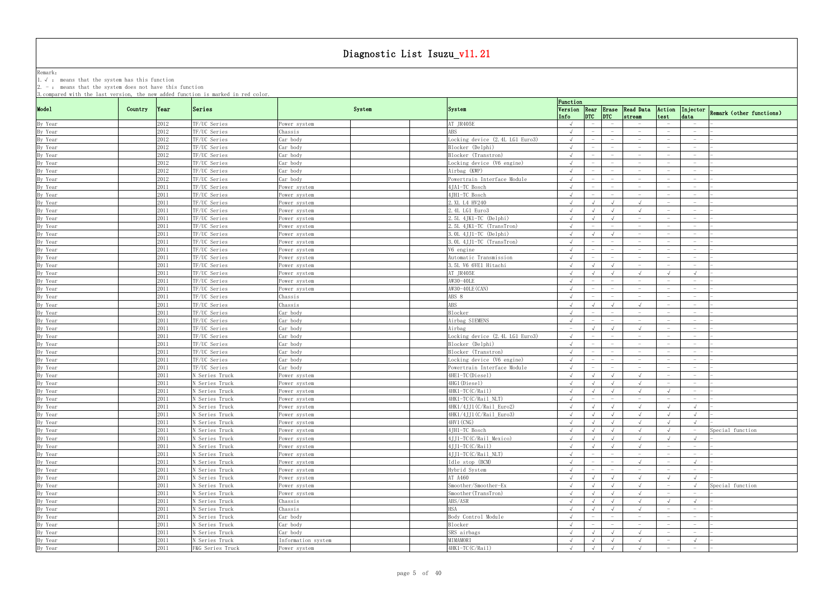Remark: The contract of the contract of  $\mathbb{R}$  and  $\mathbb{R}$  are contract of  $\mathbb{R}$  and  $\mathbb{R}$  are contract of  $\mathbb{R}$  and  $\mathbb{R}$  are contract of  $\mathbb{R}$  and  $\mathbb{R}$  are contract of  $\mathbb{R}$  and  $\mathbb{R}$  are cont 1.√ : means that the system has this function

|                    |         |      | 3. compared with the last version, the new added function is marked in red color. |                    |        |                                 | Function                        |                                 |                                 |                                        |                                   |                                                  |
|--------------------|---------|------|-----------------------------------------------------------------------------------|--------------------|--------|---------------------------------|---------------------------------|---------------------------------|---------------------------------|----------------------------------------|-----------------------------------|--------------------------------------------------|
| Mode1              | Country | Year | Series                                                                            |                    | System | System                          | Info                            | $ DTC $ $ DTC $                 |                                 | Version Rear Erase Read Data<br>stream | test                              | Action Injector Remark (other functions)<br>data |
| By Year            |         | 2012 | TF/UC Series                                                                      | Power system       |        | AT JR405E                       | $\sqrt{ }$                      | $\equiv$                        |                                 |                                        |                                   |                                                  |
| By Year            |         | 2012 | TF/UC Series                                                                      | Chassis            |        | <b>ABS</b>                      | $\sqrt{ }$                      | $\overline{\phantom{a}}$        |                                 | $-$                                    |                                   | $\overline{\phantom{0}}$                         |
| By Year            |         | 2012 | TF/UC Series                                                                      | Car body           |        | Locking device (2.4L LG1 Euro3) | $\sqrt{ }$                      | $\overline{\phantom{a}}$        | $\hspace{0.1mm}-\hspace{0.1mm}$ | $-$                                    |                                   | $\overline{\phantom{0}}$                         |
| By Year            |         | 2012 | TF/UC Series                                                                      | Car body           |        | Blocker (Delphi)                | $\sqrt{ }$                      |                                 |                                 | $\overline{\phantom{m}}$               |                                   |                                                  |
| By Year            |         | 2012 | TF/UC Series                                                                      | Car bodv           |        | Blocker (Transtron)             | $\sqrt{ }$                      |                                 |                                 | $-$                                    |                                   | $\overline{\phantom{0}}$                         |
| By Year            |         | 2012 | TF/UC Series                                                                      | Car body           |        | Locking device (V6 engine)      | $\sqrt{ }$                      |                                 |                                 | $-$                                    |                                   | $\overline{\phantom{0}}$                         |
| By Year            |         | 2012 | TF/UC Series                                                                      | Car body           |        | Airbag (KWP)                    | $\sqrt{ }$                      |                                 |                                 | $\overline{\phantom{m}}$               |                                   |                                                  |
| By Year            |         | 2012 | TF/UC Series                                                                      | Car body           |        | Powertrain Interface Module     |                                 |                                 |                                 | $\hspace{0.1mm}-\hspace{0.1mm}$        |                                   | $\overline{\phantom{0}}$                         |
| By Year            |         | 2011 | TF/UC Series                                                                      | Power system       |        | 4JA1-TC Bosch                   |                                 | $\hspace{0.1mm}-\hspace{0.1mm}$ | $\hspace{0.1mm}-\hspace{0.1mm}$ | $ \,$                                  |                                   | $\hspace{0.1mm}-\hspace{0.1mm}$                  |
| By Year            |         | 2011 | TF/UC Series                                                                      | Power system       |        | 4JH1-TC Bosch                   |                                 | $\qquad \qquad -$               | $\overline{\phantom{0}}$        | $\hspace{0.1mm}-\hspace{0.1mm}$        | $\overline{\phantom{0}}$          | $\overline{\phantom{0}}$                         |
| By Year            |         | 2011 | TF/UC Series                                                                      | Power system       |        | 2. XL L4 HV240                  |                                 |                                 | $\sqrt{ }$                      |                                        |                                   | $\overline{\phantom{0}}$                         |
| By Year            |         | 2011 | TF/UC Series                                                                      | ower system?       |        | 2.4L LG1 Euro3                  | $\sqrt{ }$                      |                                 | $\sqrt{ }$                      |                                        |                                   | $-$                                              |
| By Year            |         | 2011 | TF/UC Series                                                                      | ower system        |        | $2.5L$ 4JK1-TC (Delphi)         | $\sqrt{ }$                      |                                 |                                 | $-$                                    |                                   | $\overline{\phantom{0}}$                         |
| By Year            |         | 2011 | TF/UC Series                                                                      | Power system       |        | 2.5L 4JK1-TC (TransTron)        |                                 | $\overline{\phantom{a}}$        |                                 | $-$                                    |                                   | $\overline{\phantom{0}}$                         |
| By Year            |         | 2011 | TF/UC Series                                                                      | Power system       |        | 3. OL 4JJ1-TC (Delphi)          | $\sqrt{ }$                      | $\sqrt{ }$                      | $\sqrt{ }$                      | $\hspace{0.1mm}-\hspace{0.1mm}$        |                                   | $\overline{\phantom{0}}$                         |
| By Year            |         | 2011 | TF/UC Series                                                                      | Power system       |        | 3.0L 4JJ1-TC (TransTron)        | $\sqrt{ }$                      | $\hspace{0.1mm}-\hspace{0.1mm}$ | $\hspace{0.1mm}-\hspace{0.1mm}$ | $-$                                    |                                   | $\overline{\phantom{0}}$                         |
| By Year            |         | 2011 | TF/UC Series                                                                      | Power system       |        | V6 engine                       | $\sqrt{ }$                      | $\overline{\phantom{a}}$        | $\hspace{0.1mm}-\hspace{0.1mm}$ | $-$                                    | $\hspace{1.0cm} - \hspace{1.0cm}$ | $-$                                              |
| By Year            |         | 2011 | TF/UC Series                                                                      | ower system?       |        | Automatic Transmission          |                                 |                                 |                                 | $\hspace{0.1mm}-\hspace{0.1mm}$        |                                   | $\overline{\phantom{0}}$                         |
|                    |         |      |                                                                                   |                    |        | 3.5L V6 6VE1 Hitachi            | $\sqrt{ }$                      |                                 | $\sqrt{ }$                      | $\overline{\phantom{a}}$               |                                   | $\hspace{0.1mm}-\hspace{0.1mm}$                  |
| By Year            |         | 2011 | TF/UC Series                                                                      | ower system?       |        |                                 |                                 |                                 |                                 |                                        |                                   |                                                  |
| By Year            |         | 2011 | TF/UC Series                                                                      | ower system?       |        | AT JR405E                       | $\sqrt{ }$                      | $\sqrt{ }$                      | $\sqrt{ }$                      |                                        |                                   | $\sqrt{ }$                                       |
| By Year            |         | 2011 | TF/UC Series                                                                      | Power system       |        | AW30-40LE                       | $\sqrt{ }$                      |                                 |                                 | $\hspace{0.1mm}-\hspace{0.1mm}$        |                                   |                                                  |
| By Year            |         | 2011 | TF/UC Series                                                                      | Power system       |        | AW30-40LE (CAN)                 |                                 |                                 |                                 | $\hspace{0.1mm}-\hspace{0.1mm}$        |                                   |                                                  |
| By Year            |         | 2011 | TF/UC Series                                                                      | Chassis            |        | ABS 8                           | $\sqrt{ }$                      | $\hspace{0.1mm}-\hspace{0.1mm}$ |                                 | $\overline{\phantom{a}}$               |                                   | $\hspace{0.1mm}-\hspace{0.1mm}$                  |
| By Year            |         | 2011 | TF/UC Series                                                                      | Chassis            |        | <b>ABS</b>                      |                                 |                                 |                                 |                                        |                                   | $\overline{\phantom{0}}$                         |
| By Year            |         | 2011 | TF/UC Series                                                                      | Car body           |        | Blocker                         |                                 |                                 |                                 | $\overline{\phantom{a}}$               |                                   |                                                  |
| By Year            |         | 2011 | TF/UC Series                                                                      | Car body           |        | Airbag SIEMENS                  | $\sqrt{ }$                      |                                 |                                 |                                        |                                   | $\overline{\phantom{0}}$                         |
| By Year            |         | 2011 | TF/UC Series                                                                      | Car body           |        | Airbag                          | $\hspace{0.1mm}-\hspace{0.1mm}$ |                                 |                                 |                                        |                                   | $\overline{\phantom{0}}$                         |
| By Year            |         | 2011 | TF/UC Series                                                                      | Car body           |        | Locking device (2.4L LG1 Euro3) | $\sqrt{ }$                      |                                 |                                 | $\overline{\phantom{m}}$               |                                   |                                                  |
| By Year            |         | 2011 | TF/UC Series                                                                      | Car body           |        | Blocker (Delphi)                | $\sqrt{ }$                      |                                 |                                 |                                        |                                   |                                                  |
| By Year            |         | 2011 | TF/UC Series                                                                      | Car body           |        | Blocker (Transtron)             | $\sqrt{ }$                      | $\overline{\phantom{a}}$        |                                 | $\overline{\phantom{a}}$               |                                   | $\overline{\phantom{0}}$                         |
| By Year            |         | 2011 | TF/UC Series                                                                      | Car body           |        | Locking device (V6 engine)      |                                 |                                 |                                 | $\hspace{0.1mm}-\hspace{0.1mm}$        |                                   | $\overline{\phantom{0}}$                         |
| By Year            |         | 2011 | TF/UC Series                                                                      | Car body           |        | Powertrain Interface Module     | $\sqrt{ }$                      |                                 |                                 | $\hspace{0.1mm}-\hspace{0.1mm}$        |                                   | $-$                                              |
| By Year            |         | 2011 | N Series Truck                                                                    | Power system       |        | 4HE1-TC(Diesel)                 | $\sqrt{ }$                      |                                 |                                 |                                        |                                   |                                                  |
| By Year            |         | 2011 | N Series Truck                                                                    | Power system       |        | 4HG1(Diesel)                    | $\sqrt{ }$                      | $\sqrt{ }$                      | $\sqrt{ }$                      |                                        |                                   | $\overline{\phantom{0}}$                         |
| By Year            |         | 2011 | N Series Truck                                                                    | Power system       |        | 4HK1-TC(C/Rail)                 | $\sqrt{ }$                      | $\sqrt{ }$                      | $\sqrt{ }$                      |                                        |                                   |                                                  |
| By Year            |         | 2011 | N Series Truck                                                                    | Power system       |        | 4HK1-TC(C/Rail_NLT)             | $\sqrt{ }$                      | $-$                             | $-$                             | $\hspace{0.1mm}-\hspace{0.1mm}$        |                                   |                                                  |
| By Year            |         | 2011 | N Series Truck                                                                    | Power system       |        | 4HK1/4JJ1(C/Rail_Euro2)         | $\sqrt{ }$                      | $\sqrt{ }$                      | $\sqrt{2}$                      | $\sqrt{ }$                             | $\sqrt{ }$                        | $\sqrt{ }$                                       |
| By Year            |         | 2011 | N Series Truck                                                                    | Power system       |        | 4HK1/4JJ1(C/Rail_Euro3)         |                                 | $\sqrt{ }$                      | $\sqrt{ }$                      |                                        |                                   | $\sqrt{ }$                                       |
| By Year            |         | 2011 | N Series Truck                                                                    | Power system       |        | 4HV1 (CNG)                      | $\sqrt{ }$                      | $\sqrt{ }$                      | $\sqrt{ }$                      |                                        | $\sqrt{ }$                        |                                                  |
| By Year            |         | 2011 | N Series Truck                                                                    | Power system       |        | 4JH1-TC Bosch                   |                                 |                                 | $\sqrt{ }$                      |                                        |                                   | Special function                                 |
| By Year            |         | 2011 | N Series Truck                                                                    | Power system       |        | 4JJ1-TC(C/Rail Mexico)          | $\sqrt{ }$                      | $\sqrt{ }$                      | $\sqrt{ }$                      | $\sqrt{ }$                             | $\sqrt{ }$                        | $\sqrt{ }$                                       |
| By Year            |         | 2011 | N Series Truck                                                                    | Power system       |        | 4JJ1-TC(C/Rail)                 | $\sqrt{ }$                      | $\sqrt{ }$                      | $\sqrt{ }$                      | $\sqrt{ }$                             | $\overline{\phantom{0}}$          | $-$                                              |
| By Year            |         | 2011 | N Series Truck                                                                    | Power system       |        | 4JJ1-TC(C/Rail_NLT)             | $\sqrt{ }$                      | $\overline{\phantom{a}}$        |                                 | $-$                                    |                                   |                                                  |
| By Year            |         | 2011 | N Series Truck                                                                    | Power system       |        | Idle stop (BCM)                 | $\sqrt{ }$                      | $-$                             | $-$                             | $\sqrt{ }$                             |                                   | $\sqrt{ }$                                       |
| By Year            |         | 2011 | N Series Truck                                                                    | Power system       |        | Hybrid System                   | $\sqrt{ }$                      | $-$                             | $-$                             | $ \,$                                  | $-$                               | $-$                                              |
| By Year            |         | 2011 | N Series Truck                                                                    | Power system       |        | AT A460                         | $\sqrt{ }$                      | $\sqrt{ }$                      | $\sqrt{ }$                      | $\sqrt{ }$                             | $\sqrt{ }$                        | $\sqrt{ }$                                       |
| By Year            |         | 2011 | N Series Truck                                                                    | Power system       |        | Smoother/Smoother-Ex            | $\sqrt{ }$                      | $\sqrt{ }$                      | $\sqrt{ }$                      |                                        | $\hspace{0.1mm}-\hspace{0.1mm}$   | Special function                                 |
| By Year            |         | 2011 | N Series Truck                                                                    | Power system       |        | Smoother (TransTron)            | $\sqrt{ }$                      | $\sqrt{ }$                      | $\sqrt{ }$                      | $\sqrt{ }$                             |                                   |                                                  |
|                    |         | 2011 | N Series Truck                                                                    | Chassis            |        | ABS/ASR                         | $\sqrt{ }$                      | $\sqrt{ }$                      | $\sqrt{ }$                      |                                        |                                   | $\sqrt{ }$                                       |
| By Year<br>By Year |         | 2011 |                                                                                   | Chassis            |        | <b>HSA</b>                      |                                 | $\sqrt{ }$                      | $\sqrt{ }$                      |                                        |                                   |                                                  |
|                    |         |      | N Series Truck                                                                    |                    |        |                                 |                                 |                                 |                                 |                                        |                                   |                                                  |
| By Year            |         | 2011 | N Series Truck                                                                    | Car body           |        | Body Control Module             | $\sqrt{ }$                      | $ \,$                           | $\overline{\phantom{0}}$        | $ \,$                                  |                                   | $\hspace{0.1mm}-\hspace{0.1mm}$                  |
| By Year            |         | 2011 | N Series Truck                                                                    | Car body           |        | Blocker                         | $\sqrt{ }$                      | $-$                             | $-$                             | $-$                                    |                                   | $\overline{\phantom{0}}$                         |
| By Year            |         | 2011 | N Series Truck                                                                    | Car body           |        | SRS airbags                     | $\sqrt{ }$                      | $\sqrt{ }$                      | $\sqrt{ }$                      | $\sqrt{ }$                             | $\hspace{0.1mm}-\hspace{0.1mm}$   | $-$                                              |
| By Year            |         | 2011 | N Series Truck                                                                    | Information system |        | MIMAMORI                        | $\sqrt{ }$                      | $\sqrt{ }$                      | $\sqrt{ }$                      |                                        | $\hspace{0.1mm}-\hspace{0.1mm}$   | $\sqrt{ }$                                       |
| By Year            |         | 2011 | F&G Series Truck                                                                  | Power system       |        | 4HK1-TC(C/Rail)                 | $\sqrt{ }$                      | $\sqrt{ }$                      | $\sqrt{ }$                      |                                        |                                   | $\overline{\phantom{0}}$                         |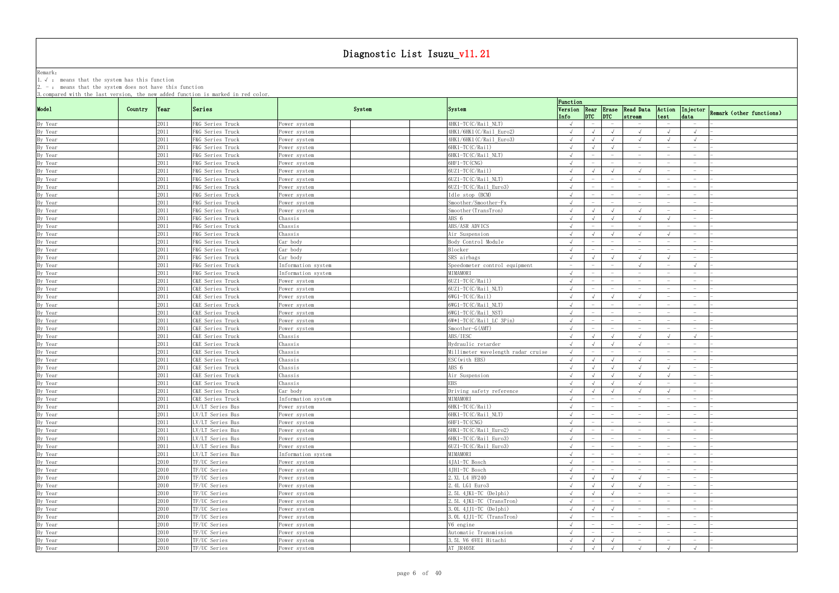Remark: The contract of the contract of  $\mathbb{R}$  and  $\mathbb{R}$  are contract of  $\mathbb{R}$  and  $\mathbb{R}$  are contract of  $\mathbb{R}$  and  $\mathbb{R}$  are contract of  $\mathbb{R}$  and  $\mathbb{R}$  are contract of  $\mathbb{R}$  and  $\mathbb{R}$  are cont 1.√ : means that the system has this function

|                    |         |      |                                      |                    |        |                                    | Function   |                                 |                                 |                                 |                                 |                                 |                                                                       |
|--------------------|---------|------|--------------------------------------|--------------------|--------|------------------------------------|------------|---------------------------------|---------------------------------|---------------------------------|---------------------------------|---------------------------------|-----------------------------------------------------------------------|
| Mode1              | Country | Year | Series                               |                    | System | <b>System</b>                      | Info       | $ DTC $ $ DTC $                 |                                 | stream                          | test                            | data                            | Version Rear Erase Read Data Action Injector Remark (other functions) |
| By Year            |         | 2011 | F&G Series Truck                     | Power system       |        | 4HK1-TC(C/Rail_NLT)                |            | $-$                             |                                 | $\hspace{0.1mm}-\hspace{0.1mm}$ |                                 | $-$                             |                                                                       |
| By Year            |         | 2011 | F&G Series Truck                     | Power system       |        | 4HK1/6HK1(C/Rail_Euro2)            | $\sqrt{ }$ | $\sqrt{ }$                      | $\sqrt{ }$                      |                                 |                                 | $\sqrt{ }$                      |                                                                       |
| By Year            |         | 2011 | F&G Series Truck                     | Power system       |        | 4HK1/6HK1(C/Rail_Euro3)            | $\sqrt{ }$ | $\sqrt{ }$                      | $\sqrt{ }$                      |                                 |                                 | $\sqrt{ }$                      |                                                                       |
| By Year            |         | 2011 | F&G Series Truck                     | Power system       |        | 6HK1-TC(C/Rail)                    | $\sqrt{ }$ | $\sqrt{ }$                      | $\sqrt{ }$                      | $\hspace{0.1mm}-\hspace{0.1mm}$ |                                 | $\hspace{0.1mm}-\hspace{0.1mm}$ |                                                                       |
| By Year            |         | 2011 | F&G Series Truck                     | Power system       |        | 6HK1-TC(C/Rail NLT)                | $\sqrt{ }$ |                                 |                                 | $\hspace{0.1mm}-\hspace{0.1mm}$ |                                 | $\overline{\phantom{a}}$        |                                                                       |
| By Year            |         | 2011 | F&G Series Truck                     | Power system       |        | 6HF1-TC (CNG)                      |            |                                 |                                 |                                 |                                 |                                 |                                                                       |
| By Year            |         | 2011 | F&G Series Truck                     | Power system       |        | 6UZ1-TC(C/Rail)                    | $\sqrt{ }$ | $\sqrt{ }$                      | $\sqrt{ }$                      | $\sqrt{ }$                      |                                 | $\hspace{0.1mm}-\hspace{0.1mm}$ |                                                                       |
| By Year            |         | 2011 | F&G Series Truck                     | Power system       |        | 6UZ1-TC(C/Rail_NLT)                |            | $\overline{\phantom{m}}$        | $\hspace{0.1mm}-\hspace{0.1mm}$ | $\hspace{0.1mm}-\hspace{0.1mm}$ |                                 | $\overline{\phantom{0}}$        |                                                                       |
| By Year            |         | 2011 | F&G Series Truck                     | Power system       |        | $6UZ1-TC(C/Rail Euro3)$            |            |                                 |                                 | $\hspace{0.1mm}-\hspace{0.1mm}$ | $\overline{\phantom{0}}$        | $-$                             |                                                                       |
| By Year            |         | 2011 | F&G Series Truck                     | Power system       |        | Idle stop (BCM)                    |            |                                 |                                 |                                 |                                 | $\overline{\phantom{0}}$        |                                                                       |
| By Year            |         | 2011 | F&G Series Truck                     | Power system       |        | Smoother/Smoother-Fx               |            |                                 |                                 | $\hspace{0.1mm}-\hspace{0.1mm}$ |                                 | $-$                             |                                                                       |
| By Year            |         | 2011 | F&G Series Truck                     | Power system       |        | Smoother (TransTron)               | $\sqrt{ }$ | $\sqrt{ }$                      | $\sqrt{ }$                      |                                 |                                 | $-$                             |                                                                       |
| By Year            |         | 2011 | F&G Series Truck                     | Chassis            |        | ABS 6                              | $\sqrt{ }$ | $\sqrt{ }$                      | $\sqrt{ }$                      |                                 |                                 |                                 |                                                                       |
| By Year            |         | 2011 | F&G Series Truck                     | Chassis            |        | ABS/ASR ADVICS                     | $\sqrt{ }$ | $\hspace{0.1mm}-\hspace{0.1mm}$ | $\hspace{0.1mm}-\hspace{0.1mm}$ | $\hspace{0.1mm}-\hspace{0.1mm}$ |                                 | $-$                             |                                                                       |
| By Year            |         | 2011 | F&G Series Truck                     | Chassis            |        | Air Suspension                     | $\sqrt{ }$ | $\sqrt{ }$                      | $\sqrt{ }$                      | $\sqrt{ }$                      | $\sqrt{ }$                      | $-$                             |                                                                       |
| By Year            |         | 2011 | F&G Series Truck                     | Car body           |        | Body Control Module                | $\sqrt{ }$ | $\overline{\phantom{a}}$        | $\hspace{0.1mm}-\hspace{0.1mm}$ | $\hspace{0.1mm}-\hspace{0.1mm}$ | $\overline{\phantom{0}}$        | $\overline{\phantom{0}}$        |                                                                       |
| By Year            |         | 2011 | F&G Series Truck                     | Car body           |        | Blocker                            |            |                                 |                                 | $\overline{\phantom{m}}$        |                                 | $\overline{\phantom{m}}$        |                                                                       |
| By Year            |         | 2011 | F&G Series Truck                     | Car body           |        | SRS airbags                        | $\sqrt{ }$ | $\sqrt{ }$                      | $\sqrt{ }$                      | $\sqrt{ }$                      | $\sqrt{ }$                      | $-$                             |                                                                       |
| By Year            |         | 2011 | F&G Series Truck                     | Information system |        | Speedometer control equipment      | $-$        | $\hspace{0.1mm}-\hspace{0.1mm}$ |                                 | $\sqrt{ }$                      |                                 | $\sqrt{ }$                      |                                                                       |
| By Year            |         | 2011 | F&G Series Truck                     | Information system |        | MIMAMORI                           | $\sqrt{ }$ |                                 |                                 | $\overline{\phantom{a}}$        |                                 |                                 |                                                                       |
| By Year            |         | 2011 | C&E Series Truck                     | Power system       |        | $6UZ1-TC(C/Rai1)$                  | $\sqrt{ }$ |                                 | $\overline{\phantom{0}}$        | $\sim$                          |                                 | $-$                             |                                                                       |
|                    |         | 2011 |                                      |                    |        | 6UZ1-TC(C/Rail_NLT)                |            | $-$                             | $\hspace{0.1mm}-\hspace{0.1mm}$ | $\hspace{0.1mm}-\hspace{0.1mm}$ |                                 | $-$                             |                                                                       |
| By Year            |         | 2011 | C&E Series Truck<br>C&E Series Truck | Power system       |        | $6WG1-TC(C/Rai1)$                  |            |                                 | $\sqrt{ }$                      |                                 | $-$                             | $\overline{\phantom{0}}$        |                                                                       |
| By Year            |         | 2011 |                                      | Power system       |        | 6WG1-TC(C/Rail NLT)                |            |                                 |                                 | $\hspace{0.1mm}-\hspace{0.1mm}$ |                                 | $\hspace{0.1mm}-\hspace{0.1mm}$ |                                                                       |
| By Year            |         | 2011 | C&E Series Truck<br>C&E Series Truck | Power system       |        | $6WG1-TC(C/Rai1 NST)$              | $\sqrt{ }$ |                                 |                                 | $\hspace{0.1mm}-\hspace{0.1mm}$ |                                 | $-$                             |                                                                       |
| By Year            |         |      |                                      | Power system       |        |                                    |            |                                 |                                 | $\overline{\phantom{a}}$        |                                 |                                 |                                                                       |
| By Year            |         | 2011 | C&E Series Truck                     | Power system       |        | 6W*1-TC(C/Rail_LC 3Pin)            |            |                                 |                                 | $\hspace{0.1mm}-\hspace{0.1mm}$ |                                 | $\overline{\phantom{0}}$        |                                                                       |
| By Year            |         | 2011 | C&E Series Truck                     | Power system       |        | $Smoother-G(AMT)$<br>ABS/IESC      |            |                                 |                                 |                                 | $\sqrt{ }$                      |                                 |                                                                       |
| By Year            |         | 2011 | C&E Series Truck                     | Chassis            |        |                                    | $\sqrt{ }$ | $\sqrt{ }$                      | $\sqrt{ }$                      |                                 |                                 | $\sqrt{ }$                      |                                                                       |
| By Year            |         | 2011 | C&E Series Truck                     | Chassis            |        | Hydraulic retarder                 | $\sqrt{ }$ | $\sqrt{ }$                      | $\sqrt{ }$                      |                                 |                                 | $-$                             |                                                                       |
| By Year            |         | 2011 | C&E Series Truck                     | Chassis            |        | Millimeter wavelength radar cruise | $\sqrt{ }$ | $\hspace{0.1mm}-\hspace{0.1mm}$ | $\hspace{0.1mm}-\hspace{0.1mm}$ | $\hspace{0.1mm}-\hspace{0.1mm}$ | $-$                             | $-$                             |                                                                       |
| By Year            |         | 2011 | C&E Series Truck                     | Chassis            |        | ESC (with EBS)                     | $\sqrt{ }$ | $\sqrt{ }$                      | $\sqrt{ }$                      |                                 |                                 | $\overline{\phantom{0}}$        |                                                                       |
| By Year            |         | 2011 | C&E Series Truck                     | Chassis            |        | ABS 6                              | $\sqrt{ }$ | $\sqrt{ }$                      | $\sqrt{ }$                      |                                 |                                 | $\hspace{0.1mm}-\hspace{0.1mm}$ |                                                                       |
| By Year            |         | 2011 | C&E Series Truck                     | Chassis            |        | Air Suspension                     | $\sqrt{ }$ | $\sqrt{ }$                      | $\sqrt{ }$                      | $\sqrt{ }$                      |                                 | $\hspace{0.1mm}-\hspace{0.1mm}$ |                                                                       |
| By Year            |         | 2011 | C&E Series Truck                     | Chassis            |        | <b>EBS</b>                         | $\sqrt{ }$ | $\sqrt{ }$                      | $\sqrt{ }$                      |                                 |                                 |                                 |                                                                       |
| By Year            |         | 2011 | C&E Series Truck                     | Car body           |        | Driving safety reference           | $\sqrt{ }$ | $\sqrt{ }$                      | $\sqrt{ }$                      |                                 |                                 |                                 |                                                                       |
| By Year            |         | 2011 | C&E Series Truck                     | Information system |        | MIMAMORI                           | $\sqrt{ }$ | $ \,$                           | $-$                             | $-$                             | $\hspace{0.1mm}-\hspace{0.1mm}$ | $-$                             |                                                                       |
| By Year<br>By Year |         | 2011 | LV/LT Series Bus                     | Power system       |        | 6HK1-TC(C/Rail)                    |            |                                 | $\sim$                          |                                 |                                 |                                 |                                                                       |
|                    |         | 2011 | LV/LT Series Bus                     | Power system       |        | 6HK1-TC(C/Rail_NLT)                |            |                                 |                                 |                                 |                                 |                                 |                                                                       |
| By Year            |         | 2011 | LV/LT Series Bus                     | Power system       |        | 6HF1-TC (CNG)                      | $\sqrt{ }$ | $\overline{\phantom{a}}$        | $-$                             |                                 |                                 | $-$                             |                                                                       |
| By Year            |         | 2011 | LV/LT Series Bus                     | Power system       |        | 6HK1-TC(C/Rail_Euro2)              | $\sqrt{ }$ | $\overline{\phantom{m}}$        |                                 | $\hspace{0.1mm}-\hspace{0.1mm}$ |                                 | $-$                             |                                                                       |
| By Year            |         | 2011 | LV/LT Series Bus                     | Power system       |        | 6HK1-TC(C/Rail_Euro3)              | $\sqrt{ }$ | $\overline{\phantom{m}}$        |                                 | $-$                             |                                 | $\overline{\phantom{0}}$        |                                                                       |
| By Year            |         | 2011 | LV/LT Series Bus                     | Power system       |        | 6UZ1-TC(C/Rail_Euro3)              |            |                                 |                                 | $\hspace{0.1mm}-\hspace{0.1mm}$ |                                 |                                 |                                                                       |
| By Year            |         | 2011 | LV/LT Series Bus                     | Information system |        | MIMAMORI                           | $\sqrt{ }$ | $-$                             | $-$                             | $-$                             |                                 | $\overline{\phantom{0}}$        |                                                                       |
| By Year            |         | 2010 | TF/UC Series                         | Power system       |        | 4JA1-TC Bosch                      | $\sqrt{ }$ | $ \,$                           | $\hspace{0.1mm}-\hspace{0.1mm}$ | $\overline{\phantom{0}}$        | $\overline{\phantom{0}}$        | $-$                             |                                                                       |
| By Year            |         | 2010 | TF/UC Series                         | Power system       |        | 4JH1-TC Bosch                      | $\sqrt{ }$ | $\overline{\phantom{m}}$        | $\hspace{0.1mm}-\hspace{0.1mm}$ | $-$                             | $\hspace{0.1mm}-\hspace{0.1mm}$ | $-$                             |                                                                       |
| By Year            |         | 2010 | TF/UC Series                         | Power system       |        | 2. XL L4 HV240                     | $\sqrt{ }$ | $\sqrt{ }$                      | $\sqrt{ }$                      | $\sqrt{ }$                      |                                 | $-$                             |                                                                       |
| By Year            |         | 2010 | TF/UC Series                         | Power system       |        | 2.4L LG1 Euro3                     | $\sqrt{ }$ | $\sqrt{ }$                      | $\sqrt{ }$                      | $\sqrt{ }$                      |                                 | $-$                             |                                                                       |
| By Year            |         | 2010 | TF/UC Series                         | Power system       |        | $2.5L$ 4JK1-TC (Delphi)            | $\sqrt{ }$ | $\sqrt{ }$                      | $\sqrt{ }$                      | $\overline{\phantom{0}}$        |                                 | $\overline{\phantom{0}}$        |                                                                       |
| By Year            |         | 2010 | TF/UC Series                         | Power system       |        | 2.5L 4JK1-TC (TransTron)           |            | $\hspace{0.1mm}-\hspace{0.1mm}$ |                                 |                                 |                                 |                                 |                                                                       |
| By Year            |         | 2010 | TF/UC Series                         | Power system       |        | $3.0L$ 4JJ1-TC (Delphi)            | $\sqrt{ }$ | $\sqrt{ }$                      | $\sqrt{ }$                      | $-$                             |                                 | $-$                             |                                                                       |
| By Year            |         | 2010 | TF/UC Series                         | Power system       |        | 3.0L 4JJ1-TC (TransTron)           |            | $-$                             | $-$                             | $-$                             | $\hspace{0.1mm}-\hspace{0.1mm}$ | $-$                             |                                                                       |
| By Year            |         | 2010 | TF/UC Series                         | Power system       |        | V6 engine                          |            | $\overline{\phantom{a}}$        | $\hspace{0.1mm}-\hspace{0.1mm}$ | $-$                             | $\hspace{0.1mm}-\hspace{0.1mm}$ | $\overline{\phantom{0}}$        |                                                                       |
| By Year            |         | 2010 | TF/UC Series                         | Power system       |        | Automatic Transmission             |            |                                 | $\hspace{0.1mm}-\hspace{0.1mm}$ | $\hspace{0.1mm}-\hspace{0.1mm}$ |                                 | $-$                             |                                                                       |
| By Year            |         | 2010 | TF/UC Series                         | Power system       |        | 3.5L V6 6VE1 Hitachi               | $\sqrt{ }$ | $\sqrt{ }$                      | $\sqrt{ }$                      | $-$                             | $\hspace{0.1mm}-\hspace{0.1mm}$ | $\sim$                          |                                                                       |
|                    |         |      |                                      |                    |        |                                    |            |                                 |                                 |                                 |                                 |                                 |                                                                       |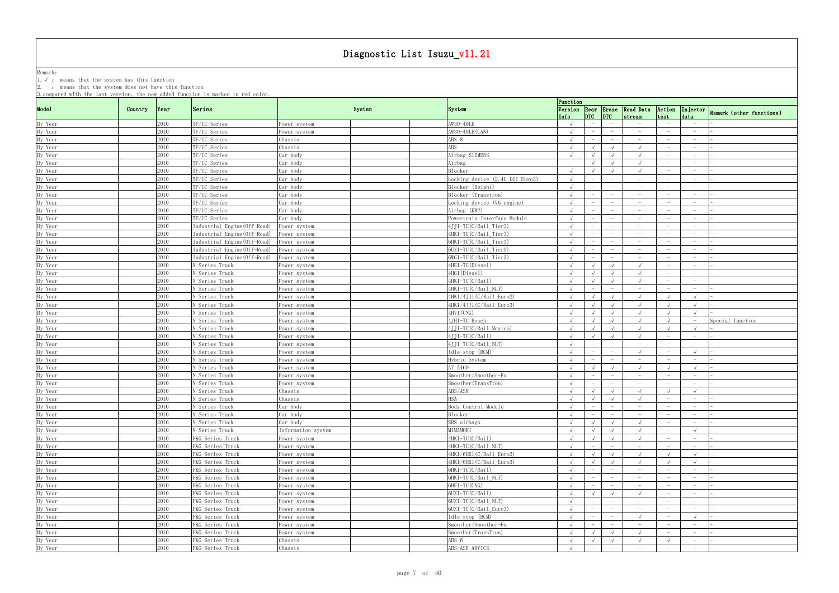Remark: The contract of the contract of  $\mathbb{R}$  and  $\mathbb{R}$  are contract of  $\mathbb{R}$  and  $\mathbb{R}$  are contract of  $\mathbb{R}$  and  $\mathbb{R}$  are contract of  $\mathbb{R}$  and  $\mathbb{R}$  are contract of  $\mathbb{R}$  and  $\mathbb{R}$  are cont

1.√ : means that the system has this function

|         |         |      |                                  |                    |        |                                 | Function                 |                                        |                                 |                                                        |                                   |                                 |                          |
|---------|---------|------|----------------------------------|--------------------|--------|---------------------------------|--------------------------|----------------------------------------|---------------------------------|--------------------------------------------------------|-----------------------------------|---------------------------------|--------------------------|
| Mode1   | Country | Year | Series                           |                    | System | System                          | Info                     | DTC                                    |                                 | Version Rear Erase Read Data Action Injector<br>stream | test                              | data                            | Remark (other functions) |
| By Year |         | 2010 | TF/UC Series                     | Power system       |        | AW30-40LE                       | $\sqrt{ }$               | $\sim$                                 |                                 | $\overline{\phantom{0}}$                               |                                   |                                 |                          |
| By Year |         | 2010 | TF/UC Series                     | Power system       |        | AW30-40LE (CAN)                 | $\sqrt{ }$               | $-$                                    | $\overline{\phantom{0}}$        | $-$                                                    | $-$                               | $-$                             |                          |
| By Year |         | 2010 | TF/UC Series                     | Chassis            |        | ABS 8                           | $\sqrt{ }$               | $\qquad \qquad -$                      | $\hspace{0.1mm}-\hspace{0.1mm}$ | $\hspace{0.1mm}-\hspace{0.1mm}$                        |                                   | $\overline{\phantom{0}}$        |                          |
| By Year |         | 2010 | TF/UC Series                     | Chassis            |        | <b>ABS</b>                      | $\sqrt{ }$               | $\sqrt{ }$                             | $\sqrt{ }$                      |                                                        |                                   | $\overline{\phantom{0}}$        |                          |
| By Year |         | 2010 | TF/UC Series                     | Car body           |        | Airbag SIEMENS                  | $\sqrt{ }$               | $\sqrt{ }$                             | $\sqrt{ }$                      |                                                        |                                   | $\hspace{0.1mm}-\hspace{0.1mm}$ |                          |
| By Year |         | 2010 | TF/UC Series                     | Car body           |        | Airbag                          | $\overline{\phantom{0}}$ | $\sqrt{ }$                             | $\sqrt{ }$                      |                                                        |                                   |                                 |                          |
| By Year |         | 2010 | TF/UC Series                     | Car body           |        | Blocker                         | $\sqrt{ }$               | $\sqrt{ }$                             | $\sqrt{ }$                      |                                                        |                                   |                                 |                          |
| By Year |         | 2010 | TF/UC Series                     | Car body           |        | Locking device (2.4L LG1 Euro3) | $\sqrt{ }$               | $-$                                    | $\hspace{0.1mm}-\hspace{0.1mm}$ | $\hspace{0.1mm}-\hspace{0.1mm}$                        |                                   | $\sim$                          |                          |
| By Year |         | 2010 | TF/UC Series                     | Car body           |        | Blocker (Delphi)                | $\sqrt{ }$               | $-$                                    | $\hspace{0.1mm}-\hspace{0.1mm}$ | $-$                                                    | $-$                               | $-$                             |                          |
| By Year |         | 2010 | TF/UC Series                     | Car body           |        | Blocker (Transtron)             |                          |                                        |                                 | $\hspace{0.1mm}-\hspace{0.1mm}$                        |                                   | $-$                             |                          |
| By Year |         | 2010 | TF/UC Series                     | Car body           |        | Locking device (V6 engine)      | $\sqrt{ }$               |                                        |                                 | $\hspace{0.1mm}-\hspace{0.1mm}$                        |                                   | $\overline{\phantom{0}}$        |                          |
| By Year |         | 2010 | TF/UC Series                     | Car body           |        | Airbag (KWP)                    | $\sqrt{ }$               | $\overline{\phantom{a}}$               |                                 | $\hspace{0.1mm}-\hspace{0.1mm}$                        |                                   | $\hspace{0.1mm}-\hspace{0.1mm}$ |                          |
| By Year |         | 2010 | TF/UC Series                     | Car body           |        | Powertrain Interface Module     | $\sqrt{ }$               |                                        |                                 | $\overline{\phantom{0}}$                               |                                   |                                 |                          |
| By Year |         | 2010 | Industrial Engine (Off-Road)     | Power system       |        | 4JJ1-TC(C/Rail_Tier3)           | $\sqrt{ }$               |                                        |                                 | $\overline{\phantom{a}}$                               |                                   |                                 |                          |
| By Year |         | 2010 | Industrial Engine (Off-Road)     | Power system       |        | 4HK1-TC(C/Rail_Tier3)           | $\sqrt{ }$               | $\overline{\phantom{a}}$               |                                 | $\overline{\phantom{a}}$                               |                                   | $\overline{\phantom{0}}$        |                          |
| By Year |         | 2010 | Industrial Engine (Off-Road)     | Power system       |        | 6HK1-TC(C/Rail_Tier3)           |                          | $\overline{\phantom{m}}$               | $\overline{\phantom{0}}$        | $\hspace{0.1mm}-\hspace{0.1mm}$                        |                                   | $\overline{\phantom{0}}$        |                          |
| By Year |         | 2010 | Industrial Engine (Off-Road)     | Power system       |        | 6UZ1-TC(C/Rail_Tier3)           |                          |                                        | $\hspace{0.1mm}-\hspace{0.1mm}$ | $\hspace{0.1mm}-\hspace{0.1mm}$                        | $\hspace{1.0cm} - \hspace{1.0cm}$ | $-$                             |                          |
| By Year |         | 2010 | Industrial Engine (Off-Road)     | Power system       |        | 6WG1-TC(C/Rail_Tier3)           |                          |                                        |                                 |                                                        |                                   |                                 |                          |
| By Year |         | 2010 | N Series Truck                   | Power system       |        | 4HE1-TC(Diesel)                 | $\sqrt{ }$               |                                        |                                 |                                                        |                                   | $-$                             |                          |
| By Year |         | 2010 | N Series Truck                   | Power system       |        | 4HG1(Diesel)                    |                          |                                        |                                 |                                                        |                                   | $\overline{\phantom{0}}$        |                          |
| By Year |         | 2010 | N Series Truck                   | Power system       |        | 4HK1-TC(C/Rail)                 |                          |                                        |                                 |                                                        |                                   |                                 |                          |
| By Year |         | 2010 | N Series Truck                   | Power system       |        | 4HK1-TC(C/Rail NLT)             | $\sqrt{ }$               | $\overline{\phantom{0}}$               | $\hspace{0.1mm}-\hspace{0.1mm}$ | $\overline{\phantom{0}}$                               |                                   | $-$                             |                          |
| By Year |         | 2010 | N Series Truck                   | Power system       |        | 4HK1/4JJ1(C/Rail_Euro2)         | $\sqrt{ }$               | $\sqrt{ }$                             | $\sqrt{ }$                      |                                                        |                                   | $\sqrt{ }$                      |                          |
| By Year |         | 2010 | N Series Truck                   | Power system       |        | 4HK1/4JJ1(C/Rail_Euro3)         | $\sqrt{ }$               | $\sqrt{ }$                             | $\sqrt{ }$                      |                                                        | $\sqrt{ }$                        | $\sqrt{ }$                      |                          |
|         |         | 2010 | N Series Truck                   |                    |        | 4HV1 (CNG)                      | $\sqrt{ }$               | $\sqrt{ }$                             | $\sqrt{ }$                      |                                                        |                                   |                                 |                          |
| By Year |         | 2010 |                                  | Power system       |        | 4JH1-TC Bosch                   | $\sqrt{ }$               |                                        | $\sqrt{ }$                      | $\sqrt{ }$                                             |                                   |                                 |                          |
| By Year |         | 2010 | V Series Truck<br>N Series Truck | Power system       |        | 4JJ1-TC(C/Rail_Mexico)          | $\sqrt{ }$               | $\sqrt{ }$                             | $\sqrt{ }$                      | $\sqrt{ }$                                             |                                   |                                 | Special function         |
| By Year |         | 2010 |                                  | Power system       |        | 4JJ1-TC(C/Rail)                 |                          |                                        |                                 |                                                        |                                   |                                 |                          |
| By Year |         |      | N Series Truck                   | Power system       |        |                                 | $\sqrt{ }$               | $\sqrt{ }$<br>$\overline{\phantom{a}}$ | $\sqrt{ }$                      |                                                        |                                   |                                 |                          |
| By Year |         | 2010 | N Series Truck                   | Power system       |        | 4JJ1-TC(C/Rail_NLT)             |                          |                                        |                                 |                                                        |                                   |                                 |                          |
| By Year |         | 2010 | N Series Truck                   | Power system       |        | Idle stop (BCM)                 |                          | $\hspace{0.1mm}-\hspace{0.1mm}$        | $\hspace{0.1mm}-\hspace{0.1mm}$ |                                                        |                                   | $\sqrt{ }$                      |                          |
| By Year |         | 2010 | N Series Truck                   | Power system       |        | Hybrid System                   | $\sqrt{ }$               | $\overline{\phantom{a}}$               | $\overline{\phantom{0}}$        | $\hspace{0.1mm}-\hspace{0.1mm}$                        | $\overline{\phantom{0}}$          | $-$                             |                          |
| By Year |         | 2010 | N Series Truck                   | Power system       |        | AT A460                         |                          |                                        |                                 |                                                        |                                   |                                 |                          |
| By Year |         | 2010 | V Series Truck                   | Power system       |        | Smoother/Smoother-Ex            | $\sqrt{ }$               |                                        |                                 | $-$                                                    |                                   | $-$                             |                          |
| By Year |         | 2010 | N Series Truck                   | Power system       |        | Smoother (TransTron)            | $\sqrt{ }$               | $\hspace{0.1mm}-\hspace{0.1mm}$        |                                 | $-$                                                    |                                   | $\overline{\phantom{0}}$        |                          |
| By Year |         | 2010 | N Series Truck                   | Chassis            |        | ABS/ASR                         | $\sqrt{ }$               | $\sqrt{ }$                             | $\sqrt{ }$                      |                                                        |                                   |                                 |                          |
| By Year |         | 2010 | N Series Truck                   | Chassis            |        | <b>HSA</b>                      | $\sqrt{ }$               | $\sqrt{ }$                             | $\sqrt{ }$                      |                                                        |                                   | $\hspace{0.1mm}-\hspace{0.1mm}$ |                          |
| By Year |         | 2010 | N Series Truck                   | Car body           |        | Body Control Module             |                          | $-1$                                   | $\sim$ $-$                      | $\overline{\phantom{0}}$                               |                                   |                                 |                          |
| By Year |         | 2010 | N Series Truck                   | Car body           |        | Blocker                         | $\sqrt{ }$               | $\hspace{0.1mm}-\hspace{0.1mm}$        | $\hspace{0.1mm}-\hspace{0.1mm}$ | $\hspace{0.1mm}-\hspace{0.1mm}$                        |                                   | $-$                             |                          |
| By Year |         | 2010 | N Series Truck                   | Car body           |        | SRS airbags                     | $\sqrt{ }$               | $\sqrt{ }$                             | $\sqrt{ }$                      |                                                        |                                   | $\overline{\phantom{0}}$        |                          |
| By Year |         | 2010 | N Series Truck                   | Information system |        | MIMAMORI                        | $\sqrt{ }$               | $\sqrt{ }$                             | $\sqrt{ }$                      |                                                        |                                   | $\sqrt{ }$                      |                          |
| By Year |         | 2010 | F&G Series Truck                 | Power system       |        | 4HK1-TC(C/Rail)                 | $\sqrt{ }$               | $\sqrt{ }$                             | $\sqrt{ }$                      |                                                        |                                   | $\overline{\phantom{0}}$        |                          |
| By Year |         | 2010 | F&G Series Truck                 | Power system       |        | 4HK1-TC(C/Rail NLT)             | $\sqrt{ }$               | $\hspace{0.1mm}-\hspace{0.1mm}$        |                                 | $\overline{\phantom{m}}$                               |                                   | $-$                             |                          |
| By Year |         | 2010 | F&G Series Truck                 | Power system       |        | 4HK1/6HK1(C/Rail Euro2)         |                          | $\sqrt{ }$                             | $\sqrt{ }$                      |                                                        |                                   | $\sqrt{ }$                      |                          |
| By Year |         | 2010 | F&G Series Truck                 | Power system       |        | 4HK1/6HK1(C/Rail_Euro3)         | $\sqrt{ }$               | $\sqrt{ }$                             | $\sqrt{ }$                      |                                                        |                                   | $\sqrt{ }$                      |                          |
| By Year |         | 2010 | F&G Series Truck                 | Power system       |        | 6HK1-TC(C/Rail)                 |                          | $-$                                    | $\hspace{0.1mm}-\hspace{0.1mm}$ | $\hspace{0.1mm}-\hspace{0.1mm}$                        | $-$                               | $-$                             |                          |
| By Year |         | 2010 | F&G Series Truck                 | Power system       |        | 6HK1-TC(C/Rail NLT)             |                          |                                        | $\hspace{0.1mm}-\hspace{0.1mm}$ | $\hspace{0.1mm}-\hspace{0.1mm}$                        |                                   | $\overline{\phantom{0}}$        |                          |
| By Year |         | 2010 | F&G Series Truck                 | Power system       |        | 6HF1-TC (CNG)                   |                          |                                        |                                 |                                                        |                                   | $-$                             |                          |
| By Year |         | 2010 | F&G Series Truck                 | Power system       |        | $6UZ1-TC(C/Rai1)$               |                          | $\sqrt{ }$                             | $\sqrt{ }$                      |                                                        |                                   | $-$                             |                          |
| By Year |         | 2010 | F&G Series Truck                 | Power system       |        | $6UZ1-TC(C/Rai1_NLT)$           | $\sqrt{ }$               | $\qquad \qquad -$                      |                                 | $\overline{\phantom{0}}$                               |                                   | $\overline{\phantom{0}}$        |                          |
| By Year |         | 2010 | F&G Series Truck                 | Power system       |        | 6UZ1-TC(C/Rail_Euro3)           |                          |                                        |                                 |                                                        |                                   |                                 |                          |
| By Year |         | 2010 | F&G Series Truck                 | Power system       |        | Idle stop (BCM)                 | $\sqrt{ }$               | $-$                                    | $-$                             |                                                        |                                   | $\sqrt{ }$                      |                          |
| By Year |         | 2010 | F&G Series Truck                 | Power system       |        | Smoother/Smoother-Fx            |                          | $\overline{\phantom{0}}$               | $\overline{\phantom{0}}$        | $-$                                                    |                                   | $-$                             |                          |
| By Year |         | 2010 | F&G Series Truck                 | Power system       |        | Smoother (TransTron)            | $\sqrt{ }$               | $\sqrt{ }$                             | $\sqrt{ }$                      |                                                        | $-$                               | $\overline{\phantom{0}}$        |                          |
|         |         | 2010 |                                  |                    |        |                                 |                          |                                        |                                 |                                                        | $\sqrt{ }$                        | $-$                             |                          |
| By Year |         |      | F&G Series Truck                 | Chassis            |        | ABS 6                           | $\sqrt{ }$               | $\sqrt{ }$                             | $\sqrt{ }$                      |                                                        |                                   |                                 |                          |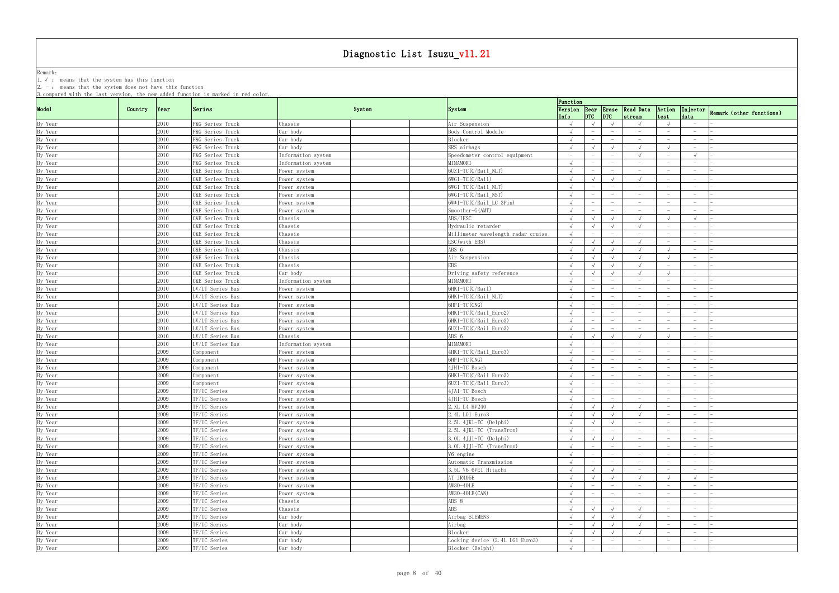Remark: The contract of the contract of  $\mathbb{R}$  and  $\mathbb{R}$  are contract of  $\mathbb{R}$  and  $\mathbb{R}$  are contract of  $\mathbb{R}$  and  $\mathbb{R}$  are contract of  $\mathbb{R}$  and  $\mathbb{R}$  are contract of  $\mathbb{R}$  and  $\mathbb{R}$  are cont 1.√ : means that the system has this function

|         |         |       | 3. compared with the last version, the new added function is marked in red color. |                    |        |                                                  | Function                        |                                        |                                                                    |                                   |                                 |                          |
|---------|---------|-------|-----------------------------------------------------------------------------------|--------------------|--------|--------------------------------------------------|---------------------------------|----------------------------------------|--------------------------------------------------------------------|-----------------------------------|---------------------------------|--------------------------|
| Mode1   | Country | Year  | Series                                                                            |                    | System | System                                           | Info                            | $ $ <sub>DTC</sub> $ $ <sub>DTC</sub>  | Version Rear Erase Read Data<br>stream                             | test                              | Action Injector<br>data         | Remark (other functions) |
| By Year |         | 2010  | F&G Series Truck                                                                  | Chassis            |        | Air Suspension                                   | $\sqrt{ }$                      | $\sqrt{ }$                             | $\sqrt{ }$                                                         |                                   | $-$                             |                          |
| By Year |         | 2010  | F&G Series Truck                                                                  | Car body           |        | Body Control Module                              | $\sqrt{ }$                      | $\overline{\phantom{m}}$               | $\hspace{0.1mm}-\hspace{0.1mm}$                                    | $-$                               | $-$                             |                          |
| By Year |         | 2010  | F&G Series Truck                                                                  | Car body           |        | Blocker                                          | $\sqrt{ }$                      |                                        | $\hspace{0.1mm}-\hspace{0.1mm}$                                    |                                   | $\overline{\phantom{0}}$        |                          |
| By Year |         | 2010  | F&G Series Truck                                                                  | Car body           |        | SRS airbags                                      | $\sqrt{ }$                      | $\sqrt{ }$                             | $\sqrt{ }$<br>$\sqrt{ }$                                           |                                   | $\overline{\phantom{0}}$        |                          |
| By Year |         | 2010  | F&G Series Truck                                                                  | Information system |        | Speedometer control equipment                    | $\hspace{0.1mm}-\hspace{0.1mm}$ | $\overline{\phantom{a}}$               |                                                                    |                                   |                                 |                          |
| By Year |         | 2010  | F&G Series Truck                                                                  | Information system |        | MIMAMORI                                         |                                 |                                        | $\hspace{0.1mm}-\hspace{0.1mm}$                                    |                                   |                                 |                          |
| By Year |         | 2010  | C&E Series Truck                                                                  | Power system       |        | $6UZ1-TC(C/Rai1 NLT)$                            | $\sqrt{ }$                      |                                        | $-$                                                                |                                   | $\hspace{0.1mm}-\hspace{0.1mm}$ |                          |
| By Year |         | 2010  | C&E Series Truck                                                                  | Power system       |        | $6WG1-TC(C/Rai1)$                                | $\sqrt{ }$                      | $\sqrt{ }$                             | $\sqrt{ }$<br>$\sqrt{ }$                                           |                                   | $\overline{\phantom{0}}$        |                          |
| By Year |         | 2010  | C&E Series Truck                                                                  | Power system       |        | $6WG1-TC(C/Rai1 NLT)$                            |                                 | $\overline{\phantom{a}}$               | $\hspace{0.1mm}-\hspace{0.1mm}$<br>$\hspace{0.1mm}-\hspace{0.1mm}$ | $\hspace{1.0cm} - \hspace{1.0cm}$ | $\overline{\phantom{0}}$        |                          |
| By Year |         | 2010  | C&E Series Truck                                                                  | Power system       |        | $6WG1-TC(C/Rail NST)$                            |                                 |                                        | $\overline{\phantom{m}}$                                           |                                   |                                 |                          |
| By Year |         | 2010  | C&E Series Truck                                                                  | Power system       |        | $6W*1-TC(C/Rail LC3Pin)$                         | $\sqrt{ }$                      |                                        |                                                                    |                                   |                                 |                          |
| By Year |         | 2010  | C&E Series Truck                                                                  | Power system       |        | Smoother-G(AMT)                                  | $\sqrt{ }$                      | $\qquad \qquad -$                      | $\hspace{0.1mm}-\hspace{0.1mm}$                                    |                                   | $\hspace{0.1mm}-\hspace{0.1mm}$ |                          |
| By Year |         | 2010  | C&E Series Truck                                                                  | Chassis            |        | ABS/IESC                                         | $\sqrt{ }$                      |                                        |                                                                    |                                   |                                 |                          |
| By Year |         | 2010  | C&E Series Truck                                                                  | Chassis            |        | Hydraulic retarder                               | $\sqrt{ }$                      | $\sqrt{ }$                             | $\sqrt{ }$                                                         |                                   |                                 |                          |
| By Year |         | 2010  | C&E Series Truck                                                                  | Chassis            |        | Millimeter wavelength radar cruise               | $\sqrt{ }$                      | $\hspace{0.1mm}-\hspace{0.1mm}$        | $\overline{\phantom{a}}$<br>$\hspace{0.1mm}-\hspace{0.1mm}$        |                                   | $\hspace{0.1mm}-\hspace{0.1mm}$ |                          |
| By Year |         | 2010  | C&E Series Truck                                                                  | Chassis            |        | ESC (with EBS)                                   | $\sqrt{ }$                      | $\sqrt{ }$                             | $\sqrt{ }$                                                         |                                   | $-$                             |                          |
| By Year |         | 2010  | C&E Series Truck                                                                  | Chassis            |        | ABS 6                                            |                                 | $\sqrt{ }$                             | $\sqrt{ }$                                                         |                                   | $-$                             |                          |
| By Year |         | 2010  | C&E Series Truck                                                                  | Chassis            |        | Air Suspension                                   | $\sqrt{ }$                      |                                        | $\sqrt{ }$                                                         |                                   | $-$                             |                          |
| By Year |         | 2010  | C&E Series Truck                                                                  | Chassis            |        | <b>EBS</b>                                       | $\sqrt{ }$                      | $\sqrt{ }$                             | $\sqrt{ }$                                                         |                                   | $\overline{\phantom{0}}$        |                          |
| By Year |         | 2010  | C&E Series Truck                                                                  | Car body           |        | Driving safety reference                         | $\sqrt{ }$                      | $\sqrt{ }$                             | $\sqrt{ }$<br>$\sqrt{ }$                                           | $\sqrt{ }$                        | $\overline{\phantom{0}}$        |                          |
| By Year |         | 2010  | C&E Series Truck                                                                  | Information system |        | MIMAMORI                                         |                                 |                                        | $\hspace{0.1mm}-\hspace{0.1mm}$                                    |                                   |                                 |                          |
| By Year |         | 2010  | LV/LT Series Bus                                                                  | Power system       |        | 6HK1-TC(C/Rail)                                  | $\sqrt{ }$                      | $\overline{\phantom{a}}$               | $\hspace{0.1mm}-\hspace{0.1mm}$<br>$\hspace{0.1mm}-\hspace{0.1mm}$ |                                   | $\overline{\phantom{0}}$        |                          |
| By Year |         | 2010  | LV/LT Series Bus                                                                  | Power system       |        | 6HK1-TC(C/Rail_NLT)                              | $\sqrt{ }$                      | $\hspace{0.1mm}-\hspace{0.1mm}$        | $-$<br>$\hspace{0.1mm}-\hspace{0.1mm}$                             | $\overline{\phantom{0}}$          | $-$                             |                          |
| By Year |         | 2010  | LV/LT Series Bus                                                                  | Power system       |        | 6HF1-TC (CNG)                                    |                                 |                                        | $\hspace{0.1mm}-\hspace{0.1mm}$                                    |                                   | $-$                             |                          |
|         |         | 2010  | LV/LT Series Bus                                                                  | Power system       |        | 6HK1-TC(C/Rail Euro2)                            | $\sqrt{ }$                      |                                        | $\hspace{0.1mm}-\hspace{0.1mm}$                                    |                                   | $-$                             |                          |
| By Year |         | 2010  |                                                                                   |                    |        |                                                  | $\sqrt{ }$                      |                                        | $\hspace{0.1mm}-\hspace{0.1mm}$                                    |                                   | $\hspace{0.1mm}-\hspace{0.1mm}$ |                          |
| By Year |         | 2010  | LV/LT Series Bus<br>LV/LT Series Bus                                              | Power system       |        | 6HK1-TC(C/Rail_Euro3)<br>$60Z1-TC(C/Rai1 Euro3)$ | $\sqrt{ }$                      | $\hspace{1.0cm} - \hspace{1.0cm}$      | $\overline{\phantom{m}}$                                           |                                   |                                 |                          |
| By Year |         |       |                                                                                   | Power system       |        |                                                  |                                 |                                        | $\sqrt{ }$                                                         |                                   |                                 |                          |
| By Year |         | 2010  | LV/LT Series Bus                                                                  | Chassis            |        | ABS 6                                            |                                 | $\sqrt{ }$<br>$\overline{\phantom{a}}$ |                                                                    |                                   |                                 |                          |
| By Year |         | 2010  | LV/LT Series Bus                                                                  | Information system |        | MIMAMORI                                         | $\sqrt{ }$                      |                                        | $-$                                                                |                                   | $-$                             |                          |
| By Year |         | 2009  | Component                                                                         | Power system       |        | 4HK1-TC(C/Rail_Euro3)                            | $\sqrt{ }$                      | $\overline{\phantom{a}}$               | $-$<br>$\overline{\phantom{0}}$                                    | $-$                               | $\overline{\phantom{0}}$        |                          |
| By Year |         | 2009  | Component                                                                         | Power system       |        | 6HF1-TC (CNG)                                    |                                 |                                        | $\hspace{0.1mm}-\hspace{0.1mm}$                                    |                                   | $-$                             |                          |
| By Year |         | 2009  | omponent                                                                          | ower system?       |        | 4JH1-TC Bosch                                    | $\sqrt{ }$                      |                                        | $\hspace{0.1mm}-\hspace{0.1mm}$                                    |                                   | $-$                             |                          |
| By Year |         | 2009  | Component                                                                         | Power system       |        | 6HK1-TC(C/Rail Euro3)                            | $\sqrt{ }$                      | $\overline{\phantom{a}}$               | $\hspace{0.1mm}-\hspace{0.1mm}$                                    |                                   | $\overline{\phantom{0}}$        |                          |
| By Year |         | 2009- | Component                                                                         | Power system       |        | $6UZ1-TC(C/Rai1_Euro3)$                          | $\sqrt{ }$                      | $\overline{\phantom{a}}$               | $-$                                                                |                                   | $\overline{\phantom{0}}$        |                          |
| By Year |         | 2009  | TF/UC Series                                                                      | Power system       |        | 4JA1-TC Bosch                                    | $\sqrt{ }$                      |                                        | $\hspace{0.1mm}-\hspace{0.1mm}$                                    |                                   |                                 |                          |
| By Year |         | 2009- | TF/UC Series                                                                      | Power system       |        | 4JH1-TC Bosch                                    | $\sqrt{ }$                      | $-$                                    | $\hspace{0.1mm}-\hspace{0.1mm}$<br>$-$                             |                                   | $-$                             |                          |
| By Year |         | 2009  | TF/UC Series                                                                      | Power system       |        | 2. XL L4 HV240                                   |                                 | $\sqrt{ }$                             | $\sqrt{ }$                                                         |                                   |                                 |                          |
| By Year |         | 2009  | TF/UC Series                                                                      | Power system       |        | 2.4L LG1 Euro3                                   | $\sqrt{ }$                      | $\sqrt{ }$                             | $\sqrt{ }$                                                         |                                   | $\overline{\phantom{0}}$        |                          |
| By Year |         | 2009  | TF/UC Series                                                                      | Power system       |        | 2.5L 4JK1-TC (Delphi)                            | $\sqrt{ }$                      | $\sqrt{ }$                             | $\sqrt{ }$<br>$ \,$                                                |                                   | $-$                             |                          |
| By Year |         | 2009  | TF/UC Series                                                                      | Power system       |        | $2.5L$ 4JK1-TC (TransTron)                       | $\sqrt{ }$                      | $-$                                    | $\hspace{0.1mm}-\hspace{0.1mm}$<br>$ \,$                           |                                   | $\overline{\phantom{0}}$        |                          |
| By Year |         | 2009  | TF/UC Series                                                                      | Power system       |        | $3.0L$ 4JJ1-TC (Delphi)                          | $\sqrt{ }$                      | $\sqrt{ }$                             | $\sqrt{ }$<br>$-$                                                  |                                   | $-$                             |                          |
| By Year |         | 2009  | TF/UC Series                                                                      | Power system       |        | 3.0L 4JJ1-TC (TransTron)                         |                                 | $-$                                    | $-$                                                                |                                   |                                 |                          |
| By Year |         | 2009  | TF/UC Series                                                                      | Power system       |        | V6 engine                                        | $\sqrt{ }$                      | $-$                                    | $-$<br>$\hspace{0.1mm}-\hspace{0.1mm}$                             |                                   | $-$                             |                          |
| By Year |         | 2009  | TF/UC Series                                                                      | Power system       |        | Automatic Transmission                           | $\sqrt{ }$                      | $ \,$                                  | $-$<br>$-$                                                         | $\hspace{0.1mm}-\hspace{0.1mm}$   | $-$                             |                          |
| By Year |         | 2009  | TF/UC Series                                                                      | Power system       |        | 3.5L V6 6VE1 Hitachi                             | $\sqrt{ }$                      | $\sqrt{ }$                             | $\sqrt{ }$<br>$-$                                                  | $\overline{\phantom{0}}$          | $-$                             |                          |
| By Year |         | 2009  | TF/UC Series                                                                      | Power system       |        | AT JR405E                                        |                                 | $\sqrt{ }$                             | $\sqrt{ }$                                                         |                                   | $\sqrt{ }$                      |                          |
| By Year |         | 2009  | TF/UC Series                                                                      | Power system       |        | AW30-40LE                                        | $\sqrt{ }$                      | $\overline{\phantom{a}}$               | $-$<br>$-$                                                         |                                   | $-$                             |                          |
| By Year |         | 2009  | TF/UC Series                                                                      | Power system       |        | AW30-40LE (CAN)                                  | $\sqrt{ }$                      | $\overline{\phantom{0}}$               | $-$                                                                |                                   | $-$                             |                          |
| By Year |         | 2009  | TF/UC Series                                                                      | Chassis            |        | ABS 8                                            | $\sqrt{ }$                      | $\overline{\phantom{0}}$               | $-$                                                                |                                   |                                 |                          |
| By Year |         | 2009  | TF/UC Series                                                                      | Chassis            |        | <b>ABS</b>                                       | $\sqrt{ }$                      | $\sqrt{ }$                             | $\sqrt{ }$<br>$\sqrt{ }$                                           |                                   | $\overline{\phantom{0}}$        |                          |
| By Year |         | 2009  | TF/UC Series                                                                      | Car body           |        | Airbag SIEMENS                                   | $\sqrt{ }$                      | $\sqrt{ }$                             | $\sqrt{ }$<br>$\sqrt{ }$                                           | $\hspace{0.1mm}-\hspace{0.1mm}$   | $\hspace{0.1mm}-\hspace{0.1mm}$ |                          |
| By Year |         | 2009  | TF/UC Series                                                                      | Car body           |        | Airbag                                           | $\overline{\phantom{0}}$        | $\sqrt{ }$                             | $\sqrt{ }$<br>$\sqrt{ }$                                           | $\overline{\phantom{0}}$          | $-$                             |                          |
| By Year |         | 2009  | TF/UC Series                                                                      | Car body           |        | Blocker                                          | $\sqrt{ }$                      | $\sqrt{ }$                             | $\sqrt{ }$                                                         |                                   | $-$                             |                          |
| By Year |         | 2009  | TF/UC Series                                                                      | Car body           |        | Locking device (2.4L LG1 Euro3)                  | $\sqrt{ }$                      | $ \,$                                  | $\hspace{0.1mm}-\hspace{0.1mm}$<br>$ \,$                           |                                   | $\sim$                          |                          |
| By Year |         | 2009  | TF/UC Series                                                                      | Car body           |        | Blocker (Delphi)                                 | $\sqrt{ }$                      | $-$                                    | $\hspace{0.1mm}-\hspace{0.1mm}$<br>$-$                             | $\overline{\phantom{0}}$          | $-$                             |                          |
|         |         |       |                                                                                   |                    |        |                                                  |                                 |                                        |                                                                    |                                   |                                 |                          |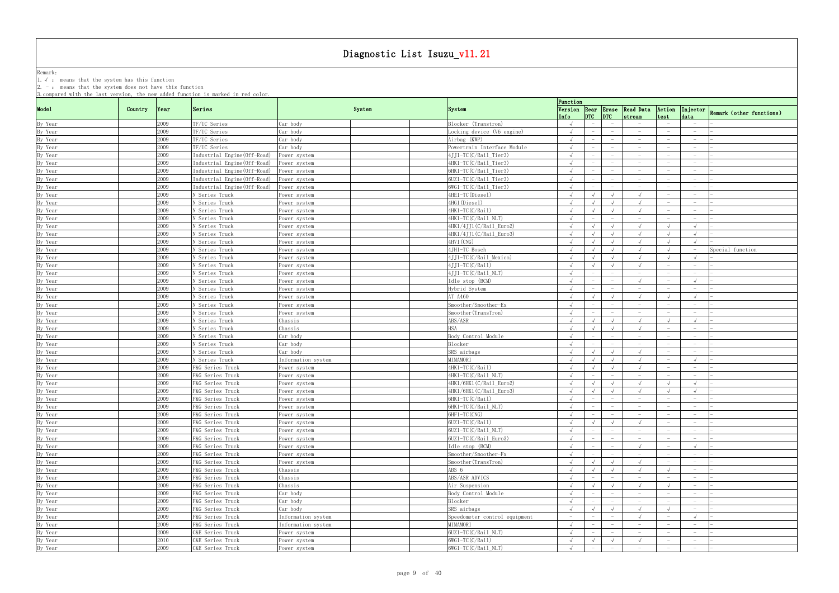Remark: The contract of the contract of  $\mathbb{R}$  and  $\mathbb{R}$  are contract of  $\mathbb{R}$  and  $\mathbb{R}$  are contract of  $\mathbb{R}$  and  $\mathbb{R}$  are contract of  $\mathbb{R}$  and  $\mathbb{R}$  are contract of  $\mathbb{R}$  and  $\mathbb{R}$  are cont

1.√ : means that the system has this function

|                    |         |      | 3. compared with the last version, the new added function is marked in red color. |                    |        |                               | Function                 |                                 |                                 |                                               |                                 |                                 |                                   |
|--------------------|---------|------|-----------------------------------------------------------------------------------|--------------------|--------|-------------------------------|--------------------------|---------------------------------|---------------------------------|-----------------------------------------------|---------------------------------|---------------------------------|-----------------------------------|
| Mode1              | Country | Year | Series                                                                            |                    | System | <b>System</b>                 | Info                     | $ DTC $ $ DTC $                 |                                 | Version Rear Erase Read Data Action<br>stream | test                            | data                            | Injector Remark (other functions) |
| By Year            |         | 2009 | TF/UC Series                                                                      | Car body           |        | Blocker (Transtron)           | $\sqrt{ }$               | $-$                             |                                 | $\hspace{0.1mm}-\hspace{0.1mm}$               |                                 |                                 |                                   |
| By Year            |         | 2009 | TF/UC Series                                                                      | Car body           |        | Locking device (V6 engine)    | $\sqrt{ }$               |                                 |                                 | $\overline{\phantom{m}}$                      |                                 |                                 |                                   |
| By Year            |         | 2009 | TF/UC Series                                                                      | Car body           |        | Airbag (KWP)                  |                          |                                 |                                 |                                               |                                 |                                 |                                   |
| By Year            |         | 2009 | TF/UC Series                                                                      | Car body           |        | Powertrain Interface Module   | $\sqrt{ }$               | $\overline{\phantom{a}}$        | $\hspace{0.1mm}-\hspace{0.1mm}$ | $\hspace{0.1mm}-\hspace{0.1mm}$               |                                 | $-$                             |                                   |
| By Year            |         | 2009 | Industrial Engine (Off-Road) Power system                                         |                    |        | 4JJ1-TC(C/Rail_Tier3)         |                          |                                 | $\hspace{0.1mm}-\hspace{0.1mm}$ | $-$                                           |                                 | $\overline{\phantom{0}}$        |                                   |
| By Year            |         | 2009 | Industrial Engine (Off-Road) Power system                                         |                    |        | 4HK1-TC(C/Rail_Tier3)         |                          |                                 |                                 |                                               |                                 |                                 |                                   |
| By Year            |         | 2009 | Industrial Engine (Off-Road)                                                      | Power system       |        | 6HK1-TC(C/Rail_Tier3)         |                          |                                 |                                 |                                               |                                 | $\hspace{0.1mm}-\hspace{0.1mm}$ |                                   |
| By Year            |         | 2009 | Industrial Engine(Off-Road)                                                       | Power system       |        | 6UZ1-TC(C/Rail_Tier3)         | $\sqrt{ }$               |                                 |                                 | $\hspace{0.1mm}-\hspace{0.1mm}$               |                                 | $\overline{\phantom{0}}$        |                                   |
| By Year            |         | 2009 | Industrial Engine(Off-Road)                                                       | Power system       |        | 6WG1-TC(C/Rail_Tier3)         | $\sqrt{ }$               |                                 |                                 | $\hspace{0.1mm}-\hspace{0.1mm}$               |                                 |                                 |                                   |
| By Year            |         | 2009 | N Series Truck                                                                    | Power system       |        | 4HE1-TC(Diesel)               |                          |                                 |                                 |                                               |                                 | $\overline{\phantom{0}}$        |                                   |
| By Year            |         | 2009 | N Series Truck                                                                    | Power system       |        | 4HG1(Diesel)                  | $\sqrt{ }$               | $\sqrt{ }$                      | $\sqrt{ }$                      |                                               |                                 | $-$                             |                                   |
| By Year            |         | 2009 | N Series Truck                                                                    | Power system       |        | 4HK1-TC(C/Rail)               | $\sqrt{ }$               | $\sqrt{ }$                      | $\sqrt{ }$                      |                                               | $\overline{\phantom{0}}$        | $-$                             |                                   |
| By Year            |         | 2009 | N Series Truck                                                                    | Power system       |        | 4HK1-TC(C/Rail_NLT)           |                          |                                 |                                 | $\overline{\phantom{m}}$                      |                                 | $\hspace{0.1mm}-\hspace{0.1mm}$ |                                   |
| By Year            |         | 2009 | N Series Truck                                                                    | ower system        |        | 4HK1/4JJ1(C/Rail_Euro2)       | $\sqrt{ }$               |                                 | $\sqrt{ }$                      |                                               |                                 | $\sqrt{ }$                      |                                   |
| By Year            |         | 2009 | N Series Truck                                                                    | ower system        |        | 4HK1/4JJ1(C/Rail_Euro3)       | $\sqrt{ }$               | $\sqrt{ }$                      | $\sqrt{ }$                      | $\sqrt{ }$                                    | $\sqrt{ }$                      | $\sqrt{ }$                      |                                   |
| By Year            |         | 2009 | N Series Truck                                                                    | Power system       |        | 4HV1 (CNG)                    | $\sqrt{ }$               |                                 | $\sqrt{ }$                      |                                               |                                 |                                 |                                   |
| By Year            |         | 2009 | N Series Truck                                                                    | Power system       |        | 4JH1-TC Bosch                 | $\sqrt{ }$               | $\sqrt{ }$                      | $\sqrt{ }$                      |                                               | $\sqrt{ }$                      |                                 | Special function                  |
| By Year            |         | 2009 | N Series Truck                                                                    | Power system       |        | 4JJ1-TC(C/Rail_Mexico)        | $\sqrt{ }$               | $\sqrt{ }$                      | $\sqrt{ }$                      |                                               |                                 | $\sqrt{ }$                      |                                   |
| By Year            |         | 2009 | N Series Truck                                                                    | Power system       |        | 4JJ1-TC(C/Rail)               |                          |                                 | $\sqrt{ }$                      |                                               | $\overline{\phantom{0}}$        | $\hspace{0.1mm}-\hspace{0.1mm}$ |                                   |
| By Year            |         | 2009 | N Series Truck                                                                    | Power system       |        | 4JJ1-TC(C/Rail_NLT)           |                          |                                 |                                 | $\overline{\phantom{m}}$                      |                                 | $\overline{\phantom{0}}$        |                                   |
| By Year            |         | 2009 | N Series Truck                                                                    | Power system       |        | Idle stop (BCM)               |                          |                                 |                                 |                                               |                                 | $\sqrt{ }$                      |                                   |
|                    |         | 2009 | N Series Truck                                                                    | Power system       |        | Hybrid System                 | $\sqrt{ }$               |                                 |                                 | $\overline{\phantom{a}}$                      |                                 | $\hspace{0.1mm}-\hspace{0.1mm}$ |                                   |
| By Year<br>By Year |         | 2009 | N Series Truck                                                                    | Power system       |        | AT A460                       | $\sqrt{ }$               |                                 |                                 |                                               |                                 |                                 |                                   |
| By Year            |         | 2009 | N Series Truck                                                                    | Power system       |        | Smoother/Smoother-Ex          |                          |                                 |                                 | $\overline{\phantom{m}}$                      |                                 |                                 |                                   |
| By Year            |         | 2009 | N Series Truck                                                                    |                    |        | Smoother (TransTron)          | $\sqrt{ }$               | $\overline{\phantom{a}}$        |                                 | $\overline{\phantom{a}}$                      |                                 | $\sim$                          |                                   |
|                    |         | 2009 |                                                                                   | Power system       |        | ABS/ASR                       |                          |                                 |                                 |                                               |                                 | $\sqrt{ }$                      |                                   |
| By Year<br>By Year |         | 2009 | N Series Truck<br>N Series Truck                                                  | Chassis<br>Chassis |        | <b>HSA</b>                    |                          |                                 |                                 |                                               |                                 | $\overline{\phantom{0}}$        |                                   |
|                    |         | 2009 |                                                                                   | Car body           |        | Body Control Module           | $\sqrt{ }$               |                                 |                                 |                                               |                                 | $\overline{\phantom{0}}$        |                                   |
| By Year            |         | 2009 | N Series Truck                                                                    |                    |        |                               |                          |                                 |                                 |                                               |                                 |                                 |                                   |
| By Year            |         |      | N Series Truck                                                                    | Car body           |        | Blocker                       | $\sqrt{ }$               |                                 |                                 |                                               |                                 |                                 |                                   |
| By Year            |         | 2009 | N Series Truck                                                                    | Car body           |        | SRS airbags<br>MIMAMORI       | $\sqrt{ }$               | $\sqrt{ }$                      |                                 |                                               |                                 | $\overline{\phantom{a}}$        |                                   |
| By Year            |         | 2009 | N Series Truck                                                                    | Information system |        |                               |                          |                                 |                                 |                                               |                                 |                                 |                                   |
| By Year            |         | 2009 | F&G Series Truck                                                                  | Power system       |        | 4HK1-TC(C/Rail)               | $\sqrt{ }$               |                                 | $\sqrt{ }$                      |                                               |                                 | $\hspace{0.1mm}-\hspace{0.1mm}$ |                                   |
| By Year            |         | 2009 | F&G Series Truck                                                                  | Power system       |        | 4HK1-TC(C/Rail_NLT)           |                          | $\overline{\phantom{m}}$        | $\overline{\phantom{m}}$        | $\hspace{0.1mm}-\hspace{0.1mm}$               |                                 | $\overline{\phantom{0}}$        |                                   |
| By Year            |         | 2009 | F&G Series Truck                                                                  | Power system       |        | 4HK1/6HK1(C/Rail_Euro2)       |                          |                                 |                                 |                                               |                                 |                                 |                                   |
| By Year            |         | 2009 | F&G Series Truck                                                                  | Power system       |        | 4HK1/6HK1(C/Rail_Euro3)       |                          |                                 |                                 |                                               |                                 |                                 |                                   |
| By Year            |         | 2009 | F&G Series Truck                                                                  | Power system       |        | 6HK1-TC(C/Rail)               |                          |                                 |                                 | $\hspace{0.1mm}-\hspace{0.1mm}$               |                                 |                                 |                                   |
| By Year            |         | 2009 | F&G Series Truck                                                                  | Power system       |        | 6HK1-TC(C/Rail_NLT)           | $\sqrt{ }$               |                                 |                                 |                                               |                                 |                                 |                                   |
| By Year            |         | 2009 | F&G Series Truck                                                                  | Power system       |        | 6HF1-TC (CNG)                 | $\sqrt{ }$               |                                 |                                 |                                               |                                 |                                 |                                   |
| By Year            |         | 2009 | F&G Series Truck                                                                  | Power system       |        | 6UZ1-TC(C/Rail)               | $\sqrt{ }$               | $\sqrt{ }$                      | $\sqrt{ }$                      | $\sqrt{ }$                                    |                                 | $-$                             |                                   |
| By Year            |         | 2009 | F&G Series Truck                                                                  | Power system       |        | 6UZ1-TC(C/Rail_NLT)           |                          | $\overline{\phantom{m}}$        | $\hspace{0.1mm}-\hspace{0.1mm}$ | $-$                                           |                                 | $-$                             |                                   |
| By Year            |         | 2009 | F&G Series Truck                                                                  | Power system       |        | 6UZ1-TC(C/Rail_Euro3)         | $\sqrt{ }$               | $-$                             | $\hspace{0.1mm}-\hspace{0.1mm}$ | $-$                                           |                                 | $-$                             |                                   |
| By Year            |         | 2009 | F&G Series Truck                                                                  | Power system       |        | Idle stop (BCM)               |                          |                                 |                                 |                                               |                                 | $\sqrt{ }$                      |                                   |
| By Year            |         | 2009 | F&G Series Truck                                                                  | Power system       |        | Smoother/Smoother-Fx          | $\sqrt{ }$               |                                 | $\hspace{0.1mm}-\hspace{0.1mm}$ | $-$                                           |                                 | $-$                             |                                   |
| By Year            |         | 2009 | F&G Series Truck                                                                  | Power system       |        | Smoother (TransTron)          | $\sqrt{ }$               | $\sqrt{ }$                      | $\sqrt{ }$                      | $\sqrt{ }$                                    |                                 | $-$                             |                                   |
| By Year            |         | 2009 | F&G Series Truck                                                                  | Chassis            |        | ABS 6                         | $\sqrt{ }$               | $\sqrt{ }$                      | $\sqrt{ }$                      | $\sqrt{ }$                                    |                                 |                                 |                                   |
| By Year            |         | 2009 | F&G Series Truck                                                                  | Chassis            |        | ABS/ASR ADVICS                | $\sqrt{ }$               | $\overline{\phantom{0}}$        | $\hspace{0.1mm}-\hspace{0.1mm}$ | $-$                                           |                                 | $-$                             |                                   |
| By Year            |         | 2009 | F&G Series Truck                                                                  | Chassis            |        | Air Suspension                | $\sqrt{ }$               | $\sqrt{ }$                      | $\sqrt{ }$                      | $\sqrt{ }$                                    |                                 | $-$                             |                                   |
| By Year            |         | 2009 | F&G Series Truck                                                                  | Car body           |        | Body Control Module           | $\sqrt{ }$               | $-$                             | $\overline{\phantom{0}}$        | $\hspace{0.1mm}-\hspace{0.1mm}$               | $\overline{\phantom{0}}$        | $-$                             |                                   |
| By Year            |         | 2009 | F&G Series Truck                                                                  | Car body           |        | Blocker                       |                          |                                 |                                 | $\hspace{0.1mm}-\hspace{0.1mm}$               |                                 | $\overline{\phantom{0}}$        |                                   |
| By Year            |         | 2009 | F&G Series Truck                                                                  | Car body           |        | SRS airbags                   | $\sqrt{ }$               |                                 |                                 |                                               |                                 | $-$                             |                                   |
| By Year            |         | 2009 | F&G Series Truck                                                                  | Information system |        | Speedometer control equipment | $\overline{\phantom{0}}$ |                                 |                                 |                                               |                                 |                                 |                                   |
| By Year            |         | 2009 | F&G Series Truck                                                                  | Information system |        | MIMAMORI                      | $\sqrt{ }$               | $\overline{\phantom{a}}$        |                                 | $\hspace{0.1mm}-\hspace{0.1mm}$               |                                 | $\overline{\phantom{0}}$        |                                   |
| By Year            |         | 2009 | C&E Series Truck                                                                  | Power system       |        | 6UZ1-TC(C/Rail_NLT)           | $\sqrt{ }$               | $\hspace{0.1mm}-\hspace{0.1mm}$ |                                 | $\hspace{0.1mm}-\hspace{0.1mm}$               |                                 | $\overline{\phantom{0}}$        |                                   |
| By Year            |         | 2010 | C&E Series Truck                                                                  | Power system       |        | 6WG1-TC(C/Rail)               | $\sqrt{ }$               | $\sqrt{ }$                      | $\sqrt{ }$                      | $\sqrt{ }$                                    | $\hspace{0.1mm}-\hspace{0.1mm}$ | $-$                             |                                   |
| By Year            |         | 2009 | C&E Series Truck                                                                  | Power system       |        | 6WG1-TC(C/Rail_NLT)           | $\sqrt{ }$               | $-$                             | $-$                             | $-$                                           | $\overline{\phantom{0}}$        | $-$                             |                                   |
|                    |         |      |                                                                                   |                    |        |                               |                          |                                 |                                 |                                               |                                 |                                 |                                   |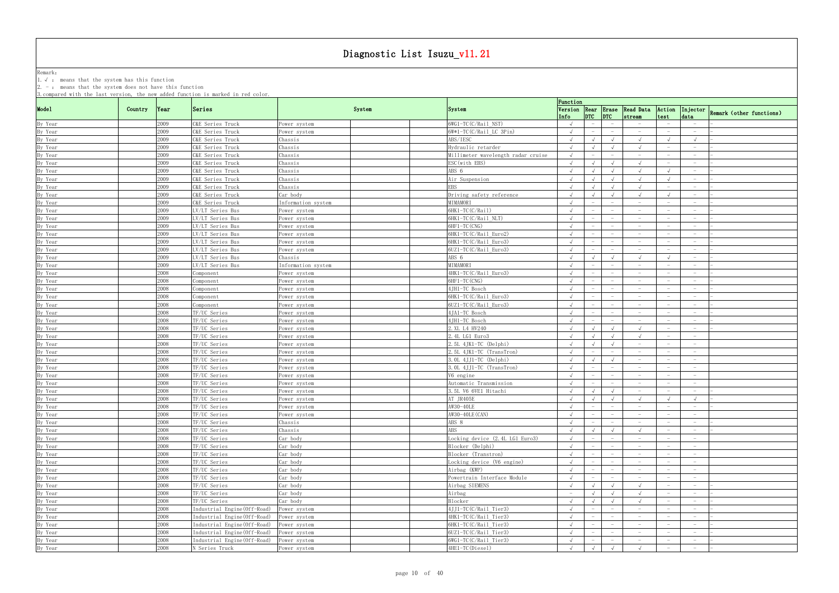Remark: The contract of the contract of  $\mathbb{R}$  and  $\mathbb{R}$  are contract of  $\mathbb{R}$  and  $\mathbb{R}$  are contract of  $\mathbb{R}$  and  $\mathbb{R}$  are contract of  $\mathbb{R}$  and  $\mathbb{R}$  are contract of  $\mathbb{R}$  and  $\mathbb{R}$  are cont

1.√ : means that the system has this function

| Mode1<br>Country<br>By Year<br>By Year<br>By Year<br>By Year<br>By Year<br>By Year<br>By Year<br>By Year<br>By Year<br>By Year<br>By Year<br>By Year<br>By Year<br>By Year<br>By Year<br>By Year<br>By Year | Year<br>2009-<br>2009-<br>2009<br>2009<br>2009<br>2009<br>2009<br>2009<br>2009<br>2009<br>2009<br>2009<br>2009<br>2009 | Series<br>C&E Series Truck<br>C&E Series Truck<br>C&E Series Truck<br>C&E Series Truck<br>C&E Series Truck<br>C&E Series Truck<br>C&E Series Truck<br>C&E Series Truck<br>C&E Series Truck<br>C&E Series Truck<br>C&E Series Truck | Power system<br>Power system<br>Chassis<br>Chassis<br>Chassis<br>Chassis<br>Chassis<br>Chassis<br>Chassis<br>Car body | System | System<br>$6WG1-TC(C/Rail NST)$<br>$6W*1-TC(C/Rail LC3Pin)$<br>ABS/IESC<br>Hydraulic retarder<br>Millimeter wavelength radar cruise<br>$\text{ESC}(\text{with } \text{EBS})$<br>ABS 6 | Function<br>Info<br>$\sqrt{ }$<br>$\sqrt{ }$<br>$\sqrt{ }$<br>$\sqrt{ }$<br>$\sqrt{ }$ | $ $ <sub>DTC</sub> $ $ <sub>DTC</sub><br>$-$<br>$\overline{\phantom{m}}$<br>$\sqrt{ }$<br>$\sqrt{ }$<br>$\overline{\phantom{a}}$ | $\overline{\phantom{0}}$<br>$\overline{\phantom{0}}$<br>$\sqrt{ }$<br>$\sqrt{ }$ | Version Rear Erase Read Data<br>stream<br>$-$<br>$\hspace{0.1mm}-\hspace{0.1mm}$ | test                            | Action Injector<br>data<br>$-$<br>$-$<br>$\sqrt{ }$ | Remark (other functions) |
|-------------------------------------------------------------------------------------------------------------------------------------------------------------------------------------------------------------|------------------------------------------------------------------------------------------------------------------------|------------------------------------------------------------------------------------------------------------------------------------------------------------------------------------------------------------------------------------|-----------------------------------------------------------------------------------------------------------------------|--------|---------------------------------------------------------------------------------------------------------------------------------------------------------------------------------------|----------------------------------------------------------------------------------------|----------------------------------------------------------------------------------------------------------------------------------|----------------------------------------------------------------------------------|----------------------------------------------------------------------------------|---------------------------------|-----------------------------------------------------|--------------------------|
|                                                                                                                                                                                                             |                                                                                                                        |                                                                                                                                                                                                                                    |                                                                                                                       |        |                                                                                                                                                                                       |                                                                                        |                                                                                                                                  |                                                                                  |                                                                                  |                                 |                                                     |                          |
|                                                                                                                                                                                                             |                                                                                                                        |                                                                                                                                                                                                                                    |                                                                                                                       |        |                                                                                                                                                                                       |                                                                                        |                                                                                                                                  |                                                                                  |                                                                                  |                                 |                                                     |                          |
|                                                                                                                                                                                                             |                                                                                                                        |                                                                                                                                                                                                                                    |                                                                                                                       |        |                                                                                                                                                                                       |                                                                                        |                                                                                                                                  |                                                                                  |                                                                                  |                                 |                                                     |                          |
|                                                                                                                                                                                                             |                                                                                                                        |                                                                                                                                                                                                                                    |                                                                                                                       |        |                                                                                                                                                                                       |                                                                                        |                                                                                                                                  |                                                                                  |                                                                                  |                                 |                                                     |                          |
|                                                                                                                                                                                                             |                                                                                                                        |                                                                                                                                                                                                                                    |                                                                                                                       |        |                                                                                                                                                                                       |                                                                                        |                                                                                                                                  |                                                                                  |                                                                                  |                                 | $\overline{\phantom{0}}$                            |                          |
|                                                                                                                                                                                                             |                                                                                                                        |                                                                                                                                                                                                                                    |                                                                                                                       |        |                                                                                                                                                                                       |                                                                                        |                                                                                                                                  |                                                                                  | $\hspace{0.1mm}-\hspace{0.1mm}$                                                  |                                 |                                                     |                          |
|                                                                                                                                                                                                             |                                                                                                                        |                                                                                                                                                                                                                                    |                                                                                                                       |        |                                                                                                                                                                                       |                                                                                        | $\sqrt{ }$                                                                                                                       | $\sqrt{ }$                                                                       |                                                                                  |                                 |                                                     |                          |
|                                                                                                                                                                                                             |                                                                                                                        |                                                                                                                                                                                                                                    |                                                                                                                       |        |                                                                                                                                                                                       | $\sqrt{ }$                                                                             | $\sqrt{ }$                                                                                                                       | $\sqrt{ }$                                                                       | $\sqrt{ }$                                                                       | $\sqrt{ }$                      | $\overline{\phantom{0}}$                            |                          |
|                                                                                                                                                                                                             |                                                                                                                        |                                                                                                                                                                                                                                    |                                                                                                                       |        | Air Suspension                                                                                                                                                                        | $\sqrt{ }$                                                                             | $\sqrt{ }$                                                                                                                       | $\sqrt{ }$                                                                       |                                                                                  | $\sqrt{ }$                      | $-$                                                 |                          |
|                                                                                                                                                                                                             |                                                                                                                        |                                                                                                                                                                                                                                    |                                                                                                                       |        | <b>EBS</b>                                                                                                                                                                            | $\sqrt{ }$                                                                             | $\sqrt{ }$                                                                                                                       | $\sqrt{ }$                                                                       |                                                                                  | $\overline{\phantom{0}}$        | $\overline{\phantom{0}}$                            |                          |
|                                                                                                                                                                                                             |                                                                                                                        |                                                                                                                                                                                                                                    |                                                                                                                       |        | Driving safety reference                                                                                                                                                              |                                                                                        | $\sqrt{ }$                                                                                                                       | $\sqrt{ }$                                                                       |                                                                                  |                                 |                                                     |                          |
|                                                                                                                                                                                                             |                                                                                                                        |                                                                                                                                                                                                                                    | Information system                                                                                                    |        | MIMAMORI                                                                                                                                                                              | $\sqrt{ }$                                                                             |                                                                                                                                  |                                                                                  |                                                                                  |                                 |                                                     |                          |
|                                                                                                                                                                                                             |                                                                                                                        | LV/LT Series Bus                                                                                                                                                                                                                   | Power system                                                                                                          |        | 6HK1-TC(C/Rail)                                                                                                                                                                       |                                                                                        | $\qquad \qquad -$                                                                                                                |                                                                                  | $\hspace{0.1mm}-\hspace{0.1mm}$                                                  |                                 | $\overline{\phantom{0}}$                            |                          |
|                                                                                                                                                                                                             |                                                                                                                        | LV/LT Series Bus                                                                                                                                                                                                                   | Power system                                                                                                          |        | 6HK1-TC(C/Rail NLT)                                                                                                                                                                   |                                                                                        |                                                                                                                                  |                                                                                  | $\hspace{0.1mm}-\hspace{0.1mm}$                                                  |                                 |                                                     |                          |
|                                                                                                                                                                                                             |                                                                                                                        | LV/LT Series Bus                                                                                                                                                                                                                   | Power system                                                                                                          |        | 6HF1-TC (CNG)                                                                                                                                                                         |                                                                                        |                                                                                                                                  |                                                                                  |                                                                                  |                                 |                                                     |                          |
|                                                                                                                                                                                                             | 2009                                                                                                                   | LV/LT Series Bus                                                                                                                                                                                                                   | Power system                                                                                                          |        | $6HK1-TC(C/Rai1 Euro2)$                                                                                                                                                               |                                                                                        | $\hspace{0.1mm}-\hspace{0.1mm}$                                                                                                  | $\hspace{0.1mm}-\hspace{0.1mm}$                                                  | $-$                                                                              |                                 | $-$                                                 |                          |
|                                                                                                                                                                                                             | 2009                                                                                                                   | LV/LT Series Bus                                                                                                                                                                                                                   | Power system                                                                                                          |        | 6HK1-TC(C/Rail_Euro3)                                                                                                                                                                 |                                                                                        | $\overline{\phantom{a}}$                                                                                                         |                                                                                  | $\hspace{0.1mm}-\hspace{0.1mm}$                                                  |                                 | $\overline{\phantom{0}}$                            |                          |
|                                                                                                                                                                                                             | 2009                                                                                                                   | LV/LT Series Bus                                                                                                                                                                                                                   | Power system                                                                                                          |        | $6UZ1-TC(C/Rai1_Euro3)$                                                                                                                                                               |                                                                                        |                                                                                                                                  |                                                                                  | $\overline{\phantom{m}}$                                                         |                                 | $-$                                                 |                          |
| By Year                                                                                                                                                                                                     | 2009                                                                                                                   | LV/LT Series Bus                                                                                                                                                                                                                   | Chassis                                                                                                               |        | ABS 6                                                                                                                                                                                 | $\sqrt{ }$                                                                             |                                                                                                                                  |                                                                                  |                                                                                  |                                 | $-$                                                 |                          |
| By Year                                                                                                                                                                                                     | 2009                                                                                                                   | LV/LT Series Bus                                                                                                                                                                                                                   | Information system                                                                                                    |        | MIMAMORI                                                                                                                                                                              | $\sqrt{ }$                                                                             | $\qquad \qquad -$                                                                                                                |                                                                                  | $\hspace{0.1mm}-\hspace{0.1mm}$                                                  |                                 | $\overline{\phantom{0}}$                            |                          |
| By Year                                                                                                                                                                                                     | 2008-                                                                                                                  | omponent`                                                                                                                                                                                                                          | Power system                                                                                                          |        | 4HK1-TC(C/Rail_Euro3)                                                                                                                                                                 | $\sqrt{ }$                                                                             |                                                                                                                                  |                                                                                  | $\overline{\phantom{0}}$                                                         |                                 |                                                     |                          |
| By Year                                                                                                                                                                                                     | 2008                                                                                                                   | omponent                                                                                                                                                                                                                           | Power system                                                                                                          |        | 6HF1-TC (CNG)                                                                                                                                                                         |                                                                                        |                                                                                                                                  |                                                                                  |                                                                                  |                                 |                                                     |                          |
| By Year                                                                                                                                                                                                     | 2008                                                                                                                   | Component                                                                                                                                                                                                                          | Power system                                                                                                          |        | 4JH1-TC Bosch                                                                                                                                                                         | $\sqrt{ }$                                                                             | $\overline{\phantom{a}}$                                                                                                         | $\hspace{0.1mm}-\hspace{0.1mm}$                                                  | $-$                                                                              |                                 | $\overline{\phantom{0}}$                            |                          |
| By Year                                                                                                                                                                                                     | 2008                                                                                                                   | Component                                                                                                                                                                                                                          | Power system                                                                                                          |        | $6HK1-TC(C/Rai1 Euro3)$                                                                                                                                                               | $\sqrt{ }$                                                                             | $\overline{\phantom{a}}$                                                                                                         | $\overline{\phantom{0}}$                                                         | $ \,$                                                                            | $\overline{\phantom{0}}$        | $-$                                                 |                          |
| By Year                                                                                                                                                                                                     | 2008-                                                                                                                  | Component                                                                                                                                                                                                                          | Power system                                                                                                          |        | $6UZ1-TC(C/Rai1_Euro3)$                                                                                                                                                               | $\sqrt{ }$                                                                             |                                                                                                                                  |                                                                                  | $\overline{\phantom{0}}$                                                         |                                 | $-$                                                 |                          |
| By Year                                                                                                                                                                                                     | 2008                                                                                                                   | TF/UC Series                                                                                                                                                                                                                       | ower system?                                                                                                          |        | 4JA1-TC Bosch                                                                                                                                                                         | $\sqrt{ }$                                                                             |                                                                                                                                  |                                                                                  | $\hspace{0.1mm}-\hspace{0.1mm}$                                                  |                                 | $\overline{\phantom{0}}$                            |                          |
| By Year                                                                                                                                                                                                     | 2008                                                                                                                   | TF/UC Series                                                                                                                                                                                                                       | ower system?                                                                                                          |        | 4JH1-TC Bosch                                                                                                                                                                         |                                                                                        |                                                                                                                                  |                                                                                  | $\hspace{0.1mm}-\hspace{0.1mm}$                                                  |                                 | $\hspace{0.1mm}-\hspace{0.1mm}$                     |                          |
| By Year                                                                                                                                                                                                     | 2008-                                                                                                                  | TF/UC Series                                                                                                                                                                                                                       | Power system                                                                                                          |        | 2. XL L4 HV240                                                                                                                                                                        | $\sqrt{ }$                                                                             | $\sqrt{ }$                                                                                                                       | $\sqrt{ }$                                                                       |                                                                                  |                                 |                                                     |                          |
| By Year                                                                                                                                                                                                     | 2008                                                                                                                   | TF/UC Series                                                                                                                                                                                                                       | Power system                                                                                                          |        | 2.4L LG1 Euro3                                                                                                                                                                        |                                                                                        | $\sqrt{ }$                                                                                                                       | $\sqrt{ }$                                                                       |                                                                                  |                                 |                                                     |                          |
| By Year                                                                                                                                                                                                     | 2008                                                                                                                   | TF/UC Series                                                                                                                                                                                                                       | Power system                                                                                                          |        | $2.5L$ 4.JK1-TC (Delphi)                                                                                                                                                              | $\sqrt{ }$                                                                             | $\sqrt{ }$                                                                                                                       | $\sqrt{ }$                                                                       | $-$                                                                              |                                 | $\hspace{0.1mm}-\hspace{0.1mm}$                     |                          |
| By Year                                                                                                                                                                                                     | 2008-                                                                                                                  | TF/UC Series                                                                                                                                                                                                                       | Power system                                                                                                          |        | 2.5L 4JK1-TC (TransTron)                                                                                                                                                              |                                                                                        | $\overline{\phantom{a}}$                                                                                                         | $\hspace{0.1mm}-\hspace{0.1mm}$                                                  | $-$                                                                              | $\hspace{0.1mm}-\hspace{0.1mm}$ | $\overline{\phantom{0}}$                            |                          |
| By Year                                                                                                                                                                                                     | 2008                                                                                                                   | TF/UC Series                                                                                                                                                                                                                       | Power system                                                                                                          |        | 3.0L 4JJ1-TC (Delphi)                                                                                                                                                                 |                                                                                        |                                                                                                                                  |                                                                                  | $-$                                                                              |                                 | $-$                                                 |                          |
| By Year                                                                                                                                                                                                     | 2008                                                                                                                   | TF/UC Series                                                                                                                                                                                                                       | ower system?                                                                                                          |        | 3.0L 4JJ1-TC (TransTron)                                                                                                                                                              | $\sqrt{ }$                                                                             |                                                                                                                                  |                                                                                  | $-$                                                                              |                                 | $\overline{\phantom{0}}$                            |                          |
| By Year                                                                                                                                                                                                     | 2008                                                                                                                   | TF/UC Series                                                                                                                                                                                                                       | Power system                                                                                                          |        | V6 engine                                                                                                                                                                             | $\sqrt{ }$                                                                             | $\overline{\phantom{a}}$                                                                                                         |                                                                                  | $\hspace{0.1mm}-\hspace{0.1mm}$                                                  |                                 | $-$                                                 |                          |
|                                                                                                                                                                                                             | 2008 -                                                                                                                 | TF/UC Series                                                                                                                                                                                                                       | Power system                                                                                                          |        | Automatic Transmission                                                                                                                                                                | $\sqrt{ }$                                                                             | $\overline{\phantom{0}}$                                                                                                         | $\overline{\phantom{a}}$                                                         | $-$                                                                              |                                 | $-$                                                 |                          |
| By Year<br>By Year                                                                                                                                                                                          | 2008                                                                                                                   | TF/UC Series                                                                                                                                                                                                                       | Power system                                                                                                          |        | 3.5L V6 6VE1 Hitachi                                                                                                                                                                  | $\sqrt{ }$                                                                             | $\sqrt{ }$                                                                                                                       | $\sqrt{ }$                                                                       | $\hspace{0.1mm}-\hspace{0.1mm}$                                                  |                                 |                                                     |                          |
| By Year                                                                                                                                                                                                     | 2008-                                                                                                                  | TF/UC Series                                                                                                                                                                                                                       | Power system                                                                                                          |        | AT JR405E                                                                                                                                                                             | $\sqrt{ }$                                                                             | $\sqrt{ }$                                                                                                                       | $\sqrt{ }$                                                                       | $\sqrt{ }$                                                                       | $\sqrt{ }$                      | $\sqrt{ }$                                          |                          |
|                                                                                                                                                                                                             | 2008                                                                                                                   | TF/UC Series                                                                                                                                                                                                                       | Power system                                                                                                          |        | AW30-40LE                                                                                                                                                                             |                                                                                        |                                                                                                                                  | $-$                                                                              |                                                                                  |                                 |                                                     |                          |
| By Year                                                                                                                                                                                                     | 2008                                                                                                                   | TF/UC Series                                                                                                                                                                                                                       |                                                                                                                       |        | AW30-40LE (CAN)                                                                                                                                                                       | $\sqrt{ }$                                                                             | $\hspace{0.1mm}-\hspace{0.1mm}$                                                                                                  |                                                                                  | $\hspace{0.1mm}-\hspace{0.1mm}$                                                  |                                 |                                                     |                          |
| By Year<br>By Year                                                                                                                                                                                          | 2008                                                                                                                   | TF/UC Series                                                                                                                                                                                                                       | Power system<br>Chassis                                                                                               |        | ABS 8                                                                                                                                                                                 | $\sqrt{ }$                                                                             |                                                                                                                                  |                                                                                  |                                                                                  |                                 | $\overline{\phantom{0}}$                            |                          |
|                                                                                                                                                                                                             | 2008                                                                                                                   | TF/UC Series                                                                                                                                                                                                                       | Chassis                                                                                                               |        | <b>ABS</b>                                                                                                                                                                            | $\sqrt{ }$                                                                             | $\sqrt{ }$                                                                                                                       | $\sqrt{ }$                                                                       |                                                                                  |                                 | $\overline{\phantom{0}}$                            |                          |
| By Year                                                                                                                                                                                                     | 2008                                                                                                                   | TF/UC Series                                                                                                                                                                                                                       | Car body                                                                                                              |        | Locking device (2.4L LG1 Euro3)                                                                                                                                                       | $\sqrt{ }$                                                                             | $\hspace{0.1mm}-\hspace{0.1mm}$                                                                                                  |                                                                                  | $\hspace{0.1mm}-\hspace{0.1mm}$                                                  |                                 | $\overline{\phantom{0}}$                            |                          |
| By Year<br>By Year                                                                                                                                                                                          | 2008                                                                                                                   | TF/UC Series                                                                                                                                                                                                                       | Car body                                                                                                              |        | Blocker (Delphi)                                                                                                                                                                      |                                                                                        |                                                                                                                                  |                                                                                  | $-$                                                                              |                                 |                                                     |                          |
|                                                                                                                                                                                                             | 2008                                                                                                                   | TF/UC Series                                                                                                                                                                                                                       | Car body                                                                                                              |        | Blocker (Transtron)                                                                                                                                                                   | $\sqrt{ }$                                                                             | $-$                                                                                                                              | $\hspace{0.1mm}-\hspace{0.1mm}$                                                  | $-$                                                                              |                                 | $-$                                                 |                          |
| By Year                                                                                                                                                                                                     | 2008                                                                                                                   |                                                                                                                                                                                                                                    |                                                                                                                       |        |                                                                                                                                                                                       | $\sqrt{ }$                                                                             | $-$                                                                                                                              | $\hspace{0.1mm}-\hspace{0.1mm}$                                                  | $-$                                                                              |                                 | $\overline{\phantom{0}}$                            |                          |
| By Year                                                                                                                                                                                                     | 2008                                                                                                                   | TF/UC Series                                                                                                                                                                                                                       | Car body                                                                                                              |        | Locking device (V6 engine)                                                                                                                                                            | $\sqrt{ }$                                                                             |                                                                                                                                  | $\overline{\phantom{0}}$                                                         | $-$                                                                              |                                 | $-$                                                 |                          |
| By Year                                                                                                                                                                                                     |                                                                                                                        | TF/UC Series                                                                                                                                                                                                                       | Car body                                                                                                              |        | Airbag (KWP)                                                                                                                                                                          |                                                                                        | $-$                                                                                                                              |                                                                                  |                                                                                  |                                 |                                                     |                          |
| By Year                                                                                                                                                                                                     | 2008                                                                                                                   | TF/UC Series                                                                                                                                                                                                                       | Car body                                                                                                              |        | Powertrain Interface Module                                                                                                                                                           | $\sqrt{ }$                                                                             |                                                                                                                                  |                                                                                  | $\hspace{0.1mm}-\hspace{0.1mm}$                                                  |                                 | $-$                                                 |                          |
| By Year                                                                                                                                                                                                     | 2008                                                                                                                   | TF/UC Series                                                                                                                                                                                                                       | Car body                                                                                                              |        | Airbag SIEMENS                                                                                                                                                                        | $\sqrt{ }$                                                                             | $\sqrt{ }$                                                                                                                       | $\sqrt{ }$                                                                       |                                                                                  |                                 | $\overline{\phantom{0}}$                            |                          |
| By Year                                                                                                                                                                                                     | 2008                                                                                                                   | TF/UC Series                                                                                                                                                                                                                       | Car body                                                                                                              |        | Airbag                                                                                                                                                                                | $\overline{\phantom{0}}$                                                               | $\sqrt{ }$                                                                                                                       | $\sqrt{ }$                                                                       |                                                                                  |                                 | $-$                                                 |                          |
| By Year                                                                                                                                                                                                     | 2008                                                                                                                   | TF/UC Series                                                                                                                                                                                                                       | Car body                                                                                                              |        | Blocker                                                                                                                                                                               | $\sqrt{ }$                                                                             | $\sqrt{ }$                                                                                                                       | $\sqrt{ }$                                                                       |                                                                                  |                                 |                                                     |                          |
| By Year                                                                                                                                                                                                     | 2008                                                                                                                   | Industrial Engine (Off-Road)                                                                                                                                                                                                       | Power system                                                                                                          |        | 4JJ1-TC(C/Rail_Tier3)                                                                                                                                                                 | $\sqrt{ }$                                                                             | $ \,$                                                                                                                            | $\hspace{0.1mm}-\hspace{0.1mm}$                                                  | $\hspace{0.1mm}-\hspace{0.1mm}$                                                  |                                 | $\overline{\phantom{0}}$                            |                          |
| By Year                                                                                                                                                                                                     | 2008                                                                                                                   | Industrial Engine (Off-Road)                                                                                                                                                                                                       | Power system                                                                                                          |        | 4HK1-TC(C/Rail_Tier3)                                                                                                                                                                 | $\sqrt{ }$                                                                             | $-$                                                                                                                              | $\hspace{0.1mm}-\hspace{0.1mm}$                                                  | $ \,$                                                                            |                                 | $\hspace{0.1mm}-\hspace{0.1mm}$                     |                          |
|                                                                                                                                                                                                             | 2008                                                                                                                   | Industrial Engine(Off-Road)                                                                                                                                                                                                        | Power system                                                                                                          |        | 6HK1-TC(C/Rail_Tier3)                                                                                                                                                                 | $\sqrt{ }$                                                                             | $ \,$                                                                                                                            | $\hspace{0.1mm}-\hspace{0.1mm}$                                                  | $\overline{\phantom{0}}$                                                         | $\overline{\phantom{0}}$        | $-$                                                 |                          |
|                                                                                                                                                                                                             | 2008                                                                                                                   | Industrial Engine(Off-Road)                                                                                                                                                                                                        | Power system                                                                                                          |        | 6UZ1-TC(C/Rail_Tier3)                                                                                                                                                                 |                                                                                        |                                                                                                                                  |                                                                                  | $\hspace{0.1mm}-\hspace{0.1mm}$                                                  |                                 | $-$                                                 |                          |
| By Year<br>By Year<br>By Year                                                                                                                                                                               | 2008                                                                                                                   | Industrial Engine (Off-Road)                                                                                                                                                                                                       | Power system                                                                                                          |        | 6WG1-TC(C/Rail_Tier3)                                                                                                                                                                 | $\sqrt{ }$                                                                             | $-$                                                                                                                              | $\hspace{0.1mm}-\hspace{0.1mm}$                                                  | $-$                                                                              |                                 | $\sim$                                              |                          |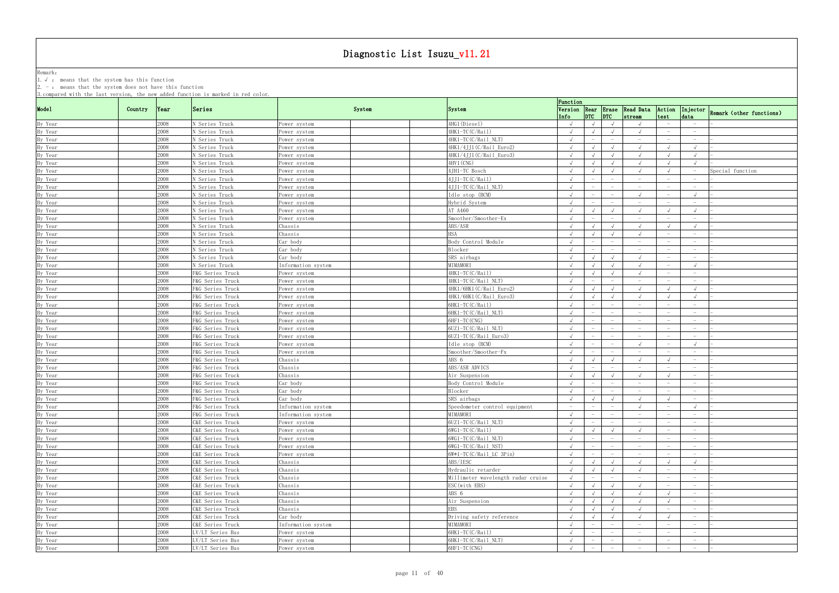Remark: The contract of the contract of  $\mathbb{R}$  and  $\mathbb{R}$  are contract of  $\mathbb{R}$  and  $\mathbb{R}$  are contract of  $\mathbb{R}$  and  $\mathbb{R}$  are contract of  $\mathbb{R}$  and  $\mathbb{R}$  are contract of  $\mathbb{R}$  and  $\mathbb{R}$  are cont 1.√ : means that the system has this function

|                    | 3. compared with the last version, the new added function is marked in red color. |                  |                              |                                    | Function                 |                          |                                 |                                               |                                 |                                 |                                   |
|--------------------|-----------------------------------------------------------------------------------|------------------|------------------------------|------------------------------------|--------------------------|--------------------------|---------------------------------|-----------------------------------------------|---------------------------------|---------------------------------|-----------------------------------|
| Mode1              | Country<br> Year                                                                  | Series           | System                       | System                             | Info                     |                          | $ DTC $ $ DTC $                 | Version Rear Erase Read Data Action<br>stream | test                            | data                            | Injector Remark (other functions) |
| By Year            | 2008                                                                              | N Series Truck   | Power system                 | 4HG1(Diesel)                       | $\sqrt{ }$               | $\sqrt{ }$               | $\sqrt{ }$                      | $\sqrt{ }$                                    |                                 | $-$                             |                                   |
| By Year            | 2008                                                                              | N Series Truck   | Power system                 | 4HK1-TC(C/Rail)                    | $\sqrt{ }$               |                          | $\sqrt{ }$                      |                                               | $\hspace{0.1mm}-\hspace{0.1mm}$ | $\overline{\phantom{0}}$        |                                   |
| By Year            | 2008                                                                              | N Series Truck   | Power system                 | 4HK1-TC(C/Rail NLT)                |                          |                          |                                 |                                               |                                 |                                 |                                   |
| By Year            | 2008                                                                              | N Series Truck   | Power system                 | 4HK1/4JJ1(C/Rail Euro2)            | $\sqrt{ }$               |                          | $\sqrt{ }$                      | $\sqrt{ }$                                    |                                 | $\sqrt{ }$                      |                                   |
| By Year            | 2008                                                                              | N Series Truck   | ower system?                 | 4HK1/4JJ1(C/Rail_Euro3)            | $\sqrt{ }$               |                          | $\sqrt{ }$                      | $\sqrt{ }$                                    |                                 | $\sqrt{ }$                      |                                   |
| By Year            | 2008                                                                              | N Series Truck   | Power system                 | 4HV1 (CNG)                         | $\sqrt{ }$               |                          | $\sqrt{ }$                      | $\sqrt{ }$                                    |                                 | $\sqrt{ }$                      |                                   |
| By Year            | 2008                                                                              | N Series Truck   | Power system                 | 4JH1-TC Bosch                      | $\sqrt{ }$               |                          | $\sqrt{ }$                      | $\sqrt{ }$                                    |                                 | $\overline{\phantom{0}}$        | Special function                  |
| By Year            | 2008                                                                              | N Series Truck   | Power system                 | $4JJ1-TC(C/Rai1)$                  | $\sqrt{ }$               |                          | $ \,$                           | $-$                                           | $\hspace{0.1mm}-\hspace{0.1mm}$ | $\hspace{0.1mm}-\hspace{0.1mm}$ |                                   |
| By Year            | 2008                                                                              | N Series Truck   | Power system                 | $4JJ1-TC(C/Rail NLT)$              | $\sqrt{ }$               |                          | $\hspace{0.1mm}-\hspace{0.1mm}$ | $\overline{\phantom{0}}$                      | $\hspace{0.1mm}-\hspace{0.1mm}$ | $\overline{\phantom{0}}$        |                                   |
| By Year            | 2008                                                                              | N Series Truck   | ower system                  | Idle stop (BCM)                    | $\sqrt{ }$               |                          |                                 |                                               |                                 | $\sqrt{ }$                      |                                   |
| By Year            | 2008                                                                              | N Series Truck   | Power system                 | Hybrid System                      | $\sqrt{ }$               |                          |                                 | $\hspace{0.1mm}-\hspace{0.1mm}$               |                                 | $\overline{\phantom{0}}$        |                                   |
| By Year            | 2008                                                                              | N Series Truck   | ower system?                 | AT A460                            | $\sqrt{ }$               |                          |                                 | $\sqrt{ }$                                    |                                 | $\sqrt{ }$                      |                                   |
| By Year            | 2008                                                                              | N Series Truck   | Power system                 | Smoother/Smoother-Ex               | $\sqrt{ }$               |                          |                                 | $\hspace{0.1mm}-\hspace{0.1mm}$               |                                 | $\overline{\phantom{0}}$        |                                   |
| By Year            | 2008                                                                              | N Series Truck   | Chassis                      | ABS/ASR                            | $\sqrt{ }$               |                          | $\sqrt{ }$                      | $\sqrt{ }$                                    |                                 | $\sqrt{ }$                      |                                   |
| By Year            | 2008                                                                              | N Series Truck   | Chassis                      | HSA                                |                          |                          |                                 | $\sqrt{ }$                                    | $\overline{\phantom{0}}$        | $\overline{\phantom{a}}$        |                                   |
| By Year            | 2008                                                                              | N Series Truck   | Car body                     | Body Control Module                |                          |                          |                                 | $\hspace{0.1mm}-\hspace{0.1mm}$               | $\hspace{0.1mm}-\hspace{0.1mm}$ | $\overline{\phantom{0}}$        |                                   |
| By Year            | 2008                                                                              | N Series Truck   | Car body                     | Blocker                            |                          |                          |                                 | $\hspace{0.1mm}-\hspace{0.1mm}$               |                                 | $\hspace{0.1mm}-\hspace{0.1mm}$ |                                   |
| By Year            | 2008                                                                              | N Series Truck   | Car body                     | SRS airbags                        | $\sqrt{ }$               |                          |                                 | $\sqrt{ }$                                    |                                 | $-$                             |                                   |
| By Year            | 2008                                                                              | N Series Truck   | Information system           | MIMAMORI                           | $\sqrt{ }$               |                          |                                 | $\sqrt{ }$                                    |                                 | $\sqrt{ }$                      |                                   |
| By Year            | 2008                                                                              | F&G Series Truck | Power system                 | 4HK1-TC(C/Rail)                    | $\sqrt{ }$               |                          | $\sqrt{ }$                      | $\sqrt{ }$                                    |                                 |                                 |                                   |
| By Year            | 2008                                                                              | F&G Series Truck | Power system                 | 4HK1-TC(C/Rail NLT)                | $\sqrt{ }$               |                          |                                 | $\hspace{0.1mm}-\hspace{0.1mm}$               |                                 | $\hspace{0.1mm}-\hspace{0.1mm}$ |                                   |
| By Year            | 2008                                                                              | F&G Series Truck | Power system                 | 4HK1/6HK1(C/Rail Euro2)            | $\sqrt{ }$               |                          | $\sqrt{ }$                      | $\sqrt{ }$                                    |                                 | $\sqrt{ }$                      |                                   |
| By Year            | 2008                                                                              | F&G Series Truck | Power system                 | 4HK1/6HK1(C/Rail_Euro3)            | $\sqrt{ }$               |                          | $\sqrt{ }$                      | $\sqrt{ }$                                    |                                 | $\sqrt{ }$                      |                                   |
| By Year            | 2008                                                                              | F&G Series Truck | Power system                 | 6HK1-TC(C/Rail)                    |                          |                          |                                 |                                               |                                 | $\hspace{0.1mm}-\hspace{0.1mm}$ |                                   |
| By Year            | 2008                                                                              | F&G Series Truck | Power system                 | 6HK1-TC(C/Rail NLT)                | $\sqrt{ }$               |                          |                                 | $-$                                           |                                 | $-$                             |                                   |
| By Year            | 2008                                                                              | F&G Series Truck |                              | 6HF1-TC (CNG)                      |                          |                          |                                 | $-$                                           |                                 | $\hspace{0.1mm}-\hspace{0.1mm}$ |                                   |
| By Year            | 2008                                                                              | F&G Series Truck | ower system?<br>Power system | $6UZ1-TC(C/Rai1 NLT)$              |                          |                          |                                 | $\overline{\phantom{m}}$                      |                                 |                                 |                                   |
| By Year            | 2008                                                                              | F&G Series Truck | Power system                 | 6UZ1-TC(C/Rail_Euro3)              |                          |                          |                                 | $\hspace{0.1mm}-\hspace{0.1mm}$               |                                 | $\overline{\phantom{0}}$        |                                   |
| By Year            | 2008                                                                              | F&G Series Truck |                              | Idle stop (BCM)                    | $\sqrt{ }$               |                          | $\overline{\phantom{a}}$        | $\sqrt{ }$                                    |                                 | $\sqrt{ }$                      |                                   |
|                    | 2008                                                                              | F&G Series Truck | Power system                 | Smoother/Smoother-Fx               | $\sqrt{ }$               |                          | $\hspace{0.1mm}-\hspace{0.1mm}$ | $-$                                           | $\overline{\phantom{0}}$        | $-$                             |                                   |
| By Year<br>By Year | 2008                                                                              | F&G Series Truck | Power system<br>Chassis      | ABS 6                              | $\sqrt{ }$               |                          | $\sqrt{ }$                      | $\sqrt{ }$                                    |                                 | $\overline{\phantom{0}}$        |                                   |
|                    | 2008                                                                              |                  |                              | ABS/ASR ADVICS                     | $\sqrt{ }$               |                          |                                 | $\overline{\phantom{a}}$                      |                                 | $\sim$                          |                                   |
| By Year            | 2008                                                                              | F&G Series Truck | Chassis                      |                                    |                          |                          |                                 |                                               |                                 | $-$                             |                                   |
| By Year            | 2008                                                                              | F&G Series Truck | Chassis                      | Air Suspension                     | $\sqrt{ }$               |                          |                                 | $\sqrt{ }$<br>$\hspace{0.1mm}-\hspace{0.1mm}$ |                                 |                                 |                                   |
| By Year<br>By Year |                                                                                   | F&G Series Truck | Car body                     | Body Control Module                | $\sqrt{ }$<br>$\sqrt{ }$ |                          |                                 |                                               |                                 |                                 |                                   |
|                    | 2008                                                                              | F&G Series Truck | Car body                     | Blocker                            |                          |                          |                                 |                                               |                                 |                                 |                                   |
| By Year            | 2008<br>2008                                                                      | F&G Series Truck | Car body                     | SRS airbags                        | $\sqrt{ }$               | $\sqrt{ }$               | $\sqrt{ }$                      | $\sqrt{ }$                                    |                                 | $-$                             |                                   |
| By Year<br>By Year |                                                                                   | F&G Series Truck | Information system           | Speedometer control equipment      |                          |                          | $\sim$                          |                                               |                                 |                                 |                                   |
|                    | 2008                                                                              | F&G Series Truck | Information system           | MIMAMORI                           |                          |                          |                                 |                                               |                                 |                                 |                                   |
| By Year            | 2008                                                                              | C&E Series Truck | Power system                 | 6UZ1-TC(C/Rail_NLT)                | $\sqrt{ }$               |                          |                                 |                                               |                                 | $-$                             |                                   |
| By Year            | 2008                                                                              | C&E Series Truck | Power system                 | 6WG1-TC(C/Rail)                    | $\sqrt{ }$               |                          |                                 | $\sqrt{ }$                                    |                                 | $-$                             |                                   |
| By Year            | 2008                                                                              | C&E Series Truck | Power system                 | 6WG1-TC(C/Rail_NLT)                | $\sqrt{ }$               | $\overline{\phantom{m}}$ |                                 | $-$                                           |                                 | $\overline{\phantom{0}}$        |                                   |
| By Year            | 2008                                                                              | C&E Series Truck | Power system                 | 6WG1-TC(C/Rail_NST)                | $\sqrt{ }$               |                          |                                 | $\hspace{0.1mm}-\hspace{0.1mm}$               |                                 |                                 |                                   |
| By Year            | 2008                                                                              | C&E Series Truck | Power system                 | 6W*1-TC(C/Rail_LC 3Pin)            | $\sqrt{ }$               | $-$                      | $ \,$                           | $-$                                           |                                 | $\sim$                          |                                   |
| By Year            | 2008                                                                              | C&E Series Truck | Chassis                      | ABS/IESC                           | $\sqrt{ }$               | $\sqrt{ }$               | $\sqrt{ }$                      | $\sqrt{ }$                                    |                                 | $\sqrt{ }$                      |                                   |
| By Year            | 2008                                                                              | C&E Series Truck | Chassis                      | Hydraulic retarder                 | $\sqrt{ }$               |                          | $\sqrt{ }$                      | $\sqrt{ }$                                    | $\hspace{0.1mm}-\hspace{0.1mm}$ | $\overline{\phantom{a}}$        |                                   |
| By Year            | 2008                                                                              | C&E Series Truck | Chassis                      | Millimeter wavelength radar cruise | $\sqrt{ }$               |                          |                                 | $ \,$                                         |                                 | $\overline{\phantom{0}}$        |                                   |
| By Year<br>By Year | 2008                                                                              | C&E Series Truck | Chassis                      | ESC (with EBS)                     | $\sqrt{ }$               |                          |                                 | $\sqrt{ }$                                    |                                 | $-$                             |                                   |
|                    | 2008                                                                              | C&E Series Truck | Chassis                      | ABS 6                              | $\sqrt{ }$               |                          | $\sqrt{ }$                      | $\sqrt{ }$                                    |                                 | $\overline{\phantom{0}}$        |                                   |
| By Year            | 2008                                                                              | C&E Series Truck | Chassis                      | Air Suspension                     | $\sqrt{ }$               | $\sqrt{ }$               | $\sqrt{ }$                      | $\sqrt{ }$                                    |                                 | $\hspace{0.1mm}-\hspace{0.1mm}$ |                                   |
| By Year            | 2008                                                                              | C&E Series Truck | Chassis                      | EBS                                | $\sqrt{ }$               |                          | $\sqrt{ }$                      |                                               |                                 | $\sim$                          |                                   |
| By Year            | 2008                                                                              | C&E Series Truck | Car body                     | Driving safety reference           |                          |                          |                                 | $\sqrt{ }$                                    |                                 | $-$                             |                                   |
| By Year            | 2008                                                                              | C&E Series Truck | Information system           | MIMAMORI                           | $\sqrt{ }$               |                          | $\hspace{0.1mm}-\hspace{0.1mm}$ | $-$                                           | $\overline{\phantom{0}}$        | $\overline{\phantom{0}}$        |                                   |
| By Year            | 2008                                                                              | LV/LT Series Bus | Power system                 | 6HK1-TC(C/Rail)                    | $\sqrt{ }$               |                          |                                 | $\overline{\phantom{m}}$                      |                                 | $-$                             |                                   |
| By Year            | 2008                                                                              | LV/LT Series Bus | Power system                 | 6HK1-TC(C/Rail_NLT)                | $\sqrt{ }$               |                          |                                 | $\overline{\phantom{m}}$                      |                                 | $-$                             |                                   |
| By Year            | 2008                                                                              | LV/LT Series Bus | Power system                 | 6HF1-TC (CNG)                      |                          |                          |                                 | $\hspace{0.1mm}-\hspace{0.1mm}$               |                                 | $-$                             |                                   |
|                    |                                                                                   |                  |                              |                                    |                          |                          |                                 |                                               |                                 |                                 |                                   |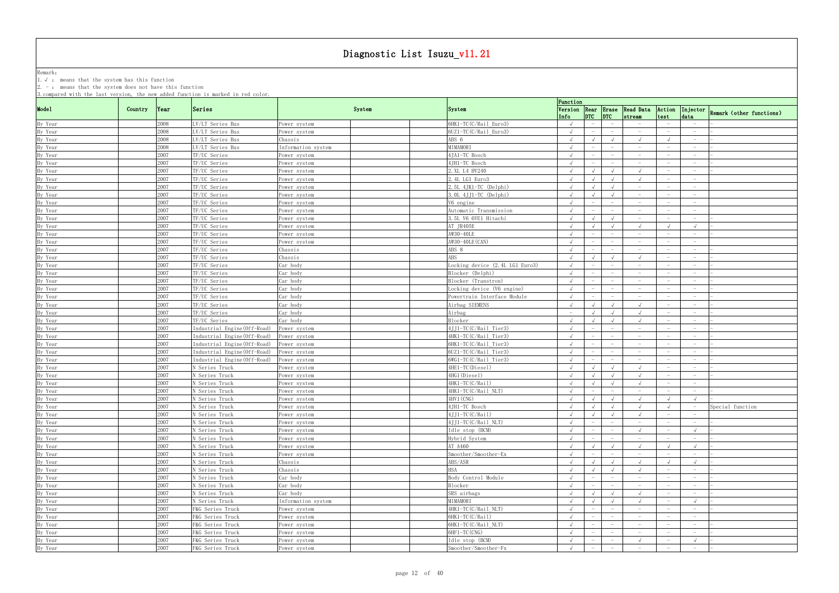Remark: The contract of the contract of  $\mathbb{R}$  and  $\mathbb{R}$  are contract of  $\mathbb{R}$  and  $\mathbb{R}$  are contract of  $\mathbb{R}$  and  $\mathbb{R}$  are contract of  $\mathbb{R}$  and  $\mathbb{R}$  are contract of  $\mathbb{R}$  and  $\mathbb{R}$  are cont 1.√ : means that the system has this function

| Series<br>Version Rear Erase Read Data Action Injector Remark (other functions)<br>Country<br> Year <br>System<br><b>System</b><br> DTC <br>data<br>Info<br>stream<br>test<br>6HK1-TC(C/Rail Euro3)<br>2008<br>LV/LT Series Bus<br>$\sqrt{ }$<br>$\hspace{0.1mm}-\hspace{0.1mm}$<br>$\overline{\phantom{0}}$<br>Power system<br>$-$<br>6UZ1-TC(C/Rail_Euro3)<br>2008<br>LV/LT Series Bus<br>Power system<br>$\sqrt{ }$<br>$-$<br>$-$<br>$-$<br>$\hspace{0.1mm}-\hspace{0.1mm}$<br>$-$<br>2008<br>ABS 6<br>LV/LT Series Bus<br>Chassis<br>$\sqrt{ }$<br>$\sqrt{ }$<br>$\hspace{0.1mm}-\hspace{0.1mm}$<br>2008<br>MIMAMORI<br>LV/LT Series Bus<br>Information system<br>$\sqrt{ }$<br>$\hspace{0.1mm}-\hspace{0.1mm}$<br>$-$<br>$\hspace{0.1mm}-\hspace{0.1mm}$<br>2007<br>4JA1-TC Bosch<br>TF/UC Series<br>Power system<br>$\sqrt{ }$<br>$\hspace{0.1mm}-\hspace{0.1mm}$<br>$\hspace{0.1mm}-\hspace{0.1mm}$<br>2007<br>TF/UC Series<br>4JH1-TC Bosch<br>Power system<br>$\sqrt{ }$<br>$\hspace{0.1mm}-\hspace{0.1mm}$<br>2007<br>TF/UC Series<br>2. XL L4 HV240<br>$\sqrt{ }$<br>Power system<br>$\sqrt{ }$<br>2007<br>TF/UC Series<br>2.4L LG1 Euro3<br>$\sqrt{ }$<br>$\sqrt{ }$<br>$\sqrt{ }$<br>$\sqrt{ }$<br>$\sim$<br>Power system<br>By Year<br>2007<br>TF/UC Series<br>$2.5L$ 4JK1-TC (Delphi)<br>$\sqrt{ }$<br>$\sqrt{ }$<br>$-$<br>Power system<br>$\sqrt{ }$<br>$-$<br>$-$<br>2007<br>TF/UC Series<br>3.0L 4JJ1-TC (Delphi)<br>$\sqrt{ }$<br>Power system<br>$\hspace{0.1mm}-\hspace{0.1mm}$<br>$\overline{\phantom{0}}$<br>2007<br>TF/UC Series<br>V6 engine<br>Power system<br>$\sqrt{ }$<br>$\hspace{0.1mm}-\hspace{0.1mm}$<br>$\hspace{0.1mm}-\hspace{0.1mm}$<br>$\overline{\phantom{0}}$<br>2007<br>Automatic Transmission<br>TF/UC Series<br>Power system<br>$\sqrt{ }$<br>$\hspace{0.1mm}-\hspace{0.1mm}$<br>$\hspace{0.1mm}-\hspace{0.1mm}$<br>2007<br>TF/UC Series<br>3.5L V6 6VE1 Hitachi<br>By Year<br>$\sqrt{ }$<br>$\sqrt{ }$<br>$\sqrt{ }$<br>Power system<br>$-$<br>$-$<br>By Year<br>2007<br>AT JR405E<br>TF/UC Series<br>$\sqrt{ }$<br>$\sqrt{ }$<br>$\sqrt{ }$<br>$\sqrt{ }$<br>Power system<br>By Year<br>AW30-40LE<br>2007<br>TF/UC Series<br>Power system<br>$\sqrt{ }$<br>$\hspace{0.1mm}-\hspace{0.1mm}$<br>$\hspace{0.1mm}-\hspace{0.1mm}$<br>$\hspace{0.1mm}-\hspace{0.1mm}$<br>$\hspace{0.1mm}-\hspace{0.1mm}$<br>AW30-40LE (CAN)<br>By Year<br>2007<br>TF/UC Series<br>Power system<br>$\hspace{0.1mm}-\hspace{0.1mm}$<br>$\overline{\phantom{0}}$<br>$\overline{\phantom{m}}$<br>$\hspace{0.1mm}-\hspace{0.1mm}$<br>2007<br>By Year<br>TF/UC Series<br>ABS 8<br>Chassis<br>$\hspace{0.1mm}-\hspace{0.1mm}$<br>$\overline{\phantom{m}}$<br>$-$<br>$\overline{\phantom{0}}$<br>2007<br><b>ABS</b><br>TF/UC Series<br>By Year<br>Chassis<br>$\overline{\phantom{0}}$<br>2007<br>Car body<br>Locking device (2.4L LG1 Euro3)<br>TF/UC Series<br>By Year<br>$\sqrt{ }$<br>$\hspace{0.1mm}-\hspace{0.1mm}$<br>$-$<br>2007<br>By Year<br>TF/UC Series<br>Car body<br>Blocker (Delphi)<br>$\sqrt{ }$<br>$\hspace{0.1mm}-\hspace{0.1mm}$<br>$\overline{\phantom{0}}$<br>By Year<br>2007<br>TF/UC Series<br>Blocker (Transtron)<br>Car body<br>$\overline{\phantom{m}}$<br>By Year<br>2007<br>TF/UC Series<br>Car body<br>Locking device (V6 engine)<br>$\sqrt{ }$<br>$\hspace{0.1mm}-\hspace{0.1mm}$<br>$\hspace{0.1mm}-\hspace{0.1mm}$<br>$\overline{\phantom{0}}$<br>$\overline{\phantom{0}}$<br>2007<br>By Year<br>TF/UC Series<br>Car body<br>Powertrain Interface Module<br>$\sqrt{ }$<br>$ \,$<br>$\hspace{0.1mm}-\hspace{0.1mm}$<br>$\hspace{0.1mm}-\hspace{0.1mm}$<br>$\overline{\phantom{0}}$<br>By Year<br>2007<br>TF/UC Series<br>Car body<br>Airbag SIEMENS<br>$\sqrt{ }$<br>$\sqrt{ }$<br>$\sqrt{ }$<br>$\sqrt{ }$<br>$\hspace{0.1mm}-\hspace{0.1mm}$<br>$\overline{\phantom{0}}$<br>2007<br>By Year<br>Airbag<br>TF/UC Series<br>Car body<br>$\sqrt{ }$<br>$\sqrt{ }$<br>2007<br>Blocker<br>Car body<br>By Year<br>TF/UC Series<br>$\sqrt{ }$<br>$\sqrt{ }$<br>$\sqrt{ }$<br>$-$<br>2007<br>Industrial Engine(Off-Road)<br>4JJ1-TC(C/Rail_Tier3)<br>By Year<br>Power system<br>$\sqrt{ }$<br>$\hspace{0.1mm}-\hspace{0.1mm}$<br>$\overline{\phantom{0}}$<br>4HK1-TC(C/Rail_Tier3)<br>By Year<br>2007<br>Industrial Engine (Off-Road)<br>Power system<br>$\sqrt{ }$<br>$\hspace{0.1mm}-\hspace{0.1mm}$<br>2007<br>6HK1-TC(C/Rail_Tier3)<br>By Year<br>Industrial Engine (Off-Road)<br>Power system<br>$\overline{\phantom{a}}$<br>$\overline{\phantom{a}}$<br>By Year<br>2007<br>Industrial Engine (Off-Road)<br>6UZ1-TC(C/Rail_Tier3)<br>Power system<br>$-$<br>$-$<br>$\overline{\phantom{a}}$<br>$\hspace{0.1mm}-\hspace{0.1mm}$<br>2007<br>Industrial Engine (Off-Road)<br>6WG1-TC(C/Rail_Tier3)<br>By Year<br>Power system<br>$\hspace{0.1mm}-\hspace{0.1mm}$<br>$\overline{\phantom{m}}$<br>$\hspace{0.1mm}-\hspace{0.1mm}$<br>$\overline{\phantom{0}}$<br>$-$<br>2007<br>4HE1-TC(Diesel)<br>By Year<br>N Series Truck<br>Power system<br>$\hspace{0.1mm}-\hspace{0.1mm}$<br>2007<br>4HG1(Diesel)<br>N Series Truck<br>By Year<br>$\sqrt{ }$<br>Power system<br>$\sqrt{ }$<br>$-$<br>2007<br>4HK1-TC(C/Rail)<br>By Year<br>N Series Truck<br>$\sqrt{ }$<br>$\sqrt{ }$<br>$\sqrt{ }$<br>$\sqrt{ }$<br>Power system<br>$\overline{\phantom{0}}$<br>By Year<br>2007<br>4HK1-TC(C/Rail_NLT)<br>N Series Truck<br>Power system<br>$\sqrt{ }$<br>$\overline{\phantom{m}}$<br>$\hspace{0.1mm}-\hspace{0.1mm}$<br>$-$<br>By Year<br>2007<br>4HV1 (CNG)<br>N Series Truck<br>$\sqrt{ }$<br>$\sqrt{ }$<br>$\sqrt{ }$<br>$\sqrt{ }$<br>$\sqrt{ }$<br>$\sqrt{ }$<br>Power system<br>By Year<br>2007<br>N Series Truck<br>$\sqrt{1-\sqrt{1-\frac{1}{2}}}$<br>4JH1-TC Bosch<br>$\sqrt{ }$<br>Special function<br>$\sqrt{ }$<br>Power system<br>$\sqrt{ }$<br>$\sim$ $-$<br>2007<br>By Year<br>$4JJ1-TC(C/Rai1)$<br>N Series Truck<br>$\sqrt{ }$<br>$\sqrt{ }$<br>$\sqrt{ }$<br>$\sqrt{ }$<br>Power system<br>$-$<br>$-$<br>By Year<br>2007<br>4JJ1-TC(C/Rail_NLT)<br>N Series Truck<br>$\sqrt{ }$<br>Power system<br>$ \,$<br>$\hspace{0.1mm}-\hspace{0.1mm}$<br>$\overline{\phantom{0}}$<br>$-$<br>2007<br>$\sqrt{ }$<br>By Year<br>Idle stop (BCM)<br>$\sqrt{ }$<br>N Series Truck<br>$\sqrt{ }$<br>Power system<br>$\overline{\phantom{a}}$<br>$-$<br>2007<br>Hybrid System<br>N Series Truck<br>$\sqrt{ }$<br>Power system<br>$\hspace{0.1mm}-\hspace{0.1mm}$<br>$\overline{\phantom{0}}$<br>$-$<br>By Year<br>2007<br>AT A460<br>N Series Truck<br>Power system<br>$\sqrt{ }$<br>$\sqrt{ }$<br>$\sqrt{ }$<br>$\sqrt{ }$<br>$\sqrt{ }$<br>By Year<br>2007<br>Smoother/Smoother-Ex<br>N Series Truck<br>Power system<br>$\hspace{0.1mm}-\hspace{0.1mm}$<br>$\hspace{0.1mm}-\hspace{0.1mm}$<br>$\overline{\phantom{0}}$<br>$\overline{\phantom{0}}$<br>By Year<br>2007<br>ABS/ASR<br>N Series Truck<br>Chassis<br>$\sqrt{ }$<br>$\sqrt{ }$<br>$\sqrt{ }$<br>$\sqrt{ }$<br>$\sqrt{ }$<br>$\sqrt{ }$<br>2007<br><b>HSA</b><br>N Series Truck<br>Chassis<br>$\sqrt{ }$<br>$\sqrt{ }$<br>$-$<br>$\overline{\phantom{0}}$<br>By Year<br>2007<br>Car body<br>Body Control Module<br>N Series Truck<br>$\hspace{0.1mm}-\hspace{0.1mm}$<br>$\hspace{0.1mm}-\hspace{0.1mm}$<br>$\overline{\phantom{0}}$<br>2007<br>N Series Truck<br>Car body<br>Blocker<br>$\hspace{0.1mm}-\hspace{0.1mm}$<br>$\overline{\phantom{0}}$<br>2007<br>SRS airbags<br>N Series Truck<br>Car body<br>$\sqrt{ }$<br>$\sqrt{ }$<br>$\sqrt{ }$<br>$\overline{\phantom{0}}$<br>2007<br>MIMAMORI<br>N Series Truck<br>Information system<br>$\sqrt{ }$<br>$\sqrt{ }$<br>$\sqrt{ }$<br>$\sqrt{ }$<br>$\sqrt{ }$<br>2007<br>4HK1-TC(C/Rail_NLT)<br>F&G Series Truck<br>Power system<br>$-$<br>$\hspace{0.1mm}-\hspace{0.1mm}$<br>2007<br>F&G Series Truck<br>$6HK1-TC(C/Rai1)$<br>Power system<br>$\sqrt{ }$<br>$-$<br>$-$<br>$-$<br>$-$<br>2007<br>F&G Series Truck<br>6HK1-TC(C/Rail_NLT)<br>Power system<br>$\sqrt{ }$<br>$-$<br>$-$<br>$-$<br>$\hspace{0.1mm}-\hspace{0.1mm}$<br>2007<br>6HF1-TC (CNG)<br>F&G Series Truck<br>Power system<br>$\sqrt{ }$<br>$-$<br>$\hspace{0.1mm}-\hspace{0.1mm}$<br>$-$<br>$-$<br>$\overline{\phantom{0}}$<br>2007<br>Idle stop (BCM)<br>F&G Series Truck<br>$\sqrt{ }$<br>Power system<br>$\sqrt{ }$<br>$\hspace{0.1mm}-\hspace{0.1mm}$<br>2007<br>Smoother/Smoother-Fx<br>F&G Series Truck<br>Power system<br>$\sqrt{ }$<br>$-$<br>$\overline{\phantom{a}}$<br>$\hspace{0.1mm}-\hspace{0.1mm}$<br>$-$ |         |  | 3. compared with the last version, the new added function is marked in red color. |  | Function |  |  |  |
|---------------------------------------------------------------------------------------------------------------------------------------------------------------------------------------------------------------------------------------------------------------------------------------------------------------------------------------------------------------------------------------------------------------------------------------------------------------------------------------------------------------------------------------------------------------------------------------------------------------------------------------------------------------------------------------------------------------------------------------------------------------------------------------------------------------------------------------------------------------------------------------------------------------------------------------------------------------------------------------------------------------------------------------------------------------------------------------------------------------------------------------------------------------------------------------------------------------------------------------------------------------------------------------------------------------------------------------------------------------------------------------------------------------------------------------------------------------------------------------------------------------------------------------------------------------------------------------------------------------------------------------------------------------------------------------------------------------------------------------------------------------------------------------------------------------------------------------------------------------------------------------------------------------------------------------------------------------------------------------------------------------------------------------------------------------------------------------------------------------------------------------------------------------------------------------------------------------------------------------------------------------------------------------------------------------------------------------------------------------------------------------------------------------------------------------------------------------------------------------------------------------------------------------------------------------------------------------------------------------------------------------------------------------------------------------------------------------------------------------------------------------------------------------------------------------------------------------------------------------------------------------------------------------------------------------------------------------------------------------------------------------------------------------------------------------------------------------------------------------------------------------------------------------------------------------------------------------------------------------------------------------------------------------------------------------------------------------------------------------------------------------------------------------------------------------------------------------------------------------------------------------------------------------------------------------------------------------------------------------------------------------------------------------------------------------------------------------------------------------------------------------------------------------------------------------------------------------------------------------------------------------------------------------------------------------------------------------------------------------------------------------------------------------------------------------------------------------------------------------------------------------------------------------------------------------------------------------------------------------------------------------------------------------------------------------------------------------------------------------------------------------------------------------------------------------------------------------------------------------------------------------------------------------------------------------------------------------------------------------------------------------------------------------------------------------------------------------------------------------------------------------------------------------------------------------------------------------------------------------------------------------------------------------------------------------------------------------------------------------------------------------------------------------------------------------------------------------------------------------------------------------------------------------------------------------------------------------------------------------------------------------------------------------------------------------------------------------------------------------------------------------------------------------------------------------------------------------------------------------------------------------------------------------------------------------------------------------------------------------------------------------------------------------------------------------------------------------------------------------------------------------------------------------------------------------------------------------------------------------------------------------------------------------------------------------------------------------------------------------------------------------------------------------------------------------------------------------------------------------------------------------------------------------------------------------------------------------------------------------------------------------------------------------------------------------------------------------------------------------------------------------------------------------------------------------------------------------------------------------------------------------------------------------------------------------------------------------------------------------------------------------------------------------------------------------------------------------------------------------------------------------------------------------------------------------------------------------------------------------------------------------------------------------------------------------------------------------------------------------------------------------------------------------------------------------------------------------------------------------------------------------------------------------------------------------------------------------------------------------------------------------------------------------------------------------------------------------------------------------------------------------------------------------------------------------------------------------------------------------------------------------------------------------------------------------------------------------------------------------------------------------------------------------------------------------------------------------------------------------------------------------------------------------------------------------------------------------------------------------------------------------------------------------------------------------------------------------------------------------------------------------------------------------------------------------------------------------------------------------------------------------------------------------------------------------------------------------------------------------------------------------------------------------------------------------------------------------------------------------------------------------------------------------------------------------------|---------|--|-----------------------------------------------------------------------------------|--|----------|--|--|--|
|                                                                                                                                                                                                                                                                                                                                                                                                                                                                                                                                                                                                                                                                                                                                                                                                                                                                                                                                                                                                                                                                                                                                                                                                                                                                                                                                                                                                                                                                                                                                                                                                                                                                                                                                                                                                                                                                                                                                                                                                                                                                                                                                                                                                                                                                                                                                                                                                                                                                                                                                                                                                                                                                                                                                                                                                                                                                                                                                                                                                                                                                                                                                                                                                                                                                                                                                                                                                                                                                                                                                                                                                                                                                                                                                                                                                                                                                                                                                                                                                                                                                                                                                                                                                                                                                                                                                                                                                                                                                                                                                                                                                                                                                                                                                                                                                                                                                                                                                                                                                                                                                                                                                                                                                                                                                                                                                                                                                                                                                                                                                                                                                                                                                                                                                                                                                                                                                                                                                                                                                                                                                                                                                                                                                                                                                                                                                                                                                                                                                                                                                                                                                                                                                                                                                                                                                                                                                                                                                                                                                                                                                                                                                                                                                                                                                                                                                                                                                                                                                                                                                                                                                                                                                                                                                                                                                                                                                                                                                                                                                                                                                                                                                                                                                                                                                                                                                                                                                                                             | Mode1   |  |                                                                                   |  |          |  |  |  |
|                                                                                                                                                                                                                                                                                                                                                                                                                                                                                                                                                                                                                                                                                                                                                                                                                                                                                                                                                                                                                                                                                                                                                                                                                                                                                                                                                                                                                                                                                                                                                                                                                                                                                                                                                                                                                                                                                                                                                                                                                                                                                                                                                                                                                                                                                                                                                                                                                                                                                                                                                                                                                                                                                                                                                                                                                                                                                                                                                                                                                                                                                                                                                                                                                                                                                                                                                                                                                                                                                                                                                                                                                                                                                                                                                                                                                                                                                                                                                                                                                                                                                                                                                                                                                                                                                                                                                                                                                                                                                                                                                                                                                                                                                                                                                                                                                                                                                                                                                                                                                                                                                                                                                                                                                                                                                                                                                                                                                                                                                                                                                                                                                                                                                                                                                                                                                                                                                                                                                                                                                                                                                                                                                                                                                                                                                                                                                                                                                                                                                                                                                                                                                                                                                                                                                                                                                                                                                                                                                                                                                                                                                                                                                                                                                                                                                                                                                                                                                                                                                                                                                                                                                                                                                                                                                                                                                                                                                                                                                                                                                                                                                                                                                                                                                                                                                                                                                                                                                                             | By Year |  |                                                                                   |  |          |  |  |  |
|                                                                                                                                                                                                                                                                                                                                                                                                                                                                                                                                                                                                                                                                                                                                                                                                                                                                                                                                                                                                                                                                                                                                                                                                                                                                                                                                                                                                                                                                                                                                                                                                                                                                                                                                                                                                                                                                                                                                                                                                                                                                                                                                                                                                                                                                                                                                                                                                                                                                                                                                                                                                                                                                                                                                                                                                                                                                                                                                                                                                                                                                                                                                                                                                                                                                                                                                                                                                                                                                                                                                                                                                                                                                                                                                                                                                                                                                                                                                                                                                                                                                                                                                                                                                                                                                                                                                                                                                                                                                                                                                                                                                                                                                                                                                                                                                                                                                                                                                                                                                                                                                                                                                                                                                                                                                                                                                                                                                                                                                                                                                                                                                                                                                                                                                                                                                                                                                                                                                                                                                                                                                                                                                                                                                                                                                                                                                                                                                                                                                                                                                                                                                                                                                                                                                                                                                                                                                                                                                                                                                                                                                                                                                                                                                                                                                                                                                                                                                                                                                                                                                                                                                                                                                                                                                                                                                                                                                                                                                                                                                                                                                                                                                                                                                                                                                                                                                                                                                                                             | By Year |  |                                                                                   |  |          |  |  |  |
|                                                                                                                                                                                                                                                                                                                                                                                                                                                                                                                                                                                                                                                                                                                                                                                                                                                                                                                                                                                                                                                                                                                                                                                                                                                                                                                                                                                                                                                                                                                                                                                                                                                                                                                                                                                                                                                                                                                                                                                                                                                                                                                                                                                                                                                                                                                                                                                                                                                                                                                                                                                                                                                                                                                                                                                                                                                                                                                                                                                                                                                                                                                                                                                                                                                                                                                                                                                                                                                                                                                                                                                                                                                                                                                                                                                                                                                                                                                                                                                                                                                                                                                                                                                                                                                                                                                                                                                                                                                                                                                                                                                                                                                                                                                                                                                                                                                                                                                                                                                                                                                                                                                                                                                                                                                                                                                                                                                                                                                                                                                                                                                                                                                                                                                                                                                                                                                                                                                                                                                                                                                                                                                                                                                                                                                                                                                                                                                                                                                                                                                                                                                                                                                                                                                                                                                                                                                                                                                                                                                                                                                                                                                                                                                                                                                                                                                                                                                                                                                                                                                                                                                                                                                                                                                                                                                                                                                                                                                                                                                                                                                                                                                                                                                                                                                                                                                                                                                                                                             | By Year |  |                                                                                   |  |          |  |  |  |
|                                                                                                                                                                                                                                                                                                                                                                                                                                                                                                                                                                                                                                                                                                                                                                                                                                                                                                                                                                                                                                                                                                                                                                                                                                                                                                                                                                                                                                                                                                                                                                                                                                                                                                                                                                                                                                                                                                                                                                                                                                                                                                                                                                                                                                                                                                                                                                                                                                                                                                                                                                                                                                                                                                                                                                                                                                                                                                                                                                                                                                                                                                                                                                                                                                                                                                                                                                                                                                                                                                                                                                                                                                                                                                                                                                                                                                                                                                                                                                                                                                                                                                                                                                                                                                                                                                                                                                                                                                                                                                                                                                                                                                                                                                                                                                                                                                                                                                                                                                                                                                                                                                                                                                                                                                                                                                                                                                                                                                                                                                                                                                                                                                                                                                                                                                                                                                                                                                                                                                                                                                                                                                                                                                                                                                                                                                                                                                                                                                                                                                                                                                                                                                                                                                                                                                                                                                                                                                                                                                                                                                                                                                                                                                                                                                                                                                                                                                                                                                                                                                                                                                                                                                                                                                                                                                                                                                                                                                                                                                                                                                                                                                                                                                                                                                                                                                                                                                                                                                             | By Year |  |                                                                                   |  |          |  |  |  |
|                                                                                                                                                                                                                                                                                                                                                                                                                                                                                                                                                                                                                                                                                                                                                                                                                                                                                                                                                                                                                                                                                                                                                                                                                                                                                                                                                                                                                                                                                                                                                                                                                                                                                                                                                                                                                                                                                                                                                                                                                                                                                                                                                                                                                                                                                                                                                                                                                                                                                                                                                                                                                                                                                                                                                                                                                                                                                                                                                                                                                                                                                                                                                                                                                                                                                                                                                                                                                                                                                                                                                                                                                                                                                                                                                                                                                                                                                                                                                                                                                                                                                                                                                                                                                                                                                                                                                                                                                                                                                                                                                                                                                                                                                                                                                                                                                                                                                                                                                                                                                                                                                                                                                                                                                                                                                                                                                                                                                                                                                                                                                                                                                                                                                                                                                                                                                                                                                                                                                                                                                                                                                                                                                                                                                                                                                                                                                                                                                                                                                                                                                                                                                                                                                                                                                                                                                                                                                                                                                                                                                                                                                                                                                                                                                                                                                                                                                                                                                                                                                                                                                                                                                                                                                                                                                                                                                                                                                                                                                                                                                                                                                                                                                                                                                                                                                                                                                                                                                                             | By Year |  |                                                                                   |  |          |  |  |  |
|                                                                                                                                                                                                                                                                                                                                                                                                                                                                                                                                                                                                                                                                                                                                                                                                                                                                                                                                                                                                                                                                                                                                                                                                                                                                                                                                                                                                                                                                                                                                                                                                                                                                                                                                                                                                                                                                                                                                                                                                                                                                                                                                                                                                                                                                                                                                                                                                                                                                                                                                                                                                                                                                                                                                                                                                                                                                                                                                                                                                                                                                                                                                                                                                                                                                                                                                                                                                                                                                                                                                                                                                                                                                                                                                                                                                                                                                                                                                                                                                                                                                                                                                                                                                                                                                                                                                                                                                                                                                                                                                                                                                                                                                                                                                                                                                                                                                                                                                                                                                                                                                                                                                                                                                                                                                                                                                                                                                                                                                                                                                                                                                                                                                                                                                                                                                                                                                                                                                                                                                                                                                                                                                                                                                                                                                                                                                                                                                                                                                                                                                                                                                                                                                                                                                                                                                                                                                                                                                                                                                                                                                                                                                                                                                                                                                                                                                                                                                                                                                                                                                                                                                                                                                                                                                                                                                                                                                                                                                                                                                                                                                                                                                                                                                                                                                                                                                                                                                                                             | By Year |  |                                                                                   |  |          |  |  |  |
|                                                                                                                                                                                                                                                                                                                                                                                                                                                                                                                                                                                                                                                                                                                                                                                                                                                                                                                                                                                                                                                                                                                                                                                                                                                                                                                                                                                                                                                                                                                                                                                                                                                                                                                                                                                                                                                                                                                                                                                                                                                                                                                                                                                                                                                                                                                                                                                                                                                                                                                                                                                                                                                                                                                                                                                                                                                                                                                                                                                                                                                                                                                                                                                                                                                                                                                                                                                                                                                                                                                                                                                                                                                                                                                                                                                                                                                                                                                                                                                                                                                                                                                                                                                                                                                                                                                                                                                                                                                                                                                                                                                                                                                                                                                                                                                                                                                                                                                                                                                                                                                                                                                                                                                                                                                                                                                                                                                                                                                                                                                                                                                                                                                                                                                                                                                                                                                                                                                                                                                                                                                                                                                                                                                                                                                                                                                                                                                                                                                                                                                                                                                                                                                                                                                                                                                                                                                                                                                                                                                                                                                                                                                                                                                                                                                                                                                                                                                                                                                                                                                                                                                                                                                                                                                                                                                                                                                                                                                                                                                                                                                                                                                                                                                                                                                                                                                                                                                                                                             | By Year |  |                                                                                   |  |          |  |  |  |
|                                                                                                                                                                                                                                                                                                                                                                                                                                                                                                                                                                                                                                                                                                                                                                                                                                                                                                                                                                                                                                                                                                                                                                                                                                                                                                                                                                                                                                                                                                                                                                                                                                                                                                                                                                                                                                                                                                                                                                                                                                                                                                                                                                                                                                                                                                                                                                                                                                                                                                                                                                                                                                                                                                                                                                                                                                                                                                                                                                                                                                                                                                                                                                                                                                                                                                                                                                                                                                                                                                                                                                                                                                                                                                                                                                                                                                                                                                                                                                                                                                                                                                                                                                                                                                                                                                                                                                                                                                                                                                                                                                                                                                                                                                                                                                                                                                                                                                                                                                                                                                                                                                                                                                                                                                                                                                                                                                                                                                                                                                                                                                                                                                                                                                                                                                                                                                                                                                                                                                                                                                                                                                                                                                                                                                                                                                                                                                                                                                                                                                                                                                                                                                                                                                                                                                                                                                                                                                                                                                                                                                                                                                                                                                                                                                                                                                                                                                                                                                                                                                                                                                                                                                                                                                                                                                                                                                                                                                                                                                                                                                                                                                                                                                                                                                                                                                                                                                                                                                             | By Year |  |                                                                                   |  |          |  |  |  |
|                                                                                                                                                                                                                                                                                                                                                                                                                                                                                                                                                                                                                                                                                                                                                                                                                                                                                                                                                                                                                                                                                                                                                                                                                                                                                                                                                                                                                                                                                                                                                                                                                                                                                                                                                                                                                                                                                                                                                                                                                                                                                                                                                                                                                                                                                                                                                                                                                                                                                                                                                                                                                                                                                                                                                                                                                                                                                                                                                                                                                                                                                                                                                                                                                                                                                                                                                                                                                                                                                                                                                                                                                                                                                                                                                                                                                                                                                                                                                                                                                                                                                                                                                                                                                                                                                                                                                                                                                                                                                                                                                                                                                                                                                                                                                                                                                                                                                                                                                                                                                                                                                                                                                                                                                                                                                                                                                                                                                                                                                                                                                                                                                                                                                                                                                                                                                                                                                                                                                                                                                                                                                                                                                                                                                                                                                                                                                                                                                                                                                                                                                                                                                                                                                                                                                                                                                                                                                                                                                                                                                                                                                                                                                                                                                                                                                                                                                                                                                                                                                                                                                                                                                                                                                                                                                                                                                                                                                                                                                                                                                                                                                                                                                                                                                                                                                                                                                                                                                                             |         |  |                                                                                   |  |          |  |  |  |
|                                                                                                                                                                                                                                                                                                                                                                                                                                                                                                                                                                                                                                                                                                                                                                                                                                                                                                                                                                                                                                                                                                                                                                                                                                                                                                                                                                                                                                                                                                                                                                                                                                                                                                                                                                                                                                                                                                                                                                                                                                                                                                                                                                                                                                                                                                                                                                                                                                                                                                                                                                                                                                                                                                                                                                                                                                                                                                                                                                                                                                                                                                                                                                                                                                                                                                                                                                                                                                                                                                                                                                                                                                                                                                                                                                                                                                                                                                                                                                                                                                                                                                                                                                                                                                                                                                                                                                                                                                                                                                                                                                                                                                                                                                                                                                                                                                                                                                                                                                                                                                                                                                                                                                                                                                                                                                                                                                                                                                                                                                                                                                                                                                                                                                                                                                                                                                                                                                                                                                                                                                                                                                                                                                                                                                                                                                                                                                                                                                                                                                                                                                                                                                                                                                                                                                                                                                                                                                                                                                                                                                                                                                                                                                                                                                                                                                                                                                                                                                                                                                                                                                                                                                                                                                                                                                                                                                                                                                                                                                                                                                                                                                                                                                                                                                                                                                                                                                                                                                             | By Year |  |                                                                                   |  |          |  |  |  |
|                                                                                                                                                                                                                                                                                                                                                                                                                                                                                                                                                                                                                                                                                                                                                                                                                                                                                                                                                                                                                                                                                                                                                                                                                                                                                                                                                                                                                                                                                                                                                                                                                                                                                                                                                                                                                                                                                                                                                                                                                                                                                                                                                                                                                                                                                                                                                                                                                                                                                                                                                                                                                                                                                                                                                                                                                                                                                                                                                                                                                                                                                                                                                                                                                                                                                                                                                                                                                                                                                                                                                                                                                                                                                                                                                                                                                                                                                                                                                                                                                                                                                                                                                                                                                                                                                                                                                                                                                                                                                                                                                                                                                                                                                                                                                                                                                                                                                                                                                                                                                                                                                                                                                                                                                                                                                                                                                                                                                                                                                                                                                                                                                                                                                                                                                                                                                                                                                                                                                                                                                                                                                                                                                                                                                                                                                                                                                                                                                                                                                                                                                                                                                                                                                                                                                                                                                                                                                                                                                                                                                                                                                                                                                                                                                                                                                                                                                                                                                                                                                                                                                                                                                                                                                                                                                                                                                                                                                                                                                                                                                                                                                                                                                                                                                                                                                                                                                                                                                                             | By Year |  |                                                                                   |  |          |  |  |  |
|                                                                                                                                                                                                                                                                                                                                                                                                                                                                                                                                                                                                                                                                                                                                                                                                                                                                                                                                                                                                                                                                                                                                                                                                                                                                                                                                                                                                                                                                                                                                                                                                                                                                                                                                                                                                                                                                                                                                                                                                                                                                                                                                                                                                                                                                                                                                                                                                                                                                                                                                                                                                                                                                                                                                                                                                                                                                                                                                                                                                                                                                                                                                                                                                                                                                                                                                                                                                                                                                                                                                                                                                                                                                                                                                                                                                                                                                                                                                                                                                                                                                                                                                                                                                                                                                                                                                                                                                                                                                                                                                                                                                                                                                                                                                                                                                                                                                                                                                                                                                                                                                                                                                                                                                                                                                                                                                                                                                                                                                                                                                                                                                                                                                                                                                                                                                                                                                                                                                                                                                                                                                                                                                                                                                                                                                                                                                                                                                                                                                                                                                                                                                                                                                                                                                                                                                                                                                                                                                                                                                                                                                                                                                                                                                                                                                                                                                                                                                                                                                                                                                                                                                                                                                                                                                                                                                                                                                                                                                                                                                                                                                                                                                                                                                                                                                                                                                                                                                                                             | By Year |  |                                                                                   |  |          |  |  |  |
|                                                                                                                                                                                                                                                                                                                                                                                                                                                                                                                                                                                                                                                                                                                                                                                                                                                                                                                                                                                                                                                                                                                                                                                                                                                                                                                                                                                                                                                                                                                                                                                                                                                                                                                                                                                                                                                                                                                                                                                                                                                                                                                                                                                                                                                                                                                                                                                                                                                                                                                                                                                                                                                                                                                                                                                                                                                                                                                                                                                                                                                                                                                                                                                                                                                                                                                                                                                                                                                                                                                                                                                                                                                                                                                                                                                                                                                                                                                                                                                                                                                                                                                                                                                                                                                                                                                                                                                                                                                                                                                                                                                                                                                                                                                                                                                                                                                                                                                                                                                                                                                                                                                                                                                                                                                                                                                                                                                                                                                                                                                                                                                                                                                                                                                                                                                                                                                                                                                                                                                                                                                                                                                                                                                                                                                                                                                                                                                                                                                                                                                                                                                                                                                                                                                                                                                                                                                                                                                                                                                                                                                                                                                                                                                                                                                                                                                                                                                                                                                                                                                                                                                                                                                                                                                                                                                                                                                                                                                                                                                                                                                                                                                                                                                                                                                                                                                                                                                                                                             |         |  |                                                                                   |  |          |  |  |  |
|                                                                                                                                                                                                                                                                                                                                                                                                                                                                                                                                                                                                                                                                                                                                                                                                                                                                                                                                                                                                                                                                                                                                                                                                                                                                                                                                                                                                                                                                                                                                                                                                                                                                                                                                                                                                                                                                                                                                                                                                                                                                                                                                                                                                                                                                                                                                                                                                                                                                                                                                                                                                                                                                                                                                                                                                                                                                                                                                                                                                                                                                                                                                                                                                                                                                                                                                                                                                                                                                                                                                                                                                                                                                                                                                                                                                                                                                                                                                                                                                                                                                                                                                                                                                                                                                                                                                                                                                                                                                                                                                                                                                                                                                                                                                                                                                                                                                                                                                                                                                                                                                                                                                                                                                                                                                                                                                                                                                                                                                                                                                                                                                                                                                                                                                                                                                                                                                                                                                                                                                                                                                                                                                                                                                                                                                                                                                                                                                                                                                                                                                                                                                                                                                                                                                                                                                                                                                                                                                                                                                                                                                                                                                                                                                                                                                                                                                                                                                                                                                                                                                                                                                                                                                                                                                                                                                                                                                                                                                                                                                                                                                                                                                                                                                                                                                                                                                                                                                                                             |         |  |                                                                                   |  |          |  |  |  |
|                                                                                                                                                                                                                                                                                                                                                                                                                                                                                                                                                                                                                                                                                                                                                                                                                                                                                                                                                                                                                                                                                                                                                                                                                                                                                                                                                                                                                                                                                                                                                                                                                                                                                                                                                                                                                                                                                                                                                                                                                                                                                                                                                                                                                                                                                                                                                                                                                                                                                                                                                                                                                                                                                                                                                                                                                                                                                                                                                                                                                                                                                                                                                                                                                                                                                                                                                                                                                                                                                                                                                                                                                                                                                                                                                                                                                                                                                                                                                                                                                                                                                                                                                                                                                                                                                                                                                                                                                                                                                                                                                                                                                                                                                                                                                                                                                                                                                                                                                                                                                                                                                                                                                                                                                                                                                                                                                                                                                                                                                                                                                                                                                                                                                                                                                                                                                                                                                                                                                                                                                                                                                                                                                                                                                                                                                                                                                                                                                                                                                                                                                                                                                                                                                                                                                                                                                                                                                                                                                                                                                                                                                                                                                                                                                                                                                                                                                                                                                                                                                                                                                                                                                                                                                                                                                                                                                                                                                                                                                                                                                                                                                                                                                                                                                                                                                                                                                                                                                                             |         |  |                                                                                   |  |          |  |  |  |
|                                                                                                                                                                                                                                                                                                                                                                                                                                                                                                                                                                                                                                                                                                                                                                                                                                                                                                                                                                                                                                                                                                                                                                                                                                                                                                                                                                                                                                                                                                                                                                                                                                                                                                                                                                                                                                                                                                                                                                                                                                                                                                                                                                                                                                                                                                                                                                                                                                                                                                                                                                                                                                                                                                                                                                                                                                                                                                                                                                                                                                                                                                                                                                                                                                                                                                                                                                                                                                                                                                                                                                                                                                                                                                                                                                                                                                                                                                                                                                                                                                                                                                                                                                                                                                                                                                                                                                                                                                                                                                                                                                                                                                                                                                                                                                                                                                                                                                                                                                                                                                                                                                                                                                                                                                                                                                                                                                                                                                                                                                                                                                                                                                                                                                                                                                                                                                                                                                                                                                                                                                                                                                                                                                                                                                                                                                                                                                                                                                                                                                                                                                                                                                                                                                                                                                                                                                                                                                                                                                                                                                                                                                                                                                                                                                                                                                                                                                                                                                                                                                                                                                                                                                                                                                                                                                                                                                                                                                                                                                                                                                                                                                                                                                                                                                                                                                                                                                                                                                             |         |  |                                                                                   |  |          |  |  |  |
|                                                                                                                                                                                                                                                                                                                                                                                                                                                                                                                                                                                                                                                                                                                                                                                                                                                                                                                                                                                                                                                                                                                                                                                                                                                                                                                                                                                                                                                                                                                                                                                                                                                                                                                                                                                                                                                                                                                                                                                                                                                                                                                                                                                                                                                                                                                                                                                                                                                                                                                                                                                                                                                                                                                                                                                                                                                                                                                                                                                                                                                                                                                                                                                                                                                                                                                                                                                                                                                                                                                                                                                                                                                                                                                                                                                                                                                                                                                                                                                                                                                                                                                                                                                                                                                                                                                                                                                                                                                                                                                                                                                                                                                                                                                                                                                                                                                                                                                                                                                                                                                                                                                                                                                                                                                                                                                                                                                                                                                                                                                                                                                                                                                                                                                                                                                                                                                                                                                                                                                                                                                                                                                                                                                                                                                                                                                                                                                                                                                                                                                                                                                                                                                                                                                                                                                                                                                                                                                                                                                                                                                                                                                                                                                                                                                                                                                                                                                                                                                                                                                                                                                                                                                                                                                                                                                                                                                                                                                                                                                                                                                                                                                                                                                                                                                                                                                                                                                                                                             |         |  |                                                                                   |  |          |  |  |  |
|                                                                                                                                                                                                                                                                                                                                                                                                                                                                                                                                                                                                                                                                                                                                                                                                                                                                                                                                                                                                                                                                                                                                                                                                                                                                                                                                                                                                                                                                                                                                                                                                                                                                                                                                                                                                                                                                                                                                                                                                                                                                                                                                                                                                                                                                                                                                                                                                                                                                                                                                                                                                                                                                                                                                                                                                                                                                                                                                                                                                                                                                                                                                                                                                                                                                                                                                                                                                                                                                                                                                                                                                                                                                                                                                                                                                                                                                                                                                                                                                                                                                                                                                                                                                                                                                                                                                                                                                                                                                                                                                                                                                                                                                                                                                                                                                                                                                                                                                                                                                                                                                                                                                                                                                                                                                                                                                                                                                                                                                                                                                                                                                                                                                                                                                                                                                                                                                                                                                                                                                                                                                                                                                                                                                                                                                                                                                                                                                                                                                                                                                                                                                                                                                                                                                                                                                                                                                                                                                                                                                                                                                                                                                                                                                                                                                                                                                                                                                                                                                                                                                                                                                                                                                                                                                                                                                                                                                                                                                                                                                                                                                                                                                                                                                                                                                                                                                                                                                                                             |         |  |                                                                                   |  |          |  |  |  |
|                                                                                                                                                                                                                                                                                                                                                                                                                                                                                                                                                                                                                                                                                                                                                                                                                                                                                                                                                                                                                                                                                                                                                                                                                                                                                                                                                                                                                                                                                                                                                                                                                                                                                                                                                                                                                                                                                                                                                                                                                                                                                                                                                                                                                                                                                                                                                                                                                                                                                                                                                                                                                                                                                                                                                                                                                                                                                                                                                                                                                                                                                                                                                                                                                                                                                                                                                                                                                                                                                                                                                                                                                                                                                                                                                                                                                                                                                                                                                                                                                                                                                                                                                                                                                                                                                                                                                                                                                                                                                                                                                                                                                                                                                                                                                                                                                                                                                                                                                                                                                                                                                                                                                                                                                                                                                                                                                                                                                                                                                                                                                                                                                                                                                                                                                                                                                                                                                                                                                                                                                                                                                                                                                                                                                                                                                                                                                                                                                                                                                                                                                                                                                                                                                                                                                                                                                                                                                                                                                                                                                                                                                                                                                                                                                                                                                                                                                                                                                                                                                                                                                                                                                                                                                                                                                                                                                                                                                                                                                                                                                                                                                                                                                                                                                                                                                                                                                                                                                                             |         |  |                                                                                   |  |          |  |  |  |
|                                                                                                                                                                                                                                                                                                                                                                                                                                                                                                                                                                                                                                                                                                                                                                                                                                                                                                                                                                                                                                                                                                                                                                                                                                                                                                                                                                                                                                                                                                                                                                                                                                                                                                                                                                                                                                                                                                                                                                                                                                                                                                                                                                                                                                                                                                                                                                                                                                                                                                                                                                                                                                                                                                                                                                                                                                                                                                                                                                                                                                                                                                                                                                                                                                                                                                                                                                                                                                                                                                                                                                                                                                                                                                                                                                                                                                                                                                                                                                                                                                                                                                                                                                                                                                                                                                                                                                                                                                                                                                                                                                                                                                                                                                                                                                                                                                                                                                                                                                                                                                                                                                                                                                                                                                                                                                                                                                                                                                                                                                                                                                                                                                                                                                                                                                                                                                                                                                                                                                                                                                                                                                                                                                                                                                                                                                                                                                                                                                                                                                                                                                                                                                                                                                                                                                                                                                                                                                                                                                                                                                                                                                                                                                                                                                                                                                                                                                                                                                                                                                                                                                                                                                                                                                                                                                                                                                                                                                                                                                                                                                                                                                                                                                                                                                                                                                                                                                                                                                             |         |  |                                                                                   |  |          |  |  |  |
|                                                                                                                                                                                                                                                                                                                                                                                                                                                                                                                                                                                                                                                                                                                                                                                                                                                                                                                                                                                                                                                                                                                                                                                                                                                                                                                                                                                                                                                                                                                                                                                                                                                                                                                                                                                                                                                                                                                                                                                                                                                                                                                                                                                                                                                                                                                                                                                                                                                                                                                                                                                                                                                                                                                                                                                                                                                                                                                                                                                                                                                                                                                                                                                                                                                                                                                                                                                                                                                                                                                                                                                                                                                                                                                                                                                                                                                                                                                                                                                                                                                                                                                                                                                                                                                                                                                                                                                                                                                                                                                                                                                                                                                                                                                                                                                                                                                                                                                                                                                                                                                                                                                                                                                                                                                                                                                                                                                                                                                                                                                                                                                                                                                                                                                                                                                                                                                                                                                                                                                                                                                                                                                                                                                                                                                                                                                                                                                                                                                                                                                                                                                                                                                                                                                                                                                                                                                                                                                                                                                                                                                                                                                                                                                                                                                                                                                                                                                                                                                                                                                                                                                                                                                                                                                                                                                                                                                                                                                                                                                                                                                                                                                                                                                                                                                                                                                                                                                                                                             |         |  |                                                                                   |  |          |  |  |  |
|                                                                                                                                                                                                                                                                                                                                                                                                                                                                                                                                                                                                                                                                                                                                                                                                                                                                                                                                                                                                                                                                                                                                                                                                                                                                                                                                                                                                                                                                                                                                                                                                                                                                                                                                                                                                                                                                                                                                                                                                                                                                                                                                                                                                                                                                                                                                                                                                                                                                                                                                                                                                                                                                                                                                                                                                                                                                                                                                                                                                                                                                                                                                                                                                                                                                                                                                                                                                                                                                                                                                                                                                                                                                                                                                                                                                                                                                                                                                                                                                                                                                                                                                                                                                                                                                                                                                                                                                                                                                                                                                                                                                                                                                                                                                                                                                                                                                                                                                                                                                                                                                                                                                                                                                                                                                                                                                                                                                                                                                                                                                                                                                                                                                                                                                                                                                                                                                                                                                                                                                                                                                                                                                                                                                                                                                                                                                                                                                                                                                                                                                                                                                                                                                                                                                                                                                                                                                                                                                                                                                                                                                                                                                                                                                                                                                                                                                                                                                                                                                                                                                                                                                                                                                                                                                                                                                                                                                                                                                                                                                                                                                                                                                                                                                                                                                                                                                                                                                                                             |         |  |                                                                                   |  |          |  |  |  |
|                                                                                                                                                                                                                                                                                                                                                                                                                                                                                                                                                                                                                                                                                                                                                                                                                                                                                                                                                                                                                                                                                                                                                                                                                                                                                                                                                                                                                                                                                                                                                                                                                                                                                                                                                                                                                                                                                                                                                                                                                                                                                                                                                                                                                                                                                                                                                                                                                                                                                                                                                                                                                                                                                                                                                                                                                                                                                                                                                                                                                                                                                                                                                                                                                                                                                                                                                                                                                                                                                                                                                                                                                                                                                                                                                                                                                                                                                                                                                                                                                                                                                                                                                                                                                                                                                                                                                                                                                                                                                                                                                                                                                                                                                                                                                                                                                                                                                                                                                                                                                                                                                                                                                                                                                                                                                                                                                                                                                                                                                                                                                                                                                                                                                                                                                                                                                                                                                                                                                                                                                                                                                                                                                                                                                                                                                                                                                                                                                                                                                                                                                                                                                                                                                                                                                                                                                                                                                                                                                                                                                                                                                                                                                                                                                                                                                                                                                                                                                                                                                                                                                                                                                                                                                                                                                                                                                                                                                                                                                                                                                                                                                                                                                                                                                                                                                                                                                                                                                                             |         |  |                                                                                   |  |          |  |  |  |
|                                                                                                                                                                                                                                                                                                                                                                                                                                                                                                                                                                                                                                                                                                                                                                                                                                                                                                                                                                                                                                                                                                                                                                                                                                                                                                                                                                                                                                                                                                                                                                                                                                                                                                                                                                                                                                                                                                                                                                                                                                                                                                                                                                                                                                                                                                                                                                                                                                                                                                                                                                                                                                                                                                                                                                                                                                                                                                                                                                                                                                                                                                                                                                                                                                                                                                                                                                                                                                                                                                                                                                                                                                                                                                                                                                                                                                                                                                                                                                                                                                                                                                                                                                                                                                                                                                                                                                                                                                                                                                                                                                                                                                                                                                                                                                                                                                                                                                                                                                                                                                                                                                                                                                                                                                                                                                                                                                                                                                                                                                                                                                                                                                                                                                                                                                                                                                                                                                                                                                                                                                                                                                                                                                                                                                                                                                                                                                                                                                                                                                                                                                                                                                                                                                                                                                                                                                                                                                                                                                                                                                                                                                                                                                                                                                                                                                                                                                                                                                                                                                                                                                                                                                                                                                                                                                                                                                                                                                                                                                                                                                                                                                                                                                                                                                                                                                                                                                                                                                             |         |  |                                                                                   |  |          |  |  |  |
|                                                                                                                                                                                                                                                                                                                                                                                                                                                                                                                                                                                                                                                                                                                                                                                                                                                                                                                                                                                                                                                                                                                                                                                                                                                                                                                                                                                                                                                                                                                                                                                                                                                                                                                                                                                                                                                                                                                                                                                                                                                                                                                                                                                                                                                                                                                                                                                                                                                                                                                                                                                                                                                                                                                                                                                                                                                                                                                                                                                                                                                                                                                                                                                                                                                                                                                                                                                                                                                                                                                                                                                                                                                                                                                                                                                                                                                                                                                                                                                                                                                                                                                                                                                                                                                                                                                                                                                                                                                                                                                                                                                                                                                                                                                                                                                                                                                                                                                                                                                                                                                                                                                                                                                                                                                                                                                                                                                                                                                                                                                                                                                                                                                                                                                                                                                                                                                                                                                                                                                                                                                                                                                                                                                                                                                                                                                                                                                                                                                                                                                                                                                                                                                                                                                                                                                                                                                                                                                                                                                                                                                                                                                                                                                                                                                                                                                                                                                                                                                                                                                                                                                                                                                                                                                                                                                                                                                                                                                                                                                                                                                                                                                                                                                                                                                                                                                                                                                                                                             |         |  |                                                                                   |  |          |  |  |  |
|                                                                                                                                                                                                                                                                                                                                                                                                                                                                                                                                                                                                                                                                                                                                                                                                                                                                                                                                                                                                                                                                                                                                                                                                                                                                                                                                                                                                                                                                                                                                                                                                                                                                                                                                                                                                                                                                                                                                                                                                                                                                                                                                                                                                                                                                                                                                                                                                                                                                                                                                                                                                                                                                                                                                                                                                                                                                                                                                                                                                                                                                                                                                                                                                                                                                                                                                                                                                                                                                                                                                                                                                                                                                                                                                                                                                                                                                                                                                                                                                                                                                                                                                                                                                                                                                                                                                                                                                                                                                                                                                                                                                                                                                                                                                                                                                                                                                                                                                                                                                                                                                                                                                                                                                                                                                                                                                                                                                                                                                                                                                                                                                                                                                                                                                                                                                                                                                                                                                                                                                                                                                                                                                                                                                                                                                                                                                                                                                                                                                                                                                                                                                                                                                                                                                                                                                                                                                                                                                                                                                                                                                                                                                                                                                                                                                                                                                                                                                                                                                                                                                                                                                                                                                                                                                                                                                                                                                                                                                                                                                                                                                                                                                                                                                                                                                                                                                                                                                                                             |         |  |                                                                                   |  |          |  |  |  |
|                                                                                                                                                                                                                                                                                                                                                                                                                                                                                                                                                                                                                                                                                                                                                                                                                                                                                                                                                                                                                                                                                                                                                                                                                                                                                                                                                                                                                                                                                                                                                                                                                                                                                                                                                                                                                                                                                                                                                                                                                                                                                                                                                                                                                                                                                                                                                                                                                                                                                                                                                                                                                                                                                                                                                                                                                                                                                                                                                                                                                                                                                                                                                                                                                                                                                                                                                                                                                                                                                                                                                                                                                                                                                                                                                                                                                                                                                                                                                                                                                                                                                                                                                                                                                                                                                                                                                                                                                                                                                                                                                                                                                                                                                                                                                                                                                                                                                                                                                                                                                                                                                                                                                                                                                                                                                                                                                                                                                                                                                                                                                                                                                                                                                                                                                                                                                                                                                                                                                                                                                                                                                                                                                                                                                                                                                                                                                                                                                                                                                                                                                                                                                                                                                                                                                                                                                                                                                                                                                                                                                                                                                                                                                                                                                                                                                                                                                                                                                                                                                                                                                                                                                                                                                                                                                                                                                                                                                                                                                                                                                                                                                                                                                                                                                                                                                                                                                                                                                                             |         |  |                                                                                   |  |          |  |  |  |
|                                                                                                                                                                                                                                                                                                                                                                                                                                                                                                                                                                                                                                                                                                                                                                                                                                                                                                                                                                                                                                                                                                                                                                                                                                                                                                                                                                                                                                                                                                                                                                                                                                                                                                                                                                                                                                                                                                                                                                                                                                                                                                                                                                                                                                                                                                                                                                                                                                                                                                                                                                                                                                                                                                                                                                                                                                                                                                                                                                                                                                                                                                                                                                                                                                                                                                                                                                                                                                                                                                                                                                                                                                                                                                                                                                                                                                                                                                                                                                                                                                                                                                                                                                                                                                                                                                                                                                                                                                                                                                                                                                                                                                                                                                                                                                                                                                                                                                                                                                                                                                                                                                                                                                                                                                                                                                                                                                                                                                                                                                                                                                                                                                                                                                                                                                                                                                                                                                                                                                                                                                                                                                                                                                                                                                                                                                                                                                                                                                                                                                                                                                                                                                                                                                                                                                                                                                                                                                                                                                                                                                                                                                                                                                                                                                                                                                                                                                                                                                                                                                                                                                                                                                                                                                                                                                                                                                                                                                                                                                                                                                                                                                                                                                                                                                                                                                                                                                                                                                             |         |  |                                                                                   |  |          |  |  |  |
|                                                                                                                                                                                                                                                                                                                                                                                                                                                                                                                                                                                                                                                                                                                                                                                                                                                                                                                                                                                                                                                                                                                                                                                                                                                                                                                                                                                                                                                                                                                                                                                                                                                                                                                                                                                                                                                                                                                                                                                                                                                                                                                                                                                                                                                                                                                                                                                                                                                                                                                                                                                                                                                                                                                                                                                                                                                                                                                                                                                                                                                                                                                                                                                                                                                                                                                                                                                                                                                                                                                                                                                                                                                                                                                                                                                                                                                                                                                                                                                                                                                                                                                                                                                                                                                                                                                                                                                                                                                                                                                                                                                                                                                                                                                                                                                                                                                                                                                                                                                                                                                                                                                                                                                                                                                                                                                                                                                                                                                                                                                                                                                                                                                                                                                                                                                                                                                                                                                                                                                                                                                                                                                                                                                                                                                                                                                                                                                                                                                                                                                                                                                                                                                                                                                                                                                                                                                                                                                                                                                                                                                                                                                                                                                                                                                                                                                                                                                                                                                                                                                                                                                                                                                                                                                                                                                                                                                                                                                                                                                                                                                                                                                                                                                                                                                                                                                                                                                                                                             |         |  |                                                                                   |  |          |  |  |  |
|                                                                                                                                                                                                                                                                                                                                                                                                                                                                                                                                                                                                                                                                                                                                                                                                                                                                                                                                                                                                                                                                                                                                                                                                                                                                                                                                                                                                                                                                                                                                                                                                                                                                                                                                                                                                                                                                                                                                                                                                                                                                                                                                                                                                                                                                                                                                                                                                                                                                                                                                                                                                                                                                                                                                                                                                                                                                                                                                                                                                                                                                                                                                                                                                                                                                                                                                                                                                                                                                                                                                                                                                                                                                                                                                                                                                                                                                                                                                                                                                                                                                                                                                                                                                                                                                                                                                                                                                                                                                                                                                                                                                                                                                                                                                                                                                                                                                                                                                                                                                                                                                                                                                                                                                                                                                                                                                                                                                                                                                                                                                                                                                                                                                                                                                                                                                                                                                                                                                                                                                                                                                                                                                                                                                                                                                                                                                                                                                                                                                                                                                                                                                                                                                                                                                                                                                                                                                                                                                                                                                                                                                                                                                                                                                                                                                                                                                                                                                                                                                                                                                                                                                                                                                                                                                                                                                                                                                                                                                                                                                                                                                                                                                                                                                                                                                                                                                                                                                                                             |         |  |                                                                                   |  |          |  |  |  |
|                                                                                                                                                                                                                                                                                                                                                                                                                                                                                                                                                                                                                                                                                                                                                                                                                                                                                                                                                                                                                                                                                                                                                                                                                                                                                                                                                                                                                                                                                                                                                                                                                                                                                                                                                                                                                                                                                                                                                                                                                                                                                                                                                                                                                                                                                                                                                                                                                                                                                                                                                                                                                                                                                                                                                                                                                                                                                                                                                                                                                                                                                                                                                                                                                                                                                                                                                                                                                                                                                                                                                                                                                                                                                                                                                                                                                                                                                                                                                                                                                                                                                                                                                                                                                                                                                                                                                                                                                                                                                                                                                                                                                                                                                                                                                                                                                                                                                                                                                                                                                                                                                                                                                                                                                                                                                                                                                                                                                                                                                                                                                                                                                                                                                                                                                                                                                                                                                                                                                                                                                                                                                                                                                                                                                                                                                                                                                                                                                                                                                                                                                                                                                                                                                                                                                                                                                                                                                                                                                                                                                                                                                                                                                                                                                                                                                                                                                                                                                                                                                                                                                                                                                                                                                                                                                                                                                                                                                                                                                                                                                                                                                                                                                                                                                                                                                                                                                                                                                                             |         |  |                                                                                   |  |          |  |  |  |
|                                                                                                                                                                                                                                                                                                                                                                                                                                                                                                                                                                                                                                                                                                                                                                                                                                                                                                                                                                                                                                                                                                                                                                                                                                                                                                                                                                                                                                                                                                                                                                                                                                                                                                                                                                                                                                                                                                                                                                                                                                                                                                                                                                                                                                                                                                                                                                                                                                                                                                                                                                                                                                                                                                                                                                                                                                                                                                                                                                                                                                                                                                                                                                                                                                                                                                                                                                                                                                                                                                                                                                                                                                                                                                                                                                                                                                                                                                                                                                                                                                                                                                                                                                                                                                                                                                                                                                                                                                                                                                                                                                                                                                                                                                                                                                                                                                                                                                                                                                                                                                                                                                                                                                                                                                                                                                                                                                                                                                                                                                                                                                                                                                                                                                                                                                                                                                                                                                                                                                                                                                                                                                                                                                                                                                                                                                                                                                                                                                                                                                                                                                                                                                                                                                                                                                                                                                                                                                                                                                                                                                                                                                                                                                                                                                                                                                                                                                                                                                                                                                                                                                                                                                                                                                                                                                                                                                                                                                                                                                                                                                                                                                                                                                                                                                                                                                                                                                                                                                             |         |  |                                                                                   |  |          |  |  |  |
|                                                                                                                                                                                                                                                                                                                                                                                                                                                                                                                                                                                                                                                                                                                                                                                                                                                                                                                                                                                                                                                                                                                                                                                                                                                                                                                                                                                                                                                                                                                                                                                                                                                                                                                                                                                                                                                                                                                                                                                                                                                                                                                                                                                                                                                                                                                                                                                                                                                                                                                                                                                                                                                                                                                                                                                                                                                                                                                                                                                                                                                                                                                                                                                                                                                                                                                                                                                                                                                                                                                                                                                                                                                                                                                                                                                                                                                                                                                                                                                                                                                                                                                                                                                                                                                                                                                                                                                                                                                                                                                                                                                                                                                                                                                                                                                                                                                                                                                                                                                                                                                                                                                                                                                                                                                                                                                                                                                                                                                                                                                                                                                                                                                                                                                                                                                                                                                                                                                                                                                                                                                                                                                                                                                                                                                                                                                                                                                                                                                                                                                                                                                                                                                                                                                                                                                                                                                                                                                                                                                                                                                                                                                                                                                                                                                                                                                                                                                                                                                                                                                                                                                                                                                                                                                                                                                                                                                                                                                                                                                                                                                                                                                                                                                                                                                                                                                                                                                                                                             |         |  |                                                                                   |  |          |  |  |  |
|                                                                                                                                                                                                                                                                                                                                                                                                                                                                                                                                                                                                                                                                                                                                                                                                                                                                                                                                                                                                                                                                                                                                                                                                                                                                                                                                                                                                                                                                                                                                                                                                                                                                                                                                                                                                                                                                                                                                                                                                                                                                                                                                                                                                                                                                                                                                                                                                                                                                                                                                                                                                                                                                                                                                                                                                                                                                                                                                                                                                                                                                                                                                                                                                                                                                                                                                                                                                                                                                                                                                                                                                                                                                                                                                                                                                                                                                                                                                                                                                                                                                                                                                                                                                                                                                                                                                                                                                                                                                                                                                                                                                                                                                                                                                                                                                                                                                                                                                                                                                                                                                                                                                                                                                                                                                                                                                                                                                                                                                                                                                                                                                                                                                                                                                                                                                                                                                                                                                                                                                                                                                                                                                                                                                                                                                                                                                                                                                                                                                                                                                                                                                                                                                                                                                                                                                                                                                                                                                                                                                                                                                                                                                                                                                                                                                                                                                                                                                                                                                                                                                                                                                                                                                                                                                                                                                                                                                                                                                                                                                                                                                                                                                                                                                                                                                                                                                                                                                                                             |         |  |                                                                                   |  |          |  |  |  |
|                                                                                                                                                                                                                                                                                                                                                                                                                                                                                                                                                                                                                                                                                                                                                                                                                                                                                                                                                                                                                                                                                                                                                                                                                                                                                                                                                                                                                                                                                                                                                                                                                                                                                                                                                                                                                                                                                                                                                                                                                                                                                                                                                                                                                                                                                                                                                                                                                                                                                                                                                                                                                                                                                                                                                                                                                                                                                                                                                                                                                                                                                                                                                                                                                                                                                                                                                                                                                                                                                                                                                                                                                                                                                                                                                                                                                                                                                                                                                                                                                                                                                                                                                                                                                                                                                                                                                                                                                                                                                                                                                                                                                                                                                                                                                                                                                                                                                                                                                                                                                                                                                                                                                                                                                                                                                                                                                                                                                                                                                                                                                                                                                                                                                                                                                                                                                                                                                                                                                                                                                                                                                                                                                                                                                                                                                                                                                                                                                                                                                                                                                                                                                                                                                                                                                                                                                                                                                                                                                                                                                                                                                                                                                                                                                                                                                                                                                                                                                                                                                                                                                                                                                                                                                                                                                                                                                                                                                                                                                                                                                                                                                                                                                                                                                                                                                                                                                                                                                                             |         |  |                                                                                   |  |          |  |  |  |
|                                                                                                                                                                                                                                                                                                                                                                                                                                                                                                                                                                                                                                                                                                                                                                                                                                                                                                                                                                                                                                                                                                                                                                                                                                                                                                                                                                                                                                                                                                                                                                                                                                                                                                                                                                                                                                                                                                                                                                                                                                                                                                                                                                                                                                                                                                                                                                                                                                                                                                                                                                                                                                                                                                                                                                                                                                                                                                                                                                                                                                                                                                                                                                                                                                                                                                                                                                                                                                                                                                                                                                                                                                                                                                                                                                                                                                                                                                                                                                                                                                                                                                                                                                                                                                                                                                                                                                                                                                                                                                                                                                                                                                                                                                                                                                                                                                                                                                                                                                                                                                                                                                                                                                                                                                                                                                                                                                                                                                                                                                                                                                                                                                                                                                                                                                                                                                                                                                                                                                                                                                                                                                                                                                                                                                                                                                                                                                                                                                                                                                                                                                                                                                                                                                                                                                                                                                                                                                                                                                                                                                                                                                                                                                                                                                                                                                                                                                                                                                                                                                                                                                                                                                                                                                                                                                                                                                                                                                                                                                                                                                                                                                                                                                                                                                                                                                                                                                                                                                             |         |  |                                                                                   |  |          |  |  |  |
|                                                                                                                                                                                                                                                                                                                                                                                                                                                                                                                                                                                                                                                                                                                                                                                                                                                                                                                                                                                                                                                                                                                                                                                                                                                                                                                                                                                                                                                                                                                                                                                                                                                                                                                                                                                                                                                                                                                                                                                                                                                                                                                                                                                                                                                                                                                                                                                                                                                                                                                                                                                                                                                                                                                                                                                                                                                                                                                                                                                                                                                                                                                                                                                                                                                                                                                                                                                                                                                                                                                                                                                                                                                                                                                                                                                                                                                                                                                                                                                                                                                                                                                                                                                                                                                                                                                                                                                                                                                                                                                                                                                                                                                                                                                                                                                                                                                                                                                                                                                                                                                                                                                                                                                                                                                                                                                                                                                                                                                                                                                                                                                                                                                                                                                                                                                                                                                                                                                                                                                                                                                                                                                                                                                                                                                                                                                                                                                                                                                                                                                                                                                                                                                                                                                                                                                                                                                                                                                                                                                                                                                                                                                                                                                                                                                                                                                                                                                                                                                                                                                                                                                                                                                                                                                                                                                                                                                                                                                                                                                                                                                                                                                                                                                                                                                                                                                                                                                                                                             |         |  |                                                                                   |  |          |  |  |  |
|                                                                                                                                                                                                                                                                                                                                                                                                                                                                                                                                                                                                                                                                                                                                                                                                                                                                                                                                                                                                                                                                                                                                                                                                                                                                                                                                                                                                                                                                                                                                                                                                                                                                                                                                                                                                                                                                                                                                                                                                                                                                                                                                                                                                                                                                                                                                                                                                                                                                                                                                                                                                                                                                                                                                                                                                                                                                                                                                                                                                                                                                                                                                                                                                                                                                                                                                                                                                                                                                                                                                                                                                                                                                                                                                                                                                                                                                                                                                                                                                                                                                                                                                                                                                                                                                                                                                                                                                                                                                                                                                                                                                                                                                                                                                                                                                                                                                                                                                                                                                                                                                                                                                                                                                                                                                                                                                                                                                                                                                                                                                                                                                                                                                                                                                                                                                                                                                                                                                                                                                                                                                                                                                                                                                                                                                                                                                                                                                                                                                                                                                                                                                                                                                                                                                                                                                                                                                                                                                                                                                                                                                                                                                                                                                                                                                                                                                                                                                                                                                                                                                                                                                                                                                                                                                                                                                                                                                                                                                                                                                                                                                                                                                                                                                                                                                                                                                                                                                                                             |         |  |                                                                                   |  |          |  |  |  |
|                                                                                                                                                                                                                                                                                                                                                                                                                                                                                                                                                                                                                                                                                                                                                                                                                                                                                                                                                                                                                                                                                                                                                                                                                                                                                                                                                                                                                                                                                                                                                                                                                                                                                                                                                                                                                                                                                                                                                                                                                                                                                                                                                                                                                                                                                                                                                                                                                                                                                                                                                                                                                                                                                                                                                                                                                                                                                                                                                                                                                                                                                                                                                                                                                                                                                                                                                                                                                                                                                                                                                                                                                                                                                                                                                                                                                                                                                                                                                                                                                                                                                                                                                                                                                                                                                                                                                                                                                                                                                                                                                                                                                                                                                                                                                                                                                                                                                                                                                                                                                                                                                                                                                                                                                                                                                                                                                                                                                                                                                                                                                                                                                                                                                                                                                                                                                                                                                                                                                                                                                                                                                                                                                                                                                                                                                                                                                                                                                                                                                                                                                                                                                                                                                                                                                                                                                                                                                                                                                                                                                                                                                                                                                                                                                                                                                                                                                                                                                                                                                                                                                                                                                                                                                                                                                                                                                                                                                                                                                                                                                                                                                                                                                                                                                                                                                                                                                                                                                                             |         |  |                                                                                   |  |          |  |  |  |
|                                                                                                                                                                                                                                                                                                                                                                                                                                                                                                                                                                                                                                                                                                                                                                                                                                                                                                                                                                                                                                                                                                                                                                                                                                                                                                                                                                                                                                                                                                                                                                                                                                                                                                                                                                                                                                                                                                                                                                                                                                                                                                                                                                                                                                                                                                                                                                                                                                                                                                                                                                                                                                                                                                                                                                                                                                                                                                                                                                                                                                                                                                                                                                                                                                                                                                                                                                                                                                                                                                                                                                                                                                                                                                                                                                                                                                                                                                                                                                                                                                                                                                                                                                                                                                                                                                                                                                                                                                                                                                                                                                                                                                                                                                                                                                                                                                                                                                                                                                                                                                                                                                                                                                                                                                                                                                                                                                                                                                                                                                                                                                                                                                                                                                                                                                                                                                                                                                                                                                                                                                                                                                                                                                                                                                                                                                                                                                                                                                                                                                                                                                                                                                                                                                                                                                                                                                                                                                                                                                                                                                                                                                                                                                                                                                                                                                                                                                                                                                                                                                                                                                                                                                                                                                                                                                                                                                                                                                                                                                                                                                                                                                                                                                                                                                                                                                                                                                                                                                             |         |  |                                                                                   |  |          |  |  |  |
|                                                                                                                                                                                                                                                                                                                                                                                                                                                                                                                                                                                                                                                                                                                                                                                                                                                                                                                                                                                                                                                                                                                                                                                                                                                                                                                                                                                                                                                                                                                                                                                                                                                                                                                                                                                                                                                                                                                                                                                                                                                                                                                                                                                                                                                                                                                                                                                                                                                                                                                                                                                                                                                                                                                                                                                                                                                                                                                                                                                                                                                                                                                                                                                                                                                                                                                                                                                                                                                                                                                                                                                                                                                                                                                                                                                                                                                                                                                                                                                                                                                                                                                                                                                                                                                                                                                                                                                                                                                                                                                                                                                                                                                                                                                                                                                                                                                                                                                                                                                                                                                                                                                                                                                                                                                                                                                                                                                                                                                                                                                                                                                                                                                                                                                                                                                                                                                                                                                                                                                                                                                                                                                                                                                                                                                                                                                                                                                                                                                                                                                                                                                                                                                                                                                                                                                                                                                                                                                                                                                                                                                                                                                                                                                                                                                                                                                                                                                                                                                                                                                                                                                                                                                                                                                                                                                                                                                                                                                                                                                                                                                                                                                                                                                                                                                                                                                                                                                                                                             |         |  |                                                                                   |  |          |  |  |  |
|                                                                                                                                                                                                                                                                                                                                                                                                                                                                                                                                                                                                                                                                                                                                                                                                                                                                                                                                                                                                                                                                                                                                                                                                                                                                                                                                                                                                                                                                                                                                                                                                                                                                                                                                                                                                                                                                                                                                                                                                                                                                                                                                                                                                                                                                                                                                                                                                                                                                                                                                                                                                                                                                                                                                                                                                                                                                                                                                                                                                                                                                                                                                                                                                                                                                                                                                                                                                                                                                                                                                                                                                                                                                                                                                                                                                                                                                                                                                                                                                                                                                                                                                                                                                                                                                                                                                                                                                                                                                                                                                                                                                                                                                                                                                                                                                                                                                                                                                                                                                                                                                                                                                                                                                                                                                                                                                                                                                                                                                                                                                                                                                                                                                                                                                                                                                                                                                                                                                                                                                                                                                                                                                                                                                                                                                                                                                                                                                                                                                                                                                                                                                                                                                                                                                                                                                                                                                                                                                                                                                                                                                                                                                                                                                                                                                                                                                                                                                                                                                                                                                                                                                                                                                                                                                                                                                                                                                                                                                                                                                                                                                                                                                                                                                                                                                                                                                                                                                                                             | By Year |  |                                                                                   |  |          |  |  |  |
|                                                                                                                                                                                                                                                                                                                                                                                                                                                                                                                                                                                                                                                                                                                                                                                                                                                                                                                                                                                                                                                                                                                                                                                                                                                                                                                                                                                                                                                                                                                                                                                                                                                                                                                                                                                                                                                                                                                                                                                                                                                                                                                                                                                                                                                                                                                                                                                                                                                                                                                                                                                                                                                                                                                                                                                                                                                                                                                                                                                                                                                                                                                                                                                                                                                                                                                                                                                                                                                                                                                                                                                                                                                                                                                                                                                                                                                                                                                                                                                                                                                                                                                                                                                                                                                                                                                                                                                                                                                                                                                                                                                                                                                                                                                                                                                                                                                                                                                                                                                                                                                                                                                                                                                                                                                                                                                                                                                                                                                                                                                                                                                                                                                                                                                                                                                                                                                                                                                                                                                                                                                                                                                                                                                                                                                                                                                                                                                                                                                                                                                                                                                                                                                                                                                                                                                                                                                                                                                                                                                                                                                                                                                                                                                                                                                                                                                                                                                                                                                                                                                                                                                                                                                                                                                                                                                                                                                                                                                                                                                                                                                                                                                                                                                                                                                                                                                                                                                                                                             |         |  |                                                                                   |  |          |  |  |  |
|                                                                                                                                                                                                                                                                                                                                                                                                                                                                                                                                                                                                                                                                                                                                                                                                                                                                                                                                                                                                                                                                                                                                                                                                                                                                                                                                                                                                                                                                                                                                                                                                                                                                                                                                                                                                                                                                                                                                                                                                                                                                                                                                                                                                                                                                                                                                                                                                                                                                                                                                                                                                                                                                                                                                                                                                                                                                                                                                                                                                                                                                                                                                                                                                                                                                                                                                                                                                                                                                                                                                                                                                                                                                                                                                                                                                                                                                                                                                                                                                                                                                                                                                                                                                                                                                                                                                                                                                                                                                                                                                                                                                                                                                                                                                                                                                                                                                                                                                                                                                                                                                                                                                                                                                                                                                                                                                                                                                                                                                                                                                                                                                                                                                                                                                                                                                                                                                                                                                                                                                                                                                                                                                                                                                                                                                                                                                                                                                                                                                                                                                                                                                                                                                                                                                                                                                                                                                                                                                                                                                                                                                                                                                                                                                                                                                                                                                                                                                                                                                                                                                                                                                                                                                                                                                                                                                                                                                                                                                                                                                                                                                                                                                                                                                                                                                                                                                                                                                                                             |         |  |                                                                                   |  |          |  |  |  |
|                                                                                                                                                                                                                                                                                                                                                                                                                                                                                                                                                                                                                                                                                                                                                                                                                                                                                                                                                                                                                                                                                                                                                                                                                                                                                                                                                                                                                                                                                                                                                                                                                                                                                                                                                                                                                                                                                                                                                                                                                                                                                                                                                                                                                                                                                                                                                                                                                                                                                                                                                                                                                                                                                                                                                                                                                                                                                                                                                                                                                                                                                                                                                                                                                                                                                                                                                                                                                                                                                                                                                                                                                                                                                                                                                                                                                                                                                                                                                                                                                                                                                                                                                                                                                                                                                                                                                                                                                                                                                                                                                                                                                                                                                                                                                                                                                                                                                                                                                                                                                                                                                                                                                                                                                                                                                                                                                                                                                                                                                                                                                                                                                                                                                                                                                                                                                                                                                                                                                                                                                                                                                                                                                                                                                                                                                                                                                                                                                                                                                                                                                                                                                                                                                                                                                                                                                                                                                                                                                                                                                                                                                                                                                                                                                                                                                                                                                                                                                                                                                                                                                                                                                                                                                                                                                                                                                                                                                                                                                                                                                                                                                                                                                                                                                                                                                                                                                                                                                                             |         |  |                                                                                   |  |          |  |  |  |
|                                                                                                                                                                                                                                                                                                                                                                                                                                                                                                                                                                                                                                                                                                                                                                                                                                                                                                                                                                                                                                                                                                                                                                                                                                                                                                                                                                                                                                                                                                                                                                                                                                                                                                                                                                                                                                                                                                                                                                                                                                                                                                                                                                                                                                                                                                                                                                                                                                                                                                                                                                                                                                                                                                                                                                                                                                                                                                                                                                                                                                                                                                                                                                                                                                                                                                                                                                                                                                                                                                                                                                                                                                                                                                                                                                                                                                                                                                                                                                                                                                                                                                                                                                                                                                                                                                                                                                                                                                                                                                                                                                                                                                                                                                                                                                                                                                                                                                                                                                                                                                                                                                                                                                                                                                                                                                                                                                                                                                                                                                                                                                                                                                                                                                                                                                                                                                                                                                                                                                                                                                                                                                                                                                                                                                                                                                                                                                                                                                                                                                                                                                                                                                                                                                                                                                                                                                                                                                                                                                                                                                                                                                                                                                                                                                                                                                                                                                                                                                                                                                                                                                                                                                                                                                                                                                                                                                                                                                                                                                                                                                                                                                                                                                                                                                                                                                                                                                                                                                             | By Year |  |                                                                                   |  |          |  |  |  |
|                                                                                                                                                                                                                                                                                                                                                                                                                                                                                                                                                                                                                                                                                                                                                                                                                                                                                                                                                                                                                                                                                                                                                                                                                                                                                                                                                                                                                                                                                                                                                                                                                                                                                                                                                                                                                                                                                                                                                                                                                                                                                                                                                                                                                                                                                                                                                                                                                                                                                                                                                                                                                                                                                                                                                                                                                                                                                                                                                                                                                                                                                                                                                                                                                                                                                                                                                                                                                                                                                                                                                                                                                                                                                                                                                                                                                                                                                                                                                                                                                                                                                                                                                                                                                                                                                                                                                                                                                                                                                                                                                                                                                                                                                                                                                                                                                                                                                                                                                                                                                                                                                                                                                                                                                                                                                                                                                                                                                                                                                                                                                                                                                                                                                                                                                                                                                                                                                                                                                                                                                                                                                                                                                                                                                                                                                                                                                                                                                                                                                                                                                                                                                                                                                                                                                                                                                                                                                                                                                                                                                                                                                                                                                                                                                                                                                                                                                                                                                                                                                                                                                                                                                                                                                                                                                                                                                                                                                                                                                                                                                                                                                                                                                                                                                                                                                                                                                                                                                                             |         |  |                                                                                   |  |          |  |  |  |
|                                                                                                                                                                                                                                                                                                                                                                                                                                                                                                                                                                                                                                                                                                                                                                                                                                                                                                                                                                                                                                                                                                                                                                                                                                                                                                                                                                                                                                                                                                                                                                                                                                                                                                                                                                                                                                                                                                                                                                                                                                                                                                                                                                                                                                                                                                                                                                                                                                                                                                                                                                                                                                                                                                                                                                                                                                                                                                                                                                                                                                                                                                                                                                                                                                                                                                                                                                                                                                                                                                                                                                                                                                                                                                                                                                                                                                                                                                                                                                                                                                                                                                                                                                                                                                                                                                                                                                                                                                                                                                                                                                                                                                                                                                                                                                                                                                                                                                                                                                                                                                                                                                                                                                                                                                                                                                                                                                                                                                                                                                                                                                                                                                                                                                                                                                                                                                                                                                                                                                                                                                                                                                                                                                                                                                                                                                                                                                                                                                                                                                                                                                                                                                                                                                                                                                                                                                                                                                                                                                                                                                                                                                                                                                                                                                                                                                                                                                                                                                                                                                                                                                                                                                                                                                                                                                                                                                                                                                                                                                                                                                                                                                                                                                                                                                                                                                                                                                                                                                             | By Year |  |                                                                                   |  |          |  |  |  |
|                                                                                                                                                                                                                                                                                                                                                                                                                                                                                                                                                                                                                                                                                                                                                                                                                                                                                                                                                                                                                                                                                                                                                                                                                                                                                                                                                                                                                                                                                                                                                                                                                                                                                                                                                                                                                                                                                                                                                                                                                                                                                                                                                                                                                                                                                                                                                                                                                                                                                                                                                                                                                                                                                                                                                                                                                                                                                                                                                                                                                                                                                                                                                                                                                                                                                                                                                                                                                                                                                                                                                                                                                                                                                                                                                                                                                                                                                                                                                                                                                                                                                                                                                                                                                                                                                                                                                                                                                                                                                                                                                                                                                                                                                                                                                                                                                                                                                                                                                                                                                                                                                                                                                                                                                                                                                                                                                                                                                                                                                                                                                                                                                                                                                                                                                                                                                                                                                                                                                                                                                                                                                                                                                                                                                                                                                                                                                                                                                                                                                                                                                                                                                                                                                                                                                                                                                                                                                                                                                                                                                                                                                                                                                                                                                                                                                                                                                                                                                                                                                                                                                                                                                                                                                                                                                                                                                                                                                                                                                                                                                                                                                                                                                                                                                                                                                                                                                                                                                                             | By Year |  |                                                                                   |  |          |  |  |  |
|                                                                                                                                                                                                                                                                                                                                                                                                                                                                                                                                                                                                                                                                                                                                                                                                                                                                                                                                                                                                                                                                                                                                                                                                                                                                                                                                                                                                                                                                                                                                                                                                                                                                                                                                                                                                                                                                                                                                                                                                                                                                                                                                                                                                                                                                                                                                                                                                                                                                                                                                                                                                                                                                                                                                                                                                                                                                                                                                                                                                                                                                                                                                                                                                                                                                                                                                                                                                                                                                                                                                                                                                                                                                                                                                                                                                                                                                                                                                                                                                                                                                                                                                                                                                                                                                                                                                                                                                                                                                                                                                                                                                                                                                                                                                                                                                                                                                                                                                                                                                                                                                                                                                                                                                                                                                                                                                                                                                                                                                                                                                                                                                                                                                                                                                                                                                                                                                                                                                                                                                                                                                                                                                                                                                                                                                                                                                                                                                                                                                                                                                                                                                                                                                                                                                                                                                                                                                                                                                                                                                                                                                                                                                                                                                                                                                                                                                                                                                                                                                                                                                                                                                                                                                                                                                                                                                                                                                                                                                                                                                                                                                                                                                                                                                                                                                                                                                                                                                                                             | By Year |  |                                                                                   |  |          |  |  |  |
|                                                                                                                                                                                                                                                                                                                                                                                                                                                                                                                                                                                                                                                                                                                                                                                                                                                                                                                                                                                                                                                                                                                                                                                                                                                                                                                                                                                                                                                                                                                                                                                                                                                                                                                                                                                                                                                                                                                                                                                                                                                                                                                                                                                                                                                                                                                                                                                                                                                                                                                                                                                                                                                                                                                                                                                                                                                                                                                                                                                                                                                                                                                                                                                                                                                                                                                                                                                                                                                                                                                                                                                                                                                                                                                                                                                                                                                                                                                                                                                                                                                                                                                                                                                                                                                                                                                                                                                                                                                                                                                                                                                                                                                                                                                                                                                                                                                                                                                                                                                                                                                                                                                                                                                                                                                                                                                                                                                                                                                                                                                                                                                                                                                                                                                                                                                                                                                                                                                                                                                                                                                                                                                                                                                                                                                                                                                                                                                                                                                                                                                                                                                                                                                                                                                                                                                                                                                                                                                                                                                                                                                                                                                                                                                                                                                                                                                                                                                                                                                                                                                                                                                                                                                                                                                                                                                                                                                                                                                                                                                                                                                                                                                                                                                                                                                                                                                                                                                                                                             | By Year |  |                                                                                   |  |          |  |  |  |
|                                                                                                                                                                                                                                                                                                                                                                                                                                                                                                                                                                                                                                                                                                                                                                                                                                                                                                                                                                                                                                                                                                                                                                                                                                                                                                                                                                                                                                                                                                                                                                                                                                                                                                                                                                                                                                                                                                                                                                                                                                                                                                                                                                                                                                                                                                                                                                                                                                                                                                                                                                                                                                                                                                                                                                                                                                                                                                                                                                                                                                                                                                                                                                                                                                                                                                                                                                                                                                                                                                                                                                                                                                                                                                                                                                                                                                                                                                                                                                                                                                                                                                                                                                                                                                                                                                                                                                                                                                                                                                                                                                                                                                                                                                                                                                                                                                                                                                                                                                                                                                                                                                                                                                                                                                                                                                                                                                                                                                                                                                                                                                                                                                                                                                                                                                                                                                                                                                                                                                                                                                                                                                                                                                                                                                                                                                                                                                                                                                                                                                                                                                                                                                                                                                                                                                                                                                                                                                                                                                                                                                                                                                                                                                                                                                                                                                                                                                                                                                                                                                                                                                                                                                                                                                                                                                                                                                                                                                                                                                                                                                                                                                                                                                                                                                                                                                                                                                                                                                             | By Year |  |                                                                                   |  |          |  |  |  |
|                                                                                                                                                                                                                                                                                                                                                                                                                                                                                                                                                                                                                                                                                                                                                                                                                                                                                                                                                                                                                                                                                                                                                                                                                                                                                                                                                                                                                                                                                                                                                                                                                                                                                                                                                                                                                                                                                                                                                                                                                                                                                                                                                                                                                                                                                                                                                                                                                                                                                                                                                                                                                                                                                                                                                                                                                                                                                                                                                                                                                                                                                                                                                                                                                                                                                                                                                                                                                                                                                                                                                                                                                                                                                                                                                                                                                                                                                                                                                                                                                                                                                                                                                                                                                                                                                                                                                                                                                                                                                                                                                                                                                                                                                                                                                                                                                                                                                                                                                                                                                                                                                                                                                                                                                                                                                                                                                                                                                                                                                                                                                                                                                                                                                                                                                                                                                                                                                                                                                                                                                                                                                                                                                                                                                                                                                                                                                                                                                                                                                                                                                                                                                                                                                                                                                                                                                                                                                                                                                                                                                                                                                                                                                                                                                                                                                                                                                                                                                                                                                                                                                                                                                                                                                                                                                                                                                                                                                                                                                                                                                                                                                                                                                                                                                                                                                                                                                                                                                                             | By Year |  |                                                                                   |  |          |  |  |  |
|                                                                                                                                                                                                                                                                                                                                                                                                                                                                                                                                                                                                                                                                                                                                                                                                                                                                                                                                                                                                                                                                                                                                                                                                                                                                                                                                                                                                                                                                                                                                                                                                                                                                                                                                                                                                                                                                                                                                                                                                                                                                                                                                                                                                                                                                                                                                                                                                                                                                                                                                                                                                                                                                                                                                                                                                                                                                                                                                                                                                                                                                                                                                                                                                                                                                                                                                                                                                                                                                                                                                                                                                                                                                                                                                                                                                                                                                                                                                                                                                                                                                                                                                                                                                                                                                                                                                                                                                                                                                                                                                                                                                                                                                                                                                                                                                                                                                                                                                                                                                                                                                                                                                                                                                                                                                                                                                                                                                                                                                                                                                                                                                                                                                                                                                                                                                                                                                                                                                                                                                                                                                                                                                                                                                                                                                                                                                                                                                                                                                                                                                                                                                                                                                                                                                                                                                                                                                                                                                                                                                                                                                                                                                                                                                                                                                                                                                                                                                                                                                                                                                                                                                                                                                                                                                                                                                                                                                                                                                                                                                                                                                                                                                                                                                                                                                                                                                                                                                                                             | By Year |  |                                                                                   |  |          |  |  |  |
|                                                                                                                                                                                                                                                                                                                                                                                                                                                                                                                                                                                                                                                                                                                                                                                                                                                                                                                                                                                                                                                                                                                                                                                                                                                                                                                                                                                                                                                                                                                                                                                                                                                                                                                                                                                                                                                                                                                                                                                                                                                                                                                                                                                                                                                                                                                                                                                                                                                                                                                                                                                                                                                                                                                                                                                                                                                                                                                                                                                                                                                                                                                                                                                                                                                                                                                                                                                                                                                                                                                                                                                                                                                                                                                                                                                                                                                                                                                                                                                                                                                                                                                                                                                                                                                                                                                                                                                                                                                                                                                                                                                                                                                                                                                                                                                                                                                                                                                                                                                                                                                                                                                                                                                                                                                                                                                                                                                                                                                                                                                                                                                                                                                                                                                                                                                                                                                                                                                                                                                                                                                                                                                                                                                                                                                                                                                                                                                                                                                                                                                                                                                                                                                                                                                                                                                                                                                                                                                                                                                                                                                                                                                                                                                                                                                                                                                                                                                                                                                                                                                                                                                                                                                                                                                                                                                                                                                                                                                                                                                                                                                                                                                                                                                                                                                                                                                                                                                                                                             | By Year |  |                                                                                   |  |          |  |  |  |
|                                                                                                                                                                                                                                                                                                                                                                                                                                                                                                                                                                                                                                                                                                                                                                                                                                                                                                                                                                                                                                                                                                                                                                                                                                                                                                                                                                                                                                                                                                                                                                                                                                                                                                                                                                                                                                                                                                                                                                                                                                                                                                                                                                                                                                                                                                                                                                                                                                                                                                                                                                                                                                                                                                                                                                                                                                                                                                                                                                                                                                                                                                                                                                                                                                                                                                                                                                                                                                                                                                                                                                                                                                                                                                                                                                                                                                                                                                                                                                                                                                                                                                                                                                                                                                                                                                                                                                                                                                                                                                                                                                                                                                                                                                                                                                                                                                                                                                                                                                                                                                                                                                                                                                                                                                                                                                                                                                                                                                                                                                                                                                                                                                                                                                                                                                                                                                                                                                                                                                                                                                                                                                                                                                                                                                                                                                                                                                                                                                                                                                                                                                                                                                                                                                                                                                                                                                                                                                                                                                                                                                                                                                                                                                                                                                                                                                                                                                                                                                                                                                                                                                                                                                                                                                                                                                                                                                                                                                                                                                                                                                                                                                                                                                                                                                                                                                                                                                                                                                             | By Year |  |                                                                                   |  |          |  |  |  |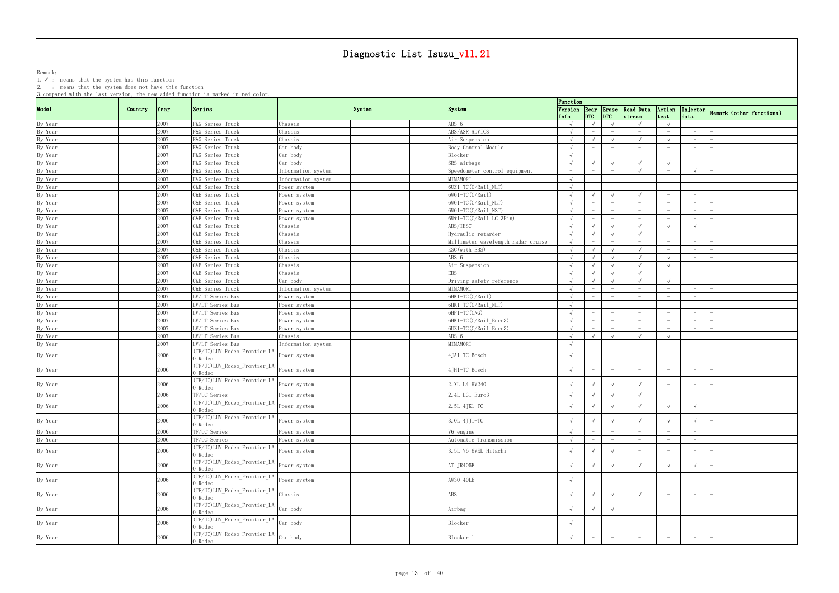Remark: The contract of the contract of  $\mathbb{R}$  and  $\mathbb{R}$  are contract of  $\mathbb{R}$  and  $\mathbb{R}$  are contract of  $\mathbb{R}$  and  $\mathbb{R}$  are contract of  $\mathbb{R}$  and  $\mathbb{R}$  are contract of  $\mathbb{R}$  and  $\mathbb{R}$  are cont 1.√ : means that the system has this function

|         |         |              | 3. compared with the last version, the new added function is marked in red color.                                                                                                                                                        |                    |        |                                    | Function                 |                                        |                                               |                                               |                                 |                                 |                                   |
|---------|---------|--------------|------------------------------------------------------------------------------------------------------------------------------------------------------------------------------------------------------------------------------------------|--------------------|--------|------------------------------------|--------------------------|----------------------------------------|-----------------------------------------------|-----------------------------------------------|---------------------------------|---------------------------------|-----------------------------------|
| Mode1   | Country | Year         | Series                                                                                                                                                                                                                                   |                    | System | <b>System</b>                      |                          |                                        |                                               | Version Rear Erase Read Data                  | Action                          |                                 | Injector Remark (other functions) |
|         |         |              |                                                                                                                                                                                                                                          |                    |        |                                    | Info                     | $ $ <sub>DTC</sub> $ $ <sub>DTC</sub>  |                                               | stream                                        | test                            | data                            |                                   |
| By Year |         | 2007<br>2007 | F&G Series Truck<br>F&G Series Truck                                                                                                                                                                                                     | Chassis<br>Chassis |        | ABS 6<br>ABS/ASR ADVICS            | $\sqrt{ }$<br>$\sqrt{ }$ | $\sqrt{ }$<br>$\overline{\phantom{m}}$ | $\sqrt{ }$<br>$\hspace{0.1mm}-\hspace{0.1mm}$ | $\sqrt{ }$<br>$\hspace{0.1mm}-\hspace{0.1mm}$ | $\overline{\phantom{0}}$        | $-$<br>$-$                      |                                   |
| By Year |         |              |                                                                                                                                                                                                                                          |                    |        |                                    |                          |                                        |                                               |                                               |                                 |                                 |                                   |
| By Year |         | 2007         | F&G Series Truck                                                                                                                                                                                                                         | Chassis            |        | Air Suspension                     | $\sqrt{ }$               | $\sqrt{ }$                             | $\sqrt{ }$                                    | $\sqrt{ }$                                    | $\sqrt{ }$                      | $\overline{\phantom{0}}$        |                                   |
| By Year |         | 2007         | F&G Series Truck                                                                                                                                                                                                                         | Car body           |        | Body Control Module                | $\sqrt{ }$               |                                        | $\hspace{0.1mm}-\hspace{0.1mm}$               | $-$                                           |                                 | $-$                             |                                   |
| By Year |         | 2007         | F&G Series Truck                                                                                                                                                                                                                         | Car body           |        | Blocker                            | $\sqrt{ }$               | $\overline{\phantom{a}}$               |                                               | $\hspace{0.1mm}-\hspace{0.1mm}$               |                                 | $\hspace{0.1mm}-\hspace{0.1mm}$ |                                   |
| By Year |         | 2007         | F&G Series Truck                                                                                                                                                                                                                         | Car body           |        | SRS airbags                        | $\sqrt{ }$               | $\sqrt{ }$                             | $\sqrt{ }$                                    | $\sqrt{ }$                                    |                                 | $-$                             |                                   |
| By Year |         | 2007         | F&G Series Truck                                                                                                                                                                                                                         | Information system |        | Speedometer control equipment      | $\overline{\phantom{a}}$ | $\overline{\phantom{0}}$               | $\hspace{0.1mm}-\hspace{0.1mm}$               | $\sqrt{ }$                                    |                                 | $\sqrt{ }$                      |                                   |
| By Year |         | 2007         | F&G Series Truck                                                                                                                                                                                                                         | Information system |        | MIMAMORI                           | $\sqrt{ }$               | $-$                                    | $-$                                           | $\hspace{0.1mm}-\hspace{0.1mm}$               |                                 | $-$                             |                                   |
| By Year |         | 2007         | C&E Series Truck                                                                                                                                                                                                                         | Power system       |        | $6UZ1-TC(C/Rail NLT)$              | $\sqrt{ }$               | $-$                                    | $\hspace{0.1mm}-\hspace{0.1mm}$               | $\overline{\phantom{0}}$                      | $-$                             | $-$                             |                                   |
| By Year |         | 2007         | C&E Series Truck                                                                                                                                                                                                                         | Power system       |        | 6WG1-TC(C/Rail)                    | $\sqrt{ }$               |                                        | $\sqrt{ }$                                    |                                               |                                 |                                 |                                   |
| By Year |         | 2007         | C&E Series Truck                                                                                                                                                                                                                         | Power system       |        | $6WG1-TC(C/Rai1 NLT)$              | $\sqrt{ }$               |                                        | $\hspace{0.1mm}-\hspace{0.1mm}$               |                                               |                                 | $\hspace{0.1mm}-\hspace{0.1mm}$ |                                   |
| By Year |         | 2007         | C&E Series Truck                                                                                                                                                                                                                         | Power system       |        | 6WG1-TC(C/Rail_NST)                | $\sqrt{ }$               | $\overline{\phantom{m}}$               | $\overline{\phantom{m}}$                      | $\hspace{0.1mm}-\hspace{0.1mm}$               |                                 | $\hspace{0.1mm}-\hspace{0.1mm}$ |                                   |
| By Year |         | 2007         | C&E Series Truck                                                                                                                                                                                                                         | Power system       |        | $6W*1-TC(C/Rail LC3Pin)$           |                          |                                        |                                               | $\hspace{0.1mm}-\hspace{0.1mm}$               |                                 | $\overline{\phantom{0}}$        |                                   |
| By Year |         | 2007         | C&E Series Truck                                                                                                                                                                                                                         | Chassis            |        | ABS/IESC                           |                          | $\sqrt{ }$                             | $\sqrt{ }$                                    |                                               |                                 |                                 |                                   |
| By Year |         | 2007         | C&E Series Truck                                                                                                                                                                                                                         | Chassis            |        | Hydraulic retarder                 | $\sqrt{ }$               | $\sqrt{ }$                             |                                               |                                               |                                 | $-$                             |                                   |
| By Year |         | 2007         | C&E Series Truck                                                                                                                                                                                                                         | Chassis            |        | Millimeter wavelength radar cruise | $\sqrt{ }$               | $\overline{\phantom{m}}$               | $\hspace{0.1mm}-\hspace{0.1mm}$               | $\hspace{0.1mm}-\hspace{0.1mm}$               |                                 | $-$                             |                                   |
| By Year |         | 2007         | C&E Series Truck                                                                                                                                                                                                                         | Chassis            |        | ESC(with EBS)                      | $\sqrt{ }$               | $\sqrt{ }$                             | $\sqrt{ }$                                    |                                               |                                 | $\overline{\phantom{0}}$        |                                   |
| By Year |         | 2007         | C&E Series Truck                                                                                                                                                                                                                         | Chassis            |        | ABS 6                              | $\sqrt{ }$               | $\sqrt{ }$                             | $\sqrt{ }$                                    |                                               |                                 | $-$                             |                                   |
| By Year |         | 2007         | C&E Series Truck                                                                                                                                                                                                                         | Chassis            |        | Air Suspension                     | $\sqrt{ }$               | $\sqrt{ }$                             | $\sqrt{ }$                                    | $\sqrt{ }$                                    | $\sqrt{ }$                      | $\overline{\phantom{0}}$        |                                   |
| By Year |         | 2007         | C&E Series Truck                                                                                                                                                                                                                         | Chassis            |        | <b>EBS</b>                         | $\sqrt{ }$               | $\sqrt{ }$                             | $\sqrt{ }$                                    | $\sqrt{ }$                                    | $-$                             | $\overline{\phantom{0}}$        |                                   |
| By Year |         | 2007         | C&E Series Truck                                                                                                                                                                                                                         | Car body           |        | Driving safety reference           | $\sqrt{ }$               | $\sqrt{ }$                             | $\sqrt{ }$                                    | $\sqrt{ }$                                    |                                 |                                 |                                   |
| By Year |         | 2007         | C&E Series Truck                                                                                                                                                                                                                         | Information system |        | MIMAMORI                           | $\sqrt{ }$               | $-$                                    | $-$                                           | $\sim$                                        | $\overline{\phantom{a}}$        | $-$                             |                                   |
| By Year |         | 2007         | LV/LT Series Bus                                                                                                                                                                                                                         | Power system       |        | 6HK1-TC(C/Rail)                    | $\sqrt{ }$               | $-$                                    | $-$                                           | $-$                                           | $-$                             | $-$                             |                                   |
|         |         | 2007         |                                                                                                                                                                                                                                          |                    |        | 6HK1-TC(C/Rail_NLT)                | $\sqrt{ }$               |                                        |                                               | $\hspace{0.1mm}-\hspace{0.1mm}$               | $\hspace{0.1mm}-\hspace{0.1mm}$ | $\hspace{0.1mm}-\hspace{0.1mm}$ |                                   |
| By Year |         | 2007         | LV/LT Series Bus                                                                                                                                                                                                                         | Power system       |        | 6HF1-TC (CNG)                      | $\sqrt{ }$               |                                        |                                               |                                               |                                 |                                 |                                   |
| By Year |         |              | LV/LT Series Bus                                                                                                                                                                                                                         | Power system       |        |                                    |                          |                                        |                                               | $\hspace{0.1mm}-\hspace{0.1mm}$               |                                 | $\overline{\phantom{0}}$        |                                   |
| By Year |         | 2007         | LV/LT Series Bus                                                                                                                                                                                                                         | Power system       |        | 6HK1-TC(C/Rail_Euro3)              | $\sqrt{ }$               |                                        |                                               | $\hspace{0.1mm}-\hspace{0.1mm}$               |                                 | $\hspace{0.1mm}-\hspace{0.1mm}$ |                                   |
| By Year |         | 2007         | LV/LT Series Bus                                                                                                                                                                                                                         | Power system       |        | 6UZ1-TC(C/Rail_Euro3)              | $\sqrt{ }$               | $\overline{\phantom{m}}$               |                                               | $\hspace{0.1mm}-\hspace{0.1mm}$               |                                 | $-$                             |                                   |
| By Year |         | 2007         | LV/LT Series Bus                                                                                                                                                                                                                         | Chassis            |        | ABS 6                              | $\sqrt{ }$               | $\sqrt{ }$                             | $\sqrt{ }$                                    |                                               |                                 |                                 |                                   |
| By Year |         | 2007         | LV/LT Series Bus                                                                                                                                                                                                                         | Information system |        | MIMAMORI                           | $\sqrt{ }$               | $\hspace{0.1mm}-\hspace{0.1mm}$        | $\hspace{0.1mm}-\hspace{0.1mm}$               | $\hspace{0.1mm}-\hspace{0.1mm}$               |                                 | $\hspace{0.1mm}-\hspace{0.1mm}$ |                                   |
| By Year |         | 2006         | (TF/UC)LUV_Rodeo_Frontier_LA<br>) Rodeo                                                                                                                                                                                                  | Power system       |        | 4JA1-TC Bosch                      |                          |                                        | $\hspace{0.1mm}-\hspace{0.1mm}$               | $\overline{\phantom{a}}$                      |                                 | $\hspace{0.1mm}-\hspace{0.1mm}$ |                                   |
| By Year |         | 2006         | (TF/UC)LUV_Rodeo_Frontier_LA<br>) Rodeo                                                                                                                                                                                                  | Power system       |        | 4JH1-TC Bosch                      |                          | $\overline{\phantom{a}}$               | $ \,$                                         | $\hspace{0.1mm}-\hspace{0.1mm}$               |                                 | $-$                             |                                   |
| By Year |         | 2006         | (TF/UC)LUV_Rodeo_Frontier_LA<br>) Rodeo                                                                                                                                                                                                  | Power system       |        | 2. XL L4 HV240                     |                          |                                        | $\sqrt{ }$                                    |                                               |                                 |                                 |                                   |
|         |         |              |                                                                                                                                                                                                                                          |                    |        |                                    |                          |                                        |                                               |                                               |                                 |                                 |                                   |
| By Year |         | 2006         | TF/UC Series                                                                                                                                                                                                                             | Power system       |        | 2.4L LG1 Euro3                     |                          | $\sqrt{ }$                             | $\sqrt{ }$                                    |                                               |                                 |                                 |                                   |
| By Year |         | 2006         | The Contract of Trend (TF/UC) LUV_Rodeo_Frontier_LA Power system<br>0 Rodeo                                                                                                                                                              |                    |        | 2.5L 4JK1-TC                       |                          |                                        | $\sqrt{ }$                                    |                                               |                                 |                                 |                                   |
| By Year |         | 2006         | (TF/UC)LUV_Rodeo_Frontier_LA<br>O Rodeo                                                                                                                                                                                                  | Power system       |        | 3. OL 4JJ1-TC                      | $\sqrt{ }$               | $\sqrt{ }$                             | $\sqrt{ }$                                    | $\sqrt{ }$                                    |                                 | $\sqrt{ }$                      |                                   |
| By Year |         | 2006         | TF/UC Series                                                                                                                                                                                                                             | Power system       |        | V6 engine                          | $\sqrt{ }$               | $\overline{\phantom{m}}$               | $\hspace{0.1mm}-\hspace{0.1mm}$               | $-$                                           | $-$                             | $-$                             |                                   |
| By Year |         | 2006         | TF/UC Series                                                                                                                                                                                                                             | Power system       |        | Automatic Transmission             | $\sqrt{ }$               | $\overline{\phantom{a}}$               | $\hspace{0.1mm}-\hspace{0.1mm}$               | $-$                                           | $\overline{\phantom{0}}$        | $\overline{\phantom{0}}$        |                                   |
| By Year |         | 2006         | (TF/UC)LUV_Rodeo_Frontier_LA<br>) Rodeo                                                                                                                                                                                                  | Power system       |        | 3.5L V6 6VEL Hitachi               | $\sqrt{ }$               | $\sqrt{ }$                             | $\sqrt{ }$                                    | $\hspace{0.1mm}-\hspace{0.1mm}$               |                                 | $-$                             |                                   |
| By Year |         | 2006         | (TF/UC)LUV_Rodeo_Frontier_LA<br>0 Rodeo                                                                                                                                                                                                  | Power system       |        | AT JR405E                          |                          | $\sqrt{ }$                             | $\sqrt{ }$                                    |                                               |                                 | $\sqrt{ }$                      |                                   |
| By Year |         | 2006         | (TF/UC)LUV_Rodeo_Frontier_LA                                                                                                                                                                                                             | Power system       |        | AW30-40LE                          |                          | $\overline{\phantom{a}}$               | $ \,$                                         | $\hspace{0.1mm}-\hspace{0.1mm}$               |                                 | $\hspace{0.1mm}-\hspace{0.1mm}$ |                                   |
|         |         |              | ) Rodeo                                                                                                                                                                                                                                  |                    |        |                                    |                          |                                        |                                               |                                               |                                 |                                 |                                   |
| By Year |         | 2006         | THE CONSIDER TO THE CHANGE OF THE CHASS OF THE CHASS OF THE CHASS OF THE CHASS OF THE CHASS OF THE CHASS OF THE CHASS OF THE CHASS OF THE CHANGE OF THE CHANGE OF THE CHANGE OF THE CHANGE OF THE CHANGE OF THE CHANGE OF THE<br>0 Rodeo |                    |        | ABS                                |                          | $\sqrt{ }$                             | $\sqrt{ }$                                    | $\sqrt{ }$                                    |                                 | $\overline{\phantom{0}}$        |                                   |
| By Year |         | 2006         | $\sqrt{\text{TF/UC/LUV\_Rodeo\_Frontier\_LA}}$ $\text{Car body}$<br>0 Rodeo                                                                                                                                                              |                    |        | Airbag                             |                          | $\sqrt{ }$                             | $\sqrt{ }$                                    | $\hspace{0.1mm}-\hspace{0.1mm}$               |                                 | $\overline{\phantom{0}}$        |                                   |
| By Year |         | 2006         | (TF/UC)LUV_Rodeo_Frontier_LA                                                                                                                                                                                                             | Car body           |        | Blocker                            | $\sqrt{ }$               | $\overline{\phantom{a}}$               | $ \,$                                         |                                               |                                 |                                 |                                   |
| By Year |         | 2006         | ) Rodeo<br>$T$ (TF/UC) LUV_Rodeo_Frontier_LA $\int_{Car}$ body                                                                                                                                                                           |                    |        | Blocker 1                          |                          | $\hspace{0.1mm}-\hspace{0.1mm}$        | $\hspace{0.1mm}-\hspace{0.1mm}$               | $\overline{\phantom{m}}$                      | $\overline{\phantom{a}}$        | $\overline{\phantom{0}}$        |                                   |
|         |         |              | 0 Rodeo                                                                                                                                                                                                                                  |                    |        |                                    |                          |                                        |                                               |                                               |                                 |                                 |                                   |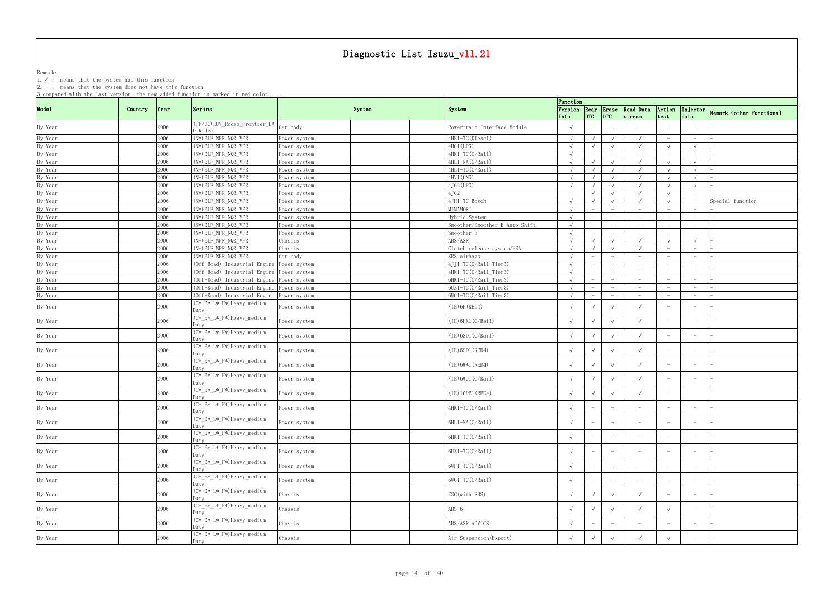Remark: The contract of the contract of  $\mathbb{R}$  and  $\mathbb{R}$  are contract of  $\mathbb{R}$  and  $\mathbb{R}$  are contract of  $\mathbb{R}$  and  $\mathbb{R}$  are contract of  $\mathbb{R}$  and  $\mathbb{R}$  are contract of  $\mathbb{R}$  and  $\mathbb{R}$  are cont

1.√ : means that the system has this function

|                               |         |              | 3. compared with the last version, the new added function is marked in red color.      |                              |                                                | Function                                      |                          |                 |                                 |                                        |                                   |                                                      |                                      |
|-------------------------------|---------|--------------|----------------------------------------------------------------------------------------|------------------------------|------------------------------------------------|-----------------------------------------------|--------------------------|-----------------|---------------------------------|----------------------------------------|-----------------------------------|------------------------------------------------------|--------------------------------------|
| Mode1                         | Country | Year         | Series                                                                                 | System                       | System                                         | Info                                          |                          | $ $ DTC $ $ DTC |                                 | Version Rear Erase Read Data<br>stream | Action<br>test                    |                                                      | Injector<br>Remark (other functions) |
| By Year                       |         | 2006         | (TF/UC)LUV_Rodeo_Frontier_LA  <br>0 Rodeo                                              | Car body                     | Powertrain Interface Module                    |                                               |                          |                 |                                 |                                        |                                   |                                                      |                                      |
| By Year                       |         | 2006         | (N*) ELF_NPR_NQR_VFR                                                                   | ower system                  | 4HE1-TC(Diesel)                                | $\sqrt{ }$                                    |                          |                 | $\sqrt{ }$                      |                                        |                                   | $\hspace{0.1mm}-\hspace{0.1mm}$                      |                                      |
| By Year                       |         | 2006         | $(N*)$ ELF_NPR_NQR_VFR                                                                 | Power system                 | 4HG1 (LPG)                                     | $\sqrt{ }$                                    |                          |                 | $\sqrt{ }$                      | $\sqrt{ }$                             |                                   | $\sqrt{ }$                                           |                                      |
| By Year                       |         | 2006         | $(N*) ELF_NPR_NQR_VFR$                                                                 | ower system                  | 4HK1-TC(C/Rail)                                | $\sqrt{ }$                                    |                          |                 | $\hspace{0.1mm}-\hspace{0.1mm}$ | $\hspace{0.1mm}-\hspace{0.1mm}$        | $\hspace{0.1mm}-\hspace{0.1mm}$   | $\hspace{0.1mm}-\hspace{0.1mm}$                      |                                      |
| By Year<br>By Year            |         | 2006         | $(N*)$ ELF NPR NQR VFR                                                                 | Power system                 | 4HL1-NA(C/Rail)                                | $\sqrt{ }$                                    |                          |                 |                                 | $\sqrt{ }$                             |                                   |                                                      |                                      |
|                               |         | 2006         | (N*) ELF_NPR_NQR_VFR                                                                   | Power system                 | 4HL1-TC(C/Rail)                                | $\sqrt{ }$                                    |                          |                 | $\sqrt{ }$                      | $\sqrt{ }$                             |                                   |                                                      |                                      |
| By Year                       |         | 2006         | $(N*)$ ELF_NPR_NQR_VFR                                                                 | Power system                 | 4HV1 (CNG)                                     | $\sqrt{ }$                                    |                          |                 | $\sqrt{ }$                      | $\sqrt{ }$                             |                                   | $\sqrt{ }$                                           |                                      |
| By Year<br>By Year            |         | 2006<br>2006 | (N*) ELF_NPR_NQR_VFR<br>$(N*)$ ELF_NPR_NQR_VFR                                         | Power system                 | $4JG2$ (LPG)<br>4JG2                           | $\sqrt{ }$<br>$\hspace{0.1mm}-\hspace{0.1mm}$ |                          |                 | $\sqrt{ }$<br>$\sqrt{ }$        | $\sqrt{ }$                             |                                   | $\sqrt{ }$<br>$\overline{\phantom{0}}$               |                                      |
| By Year                       |         | 2006         | (N*) ELF_NPR_NQR_VFR                                                                   | Power system<br>Power system | 4JH1-TC Bosch                                  | $\sqrt{ }$                                    |                          |                 | $\sqrt{ }$                      | $\sqrt{ }$                             |                                   |                                                      | Special function                     |
| By Year                       |         | 2006         | $(N*)$ ELF_NPR_NQR_VFR                                                                 | ower system                  | MIMAMORI                                       | $\sqrt{ }$                                    |                          |                 |                                 | $-$                                    |                                   | $\hspace{0.1mm}-\hspace{0.1mm}$                      |                                      |
| By Year                       |         | 2006         | (N*) ELF_NPR_NQR_VFR                                                                   | Power system                 | Hybrid System                                  | $\sqrt{ }$                                    |                          |                 |                                 | $\overline{\phantom{0}}$               |                                   |                                                      |                                      |
| By Year                       |         | 2006         | $(N*)$ ELF_NPR_NQR_VFR                                                                 | Power system                 | Smoother/Smoother-E Auto Shift                 | $\sqrt{ }$                                    |                          |                 |                                 | $\overline{\phantom{m}}$               |                                   |                                                      |                                      |
| By Year                       |         | 2006         | (N*) ELF_NPR_NQR_VFR                                                                   | Power system                 | Smoother-E                                     | $\sqrt{ }$                                    |                          |                 | $\overline{\phantom{a}}$        | $ \,$                                  |                                   | $ \,$                                                |                                      |
| By Year                       |         | 2006         | $(N*)$ ELF_NPR_NQR_VFR                                                                 | Chassis                      | ABS/ASR                                        | $\sqrt{ }$                                    |                          |                 | $\sqrt{ }$                      | $\sqrt{ }$                             |                                   | $\sqrt{ }$                                           |                                      |
| By Year                       |         | 2006         | $(N*)$ ELF_NPR_NQR_VFR                                                                 | Chassis                      | Clutch release system/HSA                      |                                               |                          |                 | $\sqrt{ }$                      | $\sqrt{ }$                             | $\hspace{0.1mm}-\hspace{0.1mm}$   | $\overline{\phantom{0}}$                             |                                      |
| By Year                       |         | 2006         | $(N*)$ ELF NPR NQR VFR                                                                 | Car body                     | SRS airbags                                    |                                               |                          |                 | $\overline{\phantom{a}}$        | $ \,$                                  |                                   | $-$                                                  |                                      |
|                               |         | 2006<br>2006 | (Off-Road) Industrial Engine Power system<br>(Off-Road) Industrial Engine Power system |                              | 4JJ1-TC(C/Rail_Tier3)<br>4HK1-TC(C/Rail_Tier3) | $\sqrt{ }$<br>$\sqrt{ }$                      |                          |                 | $\qquad \qquad -$               | $-$<br>$\overline{\phantom{0}}$        |                                   | $\overline{\phantom{0}}$<br>$\overline{\phantom{0}}$ |                                      |
| By Year<br>By Year<br>By Year |         | 2006         | (Off-Road) Industrial Engine Power system                                              |                              | 6HK1-TC(C/Rail_Tier3)                          | $\sqrt{ }$                                    |                          |                 |                                 | $\hspace{0.1mm}-\hspace{0.1mm}$        |                                   | $\overline{\phantom{0}}$                             |                                      |
| By Year                       |         | 2006         | (Off-Road) Industrial Engine Power system                                              |                              | 6UZ1-TC(C/Rail_Tier3)                          | $\sqrt{ }$                                    | $\overline{\phantom{a}}$ |                 | $\hspace{0.1mm}-\hspace{0.1mm}$ | $ \,$                                  |                                   | $-$                                                  |                                      |
| By Year                       |         | 2006         | (Off-Road) Industrial Engine Power system                                              |                              | 6WG1-TC(C/Rail_Tier3)                          | $\sqrt{ }$                                    |                          |                 | $\overline{\phantom{a}}$        | $ \,$                                  | $\overline{\phantom{a}}$          | $\hspace{0.1mm}-\hspace{0.1mm}$                      |                                      |
| By Year                       |         | 2006         | (C*_E*_L*_F*)Heavy_medium<br>Duty                                                      | Power system                 | $(IE)$ 6H (RED4)                               |                                               |                          |                 | $\sqrt{ }$                      | $\sqrt{ }$                             |                                   |                                                      |                                      |
| By Year                       |         | 2006         | (C*_E*_L*_F*)Heavy_medium<br>Dutv                                                      | Power system                 | (IE) 6HK1 (C/Rai1)                             |                                               |                          |                 | $\sqrt{ }$                      | $\sqrt{ }$                             |                                   |                                                      |                                      |
| By Year                       |         | 2006         | (C*_E*_L*_F*)Heavy_medium<br>Dutv                                                      | ower system                  | $(IE)$ 6SD1 $(C/Rai1)$                         | $\sqrt{ }$                                    |                          |                 | $\sqrt{ }$                      | $\sqrt{ }$                             |                                   | $\hspace{0.1mm}-\hspace{0.1mm}$                      |                                      |
| By Year                       |         | 2006         | (C*_E*_L*_F*)Heavy_medium<br>Duty                                                      | Power system                 | (IE) 6SD1 (RED4)                               |                                               |                          |                 | $\sqrt{ }$                      |                                        | $\overline{\phantom{a}}$          | $\overline{\phantom{0}}$                             |                                      |
| By Year                       |         | 2006         | $\overline{(C*_{E}*_{L}*_{F}*)}$ Heavy_medium<br>)utv                                  | Power system                 | $(IE) 6W*1 (RED4)$                             |                                               |                          |                 | $\sqrt{ }$                      |                                        |                                   | $\overline{\phantom{0}}$                             |                                      |
| By Year                       |         | 2006         | (C*_E*_L*_F*)Heavy_medium<br>Dutv                                                      | Power system                 | (IE) 6WG1 (C/Rai1)                             |                                               | $\sqrt{ }$               |                 | $\sqrt{ }$                      | $\sqrt{ }$                             |                                   | $\overline{\phantom{0}}$                             |                                      |
| By Year                       |         | 2006         | (C*_E*_L*_F*)Heavy_medium<br>Dutv                                                      | Power system                 | (IE) 10PE1 (RED4)                              |                                               |                          |                 | $\sqrt{ }$                      | $\sqrt{ }$                             |                                   |                                                      |                                      |
| By Year                       |         | 2006         | $(C*E*L*F*)$ Heavy_medium<br>Duty                                                      | Power system                 | 4HK1-TC(C/Rail)                                | $\sqrt{ }$                                    |                          |                 |                                 |                                        |                                   |                                                      |                                      |
| By Year                       |         | 2006         | (C*_E*_L*_F*)Heavy_medium<br>Duty                                                      | Power system                 | 6HL1-NA(C/Rail)                                |                                               | $-$                      |                 | $\overline{\phantom{0}}$        | $\hspace{0.1mm}-\hspace{0.1mm}$        | $\hspace{0.1mm}-\hspace{0.1mm}$   | $\overline{\phantom{0}}$                             |                                      |
| By Year                       |         | 2006         | $(C*E*L*F*)$ Heavy_medium<br>)uty                                                      | Power system                 | 6HK1-TC(C/Rail)                                |                                               | $\overline{\phantom{a}}$ |                 | $-$                             | $\hspace{0.1mm}-\hspace{0.1mm}$        |                                   | $\overline{\phantom{0}}$                             |                                      |
| By Year                       |         | 2006         | (C*_E*_L*_F*)Heavy_medium<br>Duty                                                      | Power system                 | 6UZ1-TC(C/Rail)                                |                                               | $\overline{\phantom{m}}$ |                 | $\hspace{0.1mm}-\hspace{0.1mm}$ | $\overline{\phantom{m}}$               | $\hspace{1.0cm} - \hspace{1.0cm}$ | $\overline{\phantom{m}}$                             |                                      |
| By Year                       |         | 2006         | (C*_E*_L*_F*)Heavy_medium<br>Dutv                                                      | Power system                 | 6WF1-TC(C/Rail)                                |                                               | $\overline{\phantom{m}}$ |                 | $-$                             | $\overline{\phantom{m}}$               | $\hspace{0.1mm}-\hspace{0.1mm}$   | $\hspace{0.1mm}-\hspace{0.1mm}$                      |                                      |
| By Year                       |         | 2006         | (C*_E*_L*_F*)Heavy_medium<br>Duty                                                      | Power system                 | $6WG1-TC(C/Rai1)$                              |                                               |                          |                 | $\overline{\phantom{0}}$        |                                        |                                   |                                                      |                                      |
| By Year                       |         | 2006         | (C*_E*_L*_F*)Heavy_medium<br>Dutv                                                      | Chassis                      | ESC (with EBS)                                 |                                               |                          |                 | $\sqrt{ }$                      | $\sqrt{ }$                             |                                   |                                                      |                                      |
| By Year                       |         | 2006         | (C*_E*_L*_F*)Heavy_medium<br>Dutv                                                      | Chassis                      | ABS 6                                          | $\sqrt{ }$                                    | $\sqrt{ }$               |                 | $\sqrt{ }$                      | $\sqrt{ }$                             |                                   |                                                      |                                      |
| By Year                       |         | 2006         | (C*_E*_L*_F*)Heavy_medium<br>Duty                                                      | Chassis                      | ABS/ASR ADVICS                                 |                                               | $-$                      |                 | $\overline{\phantom{0}}$        | $\hspace{0.1mm}-\hspace{0.1mm}$        | $\overline{\phantom{m}}$          | $\hspace{0.1mm}-\hspace{0.1mm}$                      |                                      |
| By Year                       |         | 2006         | (C*_E*_L*_F*)Heavy_medium<br>Duty                                                      | Chassis                      | Air Suspension (Export)                        | $\sqrt{ }$                                    | $\sqrt{ }$               |                 | $\sqrt{ }$                      | $\sqrt{ }$                             |                                   | $\overline{\phantom{0}}$                             |                                      |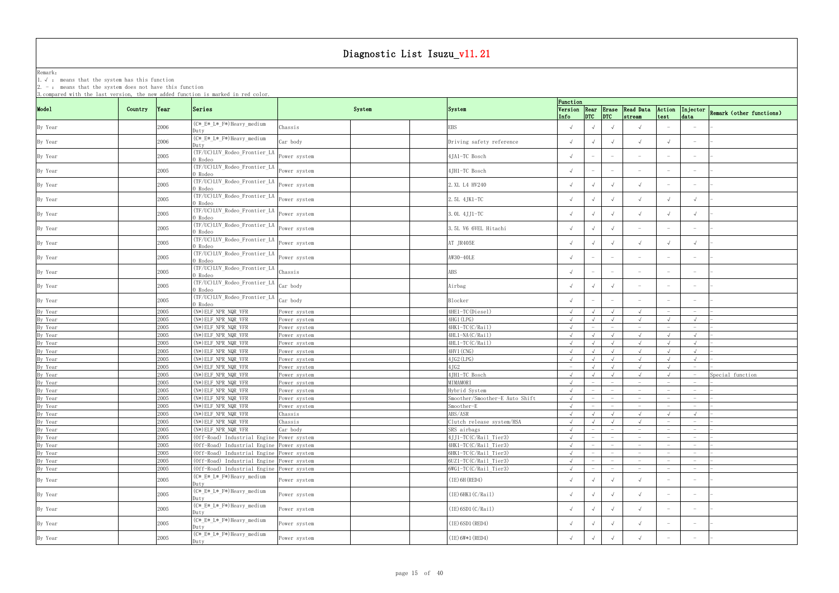Remark: The contract of the contract of  $\mathbb{R}$  and  $\mathbb{R}$  are contract of  $\mathbb{R}$  and  $\mathbb{R}$  are contract of  $\mathbb{R}$  and  $\mathbb{R}$  are contract of  $\mathbb{R}$  and  $\mathbb{R}$  are contract of  $\mathbb{R}$  and  $\mathbb{R}$  are cont

1.√ : means that the system has this function

| Model<br>Series<br>Version Rear Erase Read Data<br>Country<br>System<br>Action<br> Year <br>System<br>$ $ <sub>DTC</sub> $ $ <sub>DTC</sub><br>test<br>data<br>Info<br>stream<br>(C*_E*_L*_F*)Heavy_medium<br>2006<br>By Year<br>EBS<br>$\sqrt{ }$<br>Chassis<br>$\sqrt{ }$<br>$\sqrt{ }$<br>Dutv<br>(C*_E*_L*_F*)Heavy_medium<br>2006<br>Car body<br>By Year<br>Driving safety reference<br>$\sqrt{ }$<br>$\sqrt{ }$<br>Duty<br>(TF/UC)LUV_Rodeo_Frontier_LA<br>2005<br>4JA1-TC Bosch<br>By Year<br>Power system<br>$\hspace{0.1mm}-\hspace{0.1mm}$<br>$\hspace{0.1mm}-\hspace{0.1mm}$<br>0 Rodeo<br>(TF/UC)LUV_Rodeo_Frontier_LA<br>2005<br>4JH1-TC Bosch<br>By Year<br>Power system<br>$\sqrt{ }$<br>$\hspace{0.1mm}-\hspace{0.1mm}$<br>) Rodeo<br>(TF/UC)LUV_Rodeo_Frontier_LA<br>2005<br>2. XL L4 HV240<br>By Year<br>Power system<br>$\sqrt{ }$<br>$\sqrt{ }$<br>$\qquad \qquad -$<br>$\overline{\phantom{a}}$<br>0 Rodeo<br>(TF/UC)LUV_Rodeo_Frontier_LA<br>2005<br>2.5L 4JK1-TC<br>By Year<br>Power system<br>$\sqrt{ }$<br>$\sqrt{ }$<br>$\sqrt{ }$<br>$\sqrt{ }$<br>) Rodeo<br>(TF/UC)LUV_Rodeo_Frontier_LA<br>2005<br>3.0L 4JJ1-TC<br>By Year<br>Power system<br>$\sqrt{ }$<br>$\sqrt{ }$<br>0 Rodeo<br>(TF/UC)LUV_Rodeo_Frontier_LA<br>By Year<br>2005<br>3.5L V6 6VEL Hitachi<br>Power system<br>$\sqrt{ }$<br>$\hspace{0.1mm}-\hspace{0.1mm}$<br>0 Rodeo<br>(TF/UC)LUV_Rodeo_Frontier_LA<br>2005<br>Power system<br>By Year<br>AT JR405E<br>$\sqrt{ }$<br>$\sqrt{ }$<br>$\sqrt{ }$<br>0 Rodeo<br>(TF/UC)LUV_Rodeo_Frontier_LA<br>2005<br>By Year<br>AW30-40LE<br>Power system<br>$\hspace{0.1mm}-\hspace{0.1mm}$<br>$\overline{\phantom{m}}$<br>$\hspace{0.1mm}-\hspace{0.1mm}$<br>0 Rodeo<br>(TF/UC)LUV_Rodeo_Frontier_LA Chassis<br>2005<br>ABS<br>By Year<br>$\sqrt{ }$<br>$\hspace{0.1mm}-\hspace{0.1mm}$<br>$\overline{\phantom{a}}$<br>0 Rodeo<br>(TF/UC)LUV_Rodeo_Frontier_LA<br>Car body<br>2005<br>By Year<br>$\sqrt{ }$<br>Airbag<br>$\hspace{0.1mm}-\hspace{0.1mm}$<br>$\overline{\phantom{a}}$<br>$\hspace{0.1mm}-\hspace{0.1mm}$<br>0 Rodeo<br>THE CITY CONTROL CONTROLLER CONTROLLER CAT body<br>2005<br>By Year<br>Blocker<br>$\overline{\phantom{m}}$<br>$\hspace{0.1mm}-\hspace{0.1mm}$<br>$\overline{\phantom{m}}$<br>$\hspace{0.1mm}-\hspace{0.1mm}$<br>0 Rodeo<br>By Year<br>2005<br>(N*) ELF_NPR_NQR_VFR<br>4HE1-TC(Diesel)<br>Power system<br>$\sqrt{ }$<br>$\sqrt{ }$<br>$\sqrt{ }$<br>$\overline{\phantom{0}}$<br>By Year<br>(N*) ELF_NPR_NQR_VFR<br>4HG1 (LPG)<br>2005<br>Power system<br>$\sqrt{ }$<br>$\sqrt{ }$<br>2005<br>4HK1-TC(C/Rail)<br>(N*) ELF_NPR_NQR_VFR<br>By Year<br>$\sqrt{ }$<br>Power system<br>$ \,$<br>$-$<br>By Year<br>2005<br>4HL1-NA(C/Rail)<br>(N*) ELF_NPR_NQR_VFR<br>$\sqrt{ }$<br>$\sqrt{ }$<br>$\sqrt{ }$<br>Power system<br>By Year<br>By Year<br>2005<br>$(N*)$ ELF_NPR_NQR_VFR<br>4HL1-TC(C/Rail)<br>$\sqrt{ }$<br>Power system<br>$\sqrt{ }$<br>$\sqrt{ }$<br>$\sqrt{ }$<br>2005<br>$(N*)$ ELF_NPR_NQR_VFR<br>4HV1 (CNG)<br>$\sqrt{ }$<br>$\sqrt{ }$<br>$\sqrt{ }$<br>$\sqrt{ }$<br>Power system<br>By Year<br>2005<br>(N*) ELF_NPR_NQR_VFR<br>4JG2 (LPG)<br>$\sqrt{ }$<br>$\sqrt{ }$<br>Power system<br>$\sqrt{ }$<br>$\sqrt{ }$<br>2005<br>(N*) ELF_NPR_NQR_VFR<br>4JG2<br>By Year<br>$\sqrt{ }$<br>Power system<br>$\sqrt{ }$<br>$\hspace{0.1mm}-\hspace{0.1mm}$<br>$-$<br>2005<br>4JH1-TC Bosch<br>$(N*)$ ELF_NPR_NQR_VFR<br>By Year<br>$\sqrt{ }$<br>$\sqrt{ }$<br>Power system<br>$\sqrt{ }$<br>2005<br>MIMAMORI<br>By Year<br>$(N*)$ ELF_NPR_NQR_VFR<br>Power system<br>$\sqrt{ }$<br>$ \,$<br>$\overline{\phantom{m}}$<br>$-$<br>2005<br>$(N*)$ ELF_NPR_NQR_VFR<br>By Year<br>Hybrid System<br>Power system<br>$\sqrt{ }$<br>$\overline{\phantom{a}}$<br>$\hspace{0.1mm}-\hspace{0.1mm}$<br>By Year<br>By Year<br>By Year<br>2005<br>Smoother/Smoother-E Auto Shift<br>(N*) ELF_NPR_NQR_VFR<br>Power system<br>$\sqrt{ }$<br>$-$<br>$\overline{\phantom{0}}$<br>$-$<br>$\overline{\phantom{0}}$<br>$(N*)$ ELF_NPR_NQR_VFR<br>2005<br>Smoother-E<br>$\sqrt{ }$<br>Power system<br>2005<br>$(N*)$ ELF_NPR_NQR_VFR<br>ABS/ASR<br>$\sqrt{ }$<br>$\sqrt{ }$<br>$\sqrt{ }$<br>$\sqrt{ }$<br>Chassis<br>By Year<br>2005<br>(N*) ELF_NPR_NQR_VFR<br>Chassis<br>Clutch release system/HSA<br>$\sqrt{ }$<br>$\sqrt{ }$<br>$\sqrt{ }$<br>$ \,$<br>By Year<br>2005<br>$(N*)$ ELF_NPR_NQR_VFR<br>Car body<br>SRS airbags<br>$\sqrt{ }$<br>$\sim$<br>$\overline{\phantom{m}}$<br>$-$<br>$\hspace{0.1mm}-\hspace{0.1mm}$<br>(Off-Road) Industrial Engine Power system<br>4JJ1-TC(C/Rail_Tier3)<br>2005<br>By Year<br>$\sqrt{ }$<br>$\overline{\phantom{m}}$<br>$\sim$<br>2005<br>4HK1-TC(C/Rail_Tier3)<br>(Off-Road) Industrial Engine<br>By Year<br>Power system<br>$\sqrt{ }$<br>$ \,$<br>$-$<br>$\overline{\phantom{m}}$<br>2005<br>(Off-Road) Industrial Engine Power system<br>6HK1-TC(C/Rail_Tier3)<br>By Year<br>$\sqrt{ }$<br>$-$<br>$\overline{\phantom{a}}$<br>$-$<br>By Year<br>2005<br>(Off-Road) Industrial Engine Power system<br>6UZ1-TC(C/Rail_Tier3)<br>$\sqrt{ }$<br>$\overline{\phantom{m}}$<br>$\hspace{0.1mm}-\hspace{0.1mm}$<br>By Year<br>2005<br>6WG1-TC(C/Rail_Tier3)<br>(Off-Road) Industrial Engine Power system<br>$\sqrt{ }$<br>$-$<br>$ \,$<br>$-$<br>$\overline{\phantom{m}}$<br>(C*_E*_L*_F*)Heavy_medium<br>2005<br>$(IE)$ 6H (RED4)<br>By Year<br>Power system<br>$\sqrt{ }$<br>$\sqrt{ }$<br>$\hspace{0.1mm}-\hspace{0.1mm}$<br>Duty<br>(C*_E*_L*_F*)Heavy_medium<br>2005<br>$(IE)$ 6HK1 $(C/Rai1)$<br>By Year<br>Power system<br>$\sqrt{ }$<br>$\sqrt{ }$<br>$\overline{\phantom{0}}$<br>Duty<br>(C*_E*_L*_F*)Heavy_medium<br>2005<br>$(IE)$ 6SD1 $(C/Rai1)$<br>By Year<br>Power system<br>$\sqrt{ }$<br>$\sqrt{ }$<br>$\sqrt{ }$<br>$\sqrt{ }$<br>$\hspace{0.1mm}-\hspace{0.1mm}$<br>Duty<br>(C*_E*_L*_F*)Heavy_medium<br>2005<br>$(IE)$ 6SD1 (RED4)<br>By Year<br>Power system<br>$\sqrt{ }$<br>$\sqrt{ }$<br>Duty<br>(C*_E*_L*_F*)Heavy_medium<br>2005<br>$(IE) 6W*1 (RED4)$<br>By Year<br>Power system<br>$\sqrt{ }$ |  | 3. compared with the last version, the new added function is marked in red color. |  | Function |  |  |                                   |
|-------------------------------------------------------------------------------------------------------------------------------------------------------------------------------------------------------------------------------------------------------------------------------------------------------------------------------------------------------------------------------------------------------------------------------------------------------------------------------------------------------------------------------------------------------------------------------------------------------------------------------------------------------------------------------------------------------------------------------------------------------------------------------------------------------------------------------------------------------------------------------------------------------------------------------------------------------------------------------------------------------------------------------------------------------------------------------------------------------------------------------------------------------------------------------------------------------------------------------------------------------------------------------------------------------------------------------------------------------------------------------------------------------------------------------------------------------------------------------------------------------------------------------------------------------------------------------------------------------------------------------------------------------------------------------------------------------------------------------------------------------------------------------------------------------------------------------------------------------------------------------------------------------------------------------------------------------------------------------------------------------------------------------------------------------------------------------------------------------------------------------------------------------------------------------------------------------------------------------------------------------------------------------------------------------------------------------------------------------------------------------------------------------------------------------------------------------------------------------------------------------------------------------------------------------------------------------------------------------------------------------------------------------------------------------------------------------------------------------------------------------------------------------------------------------------------------------------------------------------------------------------------------------------------------------------------------------------------------------------------------------------------------------------------------------------------------------------------------------------------------------------------------------------------------------------------------------------------------------------------------------------------------------------------------------------------------------------------------------------------------------------------------------------------------------------------------------------------------------------------------------------------------------------------------------------------------------------------------------------------------------------------------------------------------------------------------------------------------------------------------------------------------------------------------------------------------------------------------------------------------------------------------------------------------------------------------------------------------------------------------------------------------------------------------------------------------------------------------------------------------------------------------------------------------------------------------------------------------------------------------------------------------------------------------------------------------------------------------------------------------------------------------------------------------------------------------------------------------------------------------------------------------------------------------------------------------------------------------------------------------------------------------------------------------------------------------------------------------------------------------------------------------------------------------------------------------------------------------------------------------------------------------------------------------------------------------------------------------------------------------------------------------------------------------------------------------------------------------------------------------------------------------------------------------------------------------------------------------------------------------------------------------------------------------------------------------------------------------------------------------------------------------------------------------------------------------------------------------------------------------------------------------------------------------------------------------------------------------------------------------------------------------------------------------------------------------------------------------------------------------------------------------------------------------------------------------------------------------------------------------------------------------------------------------------------------------------------------------------------------------------------------------------|--|-----------------------------------------------------------------------------------|--|----------|--|--|-----------------------------------|
|                                                                                                                                                                                                                                                                                                                                                                                                                                                                                                                                                                                                                                                                                                                                                                                                                                                                                                                                                                                                                                                                                                                                                                                                                                                                                                                                                                                                                                                                                                                                                                                                                                                                                                                                                                                                                                                                                                                                                                                                                                                                                                                                                                                                                                                                                                                                                                                                                                                                                                                                                                                                                                                                                                                                                                                                                                                                                                                                                                                                                                                                                                                                                                                                                                                                                                                                                                                                                                                                                                                                                                                                                                                                                                                                                                                                                                                                                                                                                                                                                                                                                                                                                                                                                                                                                                                                                                                                                                                                                                                                                                                                                                                                                                                                                                                                                                                                                                                                                                                                                                                                                                                                                                                                                                                                                                                                                                                                                                                                                                                                                                                                                                                                                                                                                                                                                                                                                                                                                                                                                               |  |                                                                                   |  |          |  |  | Injector Remark (other functions) |
|                                                                                                                                                                                                                                                                                                                                                                                                                                                                                                                                                                                                                                                                                                                                                                                                                                                                                                                                                                                                                                                                                                                                                                                                                                                                                                                                                                                                                                                                                                                                                                                                                                                                                                                                                                                                                                                                                                                                                                                                                                                                                                                                                                                                                                                                                                                                                                                                                                                                                                                                                                                                                                                                                                                                                                                                                                                                                                                                                                                                                                                                                                                                                                                                                                                                                                                                                                                                                                                                                                                                                                                                                                                                                                                                                                                                                                                                                                                                                                                                                                                                                                                                                                                                                                                                                                                                                                                                                                                                                                                                                                                                                                                                                                                                                                                                                                                                                                                                                                                                                                                                                                                                                                                                                                                                                                                                                                                                                                                                                                                                                                                                                                                                                                                                                                                                                                                                                                                                                                                                                               |  |                                                                                   |  |          |  |  |                                   |
|                                                                                                                                                                                                                                                                                                                                                                                                                                                                                                                                                                                                                                                                                                                                                                                                                                                                                                                                                                                                                                                                                                                                                                                                                                                                                                                                                                                                                                                                                                                                                                                                                                                                                                                                                                                                                                                                                                                                                                                                                                                                                                                                                                                                                                                                                                                                                                                                                                                                                                                                                                                                                                                                                                                                                                                                                                                                                                                                                                                                                                                                                                                                                                                                                                                                                                                                                                                                                                                                                                                                                                                                                                                                                                                                                                                                                                                                                                                                                                                                                                                                                                                                                                                                                                                                                                                                                                                                                                                                                                                                                                                                                                                                                                                                                                                                                                                                                                                                                                                                                                                                                                                                                                                                                                                                                                                                                                                                                                                                                                                                                                                                                                                                                                                                                                                                                                                                                                                                                                                                                               |  |                                                                                   |  |          |  |  |                                   |
|                                                                                                                                                                                                                                                                                                                                                                                                                                                                                                                                                                                                                                                                                                                                                                                                                                                                                                                                                                                                                                                                                                                                                                                                                                                                                                                                                                                                                                                                                                                                                                                                                                                                                                                                                                                                                                                                                                                                                                                                                                                                                                                                                                                                                                                                                                                                                                                                                                                                                                                                                                                                                                                                                                                                                                                                                                                                                                                                                                                                                                                                                                                                                                                                                                                                                                                                                                                                                                                                                                                                                                                                                                                                                                                                                                                                                                                                                                                                                                                                                                                                                                                                                                                                                                                                                                                                                                                                                                                                                                                                                                                                                                                                                                                                                                                                                                                                                                                                                                                                                                                                                                                                                                                                                                                                                                                                                                                                                                                                                                                                                                                                                                                                                                                                                                                                                                                                                                                                                                                                                               |  |                                                                                   |  |          |  |  |                                   |
|                                                                                                                                                                                                                                                                                                                                                                                                                                                                                                                                                                                                                                                                                                                                                                                                                                                                                                                                                                                                                                                                                                                                                                                                                                                                                                                                                                                                                                                                                                                                                                                                                                                                                                                                                                                                                                                                                                                                                                                                                                                                                                                                                                                                                                                                                                                                                                                                                                                                                                                                                                                                                                                                                                                                                                                                                                                                                                                                                                                                                                                                                                                                                                                                                                                                                                                                                                                                                                                                                                                                                                                                                                                                                                                                                                                                                                                                                                                                                                                                                                                                                                                                                                                                                                                                                                                                                                                                                                                                                                                                                                                                                                                                                                                                                                                                                                                                                                                                                                                                                                                                                                                                                                                                                                                                                                                                                                                                                                                                                                                                                                                                                                                                                                                                                                                                                                                                                                                                                                                                                               |  |                                                                                   |  |          |  |  |                                   |
|                                                                                                                                                                                                                                                                                                                                                                                                                                                                                                                                                                                                                                                                                                                                                                                                                                                                                                                                                                                                                                                                                                                                                                                                                                                                                                                                                                                                                                                                                                                                                                                                                                                                                                                                                                                                                                                                                                                                                                                                                                                                                                                                                                                                                                                                                                                                                                                                                                                                                                                                                                                                                                                                                                                                                                                                                                                                                                                                                                                                                                                                                                                                                                                                                                                                                                                                                                                                                                                                                                                                                                                                                                                                                                                                                                                                                                                                                                                                                                                                                                                                                                                                                                                                                                                                                                                                                                                                                                                                                                                                                                                                                                                                                                                                                                                                                                                                                                                                                                                                                                                                                                                                                                                                                                                                                                                                                                                                                                                                                                                                                                                                                                                                                                                                                                                                                                                                                                                                                                                                                               |  |                                                                                   |  |          |  |  |                                   |
|                                                                                                                                                                                                                                                                                                                                                                                                                                                                                                                                                                                                                                                                                                                                                                                                                                                                                                                                                                                                                                                                                                                                                                                                                                                                                                                                                                                                                                                                                                                                                                                                                                                                                                                                                                                                                                                                                                                                                                                                                                                                                                                                                                                                                                                                                                                                                                                                                                                                                                                                                                                                                                                                                                                                                                                                                                                                                                                                                                                                                                                                                                                                                                                                                                                                                                                                                                                                                                                                                                                                                                                                                                                                                                                                                                                                                                                                                                                                                                                                                                                                                                                                                                                                                                                                                                                                                                                                                                                                                                                                                                                                                                                                                                                                                                                                                                                                                                                                                                                                                                                                                                                                                                                                                                                                                                                                                                                                                                                                                                                                                                                                                                                                                                                                                                                                                                                                                                                                                                                                                               |  |                                                                                   |  |          |  |  |                                   |
|                                                                                                                                                                                                                                                                                                                                                                                                                                                                                                                                                                                                                                                                                                                                                                                                                                                                                                                                                                                                                                                                                                                                                                                                                                                                                                                                                                                                                                                                                                                                                                                                                                                                                                                                                                                                                                                                                                                                                                                                                                                                                                                                                                                                                                                                                                                                                                                                                                                                                                                                                                                                                                                                                                                                                                                                                                                                                                                                                                                                                                                                                                                                                                                                                                                                                                                                                                                                                                                                                                                                                                                                                                                                                                                                                                                                                                                                                                                                                                                                                                                                                                                                                                                                                                                                                                                                                                                                                                                                                                                                                                                                                                                                                                                                                                                                                                                                                                                                                                                                                                                                                                                                                                                                                                                                                                                                                                                                                                                                                                                                                                                                                                                                                                                                                                                                                                                                                                                                                                                                                               |  |                                                                                   |  |          |  |  |                                   |
|                                                                                                                                                                                                                                                                                                                                                                                                                                                                                                                                                                                                                                                                                                                                                                                                                                                                                                                                                                                                                                                                                                                                                                                                                                                                                                                                                                                                                                                                                                                                                                                                                                                                                                                                                                                                                                                                                                                                                                                                                                                                                                                                                                                                                                                                                                                                                                                                                                                                                                                                                                                                                                                                                                                                                                                                                                                                                                                                                                                                                                                                                                                                                                                                                                                                                                                                                                                                                                                                                                                                                                                                                                                                                                                                                                                                                                                                                                                                                                                                                                                                                                                                                                                                                                                                                                                                                                                                                                                                                                                                                                                                                                                                                                                                                                                                                                                                                                                                                                                                                                                                                                                                                                                                                                                                                                                                                                                                                                                                                                                                                                                                                                                                                                                                                                                                                                                                                                                                                                                                                               |  |                                                                                   |  |          |  |  |                                   |
|                                                                                                                                                                                                                                                                                                                                                                                                                                                                                                                                                                                                                                                                                                                                                                                                                                                                                                                                                                                                                                                                                                                                                                                                                                                                                                                                                                                                                                                                                                                                                                                                                                                                                                                                                                                                                                                                                                                                                                                                                                                                                                                                                                                                                                                                                                                                                                                                                                                                                                                                                                                                                                                                                                                                                                                                                                                                                                                                                                                                                                                                                                                                                                                                                                                                                                                                                                                                                                                                                                                                                                                                                                                                                                                                                                                                                                                                                                                                                                                                                                                                                                                                                                                                                                                                                                                                                                                                                                                                                                                                                                                                                                                                                                                                                                                                                                                                                                                                                                                                                                                                                                                                                                                                                                                                                                                                                                                                                                                                                                                                                                                                                                                                                                                                                                                                                                                                                                                                                                                                                               |  |                                                                                   |  |          |  |  |                                   |
|                                                                                                                                                                                                                                                                                                                                                                                                                                                                                                                                                                                                                                                                                                                                                                                                                                                                                                                                                                                                                                                                                                                                                                                                                                                                                                                                                                                                                                                                                                                                                                                                                                                                                                                                                                                                                                                                                                                                                                                                                                                                                                                                                                                                                                                                                                                                                                                                                                                                                                                                                                                                                                                                                                                                                                                                                                                                                                                                                                                                                                                                                                                                                                                                                                                                                                                                                                                                                                                                                                                                                                                                                                                                                                                                                                                                                                                                                                                                                                                                                                                                                                                                                                                                                                                                                                                                                                                                                                                                                                                                                                                                                                                                                                                                                                                                                                                                                                                                                                                                                                                                                                                                                                                                                                                                                                                                                                                                                                                                                                                                                                                                                                                                                                                                                                                                                                                                                                                                                                                                                               |  |                                                                                   |  |          |  |  |                                   |
|                                                                                                                                                                                                                                                                                                                                                                                                                                                                                                                                                                                                                                                                                                                                                                                                                                                                                                                                                                                                                                                                                                                                                                                                                                                                                                                                                                                                                                                                                                                                                                                                                                                                                                                                                                                                                                                                                                                                                                                                                                                                                                                                                                                                                                                                                                                                                                                                                                                                                                                                                                                                                                                                                                                                                                                                                                                                                                                                                                                                                                                                                                                                                                                                                                                                                                                                                                                                                                                                                                                                                                                                                                                                                                                                                                                                                                                                                                                                                                                                                                                                                                                                                                                                                                                                                                                                                                                                                                                                                                                                                                                                                                                                                                                                                                                                                                                                                                                                                                                                                                                                                                                                                                                                                                                                                                                                                                                                                                                                                                                                                                                                                                                                                                                                                                                                                                                                                                                                                                                                                               |  |                                                                                   |  |          |  |  |                                   |
|                                                                                                                                                                                                                                                                                                                                                                                                                                                                                                                                                                                                                                                                                                                                                                                                                                                                                                                                                                                                                                                                                                                                                                                                                                                                                                                                                                                                                                                                                                                                                                                                                                                                                                                                                                                                                                                                                                                                                                                                                                                                                                                                                                                                                                                                                                                                                                                                                                                                                                                                                                                                                                                                                                                                                                                                                                                                                                                                                                                                                                                                                                                                                                                                                                                                                                                                                                                                                                                                                                                                                                                                                                                                                                                                                                                                                                                                                                                                                                                                                                                                                                                                                                                                                                                                                                                                                                                                                                                                                                                                                                                                                                                                                                                                                                                                                                                                                                                                                                                                                                                                                                                                                                                                                                                                                                                                                                                                                                                                                                                                                                                                                                                                                                                                                                                                                                                                                                                                                                                                                               |  |                                                                                   |  |          |  |  |                                   |
|                                                                                                                                                                                                                                                                                                                                                                                                                                                                                                                                                                                                                                                                                                                                                                                                                                                                                                                                                                                                                                                                                                                                                                                                                                                                                                                                                                                                                                                                                                                                                                                                                                                                                                                                                                                                                                                                                                                                                                                                                                                                                                                                                                                                                                                                                                                                                                                                                                                                                                                                                                                                                                                                                                                                                                                                                                                                                                                                                                                                                                                                                                                                                                                                                                                                                                                                                                                                                                                                                                                                                                                                                                                                                                                                                                                                                                                                                                                                                                                                                                                                                                                                                                                                                                                                                                                                                                                                                                                                                                                                                                                                                                                                                                                                                                                                                                                                                                                                                                                                                                                                                                                                                                                                                                                                                                                                                                                                                                                                                                                                                                                                                                                                                                                                                                                                                                                                                                                                                                                                                               |  |                                                                                   |  |          |  |  |                                   |
|                                                                                                                                                                                                                                                                                                                                                                                                                                                                                                                                                                                                                                                                                                                                                                                                                                                                                                                                                                                                                                                                                                                                                                                                                                                                                                                                                                                                                                                                                                                                                                                                                                                                                                                                                                                                                                                                                                                                                                                                                                                                                                                                                                                                                                                                                                                                                                                                                                                                                                                                                                                                                                                                                                                                                                                                                                                                                                                                                                                                                                                                                                                                                                                                                                                                                                                                                                                                                                                                                                                                                                                                                                                                                                                                                                                                                                                                                                                                                                                                                                                                                                                                                                                                                                                                                                                                                                                                                                                                                                                                                                                                                                                                                                                                                                                                                                                                                                                                                                                                                                                                                                                                                                                                                                                                                                                                                                                                                                                                                                                                                                                                                                                                                                                                                                                                                                                                                                                                                                                                                               |  |                                                                                   |  |          |  |  |                                   |
|                                                                                                                                                                                                                                                                                                                                                                                                                                                                                                                                                                                                                                                                                                                                                                                                                                                                                                                                                                                                                                                                                                                                                                                                                                                                                                                                                                                                                                                                                                                                                                                                                                                                                                                                                                                                                                                                                                                                                                                                                                                                                                                                                                                                                                                                                                                                                                                                                                                                                                                                                                                                                                                                                                                                                                                                                                                                                                                                                                                                                                                                                                                                                                                                                                                                                                                                                                                                                                                                                                                                                                                                                                                                                                                                                                                                                                                                                                                                                                                                                                                                                                                                                                                                                                                                                                                                                                                                                                                                                                                                                                                                                                                                                                                                                                                                                                                                                                                                                                                                                                                                                                                                                                                                                                                                                                                                                                                                                                                                                                                                                                                                                                                                                                                                                                                                                                                                                                                                                                                                                               |  |                                                                                   |  |          |  |  |                                   |
|                                                                                                                                                                                                                                                                                                                                                                                                                                                                                                                                                                                                                                                                                                                                                                                                                                                                                                                                                                                                                                                                                                                                                                                                                                                                                                                                                                                                                                                                                                                                                                                                                                                                                                                                                                                                                                                                                                                                                                                                                                                                                                                                                                                                                                                                                                                                                                                                                                                                                                                                                                                                                                                                                                                                                                                                                                                                                                                                                                                                                                                                                                                                                                                                                                                                                                                                                                                                                                                                                                                                                                                                                                                                                                                                                                                                                                                                                                                                                                                                                                                                                                                                                                                                                                                                                                                                                                                                                                                                                                                                                                                                                                                                                                                                                                                                                                                                                                                                                                                                                                                                                                                                                                                                                                                                                                                                                                                                                                                                                                                                                                                                                                                                                                                                                                                                                                                                                                                                                                                                                               |  |                                                                                   |  |          |  |  |                                   |
|                                                                                                                                                                                                                                                                                                                                                                                                                                                                                                                                                                                                                                                                                                                                                                                                                                                                                                                                                                                                                                                                                                                                                                                                                                                                                                                                                                                                                                                                                                                                                                                                                                                                                                                                                                                                                                                                                                                                                                                                                                                                                                                                                                                                                                                                                                                                                                                                                                                                                                                                                                                                                                                                                                                                                                                                                                                                                                                                                                                                                                                                                                                                                                                                                                                                                                                                                                                                                                                                                                                                                                                                                                                                                                                                                                                                                                                                                                                                                                                                                                                                                                                                                                                                                                                                                                                                                                                                                                                                                                                                                                                                                                                                                                                                                                                                                                                                                                                                                                                                                                                                                                                                                                                                                                                                                                                                                                                                                                                                                                                                                                                                                                                                                                                                                                                                                                                                                                                                                                                                                               |  |                                                                                   |  |          |  |  |                                   |
|                                                                                                                                                                                                                                                                                                                                                                                                                                                                                                                                                                                                                                                                                                                                                                                                                                                                                                                                                                                                                                                                                                                                                                                                                                                                                                                                                                                                                                                                                                                                                                                                                                                                                                                                                                                                                                                                                                                                                                                                                                                                                                                                                                                                                                                                                                                                                                                                                                                                                                                                                                                                                                                                                                                                                                                                                                                                                                                                                                                                                                                                                                                                                                                                                                                                                                                                                                                                                                                                                                                                                                                                                                                                                                                                                                                                                                                                                                                                                                                                                                                                                                                                                                                                                                                                                                                                                                                                                                                                                                                                                                                                                                                                                                                                                                                                                                                                                                                                                                                                                                                                                                                                                                                                                                                                                                                                                                                                                                                                                                                                                                                                                                                                                                                                                                                                                                                                                                                                                                                                                               |  |                                                                                   |  |          |  |  |                                   |
|                                                                                                                                                                                                                                                                                                                                                                                                                                                                                                                                                                                                                                                                                                                                                                                                                                                                                                                                                                                                                                                                                                                                                                                                                                                                                                                                                                                                                                                                                                                                                                                                                                                                                                                                                                                                                                                                                                                                                                                                                                                                                                                                                                                                                                                                                                                                                                                                                                                                                                                                                                                                                                                                                                                                                                                                                                                                                                                                                                                                                                                                                                                                                                                                                                                                                                                                                                                                                                                                                                                                                                                                                                                                                                                                                                                                                                                                                                                                                                                                                                                                                                                                                                                                                                                                                                                                                                                                                                                                                                                                                                                                                                                                                                                                                                                                                                                                                                                                                                                                                                                                                                                                                                                                                                                                                                                                                                                                                                                                                                                                                                                                                                                                                                                                                                                                                                                                                                                                                                                                                               |  |                                                                                   |  |          |  |  |                                   |
|                                                                                                                                                                                                                                                                                                                                                                                                                                                                                                                                                                                                                                                                                                                                                                                                                                                                                                                                                                                                                                                                                                                                                                                                                                                                                                                                                                                                                                                                                                                                                                                                                                                                                                                                                                                                                                                                                                                                                                                                                                                                                                                                                                                                                                                                                                                                                                                                                                                                                                                                                                                                                                                                                                                                                                                                                                                                                                                                                                                                                                                                                                                                                                                                                                                                                                                                                                                                                                                                                                                                                                                                                                                                                                                                                                                                                                                                                                                                                                                                                                                                                                                                                                                                                                                                                                                                                                                                                                                                                                                                                                                                                                                                                                                                                                                                                                                                                                                                                                                                                                                                                                                                                                                                                                                                                                                                                                                                                                                                                                                                                                                                                                                                                                                                                                                                                                                                                                                                                                                                                               |  |                                                                                   |  |          |  |  |                                   |
|                                                                                                                                                                                                                                                                                                                                                                                                                                                                                                                                                                                                                                                                                                                                                                                                                                                                                                                                                                                                                                                                                                                                                                                                                                                                                                                                                                                                                                                                                                                                                                                                                                                                                                                                                                                                                                                                                                                                                                                                                                                                                                                                                                                                                                                                                                                                                                                                                                                                                                                                                                                                                                                                                                                                                                                                                                                                                                                                                                                                                                                                                                                                                                                                                                                                                                                                                                                                                                                                                                                                                                                                                                                                                                                                                                                                                                                                                                                                                                                                                                                                                                                                                                                                                                                                                                                                                                                                                                                                                                                                                                                                                                                                                                                                                                                                                                                                                                                                                                                                                                                                                                                                                                                                                                                                                                                                                                                                                                                                                                                                                                                                                                                                                                                                                                                                                                                                                                                                                                                                                               |  |                                                                                   |  |          |  |  |                                   |
|                                                                                                                                                                                                                                                                                                                                                                                                                                                                                                                                                                                                                                                                                                                                                                                                                                                                                                                                                                                                                                                                                                                                                                                                                                                                                                                                                                                                                                                                                                                                                                                                                                                                                                                                                                                                                                                                                                                                                                                                                                                                                                                                                                                                                                                                                                                                                                                                                                                                                                                                                                                                                                                                                                                                                                                                                                                                                                                                                                                                                                                                                                                                                                                                                                                                                                                                                                                                                                                                                                                                                                                                                                                                                                                                                                                                                                                                                                                                                                                                                                                                                                                                                                                                                                                                                                                                                                                                                                                                                                                                                                                                                                                                                                                                                                                                                                                                                                                                                                                                                                                                                                                                                                                                                                                                                                                                                                                                                                                                                                                                                                                                                                                                                                                                                                                                                                                                                                                                                                                                                               |  |                                                                                   |  |          |  |  | Special function                  |
|                                                                                                                                                                                                                                                                                                                                                                                                                                                                                                                                                                                                                                                                                                                                                                                                                                                                                                                                                                                                                                                                                                                                                                                                                                                                                                                                                                                                                                                                                                                                                                                                                                                                                                                                                                                                                                                                                                                                                                                                                                                                                                                                                                                                                                                                                                                                                                                                                                                                                                                                                                                                                                                                                                                                                                                                                                                                                                                                                                                                                                                                                                                                                                                                                                                                                                                                                                                                                                                                                                                                                                                                                                                                                                                                                                                                                                                                                                                                                                                                                                                                                                                                                                                                                                                                                                                                                                                                                                                                                                                                                                                                                                                                                                                                                                                                                                                                                                                                                                                                                                                                                                                                                                                                                                                                                                                                                                                                                                                                                                                                                                                                                                                                                                                                                                                                                                                                                                                                                                                                                               |  |                                                                                   |  |          |  |  |                                   |
|                                                                                                                                                                                                                                                                                                                                                                                                                                                                                                                                                                                                                                                                                                                                                                                                                                                                                                                                                                                                                                                                                                                                                                                                                                                                                                                                                                                                                                                                                                                                                                                                                                                                                                                                                                                                                                                                                                                                                                                                                                                                                                                                                                                                                                                                                                                                                                                                                                                                                                                                                                                                                                                                                                                                                                                                                                                                                                                                                                                                                                                                                                                                                                                                                                                                                                                                                                                                                                                                                                                                                                                                                                                                                                                                                                                                                                                                                                                                                                                                                                                                                                                                                                                                                                                                                                                                                                                                                                                                                                                                                                                                                                                                                                                                                                                                                                                                                                                                                                                                                                                                                                                                                                                                                                                                                                                                                                                                                                                                                                                                                                                                                                                                                                                                                                                                                                                                                                                                                                                                                               |  |                                                                                   |  |          |  |  |                                   |
|                                                                                                                                                                                                                                                                                                                                                                                                                                                                                                                                                                                                                                                                                                                                                                                                                                                                                                                                                                                                                                                                                                                                                                                                                                                                                                                                                                                                                                                                                                                                                                                                                                                                                                                                                                                                                                                                                                                                                                                                                                                                                                                                                                                                                                                                                                                                                                                                                                                                                                                                                                                                                                                                                                                                                                                                                                                                                                                                                                                                                                                                                                                                                                                                                                                                                                                                                                                                                                                                                                                                                                                                                                                                                                                                                                                                                                                                                                                                                                                                                                                                                                                                                                                                                                                                                                                                                                                                                                                                                                                                                                                                                                                                                                                                                                                                                                                                                                                                                                                                                                                                                                                                                                                                                                                                                                                                                                                                                                                                                                                                                                                                                                                                                                                                                                                                                                                                                                                                                                                                                               |  |                                                                                   |  |          |  |  |                                   |
|                                                                                                                                                                                                                                                                                                                                                                                                                                                                                                                                                                                                                                                                                                                                                                                                                                                                                                                                                                                                                                                                                                                                                                                                                                                                                                                                                                                                                                                                                                                                                                                                                                                                                                                                                                                                                                                                                                                                                                                                                                                                                                                                                                                                                                                                                                                                                                                                                                                                                                                                                                                                                                                                                                                                                                                                                                                                                                                                                                                                                                                                                                                                                                                                                                                                                                                                                                                                                                                                                                                                                                                                                                                                                                                                                                                                                                                                                                                                                                                                                                                                                                                                                                                                                                                                                                                                                                                                                                                                                                                                                                                                                                                                                                                                                                                                                                                                                                                                                                                                                                                                                                                                                                                                                                                                                                                                                                                                                                                                                                                                                                                                                                                                                                                                                                                                                                                                                                                                                                                                                               |  |                                                                                   |  |          |  |  |                                   |
|                                                                                                                                                                                                                                                                                                                                                                                                                                                                                                                                                                                                                                                                                                                                                                                                                                                                                                                                                                                                                                                                                                                                                                                                                                                                                                                                                                                                                                                                                                                                                                                                                                                                                                                                                                                                                                                                                                                                                                                                                                                                                                                                                                                                                                                                                                                                                                                                                                                                                                                                                                                                                                                                                                                                                                                                                                                                                                                                                                                                                                                                                                                                                                                                                                                                                                                                                                                                                                                                                                                                                                                                                                                                                                                                                                                                                                                                                                                                                                                                                                                                                                                                                                                                                                                                                                                                                                                                                                                                                                                                                                                                                                                                                                                                                                                                                                                                                                                                                                                                                                                                                                                                                                                                                                                                                                                                                                                                                                                                                                                                                                                                                                                                                                                                                                                                                                                                                                                                                                                                                               |  |                                                                                   |  |          |  |  |                                   |
|                                                                                                                                                                                                                                                                                                                                                                                                                                                                                                                                                                                                                                                                                                                                                                                                                                                                                                                                                                                                                                                                                                                                                                                                                                                                                                                                                                                                                                                                                                                                                                                                                                                                                                                                                                                                                                                                                                                                                                                                                                                                                                                                                                                                                                                                                                                                                                                                                                                                                                                                                                                                                                                                                                                                                                                                                                                                                                                                                                                                                                                                                                                                                                                                                                                                                                                                                                                                                                                                                                                                                                                                                                                                                                                                                                                                                                                                                                                                                                                                                                                                                                                                                                                                                                                                                                                                                                                                                                                                                                                                                                                                                                                                                                                                                                                                                                                                                                                                                                                                                                                                                                                                                                                                                                                                                                                                                                                                                                                                                                                                                                                                                                                                                                                                                                                                                                                                                                                                                                                                                               |  |                                                                                   |  |          |  |  |                                   |
|                                                                                                                                                                                                                                                                                                                                                                                                                                                                                                                                                                                                                                                                                                                                                                                                                                                                                                                                                                                                                                                                                                                                                                                                                                                                                                                                                                                                                                                                                                                                                                                                                                                                                                                                                                                                                                                                                                                                                                                                                                                                                                                                                                                                                                                                                                                                                                                                                                                                                                                                                                                                                                                                                                                                                                                                                                                                                                                                                                                                                                                                                                                                                                                                                                                                                                                                                                                                                                                                                                                                                                                                                                                                                                                                                                                                                                                                                                                                                                                                                                                                                                                                                                                                                                                                                                                                                                                                                                                                                                                                                                                                                                                                                                                                                                                                                                                                                                                                                                                                                                                                                                                                                                                                                                                                                                                                                                                                                                                                                                                                                                                                                                                                                                                                                                                                                                                                                                                                                                                                                               |  |                                                                                   |  |          |  |  |                                   |
|                                                                                                                                                                                                                                                                                                                                                                                                                                                                                                                                                                                                                                                                                                                                                                                                                                                                                                                                                                                                                                                                                                                                                                                                                                                                                                                                                                                                                                                                                                                                                                                                                                                                                                                                                                                                                                                                                                                                                                                                                                                                                                                                                                                                                                                                                                                                                                                                                                                                                                                                                                                                                                                                                                                                                                                                                                                                                                                                                                                                                                                                                                                                                                                                                                                                                                                                                                                                                                                                                                                                                                                                                                                                                                                                                                                                                                                                                                                                                                                                                                                                                                                                                                                                                                                                                                                                                                                                                                                                                                                                                                                                                                                                                                                                                                                                                                                                                                                                                                                                                                                                                                                                                                                                                                                                                                                                                                                                                                                                                                                                                                                                                                                                                                                                                                                                                                                                                                                                                                                                                               |  |                                                                                   |  |          |  |  |                                   |
|                                                                                                                                                                                                                                                                                                                                                                                                                                                                                                                                                                                                                                                                                                                                                                                                                                                                                                                                                                                                                                                                                                                                                                                                                                                                                                                                                                                                                                                                                                                                                                                                                                                                                                                                                                                                                                                                                                                                                                                                                                                                                                                                                                                                                                                                                                                                                                                                                                                                                                                                                                                                                                                                                                                                                                                                                                                                                                                                                                                                                                                                                                                                                                                                                                                                                                                                                                                                                                                                                                                                                                                                                                                                                                                                                                                                                                                                                                                                                                                                                                                                                                                                                                                                                                                                                                                                                                                                                                                                                                                                                                                                                                                                                                                                                                                                                                                                                                                                                                                                                                                                                                                                                                                                                                                                                                                                                                                                                                                                                                                                                                                                                                                                                                                                                                                                                                                                                                                                                                                                                               |  |                                                                                   |  |          |  |  |                                   |
|                                                                                                                                                                                                                                                                                                                                                                                                                                                                                                                                                                                                                                                                                                                                                                                                                                                                                                                                                                                                                                                                                                                                                                                                                                                                                                                                                                                                                                                                                                                                                                                                                                                                                                                                                                                                                                                                                                                                                                                                                                                                                                                                                                                                                                                                                                                                                                                                                                                                                                                                                                                                                                                                                                                                                                                                                                                                                                                                                                                                                                                                                                                                                                                                                                                                                                                                                                                                                                                                                                                                                                                                                                                                                                                                                                                                                                                                                                                                                                                                                                                                                                                                                                                                                                                                                                                                                                                                                                                                                                                                                                                                                                                                                                                                                                                                                                                                                                                                                                                                                                                                                                                                                                                                                                                                                                                                                                                                                                                                                                                                                                                                                                                                                                                                                                                                                                                                                                                                                                                                                               |  |                                                                                   |  |          |  |  |                                   |
|                                                                                                                                                                                                                                                                                                                                                                                                                                                                                                                                                                                                                                                                                                                                                                                                                                                                                                                                                                                                                                                                                                                                                                                                                                                                                                                                                                                                                                                                                                                                                                                                                                                                                                                                                                                                                                                                                                                                                                                                                                                                                                                                                                                                                                                                                                                                                                                                                                                                                                                                                                                                                                                                                                                                                                                                                                                                                                                                                                                                                                                                                                                                                                                                                                                                                                                                                                                                                                                                                                                                                                                                                                                                                                                                                                                                                                                                                                                                                                                                                                                                                                                                                                                                                                                                                                                                                                                                                                                                                                                                                                                                                                                                                                                                                                                                                                                                                                                                                                                                                                                                                                                                                                                                                                                                                                                                                                                                                                                                                                                                                                                                                                                                                                                                                                                                                                                                                                                                                                                                                               |  |                                                                                   |  |          |  |  |                                   |
|                                                                                                                                                                                                                                                                                                                                                                                                                                                                                                                                                                                                                                                                                                                                                                                                                                                                                                                                                                                                                                                                                                                                                                                                                                                                                                                                                                                                                                                                                                                                                                                                                                                                                                                                                                                                                                                                                                                                                                                                                                                                                                                                                                                                                                                                                                                                                                                                                                                                                                                                                                                                                                                                                                                                                                                                                                                                                                                                                                                                                                                                                                                                                                                                                                                                                                                                                                                                                                                                                                                                                                                                                                                                                                                                                                                                                                                                                                                                                                                                                                                                                                                                                                                                                                                                                                                                                                                                                                                                                                                                                                                                                                                                                                                                                                                                                                                                                                                                                                                                                                                                                                                                                                                                                                                                                                                                                                                                                                                                                                                                                                                                                                                                                                                                                                                                                                                                                                                                                                                                                               |  |                                                                                   |  |          |  |  |                                   |
|                                                                                                                                                                                                                                                                                                                                                                                                                                                                                                                                                                                                                                                                                                                                                                                                                                                                                                                                                                                                                                                                                                                                                                                                                                                                                                                                                                                                                                                                                                                                                                                                                                                                                                                                                                                                                                                                                                                                                                                                                                                                                                                                                                                                                                                                                                                                                                                                                                                                                                                                                                                                                                                                                                                                                                                                                                                                                                                                                                                                                                                                                                                                                                                                                                                                                                                                                                                                                                                                                                                                                                                                                                                                                                                                                                                                                                                                                                                                                                                                                                                                                                                                                                                                                                                                                                                                                                                                                                                                                                                                                                                                                                                                                                                                                                                                                                                                                                                                                                                                                                                                                                                                                                                                                                                                                                                                                                                                                                                                                                                                                                                                                                                                                                                                                                                                                                                                                                                                                                                                                               |  |                                                                                   |  |          |  |  |                                   |
|                                                                                                                                                                                                                                                                                                                                                                                                                                                                                                                                                                                                                                                                                                                                                                                                                                                                                                                                                                                                                                                                                                                                                                                                                                                                                                                                                                                                                                                                                                                                                                                                                                                                                                                                                                                                                                                                                                                                                                                                                                                                                                                                                                                                                                                                                                                                                                                                                                                                                                                                                                                                                                                                                                                                                                                                                                                                                                                                                                                                                                                                                                                                                                                                                                                                                                                                                                                                                                                                                                                                                                                                                                                                                                                                                                                                                                                                                                                                                                                                                                                                                                                                                                                                                                                                                                                                                                                                                                                                                                                                                                                                                                                                                                                                                                                                                                                                                                                                                                                                                                                                                                                                                                                                                                                                                                                                                                                                                                                                                                                                                                                                                                                                                                                                                                                                                                                                                                                                                                                                                               |  |                                                                                   |  |          |  |  |                                   |
|                                                                                                                                                                                                                                                                                                                                                                                                                                                                                                                                                                                                                                                                                                                                                                                                                                                                                                                                                                                                                                                                                                                                                                                                                                                                                                                                                                                                                                                                                                                                                                                                                                                                                                                                                                                                                                                                                                                                                                                                                                                                                                                                                                                                                                                                                                                                                                                                                                                                                                                                                                                                                                                                                                                                                                                                                                                                                                                                                                                                                                                                                                                                                                                                                                                                                                                                                                                                                                                                                                                                                                                                                                                                                                                                                                                                                                                                                                                                                                                                                                                                                                                                                                                                                                                                                                                                                                                                                                                                                                                                                                                                                                                                                                                                                                                                                                                                                                                                                                                                                                                                                                                                                                                                                                                                                                                                                                                                                                                                                                                                                                                                                                                                                                                                                                                                                                                                                                                                                                                                                               |  |                                                                                   |  |          |  |  |                                   |
|                                                                                                                                                                                                                                                                                                                                                                                                                                                                                                                                                                                                                                                                                                                                                                                                                                                                                                                                                                                                                                                                                                                                                                                                                                                                                                                                                                                                                                                                                                                                                                                                                                                                                                                                                                                                                                                                                                                                                                                                                                                                                                                                                                                                                                                                                                                                                                                                                                                                                                                                                                                                                                                                                                                                                                                                                                                                                                                                                                                                                                                                                                                                                                                                                                                                                                                                                                                                                                                                                                                                                                                                                                                                                                                                                                                                                                                                                                                                                                                                                                                                                                                                                                                                                                                                                                                                                                                                                                                                                                                                                                                                                                                                                                                                                                                                                                                                                                                                                                                                                                                                                                                                                                                                                                                                                                                                                                                                                                                                                                                                                                                                                                                                                                                                                                                                                                                                                                                                                                                                                               |  |                                                                                   |  |          |  |  |                                   |
|                                                                                                                                                                                                                                                                                                                                                                                                                                                                                                                                                                                                                                                                                                                                                                                                                                                                                                                                                                                                                                                                                                                                                                                                                                                                                                                                                                                                                                                                                                                                                                                                                                                                                                                                                                                                                                                                                                                                                                                                                                                                                                                                                                                                                                                                                                                                                                                                                                                                                                                                                                                                                                                                                                                                                                                                                                                                                                                                                                                                                                                                                                                                                                                                                                                                                                                                                                                                                                                                                                                                                                                                                                                                                                                                                                                                                                                                                                                                                                                                                                                                                                                                                                                                                                                                                                                                                                                                                                                                                                                                                                                                                                                                                                                                                                                                                                                                                                                                                                                                                                                                                                                                                                                                                                                                                                                                                                                                                                                                                                                                                                                                                                                                                                                                                                                                                                                                                                                                                                                                                               |  | Duty                                                                              |  |          |  |  |                                   |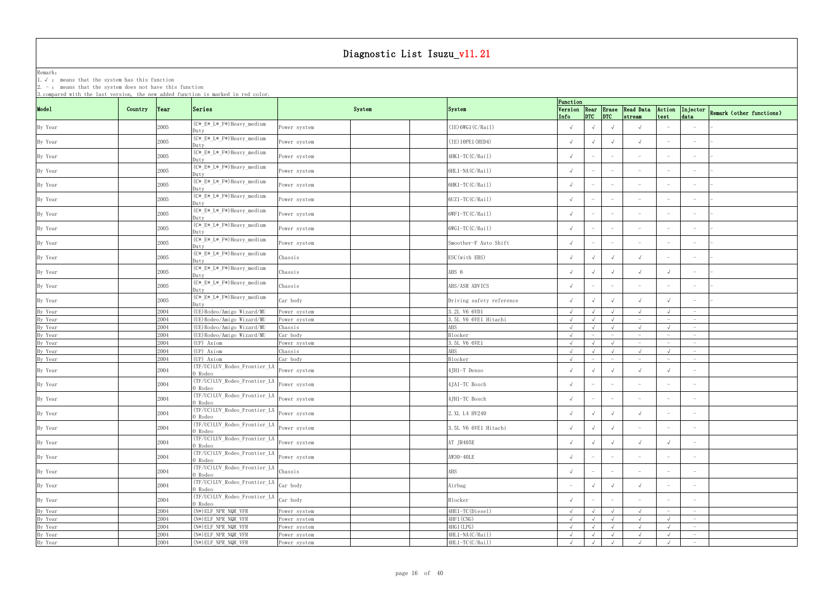Remark: The contract of the contract of  $\mathbb{R}$  and  $\mathbb{R}$  are contract of  $\mathbb{R}$  and  $\mathbb{R}$  are contract of  $\mathbb{R}$  and  $\mathbb{R}$  are contract of  $\mathbb{R}$  and  $\mathbb{R}$  are contract of  $\mathbb{R}$  and  $\mathbb{R}$  are cont 1.√ : means that the system has this function

|                    |         |      |                                                                                                                                                                                                                                          |              |                          | Function   |                                 |                                 |                                        |                                   |                                   |                                                   |
|--------------------|---------|------|------------------------------------------------------------------------------------------------------------------------------------------------------------------------------------------------------------------------------------------|--------------|--------------------------|------------|---------------------------------|---------------------------------|----------------------------------------|-----------------------------------|-----------------------------------|---------------------------------------------------|
| Model              | Country | Year | Series                                                                                                                                                                                                                                   | System       | System                   | Info       | $DTC$ $DTC$                     |                                 | Version Rear Erase Read Data<br>stream | Action<br>test                    | data                              | $\sqrt{\text{Injector}}$ Remark (other functions) |
| By Year            |         | 2005 | (C*_E*_L*_F*)Heavy_medium<br>Dutv                                                                                                                                                                                                        | ower system? | (IE) 6WG1 (C/Rai1)       | $\sqrt{ }$ |                                 | $\sqrt{ }$                      | $\sqrt{ }$                             |                                   |                                   |                                                   |
| By Year            |         | 2005 | (C*_E*_L*_F*)Heavy_medium<br>Duty                                                                                                                                                                                                        | Power system | (IE) 10PE1 (RED4)        |            |                                 | $\sqrt{ }$                      | $\sqrt{ }$                             |                                   | $\hspace{0.1mm}-\hspace{0.1mm}$   |                                                   |
| By Year            |         | 2005 | (C*_E*_L*_F*)Heavy_medium<br>Duty                                                                                                                                                                                                        | Power system | 4HK1-TC(C/Rail)          |            | $ \,$                           | $\hspace{0.1mm}-\hspace{0.1mm}$ | $\hspace{0.1mm}-\hspace{0.1mm}$        |                                   |                                   |                                                   |
| By Year            |         | 2005 | (C*_E*_L*_F*)Heavy_medium<br>Dutv                                                                                                                                                                                                        | Power system | 6HL1-NA(C/Rail)          | $\sqrt{ }$ | $\overline{\phantom{a}}$        | $\hspace{0.1mm}-\hspace{0.1mm}$ | $\overline{\phantom{a}}$               |                                   |                                   |                                                   |
| By Year            |         | 2005 | (C*_E*_L*_F*)Heavy_medium<br>Duty                                                                                                                                                                                                        | Power system | 6HK1-TC(C/Rail)          |            | $ \,$                           | $\overline{\phantom{0}}$        | $\hspace{0.1mm}-\hspace{0.1mm}$        | $\overline{\phantom{0}}$          | $\hspace{0.1mm}-\hspace{0.1mm}$   |                                                   |
| By Year            |         | 2005 | (C*_E*_L*_F*)Heavy_medium<br>Dutv                                                                                                                                                                                                        | Power system | 6UZ1-TC(C/Rail)          | $\sqrt{ }$ | $\overline{\phantom{a}}$        | $\hspace{0.1mm}-\hspace{0.1mm}$ | $\hspace{0.1mm}-\hspace{0.1mm}$        |                                   | $\overline{\phantom{0}}$          |                                                   |
| By Year            |         | 2005 | (C*_E*_L*_F*)Heavy_medium<br>Duty                                                                                                                                                                                                        | Power system | 6WF1-TC(C/Rail)          |            |                                 | $\hspace{0.1mm}-\hspace{0.1mm}$ | $\hspace{0.1mm}-\hspace{0.1mm}$        | $\hspace{0.1mm}-\hspace{0.1mm}$   | $\hspace{0.1mm}-\hspace{0.1mm}$   |                                                   |
| By Year            |         | 2005 | (C*_E*_L*_F*)Heavy_medium<br>)utv                                                                                                                                                                                                        | Power system | 6WG1-TC(C/Rail)          |            | $\hspace{0.1mm}-\hspace{0.1mm}$ | $\hspace{0.1mm}-\hspace{0.1mm}$ | $\hspace{0.1mm}-\hspace{0.1mm}$        |                                   | $\hspace{0.1mm}-\hspace{0.1mm}$   |                                                   |
| By Year            |         | 2005 | (C* E* L* F*) Heavy_medium<br>Duty                                                                                                                                                                                                       | Power system | Smoother-F Auto Shift    | $\sqrt{ }$ | $\overline{\phantom{m}}$        | $\hspace{0.1mm}-\hspace{0.1mm}$ | $\hspace{0.1mm}-\hspace{0.1mm}$        |                                   | $\hspace{0.1mm}-\hspace{0.1mm}$   |                                                   |
| By Year            |         | 2005 | (C*_E*_L*_F*)Heavy_medium<br>Duty                                                                                                                                                                                                        | Chassis      | ESC (with EBS)           |            |                                 | $\sqrt{ }$                      | $\sqrt{ }$                             |                                   |                                   |                                                   |
| By Year            |         | 2005 | (C*_E*_L*_F*)Heavy_medium<br>Dutv                                                                                                                                                                                                        | Chassis      | ABS 6                    | $\sqrt{ }$ |                                 | $\sqrt{ }$                      | $\sqrt{ }$                             |                                   | $-$                               |                                                   |
| By Year            |         | 2005 | (C*_E*_L*_F*)Heavy_medium<br>Dutv                                                                                                                                                                                                        | Chassis      | ABS/ASR ADVICS           |            | $\overline{\phantom{m}}$        | $\overline{\phantom{0}}$        | $\overline{\phantom{a}}$               | $\hspace{1.0cm} - \hspace{1.0cm}$ | $\overline{\phantom{0}}$          |                                                   |
| By Year            |         | 2005 | (C*_E*_L*_F*)Heavy_medium<br>Duty                                                                                                                                                                                                        | Car body     | Driving safety reference |            | $\sqrt{ }$                      | $\sqrt{ }$                      | $\sqrt{ }$                             |                                   | $\overline{\phantom{0}}$          |                                                   |
| By Year            |         | 2004 | (UE) Rodeo/Amigo Wizard/MU                                                                                                                                                                                                               | ower system  | 3.2L V6 6VD1             | $\sqrt{ }$ |                                 | $\sqrt{ }$                      | $\sqrt{ }$                             |                                   | $\overline{\phantom{0}}$          |                                                   |
| By Year            |         | 2004 | (UE) Rodeo/Amigo Wizard/MU                                                                                                                                                                                                               | ower system  | 3.5L V6 6VE1 Hitachi     | $\sqrt{ }$ |                                 | $\sqrt{ }$                      | $-$                                    | $\hspace{1.0cm} - \hspace{1.0cm}$ | $\overline{\phantom{0}}$          |                                                   |
|                    |         | 2004 | (UE) Rodeo/Amigo Wizard/MU                                                                                                                                                                                                               | Chassis      | ABS                      | $\sqrt{ }$ |                                 | $\sqrt{ }$                      | $\sqrt{ }$                             |                                   | $-$                               |                                                   |
| By Year<br>By Year |         | 2004 | (UE) Rodeo/Amigo Wizard/MU                                                                                                                                                                                                               | Car body     | Blocker                  | $\sqrt{ }$ |                                 | $-$                             | $\sim$                                 | $\hspace{1.0cm} - \hspace{1.0cm}$ | $\overline{\phantom{0}}$          |                                                   |
| By Year            |         | 2004 | (UP) Axiom                                                                                                                                                                                                                               | ower system  | 3.5L V6 6VE1             | $\sqrt{ }$ |                                 | $\sqrt{ }$                      | $-$                                    | $-$                               | $\overline{\phantom{0}}$          |                                                   |
| By Year            |         | 2004 | (UP) Axiom                                                                                                                                                                                                                               | Chassis      | ABS                      | $\sqrt{ }$ | $\sqrt{ }$                      | $\sqrt{ }$                      | $\sqrt{ }$                             |                                   | $\hspace{0.1mm}-\hspace{0.1mm}$   |                                                   |
| By Year            |         | 2004 | (UP) Axiom                                                                                                                                                                                                                               |              |                          |            | $-$                             | $ \,$                           | $-$                                    | $\hspace{0.1mm}-\hspace{0.1mm}$   | $ \,$                             |                                                   |
|                    |         |      |                                                                                                                                                                                                                                          | Car body     | Blocker                  | $\sqrt{ }$ |                                 |                                 |                                        |                                   |                                   |                                                   |
| By Year            |         | 2004 | (TF/UC)LUV_Rodeo_Frontier_LA<br>0 Rodeo                                                                                                                                                                                                  | Power system | 4JH1-T Denso             |            |                                 | $\sqrt{ }$                      | $\sqrt{ }$                             |                                   | $\hspace{0.1mm}-\hspace{0.1mm}$   |                                                   |
| By Year            |         | 2004 | THE TENNIST CONSTRAINING TENNIST CONSTRAINING TENNIST CONSTRAINING TENNIST CONSTRAINING TENNIST CONSTRAINING TENNIST CONSTRAINING TENNIST CONSTRAINING TENNIST CONSTRAINING TENNIST CONSTRAINING TENNIST CONSTRAINING TENNIST<br>0 Rodeo |              | 4JA1-TC Bosch            |            | $\overline{\phantom{a}}$        | $\hspace{0.1mm}-\hspace{0.1mm}$ | $\hspace{0.1mm}-\hspace{0.1mm}$        |                                   |                                   |                                                   |
| By Year            |         | 2004 | THE TENNIST CONTROLLER TELL TO POWER SYSTEM<br>0 Rodeo                                                                                                                                                                                   |              | 4JH1-TC Bosch            | $\sqrt{ }$ | $\overline{\phantom{m}}$        | $-$                             | $\overline{\phantom{a}}$               |                                   |                                   |                                                   |
| By Year            |         | 2004 | (TF/UC)LUV_Rodeo_Frontier_LA<br>0 Rodeo                                                                                                                                                                                                  | Power system | 2. XL L4 HV240           |            | $\sqrt{ }$                      | $\sqrt{ }$                      | $\sqrt{ }$                             | $\hspace{0.1mm}-\hspace{0.1mm}$   |                                   |                                                   |
| By Year            |         | 2004 | (TF/UC)LUV_Rodeo_Frontier_LA<br>0 Rodeo                                                                                                                                                                                                  | Power system | 3.5L V6 6VE1 Hitachi     | $\sqrt{ }$ | $\sqrt{ }$                      | $\sqrt{ }$                      | $\hspace{0.1mm}-\hspace{0.1mm}$        |                                   | $\hspace{1.0cm} - \hspace{1.0cm}$ |                                                   |
| By Year            |         | 2004 | (TF/UC)LUV_Rodeo_Frontier_LA<br>0 Rodeo                                                                                                                                                                                                  | Power system | AT JR405E                |            | $\sqrt{ }$                      | $\sqrt{ }$                      | $\sqrt{ }$                             |                                   | $\hspace{0.1mm}-\hspace{0.1mm}$   |                                                   |
| By Year            |         | 2004 | (TF/UC)LUV_Rodeo_Frontier_LA<br>0 Rodeo                                                                                                                                                                                                  | Power system | AW30-40LE                |            | $\overline{\phantom{a}}$        | $\hspace{0.1mm}-\hspace{0.1mm}$ | $\overline{\phantom{a}}$               | $\overline{\phantom{a}}$          | $\hspace{1.0cm} - \hspace{1.0cm}$ |                                                   |
| By Year            |         | 2004 | (TF/UC)LUV_Rodeo_Frontier_LA<br>0 Rodeo                                                                                                                                                                                                  | Chassis      | ABS                      |            | $\hspace{0.1mm}-\hspace{0.1mm}$ | $\hspace{0.1mm}-\hspace{0.1mm}$ | $\overline{\phantom{a}}$               |                                   | $-$                               |                                                   |
| By Year            |         | 2004 | (TF/UC)LUV_Rodeo_Frontier_LA<br>0 Rodeo                                                                                                                                                                                                  | Car body     | Airbag                   | $-$        | $\sqrt{ }$                      | $\sqrt{ }$                      | $\sqrt{ }$                             |                                   | $-$                               |                                                   |
| By Year            |         | 2004 | (TF/UC)LUV_Rodeo_Frontier_LA<br>0 Rodeo                                                                                                                                                                                                  | Car body     | Blocker                  | $\sqrt{ }$ | $\overline{\phantom{0}}$        | $\overline{\phantom{0}}$        | $\overline{\phantom{a}}$               |                                   |                                   |                                                   |
| By Year            |         | 2004 | (N*) ELF_NPR_NQR_VFR                                                                                                                                                                                                                     | Power system | $4HE1-TC(Diesel)$        | $\sqrt{ }$ | $\sqrt{ }$                      | $\sqrt{ }$                      | $\sqrt{ }$                             | $\hspace{0.1mm}-\hspace{0.1mm}$   | $-$                               |                                                   |
| By Year            |         | 2004 | (N*) ELF_NPR_NQR_VFR                                                                                                                                                                                                                     | Power system | 4HF1 (CNG)               | $\sqrt{ }$ | $\sqrt{ }$                      | $\sqrt{ }$                      | $\sqrt{ }$                             | $\sqrt{ }$                        | $\overline{\phantom{0}}$          |                                                   |
| By Year            |         | 2004 | (N*) ELF_NPR_NQR_VFR                                                                                                                                                                                                                     | Power system | 4HG1 (LPG)               | $\sqrt{ }$ | $\sqrt{ }$                      | $\sqrt{ }$                      | $\sqrt{ }$                             |                                   | $-$                               |                                                   |
| By Year            |         | 2004 | $(N*)$ ELF_NPR_NQR_VFR                                                                                                                                                                                                                   | Power system | 4HL1-NA(C/Rail)          | $\sqrt{ }$ | $\sqrt{ }$                      | $\sqrt{ }$                      | $\sqrt{ }$                             | $\sqrt{ }$                        | $\hspace{0.1mm}-\hspace{0.1mm}$   |                                                   |
|                    |         |      |                                                                                                                                                                                                                                          |              |                          |            |                                 |                                 |                                        |                                   |                                   |                                                   |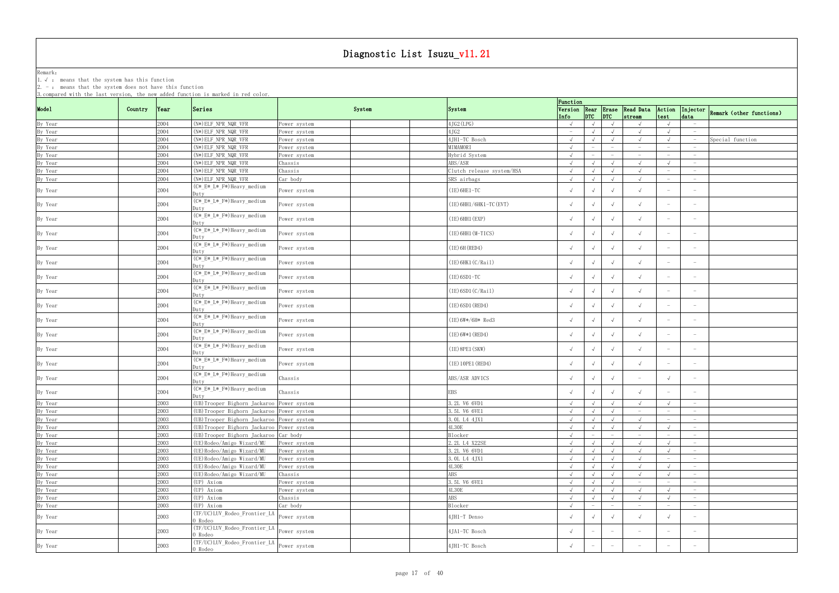Remark: The contract of the contract of  $\mathbb{R}$  and  $\mathbb{R}$  are contract of  $\mathbb{R}$  and  $\mathbb{R}$  are contract of  $\mathbb{R}$  and  $\mathbb{R}$  are contract of  $\mathbb{R}$  and  $\mathbb{R}$  are contract of  $\mathbb{R}$  and  $\mathbb{R}$  are cont

1.√ : means that the system has this function

| Model<br>Version Rear Erase Read Data<br>Series<br>System<br>Action<br>Injector Remark (other functions)<br>Country<br> Year<br>System<br>$ DTC $ $ DTC $<br>test<br>Info<br>stream<br>data<br>By Year<br>$(N*)$ ELF NPR NQR VFR<br>4JG2 (LPG)<br>2004<br>Power system<br>$\sqrt{ }$<br>$\sqrt{ }$<br>$-$<br>By Year<br>$(N*)$ ELF NPR NQR VFR<br>4JG2<br>2004<br>Power system<br>$\sqrt{ }$<br>$\sqrt{ }$<br>$\hspace{0.1mm}-\hspace{0.1mm}$<br>$\hspace{0.1mm}-\hspace{0.1mm}$<br>4JH1-TC Bosch<br>By Year<br>2004<br>$(N*)$ ELF_NPR_NQR_VFR<br>$\sqrt{ }$<br>$\sqrt{ }$<br>Power system<br>$\sqrt{ }$<br>2004<br>By Year<br>MIMAMORI<br>$(N*)$ ELF NPR NQR VFR<br>$\sqrt{ }$<br>Power system<br>$-$<br>$\overline{\phantom{a}}$<br>By Year<br>2004<br>$(N*)$ ELF_NPR_NQR_VFR<br>Hybrid System<br>$\sqrt{ }$<br>Power system<br>$-$<br>$\overline{\phantom{m}}$<br>$\overline{\phantom{0}}$<br>$-$<br>By Year<br>ABS/ASR<br>2004<br>(N*) ELF_NPR_NQR_VFR<br>Chassis<br>$\sqrt{ }$<br>$\sqrt{ }$<br>$\sqrt{ }$<br>By Year<br>2004<br>$(N*)$ ELF NPR NQR VFR<br>Clutch release system/HSA<br>Chassis<br>$\sqrt{ }$<br>$\sqrt{ }$<br>$\sqrt{ }$<br>$-$<br>By Year<br>2004<br>$(N*)$ ELF_NPR_NQR_VFR<br>Car body<br>SRS airbags<br>$\sqrt{ }$<br>$\sqrt{ }$<br>$\sqrt{ }$<br>$\sqrt{ }$<br>$\hspace{0.1mm}-\hspace{0.1mm}$<br>$\overline{\phantom{0}}$<br>(C*_E*_L*_F*)Heavy_medium<br>By Year<br>2004<br>(IE) 6HE1-TC<br>$\sqrt{ }$<br>Power system<br>$\sqrt{ }$<br>Duty<br>(C*_E*_L*_F*)Heavy_medium<br>By Year<br>$(IE)$ 6HH1/6HK1-TC (EVT)<br>2004<br>Power system<br>$\sqrt{ }$<br>$\sqrt{ }$<br>Duty<br>(C*_E*_L*_F*)Heavy_medium<br>By Year<br>$(IE)$ 6HH1 $(EXP)$<br>2004<br>$\sqrt{ }$<br>$\sqrt{ }$<br>ower system<br>$\sqrt{ }$<br>Dutv<br>(C*_E*_L*_F*)Heavy_medium<br>$(IE)$ 6HH1 $(M-TICS)$<br>$\sqrt{ }$<br>By Year<br>2004<br>Power system<br>$\overline{\phantom{m}}$<br>$\overline{\phantom{0}}$<br>Dutv<br>(C*_E*_L*_F*)Heavy_medium<br>By Year<br>$(IE)$ 6H (RED4)<br>2004<br>$\sqrt{ }$<br>$\sqrt{ }$<br>ower system<br>Juty<br>(C*_E*_L*_F*)Heavy_medium<br>By Year<br>2004<br>$(IE)$ 6HK1 $(C/Rai1)$<br>$\sqrt{ }$<br>$\sqrt{ }$<br>ower system<br>$\hspace{0.1mm}-\hspace{0.1mm}$<br>Dutv<br>(C*_E*_L*_F*)Heavy_medium<br>By Year<br>2004<br>$(IE)$ 6SD1-TC<br>$\sqrt{ }$<br>$\sqrt{ }$<br>Power system<br>$\sqrt{ }$<br>Dutv<br>(C*_E*_L*_F*)Heavy_medium<br>By Year<br>2004<br>$(IE)$ 6SD1 $(C/Rai1)$<br>Power system<br>$\sqrt{ }$<br>Dutv<br>(C*_E*_L*_F*)Heavy_medium<br>By Year<br>2004<br>(IE) 6SD1 (RED4)<br>$\sqrt{ }$<br>ower system<br>$\sqrt{ }$<br>Duty<br>(C*_E*_L*_F*)Heavy_medium<br>By Year<br>(IE)6W*/6H* Red3<br>2004<br>$\sqrt{ }$<br>$\sqrt{ }$<br>ower system<br>$\sqrt{ }$<br>Dutv<br>(C*_E*_L*_F*)Heavy_medium<br>2004<br>$(IE) 6W*1 (RED4)$<br>$\sqrt{ }$<br>By Year<br>ower system<br>$\sqrt{ }$<br>$\hspace{0.1mm}-\hspace{0.1mm}$<br>$\hspace{0.1mm}-\hspace{0.1mm}$<br>Dutv<br>(C*_E*_L*_F*)Heavy_medium<br>By Year<br>2004<br>$(IE)$ 8PE1 $(SKW)$<br>$\sqrt{ }$<br>$\sqrt{ }$<br>Power system<br>)utv<br>(C*_E*_L*_F*)Heavy_medium<br>By Year<br>2004<br>(IE) 10PE1 (RED4)<br>$\sqrt{ }$<br>$\sqrt{ }$<br>ower system<br>$\hspace{0.1mm}-\hspace{0.1mm}$<br>Dutv<br>(C*_E*_L*_F*)Heavy_medium<br>By Year<br>2004<br>ABS/ASR ADVICS<br>Chassis<br>$\sqrt{ }$<br>$\hspace{0.1mm}-\hspace{0.1mm}$<br>$\hspace{0.1mm}-\hspace{0.1mm}$<br>Duty<br>(C*_E*_L*_F*)Heavy_medium<br>By Year<br>2004<br>EBS<br>Chassis<br>$\sqrt{ }$<br>Dutv<br>By Year<br>2003<br>(UB) Trooper Bighorn Jackaroo Power system<br>3.2L V6 6VD1<br>$\sqrt{ }$<br>$\sqrt{ }$<br>$\overline{\phantom{m}}$<br>3.5L V6 6VE1<br>By Year<br>By Year<br>2003<br>(UB) Trooper Bighorn Jackaroo Power system<br>$\sqrt{ }$<br>$\sqrt{ }$<br>$\hspace{0.1mm}-\hspace{0.1mm}$<br>$\sqrt{ }$<br>$\overline{\phantom{0}}$<br>$\overline{\phantom{0}}$<br>2003<br>(UB) Trooper Bighorn Jackaroo Power system<br>3. OL L4 4JX1<br>$\sqrt{ }$<br>$\sqrt{ }$<br>$\sqrt{ }$<br>$\sqrt{ }$<br>$-$<br>$\hspace{1.0cm} - \hspace{1.0cm}$<br>By Year<br>By Year<br>(UB) Trooper Bighorn Jackaroo Power system<br>4L30E<br>2003<br>$\sqrt{ }$<br>$\sqrt{ }$<br>$\sqrt{ }$<br>$\overline{\phantom{0}}$<br>2003<br>(UB) Trooper Bighorn Jackaroo Car body<br>Blocker<br>$\sqrt{ }$<br>$-$<br>$\overline{\phantom{0}}$<br>$-$<br>$-$<br>$\hspace{1.0cm} - \hspace{1.0cm}$<br>By Year<br>2003<br>(UE) Rodeo/Amigo Wizard/MU<br>2.2L L4 X22SE<br>$\sqrt{ }$<br>$\sqrt{ }$<br>$\sqrt{ }$<br>Power system<br>$\sqrt{ }$<br>$\sqrt{ }$<br>$-$<br>By Year<br>(UE) Rodeo/Amigo Wizard/MU<br>3.2L V6 6VD1<br>2003<br>$\sqrt{ }$<br>Power system<br>$\sqrt{ }$<br>$\sqrt{ }$<br>$\sqrt{ }$<br>$\sqrt{ }$<br>$-$<br>By Year<br>2003<br>(UE) Rodeo/Amigo Wizard/MU<br>3. OL L4 4JX1<br>$\sqrt{ }$<br>$\sqrt{ }$<br>Power system<br>$\sqrt{ }$<br>$\sqrt{ }$<br>$\overline{\phantom{0}}$<br>$\overline{\phantom{a}}$<br>4L30E<br>By Year<br>2003<br>(UE) Rodeo/Amigo Wizard/MU<br>$\sqrt{ }$<br>$\sqrt{ }$<br>$\sqrt{ }$<br>Power system<br>$-$<br>$\sqrt{ }$<br>By Year<br>ABS<br>2003<br>(UE) Rodeo/Amigo Wizard/MU<br>Chassis<br>$\sqrt{ }$<br>$\sqrt{ }$<br>$\sqrt{ }$<br>$\sqrt{ }$<br>$\sqrt{ }$<br>$\overline{\phantom{0}}$<br>By Year<br>2003<br>3.5L V6 6VE1<br>(UP) Axiom<br>Power system<br>$\sqrt{ }$<br>$\sqrt{ }$<br>$\hspace{0.1mm}-\hspace{0.1mm}$<br>$-$<br>$\hspace{0.1mm}-\hspace{0.1mm}$<br>By Year<br>2003<br>(UP) Axiom<br><b>4L30E</b><br>$\sqrt{ }$<br>$\sqrt{ }$<br>$\sqrt{ }$<br>$\sqrt{ }$<br>Power system<br>$-$<br>(UP) Axiom<br>ABS<br>By Year<br>By Year<br>2003<br>$\sqrt{ }$<br>Chassis<br>$\sqrt{ }$<br>$\sqrt{ }$<br>$\overline{\phantom{0}}$<br>2003<br>(UP) Axiom<br>Car body<br>Blocker<br>$\sqrt{ }$<br>$\overline{\phantom{a}}$<br>$-$<br>$\hspace{0.1mm}-\hspace{0.1mm}$<br>$\hspace{1.0cm} - \hspace{1.0cm}$<br>$\overline{\phantom{0}}$<br>(TF/UC)LUV_Rodeo_Frontier_LA<br>4JH1-T Denso<br>By Year<br>2003<br>$\sqrt{ }$<br>Power system<br>$\sqrt{ }$<br>$\sqrt{ }$<br>0 Rodeo<br>(TF/UC)LUV_Rodeo_Frontier_LA<br>4JA1-TC Bosch<br>By Year<br>2003<br>Power system<br>$\overline{\phantom{a}}$<br>$\overline{\phantom{a}}$<br>$-$<br>$\overline{\phantom{0}}$<br>0 Rodeo<br>(TF/UC)LUV_Rodeo_Frontier_LA<br>2003<br>4JH1-TC Bosch<br>By Year<br>Power system<br>$\sqrt{ }$<br>$ \,$<br>$\overline{\phantom{0}}$<br>$\hspace{0.1mm}-\hspace{0.1mm}$<br>$\overline{\phantom{a}}$<br>$\hspace{0.1mm}-\hspace{0.1mm}$ |  | 3. compared with the last version, the new added function is marked in red color. |  | Function |  |  |                  |
|-------------------------------------------------------------------------------------------------------------------------------------------------------------------------------------------------------------------------------------------------------------------------------------------------------------------------------------------------------------------------------------------------------------------------------------------------------------------------------------------------------------------------------------------------------------------------------------------------------------------------------------------------------------------------------------------------------------------------------------------------------------------------------------------------------------------------------------------------------------------------------------------------------------------------------------------------------------------------------------------------------------------------------------------------------------------------------------------------------------------------------------------------------------------------------------------------------------------------------------------------------------------------------------------------------------------------------------------------------------------------------------------------------------------------------------------------------------------------------------------------------------------------------------------------------------------------------------------------------------------------------------------------------------------------------------------------------------------------------------------------------------------------------------------------------------------------------------------------------------------------------------------------------------------------------------------------------------------------------------------------------------------------------------------------------------------------------------------------------------------------------------------------------------------------------------------------------------------------------------------------------------------------------------------------------------------------------------------------------------------------------------------------------------------------------------------------------------------------------------------------------------------------------------------------------------------------------------------------------------------------------------------------------------------------------------------------------------------------------------------------------------------------------------------------------------------------------------------------------------------------------------------------------------------------------------------------------------------------------------------------------------------------------------------------------------------------------------------------------------------------------------------------------------------------------------------------------------------------------------------------------------------------------------------------------------------------------------------------------------------------------------------------------------------------------------------------------------------------------------------------------------------------------------------------------------------------------------------------------------------------------------------------------------------------------------------------------------------------------------------------------------------------------------------------------------------------------------------------------------------------------------------------------------------------------------------------------------------------------------------------------------------------------------------------------------------------------------------------------------------------------------------------------------------------------------------------------------------------------------------------------------------------------------------------------------------------------------------------------------------------------------------------------------------------------------------------------------------------------------------------------------------------------------------------------------------------------------------------------------------------------------------------------------------------------------------------------------------------------------------------------------------------------------------------------------------------------------------------------------------------------------------------------------------------------------------------------------------------------------------------------------------------------------------------------------------------------------------------------------------------------------------------------------------------------------------------------------------------------------------------------------------------------------------------------------------------------------------------------------------------------------------------------------------------------------------------------------------------------------------------------------------------------------------------------------------------------------------------------------------------------------------------------------------------------------------------------------------------------------------------------------------------------------------------------------------------------------------------------------------------------------------------------------------------------------------------------------------------------------------------------------------------------------------------------------------------------------------------------------------------------------------------------------------------------------------------------------------------------------------------------------------------------------------------------------------------------------------------------------------------------------------------------------------------------------------------|--|-----------------------------------------------------------------------------------|--|----------|--|--|------------------|
|                                                                                                                                                                                                                                                                                                                                                                                                                                                                                                                                                                                                                                                                                                                                                                                                                                                                                                                                                                                                                                                                                                                                                                                                                                                                                                                                                                                                                                                                                                                                                                                                                                                                                                                                                                                                                                                                                                                                                                                                                                                                                                                                                                                                                                                                                                                                                                                                                                                                                                                                                                                                                                                                                                                                                                                                                                                                                                                                                                                                                                                                                                                                                                                                                                                                                                                                                                                                                                                                                                                                                                                                                                                                                                                                                                                                                                                                                                                                                                                                                                                                                                                                                                                                                                                                                                                                                                                                                                                                                                                                                                                                                                                                                                                                                                                                                                                                                                                                                                                                                                                                                                                                                                                                                                                                                                                                                                                                                                                                                                                                                                                                                                                                                                                                                                                                                                                                                                                                                                                                                                                                                                                                                                                                                                                                                                                                                                                                                                                 |  |                                                                                   |  |          |  |  |                  |
|                                                                                                                                                                                                                                                                                                                                                                                                                                                                                                                                                                                                                                                                                                                                                                                                                                                                                                                                                                                                                                                                                                                                                                                                                                                                                                                                                                                                                                                                                                                                                                                                                                                                                                                                                                                                                                                                                                                                                                                                                                                                                                                                                                                                                                                                                                                                                                                                                                                                                                                                                                                                                                                                                                                                                                                                                                                                                                                                                                                                                                                                                                                                                                                                                                                                                                                                                                                                                                                                                                                                                                                                                                                                                                                                                                                                                                                                                                                                                                                                                                                                                                                                                                                                                                                                                                                                                                                                                                                                                                                                                                                                                                                                                                                                                                                                                                                                                                                                                                                                                                                                                                                                                                                                                                                                                                                                                                                                                                                                                                                                                                                                                                                                                                                                                                                                                                                                                                                                                                                                                                                                                                                                                                                                                                                                                                                                                                                                                                                 |  |                                                                                   |  |          |  |  |                  |
|                                                                                                                                                                                                                                                                                                                                                                                                                                                                                                                                                                                                                                                                                                                                                                                                                                                                                                                                                                                                                                                                                                                                                                                                                                                                                                                                                                                                                                                                                                                                                                                                                                                                                                                                                                                                                                                                                                                                                                                                                                                                                                                                                                                                                                                                                                                                                                                                                                                                                                                                                                                                                                                                                                                                                                                                                                                                                                                                                                                                                                                                                                                                                                                                                                                                                                                                                                                                                                                                                                                                                                                                                                                                                                                                                                                                                                                                                                                                                                                                                                                                                                                                                                                                                                                                                                                                                                                                                                                                                                                                                                                                                                                                                                                                                                                                                                                                                                                                                                                                                                                                                                                                                                                                                                                                                                                                                                                                                                                                                                                                                                                                                                                                                                                                                                                                                                                                                                                                                                                                                                                                                                                                                                                                                                                                                                                                                                                                                                                 |  |                                                                                   |  |          |  |  |                  |
|                                                                                                                                                                                                                                                                                                                                                                                                                                                                                                                                                                                                                                                                                                                                                                                                                                                                                                                                                                                                                                                                                                                                                                                                                                                                                                                                                                                                                                                                                                                                                                                                                                                                                                                                                                                                                                                                                                                                                                                                                                                                                                                                                                                                                                                                                                                                                                                                                                                                                                                                                                                                                                                                                                                                                                                                                                                                                                                                                                                                                                                                                                                                                                                                                                                                                                                                                                                                                                                                                                                                                                                                                                                                                                                                                                                                                                                                                                                                                                                                                                                                                                                                                                                                                                                                                                                                                                                                                                                                                                                                                                                                                                                                                                                                                                                                                                                                                                                                                                                                                                                                                                                                                                                                                                                                                                                                                                                                                                                                                                                                                                                                                                                                                                                                                                                                                                                                                                                                                                                                                                                                                                                                                                                                                                                                                                                                                                                                                                                 |  |                                                                                   |  |          |  |  | Special function |
|                                                                                                                                                                                                                                                                                                                                                                                                                                                                                                                                                                                                                                                                                                                                                                                                                                                                                                                                                                                                                                                                                                                                                                                                                                                                                                                                                                                                                                                                                                                                                                                                                                                                                                                                                                                                                                                                                                                                                                                                                                                                                                                                                                                                                                                                                                                                                                                                                                                                                                                                                                                                                                                                                                                                                                                                                                                                                                                                                                                                                                                                                                                                                                                                                                                                                                                                                                                                                                                                                                                                                                                                                                                                                                                                                                                                                                                                                                                                                                                                                                                                                                                                                                                                                                                                                                                                                                                                                                                                                                                                                                                                                                                                                                                                                                                                                                                                                                                                                                                                                                                                                                                                                                                                                                                                                                                                                                                                                                                                                                                                                                                                                                                                                                                                                                                                                                                                                                                                                                                                                                                                                                                                                                                                                                                                                                                                                                                                                                                 |  |                                                                                   |  |          |  |  |                  |
|                                                                                                                                                                                                                                                                                                                                                                                                                                                                                                                                                                                                                                                                                                                                                                                                                                                                                                                                                                                                                                                                                                                                                                                                                                                                                                                                                                                                                                                                                                                                                                                                                                                                                                                                                                                                                                                                                                                                                                                                                                                                                                                                                                                                                                                                                                                                                                                                                                                                                                                                                                                                                                                                                                                                                                                                                                                                                                                                                                                                                                                                                                                                                                                                                                                                                                                                                                                                                                                                                                                                                                                                                                                                                                                                                                                                                                                                                                                                                                                                                                                                                                                                                                                                                                                                                                                                                                                                                                                                                                                                                                                                                                                                                                                                                                                                                                                                                                                                                                                                                                                                                                                                                                                                                                                                                                                                                                                                                                                                                                                                                                                                                                                                                                                                                                                                                                                                                                                                                                                                                                                                                                                                                                                                                                                                                                                                                                                                                                                 |  |                                                                                   |  |          |  |  |                  |
|                                                                                                                                                                                                                                                                                                                                                                                                                                                                                                                                                                                                                                                                                                                                                                                                                                                                                                                                                                                                                                                                                                                                                                                                                                                                                                                                                                                                                                                                                                                                                                                                                                                                                                                                                                                                                                                                                                                                                                                                                                                                                                                                                                                                                                                                                                                                                                                                                                                                                                                                                                                                                                                                                                                                                                                                                                                                                                                                                                                                                                                                                                                                                                                                                                                                                                                                                                                                                                                                                                                                                                                                                                                                                                                                                                                                                                                                                                                                                                                                                                                                                                                                                                                                                                                                                                                                                                                                                                                                                                                                                                                                                                                                                                                                                                                                                                                                                                                                                                                                                                                                                                                                                                                                                                                                                                                                                                                                                                                                                                                                                                                                                                                                                                                                                                                                                                                                                                                                                                                                                                                                                                                                                                                                                                                                                                                                                                                                                                                 |  |                                                                                   |  |          |  |  |                  |
|                                                                                                                                                                                                                                                                                                                                                                                                                                                                                                                                                                                                                                                                                                                                                                                                                                                                                                                                                                                                                                                                                                                                                                                                                                                                                                                                                                                                                                                                                                                                                                                                                                                                                                                                                                                                                                                                                                                                                                                                                                                                                                                                                                                                                                                                                                                                                                                                                                                                                                                                                                                                                                                                                                                                                                                                                                                                                                                                                                                                                                                                                                                                                                                                                                                                                                                                                                                                                                                                                                                                                                                                                                                                                                                                                                                                                                                                                                                                                                                                                                                                                                                                                                                                                                                                                                                                                                                                                                                                                                                                                                                                                                                                                                                                                                                                                                                                                                                                                                                                                                                                                                                                                                                                                                                                                                                                                                                                                                                                                                                                                                                                                                                                                                                                                                                                                                                                                                                                                                                                                                                                                                                                                                                                                                                                                                                                                                                                                                                 |  |                                                                                   |  |          |  |  |                  |
|                                                                                                                                                                                                                                                                                                                                                                                                                                                                                                                                                                                                                                                                                                                                                                                                                                                                                                                                                                                                                                                                                                                                                                                                                                                                                                                                                                                                                                                                                                                                                                                                                                                                                                                                                                                                                                                                                                                                                                                                                                                                                                                                                                                                                                                                                                                                                                                                                                                                                                                                                                                                                                                                                                                                                                                                                                                                                                                                                                                                                                                                                                                                                                                                                                                                                                                                                                                                                                                                                                                                                                                                                                                                                                                                                                                                                                                                                                                                                                                                                                                                                                                                                                                                                                                                                                                                                                                                                                                                                                                                                                                                                                                                                                                                                                                                                                                                                                                                                                                                                                                                                                                                                                                                                                                                                                                                                                                                                                                                                                                                                                                                                                                                                                                                                                                                                                                                                                                                                                                                                                                                                                                                                                                                                                                                                                                                                                                                                                                 |  |                                                                                   |  |          |  |  |                  |
|                                                                                                                                                                                                                                                                                                                                                                                                                                                                                                                                                                                                                                                                                                                                                                                                                                                                                                                                                                                                                                                                                                                                                                                                                                                                                                                                                                                                                                                                                                                                                                                                                                                                                                                                                                                                                                                                                                                                                                                                                                                                                                                                                                                                                                                                                                                                                                                                                                                                                                                                                                                                                                                                                                                                                                                                                                                                                                                                                                                                                                                                                                                                                                                                                                                                                                                                                                                                                                                                                                                                                                                                                                                                                                                                                                                                                                                                                                                                                                                                                                                                                                                                                                                                                                                                                                                                                                                                                                                                                                                                                                                                                                                                                                                                                                                                                                                                                                                                                                                                                                                                                                                                                                                                                                                                                                                                                                                                                                                                                                                                                                                                                                                                                                                                                                                                                                                                                                                                                                                                                                                                                                                                                                                                                                                                                                                                                                                                                                                 |  |                                                                                   |  |          |  |  |                  |
|                                                                                                                                                                                                                                                                                                                                                                                                                                                                                                                                                                                                                                                                                                                                                                                                                                                                                                                                                                                                                                                                                                                                                                                                                                                                                                                                                                                                                                                                                                                                                                                                                                                                                                                                                                                                                                                                                                                                                                                                                                                                                                                                                                                                                                                                                                                                                                                                                                                                                                                                                                                                                                                                                                                                                                                                                                                                                                                                                                                                                                                                                                                                                                                                                                                                                                                                                                                                                                                                                                                                                                                                                                                                                                                                                                                                                                                                                                                                                                                                                                                                                                                                                                                                                                                                                                                                                                                                                                                                                                                                                                                                                                                                                                                                                                                                                                                                                                                                                                                                                                                                                                                                                                                                                                                                                                                                                                                                                                                                                                                                                                                                                                                                                                                                                                                                                                                                                                                                                                                                                                                                                                                                                                                                                                                                                                                                                                                                                                                 |  |                                                                                   |  |          |  |  |                  |
|                                                                                                                                                                                                                                                                                                                                                                                                                                                                                                                                                                                                                                                                                                                                                                                                                                                                                                                                                                                                                                                                                                                                                                                                                                                                                                                                                                                                                                                                                                                                                                                                                                                                                                                                                                                                                                                                                                                                                                                                                                                                                                                                                                                                                                                                                                                                                                                                                                                                                                                                                                                                                                                                                                                                                                                                                                                                                                                                                                                                                                                                                                                                                                                                                                                                                                                                                                                                                                                                                                                                                                                                                                                                                                                                                                                                                                                                                                                                                                                                                                                                                                                                                                                                                                                                                                                                                                                                                                                                                                                                                                                                                                                                                                                                                                                                                                                                                                                                                                                                                                                                                                                                                                                                                                                                                                                                                                                                                                                                                                                                                                                                                                                                                                                                                                                                                                                                                                                                                                                                                                                                                                                                                                                                                                                                                                                                                                                                                                                 |  |                                                                                   |  |          |  |  |                  |
|                                                                                                                                                                                                                                                                                                                                                                                                                                                                                                                                                                                                                                                                                                                                                                                                                                                                                                                                                                                                                                                                                                                                                                                                                                                                                                                                                                                                                                                                                                                                                                                                                                                                                                                                                                                                                                                                                                                                                                                                                                                                                                                                                                                                                                                                                                                                                                                                                                                                                                                                                                                                                                                                                                                                                                                                                                                                                                                                                                                                                                                                                                                                                                                                                                                                                                                                                                                                                                                                                                                                                                                                                                                                                                                                                                                                                                                                                                                                                                                                                                                                                                                                                                                                                                                                                                                                                                                                                                                                                                                                                                                                                                                                                                                                                                                                                                                                                                                                                                                                                                                                                                                                                                                                                                                                                                                                                                                                                                                                                                                                                                                                                                                                                                                                                                                                                                                                                                                                                                                                                                                                                                                                                                                                                                                                                                                                                                                                                                                 |  |                                                                                   |  |          |  |  |                  |
|                                                                                                                                                                                                                                                                                                                                                                                                                                                                                                                                                                                                                                                                                                                                                                                                                                                                                                                                                                                                                                                                                                                                                                                                                                                                                                                                                                                                                                                                                                                                                                                                                                                                                                                                                                                                                                                                                                                                                                                                                                                                                                                                                                                                                                                                                                                                                                                                                                                                                                                                                                                                                                                                                                                                                                                                                                                                                                                                                                                                                                                                                                                                                                                                                                                                                                                                                                                                                                                                                                                                                                                                                                                                                                                                                                                                                                                                                                                                                                                                                                                                                                                                                                                                                                                                                                                                                                                                                                                                                                                                                                                                                                                                                                                                                                                                                                                                                                                                                                                                                                                                                                                                                                                                                                                                                                                                                                                                                                                                                                                                                                                                                                                                                                                                                                                                                                                                                                                                                                                                                                                                                                                                                                                                                                                                                                                                                                                                                                                 |  |                                                                                   |  |          |  |  |                  |
|                                                                                                                                                                                                                                                                                                                                                                                                                                                                                                                                                                                                                                                                                                                                                                                                                                                                                                                                                                                                                                                                                                                                                                                                                                                                                                                                                                                                                                                                                                                                                                                                                                                                                                                                                                                                                                                                                                                                                                                                                                                                                                                                                                                                                                                                                                                                                                                                                                                                                                                                                                                                                                                                                                                                                                                                                                                                                                                                                                                                                                                                                                                                                                                                                                                                                                                                                                                                                                                                                                                                                                                                                                                                                                                                                                                                                                                                                                                                                                                                                                                                                                                                                                                                                                                                                                                                                                                                                                                                                                                                                                                                                                                                                                                                                                                                                                                                                                                                                                                                                                                                                                                                                                                                                                                                                                                                                                                                                                                                                                                                                                                                                                                                                                                                                                                                                                                                                                                                                                                                                                                                                                                                                                                                                                                                                                                                                                                                                                                 |  |                                                                                   |  |          |  |  |                  |
|                                                                                                                                                                                                                                                                                                                                                                                                                                                                                                                                                                                                                                                                                                                                                                                                                                                                                                                                                                                                                                                                                                                                                                                                                                                                                                                                                                                                                                                                                                                                                                                                                                                                                                                                                                                                                                                                                                                                                                                                                                                                                                                                                                                                                                                                                                                                                                                                                                                                                                                                                                                                                                                                                                                                                                                                                                                                                                                                                                                                                                                                                                                                                                                                                                                                                                                                                                                                                                                                                                                                                                                                                                                                                                                                                                                                                                                                                                                                                                                                                                                                                                                                                                                                                                                                                                                                                                                                                                                                                                                                                                                                                                                                                                                                                                                                                                                                                                                                                                                                                                                                                                                                                                                                                                                                                                                                                                                                                                                                                                                                                                                                                                                                                                                                                                                                                                                                                                                                                                                                                                                                                                                                                                                                                                                                                                                                                                                                                                                 |  |                                                                                   |  |          |  |  |                  |
|                                                                                                                                                                                                                                                                                                                                                                                                                                                                                                                                                                                                                                                                                                                                                                                                                                                                                                                                                                                                                                                                                                                                                                                                                                                                                                                                                                                                                                                                                                                                                                                                                                                                                                                                                                                                                                                                                                                                                                                                                                                                                                                                                                                                                                                                                                                                                                                                                                                                                                                                                                                                                                                                                                                                                                                                                                                                                                                                                                                                                                                                                                                                                                                                                                                                                                                                                                                                                                                                                                                                                                                                                                                                                                                                                                                                                                                                                                                                                                                                                                                                                                                                                                                                                                                                                                                                                                                                                                                                                                                                                                                                                                                                                                                                                                                                                                                                                                                                                                                                                                                                                                                                                                                                                                                                                                                                                                                                                                                                                                                                                                                                                                                                                                                                                                                                                                                                                                                                                                                                                                                                                                                                                                                                                                                                                                                                                                                                                                                 |  |                                                                                   |  |          |  |  |                  |
|                                                                                                                                                                                                                                                                                                                                                                                                                                                                                                                                                                                                                                                                                                                                                                                                                                                                                                                                                                                                                                                                                                                                                                                                                                                                                                                                                                                                                                                                                                                                                                                                                                                                                                                                                                                                                                                                                                                                                                                                                                                                                                                                                                                                                                                                                                                                                                                                                                                                                                                                                                                                                                                                                                                                                                                                                                                                                                                                                                                                                                                                                                                                                                                                                                                                                                                                                                                                                                                                                                                                                                                                                                                                                                                                                                                                                                                                                                                                                                                                                                                                                                                                                                                                                                                                                                                                                                                                                                                                                                                                                                                                                                                                                                                                                                                                                                                                                                                                                                                                                                                                                                                                                                                                                                                                                                                                                                                                                                                                                                                                                                                                                                                                                                                                                                                                                                                                                                                                                                                                                                                                                                                                                                                                                                                                                                                                                                                                                                                 |  |                                                                                   |  |          |  |  |                  |
|                                                                                                                                                                                                                                                                                                                                                                                                                                                                                                                                                                                                                                                                                                                                                                                                                                                                                                                                                                                                                                                                                                                                                                                                                                                                                                                                                                                                                                                                                                                                                                                                                                                                                                                                                                                                                                                                                                                                                                                                                                                                                                                                                                                                                                                                                                                                                                                                                                                                                                                                                                                                                                                                                                                                                                                                                                                                                                                                                                                                                                                                                                                                                                                                                                                                                                                                                                                                                                                                                                                                                                                                                                                                                                                                                                                                                                                                                                                                                                                                                                                                                                                                                                                                                                                                                                                                                                                                                                                                                                                                                                                                                                                                                                                                                                                                                                                                                                                                                                                                                                                                                                                                                                                                                                                                                                                                                                                                                                                                                                                                                                                                                                                                                                                                                                                                                                                                                                                                                                                                                                                                                                                                                                                                                                                                                                                                                                                                                                                 |  |                                                                                   |  |          |  |  |                  |
|                                                                                                                                                                                                                                                                                                                                                                                                                                                                                                                                                                                                                                                                                                                                                                                                                                                                                                                                                                                                                                                                                                                                                                                                                                                                                                                                                                                                                                                                                                                                                                                                                                                                                                                                                                                                                                                                                                                                                                                                                                                                                                                                                                                                                                                                                                                                                                                                                                                                                                                                                                                                                                                                                                                                                                                                                                                                                                                                                                                                                                                                                                                                                                                                                                                                                                                                                                                                                                                                                                                                                                                                                                                                                                                                                                                                                                                                                                                                                                                                                                                                                                                                                                                                                                                                                                                                                                                                                                                                                                                                                                                                                                                                                                                                                                                                                                                                                                                                                                                                                                                                                                                                                                                                                                                                                                                                                                                                                                                                                                                                                                                                                                                                                                                                                                                                                                                                                                                                                                                                                                                                                                                                                                                                                                                                                                                                                                                                                                                 |  |                                                                                   |  |          |  |  |                  |
|                                                                                                                                                                                                                                                                                                                                                                                                                                                                                                                                                                                                                                                                                                                                                                                                                                                                                                                                                                                                                                                                                                                                                                                                                                                                                                                                                                                                                                                                                                                                                                                                                                                                                                                                                                                                                                                                                                                                                                                                                                                                                                                                                                                                                                                                                                                                                                                                                                                                                                                                                                                                                                                                                                                                                                                                                                                                                                                                                                                                                                                                                                                                                                                                                                                                                                                                                                                                                                                                                                                                                                                                                                                                                                                                                                                                                                                                                                                                                                                                                                                                                                                                                                                                                                                                                                                                                                                                                                                                                                                                                                                                                                                                                                                                                                                                                                                                                                                                                                                                                                                                                                                                                                                                                                                                                                                                                                                                                                                                                                                                                                                                                                                                                                                                                                                                                                                                                                                                                                                                                                                                                                                                                                                                                                                                                                                                                                                                                                                 |  |                                                                                   |  |          |  |  |                  |
|                                                                                                                                                                                                                                                                                                                                                                                                                                                                                                                                                                                                                                                                                                                                                                                                                                                                                                                                                                                                                                                                                                                                                                                                                                                                                                                                                                                                                                                                                                                                                                                                                                                                                                                                                                                                                                                                                                                                                                                                                                                                                                                                                                                                                                                                                                                                                                                                                                                                                                                                                                                                                                                                                                                                                                                                                                                                                                                                                                                                                                                                                                                                                                                                                                                                                                                                                                                                                                                                                                                                                                                                                                                                                                                                                                                                                                                                                                                                                                                                                                                                                                                                                                                                                                                                                                                                                                                                                                                                                                                                                                                                                                                                                                                                                                                                                                                                                                                                                                                                                                                                                                                                                                                                                                                                                                                                                                                                                                                                                                                                                                                                                                                                                                                                                                                                                                                                                                                                                                                                                                                                                                                                                                                                                                                                                                                                                                                                                                                 |  |                                                                                   |  |          |  |  |                  |
|                                                                                                                                                                                                                                                                                                                                                                                                                                                                                                                                                                                                                                                                                                                                                                                                                                                                                                                                                                                                                                                                                                                                                                                                                                                                                                                                                                                                                                                                                                                                                                                                                                                                                                                                                                                                                                                                                                                                                                                                                                                                                                                                                                                                                                                                                                                                                                                                                                                                                                                                                                                                                                                                                                                                                                                                                                                                                                                                                                                                                                                                                                                                                                                                                                                                                                                                                                                                                                                                                                                                                                                                                                                                                                                                                                                                                                                                                                                                                                                                                                                                                                                                                                                                                                                                                                                                                                                                                                                                                                                                                                                                                                                                                                                                                                                                                                                                                                                                                                                                                                                                                                                                                                                                                                                                                                                                                                                                                                                                                                                                                                                                                                                                                                                                                                                                                                                                                                                                                                                                                                                                                                                                                                                                                                                                                                                                                                                                                                                 |  |                                                                                   |  |          |  |  |                  |
|                                                                                                                                                                                                                                                                                                                                                                                                                                                                                                                                                                                                                                                                                                                                                                                                                                                                                                                                                                                                                                                                                                                                                                                                                                                                                                                                                                                                                                                                                                                                                                                                                                                                                                                                                                                                                                                                                                                                                                                                                                                                                                                                                                                                                                                                                                                                                                                                                                                                                                                                                                                                                                                                                                                                                                                                                                                                                                                                                                                                                                                                                                                                                                                                                                                                                                                                                                                                                                                                                                                                                                                                                                                                                                                                                                                                                                                                                                                                                                                                                                                                                                                                                                                                                                                                                                                                                                                                                                                                                                                                                                                                                                                                                                                                                                                                                                                                                                                                                                                                                                                                                                                                                                                                                                                                                                                                                                                                                                                                                                                                                                                                                                                                                                                                                                                                                                                                                                                                                                                                                                                                                                                                                                                                                                                                                                                                                                                                                                                 |  |                                                                                   |  |          |  |  |                  |
|                                                                                                                                                                                                                                                                                                                                                                                                                                                                                                                                                                                                                                                                                                                                                                                                                                                                                                                                                                                                                                                                                                                                                                                                                                                                                                                                                                                                                                                                                                                                                                                                                                                                                                                                                                                                                                                                                                                                                                                                                                                                                                                                                                                                                                                                                                                                                                                                                                                                                                                                                                                                                                                                                                                                                                                                                                                                                                                                                                                                                                                                                                                                                                                                                                                                                                                                                                                                                                                                                                                                                                                                                                                                                                                                                                                                                                                                                                                                                                                                                                                                                                                                                                                                                                                                                                                                                                                                                                                                                                                                                                                                                                                                                                                                                                                                                                                                                                                                                                                                                                                                                                                                                                                                                                                                                                                                                                                                                                                                                                                                                                                                                                                                                                                                                                                                                                                                                                                                                                                                                                                                                                                                                                                                                                                                                                                                                                                                                                                 |  |                                                                                   |  |          |  |  |                  |
|                                                                                                                                                                                                                                                                                                                                                                                                                                                                                                                                                                                                                                                                                                                                                                                                                                                                                                                                                                                                                                                                                                                                                                                                                                                                                                                                                                                                                                                                                                                                                                                                                                                                                                                                                                                                                                                                                                                                                                                                                                                                                                                                                                                                                                                                                                                                                                                                                                                                                                                                                                                                                                                                                                                                                                                                                                                                                                                                                                                                                                                                                                                                                                                                                                                                                                                                                                                                                                                                                                                                                                                                                                                                                                                                                                                                                                                                                                                                                                                                                                                                                                                                                                                                                                                                                                                                                                                                                                                                                                                                                                                                                                                                                                                                                                                                                                                                                                                                                                                                                                                                                                                                                                                                                                                                                                                                                                                                                                                                                                                                                                                                                                                                                                                                                                                                                                                                                                                                                                                                                                                                                                                                                                                                                                                                                                                                                                                                                                                 |  |                                                                                   |  |          |  |  |                  |
|                                                                                                                                                                                                                                                                                                                                                                                                                                                                                                                                                                                                                                                                                                                                                                                                                                                                                                                                                                                                                                                                                                                                                                                                                                                                                                                                                                                                                                                                                                                                                                                                                                                                                                                                                                                                                                                                                                                                                                                                                                                                                                                                                                                                                                                                                                                                                                                                                                                                                                                                                                                                                                                                                                                                                                                                                                                                                                                                                                                                                                                                                                                                                                                                                                                                                                                                                                                                                                                                                                                                                                                                                                                                                                                                                                                                                                                                                                                                                                                                                                                                                                                                                                                                                                                                                                                                                                                                                                                                                                                                                                                                                                                                                                                                                                                                                                                                                                                                                                                                                                                                                                                                                                                                                                                                                                                                                                                                                                                                                                                                                                                                                                                                                                                                                                                                                                                                                                                                                                                                                                                                                                                                                                                                                                                                                                                                                                                                                                                 |  |                                                                                   |  |          |  |  |                  |
|                                                                                                                                                                                                                                                                                                                                                                                                                                                                                                                                                                                                                                                                                                                                                                                                                                                                                                                                                                                                                                                                                                                                                                                                                                                                                                                                                                                                                                                                                                                                                                                                                                                                                                                                                                                                                                                                                                                                                                                                                                                                                                                                                                                                                                                                                                                                                                                                                                                                                                                                                                                                                                                                                                                                                                                                                                                                                                                                                                                                                                                                                                                                                                                                                                                                                                                                                                                                                                                                                                                                                                                                                                                                                                                                                                                                                                                                                                                                                                                                                                                                                                                                                                                                                                                                                                                                                                                                                                                                                                                                                                                                                                                                                                                                                                                                                                                                                                                                                                                                                                                                                                                                                                                                                                                                                                                                                                                                                                                                                                                                                                                                                                                                                                                                                                                                                                                                                                                                                                                                                                                                                                                                                                                                                                                                                                                                                                                                                                                 |  |                                                                                   |  |          |  |  |                  |
|                                                                                                                                                                                                                                                                                                                                                                                                                                                                                                                                                                                                                                                                                                                                                                                                                                                                                                                                                                                                                                                                                                                                                                                                                                                                                                                                                                                                                                                                                                                                                                                                                                                                                                                                                                                                                                                                                                                                                                                                                                                                                                                                                                                                                                                                                                                                                                                                                                                                                                                                                                                                                                                                                                                                                                                                                                                                                                                                                                                                                                                                                                                                                                                                                                                                                                                                                                                                                                                                                                                                                                                                                                                                                                                                                                                                                                                                                                                                                                                                                                                                                                                                                                                                                                                                                                                                                                                                                                                                                                                                                                                                                                                                                                                                                                                                                                                                                                                                                                                                                                                                                                                                                                                                                                                                                                                                                                                                                                                                                                                                                                                                                                                                                                                                                                                                                                                                                                                                                                                                                                                                                                                                                                                                                                                                                                                                                                                                                                                 |  |                                                                                   |  |          |  |  |                  |
|                                                                                                                                                                                                                                                                                                                                                                                                                                                                                                                                                                                                                                                                                                                                                                                                                                                                                                                                                                                                                                                                                                                                                                                                                                                                                                                                                                                                                                                                                                                                                                                                                                                                                                                                                                                                                                                                                                                                                                                                                                                                                                                                                                                                                                                                                                                                                                                                                                                                                                                                                                                                                                                                                                                                                                                                                                                                                                                                                                                                                                                                                                                                                                                                                                                                                                                                                                                                                                                                                                                                                                                                                                                                                                                                                                                                                                                                                                                                                                                                                                                                                                                                                                                                                                                                                                                                                                                                                                                                                                                                                                                                                                                                                                                                                                                                                                                                                                                                                                                                                                                                                                                                                                                                                                                                                                                                                                                                                                                                                                                                                                                                                                                                                                                                                                                                                                                                                                                                                                                                                                                                                                                                                                                                                                                                                                                                                                                                                                                 |  |                                                                                   |  |          |  |  |                  |
|                                                                                                                                                                                                                                                                                                                                                                                                                                                                                                                                                                                                                                                                                                                                                                                                                                                                                                                                                                                                                                                                                                                                                                                                                                                                                                                                                                                                                                                                                                                                                                                                                                                                                                                                                                                                                                                                                                                                                                                                                                                                                                                                                                                                                                                                                                                                                                                                                                                                                                                                                                                                                                                                                                                                                                                                                                                                                                                                                                                                                                                                                                                                                                                                                                                                                                                                                                                                                                                                                                                                                                                                                                                                                                                                                                                                                                                                                                                                                                                                                                                                                                                                                                                                                                                                                                                                                                                                                                                                                                                                                                                                                                                                                                                                                                                                                                                                                                                                                                                                                                                                                                                                                                                                                                                                                                                                                                                                                                                                                                                                                                                                                                                                                                                                                                                                                                                                                                                                                                                                                                                                                                                                                                                                                                                                                                                                                                                                                                                 |  |                                                                                   |  |          |  |  |                  |
|                                                                                                                                                                                                                                                                                                                                                                                                                                                                                                                                                                                                                                                                                                                                                                                                                                                                                                                                                                                                                                                                                                                                                                                                                                                                                                                                                                                                                                                                                                                                                                                                                                                                                                                                                                                                                                                                                                                                                                                                                                                                                                                                                                                                                                                                                                                                                                                                                                                                                                                                                                                                                                                                                                                                                                                                                                                                                                                                                                                                                                                                                                                                                                                                                                                                                                                                                                                                                                                                                                                                                                                                                                                                                                                                                                                                                                                                                                                                                                                                                                                                                                                                                                                                                                                                                                                                                                                                                                                                                                                                                                                                                                                                                                                                                                                                                                                                                                                                                                                                                                                                                                                                                                                                                                                                                                                                                                                                                                                                                                                                                                                                                                                                                                                                                                                                                                                                                                                                                                                                                                                                                                                                                                                                                                                                                                                                                                                                                                                 |  |                                                                                   |  |          |  |  |                  |
|                                                                                                                                                                                                                                                                                                                                                                                                                                                                                                                                                                                                                                                                                                                                                                                                                                                                                                                                                                                                                                                                                                                                                                                                                                                                                                                                                                                                                                                                                                                                                                                                                                                                                                                                                                                                                                                                                                                                                                                                                                                                                                                                                                                                                                                                                                                                                                                                                                                                                                                                                                                                                                                                                                                                                                                                                                                                                                                                                                                                                                                                                                                                                                                                                                                                                                                                                                                                                                                                                                                                                                                                                                                                                                                                                                                                                                                                                                                                                                                                                                                                                                                                                                                                                                                                                                                                                                                                                                                                                                                                                                                                                                                                                                                                                                                                                                                                                                                                                                                                                                                                                                                                                                                                                                                                                                                                                                                                                                                                                                                                                                                                                                                                                                                                                                                                                                                                                                                                                                                                                                                                                                                                                                                                                                                                                                                                                                                                                                                 |  |                                                                                   |  |          |  |  |                  |
|                                                                                                                                                                                                                                                                                                                                                                                                                                                                                                                                                                                                                                                                                                                                                                                                                                                                                                                                                                                                                                                                                                                                                                                                                                                                                                                                                                                                                                                                                                                                                                                                                                                                                                                                                                                                                                                                                                                                                                                                                                                                                                                                                                                                                                                                                                                                                                                                                                                                                                                                                                                                                                                                                                                                                                                                                                                                                                                                                                                                                                                                                                                                                                                                                                                                                                                                                                                                                                                                                                                                                                                                                                                                                                                                                                                                                                                                                                                                                                                                                                                                                                                                                                                                                                                                                                                                                                                                                                                                                                                                                                                                                                                                                                                                                                                                                                                                                                                                                                                                                                                                                                                                                                                                                                                                                                                                                                                                                                                                                                                                                                                                                                                                                                                                                                                                                                                                                                                                                                                                                                                                                                                                                                                                                                                                                                                                                                                                                                                 |  |                                                                                   |  |          |  |  |                  |
|                                                                                                                                                                                                                                                                                                                                                                                                                                                                                                                                                                                                                                                                                                                                                                                                                                                                                                                                                                                                                                                                                                                                                                                                                                                                                                                                                                                                                                                                                                                                                                                                                                                                                                                                                                                                                                                                                                                                                                                                                                                                                                                                                                                                                                                                                                                                                                                                                                                                                                                                                                                                                                                                                                                                                                                                                                                                                                                                                                                                                                                                                                                                                                                                                                                                                                                                                                                                                                                                                                                                                                                                                                                                                                                                                                                                                                                                                                                                                                                                                                                                                                                                                                                                                                                                                                                                                                                                                                                                                                                                                                                                                                                                                                                                                                                                                                                                                                                                                                                                                                                                                                                                                                                                                                                                                                                                                                                                                                                                                                                                                                                                                                                                                                                                                                                                                                                                                                                                                                                                                                                                                                                                                                                                                                                                                                                                                                                                                                                 |  |                                                                                   |  |          |  |  |                  |
|                                                                                                                                                                                                                                                                                                                                                                                                                                                                                                                                                                                                                                                                                                                                                                                                                                                                                                                                                                                                                                                                                                                                                                                                                                                                                                                                                                                                                                                                                                                                                                                                                                                                                                                                                                                                                                                                                                                                                                                                                                                                                                                                                                                                                                                                                                                                                                                                                                                                                                                                                                                                                                                                                                                                                                                                                                                                                                                                                                                                                                                                                                                                                                                                                                                                                                                                                                                                                                                                                                                                                                                                                                                                                                                                                                                                                                                                                                                                                                                                                                                                                                                                                                                                                                                                                                                                                                                                                                                                                                                                                                                                                                                                                                                                                                                                                                                                                                                                                                                                                                                                                                                                                                                                                                                                                                                                                                                                                                                                                                                                                                                                                                                                                                                                                                                                                                                                                                                                                                                                                                                                                                                                                                                                                                                                                                                                                                                                                                                 |  |                                                                                   |  |          |  |  |                  |
|                                                                                                                                                                                                                                                                                                                                                                                                                                                                                                                                                                                                                                                                                                                                                                                                                                                                                                                                                                                                                                                                                                                                                                                                                                                                                                                                                                                                                                                                                                                                                                                                                                                                                                                                                                                                                                                                                                                                                                                                                                                                                                                                                                                                                                                                                                                                                                                                                                                                                                                                                                                                                                                                                                                                                                                                                                                                                                                                                                                                                                                                                                                                                                                                                                                                                                                                                                                                                                                                                                                                                                                                                                                                                                                                                                                                                                                                                                                                                                                                                                                                                                                                                                                                                                                                                                                                                                                                                                                                                                                                                                                                                                                                                                                                                                                                                                                                                                                                                                                                                                                                                                                                                                                                                                                                                                                                                                                                                                                                                                                                                                                                                                                                                                                                                                                                                                                                                                                                                                                                                                                                                                                                                                                                                                                                                                                                                                                                                                                 |  |                                                                                   |  |          |  |  |                  |
|                                                                                                                                                                                                                                                                                                                                                                                                                                                                                                                                                                                                                                                                                                                                                                                                                                                                                                                                                                                                                                                                                                                                                                                                                                                                                                                                                                                                                                                                                                                                                                                                                                                                                                                                                                                                                                                                                                                                                                                                                                                                                                                                                                                                                                                                                                                                                                                                                                                                                                                                                                                                                                                                                                                                                                                                                                                                                                                                                                                                                                                                                                                                                                                                                                                                                                                                                                                                                                                                                                                                                                                                                                                                                                                                                                                                                                                                                                                                                                                                                                                                                                                                                                                                                                                                                                                                                                                                                                                                                                                                                                                                                                                                                                                                                                                                                                                                                                                                                                                                                                                                                                                                                                                                                                                                                                                                                                                                                                                                                                                                                                                                                                                                                                                                                                                                                                                                                                                                                                                                                                                                                                                                                                                                                                                                                                                                                                                                                                                 |  |                                                                                   |  |          |  |  |                  |
|                                                                                                                                                                                                                                                                                                                                                                                                                                                                                                                                                                                                                                                                                                                                                                                                                                                                                                                                                                                                                                                                                                                                                                                                                                                                                                                                                                                                                                                                                                                                                                                                                                                                                                                                                                                                                                                                                                                                                                                                                                                                                                                                                                                                                                                                                                                                                                                                                                                                                                                                                                                                                                                                                                                                                                                                                                                                                                                                                                                                                                                                                                                                                                                                                                                                                                                                                                                                                                                                                                                                                                                                                                                                                                                                                                                                                                                                                                                                                                                                                                                                                                                                                                                                                                                                                                                                                                                                                                                                                                                                                                                                                                                                                                                                                                                                                                                                                                                                                                                                                                                                                                                                                                                                                                                                                                                                                                                                                                                                                                                                                                                                                                                                                                                                                                                                                                                                                                                                                                                                                                                                                                                                                                                                                                                                                                                                                                                                                                                 |  |                                                                                   |  |          |  |  |                  |
|                                                                                                                                                                                                                                                                                                                                                                                                                                                                                                                                                                                                                                                                                                                                                                                                                                                                                                                                                                                                                                                                                                                                                                                                                                                                                                                                                                                                                                                                                                                                                                                                                                                                                                                                                                                                                                                                                                                                                                                                                                                                                                                                                                                                                                                                                                                                                                                                                                                                                                                                                                                                                                                                                                                                                                                                                                                                                                                                                                                                                                                                                                                                                                                                                                                                                                                                                                                                                                                                                                                                                                                                                                                                                                                                                                                                                                                                                                                                                                                                                                                                                                                                                                                                                                                                                                                                                                                                                                                                                                                                                                                                                                                                                                                                                                                                                                                                                                                                                                                                                                                                                                                                                                                                                                                                                                                                                                                                                                                                                                                                                                                                                                                                                                                                                                                                                                                                                                                                                                                                                                                                                                                                                                                                                                                                                                                                                                                                                                                 |  |                                                                                   |  |          |  |  |                  |
|                                                                                                                                                                                                                                                                                                                                                                                                                                                                                                                                                                                                                                                                                                                                                                                                                                                                                                                                                                                                                                                                                                                                                                                                                                                                                                                                                                                                                                                                                                                                                                                                                                                                                                                                                                                                                                                                                                                                                                                                                                                                                                                                                                                                                                                                                                                                                                                                                                                                                                                                                                                                                                                                                                                                                                                                                                                                                                                                                                                                                                                                                                                                                                                                                                                                                                                                                                                                                                                                                                                                                                                                                                                                                                                                                                                                                                                                                                                                                                                                                                                                                                                                                                                                                                                                                                                                                                                                                                                                                                                                                                                                                                                                                                                                                                                                                                                                                                                                                                                                                                                                                                                                                                                                                                                                                                                                                                                                                                                                                                                                                                                                                                                                                                                                                                                                                                                                                                                                                                                                                                                                                                                                                                                                                                                                                                                                                                                                                                                 |  | 0 Rodeo                                                                           |  |          |  |  |                  |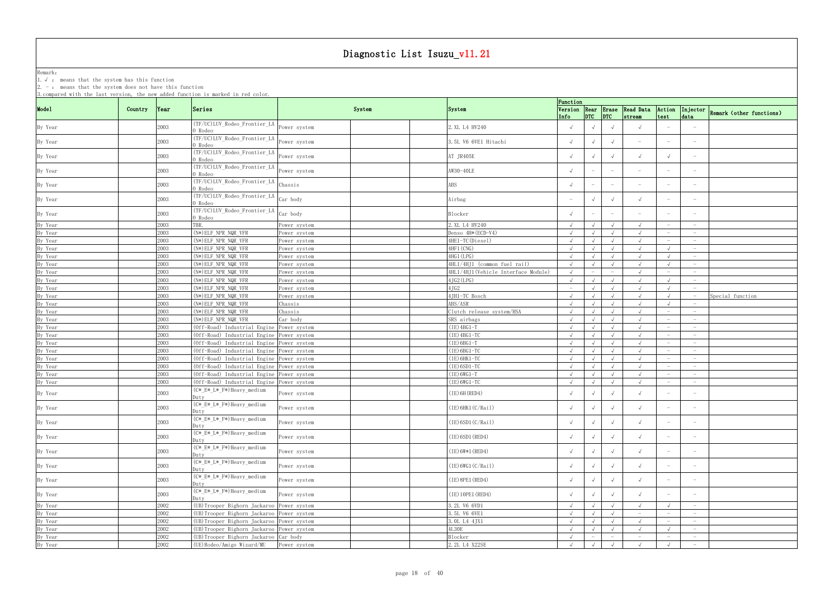Remark: The contract of the contract of  $\mathbb{R}$  and  $\mathbb{R}$  are contract of  $\mathbb{R}$  and  $\mathbb{R}$  are contract of  $\mathbb{R}$  and  $\mathbb{R}$  are contract of  $\mathbb{R}$  and  $\mathbb{R}$  are contract of  $\mathbb{R}$  and  $\mathbb{R}$  are cont

1.√ : means that the system has this function

| Function<br>Mode1<br>System<br>Version Rear Erase Read Data Action Injector Remark (other functions)<br>Country<br>Series<br><b>System</b><br> Year<br>(TF/UC)LUV_Rodeo_Frontier_LA<br>2003<br>2. XL L4 HV240<br>By Year<br>$\sqrt{ }$<br>Power system<br>$\sqrt{ }$<br>) Rodeo<br>(TF/UC)LUV_Rodeo_Frontier_LA<br>2003<br>3.5L V6 6VE1 Hitachi<br>$\sqrt{ }$<br>By Year<br>$\sqrt{ }$<br>Power system<br>$\overline{\phantom{m}}$<br>) Rodeo<br>THE CONTROLLER CONTROLLER TELLA POWER SYSTEM<br>2003<br>AT JR405E<br>$\sqrt{ }$<br>By Year<br>$\sqrt{ }$<br>$\sqrt{ }$<br>) Rodeo<br>THE COLOR TEST LA Power system<br>2003<br>AW30-40LE<br>By Year<br>$ \,$<br>$\overline{\phantom{m}}$<br>$\overline{\phantom{a}}$<br>$\hspace{0.1mm}-\hspace{0.1mm}$<br>$\hspace{0.1mm}-\hspace{0.1mm}$<br>) Rodeo<br>(TF/UC)LUV_Rodeo_Frontier_LA<br>Chassis<br>2003<br>ABS<br>By Year<br>$-$<br>$\overline{\phantom{m}}$<br>$\overline{\phantom{a}}$<br>) Rodeo<br>(TF/UC)LUV_Rodeo_Frontier_LA Car body<br>2003<br>By Year<br>$\sqrt{ }$<br>$\sqrt{ }$<br>$\sqrt{ }$<br>Airbag<br>$\hspace{0.1mm}-\hspace{0.1mm}$<br>$\hspace{0.1mm}-\hspace{0.1mm}$<br>0 Rodeo<br>(TF/UC)LUV_Rodeo_Frontier_LA Car body<br>2003<br>By Year<br>Blocker<br>$ \,$<br>$ \,$<br>) Rodeo<br>By Year<br>2003<br>TBR.<br>2. XL L4 HV240<br>$\sqrt{ }$<br>Power system<br>$\sqrt{ }$<br>$\sqrt{ }$<br>$\overline{\phantom{0}}$<br>$\hspace{0.1mm}-\hspace{0.1mm}$<br>2003<br>(N*) ELF_NPR_NQR_VFR<br>Denso 4H* (ECD-V4)<br>By Year<br>$\sqrt{ }$<br>$\sqrt{ }$<br>Power system<br>$\sqrt{ }$<br>$\sqrt{ }$<br>$\hspace{0.1mm}-\hspace{0.1mm}$<br>$\hspace{0.1mm}-\hspace{0.1mm}$<br>By Year<br>2003<br>4HE1-TC(Diesel)<br>(N*) ELF_NPR_NQR_VFR<br>$\sqrt{ }$<br>$\sqrt{ }$<br>Power system<br>$\sqrt{ }$<br>$-$<br>By Year<br>2003<br>$(N*)$ ELF_NPR_NQR_VFR<br>4HF1 (CNG)<br>$\sqrt{ }$<br>Power system<br>$-$<br>By Year<br>2003<br>(N*) ELF_NPR_NQR_VFR<br>4HG1 (LPG)<br>Power system<br>$\sqrt{ }$<br>$\sqrt{ }$<br>$\hspace{0.1mm}-\hspace{0.1mm}$<br>2003<br>By Year<br>(N*) ELF_NPR_NQR_VFR<br>4HL1/4HJ1 (common fuel rail)<br>Power system<br>$\sqrt{ }$<br>$\overline{\phantom{0}}$<br>2003<br>By Year<br>$(N*)$ ELF_NPR_NQR_VFR<br>4HL1/4HJ1(Vehicle Interface Module)<br>Power system<br>$\sqrt{ }$<br>$\hspace{0.1mm}-\hspace{0.1mm}$<br>$\overline{\phantom{m}}$<br>$\overline{\phantom{m}}$<br>$\overline{\phantom{0}}$<br>2003<br>By Year<br>(N*) ELF_NPR_NQR_VFR<br>4JG2 (LPG)<br>$\sqrt{ }$<br>$\sqrt{ }$<br>Power system<br>$\overline{\phantom{0}}$<br>2003<br>4JG2<br>$(N*)$ ELF_NPR_NQR_VFR<br>$\sqrt{ }$<br>$\sqrt{ }$<br>$\sqrt{ }$<br>By Year<br>Power system<br>$-$<br>2003<br>4JH1-TC Bosch<br>By Year<br>$(N*) ELF_NPR_NQR_VFR$<br>Special function<br>$\sqrt{ }$<br>$\sqrt{ }$<br>Power system<br>$\sqrt{ }$<br>2003<br>ABS/ASR<br>By Year<br>(N*) ELF_NPR_NQR_VFR<br>Chassis<br>$\sqrt{ }$<br>$\sqrt{ }$<br>$\sqrt{ }$<br>$\sqrt{ }$<br>2003<br>By Year<br>$(N*)$ ELF_NPR_NQR_VFR<br>Clutch release system/HSA<br>Chassis<br>$\sqrt{ }$<br>$\sqrt{ }$<br>$\sqrt{ }$<br>By Year<br>2003<br>$(N*)$ ELF NPR NQR VFR<br>Car body<br>SRS airbags<br>$\sqrt{ }$<br>$\sqrt{ }$<br>$\sqrt{ }$<br>$\sqrt{ }$<br>$\hspace{0.1mm}-\hspace{0.1mm}$<br>$-$<br>2003<br>$(IE)$ 4BG1-T<br>(Off-Road) Industrial Engine Power system<br>By Year<br>$\sqrt{ }$<br>$\sqrt{ }$<br>$\sqrt{ }$<br>$-$<br>$-$<br>2003<br>$(IE)$ 4BG1-TC<br>By Year<br>(Off-Road) Industrial Engine Power system<br>$\sqrt{ }$<br>$\sqrt{ }$<br>$\hspace{0.1mm}-\hspace{0.1mm}$<br>2003<br>$(IE)$ 6BG1-T<br>By Year<br>(Off-Road) Industrial Engine Power system<br>$\sqrt{ }$<br>$\sqrt{ }$<br>$\sqrt{ }$<br>$-$<br>2003<br>(Off-Road) Industrial Engine Power system<br>$(IE)$ 6BG1-TC<br>By Year<br>$\sqrt{ }$<br>$\sqrt{ }$<br>$\sqrt{ }$<br>$\hspace{0.1mm}-\hspace{0.1mm}$<br>$\hspace{0.1mm}-\hspace{0.1mm}$<br>2003<br>(IE) 6HK1-TC<br>By Year<br>(Off-Road) Industrial Engine Power system<br>$\sqrt{ }$<br>$\sqrt{ }$<br>$\sqrt{ }$<br>$\overline{\phantom{0}}$<br>$-$<br>By Year<br>2003<br>(Off-Road) Industrial Engine Power system<br>$(IE)$ 6SD1-TC<br>$\sqrt{ }$<br>$\sqrt{ }$<br>$\sqrt{ }$<br>$\sqrt{ }$<br>$\overline{\phantom{0}}$<br>By Year<br>2003<br>(Off-Road) Industrial Engine Power system<br>$(IE) 6WG1-T$<br>$\sqrt{ }$<br>$\sqrt{ }$<br>$\sqrt{ }$<br>$\sqrt{ }$<br>$-$<br>$\hspace{0.1mm}-\hspace{0.1mm}$<br>2003<br>(Off-Road) Industrial Engine Power system<br>$(IE) 6WG1-TC$<br>By Year<br>$\sqrt{ }$<br>$\sqrt{ }$<br>$\sqrt{ }$<br>$\sqrt{ }$<br>$-$<br>$\overline{\phantom{0}}$<br>(C*_E*_L*_F*)Heavy_medium<br>2003<br>$(IE)$ 6H (RED4)<br>By Year<br>Power system<br>$\sqrt{ }$<br>$\sqrt{ }$<br>$\sqrt{ }$<br>$\sqrt{ }$<br>Duty<br>(C*_E*_L*_F*)Heavy_medium<br>By Year<br>$(IE)$ 6HK1 $(C/Rai1)$<br>2003<br>Power system<br>$\sqrt{ }$<br>$\sqrt{ }$<br>$\sqrt{ }$<br>$\sqrt{ }$<br>Duty<br>(C* E* L* F*) Heavy medium<br>$\sqrt{ }$<br>2003<br>$(IE)$ 6SD1 $(C/Rai1)$<br>$\sqrt{ }$<br>By Year<br>$\sqrt{ }$<br>Power system<br>$\overline{\phantom{0}}$<br>)uty-<br>(C*_E*_L*_F*)Heavy_medium<br>2003<br>(IE) 6SD1 (RED4)<br>$\sqrt{ }$<br>By Year<br>Power system<br>$\hspace{0.1mm}-\hspace{0.1mm}$<br>$\hspace{0.1mm}-\hspace{0.1mm}$<br>Duty<br>(C* E*_L*_F*)Heavy_medium<br>2003<br>$(IE) 6W*1 (RED4)$<br>$\sqrt{ }$<br>By Year<br>$\sqrt{ }$<br>$\sqrt{ }$<br>Power system<br>$\overline{\phantom{0}}$<br>)utv<br>(C*_E*_L*_F*)Heavy_medium<br>(IE) 6WG1 (C/Rai1)<br>2003<br>By Year<br>Power system<br>$\sqrt{ }$<br>$\sqrt{ }$<br>$\sqrt{ }$<br>$\hspace{0.1mm}-\hspace{0.1mm}$<br>Duty<br>(C*_E*_L*_F*)Heavy_medium<br>2003<br>$(IE)$ 8PE1 (RED4)<br>$\sqrt{ }$<br>By Year<br>Power system<br>$\sqrt{ }$<br>$\sqrt{ }$<br>Duty<br>$(C* E*L*F*)$ Heavy_medium<br>(IE) 10PE1 (RED4)<br>2003<br>By Year<br>Power system<br>$\sqrt{ }$<br>$\sqrt{ }$<br>Duty<br>2002<br>(UB) Trooper Bighorn Jackaroo Power system<br>3.2L V6 6VD1<br>By Year<br>$\sqrt{ }$<br>$\sqrt{ }$<br>$\sqrt{ }$<br>$\sqrt{ }$<br>$\sqrt{ }$<br>$-$<br>3.5L V6 6VE1<br>2002<br>(UB) Trooper Bighorn Jackaroo Power system<br>By Year<br>$\sqrt{ }$<br>$-$<br>$\sqrt{ }$<br>$\sqrt{ }$<br>$-$<br>$\overline{\phantom{0}}$<br>2002<br>(UB) Trooper Bighorn Jackaroo Power system<br>3. OL L4 4JX1<br>By Year<br>$\sqrt{ }$<br>$\sqrt{ }$<br>$\sqrt{ }$<br>$\sqrt{ }$<br>$-$<br>$-$<br>2002<br>(UB) Trooper Bighorn Jackaroo Power system<br>4L30E<br>By Year<br>$\sqrt{ }$<br>$\sqrt{ }$<br>$\sqrt{ }$<br>$\overline{\phantom{0}}$<br>2002<br>(UB) Trooper Bighorn Jackaroo Car body<br>Blocker<br>$\sqrt{ }$<br>By Year<br>$ \,$<br>$-$<br>$ \,$<br>$\hspace{0.1mm}-\hspace{0.1mm}$<br>$\overline{\phantom{0}}$<br>$\sqrt{ }$<br>$-$ | 2. . means that the system abos not have this runction<br>3. compared with the last version, the new added function is marked in red color. |      |                           |              |               |  |  |  |  |
|-------------------------------------------------------------------------------------------------------------------------------------------------------------------------------------------------------------------------------------------------------------------------------------------------------------------------------------------------------------------------------------------------------------------------------------------------------------------------------------------------------------------------------------------------------------------------------------------------------------------------------------------------------------------------------------------------------------------------------------------------------------------------------------------------------------------------------------------------------------------------------------------------------------------------------------------------------------------------------------------------------------------------------------------------------------------------------------------------------------------------------------------------------------------------------------------------------------------------------------------------------------------------------------------------------------------------------------------------------------------------------------------------------------------------------------------------------------------------------------------------------------------------------------------------------------------------------------------------------------------------------------------------------------------------------------------------------------------------------------------------------------------------------------------------------------------------------------------------------------------------------------------------------------------------------------------------------------------------------------------------------------------------------------------------------------------------------------------------------------------------------------------------------------------------------------------------------------------------------------------------------------------------------------------------------------------------------------------------------------------------------------------------------------------------------------------------------------------------------------------------------------------------------------------------------------------------------------------------------------------------------------------------------------------------------------------------------------------------------------------------------------------------------------------------------------------------------------------------------------------------------------------------------------------------------------------------------------------------------------------------------------------------------------------------------------------------------------------------------------------------------------------------------------------------------------------------------------------------------------------------------------------------------------------------------------------------------------------------------------------------------------------------------------------------------------------------------------------------------------------------------------------------------------------------------------------------------------------------------------------------------------------------------------------------------------------------------------------------------------------------------------------------------------------------------------------------------------------------------------------------------------------------------------------------------------------------------------------------------------------------------------------------------------------------------------------------------------------------------------------------------------------------------------------------------------------------------------------------------------------------------------------------------------------------------------------------------------------------------------------------------------------------------------------------------------------------------------------------------------------------------------------------------------------------------------------------------------------------------------------------------------------------------------------------------------------------------------------------------------------------------------------------------------------------------------------------------------------------------------------------------------------------------------------------------------------------------------------------------------------------------------------------------------------------------------------------------------------------------------------------------------------------------------------------------------------------------------------------------------------------------------------------------------------------------------------------------------------------------------------------------------------------------------------------------------------------------------------------------------------------------------------------------------------------------------------------------------------------------------------------------------------------------------------------------------------------------------------------------------------------------------------------------------------------------------------------------------------------------------------------------------------------------------------------------------------------------------------------------------------------------------------------------------------------------------------------------------------------------------------------------------------------------------------------------------------------------------------------------------------------------------------------------------------------------------------------------------------------------------------------------------------------------------------------------------------------------------------------------------------------------------------------------------------------------------------------------------------------------------------------------------------------------------------------------------------------------------------|---------------------------------------------------------------------------------------------------------------------------------------------|------|---------------------------|--------------|---------------|--|--|--|--|
|                                                                                                                                                                                                                                                                                                                                                                                                                                                                                                                                                                                                                                                                                                                                                                                                                                                                                                                                                                                                                                                                                                                                                                                                                                                                                                                                                                                                                                                                                                                                                                                                                                                                                                                                                                                                                                                                                                                                                                                                                                                                                                                                                                                                                                                                                                                                                                                                                                                                                                                                                                                                                                                                                                                                                                                                                                                                                                                                                                                                                                                                                                                                                                                                                                                                                                                                                                                                                                                                                                                                                                                                                                                                                                                                                                                                                                                                                                                                                                                                                                                                                                                                                                                                                                                                                                                                                                                                                                                                                                                                                                                                                                                                                                                                                                                                                                                                                                                                                                                                                                                                                                                                                                                                                                                                                                                                                                                                                                                                                                                                                                                                                                                                                                                                                                                                                                                                                                                                                                                                                                                                                                                                                                                                                                                                                                                                                                                                                                                                                                                                                                                                                                                                                                                   |                                                                                                                                             |      |                           |              |               |  |  |  |  |
|                                                                                                                                                                                                                                                                                                                                                                                                                                                                                                                                                                                                                                                                                                                                                                                                                                                                                                                                                                                                                                                                                                                                                                                                                                                                                                                                                                                                                                                                                                                                                                                                                                                                                                                                                                                                                                                                                                                                                                                                                                                                                                                                                                                                                                                                                                                                                                                                                                                                                                                                                                                                                                                                                                                                                                                                                                                                                                                                                                                                                                                                                                                                                                                                                                                                                                                                                                                                                                                                                                                                                                                                                                                                                                                                                                                                                                                                                                                                                                                                                                                                                                                                                                                                                                                                                                                                                                                                                                                                                                                                                                                                                                                                                                                                                                                                                                                                                                                                                                                                                                                                                                                                                                                                                                                                                                                                                                                                                                                                                                                                                                                                                                                                                                                                                                                                                                                                                                                                                                                                                                                                                                                                                                                                                                                                                                                                                                                                                                                                                                                                                                                                                                                                                                                   |                                                                                                                                             |      |                           |              |               |  |  |  |  |
|                                                                                                                                                                                                                                                                                                                                                                                                                                                                                                                                                                                                                                                                                                                                                                                                                                                                                                                                                                                                                                                                                                                                                                                                                                                                                                                                                                                                                                                                                                                                                                                                                                                                                                                                                                                                                                                                                                                                                                                                                                                                                                                                                                                                                                                                                                                                                                                                                                                                                                                                                                                                                                                                                                                                                                                                                                                                                                                                                                                                                                                                                                                                                                                                                                                                                                                                                                                                                                                                                                                                                                                                                                                                                                                                                                                                                                                                                                                                                                                                                                                                                                                                                                                                                                                                                                                                                                                                                                                                                                                                                                                                                                                                                                                                                                                                                                                                                                                                                                                                                                                                                                                                                                                                                                                                                                                                                                                                                                                                                                                                                                                                                                                                                                                                                                                                                                                                                                                                                                                                                                                                                                                                                                                                                                                                                                                                                                                                                                                                                                                                                                                                                                                                                                                   |                                                                                                                                             |      |                           |              |               |  |  |  |  |
|                                                                                                                                                                                                                                                                                                                                                                                                                                                                                                                                                                                                                                                                                                                                                                                                                                                                                                                                                                                                                                                                                                                                                                                                                                                                                                                                                                                                                                                                                                                                                                                                                                                                                                                                                                                                                                                                                                                                                                                                                                                                                                                                                                                                                                                                                                                                                                                                                                                                                                                                                                                                                                                                                                                                                                                                                                                                                                                                                                                                                                                                                                                                                                                                                                                                                                                                                                                                                                                                                                                                                                                                                                                                                                                                                                                                                                                                                                                                                                                                                                                                                                                                                                                                                                                                                                                                                                                                                                                                                                                                                                                                                                                                                                                                                                                                                                                                                                                                                                                                                                                                                                                                                                                                                                                                                                                                                                                                                                                                                                                                                                                                                                                                                                                                                                                                                                                                                                                                                                                                                                                                                                                                                                                                                                                                                                                                                                                                                                                                                                                                                                                                                                                                                                                   |                                                                                                                                             |      |                           |              |               |  |  |  |  |
|                                                                                                                                                                                                                                                                                                                                                                                                                                                                                                                                                                                                                                                                                                                                                                                                                                                                                                                                                                                                                                                                                                                                                                                                                                                                                                                                                                                                                                                                                                                                                                                                                                                                                                                                                                                                                                                                                                                                                                                                                                                                                                                                                                                                                                                                                                                                                                                                                                                                                                                                                                                                                                                                                                                                                                                                                                                                                                                                                                                                                                                                                                                                                                                                                                                                                                                                                                                                                                                                                                                                                                                                                                                                                                                                                                                                                                                                                                                                                                                                                                                                                                                                                                                                                                                                                                                                                                                                                                                                                                                                                                                                                                                                                                                                                                                                                                                                                                                                                                                                                                                                                                                                                                                                                                                                                                                                                                                                                                                                                                                                                                                                                                                                                                                                                                                                                                                                                                                                                                                                                                                                                                                                                                                                                                                                                                                                                                                                                                                                                                                                                                                                                                                                                                                   |                                                                                                                                             |      |                           |              |               |  |  |  |  |
|                                                                                                                                                                                                                                                                                                                                                                                                                                                                                                                                                                                                                                                                                                                                                                                                                                                                                                                                                                                                                                                                                                                                                                                                                                                                                                                                                                                                                                                                                                                                                                                                                                                                                                                                                                                                                                                                                                                                                                                                                                                                                                                                                                                                                                                                                                                                                                                                                                                                                                                                                                                                                                                                                                                                                                                                                                                                                                                                                                                                                                                                                                                                                                                                                                                                                                                                                                                                                                                                                                                                                                                                                                                                                                                                                                                                                                                                                                                                                                                                                                                                                                                                                                                                                                                                                                                                                                                                                                                                                                                                                                                                                                                                                                                                                                                                                                                                                                                                                                                                                                                                                                                                                                                                                                                                                                                                                                                                                                                                                                                                                                                                                                                                                                                                                                                                                                                                                                                                                                                                                                                                                                                                                                                                                                                                                                                                                                                                                                                                                                                                                                                                                                                                                                                   |                                                                                                                                             |      |                           |              |               |  |  |  |  |
|                                                                                                                                                                                                                                                                                                                                                                                                                                                                                                                                                                                                                                                                                                                                                                                                                                                                                                                                                                                                                                                                                                                                                                                                                                                                                                                                                                                                                                                                                                                                                                                                                                                                                                                                                                                                                                                                                                                                                                                                                                                                                                                                                                                                                                                                                                                                                                                                                                                                                                                                                                                                                                                                                                                                                                                                                                                                                                                                                                                                                                                                                                                                                                                                                                                                                                                                                                                                                                                                                                                                                                                                                                                                                                                                                                                                                                                                                                                                                                                                                                                                                                                                                                                                                                                                                                                                                                                                                                                                                                                                                                                                                                                                                                                                                                                                                                                                                                                                                                                                                                                                                                                                                                                                                                                                                                                                                                                                                                                                                                                                                                                                                                                                                                                                                                                                                                                                                                                                                                                                                                                                                                                                                                                                                                                                                                                                                                                                                                                                                                                                                                                                                                                                                                                   |                                                                                                                                             |      |                           |              |               |  |  |  |  |
|                                                                                                                                                                                                                                                                                                                                                                                                                                                                                                                                                                                                                                                                                                                                                                                                                                                                                                                                                                                                                                                                                                                                                                                                                                                                                                                                                                                                                                                                                                                                                                                                                                                                                                                                                                                                                                                                                                                                                                                                                                                                                                                                                                                                                                                                                                                                                                                                                                                                                                                                                                                                                                                                                                                                                                                                                                                                                                                                                                                                                                                                                                                                                                                                                                                                                                                                                                                                                                                                                                                                                                                                                                                                                                                                                                                                                                                                                                                                                                                                                                                                                                                                                                                                                                                                                                                                                                                                                                                                                                                                                                                                                                                                                                                                                                                                                                                                                                                                                                                                                                                                                                                                                                                                                                                                                                                                                                                                                                                                                                                                                                                                                                                                                                                                                                                                                                                                                                                                                                                                                                                                                                                                                                                                                                                                                                                                                                                                                                                                                                                                                                                                                                                                                                                   |                                                                                                                                             |      |                           |              |               |  |  |  |  |
|                                                                                                                                                                                                                                                                                                                                                                                                                                                                                                                                                                                                                                                                                                                                                                                                                                                                                                                                                                                                                                                                                                                                                                                                                                                                                                                                                                                                                                                                                                                                                                                                                                                                                                                                                                                                                                                                                                                                                                                                                                                                                                                                                                                                                                                                                                                                                                                                                                                                                                                                                                                                                                                                                                                                                                                                                                                                                                                                                                                                                                                                                                                                                                                                                                                                                                                                                                                                                                                                                                                                                                                                                                                                                                                                                                                                                                                                                                                                                                                                                                                                                                                                                                                                                                                                                                                                                                                                                                                                                                                                                                                                                                                                                                                                                                                                                                                                                                                                                                                                                                                                                                                                                                                                                                                                                                                                                                                                                                                                                                                                                                                                                                                                                                                                                                                                                                                                                                                                                                                                                                                                                                                                                                                                                                                                                                                                                                                                                                                                                                                                                                                                                                                                                                                   |                                                                                                                                             |      |                           |              |               |  |  |  |  |
|                                                                                                                                                                                                                                                                                                                                                                                                                                                                                                                                                                                                                                                                                                                                                                                                                                                                                                                                                                                                                                                                                                                                                                                                                                                                                                                                                                                                                                                                                                                                                                                                                                                                                                                                                                                                                                                                                                                                                                                                                                                                                                                                                                                                                                                                                                                                                                                                                                                                                                                                                                                                                                                                                                                                                                                                                                                                                                                                                                                                                                                                                                                                                                                                                                                                                                                                                                                                                                                                                                                                                                                                                                                                                                                                                                                                                                                                                                                                                                                                                                                                                                                                                                                                                                                                                                                                                                                                                                                                                                                                                                                                                                                                                                                                                                                                                                                                                                                                                                                                                                                                                                                                                                                                                                                                                                                                                                                                                                                                                                                                                                                                                                                                                                                                                                                                                                                                                                                                                                                                                                                                                                                                                                                                                                                                                                                                                                                                                                                                                                                                                                                                                                                                                                                   |                                                                                                                                             |      |                           |              |               |  |  |  |  |
|                                                                                                                                                                                                                                                                                                                                                                                                                                                                                                                                                                                                                                                                                                                                                                                                                                                                                                                                                                                                                                                                                                                                                                                                                                                                                                                                                                                                                                                                                                                                                                                                                                                                                                                                                                                                                                                                                                                                                                                                                                                                                                                                                                                                                                                                                                                                                                                                                                                                                                                                                                                                                                                                                                                                                                                                                                                                                                                                                                                                                                                                                                                                                                                                                                                                                                                                                                                                                                                                                                                                                                                                                                                                                                                                                                                                                                                                                                                                                                                                                                                                                                                                                                                                                                                                                                                                                                                                                                                                                                                                                                                                                                                                                                                                                                                                                                                                                                                                                                                                                                                                                                                                                                                                                                                                                                                                                                                                                                                                                                                                                                                                                                                                                                                                                                                                                                                                                                                                                                                                                                                                                                                                                                                                                                                                                                                                                                                                                                                                                                                                                                                                                                                                                                                   |                                                                                                                                             |      |                           |              |               |  |  |  |  |
|                                                                                                                                                                                                                                                                                                                                                                                                                                                                                                                                                                                                                                                                                                                                                                                                                                                                                                                                                                                                                                                                                                                                                                                                                                                                                                                                                                                                                                                                                                                                                                                                                                                                                                                                                                                                                                                                                                                                                                                                                                                                                                                                                                                                                                                                                                                                                                                                                                                                                                                                                                                                                                                                                                                                                                                                                                                                                                                                                                                                                                                                                                                                                                                                                                                                                                                                                                                                                                                                                                                                                                                                                                                                                                                                                                                                                                                                                                                                                                                                                                                                                                                                                                                                                                                                                                                                                                                                                                                                                                                                                                                                                                                                                                                                                                                                                                                                                                                                                                                                                                                                                                                                                                                                                                                                                                                                                                                                                                                                                                                                                                                                                                                                                                                                                                                                                                                                                                                                                                                                                                                                                                                                                                                                                                                                                                                                                                                                                                                                                                                                                                                                                                                                                                                   |                                                                                                                                             |      |                           |              |               |  |  |  |  |
|                                                                                                                                                                                                                                                                                                                                                                                                                                                                                                                                                                                                                                                                                                                                                                                                                                                                                                                                                                                                                                                                                                                                                                                                                                                                                                                                                                                                                                                                                                                                                                                                                                                                                                                                                                                                                                                                                                                                                                                                                                                                                                                                                                                                                                                                                                                                                                                                                                                                                                                                                                                                                                                                                                                                                                                                                                                                                                                                                                                                                                                                                                                                                                                                                                                                                                                                                                                                                                                                                                                                                                                                                                                                                                                                                                                                                                                                                                                                                                                                                                                                                                                                                                                                                                                                                                                                                                                                                                                                                                                                                                                                                                                                                                                                                                                                                                                                                                                                                                                                                                                                                                                                                                                                                                                                                                                                                                                                                                                                                                                                                                                                                                                                                                                                                                                                                                                                                                                                                                                                                                                                                                                                                                                                                                                                                                                                                                                                                                                                                                                                                                                                                                                                                                                   |                                                                                                                                             |      |                           |              |               |  |  |  |  |
|                                                                                                                                                                                                                                                                                                                                                                                                                                                                                                                                                                                                                                                                                                                                                                                                                                                                                                                                                                                                                                                                                                                                                                                                                                                                                                                                                                                                                                                                                                                                                                                                                                                                                                                                                                                                                                                                                                                                                                                                                                                                                                                                                                                                                                                                                                                                                                                                                                                                                                                                                                                                                                                                                                                                                                                                                                                                                                                                                                                                                                                                                                                                                                                                                                                                                                                                                                                                                                                                                                                                                                                                                                                                                                                                                                                                                                                                                                                                                                                                                                                                                                                                                                                                                                                                                                                                                                                                                                                                                                                                                                                                                                                                                                                                                                                                                                                                                                                                                                                                                                                                                                                                                                                                                                                                                                                                                                                                                                                                                                                                                                                                                                                                                                                                                                                                                                                                                                                                                                                                                                                                                                                                                                                                                                                                                                                                                                                                                                                                                                                                                                                                                                                                                                                   |                                                                                                                                             |      |                           |              |               |  |  |  |  |
|                                                                                                                                                                                                                                                                                                                                                                                                                                                                                                                                                                                                                                                                                                                                                                                                                                                                                                                                                                                                                                                                                                                                                                                                                                                                                                                                                                                                                                                                                                                                                                                                                                                                                                                                                                                                                                                                                                                                                                                                                                                                                                                                                                                                                                                                                                                                                                                                                                                                                                                                                                                                                                                                                                                                                                                                                                                                                                                                                                                                                                                                                                                                                                                                                                                                                                                                                                                                                                                                                                                                                                                                                                                                                                                                                                                                                                                                                                                                                                                                                                                                                                                                                                                                                                                                                                                                                                                                                                                                                                                                                                                                                                                                                                                                                                                                                                                                                                                                                                                                                                                                                                                                                                                                                                                                                                                                                                                                                                                                                                                                                                                                                                                                                                                                                                                                                                                                                                                                                                                                                                                                                                                                                                                                                                                                                                                                                                                                                                                                                                                                                                                                                                                                                                                   |                                                                                                                                             |      |                           |              |               |  |  |  |  |
|                                                                                                                                                                                                                                                                                                                                                                                                                                                                                                                                                                                                                                                                                                                                                                                                                                                                                                                                                                                                                                                                                                                                                                                                                                                                                                                                                                                                                                                                                                                                                                                                                                                                                                                                                                                                                                                                                                                                                                                                                                                                                                                                                                                                                                                                                                                                                                                                                                                                                                                                                                                                                                                                                                                                                                                                                                                                                                                                                                                                                                                                                                                                                                                                                                                                                                                                                                                                                                                                                                                                                                                                                                                                                                                                                                                                                                                                                                                                                                                                                                                                                                                                                                                                                                                                                                                                                                                                                                                                                                                                                                                                                                                                                                                                                                                                                                                                                                                                                                                                                                                                                                                                                                                                                                                                                                                                                                                                                                                                                                                                                                                                                                                                                                                                                                                                                                                                                                                                                                                                                                                                                                                                                                                                                                                                                                                                                                                                                                                                                                                                                                                                                                                                                                                   |                                                                                                                                             |      |                           |              |               |  |  |  |  |
|                                                                                                                                                                                                                                                                                                                                                                                                                                                                                                                                                                                                                                                                                                                                                                                                                                                                                                                                                                                                                                                                                                                                                                                                                                                                                                                                                                                                                                                                                                                                                                                                                                                                                                                                                                                                                                                                                                                                                                                                                                                                                                                                                                                                                                                                                                                                                                                                                                                                                                                                                                                                                                                                                                                                                                                                                                                                                                                                                                                                                                                                                                                                                                                                                                                                                                                                                                                                                                                                                                                                                                                                                                                                                                                                                                                                                                                                                                                                                                                                                                                                                                                                                                                                                                                                                                                                                                                                                                                                                                                                                                                                                                                                                                                                                                                                                                                                                                                                                                                                                                                                                                                                                                                                                                                                                                                                                                                                                                                                                                                                                                                                                                                                                                                                                                                                                                                                                                                                                                                                                                                                                                                                                                                                                                                                                                                                                                                                                                                                                                                                                                                                                                                                                                                   |                                                                                                                                             |      |                           |              |               |  |  |  |  |
|                                                                                                                                                                                                                                                                                                                                                                                                                                                                                                                                                                                                                                                                                                                                                                                                                                                                                                                                                                                                                                                                                                                                                                                                                                                                                                                                                                                                                                                                                                                                                                                                                                                                                                                                                                                                                                                                                                                                                                                                                                                                                                                                                                                                                                                                                                                                                                                                                                                                                                                                                                                                                                                                                                                                                                                                                                                                                                                                                                                                                                                                                                                                                                                                                                                                                                                                                                                                                                                                                                                                                                                                                                                                                                                                                                                                                                                                                                                                                                                                                                                                                                                                                                                                                                                                                                                                                                                                                                                                                                                                                                                                                                                                                                                                                                                                                                                                                                                                                                                                                                                                                                                                                                                                                                                                                                                                                                                                                                                                                                                                                                                                                                                                                                                                                                                                                                                                                                                                                                                                                                                                                                                                                                                                                                                                                                                                                                                                                                                                                                                                                                                                                                                                                                                   |                                                                                                                                             |      |                           |              |               |  |  |  |  |
|                                                                                                                                                                                                                                                                                                                                                                                                                                                                                                                                                                                                                                                                                                                                                                                                                                                                                                                                                                                                                                                                                                                                                                                                                                                                                                                                                                                                                                                                                                                                                                                                                                                                                                                                                                                                                                                                                                                                                                                                                                                                                                                                                                                                                                                                                                                                                                                                                                                                                                                                                                                                                                                                                                                                                                                                                                                                                                                                                                                                                                                                                                                                                                                                                                                                                                                                                                                                                                                                                                                                                                                                                                                                                                                                                                                                                                                                                                                                                                                                                                                                                                                                                                                                                                                                                                                                                                                                                                                                                                                                                                                                                                                                                                                                                                                                                                                                                                                                                                                                                                                                                                                                                                                                                                                                                                                                                                                                                                                                                                                                                                                                                                                                                                                                                                                                                                                                                                                                                                                                                                                                                                                                                                                                                                                                                                                                                                                                                                                                                                                                                                                                                                                                                                                   |                                                                                                                                             |      |                           |              |               |  |  |  |  |
|                                                                                                                                                                                                                                                                                                                                                                                                                                                                                                                                                                                                                                                                                                                                                                                                                                                                                                                                                                                                                                                                                                                                                                                                                                                                                                                                                                                                                                                                                                                                                                                                                                                                                                                                                                                                                                                                                                                                                                                                                                                                                                                                                                                                                                                                                                                                                                                                                                                                                                                                                                                                                                                                                                                                                                                                                                                                                                                                                                                                                                                                                                                                                                                                                                                                                                                                                                                                                                                                                                                                                                                                                                                                                                                                                                                                                                                                                                                                                                                                                                                                                                                                                                                                                                                                                                                                                                                                                                                                                                                                                                                                                                                                                                                                                                                                                                                                                                                                                                                                                                                                                                                                                                                                                                                                                                                                                                                                                                                                                                                                                                                                                                                                                                                                                                                                                                                                                                                                                                                                                                                                                                                                                                                                                                                                                                                                                                                                                                                                                                                                                                                                                                                                                                                   |                                                                                                                                             |      |                           |              |               |  |  |  |  |
|                                                                                                                                                                                                                                                                                                                                                                                                                                                                                                                                                                                                                                                                                                                                                                                                                                                                                                                                                                                                                                                                                                                                                                                                                                                                                                                                                                                                                                                                                                                                                                                                                                                                                                                                                                                                                                                                                                                                                                                                                                                                                                                                                                                                                                                                                                                                                                                                                                                                                                                                                                                                                                                                                                                                                                                                                                                                                                                                                                                                                                                                                                                                                                                                                                                                                                                                                                                                                                                                                                                                                                                                                                                                                                                                                                                                                                                                                                                                                                                                                                                                                                                                                                                                                                                                                                                                                                                                                                                                                                                                                                                                                                                                                                                                                                                                                                                                                                                                                                                                                                                                                                                                                                                                                                                                                                                                                                                                                                                                                                                                                                                                                                                                                                                                                                                                                                                                                                                                                                                                                                                                                                                                                                                                                                                                                                                                                                                                                                                                                                                                                                                                                                                                                                                   |                                                                                                                                             |      |                           |              |               |  |  |  |  |
|                                                                                                                                                                                                                                                                                                                                                                                                                                                                                                                                                                                                                                                                                                                                                                                                                                                                                                                                                                                                                                                                                                                                                                                                                                                                                                                                                                                                                                                                                                                                                                                                                                                                                                                                                                                                                                                                                                                                                                                                                                                                                                                                                                                                                                                                                                                                                                                                                                                                                                                                                                                                                                                                                                                                                                                                                                                                                                                                                                                                                                                                                                                                                                                                                                                                                                                                                                                                                                                                                                                                                                                                                                                                                                                                                                                                                                                                                                                                                                                                                                                                                                                                                                                                                                                                                                                                                                                                                                                                                                                                                                                                                                                                                                                                                                                                                                                                                                                                                                                                                                                                                                                                                                                                                                                                                                                                                                                                                                                                                                                                                                                                                                                                                                                                                                                                                                                                                                                                                                                                                                                                                                                                                                                                                                                                                                                                                                                                                                                                                                                                                                                                                                                                                                                   |                                                                                                                                             |      |                           |              |               |  |  |  |  |
|                                                                                                                                                                                                                                                                                                                                                                                                                                                                                                                                                                                                                                                                                                                                                                                                                                                                                                                                                                                                                                                                                                                                                                                                                                                                                                                                                                                                                                                                                                                                                                                                                                                                                                                                                                                                                                                                                                                                                                                                                                                                                                                                                                                                                                                                                                                                                                                                                                                                                                                                                                                                                                                                                                                                                                                                                                                                                                                                                                                                                                                                                                                                                                                                                                                                                                                                                                                                                                                                                                                                                                                                                                                                                                                                                                                                                                                                                                                                                                                                                                                                                                                                                                                                                                                                                                                                                                                                                                                                                                                                                                                                                                                                                                                                                                                                                                                                                                                                                                                                                                                                                                                                                                                                                                                                                                                                                                                                                                                                                                                                                                                                                                                                                                                                                                                                                                                                                                                                                                                                                                                                                                                                                                                                                                                                                                                                                                                                                                                                                                                                                                                                                                                                                                                   |                                                                                                                                             |      |                           |              |               |  |  |  |  |
|                                                                                                                                                                                                                                                                                                                                                                                                                                                                                                                                                                                                                                                                                                                                                                                                                                                                                                                                                                                                                                                                                                                                                                                                                                                                                                                                                                                                                                                                                                                                                                                                                                                                                                                                                                                                                                                                                                                                                                                                                                                                                                                                                                                                                                                                                                                                                                                                                                                                                                                                                                                                                                                                                                                                                                                                                                                                                                                                                                                                                                                                                                                                                                                                                                                                                                                                                                                                                                                                                                                                                                                                                                                                                                                                                                                                                                                                                                                                                                                                                                                                                                                                                                                                                                                                                                                                                                                                                                                                                                                                                                                                                                                                                                                                                                                                                                                                                                                                                                                                                                                                                                                                                                                                                                                                                                                                                                                                                                                                                                                                                                                                                                                                                                                                                                                                                                                                                                                                                                                                                                                                                                                                                                                                                                                                                                                                                                                                                                                                                                                                                                                                                                                                                                                   |                                                                                                                                             |      |                           |              |               |  |  |  |  |
|                                                                                                                                                                                                                                                                                                                                                                                                                                                                                                                                                                                                                                                                                                                                                                                                                                                                                                                                                                                                                                                                                                                                                                                                                                                                                                                                                                                                                                                                                                                                                                                                                                                                                                                                                                                                                                                                                                                                                                                                                                                                                                                                                                                                                                                                                                                                                                                                                                                                                                                                                                                                                                                                                                                                                                                                                                                                                                                                                                                                                                                                                                                                                                                                                                                                                                                                                                                                                                                                                                                                                                                                                                                                                                                                                                                                                                                                                                                                                                                                                                                                                                                                                                                                                                                                                                                                                                                                                                                                                                                                                                                                                                                                                                                                                                                                                                                                                                                                                                                                                                                                                                                                                                                                                                                                                                                                                                                                                                                                                                                                                                                                                                                                                                                                                                                                                                                                                                                                                                                                                                                                                                                                                                                                                                                                                                                                                                                                                                                                                                                                                                                                                                                                                                                   |                                                                                                                                             |      |                           |              |               |  |  |  |  |
|                                                                                                                                                                                                                                                                                                                                                                                                                                                                                                                                                                                                                                                                                                                                                                                                                                                                                                                                                                                                                                                                                                                                                                                                                                                                                                                                                                                                                                                                                                                                                                                                                                                                                                                                                                                                                                                                                                                                                                                                                                                                                                                                                                                                                                                                                                                                                                                                                                                                                                                                                                                                                                                                                                                                                                                                                                                                                                                                                                                                                                                                                                                                                                                                                                                                                                                                                                                                                                                                                                                                                                                                                                                                                                                                                                                                                                                                                                                                                                                                                                                                                                                                                                                                                                                                                                                                                                                                                                                                                                                                                                                                                                                                                                                                                                                                                                                                                                                                                                                                                                                                                                                                                                                                                                                                                                                                                                                                                                                                                                                                                                                                                                                                                                                                                                                                                                                                                                                                                                                                                                                                                                                                                                                                                                                                                                                                                                                                                                                                                                                                                                                                                                                                                                                   |                                                                                                                                             |      |                           |              |               |  |  |  |  |
|                                                                                                                                                                                                                                                                                                                                                                                                                                                                                                                                                                                                                                                                                                                                                                                                                                                                                                                                                                                                                                                                                                                                                                                                                                                                                                                                                                                                                                                                                                                                                                                                                                                                                                                                                                                                                                                                                                                                                                                                                                                                                                                                                                                                                                                                                                                                                                                                                                                                                                                                                                                                                                                                                                                                                                                                                                                                                                                                                                                                                                                                                                                                                                                                                                                                                                                                                                                                                                                                                                                                                                                                                                                                                                                                                                                                                                                                                                                                                                                                                                                                                                                                                                                                                                                                                                                                                                                                                                                                                                                                                                                                                                                                                                                                                                                                                                                                                                                                                                                                                                                                                                                                                                                                                                                                                                                                                                                                                                                                                                                                                                                                                                                                                                                                                                                                                                                                                                                                                                                                                                                                                                                                                                                                                                                                                                                                                                                                                                                                                                                                                                                                                                                                                                                   |                                                                                                                                             |      |                           |              |               |  |  |  |  |
|                                                                                                                                                                                                                                                                                                                                                                                                                                                                                                                                                                                                                                                                                                                                                                                                                                                                                                                                                                                                                                                                                                                                                                                                                                                                                                                                                                                                                                                                                                                                                                                                                                                                                                                                                                                                                                                                                                                                                                                                                                                                                                                                                                                                                                                                                                                                                                                                                                                                                                                                                                                                                                                                                                                                                                                                                                                                                                                                                                                                                                                                                                                                                                                                                                                                                                                                                                                                                                                                                                                                                                                                                                                                                                                                                                                                                                                                                                                                                                                                                                                                                                                                                                                                                                                                                                                                                                                                                                                                                                                                                                                                                                                                                                                                                                                                                                                                                                                                                                                                                                                                                                                                                                                                                                                                                                                                                                                                                                                                                                                                                                                                                                                                                                                                                                                                                                                                                                                                                                                                                                                                                                                                                                                                                                                                                                                                                                                                                                                                                                                                                                                                                                                                                                                   |                                                                                                                                             |      |                           |              |               |  |  |  |  |
|                                                                                                                                                                                                                                                                                                                                                                                                                                                                                                                                                                                                                                                                                                                                                                                                                                                                                                                                                                                                                                                                                                                                                                                                                                                                                                                                                                                                                                                                                                                                                                                                                                                                                                                                                                                                                                                                                                                                                                                                                                                                                                                                                                                                                                                                                                                                                                                                                                                                                                                                                                                                                                                                                                                                                                                                                                                                                                                                                                                                                                                                                                                                                                                                                                                                                                                                                                                                                                                                                                                                                                                                                                                                                                                                                                                                                                                                                                                                                                                                                                                                                                                                                                                                                                                                                                                                                                                                                                                                                                                                                                                                                                                                                                                                                                                                                                                                                                                                                                                                                                                                                                                                                                                                                                                                                                                                                                                                                                                                                                                                                                                                                                                                                                                                                                                                                                                                                                                                                                                                                                                                                                                                                                                                                                                                                                                                                                                                                                                                                                                                                                                                                                                                                                                   |                                                                                                                                             |      |                           |              |               |  |  |  |  |
|                                                                                                                                                                                                                                                                                                                                                                                                                                                                                                                                                                                                                                                                                                                                                                                                                                                                                                                                                                                                                                                                                                                                                                                                                                                                                                                                                                                                                                                                                                                                                                                                                                                                                                                                                                                                                                                                                                                                                                                                                                                                                                                                                                                                                                                                                                                                                                                                                                                                                                                                                                                                                                                                                                                                                                                                                                                                                                                                                                                                                                                                                                                                                                                                                                                                                                                                                                                                                                                                                                                                                                                                                                                                                                                                                                                                                                                                                                                                                                                                                                                                                                                                                                                                                                                                                                                                                                                                                                                                                                                                                                                                                                                                                                                                                                                                                                                                                                                                                                                                                                                                                                                                                                                                                                                                                                                                                                                                                                                                                                                                                                                                                                                                                                                                                                                                                                                                                                                                                                                                                                                                                                                                                                                                                                                                                                                                                                                                                                                                                                                                                                                                                                                                                                                   |                                                                                                                                             |      |                           |              |               |  |  |  |  |
|                                                                                                                                                                                                                                                                                                                                                                                                                                                                                                                                                                                                                                                                                                                                                                                                                                                                                                                                                                                                                                                                                                                                                                                                                                                                                                                                                                                                                                                                                                                                                                                                                                                                                                                                                                                                                                                                                                                                                                                                                                                                                                                                                                                                                                                                                                                                                                                                                                                                                                                                                                                                                                                                                                                                                                                                                                                                                                                                                                                                                                                                                                                                                                                                                                                                                                                                                                                                                                                                                                                                                                                                                                                                                                                                                                                                                                                                                                                                                                                                                                                                                                                                                                                                                                                                                                                                                                                                                                                                                                                                                                                                                                                                                                                                                                                                                                                                                                                                                                                                                                                                                                                                                                                                                                                                                                                                                                                                                                                                                                                                                                                                                                                                                                                                                                                                                                                                                                                                                                                                                                                                                                                                                                                                                                                                                                                                                                                                                                                                                                                                                                                                                                                                                                                   |                                                                                                                                             |      |                           |              |               |  |  |  |  |
|                                                                                                                                                                                                                                                                                                                                                                                                                                                                                                                                                                                                                                                                                                                                                                                                                                                                                                                                                                                                                                                                                                                                                                                                                                                                                                                                                                                                                                                                                                                                                                                                                                                                                                                                                                                                                                                                                                                                                                                                                                                                                                                                                                                                                                                                                                                                                                                                                                                                                                                                                                                                                                                                                                                                                                                                                                                                                                                                                                                                                                                                                                                                                                                                                                                                                                                                                                                                                                                                                                                                                                                                                                                                                                                                                                                                                                                                                                                                                                                                                                                                                                                                                                                                                                                                                                                                                                                                                                                                                                                                                                                                                                                                                                                                                                                                                                                                                                                                                                                                                                                                                                                                                                                                                                                                                                                                                                                                                                                                                                                                                                                                                                                                                                                                                                                                                                                                                                                                                                                                                                                                                                                                                                                                                                                                                                                                                                                                                                                                                                                                                                                                                                                                                                                   |                                                                                                                                             |      |                           |              |               |  |  |  |  |
|                                                                                                                                                                                                                                                                                                                                                                                                                                                                                                                                                                                                                                                                                                                                                                                                                                                                                                                                                                                                                                                                                                                                                                                                                                                                                                                                                                                                                                                                                                                                                                                                                                                                                                                                                                                                                                                                                                                                                                                                                                                                                                                                                                                                                                                                                                                                                                                                                                                                                                                                                                                                                                                                                                                                                                                                                                                                                                                                                                                                                                                                                                                                                                                                                                                                                                                                                                                                                                                                                                                                                                                                                                                                                                                                                                                                                                                                                                                                                                                                                                                                                                                                                                                                                                                                                                                                                                                                                                                                                                                                                                                                                                                                                                                                                                                                                                                                                                                                                                                                                                                                                                                                                                                                                                                                                                                                                                                                                                                                                                                                                                                                                                                                                                                                                                                                                                                                                                                                                                                                                                                                                                                                                                                                                                                                                                                                                                                                                                                                                                                                                                                                                                                                                                                   |                                                                                                                                             |      |                           |              |               |  |  |  |  |
|                                                                                                                                                                                                                                                                                                                                                                                                                                                                                                                                                                                                                                                                                                                                                                                                                                                                                                                                                                                                                                                                                                                                                                                                                                                                                                                                                                                                                                                                                                                                                                                                                                                                                                                                                                                                                                                                                                                                                                                                                                                                                                                                                                                                                                                                                                                                                                                                                                                                                                                                                                                                                                                                                                                                                                                                                                                                                                                                                                                                                                                                                                                                                                                                                                                                                                                                                                                                                                                                                                                                                                                                                                                                                                                                                                                                                                                                                                                                                                                                                                                                                                                                                                                                                                                                                                                                                                                                                                                                                                                                                                                                                                                                                                                                                                                                                                                                                                                                                                                                                                                                                                                                                                                                                                                                                                                                                                                                                                                                                                                                                                                                                                                                                                                                                                                                                                                                                                                                                                                                                                                                                                                                                                                                                                                                                                                                                                                                                                                                                                                                                                                                                                                                                                                   |                                                                                                                                             |      |                           |              |               |  |  |  |  |
|                                                                                                                                                                                                                                                                                                                                                                                                                                                                                                                                                                                                                                                                                                                                                                                                                                                                                                                                                                                                                                                                                                                                                                                                                                                                                                                                                                                                                                                                                                                                                                                                                                                                                                                                                                                                                                                                                                                                                                                                                                                                                                                                                                                                                                                                                                                                                                                                                                                                                                                                                                                                                                                                                                                                                                                                                                                                                                                                                                                                                                                                                                                                                                                                                                                                                                                                                                                                                                                                                                                                                                                                                                                                                                                                                                                                                                                                                                                                                                                                                                                                                                                                                                                                                                                                                                                                                                                                                                                                                                                                                                                                                                                                                                                                                                                                                                                                                                                                                                                                                                                                                                                                                                                                                                                                                                                                                                                                                                                                                                                                                                                                                                                                                                                                                                                                                                                                                                                                                                                                                                                                                                                                                                                                                                                                                                                                                                                                                                                                                                                                                                                                                                                                                                                   |                                                                                                                                             |      |                           |              |               |  |  |  |  |
|                                                                                                                                                                                                                                                                                                                                                                                                                                                                                                                                                                                                                                                                                                                                                                                                                                                                                                                                                                                                                                                                                                                                                                                                                                                                                                                                                                                                                                                                                                                                                                                                                                                                                                                                                                                                                                                                                                                                                                                                                                                                                                                                                                                                                                                                                                                                                                                                                                                                                                                                                                                                                                                                                                                                                                                                                                                                                                                                                                                                                                                                                                                                                                                                                                                                                                                                                                                                                                                                                                                                                                                                                                                                                                                                                                                                                                                                                                                                                                                                                                                                                                                                                                                                                                                                                                                                                                                                                                                                                                                                                                                                                                                                                                                                                                                                                                                                                                                                                                                                                                                                                                                                                                                                                                                                                                                                                                                                                                                                                                                                                                                                                                                                                                                                                                                                                                                                                                                                                                                                                                                                                                                                                                                                                                                                                                                                                                                                                                                                                                                                                                                                                                                                                                                   |                                                                                                                                             |      |                           |              |               |  |  |  |  |
|                                                                                                                                                                                                                                                                                                                                                                                                                                                                                                                                                                                                                                                                                                                                                                                                                                                                                                                                                                                                                                                                                                                                                                                                                                                                                                                                                                                                                                                                                                                                                                                                                                                                                                                                                                                                                                                                                                                                                                                                                                                                                                                                                                                                                                                                                                                                                                                                                                                                                                                                                                                                                                                                                                                                                                                                                                                                                                                                                                                                                                                                                                                                                                                                                                                                                                                                                                                                                                                                                                                                                                                                                                                                                                                                                                                                                                                                                                                                                                                                                                                                                                                                                                                                                                                                                                                                                                                                                                                                                                                                                                                                                                                                                                                                                                                                                                                                                                                                                                                                                                                                                                                                                                                                                                                                                                                                                                                                                                                                                                                                                                                                                                                                                                                                                                                                                                                                                                                                                                                                                                                                                                                                                                                                                                                                                                                                                                                                                                                                                                                                                                                                                                                                                                                   |                                                                                                                                             |      |                           |              |               |  |  |  |  |
|                                                                                                                                                                                                                                                                                                                                                                                                                                                                                                                                                                                                                                                                                                                                                                                                                                                                                                                                                                                                                                                                                                                                                                                                                                                                                                                                                                                                                                                                                                                                                                                                                                                                                                                                                                                                                                                                                                                                                                                                                                                                                                                                                                                                                                                                                                                                                                                                                                                                                                                                                                                                                                                                                                                                                                                                                                                                                                                                                                                                                                                                                                                                                                                                                                                                                                                                                                                                                                                                                                                                                                                                                                                                                                                                                                                                                                                                                                                                                                                                                                                                                                                                                                                                                                                                                                                                                                                                                                                                                                                                                                                                                                                                                                                                                                                                                                                                                                                                                                                                                                                                                                                                                                                                                                                                                                                                                                                                                                                                                                                                                                                                                                                                                                                                                                                                                                                                                                                                                                                                                                                                                                                                                                                                                                                                                                                                                                                                                                                                                                                                                                                                                                                                                                                   |                                                                                                                                             |      |                           |              |               |  |  |  |  |
|                                                                                                                                                                                                                                                                                                                                                                                                                                                                                                                                                                                                                                                                                                                                                                                                                                                                                                                                                                                                                                                                                                                                                                                                                                                                                                                                                                                                                                                                                                                                                                                                                                                                                                                                                                                                                                                                                                                                                                                                                                                                                                                                                                                                                                                                                                                                                                                                                                                                                                                                                                                                                                                                                                                                                                                                                                                                                                                                                                                                                                                                                                                                                                                                                                                                                                                                                                                                                                                                                                                                                                                                                                                                                                                                                                                                                                                                                                                                                                                                                                                                                                                                                                                                                                                                                                                                                                                                                                                                                                                                                                                                                                                                                                                                                                                                                                                                                                                                                                                                                                                                                                                                                                                                                                                                                                                                                                                                                                                                                                                                                                                                                                                                                                                                                                                                                                                                                                                                                                                                                                                                                                                                                                                                                                                                                                                                                                                                                                                                                                                                                                                                                                                                                                                   |                                                                                                                                             |      |                           |              |               |  |  |  |  |
|                                                                                                                                                                                                                                                                                                                                                                                                                                                                                                                                                                                                                                                                                                                                                                                                                                                                                                                                                                                                                                                                                                                                                                                                                                                                                                                                                                                                                                                                                                                                                                                                                                                                                                                                                                                                                                                                                                                                                                                                                                                                                                                                                                                                                                                                                                                                                                                                                                                                                                                                                                                                                                                                                                                                                                                                                                                                                                                                                                                                                                                                                                                                                                                                                                                                                                                                                                                                                                                                                                                                                                                                                                                                                                                                                                                                                                                                                                                                                                                                                                                                                                                                                                                                                                                                                                                                                                                                                                                                                                                                                                                                                                                                                                                                                                                                                                                                                                                                                                                                                                                                                                                                                                                                                                                                                                                                                                                                                                                                                                                                                                                                                                                                                                                                                                                                                                                                                                                                                                                                                                                                                                                                                                                                                                                                                                                                                                                                                                                                                                                                                                                                                                                                                                                   |                                                                                                                                             |      |                           |              |               |  |  |  |  |
|                                                                                                                                                                                                                                                                                                                                                                                                                                                                                                                                                                                                                                                                                                                                                                                                                                                                                                                                                                                                                                                                                                                                                                                                                                                                                                                                                                                                                                                                                                                                                                                                                                                                                                                                                                                                                                                                                                                                                                                                                                                                                                                                                                                                                                                                                                                                                                                                                                                                                                                                                                                                                                                                                                                                                                                                                                                                                                                                                                                                                                                                                                                                                                                                                                                                                                                                                                                                                                                                                                                                                                                                                                                                                                                                                                                                                                                                                                                                                                                                                                                                                                                                                                                                                                                                                                                                                                                                                                                                                                                                                                                                                                                                                                                                                                                                                                                                                                                                                                                                                                                                                                                                                                                                                                                                                                                                                                                                                                                                                                                                                                                                                                                                                                                                                                                                                                                                                                                                                                                                                                                                                                                                                                                                                                                                                                                                                                                                                                                                                                                                                                                                                                                                                                                   |                                                                                                                                             |      |                           |              |               |  |  |  |  |
|                                                                                                                                                                                                                                                                                                                                                                                                                                                                                                                                                                                                                                                                                                                                                                                                                                                                                                                                                                                                                                                                                                                                                                                                                                                                                                                                                                                                                                                                                                                                                                                                                                                                                                                                                                                                                                                                                                                                                                                                                                                                                                                                                                                                                                                                                                                                                                                                                                                                                                                                                                                                                                                                                                                                                                                                                                                                                                                                                                                                                                                                                                                                                                                                                                                                                                                                                                                                                                                                                                                                                                                                                                                                                                                                                                                                                                                                                                                                                                                                                                                                                                                                                                                                                                                                                                                                                                                                                                                                                                                                                                                                                                                                                                                                                                                                                                                                                                                                                                                                                                                                                                                                                                                                                                                                                                                                                                                                                                                                                                                                                                                                                                                                                                                                                                                                                                                                                                                                                                                                                                                                                                                                                                                                                                                                                                                                                                                                                                                                                                                                                                                                                                                                                                                   |                                                                                                                                             |      |                           |              |               |  |  |  |  |
|                                                                                                                                                                                                                                                                                                                                                                                                                                                                                                                                                                                                                                                                                                                                                                                                                                                                                                                                                                                                                                                                                                                                                                                                                                                                                                                                                                                                                                                                                                                                                                                                                                                                                                                                                                                                                                                                                                                                                                                                                                                                                                                                                                                                                                                                                                                                                                                                                                                                                                                                                                                                                                                                                                                                                                                                                                                                                                                                                                                                                                                                                                                                                                                                                                                                                                                                                                                                                                                                                                                                                                                                                                                                                                                                                                                                                                                                                                                                                                                                                                                                                                                                                                                                                                                                                                                                                                                                                                                                                                                                                                                                                                                                                                                                                                                                                                                                                                                                                                                                                                                                                                                                                                                                                                                                                                                                                                                                                                                                                                                                                                                                                                                                                                                                                                                                                                                                                                                                                                                                                                                                                                                                                                                                                                                                                                                                                                                                                                                                                                                                                                                                                                                                                                                   |                                                                                                                                             |      |                           |              |               |  |  |  |  |
|                                                                                                                                                                                                                                                                                                                                                                                                                                                                                                                                                                                                                                                                                                                                                                                                                                                                                                                                                                                                                                                                                                                                                                                                                                                                                                                                                                                                                                                                                                                                                                                                                                                                                                                                                                                                                                                                                                                                                                                                                                                                                                                                                                                                                                                                                                                                                                                                                                                                                                                                                                                                                                                                                                                                                                                                                                                                                                                                                                                                                                                                                                                                                                                                                                                                                                                                                                                                                                                                                                                                                                                                                                                                                                                                                                                                                                                                                                                                                                                                                                                                                                                                                                                                                                                                                                                                                                                                                                                                                                                                                                                                                                                                                                                                                                                                                                                                                                                                                                                                                                                                                                                                                                                                                                                                                                                                                                                                                                                                                                                                                                                                                                                                                                                                                                                                                                                                                                                                                                                                                                                                                                                                                                                                                                                                                                                                                                                                                                                                                                                                                                                                                                                                                                                   |                                                                                                                                             |      |                           |              |               |  |  |  |  |
|                                                                                                                                                                                                                                                                                                                                                                                                                                                                                                                                                                                                                                                                                                                                                                                                                                                                                                                                                                                                                                                                                                                                                                                                                                                                                                                                                                                                                                                                                                                                                                                                                                                                                                                                                                                                                                                                                                                                                                                                                                                                                                                                                                                                                                                                                                                                                                                                                                                                                                                                                                                                                                                                                                                                                                                                                                                                                                                                                                                                                                                                                                                                                                                                                                                                                                                                                                                                                                                                                                                                                                                                                                                                                                                                                                                                                                                                                                                                                                                                                                                                                                                                                                                                                                                                                                                                                                                                                                                                                                                                                                                                                                                                                                                                                                                                                                                                                                                                                                                                                                                                                                                                                                                                                                                                                                                                                                                                                                                                                                                                                                                                                                                                                                                                                                                                                                                                                                                                                                                                                                                                                                                                                                                                                                                                                                                                                                                                                                                                                                                                                                                                                                                                                                                   | By Year                                                                                                                                     | 2002 | (UE)Rodeo/Amigo Wizard/MU | Power system | 2.2L L4 X22SE |  |  |  |  |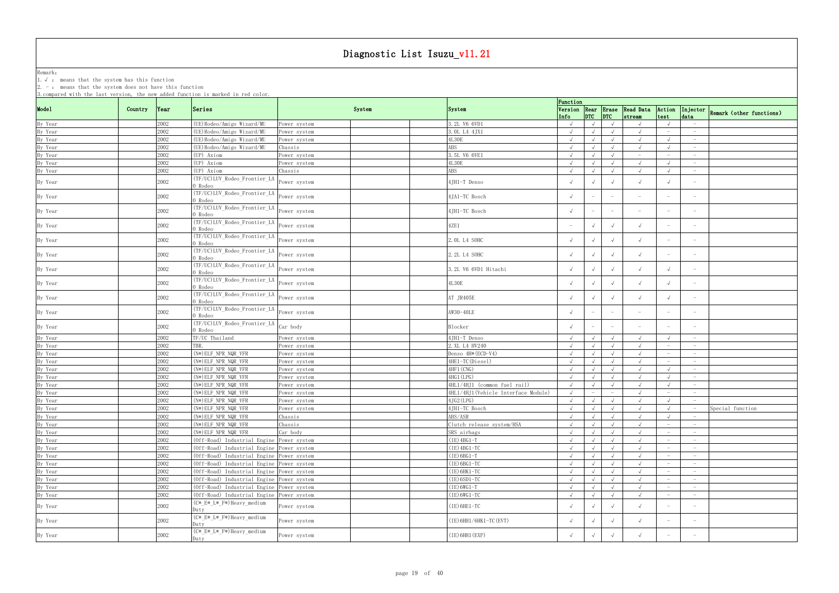Remark: The contract of the contract of  $\mathbb{R}$  and  $\mathbb{R}$  are contract of  $\mathbb{R}$  and  $\mathbb{R}$  are contract of  $\mathbb{R}$  and  $\mathbb{R}$  are contract of  $\mathbb{R}$  and  $\mathbb{R}$  are contract of  $\mathbb{R}$  and  $\mathbb{R}$  are cont

1.√ : means that the system has this function

|                               | 3. compared with the last version, the new added function is marked in red color. |                                           |              |                                     | Function                        |                          |                                 |                                        |                                 |                                 |                                   |
|-------------------------------|-----------------------------------------------------------------------------------|-------------------------------------------|--------------|-------------------------------------|---------------------------------|--------------------------|---------------------------------|----------------------------------------|---------------------------------|---------------------------------|-----------------------------------|
| Model                         | Country<br> Year                                                                  | Series                                    | System       | System                              | Info                            | $ $ DTC $ $ DTC          |                                 | Version Rear Erase Read Data<br>stream | Action<br>test                  | data                            | Injector Remark (other functions) |
| By Year                       | 2002                                                                              | (UE) Rodeo/Amigo Wizard/MU                | ower system? | 3.2L V6 6VD1                        |                                 |                          |                                 |                                        |                                 |                                 |                                   |
| By Year                       | 2002                                                                              | (UE) Rodeo/Amigo Wizard/MU                | Power system | 3. OL L4 4JX1                       | $\sqrt{ }$                      |                          |                                 | $\sqrt{ }$                             | $\hspace{0.1mm}-\hspace{0.1mm}$ | $\hspace{0.1mm}-\hspace{0.1mm}$ |                                   |
| By Year                       | 2002                                                                              | (UE) Rodeo/Amigo Wizard/MU                | ower system? | 4L30E                               | $\sqrt{ }$                      |                          | $\sqrt{ }$                      | $\sqrt{ }$                             |                                 | $\hspace{0.1mm}-\hspace{0.1mm}$ |                                   |
| By Year                       | 2002                                                                              | (UE) Rodeo/Amigo Wizard/MU                | Chassis      | ABS                                 | $\sqrt{ }$                      |                          | $\sqrt{ }$                      | $\sqrt{ }$                             |                                 | $\hspace{0.1mm}-\hspace{0.1mm}$ |                                   |
| By Year                       | 2002                                                                              | (UP) Axiom                                | Power system | 3.5L V6 6VE1                        | $\sqrt{ }$                      |                          | $\sqrt{ }$                      | $ \,$                                  | $\hspace{0.1mm}-\hspace{0.1mm}$ | $-$                             |                                   |
| By Year                       | 2002                                                                              | (UP) Axiom                                | Power system | $4\mathrm{L}30\mathrm{E}$           | $\sqrt{ }$                      |                          | $\sqrt{ }$                      | $\sqrt{ }$                             |                                 | $\overline{\phantom{0}}$        |                                   |
| By Year                       | 2002                                                                              | (UP) Axiom                                | Chassis      | ABS                                 | $\sqrt{ }$                      |                          | $\sqrt{ }$                      | $\sqrt{ }$                             |                                 | $\overline{\phantom{0}}$        |                                   |
| By Year                       | 2002                                                                              | (TF/UC)LUV_Rodeo_Frontier_LA<br>0 Rodeo   | Power system | 4JH1-T Denso                        |                                 |                          | $\sqrt{ }$                      | $\sqrt{ }$                             | $\sqrt{ }$                      |                                 |                                   |
| By Year                       | 2002                                                                              | (TF/UC)LUV_Rodeo_Frontier_LA<br>) Rodeo   | Power system | 4JA1-TC Bosch                       |                                 | $\overline{\phantom{m}}$ | $\hspace{0.1mm}-\hspace{0.1mm}$ | $\hspace{0.1mm}-\hspace{0.1mm}$        |                                 |                                 |                                   |
| By Year                       | 2002                                                                              | (TF/UC)LUV_Rodeo_Frontier_LA<br>0 Rodeo   | Power system | 4JH1-TC Bosch                       |                                 | $ \,$                    | $\overline{\phantom{0}}$        | $\hspace{0.1mm}-\hspace{0.1mm}$        | $\hspace{0.1mm}-\hspace{0.1mm}$ | $\overline{\phantom{0}}$        |                                   |
| By Year                       | 2002                                                                              | (TF/UC)LUV_Rodeo_Frontier_LA<br>0 Rodeo   | Power system | 4ZE1                                | $\hspace{0.1mm}-\hspace{0.1mm}$ | $\sqrt{ }$               | $\sqrt{ }$                      | $\sqrt{ }$                             |                                 |                                 |                                   |
| By Year                       | 2002                                                                              | (TF/UC)LUV_Rodeo_Frontier_LA<br>) Rodeo   | Power system | 2. OL L4 SOHC                       |                                 |                          | $\sqrt{ }$                      |                                        |                                 | $\hspace{0.1mm}-\hspace{0.1mm}$ |                                   |
| By Year                       | 2002                                                                              | (TF/UC)LUV_Rodeo_Frontier_LA<br>) Rodeo   | Power system | 2.2L L4 SOHC                        |                                 |                          | $\sqrt{ }$                      | $\sqrt{ }$                             |                                 |                                 |                                   |
| By Year                       | 2002                                                                              | (TF/UC)LUV_Rodeo_Frontier_LA<br>) Rodeo   | Power system | 3.2L V6 6VD1 Hitachi                | $\sqrt{ }$                      |                          | $\sqrt{ }$                      | $\sqrt{ }$                             |                                 |                                 |                                   |
| By Year                       | 2002                                                                              | (TF/UC)LUV_Rodeo_Frontier_LA<br>0 Rodeo   | Power system | 4L30E                               |                                 |                          | $\sqrt{ }$                      | $\sqrt{ }$                             |                                 | $\hspace{0.1mm}-\hspace{0.1mm}$ |                                   |
| By Year                       | 2002                                                                              | (TF/UC)LUV_Rodeo_Frontier_LA<br>) Rodeo   | Power system | AT JR405E                           |                                 |                          | $\sqrt{ }$                      |                                        |                                 |                                 |                                   |
| By Year                       | 2002                                                                              | (TF/UC)LUV_Rodeo_Frontier_LA<br>0 Rodeo   | Power system | AW30-40LE                           |                                 | $\overline{\phantom{m}}$ | $\hspace{0.1mm}-\hspace{0.1mm}$ | $\hspace{0.1mm}-\hspace{0.1mm}$        | $\hspace{0.1mm}-\hspace{0.1mm}$ | $\hspace{0.1mm}-\hspace{0.1mm}$ |                                   |
| By Year                       | 2002                                                                              | (TF/UC)LUV_Rodeo_Frontier_LA<br>0 Rodeo   | Car body     | Blocker                             |                                 | $\overline{\phantom{m}}$ | $\hspace{0.1mm}-\hspace{0.1mm}$ | $\hspace{0.1mm}-\hspace{0.1mm}$        |                                 |                                 |                                   |
| By Year                       | 2002                                                                              | TF/UC Thailand                            | Power system | 4JH1-T Denso                        |                                 |                          |                                 |                                        |                                 | $-$                             |                                   |
|                               | 2002                                                                              | TBR.                                      | ower system  | 2. XL L4 HV240                      |                                 |                          | $\sqrt{ }$                      |                                        |                                 | $\hspace{0.1mm}-\hspace{0.1mm}$ |                                   |
| By Year<br>By Year            | 2002                                                                              | (N*) ELF_NPR_NQR_VFR                      | Power system | Denso 4H* (ECD-V4)                  | $\sqrt{ }$                      |                          | $\sqrt{ }$                      | $\sqrt{ }$                             | $\hspace{0.1mm}-\hspace{0.1mm}$ | $-$                             |                                   |
| By Year                       | 2002                                                                              | $(N*)$ ELF_NPR_NQR_VFR                    | ower system? | 4HE1-TC(Diesel)                     | $\sqrt{ }$                      |                          | $\sqrt{ }$                      | $\sqrt{ }$                             |                                 | $\overline{\phantom{0}}$        |                                   |
| By Year                       | 2002                                                                              | $(N*)$ ELF_NPR_NQR_VFR                    | Power system | 4HF1 (CNG)                          | $\sqrt{ }$                      |                          | $\sqrt{ }$                      | $\sqrt{ }$                             |                                 | $-$                             |                                   |
| By Year                       | 2002                                                                              | (N*) ELF_NPR_NQR_VFR                      | Power system | 4HG1 (LPG)                          | $\sqrt{ }$                      | $\sqrt{ }$               | $\sqrt{ }$                      | $\sqrt{ }$                             |                                 | $\hspace{0.1mm}-\hspace{0.1mm}$ |                                   |
| By Year                       | 2002                                                                              | (N*) ELF_NPR_NQR_VFR                      | Power system | 4HL1/4HJ1 (common fuel rail)        | $\sqrt{ }$                      |                          | $\sqrt{ }$                      | $\sqrt{ }$                             |                                 | $\overline{\phantom{0}}$        |                                   |
| By Year                       | 2002                                                                              | $(N*)$ ELF_NPR_NQR_VFR                    | Power system | 4HL1/4HJ1(Vehicle Interface Module) | $\sqrt{ }$                      |                          | $\overline{\phantom{a}}$        | $\sqrt{ }$                             | $\hspace{0.1mm}-\hspace{0.1mm}$ | $-$                             |                                   |
| By Year                       | 2002                                                                              | $(N*)$ ELF_NPR_NQR_VFR                    | Power system | 4JG2 (LPG)                          | $\sqrt{ }$                      |                          | $\sqrt{ }$                      |                                        |                                 |                                 |                                   |
| By Year                       | 2002                                                                              | (N*)ELF NPR NQR VFR                       | Power system | 4JH1-TC Bosch                       | $\sqrt{ }$                      | $\sqrt{ }$               | $\sqrt{ }$                      | $\sqrt{ }$                             |                                 |                                 | Special function                  |
|                               | 2002                                                                              | (N*) ELF_NPR_NQR_VFR                      | Chassis      | ABS/ASR                             | $\sqrt{ }$                      | $\sqrt{ }$               | $\sqrt{ }$                      | $\sqrt{ }$                             |                                 |                                 |                                   |
|                               | 2002                                                                              | $(N*)$ ELF_NPR_NQR_VFR                    | Chassis      | Clutch release system/HSA           | $\sqrt{ }$                      | $\sqrt{ }$               | $\sqrt{ }$                      | $\sqrt{ }$                             |                                 | $\overline{\phantom{0}}$        |                                   |
| By Year<br>By Year<br>By Year | 2002                                                                              | $(N*)$ ELF_NPR_NQR_VFR                    | Car body     | SRS airbags                         | $\sqrt{ }$                      | $\sqrt{ }$               | $\sqrt{ }$                      | $\sqrt{ }$                             |                                 | $-$                             |                                   |
| By Year                       | 2002                                                                              | (Off-Road) Industrial Engine Power system |              | $(IE)$ 4BG1-T                       | $\sqrt{ }$                      | $\sqrt{ }$               | $\sqrt{ }$                      | $\sqrt{ }$                             | $\hspace{0.1mm}-\hspace{0.1mm}$ | $-$                             |                                   |
| By Year                       | 2002                                                                              | (Off-Road) Industrial Engine Power system |              | $(IE)$ 4BG1-TC                      | $\sqrt{ }$                      |                          | $\sqrt{ }$                      | $\sqrt{ }$                             | $-$                             | $\overline{\phantom{0}}$        |                                   |
| By Year                       | 2002                                                                              | (Off-Road) Industrial Engine Power system |              | $(IE)$ 6BG1-T                       | $\sqrt{ }$                      |                          | $\sqrt{ }$                      | $\sqrt{ }$                             |                                 | $\overline{\phantom{0}}$        |                                   |
| By Year                       | 2002                                                                              | (Off-Road) Industrial Engine Power system |              | $(IE)$ 6BG1-TC                      | $\sqrt{ }$                      |                          | $\sqrt{ }$                      | $\sqrt{ }$                             |                                 | $-$                             |                                   |
|                               | 2002                                                                              | (Off-Road) Industrial Engine Power system |              | (ІЕ) 6НК1-ТС                        | $\sqrt{ }$                      |                          | $\sqrt{ }$                      | $\sqrt{ }$                             |                                 | $-$                             |                                   |
| By Year                       | 2002                                                                              | (Off-Road) Industrial Engine Power system |              | $(IE)$ 6SD1-TC                      | $\sqrt{ }$                      | $\sqrt{ }$               | $\sqrt{ }$                      | $\sqrt{ }$                             |                                 | $\overline{\phantom{0}}$        |                                   |
| By Year<br>By Year            |                                                                                   |                                           |              | $(IE) 6WG1-T$                       | $\sqrt{ }$                      | $\sqrt{ }$               |                                 | $\sqrt{ }$                             |                                 | $\overline{\phantom{0}}$        |                                   |
|                               | 2002<br>2002                                                                      | (Off-Road) Industrial Engine Power system |              |                                     |                                 |                          | $\sqrt{ }$                      |                                        | $\hspace{0.1mm}-\hspace{0.1mm}$ |                                 |                                   |
| By Year                       |                                                                                   | (Off-Road) Industrial Engine Power system |              | $(IE) 6WG1-TC$                      | $\sqrt{ }$                      | $\sqrt{ }$               | $\sqrt{ }$                      | $\sqrt{ }$                             |                                 | $-$                             |                                   |
| By Year                       | 2002                                                                              | (C*_E*_L*_F*)Heavy_medium<br>Duty         | Power system | $(IE) 6HE1-TC$                      |                                 |                          | $\sqrt{ }$                      | $\sqrt{ }$                             |                                 | $-$                             |                                   |
| By Year                       | 2002                                                                              | (C* E* L* F*) Heavy medium<br>Duty        | Power system | $(IE)$ 6HH1/6HK1-TC (EVT)           |                                 |                          | $\sqrt{ }$                      | $\sqrt{ }$                             |                                 |                                 |                                   |
| By Year                       | 2002                                                                              | (C*_E*_L*_F*)Heavy_medium<br>Duty         | Power system | $(IE)$ 6HH1 $(EXP)$                 | $\sqrt{ }$                      | $\sqrt{ }$               | $\sqrt{ }$                      | $\sqrt{ }$                             |                                 |                                 |                                   |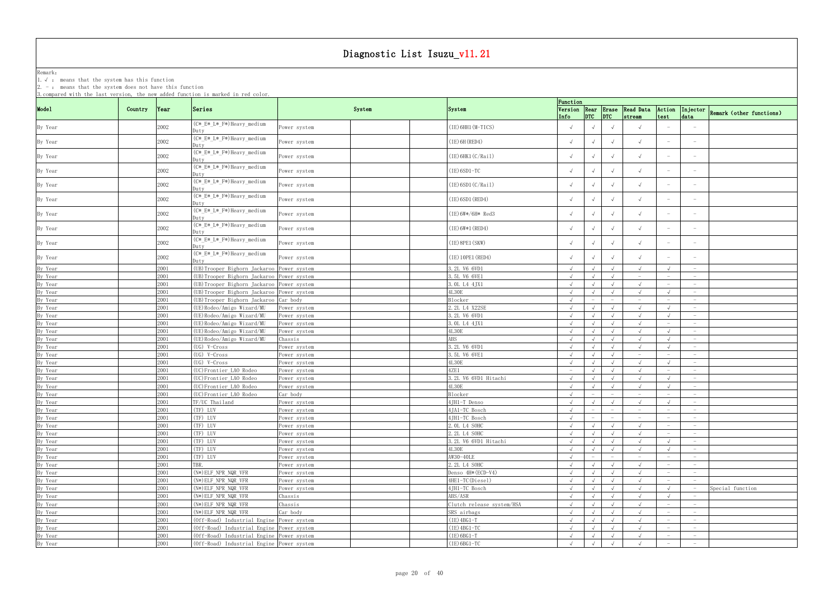Remark: The contract of the contract of  $\mathbb{R}$  and  $\mathbb{R}$  are contract of  $\mathbb{R}$  and  $\mathbb{R}$  are contract of  $\mathbb{R}$  and  $\mathbb{R}$  are contract of  $\mathbb{R}$  and  $\mathbb{R}$  are contract of  $\mathbb{R}$  and  $\mathbb{R}$  are cont 1.√ : means that the system has this function

| System<br>Version Rear Erase Read Data<br>Country<br>Series<br>Action<br>Year<br>System<br>Injector<br>$DTC$ $DTC$<br>test<br>data<br>Info<br>stream<br>(C*_E*_L*_F*)Heavy_medium<br>2002<br>(IE) 6HH1 (M-TICS)<br>$\sqrt{ }$<br>$\sqrt{ }$<br>ower system<br>$\sqrt{ }$<br>Juty<br>(C*_E*_L*_F*)Heavy_medium<br>$\sqrt{ }$<br>2002<br>$(IE)$ 6H (RED4)<br>$\sqrt{ }$<br>Power system<br>$\sqrt{ }$<br>$\hspace{0.1mm}-\hspace{0.1mm}$<br>$\overline{\phantom{m}}$<br>)utv<br>(C*_E*_L*_F*)Heavy_medium<br>2002<br>(IE)6HK1(C/Rail)<br>$\sqrt{ }$<br>$\sqrt{ }$<br>$\sqrt{ }$<br>Power system<br>(C*_E*_L*_F*)Heavy_medium<br>2002<br>(IE)6SD1-TC<br>$\sqrt{ }$<br>Power system<br>$\sqrt{ }$<br>$\hspace{0.1mm}-\hspace{0.1mm}$<br>Duty<br>(C* E* L* F*) Heavy medium<br>2002<br>(IE)6SD1(C/Rail)<br>$\sqrt{ }$<br>$\sqrt{ }$<br>Power system<br>)utv<br>(C*_E*_L*_F*)Heavy_medium<br>2002<br>(IE) 6SD1 (RED4)<br>Power system<br>$\sqrt{ }$<br>$\sqrt{ }$<br>$\sqrt{ }$<br>$\sqrt{ }$<br>Duty<br>(C*_E*_L*_F*)Heavy_medium<br>(IE)6W*/6H* Red3<br>2002<br>$\sqrt{ }$<br>Power system<br>Duty<br>(C*_E*_L*_F*)Heavy_medium<br>$\sqrt{ }$<br>2002<br>(IE) 6W*1 (RED4)<br>Power system<br>$\overline{\phantom{0}}$<br>(C*_E*_L*_F*)Heavy_medium<br>2002<br>(IE) 8PE1 (SKW)<br>$\sqrt{ }$<br>$\sqrt{ }$<br>Power system<br>$\sqrt{ }$<br>$\hspace{0.1mm}-\hspace{0.1mm}$<br>$\hspace{0.1mm}-\hspace{0.1mm}$<br>Duty<br>(C*_E*_L*_F*)Heavy_medium<br>2002<br>(IE) 10PE1 (RED4)<br>$\sqrt{ }$<br>$\sqrt{ }$<br>$\sqrt{ }$<br>Power system<br>)utv<br>2001<br>(UB) Trooper Bighorn Jackaroo Power system<br>3.2L V6 6VD1<br>$\sqrt{ }$<br>$\sqrt{ }$<br>$\sqrt{ }$<br>$\sqrt{ }$<br>$-$<br>2001<br>(UB) Trooper Bighorn Jackaroo Power system<br>3.5L V6 6VE1<br>$\sqrt{ }$<br>$\hspace{0.1mm}-\hspace{0.1mm}$<br>$\overline{\phantom{0}}$<br>2001<br>(UB) Trooper Bighorn Jackaroo Power system<br>3. OL L4 4JX1<br>$\sqrt{ }$<br>$\sqrt{ }$<br>$\sqrt{ }$<br>$\hspace{0.1mm}-\hspace{0.1mm}$<br>$\overline{\phantom{0}}$<br>4L30E<br>2001<br>(UB) Trooper Bighorn Jackaroo Power system<br>$\sqrt{ }$<br>$\sqrt{ }$<br>$\overline{\phantom{0}}$<br>2001<br>(UB) Trooper Bighorn Jackaroo Car body<br><b>Blocker</b><br>$\overline{\phantom{a}}$<br>2001<br>2.2L L4 X22SE<br>(UE) Rodeo/Amigo Wizard/MU<br>$\sqrt{ }$<br>$\sqrt{ }$<br>$\sqrt{ }$<br>$\sqrt{ }$<br>Power system<br>$\hspace{0.1mm}-\hspace{0.1mm}$<br>2001<br>3.2L V6 6VD1<br>(UE) Rodeo/Amigo Wizard/MU<br>$\sqrt{ }$<br>Power system<br>$\sqrt{ }$<br>$\overline{\phantom{0}}$<br>2001<br>(UE) Rodeo/Amigo Wizard/MU<br>3. OL L4 4JX1<br>$\sqrt{ }$<br>$\sqrt{ }$<br>$\sqrt{ }$<br>Power system<br>$\sqrt{ }$<br>$\hspace{0.1mm}-\hspace{0.1mm}$<br>$\hspace{0.1mm}-\hspace{0.1mm}$<br>2001<br>(UE)Rodeo/Amigo Wizard/MU<br>4L30E<br>$\sqrt{ }$<br>ower system<br>ABS<br>2001<br>(UE)Rodeo/Amigo Wizard/MU<br>Chassis<br>$\sqrt{ }$<br>$\sqrt{ }$<br>$\sqrt{ }$<br>$\sqrt{ }$<br>$\sqrt{ }$<br>$-$<br>2001<br>3.2L V6 6VD1<br>$(UG)$ V-Cross<br>$\sqrt{ }$<br>$\sqrt{ }$<br>$\sqrt{ }$<br>$\sqrt{ }$<br>Power system<br>$\sqrt{ }$<br>$-$<br>2001<br>(UG) V-Cross<br>3.5L V6 6VE1<br>$\sqrt{ }$<br>Power system<br>$\sqrt{ }$<br>$\sqrt{ }$<br>$\hspace{0.1mm}-\hspace{0.1mm}$<br>By Year<br>2001<br>$4\mathrm{L}30\mathrm{E}$<br>$(UG)$ V-Cross<br>$\sqrt{ }$<br>$\sqrt{ }$<br>Power system<br>$\overline{\phantom{0}}$<br>By Year<br>2001<br>(UC)Frontier_LAO Rodeo<br>4ZE1<br>$\sqrt{ }$<br>$\sqrt{ }$<br>Power system<br>$ \,$<br>$\sqrt{ }$<br>$\hspace{0.1mm}-\hspace{0.1mm}$<br>$-$<br>2001<br>3.2L V6 6VD1 Hitachi<br>(UC)Frontier_LAO Rodeo<br>Power system<br>$\sqrt{ }$<br>$\sqrt{ }$<br>$\sqrt{ }$<br>$\sqrt{ }$<br>$\overline{\phantom{0}}$<br><b>4L30E</b><br>2001<br>By Year<br>(UC)Frontier_LAO Rodeo<br>$\sqrt{ }$<br>$\sqrt{ }$<br>$\sqrt{ }$<br>$\sqrt{ }$<br>Power system<br>$\overline{\phantom{0}}$<br>2001<br>Car body<br>Blocker<br>By Year<br>(UC) Frontier LAO Rodeo<br>$\sqrt{ }$<br>$-$<br>$\equiv$<br>$ \,$<br>$-$<br>$\hspace{0.1mm}-\hspace{0.1mm}$<br>2001<br>TF/UC Thailand<br>4JH1-T Denso<br>$\sqrt{ }$<br>$\sqrt{ }$<br>$\sqrt{ }$<br>$\sqrt{ }$<br>$\sqrt{ }$<br>Power system<br>$\overline{\phantom{0}}$<br>By Year<br>2001<br>(TF) LUV<br>4JA1-TC Bosch<br>Power system<br>$\sqrt{ }$<br>$\overline{\phantom{0}}$<br>$\overline{\phantom{0}}$<br>$\hspace{0.1mm}-\hspace{0.1mm}$<br>$-$<br>(TF) LUV<br>2001<br>4JH1-TC Bosch<br>$\sqrt{ }$<br>$\sim$<br>ower system<br>$-$<br>$-$<br>$\overline{\phantom{0}}$<br>(TF) LUV<br>2. OL L4 SOHC<br>2001<br>$\sqrt{ }$<br>Power system<br>$\sqrt{ }$<br>$\sqrt{ }$<br>$-$<br>$\sqrt{ }$<br>$\hspace{0.1mm}-\hspace{0.1mm}$<br>2001<br>(TF) LUV<br>2.2L L4 SOHC<br>Power system<br>$\sqrt{ }$<br>$\sqrt{ }$<br>$\sqrt{ }$<br>$\sqrt{ }$<br>$-$<br>$-$<br>2001<br>(TF) LUV<br>3.2L V6 6VD1 Hitachi<br>$\sqrt{ }$<br>Power system<br>$\overline{\phantom{0}}$<br>4L30E<br>2001<br>(TF) LUV<br>$\sqrt{ }$<br>Power system<br>$\sqrt{ }$<br>$\sqrt{ }$<br>$\sqrt{ }$<br>$\overline{\phantom{0}}$<br>2001<br>(TF) LUV<br>AW30-40LE<br>$\sqrt{ }$<br>ower system<br>$-$<br>$\hspace{0.1mm}-\hspace{0.1mm}$<br>$\hspace{0.1mm}-\hspace{0.1mm}$<br>$\overline{\phantom{0}}$<br>$\hspace{0.1mm}-\hspace{0.1mm}$<br>2001<br>TBR.<br>2.2L L4 SOHC<br>Power system<br>$\sqrt{ }$<br>$\sqrt{ }$<br>$\sqrt{ }$<br>$\hspace{0.1mm}-\hspace{0.1mm}$<br>$\overline{\phantom{0}}$<br>2001<br>(N*) ELF_NPR_NQR_VFR<br>Denso 4H* (ECD-V4)<br>$\sqrt{ }$<br>$\sqrt{ }$<br>Power system<br>$\hspace{0.1mm}-\hspace{0.1mm}$<br>2001<br>4HE1-TC(Diesel)<br>(N*) ELF_NPR_NQR_VFR<br>$\sqrt{ }$<br>$\sqrt{ }$<br>Power system<br>$\sqrt{ }$<br>$\sqrt{ }$<br>$-$<br>$\hspace{0.1mm}-\hspace{0.1mm}$<br>2001<br>4JH1-TC Bosch<br>$(N*)$ ELF NPR NQR VFR<br>Special function<br>By Year<br>$\sqrt{ }$<br>$\sqrt{ }$<br>$\sqrt{ }$<br>$\sqrt{ }$<br>$\sqrt{ }$<br>Power system<br>$\hspace{0.1mm}-\hspace{0.1mm}$<br>ABS/ASR<br>2001<br>$(N*)$ ELF_NPR_NQR_VFR<br>Chassis<br>$\sqrt{ }$<br>$\sqrt{ }$<br>$\sqrt{ }$<br>$\sqrt{ }$<br>$\sqrt{ }$<br>2001<br>Clutch release system/HSA<br>$(N*)$ ELF_NPR_NQR_VFR<br>Chassis<br>$\sqrt{ }$<br>$\sqrt{ }$<br>$\sqrt{ }$<br>$\sqrt{ }$<br>By Year<br>$-$<br>$\hspace{0.1mm}-\hspace{0.1mm}$<br>2001<br>(N*) ELF_NPR_NQR_VFR<br>SRS airbags<br>Car body<br>$\sqrt{ }$<br>$\sqrt{ }$<br>$\sqrt{ }$<br>$\sqrt{ }$<br>By Year<br>$\overline{\phantom{m}}$<br>$\overline{\phantom{0}}$<br>2001<br>$(IE)$ 4BG1-T<br>(Off-Road) Industrial Engine Power system<br>$\sqrt{ }$<br>By Year<br>$\sqrt{ }$<br>$\sqrt{ }$<br>$\sqrt{ }$<br>$\overline{\phantom{0}}$<br>$\overline{\phantom{0}}$<br>2001<br>$(IE)$ 4BG1-TC<br>By Year<br>(Off-Road) Industrial Engine Power system<br>$\sqrt{ }$<br>$\sqrt{ }$<br>$\sqrt{ }$<br>$\sqrt{ }$<br>$\hspace{0.1mm}-\hspace{0.1mm}$<br>By Year<br>2001<br>(Off-Road) Industrial Engine Power system<br>$(IE)$ 6BG1-T<br>$\sqrt{ }$<br>$\sqrt{ }$<br>$\sqrt{ }$<br>$\sqrt{ }$<br>$-$<br>$\hspace{0.1mm}-\hspace{0.1mm}$ | 3. compared with the last version, the new added function is marked in red color. |      |  |                |          |            |  |                          |
|----------------------------------------------------------------------------------------------------------------------------------------------------------------------------------------------------------------------------------------------------------------------------------------------------------------------------------------------------------------------------------------------------------------------------------------------------------------------------------------------------------------------------------------------------------------------------------------------------------------------------------------------------------------------------------------------------------------------------------------------------------------------------------------------------------------------------------------------------------------------------------------------------------------------------------------------------------------------------------------------------------------------------------------------------------------------------------------------------------------------------------------------------------------------------------------------------------------------------------------------------------------------------------------------------------------------------------------------------------------------------------------------------------------------------------------------------------------------------------------------------------------------------------------------------------------------------------------------------------------------------------------------------------------------------------------------------------------------------------------------------------------------------------------------------------------------------------------------------------------------------------------------------------------------------------------------------------------------------------------------------------------------------------------------------------------------------------------------------------------------------------------------------------------------------------------------------------------------------------------------------------------------------------------------------------------------------------------------------------------------------------------------------------------------------------------------------------------------------------------------------------------------------------------------------------------------------------------------------------------------------------------------------------------------------------------------------------------------------------------------------------------------------------------------------------------------------------------------------------------------------------------------------------------------------------------------------------------------------------------------------------------------------------------------------------------------------------------------------------------------------------------------------------------------------------------------------------------------------------------------------------------------------------------------------------------------------------------------------------------------------------------------------------------------------------------------------------------------------------------------------------------------------------------------------------------------------------------------------------------------------------------------------------------------------------------------------------------------------------------------------------------------------------------------------------------------------------------------------------------------------------------------------------------------------------------------------------------------------------------------------------------------------------------------------------------------------------------------------------------------------------------------------------------------------------------------------------------------------------------------------------------------------------------------------------------------------------------------------------------------------------------------------------------------------------------------------------------------------------------------------------------------------------------------------------------------------------------------------------------------------------------------------------------------------------------------------------------------------------------------------------------------------------------------------------------------------------------------------------------------------------------------------------------------------------------------------------------------------------------------------------------------------------------------------------------------------------------------------------------------------------------------------------------------------------------------------------------------------------------------------------------------------------------------------------------------------------------------------------------------------------------------------------------------------------------------------------------------------------------------------------------------------------------------------------------------------------------------------------------------------------------------------------------------------------------------------------------------------------------------------------------------------------------------------------------------------------------------------------------------------------------------------------------------------------------------------------------------------------------------------------------------------------------------------------------------------------------------------------------------------------------------------------------------------------------------------------------------------------------------------------------------------------------------------------------------------------------------------------------------------------------------------------------------------------------------------------------------------------------------------------------------------------------------------------------------------------------------------------------------------------------------------------------------------------------------------------------------------------------------------------------------------------------------------------------------------------------------------------------------------------------------------------------------------------------------------------------------------------------------------------------|-----------------------------------------------------------------------------------|------|--|----------------|----------|------------|--|--------------------------|
|                                                                                                                                                                                                                                                                                                                                                                                                                                                                                                                                                                                                                                                                                                                                                                                                                                                                                                                                                                                                                                                                                                                                                                                                                                                                                                                                                                                                                                                                                                                                                                                                                                                                                                                                                                                                                                                                                                                                                                                                                                                                                                                                                                                                                                                                                                                                                                                                                                                                                                                                                                                                                                                                                                                                                                                                                                                                                                                                                                                                                                                                                                                                                                                                                                                                                                                                                                                                                                                                                                                                                                                                                                                                                                                                                                                                                                                                                                                                                                                                                                                                                                                                                                                                                                                                                                                                                                                                                                                                                                                                                                                                                                                                                                                                                                                                                                                                                                                                                                                                                                                                                                                                                                                                                                                                                                                                                                                                                                                                                                                                                                                                                                                                                                                                                                                                                                                                                                                                                                                                                                                                                                                                                                                                                                                                                                                                                                                                                                                                                                                                                                                                                                                                                                                                                                                                                                                                                                                                                                                                                | Mode1                                                                             |      |  |                | Function |            |  |                          |
|                                                                                                                                                                                                                                                                                                                                                                                                                                                                                                                                                                                                                                                                                                                                                                                                                                                                                                                                                                                                                                                                                                                                                                                                                                                                                                                                                                                                                                                                                                                                                                                                                                                                                                                                                                                                                                                                                                                                                                                                                                                                                                                                                                                                                                                                                                                                                                                                                                                                                                                                                                                                                                                                                                                                                                                                                                                                                                                                                                                                                                                                                                                                                                                                                                                                                                                                                                                                                                                                                                                                                                                                                                                                                                                                                                                                                                                                                                                                                                                                                                                                                                                                                                                                                                                                                                                                                                                                                                                                                                                                                                                                                                                                                                                                                                                                                                                                                                                                                                                                                                                                                                                                                                                                                                                                                                                                                                                                                                                                                                                                                                                                                                                                                                                                                                                                                                                                                                                                                                                                                                                                                                                                                                                                                                                                                                                                                                                                                                                                                                                                                                                                                                                                                                                                                                                                                                                                                                                                                                                                                |                                                                                   |      |  |                |          |            |  | Remark (other functions) |
|                                                                                                                                                                                                                                                                                                                                                                                                                                                                                                                                                                                                                                                                                                                                                                                                                                                                                                                                                                                                                                                                                                                                                                                                                                                                                                                                                                                                                                                                                                                                                                                                                                                                                                                                                                                                                                                                                                                                                                                                                                                                                                                                                                                                                                                                                                                                                                                                                                                                                                                                                                                                                                                                                                                                                                                                                                                                                                                                                                                                                                                                                                                                                                                                                                                                                                                                                                                                                                                                                                                                                                                                                                                                                                                                                                                                                                                                                                                                                                                                                                                                                                                                                                                                                                                                                                                                                                                                                                                                                                                                                                                                                                                                                                                                                                                                                                                                                                                                                                                                                                                                                                                                                                                                                                                                                                                                                                                                                                                                                                                                                                                                                                                                                                                                                                                                                                                                                                                                                                                                                                                                                                                                                                                                                                                                                                                                                                                                                                                                                                                                                                                                                                                                                                                                                                                                                                                                                                                                                                                                                | By Year                                                                           |      |  |                |          |            |  |                          |
|                                                                                                                                                                                                                                                                                                                                                                                                                                                                                                                                                                                                                                                                                                                                                                                                                                                                                                                                                                                                                                                                                                                                                                                                                                                                                                                                                                                                                                                                                                                                                                                                                                                                                                                                                                                                                                                                                                                                                                                                                                                                                                                                                                                                                                                                                                                                                                                                                                                                                                                                                                                                                                                                                                                                                                                                                                                                                                                                                                                                                                                                                                                                                                                                                                                                                                                                                                                                                                                                                                                                                                                                                                                                                                                                                                                                                                                                                                                                                                                                                                                                                                                                                                                                                                                                                                                                                                                                                                                                                                                                                                                                                                                                                                                                                                                                                                                                                                                                                                                                                                                                                                                                                                                                                                                                                                                                                                                                                                                                                                                                                                                                                                                                                                                                                                                                                                                                                                                                                                                                                                                                                                                                                                                                                                                                                                                                                                                                                                                                                                                                                                                                                                                                                                                                                                                                                                                                                                                                                                                                                | By Year                                                                           |      |  |                |          |            |  |                          |
|                                                                                                                                                                                                                                                                                                                                                                                                                                                                                                                                                                                                                                                                                                                                                                                                                                                                                                                                                                                                                                                                                                                                                                                                                                                                                                                                                                                                                                                                                                                                                                                                                                                                                                                                                                                                                                                                                                                                                                                                                                                                                                                                                                                                                                                                                                                                                                                                                                                                                                                                                                                                                                                                                                                                                                                                                                                                                                                                                                                                                                                                                                                                                                                                                                                                                                                                                                                                                                                                                                                                                                                                                                                                                                                                                                                                                                                                                                                                                                                                                                                                                                                                                                                                                                                                                                                                                                                                                                                                                                                                                                                                                                                                                                                                                                                                                                                                                                                                                                                                                                                                                                                                                                                                                                                                                                                                                                                                                                                                                                                                                                                                                                                                                                                                                                                                                                                                                                                                                                                                                                                                                                                                                                                                                                                                                                                                                                                                                                                                                                                                                                                                                                                                                                                                                                                                                                                                                                                                                                                                                | By Year                                                                           |      |  |                |          |            |  |                          |
|                                                                                                                                                                                                                                                                                                                                                                                                                                                                                                                                                                                                                                                                                                                                                                                                                                                                                                                                                                                                                                                                                                                                                                                                                                                                                                                                                                                                                                                                                                                                                                                                                                                                                                                                                                                                                                                                                                                                                                                                                                                                                                                                                                                                                                                                                                                                                                                                                                                                                                                                                                                                                                                                                                                                                                                                                                                                                                                                                                                                                                                                                                                                                                                                                                                                                                                                                                                                                                                                                                                                                                                                                                                                                                                                                                                                                                                                                                                                                                                                                                                                                                                                                                                                                                                                                                                                                                                                                                                                                                                                                                                                                                                                                                                                                                                                                                                                                                                                                                                                                                                                                                                                                                                                                                                                                                                                                                                                                                                                                                                                                                                                                                                                                                                                                                                                                                                                                                                                                                                                                                                                                                                                                                                                                                                                                                                                                                                                                                                                                                                                                                                                                                                                                                                                                                                                                                                                                                                                                                                                                | By Year                                                                           |      |  |                |          |            |  |                          |
|                                                                                                                                                                                                                                                                                                                                                                                                                                                                                                                                                                                                                                                                                                                                                                                                                                                                                                                                                                                                                                                                                                                                                                                                                                                                                                                                                                                                                                                                                                                                                                                                                                                                                                                                                                                                                                                                                                                                                                                                                                                                                                                                                                                                                                                                                                                                                                                                                                                                                                                                                                                                                                                                                                                                                                                                                                                                                                                                                                                                                                                                                                                                                                                                                                                                                                                                                                                                                                                                                                                                                                                                                                                                                                                                                                                                                                                                                                                                                                                                                                                                                                                                                                                                                                                                                                                                                                                                                                                                                                                                                                                                                                                                                                                                                                                                                                                                                                                                                                                                                                                                                                                                                                                                                                                                                                                                                                                                                                                                                                                                                                                                                                                                                                                                                                                                                                                                                                                                                                                                                                                                                                                                                                                                                                                                                                                                                                                                                                                                                                                                                                                                                                                                                                                                                                                                                                                                                                                                                                                                                | By Year                                                                           |      |  |                |          |            |  |                          |
|                                                                                                                                                                                                                                                                                                                                                                                                                                                                                                                                                                                                                                                                                                                                                                                                                                                                                                                                                                                                                                                                                                                                                                                                                                                                                                                                                                                                                                                                                                                                                                                                                                                                                                                                                                                                                                                                                                                                                                                                                                                                                                                                                                                                                                                                                                                                                                                                                                                                                                                                                                                                                                                                                                                                                                                                                                                                                                                                                                                                                                                                                                                                                                                                                                                                                                                                                                                                                                                                                                                                                                                                                                                                                                                                                                                                                                                                                                                                                                                                                                                                                                                                                                                                                                                                                                                                                                                                                                                                                                                                                                                                                                                                                                                                                                                                                                                                                                                                                                                                                                                                                                                                                                                                                                                                                                                                                                                                                                                                                                                                                                                                                                                                                                                                                                                                                                                                                                                                                                                                                                                                                                                                                                                                                                                                                                                                                                                                                                                                                                                                                                                                                                                                                                                                                                                                                                                                                                                                                                                                                | By Year                                                                           |      |  |                |          |            |  |                          |
|                                                                                                                                                                                                                                                                                                                                                                                                                                                                                                                                                                                                                                                                                                                                                                                                                                                                                                                                                                                                                                                                                                                                                                                                                                                                                                                                                                                                                                                                                                                                                                                                                                                                                                                                                                                                                                                                                                                                                                                                                                                                                                                                                                                                                                                                                                                                                                                                                                                                                                                                                                                                                                                                                                                                                                                                                                                                                                                                                                                                                                                                                                                                                                                                                                                                                                                                                                                                                                                                                                                                                                                                                                                                                                                                                                                                                                                                                                                                                                                                                                                                                                                                                                                                                                                                                                                                                                                                                                                                                                                                                                                                                                                                                                                                                                                                                                                                                                                                                                                                                                                                                                                                                                                                                                                                                                                                                                                                                                                                                                                                                                                                                                                                                                                                                                                                                                                                                                                                                                                                                                                                                                                                                                                                                                                                                                                                                                                                                                                                                                                                                                                                                                                                                                                                                                                                                                                                                                                                                                                                                | By Year                                                                           |      |  |                |          |            |  |                          |
|                                                                                                                                                                                                                                                                                                                                                                                                                                                                                                                                                                                                                                                                                                                                                                                                                                                                                                                                                                                                                                                                                                                                                                                                                                                                                                                                                                                                                                                                                                                                                                                                                                                                                                                                                                                                                                                                                                                                                                                                                                                                                                                                                                                                                                                                                                                                                                                                                                                                                                                                                                                                                                                                                                                                                                                                                                                                                                                                                                                                                                                                                                                                                                                                                                                                                                                                                                                                                                                                                                                                                                                                                                                                                                                                                                                                                                                                                                                                                                                                                                                                                                                                                                                                                                                                                                                                                                                                                                                                                                                                                                                                                                                                                                                                                                                                                                                                                                                                                                                                                                                                                                                                                                                                                                                                                                                                                                                                                                                                                                                                                                                                                                                                                                                                                                                                                                                                                                                                                                                                                                                                                                                                                                                                                                                                                                                                                                                                                                                                                                                                                                                                                                                                                                                                                                                                                                                                                                                                                                                                                | By Year                                                                           |      |  |                |          |            |  |                          |
|                                                                                                                                                                                                                                                                                                                                                                                                                                                                                                                                                                                                                                                                                                                                                                                                                                                                                                                                                                                                                                                                                                                                                                                                                                                                                                                                                                                                                                                                                                                                                                                                                                                                                                                                                                                                                                                                                                                                                                                                                                                                                                                                                                                                                                                                                                                                                                                                                                                                                                                                                                                                                                                                                                                                                                                                                                                                                                                                                                                                                                                                                                                                                                                                                                                                                                                                                                                                                                                                                                                                                                                                                                                                                                                                                                                                                                                                                                                                                                                                                                                                                                                                                                                                                                                                                                                                                                                                                                                                                                                                                                                                                                                                                                                                                                                                                                                                                                                                                                                                                                                                                                                                                                                                                                                                                                                                                                                                                                                                                                                                                                                                                                                                                                                                                                                                                                                                                                                                                                                                                                                                                                                                                                                                                                                                                                                                                                                                                                                                                                                                                                                                                                                                                                                                                                                                                                                                                                                                                                                                                | By Year                                                                           |      |  |                |          |            |  |                          |
|                                                                                                                                                                                                                                                                                                                                                                                                                                                                                                                                                                                                                                                                                                                                                                                                                                                                                                                                                                                                                                                                                                                                                                                                                                                                                                                                                                                                                                                                                                                                                                                                                                                                                                                                                                                                                                                                                                                                                                                                                                                                                                                                                                                                                                                                                                                                                                                                                                                                                                                                                                                                                                                                                                                                                                                                                                                                                                                                                                                                                                                                                                                                                                                                                                                                                                                                                                                                                                                                                                                                                                                                                                                                                                                                                                                                                                                                                                                                                                                                                                                                                                                                                                                                                                                                                                                                                                                                                                                                                                                                                                                                                                                                                                                                                                                                                                                                                                                                                                                                                                                                                                                                                                                                                                                                                                                                                                                                                                                                                                                                                                                                                                                                                                                                                                                                                                                                                                                                                                                                                                                                                                                                                                                                                                                                                                                                                                                                                                                                                                                                                                                                                                                                                                                                                                                                                                                                                                                                                                                                                | By Year                                                                           |      |  |                |          |            |  |                          |
|                                                                                                                                                                                                                                                                                                                                                                                                                                                                                                                                                                                                                                                                                                                                                                                                                                                                                                                                                                                                                                                                                                                                                                                                                                                                                                                                                                                                                                                                                                                                                                                                                                                                                                                                                                                                                                                                                                                                                                                                                                                                                                                                                                                                                                                                                                                                                                                                                                                                                                                                                                                                                                                                                                                                                                                                                                                                                                                                                                                                                                                                                                                                                                                                                                                                                                                                                                                                                                                                                                                                                                                                                                                                                                                                                                                                                                                                                                                                                                                                                                                                                                                                                                                                                                                                                                                                                                                                                                                                                                                                                                                                                                                                                                                                                                                                                                                                                                                                                                                                                                                                                                                                                                                                                                                                                                                                                                                                                                                                                                                                                                                                                                                                                                                                                                                                                                                                                                                                                                                                                                                                                                                                                                                                                                                                                                                                                                                                                                                                                                                                                                                                                                                                                                                                                                                                                                                                                                                                                                                                                | By Year                                                                           |      |  |                |          |            |  |                          |
|                                                                                                                                                                                                                                                                                                                                                                                                                                                                                                                                                                                                                                                                                                                                                                                                                                                                                                                                                                                                                                                                                                                                                                                                                                                                                                                                                                                                                                                                                                                                                                                                                                                                                                                                                                                                                                                                                                                                                                                                                                                                                                                                                                                                                                                                                                                                                                                                                                                                                                                                                                                                                                                                                                                                                                                                                                                                                                                                                                                                                                                                                                                                                                                                                                                                                                                                                                                                                                                                                                                                                                                                                                                                                                                                                                                                                                                                                                                                                                                                                                                                                                                                                                                                                                                                                                                                                                                                                                                                                                                                                                                                                                                                                                                                                                                                                                                                                                                                                                                                                                                                                                                                                                                                                                                                                                                                                                                                                                                                                                                                                                                                                                                                                                                                                                                                                                                                                                                                                                                                                                                                                                                                                                                                                                                                                                                                                                                                                                                                                                                                                                                                                                                                                                                                                                                                                                                                                                                                                                                                                | By Year                                                                           |      |  |                |          |            |  |                          |
|                                                                                                                                                                                                                                                                                                                                                                                                                                                                                                                                                                                                                                                                                                                                                                                                                                                                                                                                                                                                                                                                                                                                                                                                                                                                                                                                                                                                                                                                                                                                                                                                                                                                                                                                                                                                                                                                                                                                                                                                                                                                                                                                                                                                                                                                                                                                                                                                                                                                                                                                                                                                                                                                                                                                                                                                                                                                                                                                                                                                                                                                                                                                                                                                                                                                                                                                                                                                                                                                                                                                                                                                                                                                                                                                                                                                                                                                                                                                                                                                                                                                                                                                                                                                                                                                                                                                                                                                                                                                                                                                                                                                                                                                                                                                                                                                                                                                                                                                                                                                                                                                                                                                                                                                                                                                                                                                                                                                                                                                                                                                                                                                                                                                                                                                                                                                                                                                                                                                                                                                                                                                                                                                                                                                                                                                                                                                                                                                                                                                                                                                                                                                                                                                                                                                                                                                                                                                                                                                                                                                                | By Year                                                                           |      |  |                |          |            |  |                          |
|                                                                                                                                                                                                                                                                                                                                                                                                                                                                                                                                                                                                                                                                                                                                                                                                                                                                                                                                                                                                                                                                                                                                                                                                                                                                                                                                                                                                                                                                                                                                                                                                                                                                                                                                                                                                                                                                                                                                                                                                                                                                                                                                                                                                                                                                                                                                                                                                                                                                                                                                                                                                                                                                                                                                                                                                                                                                                                                                                                                                                                                                                                                                                                                                                                                                                                                                                                                                                                                                                                                                                                                                                                                                                                                                                                                                                                                                                                                                                                                                                                                                                                                                                                                                                                                                                                                                                                                                                                                                                                                                                                                                                                                                                                                                                                                                                                                                                                                                                                                                                                                                                                                                                                                                                                                                                                                                                                                                                                                                                                                                                                                                                                                                                                                                                                                                                                                                                                                                                                                                                                                                                                                                                                                                                                                                                                                                                                                                                                                                                                                                                                                                                                                                                                                                                                                                                                                                                                                                                                                                                | By Year                                                                           |      |  |                |          |            |  |                          |
|                                                                                                                                                                                                                                                                                                                                                                                                                                                                                                                                                                                                                                                                                                                                                                                                                                                                                                                                                                                                                                                                                                                                                                                                                                                                                                                                                                                                                                                                                                                                                                                                                                                                                                                                                                                                                                                                                                                                                                                                                                                                                                                                                                                                                                                                                                                                                                                                                                                                                                                                                                                                                                                                                                                                                                                                                                                                                                                                                                                                                                                                                                                                                                                                                                                                                                                                                                                                                                                                                                                                                                                                                                                                                                                                                                                                                                                                                                                                                                                                                                                                                                                                                                                                                                                                                                                                                                                                                                                                                                                                                                                                                                                                                                                                                                                                                                                                                                                                                                                                                                                                                                                                                                                                                                                                                                                                                                                                                                                                                                                                                                                                                                                                                                                                                                                                                                                                                                                                                                                                                                                                                                                                                                                                                                                                                                                                                                                                                                                                                                                                                                                                                                                                                                                                                                                                                                                                                                                                                                                                                | By Year                                                                           |      |  |                |          |            |  |                          |
|                                                                                                                                                                                                                                                                                                                                                                                                                                                                                                                                                                                                                                                                                                                                                                                                                                                                                                                                                                                                                                                                                                                                                                                                                                                                                                                                                                                                                                                                                                                                                                                                                                                                                                                                                                                                                                                                                                                                                                                                                                                                                                                                                                                                                                                                                                                                                                                                                                                                                                                                                                                                                                                                                                                                                                                                                                                                                                                                                                                                                                                                                                                                                                                                                                                                                                                                                                                                                                                                                                                                                                                                                                                                                                                                                                                                                                                                                                                                                                                                                                                                                                                                                                                                                                                                                                                                                                                                                                                                                                                                                                                                                                                                                                                                                                                                                                                                                                                                                                                                                                                                                                                                                                                                                                                                                                                                                                                                                                                                                                                                                                                                                                                                                                                                                                                                                                                                                                                                                                                                                                                                                                                                                                                                                                                                                                                                                                                                                                                                                                                                                                                                                                                                                                                                                                                                                                                                                                                                                                                                                | By Year                                                                           |      |  |                |          |            |  |                          |
|                                                                                                                                                                                                                                                                                                                                                                                                                                                                                                                                                                                                                                                                                                                                                                                                                                                                                                                                                                                                                                                                                                                                                                                                                                                                                                                                                                                                                                                                                                                                                                                                                                                                                                                                                                                                                                                                                                                                                                                                                                                                                                                                                                                                                                                                                                                                                                                                                                                                                                                                                                                                                                                                                                                                                                                                                                                                                                                                                                                                                                                                                                                                                                                                                                                                                                                                                                                                                                                                                                                                                                                                                                                                                                                                                                                                                                                                                                                                                                                                                                                                                                                                                                                                                                                                                                                                                                                                                                                                                                                                                                                                                                                                                                                                                                                                                                                                                                                                                                                                                                                                                                                                                                                                                                                                                                                                                                                                                                                                                                                                                                                                                                                                                                                                                                                                                                                                                                                                                                                                                                                                                                                                                                                                                                                                                                                                                                                                                                                                                                                                                                                                                                                                                                                                                                                                                                                                                                                                                                                                                | By Year                                                                           |      |  |                |          |            |  |                          |
|                                                                                                                                                                                                                                                                                                                                                                                                                                                                                                                                                                                                                                                                                                                                                                                                                                                                                                                                                                                                                                                                                                                                                                                                                                                                                                                                                                                                                                                                                                                                                                                                                                                                                                                                                                                                                                                                                                                                                                                                                                                                                                                                                                                                                                                                                                                                                                                                                                                                                                                                                                                                                                                                                                                                                                                                                                                                                                                                                                                                                                                                                                                                                                                                                                                                                                                                                                                                                                                                                                                                                                                                                                                                                                                                                                                                                                                                                                                                                                                                                                                                                                                                                                                                                                                                                                                                                                                                                                                                                                                                                                                                                                                                                                                                                                                                                                                                                                                                                                                                                                                                                                                                                                                                                                                                                                                                                                                                                                                                                                                                                                                                                                                                                                                                                                                                                                                                                                                                                                                                                                                                                                                                                                                                                                                                                                                                                                                                                                                                                                                                                                                                                                                                                                                                                                                                                                                                                                                                                                                                                | By Year                                                                           |      |  |                |          |            |  |                          |
|                                                                                                                                                                                                                                                                                                                                                                                                                                                                                                                                                                                                                                                                                                                                                                                                                                                                                                                                                                                                                                                                                                                                                                                                                                                                                                                                                                                                                                                                                                                                                                                                                                                                                                                                                                                                                                                                                                                                                                                                                                                                                                                                                                                                                                                                                                                                                                                                                                                                                                                                                                                                                                                                                                                                                                                                                                                                                                                                                                                                                                                                                                                                                                                                                                                                                                                                                                                                                                                                                                                                                                                                                                                                                                                                                                                                                                                                                                                                                                                                                                                                                                                                                                                                                                                                                                                                                                                                                                                                                                                                                                                                                                                                                                                                                                                                                                                                                                                                                                                                                                                                                                                                                                                                                                                                                                                                                                                                                                                                                                                                                                                                                                                                                                                                                                                                                                                                                                                                                                                                                                                                                                                                                                                                                                                                                                                                                                                                                                                                                                                                                                                                                                                                                                                                                                                                                                                                                                                                                                                                                | By Year                                                                           |      |  |                |          |            |  |                          |
|                                                                                                                                                                                                                                                                                                                                                                                                                                                                                                                                                                                                                                                                                                                                                                                                                                                                                                                                                                                                                                                                                                                                                                                                                                                                                                                                                                                                                                                                                                                                                                                                                                                                                                                                                                                                                                                                                                                                                                                                                                                                                                                                                                                                                                                                                                                                                                                                                                                                                                                                                                                                                                                                                                                                                                                                                                                                                                                                                                                                                                                                                                                                                                                                                                                                                                                                                                                                                                                                                                                                                                                                                                                                                                                                                                                                                                                                                                                                                                                                                                                                                                                                                                                                                                                                                                                                                                                                                                                                                                                                                                                                                                                                                                                                                                                                                                                                                                                                                                                                                                                                                                                                                                                                                                                                                                                                                                                                                                                                                                                                                                                                                                                                                                                                                                                                                                                                                                                                                                                                                                                                                                                                                                                                                                                                                                                                                                                                                                                                                                                                                                                                                                                                                                                                                                                                                                                                                                                                                                                                                | By Year                                                                           |      |  |                |          |            |  |                          |
|                                                                                                                                                                                                                                                                                                                                                                                                                                                                                                                                                                                                                                                                                                                                                                                                                                                                                                                                                                                                                                                                                                                                                                                                                                                                                                                                                                                                                                                                                                                                                                                                                                                                                                                                                                                                                                                                                                                                                                                                                                                                                                                                                                                                                                                                                                                                                                                                                                                                                                                                                                                                                                                                                                                                                                                                                                                                                                                                                                                                                                                                                                                                                                                                                                                                                                                                                                                                                                                                                                                                                                                                                                                                                                                                                                                                                                                                                                                                                                                                                                                                                                                                                                                                                                                                                                                                                                                                                                                                                                                                                                                                                                                                                                                                                                                                                                                                                                                                                                                                                                                                                                                                                                                                                                                                                                                                                                                                                                                                                                                                                                                                                                                                                                                                                                                                                                                                                                                                                                                                                                                                                                                                                                                                                                                                                                                                                                                                                                                                                                                                                                                                                                                                                                                                                                                                                                                                                                                                                                                                                | By Year                                                                           |      |  |                |          |            |  |                          |
|                                                                                                                                                                                                                                                                                                                                                                                                                                                                                                                                                                                                                                                                                                                                                                                                                                                                                                                                                                                                                                                                                                                                                                                                                                                                                                                                                                                                                                                                                                                                                                                                                                                                                                                                                                                                                                                                                                                                                                                                                                                                                                                                                                                                                                                                                                                                                                                                                                                                                                                                                                                                                                                                                                                                                                                                                                                                                                                                                                                                                                                                                                                                                                                                                                                                                                                                                                                                                                                                                                                                                                                                                                                                                                                                                                                                                                                                                                                                                                                                                                                                                                                                                                                                                                                                                                                                                                                                                                                                                                                                                                                                                                                                                                                                                                                                                                                                                                                                                                                                                                                                                                                                                                                                                                                                                                                                                                                                                                                                                                                                                                                                                                                                                                                                                                                                                                                                                                                                                                                                                                                                                                                                                                                                                                                                                                                                                                                                                                                                                                                                                                                                                                                                                                                                                                                                                                                                                                                                                                                                                | By Year                                                                           |      |  |                |          |            |  |                          |
|                                                                                                                                                                                                                                                                                                                                                                                                                                                                                                                                                                                                                                                                                                                                                                                                                                                                                                                                                                                                                                                                                                                                                                                                                                                                                                                                                                                                                                                                                                                                                                                                                                                                                                                                                                                                                                                                                                                                                                                                                                                                                                                                                                                                                                                                                                                                                                                                                                                                                                                                                                                                                                                                                                                                                                                                                                                                                                                                                                                                                                                                                                                                                                                                                                                                                                                                                                                                                                                                                                                                                                                                                                                                                                                                                                                                                                                                                                                                                                                                                                                                                                                                                                                                                                                                                                                                                                                                                                                                                                                                                                                                                                                                                                                                                                                                                                                                                                                                                                                                                                                                                                                                                                                                                                                                                                                                                                                                                                                                                                                                                                                                                                                                                                                                                                                                                                                                                                                                                                                                                                                                                                                                                                                                                                                                                                                                                                                                                                                                                                                                                                                                                                                                                                                                                                                                                                                                                                                                                                                                                |                                                                                   |      |  |                |          |            |  |                          |
|                                                                                                                                                                                                                                                                                                                                                                                                                                                                                                                                                                                                                                                                                                                                                                                                                                                                                                                                                                                                                                                                                                                                                                                                                                                                                                                                                                                                                                                                                                                                                                                                                                                                                                                                                                                                                                                                                                                                                                                                                                                                                                                                                                                                                                                                                                                                                                                                                                                                                                                                                                                                                                                                                                                                                                                                                                                                                                                                                                                                                                                                                                                                                                                                                                                                                                                                                                                                                                                                                                                                                                                                                                                                                                                                                                                                                                                                                                                                                                                                                                                                                                                                                                                                                                                                                                                                                                                                                                                                                                                                                                                                                                                                                                                                                                                                                                                                                                                                                                                                                                                                                                                                                                                                                                                                                                                                                                                                                                                                                                                                                                                                                                                                                                                                                                                                                                                                                                                                                                                                                                                                                                                                                                                                                                                                                                                                                                                                                                                                                                                                                                                                                                                                                                                                                                                                                                                                                                                                                                                                                |                                                                                   |      |  |                |          |            |  |                          |
|                                                                                                                                                                                                                                                                                                                                                                                                                                                                                                                                                                                                                                                                                                                                                                                                                                                                                                                                                                                                                                                                                                                                                                                                                                                                                                                                                                                                                                                                                                                                                                                                                                                                                                                                                                                                                                                                                                                                                                                                                                                                                                                                                                                                                                                                                                                                                                                                                                                                                                                                                                                                                                                                                                                                                                                                                                                                                                                                                                                                                                                                                                                                                                                                                                                                                                                                                                                                                                                                                                                                                                                                                                                                                                                                                                                                                                                                                                                                                                                                                                                                                                                                                                                                                                                                                                                                                                                                                                                                                                                                                                                                                                                                                                                                                                                                                                                                                                                                                                                                                                                                                                                                                                                                                                                                                                                                                                                                                                                                                                                                                                                                                                                                                                                                                                                                                                                                                                                                                                                                                                                                                                                                                                                                                                                                                                                                                                                                                                                                                                                                                                                                                                                                                                                                                                                                                                                                                                                                                                                                                | By Year                                                                           |      |  |                |          |            |  |                          |
|                                                                                                                                                                                                                                                                                                                                                                                                                                                                                                                                                                                                                                                                                                                                                                                                                                                                                                                                                                                                                                                                                                                                                                                                                                                                                                                                                                                                                                                                                                                                                                                                                                                                                                                                                                                                                                                                                                                                                                                                                                                                                                                                                                                                                                                                                                                                                                                                                                                                                                                                                                                                                                                                                                                                                                                                                                                                                                                                                                                                                                                                                                                                                                                                                                                                                                                                                                                                                                                                                                                                                                                                                                                                                                                                                                                                                                                                                                                                                                                                                                                                                                                                                                                                                                                                                                                                                                                                                                                                                                                                                                                                                                                                                                                                                                                                                                                                                                                                                                                                                                                                                                                                                                                                                                                                                                                                                                                                                                                                                                                                                                                                                                                                                                                                                                                                                                                                                                                                                                                                                                                                                                                                                                                                                                                                                                                                                                                                                                                                                                                                                                                                                                                                                                                                                                                                                                                                                                                                                                                                                |                                                                                   |      |  |                |          |            |  |                          |
|                                                                                                                                                                                                                                                                                                                                                                                                                                                                                                                                                                                                                                                                                                                                                                                                                                                                                                                                                                                                                                                                                                                                                                                                                                                                                                                                                                                                                                                                                                                                                                                                                                                                                                                                                                                                                                                                                                                                                                                                                                                                                                                                                                                                                                                                                                                                                                                                                                                                                                                                                                                                                                                                                                                                                                                                                                                                                                                                                                                                                                                                                                                                                                                                                                                                                                                                                                                                                                                                                                                                                                                                                                                                                                                                                                                                                                                                                                                                                                                                                                                                                                                                                                                                                                                                                                                                                                                                                                                                                                                                                                                                                                                                                                                                                                                                                                                                                                                                                                                                                                                                                                                                                                                                                                                                                                                                                                                                                                                                                                                                                                                                                                                                                                                                                                                                                                                                                                                                                                                                                                                                                                                                                                                                                                                                                                                                                                                                                                                                                                                                                                                                                                                                                                                                                                                                                                                                                                                                                                                                                |                                                                                   |      |  |                |          |            |  |                          |
|                                                                                                                                                                                                                                                                                                                                                                                                                                                                                                                                                                                                                                                                                                                                                                                                                                                                                                                                                                                                                                                                                                                                                                                                                                                                                                                                                                                                                                                                                                                                                                                                                                                                                                                                                                                                                                                                                                                                                                                                                                                                                                                                                                                                                                                                                                                                                                                                                                                                                                                                                                                                                                                                                                                                                                                                                                                                                                                                                                                                                                                                                                                                                                                                                                                                                                                                                                                                                                                                                                                                                                                                                                                                                                                                                                                                                                                                                                                                                                                                                                                                                                                                                                                                                                                                                                                                                                                                                                                                                                                                                                                                                                                                                                                                                                                                                                                                                                                                                                                                                                                                                                                                                                                                                                                                                                                                                                                                                                                                                                                                                                                                                                                                                                                                                                                                                                                                                                                                                                                                                                                                                                                                                                                                                                                                                                                                                                                                                                                                                                                                                                                                                                                                                                                                                                                                                                                                                                                                                                                                                | By Year                                                                           |      |  |                |          |            |  |                          |
|                                                                                                                                                                                                                                                                                                                                                                                                                                                                                                                                                                                                                                                                                                                                                                                                                                                                                                                                                                                                                                                                                                                                                                                                                                                                                                                                                                                                                                                                                                                                                                                                                                                                                                                                                                                                                                                                                                                                                                                                                                                                                                                                                                                                                                                                                                                                                                                                                                                                                                                                                                                                                                                                                                                                                                                                                                                                                                                                                                                                                                                                                                                                                                                                                                                                                                                                                                                                                                                                                                                                                                                                                                                                                                                                                                                                                                                                                                                                                                                                                                                                                                                                                                                                                                                                                                                                                                                                                                                                                                                                                                                                                                                                                                                                                                                                                                                                                                                                                                                                                                                                                                                                                                                                                                                                                                                                                                                                                                                                                                                                                                                                                                                                                                                                                                                                                                                                                                                                                                                                                                                                                                                                                                                                                                                                                                                                                                                                                                                                                                                                                                                                                                                                                                                                                                                                                                                                                                                                                                                                                |                                                                                   |      |  |                |          |            |  |                          |
|                                                                                                                                                                                                                                                                                                                                                                                                                                                                                                                                                                                                                                                                                                                                                                                                                                                                                                                                                                                                                                                                                                                                                                                                                                                                                                                                                                                                                                                                                                                                                                                                                                                                                                                                                                                                                                                                                                                                                                                                                                                                                                                                                                                                                                                                                                                                                                                                                                                                                                                                                                                                                                                                                                                                                                                                                                                                                                                                                                                                                                                                                                                                                                                                                                                                                                                                                                                                                                                                                                                                                                                                                                                                                                                                                                                                                                                                                                                                                                                                                                                                                                                                                                                                                                                                                                                                                                                                                                                                                                                                                                                                                                                                                                                                                                                                                                                                                                                                                                                                                                                                                                                                                                                                                                                                                                                                                                                                                                                                                                                                                                                                                                                                                                                                                                                                                                                                                                                                                                                                                                                                                                                                                                                                                                                                                                                                                                                                                                                                                                                                                                                                                                                                                                                                                                                                                                                                                                                                                                                                                | By Year                                                                           |      |  |                |          |            |  |                          |
|                                                                                                                                                                                                                                                                                                                                                                                                                                                                                                                                                                                                                                                                                                                                                                                                                                                                                                                                                                                                                                                                                                                                                                                                                                                                                                                                                                                                                                                                                                                                                                                                                                                                                                                                                                                                                                                                                                                                                                                                                                                                                                                                                                                                                                                                                                                                                                                                                                                                                                                                                                                                                                                                                                                                                                                                                                                                                                                                                                                                                                                                                                                                                                                                                                                                                                                                                                                                                                                                                                                                                                                                                                                                                                                                                                                                                                                                                                                                                                                                                                                                                                                                                                                                                                                                                                                                                                                                                                                                                                                                                                                                                                                                                                                                                                                                                                                                                                                                                                                                                                                                                                                                                                                                                                                                                                                                                                                                                                                                                                                                                                                                                                                                                                                                                                                                                                                                                                                                                                                                                                                                                                                                                                                                                                                                                                                                                                                                                                                                                                                                                                                                                                                                                                                                                                                                                                                                                                                                                                                                                | By Year                                                                           |      |  |                |          |            |  |                          |
|                                                                                                                                                                                                                                                                                                                                                                                                                                                                                                                                                                                                                                                                                                                                                                                                                                                                                                                                                                                                                                                                                                                                                                                                                                                                                                                                                                                                                                                                                                                                                                                                                                                                                                                                                                                                                                                                                                                                                                                                                                                                                                                                                                                                                                                                                                                                                                                                                                                                                                                                                                                                                                                                                                                                                                                                                                                                                                                                                                                                                                                                                                                                                                                                                                                                                                                                                                                                                                                                                                                                                                                                                                                                                                                                                                                                                                                                                                                                                                                                                                                                                                                                                                                                                                                                                                                                                                                                                                                                                                                                                                                                                                                                                                                                                                                                                                                                                                                                                                                                                                                                                                                                                                                                                                                                                                                                                                                                                                                                                                                                                                                                                                                                                                                                                                                                                                                                                                                                                                                                                                                                                                                                                                                                                                                                                                                                                                                                                                                                                                                                                                                                                                                                                                                                                                                                                                                                                                                                                                                                                | By Year                                                                           |      |  |                |          |            |  |                          |
|                                                                                                                                                                                                                                                                                                                                                                                                                                                                                                                                                                                                                                                                                                                                                                                                                                                                                                                                                                                                                                                                                                                                                                                                                                                                                                                                                                                                                                                                                                                                                                                                                                                                                                                                                                                                                                                                                                                                                                                                                                                                                                                                                                                                                                                                                                                                                                                                                                                                                                                                                                                                                                                                                                                                                                                                                                                                                                                                                                                                                                                                                                                                                                                                                                                                                                                                                                                                                                                                                                                                                                                                                                                                                                                                                                                                                                                                                                                                                                                                                                                                                                                                                                                                                                                                                                                                                                                                                                                                                                                                                                                                                                                                                                                                                                                                                                                                                                                                                                                                                                                                                                                                                                                                                                                                                                                                                                                                                                                                                                                                                                                                                                                                                                                                                                                                                                                                                                                                                                                                                                                                                                                                                                                                                                                                                                                                                                                                                                                                                                                                                                                                                                                                                                                                                                                                                                                                                                                                                                                                                | By Year                                                                           |      |  |                |          |            |  |                          |
|                                                                                                                                                                                                                                                                                                                                                                                                                                                                                                                                                                                                                                                                                                                                                                                                                                                                                                                                                                                                                                                                                                                                                                                                                                                                                                                                                                                                                                                                                                                                                                                                                                                                                                                                                                                                                                                                                                                                                                                                                                                                                                                                                                                                                                                                                                                                                                                                                                                                                                                                                                                                                                                                                                                                                                                                                                                                                                                                                                                                                                                                                                                                                                                                                                                                                                                                                                                                                                                                                                                                                                                                                                                                                                                                                                                                                                                                                                                                                                                                                                                                                                                                                                                                                                                                                                                                                                                                                                                                                                                                                                                                                                                                                                                                                                                                                                                                                                                                                                                                                                                                                                                                                                                                                                                                                                                                                                                                                                                                                                                                                                                                                                                                                                                                                                                                                                                                                                                                                                                                                                                                                                                                                                                                                                                                                                                                                                                                                                                                                                                                                                                                                                                                                                                                                                                                                                                                                                                                                                                                                | By Year                                                                           |      |  |                |          |            |  |                          |
|                                                                                                                                                                                                                                                                                                                                                                                                                                                                                                                                                                                                                                                                                                                                                                                                                                                                                                                                                                                                                                                                                                                                                                                                                                                                                                                                                                                                                                                                                                                                                                                                                                                                                                                                                                                                                                                                                                                                                                                                                                                                                                                                                                                                                                                                                                                                                                                                                                                                                                                                                                                                                                                                                                                                                                                                                                                                                                                                                                                                                                                                                                                                                                                                                                                                                                                                                                                                                                                                                                                                                                                                                                                                                                                                                                                                                                                                                                                                                                                                                                                                                                                                                                                                                                                                                                                                                                                                                                                                                                                                                                                                                                                                                                                                                                                                                                                                                                                                                                                                                                                                                                                                                                                                                                                                                                                                                                                                                                                                                                                                                                                                                                                                                                                                                                                                                                                                                                                                                                                                                                                                                                                                                                                                                                                                                                                                                                                                                                                                                                                                                                                                                                                                                                                                                                                                                                                                                                                                                                                                                | By Year                                                                           |      |  |                |          |            |  |                          |
|                                                                                                                                                                                                                                                                                                                                                                                                                                                                                                                                                                                                                                                                                                                                                                                                                                                                                                                                                                                                                                                                                                                                                                                                                                                                                                                                                                                                                                                                                                                                                                                                                                                                                                                                                                                                                                                                                                                                                                                                                                                                                                                                                                                                                                                                                                                                                                                                                                                                                                                                                                                                                                                                                                                                                                                                                                                                                                                                                                                                                                                                                                                                                                                                                                                                                                                                                                                                                                                                                                                                                                                                                                                                                                                                                                                                                                                                                                                                                                                                                                                                                                                                                                                                                                                                                                                                                                                                                                                                                                                                                                                                                                                                                                                                                                                                                                                                                                                                                                                                                                                                                                                                                                                                                                                                                                                                                                                                                                                                                                                                                                                                                                                                                                                                                                                                                                                                                                                                                                                                                                                                                                                                                                                                                                                                                                                                                                                                                                                                                                                                                                                                                                                                                                                                                                                                                                                                                                                                                                                                                | By Year                                                                           |      |  |                |          |            |  |                          |
|                                                                                                                                                                                                                                                                                                                                                                                                                                                                                                                                                                                                                                                                                                                                                                                                                                                                                                                                                                                                                                                                                                                                                                                                                                                                                                                                                                                                                                                                                                                                                                                                                                                                                                                                                                                                                                                                                                                                                                                                                                                                                                                                                                                                                                                                                                                                                                                                                                                                                                                                                                                                                                                                                                                                                                                                                                                                                                                                                                                                                                                                                                                                                                                                                                                                                                                                                                                                                                                                                                                                                                                                                                                                                                                                                                                                                                                                                                                                                                                                                                                                                                                                                                                                                                                                                                                                                                                                                                                                                                                                                                                                                                                                                                                                                                                                                                                                                                                                                                                                                                                                                                                                                                                                                                                                                                                                                                                                                                                                                                                                                                                                                                                                                                                                                                                                                                                                                                                                                                                                                                                                                                                                                                                                                                                                                                                                                                                                                                                                                                                                                                                                                                                                                                                                                                                                                                                                                                                                                                                                                | By Year                                                                           |      |  |                |          |            |  |                          |
|                                                                                                                                                                                                                                                                                                                                                                                                                                                                                                                                                                                                                                                                                                                                                                                                                                                                                                                                                                                                                                                                                                                                                                                                                                                                                                                                                                                                                                                                                                                                                                                                                                                                                                                                                                                                                                                                                                                                                                                                                                                                                                                                                                                                                                                                                                                                                                                                                                                                                                                                                                                                                                                                                                                                                                                                                                                                                                                                                                                                                                                                                                                                                                                                                                                                                                                                                                                                                                                                                                                                                                                                                                                                                                                                                                                                                                                                                                                                                                                                                                                                                                                                                                                                                                                                                                                                                                                                                                                                                                                                                                                                                                                                                                                                                                                                                                                                                                                                                                                                                                                                                                                                                                                                                                                                                                                                                                                                                                                                                                                                                                                                                                                                                                                                                                                                                                                                                                                                                                                                                                                                                                                                                                                                                                                                                                                                                                                                                                                                                                                                                                                                                                                                                                                                                                                                                                                                                                                                                                                                                | By Year                                                                           |      |  |                |          |            |  |                          |
|                                                                                                                                                                                                                                                                                                                                                                                                                                                                                                                                                                                                                                                                                                                                                                                                                                                                                                                                                                                                                                                                                                                                                                                                                                                                                                                                                                                                                                                                                                                                                                                                                                                                                                                                                                                                                                                                                                                                                                                                                                                                                                                                                                                                                                                                                                                                                                                                                                                                                                                                                                                                                                                                                                                                                                                                                                                                                                                                                                                                                                                                                                                                                                                                                                                                                                                                                                                                                                                                                                                                                                                                                                                                                                                                                                                                                                                                                                                                                                                                                                                                                                                                                                                                                                                                                                                                                                                                                                                                                                                                                                                                                                                                                                                                                                                                                                                                                                                                                                                                                                                                                                                                                                                                                                                                                                                                                                                                                                                                                                                                                                                                                                                                                                                                                                                                                                                                                                                                                                                                                                                                                                                                                                                                                                                                                                                                                                                                                                                                                                                                                                                                                                                                                                                                                                                                                                                                                                                                                                                                                |                                                                                   |      |  |                |          |            |  |                          |
|                                                                                                                                                                                                                                                                                                                                                                                                                                                                                                                                                                                                                                                                                                                                                                                                                                                                                                                                                                                                                                                                                                                                                                                                                                                                                                                                                                                                                                                                                                                                                                                                                                                                                                                                                                                                                                                                                                                                                                                                                                                                                                                                                                                                                                                                                                                                                                                                                                                                                                                                                                                                                                                                                                                                                                                                                                                                                                                                                                                                                                                                                                                                                                                                                                                                                                                                                                                                                                                                                                                                                                                                                                                                                                                                                                                                                                                                                                                                                                                                                                                                                                                                                                                                                                                                                                                                                                                                                                                                                                                                                                                                                                                                                                                                                                                                                                                                                                                                                                                                                                                                                                                                                                                                                                                                                                                                                                                                                                                                                                                                                                                                                                                                                                                                                                                                                                                                                                                                                                                                                                                                                                                                                                                                                                                                                                                                                                                                                                                                                                                                                                                                                                                                                                                                                                                                                                                                                                                                                                                                                | By Year                                                                           |      |  |                |          |            |  |                          |
|                                                                                                                                                                                                                                                                                                                                                                                                                                                                                                                                                                                                                                                                                                                                                                                                                                                                                                                                                                                                                                                                                                                                                                                                                                                                                                                                                                                                                                                                                                                                                                                                                                                                                                                                                                                                                                                                                                                                                                                                                                                                                                                                                                                                                                                                                                                                                                                                                                                                                                                                                                                                                                                                                                                                                                                                                                                                                                                                                                                                                                                                                                                                                                                                                                                                                                                                                                                                                                                                                                                                                                                                                                                                                                                                                                                                                                                                                                                                                                                                                                                                                                                                                                                                                                                                                                                                                                                                                                                                                                                                                                                                                                                                                                                                                                                                                                                                                                                                                                                                                                                                                                                                                                                                                                                                                                                                                                                                                                                                                                                                                                                                                                                                                                                                                                                                                                                                                                                                                                                                                                                                                                                                                                                                                                                                                                                                                                                                                                                                                                                                                                                                                                                                                                                                                                                                                                                                                                                                                                                                                |                                                                                   |      |  |                |          |            |  |                          |
|                                                                                                                                                                                                                                                                                                                                                                                                                                                                                                                                                                                                                                                                                                                                                                                                                                                                                                                                                                                                                                                                                                                                                                                                                                                                                                                                                                                                                                                                                                                                                                                                                                                                                                                                                                                                                                                                                                                                                                                                                                                                                                                                                                                                                                                                                                                                                                                                                                                                                                                                                                                                                                                                                                                                                                                                                                                                                                                                                                                                                                                                                                                                                                                                                                                                                                                                                                                                                                                                                                                                                                                                                                                                                                                                                                                                                                                                                                                                                                                                                                                                                                                                                                                                                                                                                                                                                                                                                                                                                                                                                                                                                                                                                                                                                                                                                                                                                                                                                                                                                                                                                                                                                                                                                                                                                                                                                                                                                                                                                                                                                                                                                                                                                                                                                                                                                                                                                                                                                                                                                                                                                                                                                                                                                                                                                                                                                                                                                                                                                                                                                                                                                                                                                                                                                                                                                                                                                                                                                                                                                |                                                                                   |      |  |                |          |            |  |                          |
|                                                                                                                                                                                                                                                                                                                                                                                                                                                                                                                                                                                                                                                                                                                                                                                                                                                                                                                                                                                                                                                                                                                                                                                                                                                                                                                                                                                                                                                                                                                                                                                                                                                                                                                                                                                                                                                                                                                                                                                                                                                                                                                                                                                                                                                                                                                                                                                                                                                                                                                                                                                                                                                                                                                                                                                                                                                                                                                                                                                                                                                                                                                                                                                                                                                                                                                                                                                                                                                                                                                                                                                                                                                                                                                                                                                                                                                                                                                                                                                                                                                                                                                                                                                                                                                                                                                                                                                                                                                                                                                                                                                                                                                                                                                                                                                                                                                                                                                                                                                                                                                                                                                                                                                                                                                                                                                                                                                                                                                                                                                                                                                                                                                                                                                                                                                                                                                                                                                                                                                                                                                                                                                                                                                                                                                                                                                                                                                                                                                                                                                                                                                                                                                                                                                                                                                                                                                                                                                                                                                                                |                                                                                   |      |  |                |          |            |  |                          |
|                                                                                                                                                                                                                                                                                                                                                                                                                                                                                                                                                                                                                                                                                                                                                                                                                                                                                                                                                                                                                                                                                                                                                                                                                                                                                                                                                                                                                                                                                                                                                                                                                                                                                                                                                                                                                                                                                                                                                                                                                                                                                                                                                                                                                                                                                                                                                                                                                                                                                                                                                                                                                                                                                                                                                                                                                                                                                                                                                                                                                                                                                                                                                                                                                                                                                                                                                                                                                                                                                                                                                                                                                                                                                                                                                                                                                                                                                                                                                                                                                                                                                                                                                                                                                                                                                                                                                                                                                                                                                                                                                                                                                                                                                                                                                                                                                                                                                                                                                                                                                                                                                                                                                                                                                                                                                                                                                                                                                                                                                                                                                                                                                                                                                                                                                                                                                                                                                                                                                                                                                                                                                                                                                                                                                                                                                                                                                                                                                                                                                                                                                                                                                                                                                                                                                                                                                                                                                                                                                                                                                |                                                                                   |      |  |                |          |            |  |                          |
|                                                                                                                                                                                                                                                                                                                                                                                                                                                                                                                                                                                                                                                                                                                                                                                                                                                                                                                                                                                                                                                                                                                                                                                                                                                                                                                                                                                                                                                                                                                                                                                                                                                                                                                                                                                                                                                                                                                                                                                                                                                                                                                                                                                                                                                                                                                                                                                                                                                                                                                                                                                                                                                                                                                                                                                                                                                                                                                                                                                                                                                                                                                                                                                                                                                                                                                                                                                                                                                                                                                                                                                                                                                                                                                                                                                                                                                                                                                                                                                                                                                                                                                                                                                                                                                                                                                                                                                                                                                                                                                                                                                                                                                                                                                                                                                                                                                                                                                                                                                                                                                                                                                                                                                                                                                                                                                                                                                                                                                                                                                                                                                                                                                                                                                                                                                                                                                                                                                                                                                                                                                                                                                                                                                                                                                                                                                                                                                                                                                                                                                                                                                                                                                                                                                                                                                                                                                                                                                                                                                                                |                                                                                   |      |  |                |          |            |  |                          |
| (Off-Road) Industrial Engine Power system<br>$\sqrt{ }$<br>$\sqrt{ }$<br>$\overline{\phantom{0}}$<br>$-$                                                                                                                                                                                                                                                                                                                                                                                                                                                                                                                                                                                                                                                                                                                                                                                                                                                                                                                                                                                                                                                                                                                                                                                                                                                                                                                                                                                                                                                                                                                                                                                                                                                                                                                                                                                                                                                                                                                                                                                                                                                                                                                                                                                                                                                                                                                                                                                                                                                                                                                                                                                                                                                                                                                                                                                                                                                                                                                                                                                                                                                                                                                                                                                                                                                                                                                                                                                                                                                                                                                                                                                                                                                                                                                                                                                                                                                                                                                                                                                                                                                                                                                                                                                                                                                                                                                                                                                                                                                                                                                                                                                                                                                                                                                                                                                                                                                                                                                                                                                                                                                                                                                                                                                                                                                                                                                                                                                                                                                                                                                                                                                                                                                                                                                                                                                                                                                                                                                                                                                                                                                                                                                                                                                                                                                                                                                                                                                                                                                                                                                                                                                                                                                                                                                                                                                                                                                                                                       | By Year                                                                           | 2001 |  | $(IE)$ 6BG1-TC |          | $\sqrt{ }$ |  |                          |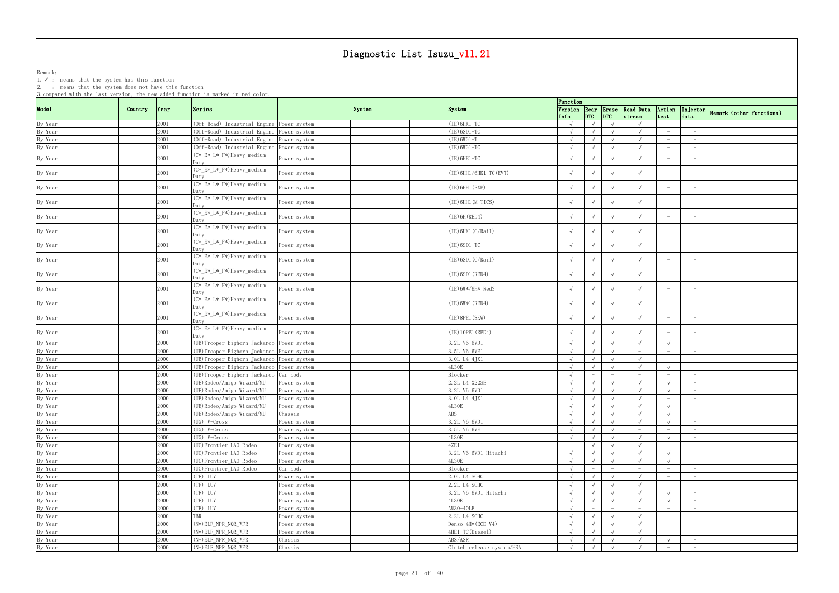Remark: The contract of the contract of  $\mathbb{R}$  and  $\mathbb{R}$  are contract of  $\mathbb{R}$  and  $\mathbb{R}$  are contract of  $\mathbb{R}$  and  $\mathbb{R}$  are contract of  $\mathbb{R}$  and  $\mathbb{R}$  are contract of  $\mathbb{R}$  and  $\mathbb{R}$  are cont

1.√ : means that the system has this function

|                                          |         |              | 3. compared with the last version, the new added function is marked in red color. |              |                         | Function                        |            |                          |                                 |                                 |                                 |                                 |                          |
|------------------------------------------|---------|--------------|-----------------------------------------------------------------------------------|--------------|-------------------------|---------------------------------|------------|--------------------------|---------------------------------|---------------------------------|---------------------------------|---------------------------------|--------------------------|
| Mode1                                    | Country | Year         | Series                                                                            | System       | System                  |                                 |            |                          |                                 | Version Rear Erase Read Data    | Action                          | Injector                        |                          |
|                                          |         |              |                                                                                   |              |                         | Info                            |            | $DTC$ $DTC$              |                                 | stream                          | test                            | data                            | Remark (other functions) |
| By Year                                  |         | 2001         | (Off-Road) Industrial Engine Power system                                         |              | $(IE)$ 6HK1-TC          | $\sqrt{ }$                      |            | $\sqrt{ }$               | $\sqrt{ }$                      | $\sqrt{ }$                      |                                 | $\overline{\phantom{m}}$        |                          |
|                                          |         | 2001         | (Off-Road) Industrial Engine Power system                                         |              | $(IE)$ 6SD1-TC          | $\sqrt{ }$                      |            |                          | $\sqrt{ }$                      | $\sqrt{ }$                      |                                 | $-$                             |                          |
| By Year<br>By Year                       |         | 2001         | (Off-Road) Industrial Engine Power system                                         |              | $(IE) 6WG1-T$           | $\sqrt{ }$                      |            |                          | $\sqrt{ }$                      | $\sqrt{ }$                      |                                 |                                 |                          |
| By Year                                  |         | 2001         | (Off-Road) Industrial Engine Power system                                         |              | $(IE) 6WG1-TC$          | $\sqrt{ }$                      |            |                          | $\sqrt{ }$                      | $\sqrt{ }$                      |                                 | $\hspace{0.1mm}-\hspace{0.1mm}$ |                          |
|                                          |         |              | (C*_E*_L*_F*)Heavy_medium                                                         |              |                         |                                 |            |                          |                                 | $\sqrt{ }$                      | $\overline{\phantom{m}}$        | $\hspace{0.1mm}-\hspace{0.1mm}$ |                          |
| By Year                                  |         | 2001         | Duty                                                                              | Power system | (IE) 6HE1-TC            |                                 |            |                          | $\sqrt{ }$                      |                                 |                                 |                                 |                          |
| By Year                                  |         | 2001         | (C*_E*_L*_F*)Heavy_medium                                                         | ower system  | (IE) 6HH1/6HK1-TC (EVT) | $\sqrt{ }$                      |            |                          | $\sqrt{ }$                      | $\sqrt{ }$                      |                                 | $\hspace{0.1mm}-\hspace{0.1mm}$ |                          |
|                                          |         |              | )utv                                                                              |              |                         |                                 |            |                          |                                 |                                 |                                 |                                 |                          |
| By Year                                  |         | 2001         | (C*_E*_L*_F*)Heavy_medium                                                         | Power system | (IE) 6HH1 (EXP)         |                                 |            |                          | $\sqrt{ }$                      | $\sqrt{ }$                      |                                 |                                 |                          |
|                                          |         |              | Duty                                                                              |              |                         |                                 |            |                          |                                 |                                 |                                 |                                 |                          |
| By Year                                  |         | 2001         | (C*_E*_L*_F*)Heavy_medium                                                         | Power system | $(IE)$ 6HH1 $(M-TICS)$  |                                 |            |                          | $\sqrt{ }$                      | $\sqrt{ }$                      |                                 |                                 |                          |
|                                          |         |              | )utv<br>(C*_E*_L*_F*)Heavy_medium                                                 |              |                         |                                 |            |                          |                                 |                                 |                                 |                                 |                          |
| By Year                                  |         | 2001         | Dutv                                                                              | Power system | $(IE)$ 6H (RED4)        | $\sqrt{ }$                      |            |                          | $\sqrt{ }$                      | $\sqrt{ }$                      |                                 |                                 |                          |
|                                          |         |              | (C*_E*_L*_F*)Heavy_medium                                                         |              |                         |                                 |            |                          |                                 |                                 |                                 |                                 |                          |
| By Year                                  |         | 2001         | Duty                                                                              | Power system | $(IE)$ 6HK1 $(C/Rai1)$  |                                 |            |                          | $\sqrt{ }$                      | $\sqrt{ }$                      |                                 |                                 |                          |
|                                          |         |              | (C*_E*_L*_F*)Heavy_medium                                                         |              |                         |                                 |            |                          |                                 |                                 |                                 |                                 |                          |
| By Year                                  |         | 2001         | Duty                                                                              | Power system | $(IE)$ 6SD1-TC          |                                 |            |                          | $\sqrt{ }$                      |                                 |                                 |                                 |                          |
|                                          |         |              | (C*_E*_L*_F*)Heavy_medium                                                         |              | $(IE)$ 6SD1 $(C/Rai1)$  |                                 |            |                          |                                 | $\sqrt{ }$                      | $\hspace{0.1mm}-\hspace{0.1mm}$ | $\hspace{0.1mm}-\hspace{0.1mm}$ |                          |
| By Year                                  |         | 2001         | Duty                                                                              | Power system |                         |                                 | $\sqrt{ }$ |                          | $\sqrt{ }$                      |                                 |                                 |                                 |                          |
| By Year                                  |         | 2001         | (C*_E*_L*_F*)Heavy_medium                                                         | Power system | (IE) 6SD1 (RED4)        |                                 |            |                          | $\sqrt{ }$                      | $\sqrt{ }$                      |                                 | $\overline{\phantom{a}}$        |                          |
|                                          |         |              | Dutv                                                                              |              |                         |                                 |            |                          |                                 |                                 |                                 |                                 |                          |
| By Year                                  |         | 2001         | (C*_E*_L*_F*)Heavy_medium                                                         | Power system | (IE)6W*/6H* Red3        |                                 |            |                          | $\sqrt{ }$                      |                                 |                                 |                                 |                          |
|                                          |         |              | Duty                                                                              |              |                         |                                 |            |                          |                                 |                                 |                                 |                                 |                          |
| By Year                                  |         | 2001         | (C*_E*_L*_F*)Heavy_medium                                                         | Power system | $(IE) 6W*1 (RED4)$      |                                 |            |                          | $\sqrt{ }$                      | $\sqrt{ }$                      |                                 |                                 |                          |
|                                          |         |              | Dutv                                                                              |              |                         |                                 |            |                          |                                 |                                 |                                 |                                 |                          |
| By Year                                  |         | 2001         | (C*_E*_L*_F*)Heavy_medium                                                         | ower system  | $(IE)$ 8PE1 $(SKW)$     | $\sqrt{ }$                      |            |                          | $\sqrt{ }$                      | $\sqrt{ }$                      |                                 |                                 |                          |
|                                          |         |              | Duty<br>(C*_E*_L*_F*)Heavy_medium                                                 |              |                         |                                 |            |                          |                                 |                                 |                                 |                                 |                          |
| By Year                                  |         | 2001         | Duty                                                                              | Power system | (IE) 10PE1 (RED4)       |                                 |            |                          | $\sqrt{ }$                      |                                 |                                 |                                 |                          |
| By Year                                  |         | 2000         | (UB)Trooper Bighorn Jackaroo                                                      | Power system | 3.2L V6 6VD1            | $\sqrt{ }$                      |            |                          | $\sqrt{ }$                      | $\sqrt{ }$                      |                                 | $\overline{\phantom{0}}$        |                          |
|                                          |         | 2000         | (UB) Trooper Bighorn Jackaroo Power system                                        |              | 3.5L V6 6VE1            | $\sqrt{ }$                      |            |                          | $\sqrt{ }$                      | $\overline{\phantom{0}}$        |                                 | $-$                             |                          |
| By Year<br>By Year                       |         | 2000         | (UB) Trooper Bighorn Jackaroo Power system                                        |              | 3. OL L4 4JX1           | $\sqrt{ }$                      |            |                          | $\sqrt{ }$                      | $\sqrt{ }$                      |                                 | $\hspace{0.1mm}-\hspace{0.1mm}$ |                          |
| By Year                                  |         | 2000         | (UB) Trooper Bighorn Jackaroo Power system                                        |              | 4L30E                   | $\sqrt{ }$                      |            |                          | $\sqrt{ }$                      | $\sqrt{ }$                      |                                 | $\hspace{0.1mm}-\hspace{0.1mm}$ |                          |
| By Year                                  |         | 2000         | (UB) Trooper Bighorn Jackaroo Car body                                            |              | Blocker                 |                                 |            |                          | $\overline{\phantom{m}}$        | $\hspace{0.1mm}-\hspace{0.1mm}$ | $\hspace{0.1mm}-\hspace{0.1mm}$ | $-$                             |                          |
| By Year                                  |         | 2000         | (UE) Rodeo/Amigo Wizard/MU                                                        |              | 2.2L L4 X22SE           |                                 |            |                          | $\sqrt{ }$                      | $\sqrt{ }$                      |                                 | $\overline{\phantom{0}}$        |                          |
|                                          |         |              |                                                                                   | Power system |                         |                                 |            |                          |                                 |                                 |                                 | $\hspace{0.1mm}-\hspace{0.1mm}$ |                          |
| By Year                                  |         | 2000<br>2000 | (UE) Rodeo/Amigo Wizard/MU                                                        | ower system  | 3.2L V6 6VD1            | $\sqrt{ }$                      |            |                          |                                 | $\sqrt{ }$                      |                                 | $\hspace{0.1mm}-\hspace{0.1mm}$ |                          |
| By Year<br>By Year<br>By Year<br>By Year |         |              | (UE)Rodeo/Amigo Wizard/MU<br>(UE)Rodeo/Amigo Wizard/MU                            | Power system | 3.0L L4 4JX1            |                                 |            |                          | $\sqrt{ }$                      |                                 |                                 |                                 |                          |
|                                          |         | 2000-        |                                                                                   | Power system | 4L30E                   | $\sqrt{ }$                      |            | $\sqrt{ }$               | $\sqrt{ }$                      | $\sqrt{ }$                      | $\sqrt{ }$                      |                                 |                          |
|                                          |         | 2000         | (UE) Rodeo/Amigo Wizard/MU                                                        | Chassis      | ABS                     | $\sqrt{ }$                      |            | $\sqrt{ }$               | $\sqrt{ }$                      | $\sqrt{ }$                      |                                 |                                 |                          |
|                                          |         | 2000         | (UG) V-Cross                                                                      | Power system | 3.2L V6 6VD1            | $\sqrt{ }$                      |            | $\sqrt{ }$               | $\sqrt{ }$                      | $\sqrt{ }$                      |                                 | $-$                             |                          |
| By Year                                  |         | 2000         | (UG) V-Cross                                                                      | Power system | 3.5L V6 6VE1            | $\sqrt{ }$                      |            | $\sqrt{ }$               | $\sqrt{ }$                      | $-$                             | $\hspace{0.1mm}-\hspace{0.1mm}$ | $\sim$                          |                          |
| By Year                                  |         | 2000         | (UG) V-Cross                                                                      | Power system | 4L30E                   | $\sqrt{ }$                      |            | $\sqrt{ }$               | $\sqrt{ }$                      | $\sqrt{ }$                      |                                 | $\overline{\phantom{0}}$        |                          |
| By Year                                  |         | 2000         | (UC)Frontier_LAO Rodeo                                                            | Power system | 4ZE1                    | $\hspace{0.1mm}-\hspace{0.1mm}$ |            |                          | $\sqrt{ }$                      | $\sqrt{ }$                      | $\hspace{0.1mm}-\hspace{0.1mm}$ | $\overline{\phantom{0}}$        |                          |
| By Year                                  |         | 2000         | (UC) Frontier_LAO Rodeo                                                           | Power system | 3.2L V6 6VD1 Hitachi    | $\sqrt{ }$                      |            |                          | $\sqrt{ }$                      | $\sqrt{ }$                      |                                 | $-$                             |                          |
| By Year                                  |         | 2000         | (UC) Frontier_LAO Rodeo                                                           | Power system | 4L30E                   | $\sqrt{ }$                      |            |                          | $\sqrt{ }$                      | $\sqrt{ }$                      |                                 | $-$                             |                          |
| By Year<br>By Year                       |         | 2000         | (UC)Frontier_LAO Rodeo                                                            | Car body     | <b>Blocker</b>          | $\sqrt{ }$                      |            | $\overline{\phantom{m}}$ | $\hspace{0.1mm}-\hspace{0.1mm}$ | $-$                             | $\hspace{0.1mm}-\hspace{0.1mm}$ | $-$                             |                          |
|                                          |         | 2000         | (TF) LUV                                                                          | Power system | 2. OL L4 SOHC           | $\sqrt{ }$                      |            | $\sqrt{ }$               | $\sqrt{ }$                      | $\sqrt{ }$                      |                                 | $\overline{\phantom{0}}$        |                          |
| By Year                                  |         | 2000         | (TF) LUV                                                                          | Power system | 2.2L L4 SOHC            | $\sqrt{ }$                      |            | $\sqrt{ }$               | $\sqrt{ }$                      | $\sqrt{ }$                      | $\hspace{0.1mm}-\hspace{0.1mm}$ | $-$                             |                          |
| By Year                                  |         | 2000         | (TF) LUV                                                                          | Power system | 3.2L V6 6VD1 Hitachi    | $\sqrt{ }$                      |            |                          | $\sqrt{ }$                      | $\sqrt{ }$                      | $\sqrt{ }$                      | $-$                             |                          |
| By Year                                  |         | 2000         | (TF) LUV                                                                          | Power system | 4L30E                   | $\sqrt{ }$                      |            | $\sqrt{ }$               | $\sqrt{ }$                      | $\sqrt{ }$                      | $\sqrt{ }$                      | $\overline{\phantom{0}}$        |                          |
| By Year                                  |         | 2000         | (TF) LUV                                                                          | Power system | AW30-40LE               | $\sqrt{ }$                      |            |                          | $\hspace{0.1mm}-\hspace{0.1mm}$ | $-$                             | $\overline{\phantom{a}}$        | $-$                             |                          |
| By Year<br>By Year                       |         | 2000         | TBR.                                                                              | ower system  | 2.2L L4 SOHC            | $\sqrt{ }$                      |            |                          | $\sqrt{ }$                      | $\sqrt{ }$                      | $\hspace{0.1mm}-\hspace{0.1mm}$ | $\hspace{0.1mm}-\hspace{0.1mm}$ |                          |
|                                          |         | 2000         | (N*) ELF_NPR_NQR_VFR                                                              | Power system | Denso 4H* (ECD-V4)      | $\sqrt{ }$                      |            | $\sqrt{ }$               | $\sqrt{ }$                      | $\sqrt{ }$                      |                                 | $\hspace{0.1mm}-\hspace{0.1mm}$ |                          |
| By Year                                  |         | 2000         | (N*) ELF_NPR_NQR_VFR                                                              | Power system | 4HE1-TC(Diesel)         | $\sqrt{ }$                      |            |                          | $\sqrt{ }$                      | $\sqrt{ }$                      |                                 | $\overline{\phantom{0}}$        |                          |
|                                          |         |              |                                                                                   |              |                         |                                 |            |                          |                                 |                                 |                                 |                                 |                          |
| By Year                                  |         | 2000         | $(N*)$ ELF_NPR_NQR_VFR                                                            | Chassis      | ABS/ASR                 | $\sqrt{ }$                      |            | $\sqrt{ }$               | $\sqrt{ }$                      | $\sqrt{ }$                      |                                 | $-$                             |                          |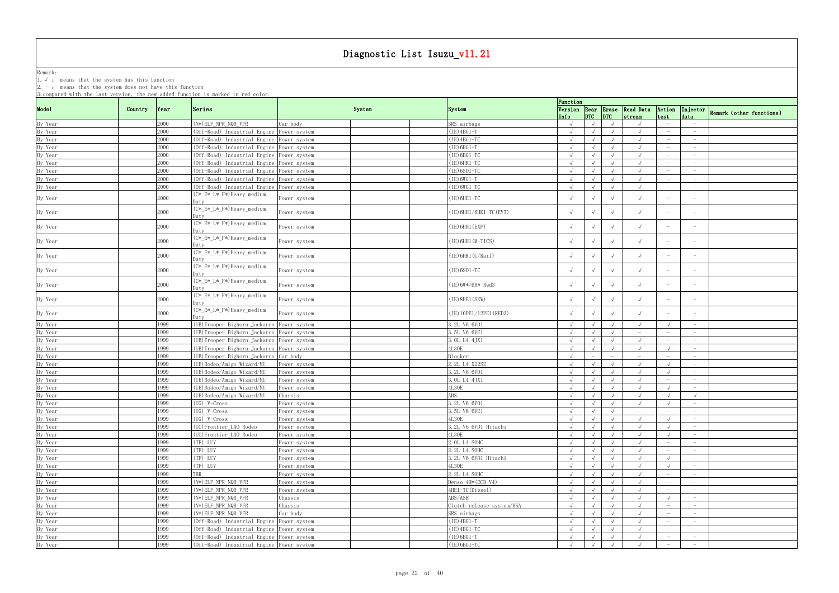Remark: The contract of the contract of  $\mathbb{R}$  and  $\mathbb{R}$  are contract of  $\mathbb{R}$  and  $\mathbb{R}$  are contract of  $\mathbb{R}$  and  $\mathbb{R}$  are contract of  $\mathbb{R}$  and  $\mathbb{R}$  are contract of  $\mathbb{R}$  and  $\mathbb{R}$  are cont

1.√ : means that the system has this function

|         |         |      | 3. compared with the last version, the new added function is marked in red color. |              |        |                           | Function   |                                       |                                 |                                 |                                 |                                           |
|---------|---------|------|-----------------------------------------------------------------------------------|--------------|--------|---------------------------|------------|---------------------------------------|---------------------------------|---------------------------------|---------------------------------|-------------------------------------------|
| Mode1   | Country | Year | Series                                                                            |              | System | System                    |            |                                       |                                 | Version Rear Erase Read Data    | Action                          |                                           |
|         |         |      |                                                                                   |              |        |                           | Info       | $ $ <sub>DTC</sub> $ $ <sub>DTC</sub> |                                 | stream                          | test                            | Injector Remark (other functions)<br>data |
| By Year |         | 2000 | $(N*)$ ELF NPR NQR VFR                                                            | Car body     |        | SRS airbags               |            | $\sqrt{ }$                            |                                 |                                 |                                 |                                           |
| By Year |         | 2000 | (Off-Road) Industrial Engine Power system                                         |              |        | $(IE)$ 4BG1-T             | $\sqrt{ }$ | $\sqrt{ }$                            | $\sqrt{ }$                      |                                 |                                 | $\hspace{0.1mm}-\hspace{0.1mm}$           |
| By Year |         | 2000 | (Off-Road) Industrial Engine Power system                                         |              |        | $(IE)$ 4BG1-TC            |            |                                       | $\sqrt{ }$                      |                                 |                                 | $\hspace{0.1mm}-\hspace{0.1mm}$           |
| By Year |         | 2000 | (Off-Road) Industrial Engine Power system                                         |              |        | $(IE)$ 6BG1-T             |            |                                       | $\sqrt{ }$                      |                                 |                                 | $\hspace{0.1mm}-\hspace{0.1mm}$           |
| By Year |         | 2000 | (Off-Road) Industrial Engine Power system                                         |              |        | $(IE)$ 6BG1-TC            | $\sqrt{ }$ | $\sqrt{ }$                            | $\sqrt{ }$                      | $\sqrt{ }$                      |                                 | $-$                                       |
| By Year |         | 2000 | (Off-Road) Industrial Engine Power system                                         |              |        | $(IE)$ 6HK1-TC            | $\sqrt{ }$ | $\sqrt{ }$                            | $\sqrt{ }$                      | $\sqrt{ }$                      |                                 | $\overline{\phantom{0}}$                  |
| By Year |         | 2000 | (Off-Road) Industrial Engine Power system                                         |              |        | $(IE)$ 6SD1-TC            | $\sqrt{ }$ | $\sqrt{ }$                            | $\sqrt{ }$                      | $\sqrt{ }$                      |                                 | $\overline{\phantom{0}}$                  |
| By Year |         | 2000 | (Off-Road) Industrial Engine Power system                                         |              |        | $(IE) 6WG1-T$             |            | $\sqrt{ }$                            | $\sqrt{ }$                      | $\sqrt{ }$                      |                                 |                                           |
| By Year |         | 2000 | (Off-Road) Industrial Engine Power system                                         |              |        | $(IE) 6WG1-TC$            | $\sqrt{ }$ | $\sqrt{ }$                            | $\sqrt{ }$                      | $\sqrt{ }$                      |                                 | $\hspace{0.1mm}-\hspace{0.1mm}$           |
| By Year |         | 2000 | (C*_E*_L*_F*)Heavy_medium<br>Duty                                                 | Power system |        | (IE) 6HE1-TC              |            | $\sqrt{ }$                            | $\sqrt{ }$                      |                                 |                                 |                                           |
| By Year |         | 2000 | (C*_E*_L*_F*)Heavy_medium<br>)utv                                                 | Power system |        | (IE) 6HH1/6HK1-TC (EVT)   |            | $\sqrt{ }$                            | $\sqrt{ }$                      |                                 |                                 |                                           |
| By Year |         | 2000 | (C*_E*_L*_F*)Heavy_medium<br>Dutv                                                 | Power system |        | $(IE)$ 6HH1 $(EXP)$       | $\sqrt{ }$ | $\sqrt{ }$                            | $\sqrt{ }$                      | $\sqrt{ }$                      |                                 |                                           |
| By Year |         | 2000 | (C*_E*_L*_F*)Heavy_medium<br>Duty                                                 | Power system |        | (IE) 6HH1 (M-TICS)        |            | $\sqrt{ }$                            | $\sqrt{ }$                      |                                 |                                 |                                           |
| By Year |         | 2000 | (C*_E*_L*_F*)Heavy_medium<br>Duty                                                 | Power system |        | (IE)6HK1(C/Rail)          |            |                                       | $\sqrt{ }$                      |                                 |                                 |                                           |
| By Year |         | 2000 | (C*_E*_L*_F*)Heavy_medium<br>Duty                                                 | Power system |        | (IE)6SD1-TC               | $\sqrt{ }$ | $\sqrt{ }$                            | $\sqrt{ }$                      | $\sqrt{ }$                      | $\hspace{0.1mm}-\hspace{0.1mm}$ | $\hspace{0.1mm}-\hspace{0.1mm}$           |
| By Year |         | 2000 | (C*_E*_L*_F*)Heavy_medium<br>Dutv                                                 | Power system |        | (IE)6W*/6H* Red3          |            | $\sqrt{ }$                            | $\sqrt{ }$                      |                                 |                                 |                                           |
| By Year |         | 2000 | (C*_E*_L*_F*)Heavy_medium<br>Duty                                                 | Power system |        | $(IE)$ 8PE1 $(SKW)$       |            |                                       | $\sqrt{ }$                      |                                 |                                 |                                           |
| By Year |         | 2000 | (C*_E*_L*_F*)Heavy_medium<br>Dutv                                                 | Power system |        | (IE) 10PE1/12PE1 (RED3)   |            | $\sqrt{ }$                            | $\sqrt{ }$                      |                                 |                                 |                                           |
| By Year |         | 1999 | (UB) Trooper Bighorn Jackaroo Power system                                        |              |        | 3.2L V6 6VD1              | $\sqrt{ }$ | $\sqrt{ }$                            | $\sqrt{ }$                      |                                 | $\sqrt{ }$                      | $\hspace{0.1mm}-\hspace{0.1mm}$           |
| By Year |         | 1999 | (UB) Trooper Bighorn Jackaroo Power system                                        |              |        | 3.5L V6 6VE1              | $\sqrt{ }$ | $\sqrt{ }$                            | $\sqrt{ }$                      | $\hspace{0.1mm}-\hspace{0.1mm}$ |                                 | $\hspace{0.1mm}-\hspace{0.1mm}$           |
| By Year |         | 1999 | (UB)Trooper Bighorn Jackaroo Power system                                         |              |        | 3. OL L4 4JX1             | $\sqrt{ }$ | $\sqrt{ }$                            | $\sqrt{ }$                      | $\sqrt{ }$                      |                                 | $\overline{\phantom{0}}$                  |
| By Year |         | 1999 | (UB) Trooper Bighorn Jackaroo Power system                                        |              |        | <b>4L30E</b>              | $\sqrt{ }$ | $\sqrt{ }$                            | $\sqrt{ }$                      | $\sqrt{ }$                      | $\sqrt{ }$                      |                                           |
| By Year |         | 1999 | (UB) Trooper Bighorn Jackaroo Car body                                            |              |        | Blocker                   | $\sqrt{ }$ | $\overline{\phantom{a}}$              | $\hspace{0.1mm}-\hspace{0.1mm}$ | $\hspace{0.1mm}-\hspace{0.1mm}$ |                                 | $\overline{\phantom{0}}$                  |
| By Year |         | 1999 | (UE)Rodeo/Amigo Wizard/MU                                                         | Power system |        | 2.2L L4 X22SE             | $\sqrt{ }$ | $\sqrt{ }$                            | $\sqrt{ }$                      | $\sqrt{ }$                      | $\sqrt{ }$                      | $-$                                       |
| By Year |         | 1999 | (UE) Rodeo/Amigo Wizard/MU                                                        | Power system |        | 3.2L V6 6VD1              | $\sqrt{ }$ | $\sqrt{ }$                            | $\sqrt{ }$                      | $\sqrt{ }$                      | $\sqrt{ }$                      | $\overline{\phantom{0}}$                  |
| By Year |         | 1999 | (UE) Rodeo/Amigo Wizard/MU                                                        | Power system |        | 3. OL L4 4JX1             |            | $\sqrt{ }$                            | $\sqrt{ }$                      |                                 |                                 |                                           |
| By Year |         | 1999 | (UE)Rodeo/Amigo Wizard/MU                                                         | Power system |        | <b>4L30E</b>              | $\sqrt{ }$ |                                       | $\sqrt{ }$                      | $\sqrt{ }$                      |                                 | $\hspace{0.1mm}-\hspace{0.1mm}$           |
| By Year |         | 1999 | (UE)Rodeo/Amigo Wizard/MU                                                         | Chassis      |        | <b>ABS</b>                | $\sqrt{ }$ |                                       |                                 |                                 |                                 | $\sqrt{ }$                                |
| By Year |         | 1999 | $(UG)$ V-Cross                                                                    | Power system |        | 3.2L V6 6VD1              | $\sqrt{ }$ | $\sqrt{ }$                            | $\sqrt{ }$                      |                                 |                                 |                                           |
| By Year |         | 1999 | (UG) V-Cross                                                                      | Power system |        | 3.5L V6 6VE1              |            | $\sqrt{ }$                            | $\sqrt{ }$                      | $\hspace{0.1mm}-\hspace{0.1mm}$ |                                 |                                           |
| By Year |         | 1999 | $(UG)$ V-Cross                                                                    | Power system |        | <b>4L30E</b>              | $\sqrt{ }$ | $\sqrt{ }$                            | $\sqrt{ }$                      | $\sqrt{ }$                      |                                 | $\sim$                                    |
| By Year |         | 1999 | (UC)Frontier_LAO Rodeo                                                            | Power system |        | 3.2L V6 6VD1 Hitachi      | $\sqrt{ }$ | $\sqrt{ }$                            | $\sqrt{ }$                      |                                 |                                 | $-$                                       |
| By Year |         | 1999 | (UC)Frontier_LAO Rodeo                                                            | Power system |        | <b>4L30E</b>              | $\sqrt{ }$ | $\sqrt{ }$                            | $\sqrt{ }$                      |                                 | $\sqrt{ }$                      | $\overline{\phantom{0}}$                  |
| By Year |         | 1999 | (TF) LUV                                                                          | Power system |        | 2. OL L4 SOHC             | $\sqrt{ }$ | $\sqrt{ }$                            | $\sqrt{ }$                      | $\sqrt{ }$                      | $\hspace{0.1mm}-\hspace{0.1mm}$ | $-$                                       |
| By Year |         | 1999 | (TF) LUV                                                                          | Power system |        | 2.2L L4 SOHC              | $\sqrt{ }$ | $\sqrt{ }$                            | $\sqrt{ }$                      | $\sqrt{ }$                      | $\hspace{0.1mm}-\hspace{0.1mm}$ | $\overline{\phantom{0}}$                  |
| By Year |         | 1999 | (TF) LUV                                                                          | Power system |        | 3.2L V6 6VD1 Hitachi      | $\sqrt{ }$ | $\sqrt{ }$                            | $\sqrt{ }$                      | $\sqrt{ }$                      | $\sqrt{ }$                      | $-$                                       |
| By Year |         | 1999 | (TF) LUV                                                                          | Power system |        | 4L30E                     |            | $\sqrt{ }$                            | $\sqrt{ }$                      |                                 |                                 | $\hspace{0.1mm}-\hspace{0.1mm}$           |
| By Year |         | 1999 | TBR.                                                                              | Power system |        | 2.2L L4 SOHC              | $\sqrt{ }$ | $\sqrt{ }$                            | $\sqrt{ }$                      | $\sqrt{ }$                      | $-$                             | $-$                                       |
|         |         | 1999 | $(N*) ELF_NPR_NQR_VFR$                                                            |              |        |                           |            |                                       |                                 | $\sqrt{ }$                      | $\overline{\phantom{0}}$        | $-$                                       |
| By Year |         |      |                                                                                   | Power system |        | Denso 4H* (ECD-V4)        | $\sqrt{ }$ | $\sqrt{ }$                            | $\sqrt{ }$                      |                                 |                                 |                                           |
| By Year |         | 1999 | $(N*)$ ELF NPR NQR VFR                                                            | Power system |        | 4HE1-TC(Diesel)           | $\sqrt{ }$ | $\sqrt{ }$                            | $\sqrt{ }$                      |                                 | $-$                             | $\overline{\phantom{0}}$                  |
| By Year |         | 1999 | $(N*)$ ELF_NPR_NQR_VFR                                                            | Chassis      |        | ABS/ASR                   | $\sqrt{ }$ | $\sqrt{ }$                            | $\sqrt{ }$                      |                                 |                                 | $-$                                       |
| By Year |         | 1999 | (N*) ELF_NPR_NQR_VFR                                                              | Chassis      |        | Clutch release system/HSA | $\sqrt{ }$ | $\sqrt{ }$                            | $\sqrt{ }$                      | $\sqrt{ }$                      | $\overline{\phantom{0}}$        | $\overline{\phantom{0}}$                  |
| By Year |         | 1999 | $(N*)$ ELF_NPR_NQR_VFR                                                            | Car body     |        | SRS airbags               | $\sqrt{ }$ | $\sqrt{ }$                            | $\sqrt{ }$                      | $\sqrt{ }$                      |                                 | $\overline{\phantom{0}}$                  |
| By Year |         | 1999 | (Off-Road) Industrial Engine Power system                                         |              |        | $(IE)$ 4BG1-T             | $\sqrt{ }$ | $\sqrt{ }$                            | $\sqrt{ }$                      | $\sqrt{ }$                      |                                 | $\hspace{0.1mm}-\hspace{0.1mm}$           |
| By Year |         | 1999 | (Off-Road) Industrial Engine Power system                                         |              |        | $(IE)$ 4BG1-TC            | $\sqrt{ }$ | $\sqrt{ }$                            | $\sqrt{ }$                      | $\sqrt{ }$                      | $\overline{\phantom{0}}$        | $\overline{\phantom{0}}$                  |
| By Year |         | 1999 | (Off-Road) Industrial Engine Power system                                         |              |        | $(IE)$ 6BG1-T             | $\sqrt{ }$ | $\sqrt{ }$                            | $\sqrt{ }$                      |                                 | $-$                             | $\overline{\phantom{0}}$                  |
| By Year |         | 1999 | (Off-Road) Industrial Engine Power system                                         |              |        | $(IE)$ 6BG1-TC            | $\sqrt{ }$ | $\sqrt{ }$                            | $\sqrt{ }$                      |                                 | $\overline{\phantom{0}}$        | $\overline{\phantom{0}}$                  |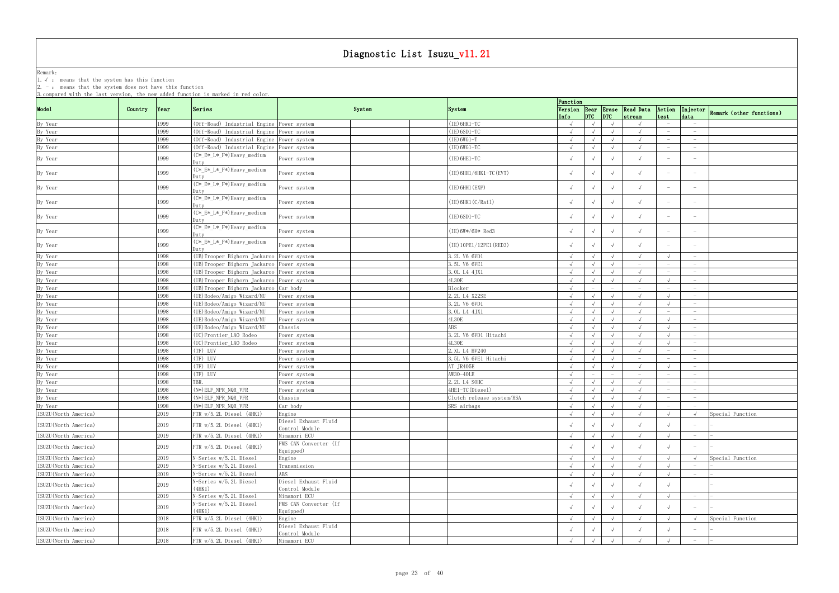Remark: The contract of the contract of  $\mathbb{R}$  and  $\mathbb{R}$  are contract of  $\mathbb{R}$  and  $\mathbb{R}$  are contract of  $\mathbb{R}$  and  $\mathbb{R}$  are contract of  $\mathbb{R}$  and  $\mathbb{R}$  are contract of  $\mathbb{R}$  and  $\mathbb{R}$  are cont

1.√ : means that the system has this function

|                                            |         |          | 3. compared with the last version, the new added function is marked in red color. |                                    |                           |                    |            |                         |                                 |                                 |                                 |                                   |                                   |
|--------------------------------------------|---------|----------|-----------------------------------------------------------------------------------|------------------------------------|---------------------------|--------------------|------------|-------------------------|---------------------------------|---------------------------------|---------------------------------|-----------------------------------|-----------------------------------|
|                                            |         |          |                                                                                   |                                    |                           | Function           |            |                         |                                 |                                 |                                 |                                   |                                   |
| Model                                      | Country | $\gamma$ | Series                                                                            | System                             | System                    |                    |            | $\vert$ DTC $\vert$ DTC |                                 | Version Rear Erase Read Data    | Action<br>test                  | data                              | Injector Remark (other functions) |
| By Year                                    |         | 1999     | (Off-Road) Industrial Engine Power system                                         |                                    | $(IE)$ 6HK1-TC            | Info<br>$\sqrt{ }$ | $\sqrt{ }$ |                         |                                 | stream                          |                                 |                                   |                                   |
|                                            |         | 1999     | (Off-Road) Industrial Engine Power system                                         |                                    | $(IE)$ 6SD1-TC            | $\sqrt{ }$         |            |                         | $\sqrt{ }$                      | $\sqrt{ }$                      |                                 |                                   |                                   |
| By Year<br>By Year                         |         | 1999     | (Off-Road) Industrial Engine Power system                                         |                                    | $(IE) 6WG1-T$             | $\sqrt{ }$         |            |                         | $\sqrt{ }$                      | $\sqrt{ }$                      |                                 |                                   |                                   |
| By Year                                    |         | 1999     | (Off-Road) Industrial Engine Power system                                         |                                    | $(IE) 6WG1-TC$            | $\sqrt{ }$         | $\sqrt{ }$ |                         | $\sqrt{ }$                      | $\sqrt{ }$                      |                                 | $\overline{\phantom{0}}$          |                                   |
|                                            |         |          | (C*_E*_L*_F*)Heavy_medium                                                         |                                    |                           |                    |            |                         |                                 |                                 |                                 |                                   |                                   |
| By Year                                    |         | 1999     | Duty                                                                              | Power system                       | (IE) 6HE1-TC              |                    |            |                         | $\sqrt{ }$                      | $\sqrt{ }$                      |                                 |                                   |                                   |
| By Year                                    |         | 1999     | (C*_E*_L*_F*)Heavy_medium<br>Dutv                                                 | Power system                       | (IE) 6HH1/6HK1-TC (EVT)   |                    |            |                         | $\sqrt{ }$                      | $\sqrt{ }$                      |                                 | $\hspace{1.0cm} - \hspace{1.0cm}$ |                                   |
| By Year                                    |         | 1999     | (C*_E*_L*_F*)Heavy_medium<br>Duty                                                 | Power system                       | (IE) 6HH1 (EXP)           |                    |            |                         | $\sqrt{ }$                      |                                 |                                 |                                   |                                   |
| By Year                                    |         | 1999     | (C*_E*_L*_F*)Heavy_medium<br>Dutv                                                 | Power system                       | (IE) 6HK1 (C/Rai1)        |                    |            |                         | $\sqrt{ }$                      | $\sqrt{ }$                      |                                 |                                   |                                   |
| By Year                                    |         | 1999     | (C*_E*_L*_F*)Heavy_medium<br>Dutv                                                 | ower system                        | $(IE)$ 6SD1-TC            | $\sqrt{ }$         |            |                         | $\sqrt{ }$                      |                                 |                                 | $\hspace{0.1mm}-\hspace{0.1mm}$   |                                   |
| By Year                                    |         | 1999     | (C*_E*_L*_F*)Heavy_medium<br>Duty                                                 | Power system                       | (IE)6W*/6H* Red3          |                    |            |                         | $\sqrt{ }$                      |                                 |                                 | $\hspace{0.1mm}-\hspace{0.1mm}$   |                                   |
| By Year                                    |         | 1999     | $(C*E*L*F*)$ Heavy_medium<br>Dutv                                                 | Power system                       | (IE) 10PE1/12PE1 (RED3)   |                    |            |                         | $\sqrt{ }$                      |                                 |                                 | $\hspace{0.1mm}-\hspace{0.1mm}$   |                                   |
| By Year                                    |         | 1998     | (UB) Trooper Bighorn Jackaroo Power system                                        |                                    | 3.2L V6 6VD1              | $\sqrt{ }$         |            |                         | $\sqrt{ }$                      | $\sqrt{ }$                      |                                 | $-$                               |                                   |
| By Year                                    |         | 1998     | (UB) Trooper Bighorn Jackaroo Power system                                        |                                    | 3.5L V6 6VE1              | $\sqrt{ }$         |            |                         | $\sqrt{ }$                      | $\hspace{0.1mm}-\hspace{0.1mm}$ |                                 | $\overline{\phantom{0}}$          |                                   |
| By Year                                    |         | 1998     | (UB) Trooper Bighorn Jackaroo Power system                                        |                                    | 3. OL L4 4JX1             | $\sqrt{ }$         |            |                         | $\sqrt{ }$                      | $\sqrt{ }$                      |                                 | $-$                               |                                   |
|                                            |         | 1998     | (UB) Trooper Bighorn Jackaroo Power system                                        |                                    | 4L30E                     | $\sqrt{ }$         |            |                         | $\sqrt{ }$                      | $\sqrt{ }$                      |                                 | $\hspace{0.1mm}-\hspace{0.1mm}$   |                                   |
|                                            |         | 1998     | (UB) Trooper Bighorn Jackaroo Car body                                            |                                    | Blocker                   |                    |            |                         |                                 | $\hspace{0.1mm}-\hspace{0.1mm}$ | $-$                             | $\overline{\phantom{0}}$          |                                   |
| By Year<br>By Year<br>By Year              |         | 1998     | (UE) Rodeo/Amigo Wizard/MU                                                        | Power system                       | 2.2L L4 X22SE             |                    |            |                         | $\sqrt{ }$                      | $\sqrt{ }$                      |                                 | $\overline{\phantom{0}}$          |                                   |
| By Year                                    |         | 1998     | (UE) Rodeo/Amigo Wizard/MU                                                        | Power system                       | 3.2L V6 6VD1              | $\sqrt{ }$         |            |                         | $\sqrt{ }$                      | $\sqrt{ }$                      |                                 | $-$                               |                                   |
| By Year                                    |         | 1998     | (UE) Rodeo/Amigo Wizard/MU                                                        | ower system                        | 3. OL L4 4JX1             | $\sqrt{ }$         |            |                         | $\sqrt{ }$                      | $\sqrt{ }$                      | $\overline{\phantom{0}}$        | $\hspace{0.1mm}-\hspace{0.1mm}$   |                                   |
| By Year                                    |         | 1998     | (UE) Rodeo/Amigo Wizard/MU                                                        | Power system                       | 4L30E                     |                    |            |                         | $\sqrt{ }$                      |                                 |                                 | $\hspace{0.1mm}-\hspace{0.1mm}$   |                                   |
| By Year                                    |         | 1998     | (UE) Rodeo/Amigo Wizard/MU                                                        | Chassis                            | ABS                       | $\sqrt{ }$         |            |                         | $\sqrt{ }$                      | $\sqrt{ }$                      |                                 | $-$                               |                                   |
| By Year                                    |         | 1998     | (UC)Frontier_LAO Rodeo                                                            | ower system                        | 3.2L V6 6VD1 Hitachi      | $\sqrt{ }$         |            |                         | $\sqrt{ }$                      | $\sqrt{ }$                      |                                 | $\overline{\phantom{0}}$          |                                   |
| By Year                                    |         | 1998     | (UC)Frontier_LAO Rodeo                                                            | ower system?                       | 4L30E                     | $\sqrt{ }$         |            |                         | $\sqrt{ }$                      | $\sqrt{ }$                      |                                 | $\overline{\phantom{0}}$          |                                   |
| By Year                                    |         | 1998     | (TF) LUV                                                                          | Power system                       | 2.XL L4 HV240             | $\sqrt{ }$         |            |                         | $\sqrt{ }$                      | $\sqrt{ }$                      |                                 | $\hspace{0.1mm}-\hspace{0.1mm}$   |                                   |
| By Year                                    |         | 1998     | (TF) LUV                                                                          | Power system                       | 3.5L V6 6VE1 Hitachi      | $\sqrt{ }$         |            |                         | $\sqrt{ }$                      | $-$                             |                                 | $-$                               |                                   |
| By Year                                    |         | 1998     | (TF) LUV                                                                          | Power system                       | AT JR405E                 | $\sqrt{ }$         |            |                         | $\sqrt{ }$                      | $\sqrt{ }$                      |                                 | $-$                               |                                   |
| By Year                                    |         | 1998     | (TF) LUV                                                                          | Power system                       | AW30-40LE                 |                    |            |                         | $\hspace{0.1mm}-\hspace{0.1mm}$ | $\hspace{0.1mm}-\hspace{0.1mm}$ | $\hspace{0.1mm}-\hspace{0.1mm}$ | $\overline{\phantom{0}}$          |                                   |
| By Year                                    |         | 1998     | TBR.                                                                              | Power system                       | 2.2L L4 SOHC              | $\sqrt{ }$         |            |                         | $\sqrt{ }$                      |                                 |                                 | $-$                               |                                   |
|                                            |         | 1998     | $(N*)$ ELF_NPR_NQR_VFR                                                            |                                    | 4HE1-TC(Diesel)           | $\sqrt{ }$         |            |                         | $\sqrt{ }$                      | $\sqrt{ }$                      |                                 | $\hspace{0.1mm}-\hspace{0.1mm}$   |                                   |
| By Year                                    |         | 1998     | $(N*)$ ELF NPR NQR VFR                                                            | Power system<br>Chassis            | Clutch release system/HSA | $\sqrt{ }$         | $\sqrt{ }$ |                         | $\sqrt{ }$                      | $\sqrt{ }$                      |                                 | $-$                               |                                   |
| By Year<br>By Year<br>ISUZU(North America) |         | 1998     | $(N*)$ ELF_NPR_NQR_VFR                                                            | Car body                           | SRS airbags               |                    |            |                         |                                 | $\sqrt{ }$                      |                                 |                                   |                                   |
|                                            |         | 2019     |                                                                                   |                                    |                           | $\sqrt{ }$         |            | $\sqrt{ }$              | $\sqrt{ }$                      | $\sqrt{ }$                      |                                 | $\sqrt{ }$                        | Special Function                  |
| ISUZU (North America)                      |         | 2019     | FTR w/5.2L Diesel (4HK1)<br>FTR w/5.2L Diesel (4HK1)                              | Engine<br>Diesel Exhaust Fluid     |                           |                    |            |                         | $\sqrt{ }$                      |                                 |                                 |                                   |                                   |
|                                            |         |          |                                                                                   | Control Module                     |                           |                    |            |                         |                                 |                                 |                                 |                                   |                                   |
| ISUZU (North America)                      |         | 2019     | FTR w/5.2L Diesel (4HK1)                                                          | Mimamori ECU                       |                           | $\sqrt{ }$         | $\sqrt{ }$ |                         | $\sqrt{ }$                      | $\sqrt{ }$                      |                                 |                                   |                                   |
| ISUZU (North America)                      |         | 2019     | FTR w/5.2L Diesel (4HK1)                                                          | FMS CAN Converter (If<br>Equipped) |                           |                    |            |                         |                                 |                                 |                                 |                                   |                                   |
| ISUZU (North America)                      |         | 2019     | N-Series w/5.2L Diesel                                                            | Engine                             |                           | $\sqrt{ }$         |            |                         | $\sqrt{ }$                      | $\sqrt{ }$                      |                                 |                                   | Special Function                  |
| ISUZU (North America)                      |         | 2019     | N-Series w/5.2L Diesel                                                            | Transmission                       |                           | $\sqrt{ }$         |            |                         |                                 |                                 |                                 |                                   |                                   |
| ISUZU (North America)                      |         | 2019     | N-Series w/5.2L Diesel                                                            | ABS                                |                           | $\sqrt{ }$         |            |                         |                                 | $\sqrt{ }$                      |                                 |                                   |                                   |
|                                            |         |          | N-Series w/5.2L Diesel                                                            | Diesel Exhaust Fluid               |                           |                    |            |                         |                                 |                                 |                                 |                                   |                                   |
| ISUZU (North America)                      |         | 2019     | (4HK1)                                                                            | Control Module                     |                           |                    |            |                         |                                 |                                 |                                 |                                   |                                   |
| ISUZU (North America)                      |         | 2019     | N-Series w/5.2L Diesel                                                            | Mimamori ECU                       |                           |                    |            |                         | $\sqrt{ }$                      |                                 |                                 | $\hspace{0.1mm}-\hspace{0.1mm}$   |                                   |
| ISUZU (North America)                      |         | 2019     | N-Series w/5.2L Diesel<br>(4HK1)                                                  | FMS CAN Converter (If<br>Equipped) |                           |                    |            |                         | $\sqrt{ }$                      |                                 |                                 |                                   |                                   |
| ISUZU (North America)                      |         | 2018     | FTR w/5.2L Diesel (4HK1)                                                          | Engine                             |                           | $\sqrt{ }$         | $\sqrt{ }$ |                         | $\sqrt{ }$                      | $\sqrt{ }$                      |                                 | $\sqrt{ }$                        | Special Function                  |
| ISUZU (North America)                      |         | 2018     | FTR w/5.2L Diesel (4HK1)                                                          | Diesel Exhaust Fluid               |                           |                    |            |                         |                                 |                                 |                                 |                                   |                                   |
|                                            |         |          |                                                                                   | Control Module                     |                           |                    |            |                         |                                 |                                 |                                 |                                   |                                   |
| ISUZU(North America)                       |         | 2018     | FTR w/5.2L Diesel (4HK1)                                                          | Mimamori ECU                       |                           | $\sqrt{ }$         |            | $\sqrt{ }$              | $\sqrt{ }$                      | $\sqrt{ }$                      |                                 | $\hspace{0.1mm}-\hspace{0.1mm}$   |                                   |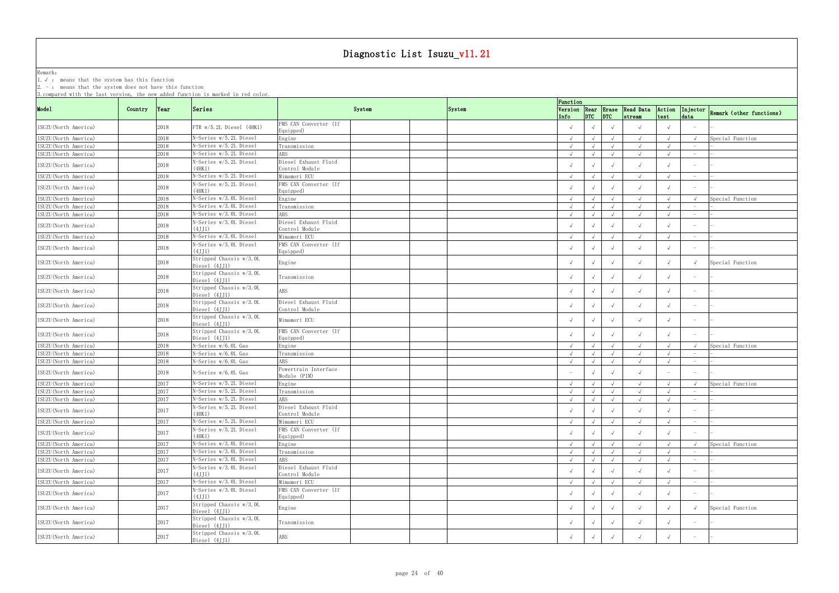Remark: The contract of the contract of  $\mathbb{R}$  and  $\mathbb{R}$  are contract of  $\mathbb{R}$  and  $\mathbb{R}$  are contract of  $\mathbb{R}$  and  $\mathbb{R}$  are contract of  $\mathbb{R}$  and  $\mathbb{R}$  are contract of  $\mathbb{R}$  and  $\mathbb{R}$  are cont

1.√ : means that the system has this function

2. - : means that the system does not have this function

|                       |         |            |                                            |                                        |        |        |      | Function                 |                                       |            |                                        |                |                                   |                                   |
|-----------------------|---------|------------|--------------------------------------------|----------------------------------------|--------|--------|------|--------------------------|---------------------------------------|------------|----------------------------------------|----------------|-----------------------------------|-----------------------------------|
| Mode1                 | Country | $\sqrt{2}$ | Series                                     |                                        | System | System | Info |                          | $ $ <sub>DTC</sub> $ $ <sub>DTC</sub> |            | Version Rear Erase Read Data<br>stream | Action<br>test | data                              | Injector Remark (other functions) |
| ISUZU (North America) |         | 2018       | FTR w/5.2L Diesel (4HK1)                   | FMS CAN Converter (If<br>Equipped)     |        |        |      |                          |                                       |            |                                        |                |                                   |                                   |
| ISUZU (North America) |         | 2018       | N-Series w/5.2L Diesel                     | Engine                                 |        |        |      | $\sqrt{ }$               |                                       |            |                                        |                |                                   | Special Function                  |
| ISUZU (North America) |         | 2018       | N-Series w/5.2L Diesel                     | Transmission                           |        |        |      | $\sqrt{ }$               |                                       |            |                                        |                |                                   |                                   |
| ISUZU (North America) |         | 2018       | N-Series w/5.2L Diesel                     | \BS                                    |        |        |      | $\sqrt{ }$               |                                       |            |                                        |                | $\overline{\phantom{0}}$          |                                   |
|                       |         |            | N-Series w/5.2L Diesel                     | Diesel Exhaust Fluid                   |        |        |      |                          |                                       |            |                                        |                |                                   |                                   |
| ISUZU (North America) |         | 2018       | (4HK1)                                     | Control Module                         |        |        |      |                          |                                       |            |                                        |                |                                   |                                   |
| ISUZU (North America) |         | 2018       | N-Series w/5.2L Diesel                     | Mimamori ECU                           |        |        |      | $\sqrt{ }$               |                                       |            |                                        |                | $\overline{\phantom{m}}$          |                                   |
| ISUZU (North America) |         | 2018       | N-Series w/5.2L Diesel<br>(4HK1)           | FMS CAN Converter (If<br>Equipped)     |        |        |      |                          |                                       |            |                                        |                |                                   |                                   |
| ISUZU (North America) |         | 2018       | N-Series w/3.0L Diesel                     | Engine                                 |        |        |      | $\sqrt{ }$               |                                       |            |                                        |                |                                   | Special Function                  |
| ISUZU (North America) |         | 2018       | N-Series w/3.0L Diesel                     | Transmission                           |        |        |      |                          |                                       |            |                                        |                |                                   |                                   |
| ISUZU (North America) |         | 2018       | N-Series w/3.0L Diesel                     | ABS                                    |        |        |      | $\sqrt{ }$               |                                       |            |                                        |                | $\hspace{0.1mm}-\hspace{0.1mm}$   |                                   |
| ISUZU (North America) |         | 2018       | N-Series w/3.0L Diesel<br>(4JJ1)           | Diesel Exhaust Fluid<br>Control Module |        |        |      |                          |                                       |            |                                        |                |                                   |                                   |
| ISUZU (North America) |         | 2018       | N-Series w/3.0L Diesel                     | Mimamori ECU                           |        |        |      | $\sqrt{ }$               |                                       |            | $\sqrt{ }$                             |                | $-$                               |                                   |
|                       |         |            | N-Series w/3.OL Diesel                     | FMS CAN Converter (If                  |        |        |      |                          |                                       |            |                                        |                |                                   |                                   |
| ISUZU (North America) |         | 2018       | (4JJ1)                                     | Equipped)                              |        |        |      |                          |                                       |            |                                        |                |                                   |                                   |
| ISUZU (North America) |         | 2018       | Stripped Chassis w/3.0L<br>Diesel $(4JJ1)$ | Engine                                 |        |        |      |                          |                                       |            | $\sqrt{ }$                             |                |                                   | Special Function                  |
| ISUZU (North America) |         | 2018       | Stripped Chassis w/3.0L<br>Diesel (4JJ1)   | Transmission                           |        |        |      |                          |                                       |            |                                        |                |                                   |                                   |
| ISUZU (North America) |         | 2018       | Stripped Chassis w/3.0L<br>Diesel (4JJ1)   | ABS                                    |        |        |      |                          |                                       |            | $\sqrt{ }$                             |                |                                   |                                   |
| ISUZU (North America) |         | 2018       | Stripped Chassis w/3.0L<br>Diesel (4JJ1)   | Diesel Exhaust Fluid<br>Control Module |        |        |      |                          |                                       |            |                                        |                | $\overline{\phantom{0}}$          |                                   |
| ISUZU (North America) |         | 2018       | Stripped Chassis w/3.0L<br>Diesel (4JJ1)   | Mimamori ECU                           |        |        |      |                          |                                       |            |                                        |                | $\hspace{0.1mm}-\hspace{0.1mm}$   |                                   |
| ISUZU (North America) |         | 2018       | Stripped Chassis w/3.0L<br>Diesel (4JJ1)   | FMS CAN Converter (If<br>Equipped)     |        |        |      |                          |                                       |            |                                        |                |                                   |                                   |
| ISUZU (North America) |         | 2018       | N-Series w/6.0L Gas                        | Engine                                 |        |        |      | $\sqrt{ }$               |                                       |            |                                        |                |                                   | Special Function                  |
| ISUZU (North America) |         | 2018       | N-Series w/6.0L Gas                        | Transmission                           |        |        |      |                          |                                       |            |                                        |                |                                   |                                   |
| ISUZU (North America) |         | 2018       | N-Series w/6.0L Gas                        | ABS                                    |        |        |      | $\sqrt{ }$               |                                       |            |                                        |                | $-$                               |                                   |
| ISUZU (North America) |         | 2018       | N-Series w/6.0L Gas                        | Powertrain Interface<br>Module (PIM)   |        |        |      | $\overline{\phantom{a}}$ |                                       |            |                                        |                |                                   |                                   |
| ISUZU (North America) |         | 2017       | N-Series w/5.2L Diesel                     | Engine                                 |        |        |      | $\sqrt{ }$               |                                       |            | $\sqrt{ }$                             |                |                                   | Special Function                  |
| ISUZU (North America) |         | 2017       | N-Series w/5.2L Diesel                     | Transmission                           |        |        |      | $\sqrt{ }$               |                                       |            | $\sqrt{ }$                             |                |                                   |                                   |
| ISUZU (North America) |         | 2017       | N-Series w/5.2L Diesel                     | \BS                                    |        |        |      | $\sqrt{ }$               |                                       | $\sqrt{ }$ |                                        |                | $\hspace{0.1mm}-\hspace{0.1mm}$   |                                   |
| ISUZU (North America) |         | 2017       | N-Series w/5.2L Diesel<br>(4HK1)           | Diesel Exhaust Fluid<br>Control Module |        |        |      |                          |                                       |            |                                        |                |                                   |                                   |
| ISUZU (North America) |         | 2017       | N-Series w/5.2L Diesel                     | Mimamori ECU                           |        |        |      | $\sqrt{ }$               |                                       |            |                                        |                | $\hspace{0.1mm}-\hspace{0.1mm}$   |                                   |
| ISUZU (North America) |         | 2017       | N-Series w/5.2L Diesel<br>(4HK1)           | FMS CAN Converter (If<br>Equipped)     |        |        |      |                          |                                       |            |                                        |                |                                   |                                   |
| ISUZU (North America) |         | 2017       | N-Series w/3.0L Diesel                     | Engine                                 |        |        |      | $\sqrt{ }$               |                                       |            |                                        |                |                                   | Special Function                  |
| ISUZU (North America) |         | 2017       | N-Series w/3.0L Diesel                     | Transmission                           |        |        |      | $\sqrt{ }$               |                                       |            |                                        |                | $\overline{\phantom{0}}$          |                                   |
| ISUZU (North America) |         | 2017       | N-Series w/3.0L Diesel                     | ABS                                    |        |        |      | $\sqrt{ }$               |                                       |            |                                        |                | $-$                               |                                   |
|                       |         |            | N-Series w/3.0L Diesel                     | Diesel Exhaust Fluid                   |        |        |      |                          |                                       |            |                                        |                |                                   |                                   |
| ISUZU (North America) |         | 2017       | (4JJ1)                                     | Control Module                         |        |        |      | $\sqrt{ }$               |                                       |            | $\sqrt{ }$                             |                |                                   |                                   |
| ISUZU (North America) |         | 2017       | N-Series w/3.0L Diesel                     | Mimamori ECU                           |        |        |      | $\sqrt{ }$               | $\sqrt{ }$                            | $\sqrt{ }$ | $\sqrt{ }$                             |                | $\hspace{0.1mm}-\hspace{0.1mm}$   |                                   |
| ISUZU (North America) |         | 2017       | N-Series w/3.OL Diesel<br>(4JJ1)           | FMS CAN Converter (If<br>Equipped)     |        |        |      |                          |                                       |            |                                        |                |                                   |                                   |
| ISUZU (North America) |         | 2017       | Stripped Chassis w/3.0L<br>Diesel (4JJ1)   | Engine                                 |        |        |      |                          |                                       |            | $\sqrt{ }$                             |                |                                   | Special Function                  |
| ISUZU (North America) |         | 2017       | Stripped Chassis w/3.0L<br>Diesel (4JJ1)   | Transmission                           |        |        |      |                          |                                       |            | $\sqrt{ }$                             |                | $\hspace{1.0cm} - \hspace{1.0cm}$ |                                   |
| ISUZU (North America) |         | 2017       | Stripped Chassis w/3.0L<br>Diesel (4JJ1)   | ABS                                    |        |        |      |                          |                                       |            | $\sqrt{ }$                             |                |                                   |                                   |
|                       |         |            |                                            |                                        |        |        |      |                          |                                       |            |                                        |                |                                   |                                   |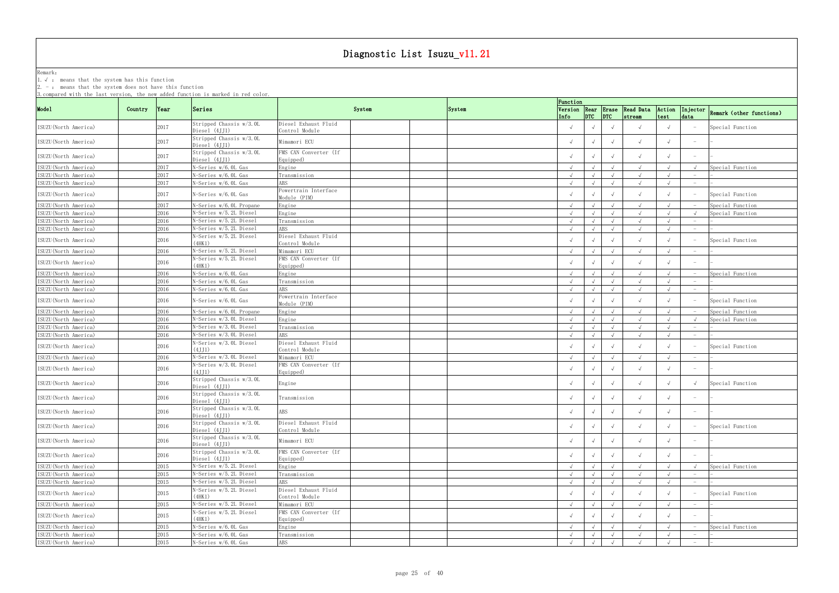Remark: The contract of the contract of  $\mathbb{R}$  and  $\mathbb{R}$  are contract of  $\mathbb{R}$  and  $\mathbb{R}$  are contract of  $\mathbb{R}$  and  $\mathbb{R}$  are contract of  $\mathbb{R}$  and  $\mathbb{R}$  are contract of  $\mathbb{R}$  and  $\mathbb{R}$  are cont 1.√ : means that the system has this function

2. - : means that the system does not have this function

|                                                |         |              |                                          |                                        |        |        | Function   |            |                                           |                                        |                |                                 |                          |
|------------------------------------------------|---------|--------------|------------------------------------------|----------------------------------------|--------|--------|------------|------------|-------------------------------------------|----------------------------------------|----------------|---------------------------------|--------------------------|
| Mode1                                          | Country | Year         | Series                                   |                                        | System | System | Info       |            | $ $ <sub>DTC</sub> $ $ <sub>DTC</sub> $ $ | Version Rear Erase Read Data<br>stream | Action<br>test | Injector<br>data                | Remark (other functions) |
| ISUZU (North America)                          |         | 2017         | Stripped Chassis w/3.0L<br>Diesel (4JJ1) | Diesel Exhaust Fluid<br>Control Module |        |        |            |            |                                           |                                        |                |                                 | Special Function         |
| ISUZU (North America)                          |         | 2017         | Stripped Chassis w/3.0L<br>Diesel (4JJ1) | Mimamori ECU                           |        |        |            |            |                                           |                                        |                |                                 |                          |
| ISUZU (North America)                          |         | 2017         | Stripped Chassis w/3.0L<br>Diesel (4JJ1) | FMS CAN Converter (If<br>Equipped)     |        |        |            |            |                                           | $\sqrt{ }$                             |                |                                 |                          |
| ISUZU (North America)                          |         | 2017         | N-Series w/6.0L Gas                      | Engine                                 |        |        | $\sqrt{ }$ |            |                                           | $\sqrt{ }$                             |                |                                 | Special Function         |
| ISUZU(North America)                           |         | 2017         | N-Series w/6.0L Gas                      | Transmission                           |        |        | $\sqrt{ }$ |            |                                           | $\sqrt{ }$                             |                |                                 |                          |
| ISUZU (North America)                          |         | 2017         | N-Series w/6.OL Gas                      | ABS                                    |        |        | $\sqrt{ }$ |            |                                           |                                        |                |                                 |                          |
| ISUZU (North America)                          |         | 2017         | N-Series w/6.0L Gas                      | Powertrain Interface<br>Module (PIM)   |        |        |            |            |                                           |                                        |                |                                 | Special Function         |
| ISUZU (North America)                          |         | 2017         | N-Series w/6.0L Propane                  | Engine                                 |        |        | $\sqrt{ }$ |            |                                           |                                        |                |                                 | Special Function         |
| ISUZU (North America)                          |         | 2016         | N-Series w/5.2L Diesel                   | Engine                                 |        |        | $\sqrt{ }$ |            |                                           |                                        |                |                                 | Special Function         |
| ISUZU (North America)                          |         | 2016         | N-Series w/5.2L Diesel                   | Transmission                           |        |        | $\sqrt{ }$ |            |                                           | $\sqrt{ }$                             |                |                                 |                          |
| ISUZU (North America)                          |         | 2016         | N-Series w/5.2L Diesel                   | ABS                                    |        |        | $\sqrt{ }$ |            |                                           |                                        |                |                                 |                          |
|                                                |         |              | N-Series w/5.2L Diesel                   | Diesel Exhaust Fluid                   |        |        |            |            |                                           |                                        |                |                                 |                          |
| ISUZU (North America)                          |         | 2016         | (4HK1)                                   | Control Module                         |        |        |            |            |                                           |                                        |                |                                 | Special Function         |
| ISUZU (North America)                          |         | 2016         | N-Series w/5.2L Diesel                   | Mimamori ECU                           |        |        | $\sqrt{ }$ |            |                                           | $\sqrt{ }$                             |                | $-$                             |                          |
| ISUZU (North America)                          |         | 2016         | N-Series w/5.2L Diesel<br>(4HK1)         | FMS CAN Converter (If<br>Equipped)     |        |        |            |            |                                           |                                        |                |                                 |                          |
| ISUZU (North America)                          |         | 2016         | N-Series w/6.0L Gas                      | Engine                                 |        |        | $\sqrt{ }$ |            |                                           | $\sqrt{ }$                             |                |                                 | Special Function         |
| ISUZU (North America)                          |         | 2016         | N-Series w/6.0L Gas                      | Transmission                           |        |        | $\sqrt{ }$ |            |                                           |                                        |                |                                 |                          |
| ISUZU (North America)                          |         | 2016         | N-Series w/6.OL Gas                      | ABS                                    |        |        | $\sqrt{ }$ |            |                                           |                                        |                | $\hspace{0.1mm}-\hspace{0.1mm}$ |                          |
| ISUZU (North America)                          |         | 2016         | N-Series w/6.0L Gas                      | Powertrain Interface<br>Module (PIM)   |        |        |            |            |                                           |                                        |                |                                 | Special Function         |
| ISUZU (North America)                          |         | 2016         | N-Series w/6.0L Propane                  | Engine                                 |        |        | $\sqrt{ }$ |            |                                           | $\sqrt{ }$                             |                |                                 | Special Function         |
| ISUZU (North America)                          |         | 2016         | N-Series w/3.0L Diesel                   | Engine                                 |        |        | $\sqrt{ }$ |            |                                           |                                        |                |                                 | Special Function         |
| ISUZU (North America)                          |         | 2016         | N-Series w/3.0L Diesel                   | Transmission                           |        |        | $\sqrt{ }$ |            | $\sqrt{ }$                                | $\sqrt{ }$                             |                | $\hspace{0.1mm}-\hspace{0.1mm}$ |                          |
| ISUZU (North America)                          |         | 2016         | N-Series w/3.0L Diesel                   | ABS                                    |        |        | $\sqrt{ }$ |            |                                           | $\sqrt{ }$                             |                |                                 |                          |
| ISUZU (North America)                          |         | 2016         | N-Series w/3.OL Diesel<br>(4JJ1)         | Diesel Exhaust Fluid<br>Control Module |        |        |            |            |                                           | $\sqrt{ }$                             |                |                                 | Special Function         |
| ISUZU (North America)                          |         | 2016         | N-Series w/3.0L Diesel                   | Mimamori ECU                           |        |        | $\sqrt{ }$ |            |                                           |                                        |                | $\overline{\phantom{0}}$        |                          |
| ISUZU (North America)                          |         | 2016         | N-Series w/3.OL Diesel<br>(4.LI1)        | FMS CAN Converter (If<br>Equipped)     |        |        |            |            |                                           |                                        |                |                                 |                          |
| ISUZU (North America)                          |         | 2016         | Stripped Chassis w/3.0L<br>Diesel (4JJ1) | Engine                                 |        |        |            |            |                                           |                                        |                |                                 | Special Function         |
| ISUZU (North America)                          |         | 2016         | Stripped Chassis w/3.0L<br>Diesel (4JJ1) | Transmission                           |        |        |            |            |                                           | $\sqrt{ }$                             |                |                                 |                          |
| ISUZU (North America)                          |         | 2016         | Stripped Chassis w/3.0L<br>Diesel (4JJ1) | ABS                                    |        |        | $\sqrt{ }$ | $\sqrt{ }$ | $\sqrt{ }$                                | $\sqrt{ }$                             | $\sqrt{ }$     | $-$                             |                          |
| ISUZU (North America)                          |         | 2016         | Stripped Chassis w/3.0L<br>Diesel (4JJ1) | Diesel Exhaust Fluid<br>Control Module |        |        |            |            |                                           | $\sqrt{ }$                             |                |                                 | Special Function         |
| ISUZU (North America)                          |         | 2016         | Stripped Chassis w/3.0L<br>Diesel (4JJ1) | Mimamori ECU                           |        |        | $\sqrt{ }$ |            |                                           | $\sqrt{ }$                             |                |                                 |                          |
| ISUZU (North America)                          |         | 2016         | Stripped Chassis w/3.0L<br>Diesel (4JJ1) | FMS CAN Converter (If<br>Equipped)     |        |        |            |            |                                           |                                        |                | $\overline{\phantom{0}}$        |                          |
| ISUZU (North America)                          |         | 2015         | N-Series w/5.2L Diesel                   | Engine                                 |        |        | $\sqrt{ }$ |            |                                           | $\sqrt{ }$                             |                |                                 | Special Function         |
| ISUZU(North America)                           |         | 2015         | N-Series w/5.2L Diesel                   | Transmission                           |        |        | $\sqrt{ }$ |            | $\sqrt{ }$                                | $\sqrt{ }$                             |                |                                 |                          |
| ISUZU (North America)                          |         | 2015         | N-Series w/5.2L Diesel                   | ABS                                    |        |        | $\sqrt{ }$ |            |                                           |                                        |                |                                 |                          |
| ISUZU (North America)                          |         | 2015         | N-Series w/5.2L Diesel<br>(4HK1)         | Diesel Exhaust Fluid<br>Control Module |        |        |            |            |                                           |                                        |                |                                 | Special Function         |
| ISUZU (North America)                          |         | 2015         | N-Series w/5.2L Diesel                   | Mimamori ECU                           |        |        | $\sqrt{ }$ |            |                                           |                                        |                |                                 |                          |
|                                                |         |              | N-Series w/5.2L Diesel                   | FMS CAN Converter (If                  |        |        |            |            |                                           |                                        |                |                                 |                          |
| ISUZU (North America)<br>ISUZU (North America) |         | 2015<br>2015 | (4HK1)<br>N-Series w/6.0L Gas            | Equipped)<br>Engine                    |        |        | $\sqrt{ }$ |            |                                           | $\sqrt{ }$                             |                |                                 | Special Function         |
|                                                |         |              |                                          |                                        |        |        |            |            |                                           |                                        |                |                                 |                          |
| ISUZU (North America)                          |         | 2015         | N-Series w/6.0L Gas                      | Transmission                           |        |        | $\sqrt{ }$ |            | $\sqrt{ }$                                | $\sqrt{ }$                             |                |                                 |                          |
| ISUZU (North America)                          |         | 2015         | N-Series w/6.0L Gas                      | ABS                                    |        |        | $\sqrt{ }$ |            |                                           |                                        |                | $-$                             |                          |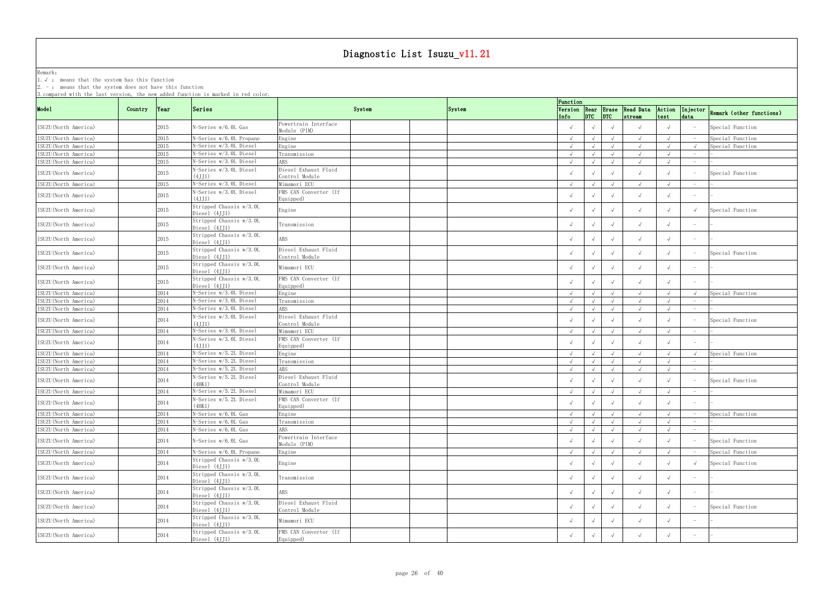Remark: The contract of the contract of  $\mathbb{R}$  and  $\mathbb{R}$  are contract of  $\mathbb{R}$  and  $\mathbb{R}$  are contract of  $\mathbb{R}$  and  $\mathbb{R}$  are contract of  $\mathbb{R}$  and  $\mathbb{R}$  are contract of  $\mathbb{R}$  and  $\mathbb{R}$  are cont

1.√ : means that the system has this function

2. - : means that the system does not have this function

|                       |         |               | <u>J. Compared with the fast version, the new added function is marked in rea coror.</u> |                                        |        | Function   |            |            |                                                                               |            |                                 |                          |
|-----------------------|---------|---------------|------------------------------------------------------------------------------------------|----------------------------------------|--------|------------|------------|------------|-------------------------------------------------------------------------------|------------|---------------------------------|--------------------------|
| Mode1                 | Country | $\gamma$ Year | Series                                                                                   | System                                 | System |            |            |            | Version Rear Erase Read Data Action Injector<br>Info DTC pTC stream test data |            |                                 | Remark (other functions) |
| ISUZU (North America) |         | 2015          | N-Series w/6.0L Gas                                                                      | Powertrain Interface<br>Module (PIM)   |        |            |            |            |                                                                               |            |                                 | Special Function         |
| ISUZU (North America) |         | 2015          | N-Series w/6.0L Propane                                                                  | Engine                                 |        | $\sqrt{ }$ |            |            | $\sqrt{ }$                                                                    |            |                                 | Special Function         |
| ISUZU (North America) |         | 2015          | N-Series w/3.0L Diesel                                                                   | Engine                                 |        | $\sqrt{ }$ |            |            | $\sqrt{ }$                                                                    |            |                                 | Special Function         |
| ISUZU (North America) |         | 2015          | N-Series w/3.0L Diesel                                                                   | Transmission                           |        | $\sqrt{ }$ |            | $\sqrt{ }$ | $\sqrt{ }$                                                                    |            |                                 |                          |
| ISUZU (North America) |         | 2015          | N-Series w/3.0L Diesel                                                                   | ABS                                    |        | $\sqrt{ }$ |            |            |                                                                               |            | $\hspace{0.1mm}-\hspace{0.1mm}$ |                          |
|                       |         |               | N-Series w/3.0L Diesel                                                                   | Diesel Exhaust Fluid                   |        |            |            |            |                                                                               |            |                                 |                          |
| ISUZU (North America) |         | 2015          | (4JJ1)                                                                                   | Control Module                         |        |            |            |            |                                                                               |            |                                 | Special Function         |
| ISUZU (North America) |         | 2015          | N-Series w/3.0L Diesel                                                                   | Mimamori ECU                           |        | $\sqrt{ }$ |            | $\sqrt{ }$ | $\sqrt{ }$                                                                    |            |                                 |                          |
| ISUZU (North America) |         | 2015          | N-Series w/3.OL Diesel<br>(4.1.11)                                                       | FMS CAN Converter (If<br>Equipped)     |        |            |            |            |                                                                               |            |                                 |                          |
| ISUZU (North America) |         | 2015          | Stripped Chassis w/3.0L<br>Diesel (4JJ1)                                                 | Engine                                 |        | $\sqrt{ }$ |            |            |                                                                               |            |                                 | Special Function         |
| ISUZU (North America) |         | 2015          | Stripped Chassis w/3.0L<br>Diesel $(4JJ1)$                                               | Transmission                           |        |            |            | $\sqrt{ }$ |                                                                               |            | $\hspace{0.1mm}-\hspace{0.1mm}$ |                          |
|                       |         |               | Stripped Chassis w/3.0L                                                                  |                                        |        |            |            |            |                                                                               |            |                                 |                          |
| ISUZU (North America) |         | 2015          | Diesel (4JJ1)                                                                            | ABS                                    |        |            |            | $\sqrt{ }$ |                                                                               |            | $\overline{\phantom{0}}$        |                          |
| ISUZU (North America) |         | 2015          | Stripped Chassis w/3.0L<br>Diesel (4JJ1)                                                 | Diesel Exhaust Fluid<br>Control Module |        |            |            | $\sqrt{ }$ |                                                                               |            |                                 | Special Function         |
| ISUZU (North America) |         | 2015          | Stripped Chassis w/3.0L<br>Diesel (4JJ1)                                                 | Mimamori ECU                           |        |            |            |            | $\sqrt{ }$                                                                    |            |                                 |                          |
| ISUZU (North America) |         | 2015          | Stripped Chassis w/3.0L<br>Diesel (4JJ1)                                                 | FMS CAN Converter (If<br>Equipped)     |        |            |            |            |                                                                               |            |                                 |                          |
| ISUZU (North America) |         | 2014          | N-Series w/3.0L Diesel                                                                   | Engine                                 |        | $\sqrt{ }$ |            | $\sqrt{ }$ |                                                                               |            | $\sqrt{ }$                      | Special Function         |
| ISUZU (North America) |         | 2014          | N-Series w/3.0L Diesel                                                                   | Transmission                           |        | $\sqrt{ }$ |            |            | $\sqrt{ }$                                                                    |            |                                 |                          |
| ISUZU (North America) |         | 2014          | N-Series w/3.0L Diesel                                                                   | <b>ABS</b>                             |        |            |            |            | $\sqrt{ }$                                                                    |            | $\hspace{0.1mm}-\hspace{0.1mm}$ |                          |
| ISUZU (North America) |         | 2014          | N-Series w/3.0L Diesel<br>(4.1.11)                                                       | Diesel Exhaust Fluid<br>Control Module |        |            |            |            |                                                                               |            |                                 | Special Function         |
| ISUZU (North America) |         | 2014          | N-Series w/3.0L Diesel                                                                   | Mimamori ECU                           |        | $\sqrt{ }$ |            |            |                                                                               |            |                                 |                          |
|                       |         |               | N-Series w/3.0L Diesel                                                                   | FMS CAN Converter (If                  |        |            |            |            |                                                                               |            |                                 |                          |
| ISUZU (North America) |         | 2014          | (4.1.11)                                                                                 | Equipped)                              |        |            |            |            |                                                                               |            |                                 |                          |
| ISUZU (North America) |         | 2014          | N-Series w/5.2L Diesel                                                                   | Engine                                 |        | $\sqrt{ }$ |            |            | $\sqrt{ }$                                                                    |            |                                 | Special Function         |
| ISUZU(North America)  |         | 2014          | N-Series w/5.2L Diesel                                                                   | Transmission                           |        | $\sqrt{ }$ |            |            |                                                                               |            |                                 |                          |
| ISUZU (North America) |         | 2014          | N-Series w/5.2L Diesel                                                                   | <b>ABS</b>                             |        |            |            |            |                                                                               |            |                                 |                          |
|                       |         |               | N-Series w/5.2L Diesel                                                                   | Diesel Exhaust Fluid                   |        |            |            |            |                                                                               |            |                                 |                          |
| ISUZU (North America) |         | 2014          | (4HK1)                                                                                   | Control Module                         |        |            |            | $\sqrt{ }$ |                                                                               |            |                                 | Special Function         |
| ISUZU (North America) |         | 2014          | N-Series w/5.2L Diesel                                                                   | Mimamori ECU                           |        |            |            |            |                                                                               |            |                                 |                          |
| ISUZU (North America) |         | 2014          | N-Series w/5.2L Diesel<br>(4HK1)                                                         | FMS CAN Converter (If<br>Equipped)     |        |            |            |            |                                                                               |            |                                 |                          |
| ISUZU (North America) |         | 2014          | N-Series w/6.0L Gas                                                                      | Engine                                 |        |            | $\sqrt{ }$ | $\sqrt{ }$ |                                                                               |            |                                 | Special Function         |
| ISUZU (North America) |         | 2014          | N-Series w/6.0L Gas                                                                      | Transmission                           |        | $\sqrt{ }$ | $\sqrt{ }$ | $\sqrt{ }$ | $\sqrt{ }$                                                                    |            | $\hspace{0.1mm}-\hspace{0.1mm}$ |                          |
| ISUZU (North America) |         | 2014          | N-Series w/6.0L Gas                                                                      | ABS                                    |        | $\sqrt{ }$ |            |            | $\sqrt{ }$                                                                    |            | $\hspace{0.1mm}-\hspace{0.1mm}$ |                          |
| ISUZU (North America) |         | 2014          | N-Series w/6.0L Gas                                                                      | Powertrain Interface<br>Module (PIM)   |        |            |            |            | $\sqrt{ }$                                                                    |            |                                 | Special Function         |
| ISUZU (North America) |         | 2014          | N-Series w/6.0L Propane                                                                  | Engine                                 |        | $\sqrt{ }$ |            | $\sqrt{ }$ | $\sqrt{ }$                                                                    | $\sqrt{ }$ |                                 | Special Function         |
| ISUZU (North America) |         | 2014          | Stripped Chassis w/3.0L<br>Diesel (4JJ1)                                                 | Engine                                 |        | $\sqrt{ }$ |            | $\sqrt{ }$ | $\sqrt{ }$                                                                    |            |                                 | Special Function         |
| ISUZU (North America) |         | 2014          | Stripped Chassis w/3.0L<br>Diesel (4JJ1)                                                 | Transmission                           |        |            |            | $\sqrt{ }$ | $\sqrt{ }$                                                                    |            | $\hspace{0.1mm}-\hspace{0.1mm}$ |                          |
| ISUZU (North America) |         | 2014          | Stripped Chassis w/3.0L<br>Diesel (4JJ1)                                                 | ABS                                    |        |            |            | $\sqrt{ }$ | $\sqrt{ }$                                                                    |            |                                 |                          |
| ISUZU (North America) |         | 2014          | Stripped Chassis w/3.0L<br>Diesel (4JJ1)                                                 | Diesel Exhaust Fluid<br>Control Module |        |            |            | $\sqrt{ }$ | $\sqrt{ }$                                                                    |            |                                 | Special Function         |
| ISUZU (North America) |         | 2014          | Stripped Chassis w/3.0L<br>Diesel (4JJ1)                                                 | Mimamori ECU                           |        |            |            |            | $\sqrt{ }$                                                                    |            |                                 |                          |
| ISUZU (North America) |         | 2014          | Stripped Chassis w/3.0L<br>Diesel (4JJ1)                                                 | FMS CAN Converter (If<br>Equipped)     |        | $\sqrt{ }$ |            |            |                                                                               |            |                                 |                          |
|                       |         |               |                                                                                          |                                        |        |            |            |            |                                                                               |            |                                 |                          |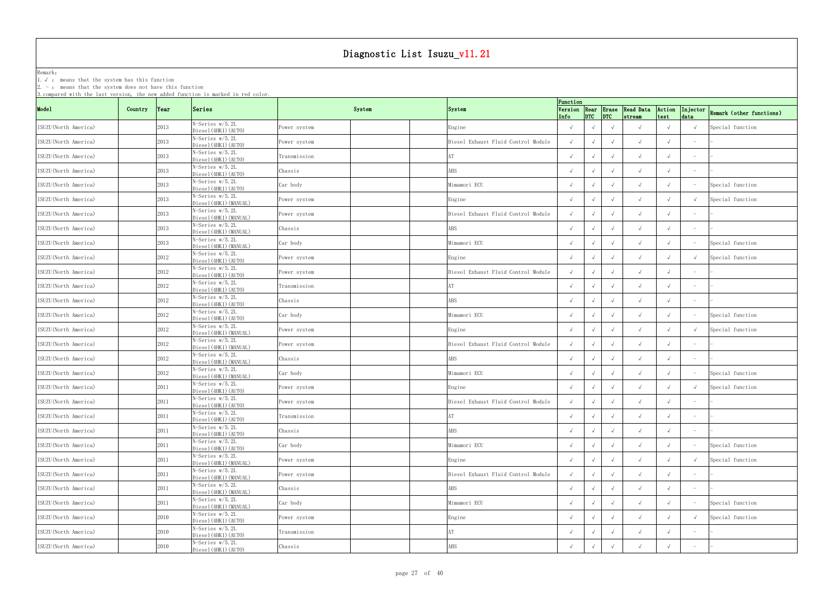Remark: The contract of the contract of  $\mathbb{R}$  and  $\mathbb{R}$  are contract of  $\mathbb{R}$  and  $\mathbb{R}$  are contract of  $\mathbb{R}$  and  $\mathbb{R}$  are contract of  $\mathbb{R}$  and  $\mathbb{R}$  are contract of  $\mathbb{R}$  and  $\mathbb{R}$  are cont

1.√ : means that the system has this function

|                       |         |               | 3. compared with the last version, the new added function is marked in red color. |               |                                     | Function   |            |                 |                                        |                |                                   |                          |
|-----------------------|---------|---------------|-----------------------------------------------------------------------------------|---------------|-------------------------------------|------------|------------|-----------------|----------------------------------------|----------------|-----------------------------------|--------------------------|
| Mode1                 | Country | $\gamma$ Year | Series                                                                            | System        | System                              | Info       |            | $ DTC $ $ DTC $ | Version Rear Erase Read Data<br>stream | Action<br>test | Injector<br>data                  | Remark (other functions) |
| ISUZU (North America) |         | 2013          | N-Series w/5.2L<br>Diesel (4HK1) (AUTO)                                           | ower system?  | Engine                              |            |            | $\sqrt{ }$      |                                        |                |                                   | Special function         |
| ISUZU (North America) |         | 2013          | N-Series w/5.2L<br>Diesel (4HK1) (AUTO)                                           | Power system  | Diesel Exhaust Fluid Control Module |            |            | $\sqrt{ }$      | $\sqrt{ }$                             |                |                                   |                          |
| ISUZU (North America) |         | 2013          | N-Series w/5.2L<br>Diesel (4HK1) (AUTO)                                           | Transmission  |                                     | $\sqrt{ }$ |            |                 | $\sqrt{ }$                             |                |                                   |                          |
| ISUZU (North America) |         | 2013          | N-Series w/5.2L<br>Diesel (4HK1) (AUTO)                                           | Chassis       | ABS                                 |            |            |                 | $\sqrt{ }$                             |                |                                   |                          |
| ISUZU (North America) |         | 2013          | N-Series w/5.2L<br>Diesel (4HK1) (AUTO)                                           | Car body      | Mimamori ECU                        |            |            |                 |                                        |                |                                   | Special function         |
| ISUZU (North America) |         | 2013          | N-Series w/5.2L<br>Diesel (4HK1) (MANUAL)                                         | ower system?  | Engine                              |            |            |                 |                                        |                |                                   | Special function         |
| ISUZU (North America) |         | 2013          | N-Series w/5.2L<br>Diesel (4HK1) (MANUAL)                                         | Power system? | Diesel Exhaust Fluid Control Module |            |            | $\sqrt{ }$      | $\sqrt{ }$                             |                |                                   |                          |
| ISUZU (North America) |         | 2013          | N-Series w/5.2L<br>Diesel (4HK1) (MANUAL)                                         | Chassis       | ABS                                 |            |            | $\sqrt{ }$      | $\sqrt{ }$                             |                |                                   |                          |
| ISUZU (North America) |         | 2013          | N-Series w/5.2L<br>Diesel (4HK1) (MANUAL)                                         | Car body      | Mimamori ECU                        |            |            |                 | $\sqrt{ }$                             |                |                                   | Special function         |
| ISUZU (North America) |         | 2012          | N-Series w/5.2L<br>Diesel (4HK1) (AUTO)                                           | Power system  | Engine                              |            |            |                 |                                        |                |                                   | Special function         |
| ISUZU (North America) |         | 2012          | N-Series w/5.2L<br>Diesel (4HK1) (AUTO)                                           | ower system?  | Diesel Exhaust Fluid Control Module |            |            |                 | $\sqrt{ }$                             |                |                                   |                          |
| ISUZU (North America) |         | 2012          | N-Series w/5.2L<br>Diesel (4HK1) (AUTO)                                           | Transmission  |                                     | $\sqrt{ }$ |            | $\sqrt{ }$      | $\sqrt{ }$                             |                | $\overline{\phantom{0}}$          |                          |
| ISUZU (North America) |         | 2012          | $N-Series w/5.2L$<br>Diesel (4HK1) (AUTO)                                         | Chassis       | ABS                                 |            |            |                 |                                        |                | $\overline{\phantom{0}}$          |                          |
| ISUZU (North America) |         | 2012          | N-Series w/5.2L<br>Diesel (4HK1) (AUTO)                                           | Car body      | Mimamori ECU                        |            |            | $\sqrt{ }$      | $\sqrt{ }$                             |                |                                   | Special function         |
| ISUZU (North America) |         | 2012          | N-Series w/5.2L<br>Diesel (4HK1) (MANUAL)                                         | Power system  | Engine                              |            |            |                 | $\sqrt{ }$                             |                |                                   | Special function         |
| ISUZU (North America) |         | 2012          | N-Series w/5.2L<br>Diesel (4HK1) (MANUAL)                                         | ower system?  | Diesel Exhaust Fluid Control Module |            |            |                 | $\sqrt{ }$                             |                |                                   |                          |
| ISUZU (North America) |         | 2012          | N-Series w/5.2L<br>Diesel (4HK1) (MANUAL)                                         | Chassis       | \BS                                 | $\sqrt{ }$ |            |                 |                                        |                |                                   |                          |
| ISUZU (North America) |         | 2012          | N-Series w/5.2L<br>Diesel (4HK1) (MANUAL)                                         | Car body      | Mimamori ECU                        |            |            |                 |                                        |                |                                   | Special function         |
| ISUZU (North America) |         | 2011          | N-Series w/5.2L<br>Diesel(4HK1)(AUTO)                                             | Power system? | Engine                              | $\sqrt{ }$ |            | $\sqrt{ }$      | $\sqrt{ }$                             |                |                                   | Special function         |
| ISUZU (North America) |         | 2011          | N-Series w/5.2L<br>Diesel (4HK1) (AUTO)                                           | Power system  | Diesel Exhaust Fluid Control Module | $\sqrt{ }$ | $\sqrt{ }$ | $\sqrt{ }$      |                                        |                |                                   |                          |
| ISUZU (North America) |         | 2011          | N-Series w/5.2L<br>Diesel (4HK1) (AUTO)                                           | Transmission  | AT                                  | $\sqrt{ }$ | $\sqrt{ }$ | $\sqrt{ }$      | $\sqrt{ }$                             |                | $\hspace{0.1mm}-\hspace{0.1mm}$   |                          |
| ISUZU (North America) |         | 2011          | N-Series w/5.2L<br>Diesel (4HK1) (AUTO)                                           | Chassis       | ABS                                 | $\sqrt{ }$ |            |                 | $\sqrt{ }$                             |                |                                   |                          |
| ISUZU (North America) |         | 2011          | N-Series w/5.2L<br>Diesel (4HK1) (AUTO)                                           | Car body      | Mimamori ECU                        |            |            |                 | $\sqrt{ }$                             |                |                                   | Special function         |
| ISUZU (North America) |         | 2011          | N-Series w/5.2L<br>Diesel (4HK1) (MANUAL)                                         | ower system?  | Engine                              | $\sqrt{ }$ |            | $\sqrt{ }$      | $\sqrt{ }$                             |                |                                   | Special function         |
| ISUZU (North America) |         | 2011          | N-Series w/5.2L<br>Diesel (4HK1) (MANUAL)                                         | Power system  | Diesel Exhaust Fluid Control Module |            |            | $\sqrt{ }$      | $\sqrt{ }$                             |                | $\hspace{1.0cm} - \hspace{1.0cm}$ |                          |
| ISUZU (North America) |         | 2011          | N-Series w/5.2L<br>Diesel (4HK1) (MANUAL)                                         | Chassis       | ABS                                 | $\sqrt{ }$ |            | $\sqrt{ }$      | $\sqrt{ }$                             |                |                                   |                          |
| ISUZU (North America) |         | 2011          | N-Series w/5.2L<br>Diesel (4HK1) (MANUAL)                                         | Car body      | Mimamori ECU                        |            |            | $\sqrt{ }$      | $\sqrt{ }$                             |                |                                   | Special function         |
| ISUZU (North America) |         | 2010          | N-Series w/5.2L<br>Diesel (4HK1) (AUTO)                                           | Power system  | Engine                              |            |            | $\sqrt{ }$      | $\sqrt{ }$                             |                |                                   | Special function         |
| ISUZU (North America) |         | 2010          | N-Series w/5.2L<br>Diesel (4HK1) (AUTO)                                           | Transmission  |                                     | $\sqrt{ }$ |            |                 | $\sqrt{ }$                             |                |                                   |                          |
| ISUZU (North America) |         | 2010          | N-Series w/5.2L<br>Diesel (4HK1) (AUTO)                                           | Chassis       | <b>\BS</b>                          |            |            |                 | $\sqrt{ }$                             |                |                                   |                          |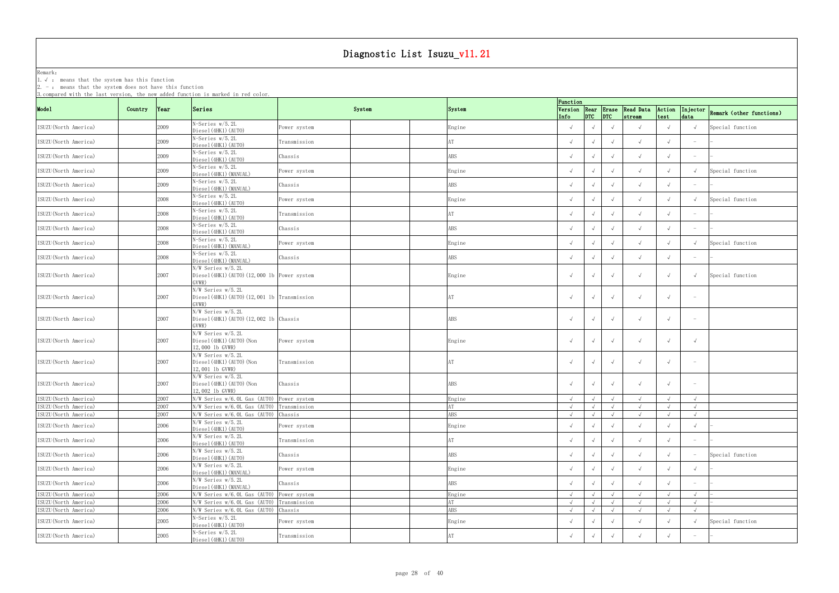Remark: The contract of the contract of  $\mathbb{R}$  and  $\mathbb{R}$  are contract of  $\mathbb{R}$  and  $\mathbb{R}$  are contract of  $\mathbb{R}$  and  $\mathbb{R}$  are contract of  $\mathbb{R}$  and  $\mathbb{R}$  are contract of  $\mathbb{R}$  and  $\mathbb{R}$  are cont

1.√ : means that the system has this function

2. - : means that the system does not have this function

|                       |                          | s,compared with the last version, the new added function is marked in red color. |              |        |                | Function        |                 |            |            |            |                                 |                          |
|-----------------------|--------------------------|----------------------------------------------------------------------------------|--------------|--------|----------------|-----------------|-----------------|------------|------------|------------|---------------------------------|--------------------------|
| Mode1                 | Country<br>$\gamma$ Year | Series                                                                           |              | System | System         | Version<br>Info | $ DTC $ $ DTC $ |            | stream     | test       | Injector<br>data                | Remark (other functions) |
| ISUZU (North America) | 2009                     | N-Series w/5.2L<br>Diesel (4HK1) (AUTO)                                          | Power system |        | Engine         |                 |                 |            | $\sqrt{ }$ |            |                                 | Special function         |
| ISUZU (North America) | 2009                     | N-Series w/5.2L<br>Diesel (4HK1) (AUTO)                                          | Transmission |        |                |                 |                 |            | $\sqrt{ }$ |            |                                 |                          |
| ISUZU (North America) | 2009                     | N-Series w/5.2L<br>Diesel (4HK1) (AUTO)                                          | Chassis      |        | ABS            |                 |                 |            | $\sqrt{ }$ |            |                                 |                          |
| ISUZU (North America) | 2009                     | N-Series w/5.2L<br>Diesel (4HK1) (MANUAL)                                        | Power system |        | Engine         | $\sqrt{ }$      |                 |            | $\sqrt{ }$ |            |                                 | Special function         |
| ISUZU (North America) | 2009                     | N-Series w/5.2L<br>Diesel (4HK1) (MANUAL)                                        | Chassis      |        | ABS            |                 |                 |            | $\sqrt{ }$ |            | $\hspace{0.1mm}-\hspace{0.1mm}$ |                          |
| ISUZU (North America) | 2008                     | N-Series w/5.2L<br>Diesel (4HK1) (AUTO)                                          | Power system |        | Engine         | $\sqrt{ }$      |                 |            | $\sqrt{ }$ |            |                                 | Special function         |
| ISUZU (North America) | 2008                     | N-Series w/5.2L<br>Diesel (4HK1) (AUTO)                                          | Transmission |        |                |                 |                 |            | $\sqrt{ }$ |            | $\overline{\phantom{m}}$        |                          |
| ISUZU (North America) | 2008                     | N-Series w/5.2L<br>Diesel (4HK1) (AUTO)                                          | Chassis      |        | ABS            |                 |                 |            | $\sqrt{ }$ |            |                                 |                          |
| ISUZU (North America) | 2008                     | N-Series w/5.2L<br>Diesel (4HK1) (MANUAL)                                        | Power system |        | Engine         |                 |                 |            | $\sqrt{ }$ |            |                                 | Special function         |
| ISUZU (North America) | 2008                     | N-Series w/5.2L<br>Diesel (4HK1) (MANUAL)                                        | Chassis      |        | ABS            |                 |                 |            | $\sqrt{ }$ |            | $\overline{\phantom{m}}$        |                          |
| ISUZU(North America)  | 2007                     | N/W Series w/5.2L<br>Diesel (4HK1) (AUTO) (12,000 1b Power system<br>GVWR)       |              |        | Engine         |                 |                 |            | $\sqrt{ }$ |            |                                 | Special function         |
| ISUZU (North America) | 2007                     | N/W Series w/5.2L<br>Diesel (4HK1) (AUTO) (12,001 1b Transmission<br>GVWR)       |              |        |                |                 |                 |            | $\sqrt{ }$ |            | $\hspace{0.1mm}-\hspace{0.1mm}$ |                          |
| ISUZU (North America) | 2007                     | N/W Series w/5.2L<br>Diesel(4HK1)(AUT0)(12,0021b Chassis)<br>GVWR)               |              |        | ABS            |                 |                 |            | $\sqrt{ }$ |            |                                 |                          |
| ISUZU (North America) | 2007                     | N/W Series w/5.2L<br>Diesel (4HK1) (AUTO) (Non<br>12,000 lb GVWR)                | Power system |        | Engine         |                 |                 |            | $\sqrt{ }$ |            |                                 |                          |
| ISUZU (North America) | 2007                     | N/W Series w/5.2L<br>Diesel (4HK1) (AUTO) (Non<br>12,001 lb GVWR)                | Transmission |        |                | $\sqrt{ }$      |                 |            | $\sqrt{ }$ |            |                                 |                          |
| ISUZU (North America) | 2007                     | N/W Series w/5.2L<br>Diesel (4HK1) (AUTO) (Non<br>12,002 1b GVWR)                | Chassis      |        | ABS            |                 |                 |            | $\sqrt{ }$ |            |                                 |                          |
| ISUZU (North America) | 2007                     | N/W Series w/6.0L Gas (AUTO)                                                     | Power system |        | Engine         | $\sqrt{ }$      | $\sqrt{ }$      |            | $\sqrt{ }$ |            |                                 |                          |
| ISUZU (North America) | 2007                     | N/W Series w/6.0L Gas (AUTO) Transmission                                        |              |        |                |                 | $\sqrt{ }$      |            |            |            |                                 |                          |
| ISUZU (North America) | 2007                     | N/W Series w/6.0L Gas (AUTO) Chassis                                             |              |        | ABS            | $\sqrt{ }$      | $\sqrt{ }$      | $\sqrt{ }$ | $\sqrt{ }$ | $\sqrt{ }$ | $\sqrt{ }$                      |                          |
| ISUZU (North America) | 2006                     | N/W Series w/5.2L<br>Diesel (4HK1) (AUTO)                                        | Power system |        | Engine         | $\sqrt{ }$      |                 |            | $\sqrt{ }$ |            |                                 |                          |
| ISUZU (North America) | 2006                     | N/W Series w/5.2L<br>Diesel (4HK1) (AUTO)                                        | Transmission |        | AT             |                 |                 |            | $\sqrt{ }$ |            | $\hspace{0.1mm}-\hspace{0.1mm}$ |                          |
| ISUZU(North America)  | 2006                     | N/W Series w/5.2L<br>Diesel (4HK1) (AUTO)                                        | Chassis      |        | ABS            |                 |                 | $\sqrt{ }$ | $\sqrt{ }$ |            |                                 | Special function         |
| ISUZU (North America) | 2006                     | N/W Series w/5.2L<br>Diesel (4HK1) (MANUAL)                                      | Power system |        | ${\tt Engine}$ |                 |                 |            | $\sqrt{ }$ |            |                                 |                          |
| ISUZU (North America) | 2006                     | N/W Series w/5.2L<br>Diesel (4HK1) (MANUAL)                                      | Chassis      |        | ABS            |                 |                 |            | $\sqrt{ }$ |            |                                 |                          |
| ISUZU (North America) | 2006                     | N/W Series w/6.0L Gas (AUTO)                                                     | Power system |        | Engine         | $\sqrt{ }$      | $\sqrt{ }$      | $\sqrt{ }$ | $\sqrt{ }$ |            | $\sqrt{ }$                      |                          |
| ISUZU (North America) | 2006                     | N/W Series w/6.0L Gas (AUTO)                                                     | Transmission |        |                | $\sqrt{ }$      | $\sqrt{ }$      | $\sqrt{ }$ | $\sqrt{ }$ |            | $\sqrt{ }$                      |                          |
| ISUZU (North America) | 2006                     | N/W Series w/6.0L Gas (AUTO)                                                     | Chassis      |        | ABS            | $\sqrt{ }$      | $\sqrt{ }$      | $\sqrt{ }$ | $\sqrt{ }$ |            | $\sqrt{ }$                      |                          |
| ISUZU (North America) | 2005                     | N-Series w/5.2L<br>Diesel (4HK1) (AUTO)                                          | Power system |        | Engine         | $\sqrt{ }$      |                 |            | $\sqrt{ }$ |            |                                 | Special function         |
| ISUZU (North America) | 2005                     | N-Series w/5.2L<br>Diesel (4HK1) (AUTO)                                          | Transmission |        |                |                 |                 |            | $\sqrt{ }$ |            | $\overline{\phantom{m}}$        |                          |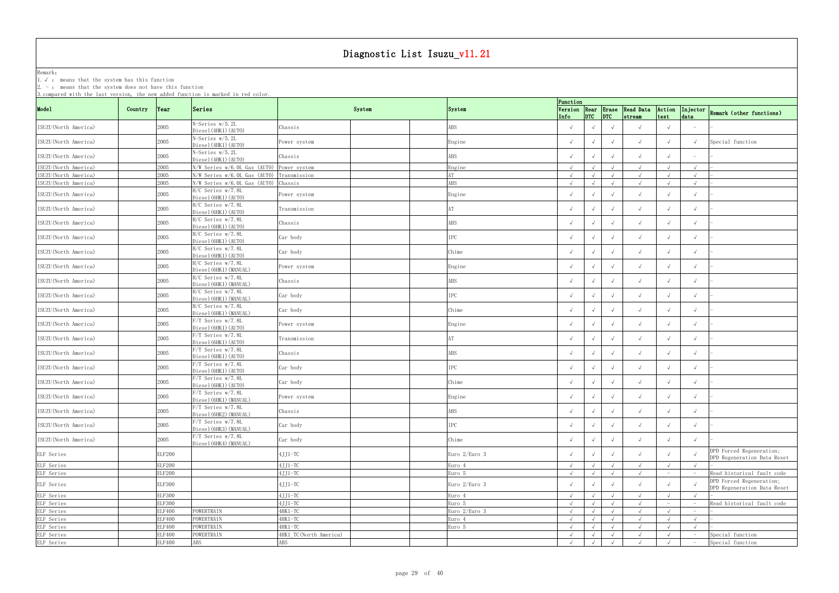Remark: The contract of the contract of  $\mathbb{R}$  and  $\mathbb{R}$  are contract of  $\mathbb{R}$  and  $\mathbb{R}$  are contract of  $\mathbb{R}$  and  $\mathbb{R}$  are contract of  $\mathbb{R}$  and  $\mathbb{R}$  are contract of  $\mathbb{R}$  and  $\mathbb{R}$  are cont

1.√ : means that the system has this function

| Function<br>Version Rear Erase Read Data Action<br>Mode1<br>Series<br>System<br>Country Year<br>System<br>$ $ <sub>DTC</sub> $ $ <sub>DTC</sub><br>strean<br>test<br>Info<br>N-Series w/5.2L<br>2005<br>ISUZU (North America)<br>ABS<br>Chassis<br>Diesel (4HK1) (AUTO)<br>N-Series w/5.2L<br>2005<br>ISUZU (North America)<br>Engine<br>$\sqrt{ }$<br>Power system<br>$\sqrt{ }$<br>$\sqrt{ }$<br>Diesel (4HK1) (AUTO)<br>N-Series w/5.2L<br>2005<br>ABS<br>ISUZU (North America)<br>Chassis<br>$\sqrt{ }$<br>Diesel (4HK1) (AUTO)<br>2005<br>N/W Series w/6.0L Gas (AUTO)<br>ISUZU (North America)<br>Power system<br>Engine<br>$\sqrt{ }$<br>$\sqrt{ }$<br>ISUZU (North America)<br>2005<br>N/W Series w/6.0L Gas (AUTO)<br>Transmission<br>AT<br>$\sqrt{ }$<br>$\sqrt{ }$<br>2005<br>ABS<br>ISUZU (North America)<br>N/W Series w/6.0L Gas (AUTO)<br>Chassis<br>$\sqrt{ }$<br>$\sqrt{ }$<br>H/C Series w/7.8L<br>2005<br>ISUZU (North America)<br>Engine<br>Power system<br>$\sqrt{ }$<br>Diesel (6HK1) (AUTO)<br>H/C Series w/7.8L<br>2005<br>Transmission<br>ISUZU (North America)<br>$\sqrt{ }$<br>Diesel (6HK1) (AUTO)<br>H/C Series w/7.8L<br>2005<br>ABS<br>ISUZU (North America)<br>Chassis<br>$\sqrt{ }$<br>$\sqrt{ }$<br>Diesel (6HK1) (AUTO)<br>H/C Series w/7.8L<br>2005<br>IPC<br>ISUZU (North America)<br>Car body<br>$\sqrt{ }$<br>$\sqrt{ }$<br>Diesel (6HK1) (AUTO)<br>H/C Series w/7.8L<br>2005<br>ISUZU (North America)<br>Car body<br>Chime<br>$\sqrt{ }$<br>$\sqrt{ }$<br>$\sqrt{ }$<br>Diesel (6HK1) (AUTO)<br>H/C Series w/7.8L<br>2005<br>ISUZU (North America)<br>Power system<br>Engine<br>$\sqrt{ }$<br>Diesel (6HK1) (MANUAL)<br>H/C Series w/7.8L<br>2005<br>ABS<br>ISUZU (North America)<br>Chassis<br>$\sqrt{ }$<br>Diesel (6HK1) (MANUAL)<br>H/C Series w/7.8L<br>ISUZU (North America)<br>2005<br>IPC<br>Car body<br>$\sqrt{ }$<br>$\sqrt{ }$<br>Diesel (6HK1) (MANUAL)<br>H/C Series w/7.8L<br>2005<br>ISUZU (North America)<br>Car body<br>Chime<br>Diesel (6HK1) (MANUAL)<br>F/T Series w/7.8L<br>2005<br>ISUZU (North America)<br>Power system<br>Engine<br>Diesel (6HK1) (AUTO) | Injector<br>Remark (other functions)<br>data            |
|--------------------------------------------------------------------------------------------------------------------------------------------------------------------------------------------------------------------------------------------------------------------------------------------------------------------------------------------------------------------------------------------------------------------------------------------------------------------------------------------------------------------------------------------------------------------------------------------------------------------------------------------------------------------------------------------------------------------------------------------------------------------------------------------------------------------------------------------------------------------------------------------------------------------------------------------------------------------------------------------------------------------------------------------------------------------------------------------------------------------------------------------------------------------------------------------------------------------------------------------------------------------------------------------------------------------------------------------------------------------------------------------------------------------------------------------------------------------------------------------------------------------------------------------------------------------------------------------------------------------------------------------------------------------------------------------------------------------------------------------------------------------------------------------------------------------------------------------------------------------------------------------------------------------------------------------------------------------------------------------------------------------------------------------------------------------------------------------------------------------------|---------------------------------------------------------|
|                                                                                                                                                                                                                                                                                                                                                                                                                                                                                                                                                                                                                                                                                                                                                                                                                                                                                                                                                                                                                                                                                                                                                                                                                                                                                                                                                                                                                                                                                                                                                                                                                                                                                                                                                                                                                                                                                                                                                                                                                                                                                                                          |                                                         |
|                                                                                                                                                                                                                                                                                                                                                                                                                                                                                                                                                                                                                                                                                                                                                                                                                                                                                                                                                                                                                                                                                                                                                                                                                                                                                                                                                                                                                                                                                                                                                                                                                                                                                                                                                                                                                                                                                                                                                                                                                                                                                                                          |                                                         |
|                                                                                                                                                                                                                                                                                                                                                                                                                                                                                                                                                                                                                                                                                                                                                                                                                                                                                                                                                                                                                                                                                                                                                                                                                                                                                                                                                                                                                                                                                                                                                                                                                                                                                                                                                                                                                                                                                                                                                                                                                                                                                                                          | Special function                                        |
|                                                                                                                                                                                                                                                                                                                                                                                                                                                                                                                                                                                                                                                                                                                                                                                                                                                                                                                                                                                                                                                                                                                                                                                                                                                                                                                                                                                                                                                                                                                                                                                                                                                                                                                                                                                                                                                                                                                                                                                                                                                                                                                          |                                                         |
|                                                                                                                                                                                                                                                                                                                                                                                                                                                                                                                                                                                                                                                                                                                                                                                                                                                                                                                                                                                                                                                                                                                                                                                                                                                                                                                                                                                                                                                                                                                                                                                                                                                                                                                                                                                                                                                                                                                                                                                                                                                                                                                          | $\sqrt{ }$                                              |
|                                                                                                                                                                                                                                                                                                                                                                                                                                                                                                                                                                                                                                                                                                                                                                                                                                                                                                                                                                                                                                                                                                                                                                                                                                                                                                                                                                                                                                                                                                                                                                                                                                                                                                                                                                                                                                                                                                                                                                                                                                                                                                                          | $\sqrt{ }$                                              |
|                                                                                                                                                                                                                                                                                                                                                                                                                                                                                                                                                                                                                                                                                                                                                                                                                                                                                                                                                                                                                                                                                                                                                                                                                                                                                                                                                                                                                                                                                                                                                                                                                                                                                                                                                                                                                                                                                                                                                                                                                                                                                                                          | $\sqrt{ }$                                              |
|                                                                                                                                                                                                                                                                                                                                                                                                                                                                                                                                                                                                                                                                                                                                                                                                                                                                                                                                                                                                                                                                                                                                                                                                                                                                                                                                                                                                                                                                                                                                                                                                                                                                                                                                                                                                                                                                                                                                                                                                                                                                                                                          |                                                         |
|                                                                                                                                                                                                                                                                                                                                                                                                                                                                                                                                                                                                                                                                                                                                                                                                                                                                                                                                                                                                                                                                                                                                                                                                                                                                                                                                                                                                                                                                                                                                                                                                                                                                                                                                                                                                                                                                                                                                                                                                                                                                                                                          |                                                         |
|                                                                                                                                                                                                                                                                                                                                                                                                                                                                                                                                                                                                                                                                                                                                                                                                                                                                                                                                                                                                                                                                                                                                                                                                                                                                                                                                                                                                                                                                                                                                                                                                                                                                                                                                                                                                                                                                                                                                                                                                                                                                                                                          |                                                         |
|                                                                                                                                                                                                                                                                                                                                                                                                                                                                                                                                                                                                                                                                                                                                                                                                                                                                                                                                                                                                                                                                                                                                                                                                                                                                                                                                                                                                                                                                                                                                                                                                                                                                                                                                                                                                                                                                                                                                                                                                                                                                                                                          |                                                         |
|                                                                                                                                                                                                                                                                                                                                                                                                                                                                                                                                                                                                                                                                                                                                                                                                                                                                                                                                                                                                                                                                                                                                                                                                                                                                                                                                                                                                                                                                                                                                                                                                                                                                                                                                                                                                                                                                                                                                                                                                                                                                                                                          |                                                         |
|                                                                                                                                                                                                                                                                                                                                                                                                                                                                                                                                                                                                                                                                                                                                                                                                                                                                                                                                                                                                                                                                                                                                                                                                                                                                                                                                                                                                                                                                                                                                                                                                                                                                                                                                                                                                                                                                                                                                                                                                                                                                                                                          |                                                         |
|                                                                                                                                                                                                                                                                                                                                                                                                                                                                                                                                                                                                                                                                                                                                                                                                                                                                                                                                                                                                                                                                                                                                                                                                                                                                                                                                                                                                                                                                                                                                                                                                                                                                                                                                                                                                                                                                                                                                                                                                                                                                                                                          |                                                         |
|                                                                                                                                                                                                                                                                                                                                                                                                                                                                                                                                                                                                                                                                                                                                                                                                                                                                                                                                                                                                                                                                                                                                                                                                                                                                                                                                                                                                                                                                                                                                                                                                                                                                                                                                                                                                                                                                                                                                                                                                                                                                                                                          |                                                         |
|                                                                                                                                                                                                                                                                                                                                                                                                                                                                                                                                                                                                                                                                                                                                                                                                                                                                                                                                                                                                                                                                                                                                                                                                                                                                                                                                                                                                                                                                                                                                                                                                                                                                                                                                                                                                                                                                                                                                                                                                                                                                                                                          |                                                         |
|                                                                                                                                                                                                                                                                                                                                                                                                                                                                                                                                                                                                                                                                                                                                                                                                                                                                                                                                                                                                                                                                                                                                                                                                                                                                                                                                                                                                                                                                                                                                                                                                                                                                                                                                                                                                                                                                                                                                                                                                                                                                                                                          |                                                         |
| F/T Series w/7.8L<br>2005<br>ISUZU (North America)<br>Transmission<br>$\sqrt{ }$<br>Diesel (6HK1) (AUTO)                                                                                                                                                                                                                                                                                                                                                                                                                                                                                                                                                                                                                                                                                                                                                                                                                                                                                                                                                                                                                                                                                                                                                                                                                                                                                                                                                                                                                                                                                                                                                                                                                                                                                                                                                                                                                                                                                                                                                                                                                 |                                                         |
| F/T Series w/7.8L<br>2005<br>ABS<br>ISUZU (North America)<br>Chassis<br>$\sqrt{ }$<br>Diesel (6HK1) (AUTO)                                                                                                                                                                                                                                                                                                                                                                                                                                                                                                                                                                                                                                                                                                                                                                                                                                                                                                                                                                                                                                                                                                                                                                                                                                                                                                                                                                                                                                                                                                                                                                                                                                                                                                                                                                                                                                                                                                                                                                                                               |                                                         |
| F/T Series w/7.8L<br>IPC<br>2005<br>ISUZU (North America)<br>Car body<br>Diesel (6HK1) (AUTO)                                                                                                                                                                                                                                                                                                                                                                                                                                                                                                                                                                                                                                                                                                                                                                                                                                                                                                                                                                                                                                                                                                                                                                                                                                                                                                                                                                                                                                                                                                                                                                                                                                                                                                                                                                                                                                                                                                                                                                                                                            |                                                         |
| F/T Series w/7.8L<br>2005<br>ISUZU (North America)<br>Car body<br>Chime<br>$\sqrt{ }$<br>Diesel (6HK1) (AUTO)                                                                                                                                                                                                                                                                                                                                                                                                                                                                                                                                                                                                                                                                                                                                                                                                                                                                                                                                                                                                                                                                                                                                                                                                                                                                                                                                                                                                                                                                                                                                                                                                                                                                                                                                                                                                                                                                                                                                                                                                            |                                                         |
| $F/T$ Series w/7.8L<br>ISUZU (North America)<br>2005<br>Engine<br>Power system<br>$\sqrt{ }$<br>$\sqrt{ }$<br>Diesel (6HK1) (MANUAL)                                                                                                                                                                                                                                                                                                                                                                                                                                                                                                                                                                                                                                                                                                                                                                                                                                                                                                                                                                                                                                                                                                                                                                                                                                                                                                                                                                                                                                                                                                                                                                                                                                                                                                                                                                                                                                                                                                                                                                                     |                                                         |
| $\overline{F/T}$ Series w/7.8L<br>ISUZU (North America)<br>ABS<br>2005<br>Chassis<br>$\sqrt{ }$<br>$\sqrt{ }$<br>$\sqrt{ }$<br>$\sqrt{ }$<br>$\sqrt{ }$<br>Diesel (6HK2) (MANUAL)                                                                                                                                                                                                                                                                                                                                                                                                                                                                                                                                                                                                                                                                                                                                                                                                                                                                                                                                                                                                                                                                                                                                                                                                                                                                                                                                                                                                                                                                                                                                                                                                                                                                                                                                                                                                                                                                                                                                        | $\sqrt{ }$                                              |
| F/T Series w/7.8L<br>2005<br>${\rm IPC}$<br>ISUZU (North America)<br>Car body<br>$\sqrt{ }$<br>$\sqrt{ }$<br>$\sqrt{ }$<br>Diesel (6HK3) (MANUAL)                                                                                                                                                                                                                                                                                                                                                                                                                                                                                                                                                                                                                                                                                                                                                                                                                                                                                                                                                                                                                                                                                                                                                                                                                                                                                                                                                                                                                                                                                                                                                                                                                                                                                                                                                                                                                                                                                                                                                                        |                                                         |
| $F/T$ Series w/7.8L<br>2005<br>ISUZU (North America)<br>Car body<br>Chime<br>Diesel (6HK4) (MANUAL)                                                                                                                                                                                                                                                                                                                                                                                                                                                                                                                                                                                                                                                                                                                                                                                                                                                                                                                                                                                                                                                                                                                                                                                                                                                                                                                                                                                                                                                                                                                                                                                                                                                                                                                                                                                                                                                                                                                                                                                                                      |                                                         |
| $4JJ1-TC$<br>Euro 2/Euro 3<br>ELF Series<br><b>ELF200</b><br>$\sqrt{ }$                                                                                                                                                                                                                                                                                                                                                                                                                                                                                                                                                                                                                                                                                                                                                                                                                                                                                                                                                                                                                                                                                                                                                                                                                                                                                                                                                                                                                                                                                                                                                                                                                                                                                                                                                                                                                                                                                                                                                                                                                                                  | DPD Forced Regeneration;<br>DPD Regeneration Data Reset |
| ELF Series<br><b>ELF200</b><br>$4JJ1-TC$<br>Euro 4<br>$\sqrt{ }$<br>$\sqrt{ }$                                                                                                                                                                                                                                                                                                                                                                                                                                                                                                                                                                                                                                                                                                                                                                                                                                                                                                                                                                                                                                                                                                                                                                                                                                                                                                                                                                                                                                                                                                                                                                                                                                                                                                                                                                                                                                                                                                                                                                                                                                           |                                                         |
| <b>ELF200</b><br>Euro 5<br>ELF Series<br>$4JJ1-TC$<br>$\sqrt{ }$<br>$\sqrt{ }$<br>$\sqrt{ }$                                                                                                                                                                                                                                                                                                                                                                                                                                                                                                                                                                                                                                                                                                                                                                                                                                                                                                                                                                                                                                                                                                                                                                                                                                                                                                                                                                                                                                                                                                                                                                                                                                                                                                                                                                                                                                                                                                                                                                                                                             | Read historical fault code                              |
| ELF Series<br><b>ELF300</b><br>$4JJ1-TC$<br>Euro 2/Euro 3<br>$\sqrt{ }$<br>$\sqrt{ }$                                                                                                                                                                                                                                                                                                                                                                                                                                                                                                                                                                                                                                                                                                                                                                                                                                                                                                                                                                                                                                                                                                                                                                                                                                                                                                                                                                                                                                                                                                                                                                                                                                                                                                                                                                                                                                                                                                                                                                                                                                    | DPD Forced Regeneration;<br>DPD Regeneration Data Reset |
| ELF Series<br><b>ELF300</b><br>$4JJ1-TC$<br>Euro 4<br>$\sqrt{ }$<br>$\sqrt{ }$<br>$\sqrt{ }$                                                                                                                                                                                                                                                                                                                                                                                                                                                                                                                                                                                                                                                                                                                                                                                                                                                                                                                                                                                                                                                                                                                                                                                                                                                                                                                                                                                                                                                                                                                                                                                                                                                                                                                                                                                                                                                                                                                                                                                                                             |                                                         |
| ELF Series<br><b>ELF300</b><br>Euro 5<br>$4JJ1-TC$<br>$\sqrt{ }$<br>$\sqrt{ }$<br>$\sqrt{ }$<br>$\hspace{0.1mm}-\hspace{0.1mm}$                                                                                                                                                                                                                                                                                                                                                                                                                                                                                                                                                                                                                                                                                                                                                                                                                                                                                                                                                                                                                                                                                                                                                                                                                                                                                                                                                                                                                                                                                                                                                                                                                                                                                                                                                                                                                                                                                                                                                                                          | Read historical fault code                              |
| ELF Series<br><b>ELF400</b><br>POWERTRAIN<br>$4HK1-TC$<br>Euro 2/Euro 3<br>$\sqrt{ }$<br>$\sqrt{ }$<br>$\sqrt{ }$                                                                                                                                                                                                                                                                                                                                                                                                                                                                                                                                                                                                                                                                                                                                                                                                                                                                                                                                                                                                                                                                                                                                                                                                                                                                                                                                                                                                                                                                                                                                                                                                                                                                                                                                                                                                                                                                                                                                                                                                        | $-$                                                     |
| ELF Series<br><b>ELF400</b><br>4HK1-TC<br>POWERTRAIN<br>Euro 4<br>$\sqrt{ }$<br>$\sqrt{ }$                                                                                                                                                                                                                                                                                                                                                                                                                                                                                                                                                                                                                                                                                                                                                                                                                                                                                                                                                                                                                                                                                                                                                                                                                                                                                                                                                                                                                                                                                                                                                                                                                                                                                                                                                                                                                                                                                                                                                                                                                               |                                                         |
| ELF Series<br>4HK1-TC<br><b>ELF400</b><br>POWERTRAIN<br>Euro 5<br>$\sqrt{ }$<br>$\sqrt{ }$                                                                                                                                                                                                                                                                                                                                                                                                                                                                                                                                                                                                                                                                                                                                                                                                                                                                                                                                                                                                                                                                                                                                                                                                                                                                                                                                                                                                                                                                                                                                                                                                                                                                                                                                                                                                                                                                                                                                                                                                                               | $\sqrt{ }$                                              |
| ELF Series<br><b>ELF400</b><br>POWERTRAIN<br>4HK1_TC(North America)<br>$\sqrt{ }$                                                                                                                                                                                                                                                                                                                                                                                                                                                                                                                                                                                                                                                                                                                                                                                                                                                                                                                                                                                                                                                                                                                                                                                                                                                                                                                                                                                                                                                                                                                                                                                                                                                                                                                                                                                                                                                                                                                                                                                                                                        |                                                         |
| ABS<br>ELF Series<br><b>ELF400</b><br>ABS<br>$\sqrt{ }$<br>$\sqrt{ }$                                                                                                                                                                                                                                                                                                                                                                                                                                                                                                                                                                                                                                                                                                                                                                                                                                                                                                                                                                                                                                                                                                                                                                                                                                                                                                                                                                                                                                                                                                                                                                                                                                                                                                                                                                                                                                                                                                                                                                                                                                                    | Special function<br>Special function                    |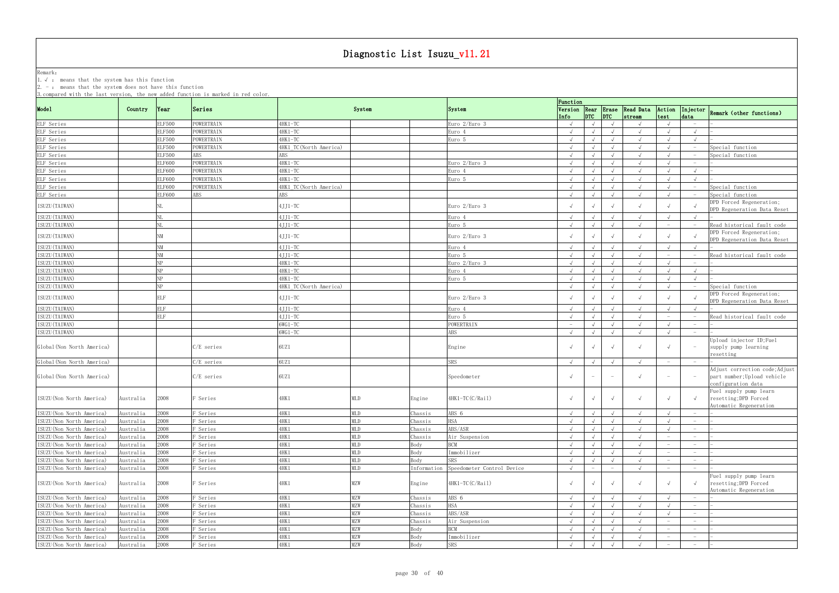Remark: The contract of the contract of  $\mathbb{R}$  and  $\mathbb{R}$  are contract of  $\mathbb{R}$  and  $\mathbb{R}$  are contract of  $\mathbb{R}$  and  $\mathbb{R}$  are contract of  $\mathbb{R}$  and  $\mathbb{R}$  are contract of  $\mathbb{R}$  and  $\mathbb{R}$  are cont 1.√ : means that the system has this function

| 3. compared with the last version, the new added function is marked in red color. |           |                |                     |                        |            |             |                            | Function                        |            |                                 |                                        |                                                                           |                                 |                                                                                     |
|-----------------------------------------------------------------------------------|-----------|----------------|---------------------|------------------------|------------|-------------|----------------------------|---------------------------------|------------|---------------------------------|----------------------------------------|---------------------------------------------------------------------------|---------------------------------|-------------------------------------------------------------------------------------|
| Mode1                                                                             | Country   | $\gamma$ Year  | Series              |                        | System     |             | System                     | Info                            | DTC        | DTC                             | Version Rear Erase Read Data<br>stream | Action<br>test                                                            | Injector<br>data                | Remark (other functions)                                                            |
| ELF Series                                                                        |           | <b>ELF500</b>  | POWERTRAIN          | 4HK1-TC                |            |             | Euro 2/Euro 3              | $\sqrt{ }$                      |            |                                 | $\sqrt{ }$                             |                                                                           |                                 |                                                                                     |
| ELF Series                                                                        |           | <b>ELF500</b>  | POWERTRAIN          | 4HK1-TC                |            |             | Euro 4                     | $\sqrt{ }$                      |            |                                 |                                        |                                                                           |                                 |                                                                                     |
| ELF Series                                                                        |           | <b>ELF500</b>  | POWERTRAIN          | 4HK1-TC                |            |             | Euro 5                     | $\sqrt{ }$                      |            |                                 |                                        |                                                                           |                                 |                                                                                     |
| ELF Series                                                                        |           | <b>ELF500</b>  | POWERTRAIN          | 4HK1 TC(North America) |            |             |                            | $\sqrt{ }$                      |            |                                 | $\sqrt{ }$                             |                                                                           |                                 | Special function                                                                    |
| ELF Series                                                                        |           | <b>ELF500</b>  | ABS                 | ABS                    |            |             |                            | $\sqrt{ }$                      |            |                                 | $\sqrt{ }$                             |                                                                           |                                 | Special function                                                                    |
| ELF Series                                                                        |           | <b>ELF600</b>  | POWERTRAIN          | 4HK1-TC                |            |             | Euro 2/Euro 3              | $\sqrt{ }$                      |            |                                 | $\sqrt{ }$                             |                                                                           |                                 |                                                                                     |
| ELF Series                                                                        |           | ELF600         | POWERTRAIN          | 4HK1-TC                |            |             | Euro 4                     | $\sqrt{ }$                      |            |                                 |                                        |                                                                           | $\sqrt{ }$                      |                                                                                     |
| ELF Series                                                                        |           | <b>ELF600</b>  | POWERTRAIN          | 4HK1-TC                |            |             | Euro 5                     | $\sqrt{ }$                      |            |                                 | $\sqrt{ }$                             |                                                                           | $\sqrt{ }$                      |                                                                                     |
| ELF Series                                                                        |           | ELF600         | POWERTRAIN          | 4HK1_TC(North America) |            |             |                            | $\sqrt{ }$                      |            |                                 | $\sqrt{ }$                             |                                                                           |                                 | Special function                                                                    |
| ELF Series                                                                        |           | <b>ELF600</b>  | ABS                 | ABS                    |            |             |                            | $\sqrt{ }$                      |            |                                 |                                        |                                                                           |                                 | Special function                                                                    |
| ISUZU (TAIWAN)                                                                    |           |                |                     | 4JJ1-TC                |            |             | Euro 2/Euro 3              | $\sqrt{ }$                      |            |                                 |                                        |                                                                           |                                 | DPD Forced Regeneration;<br>DPD Regeneration Data Reset                             |
| ISUZU (TAIWAN)                                                                    |           |                |                     | 4JJ1-TC                |            |             | Euro 4                     | $\sqrt{ }$                      |            |                                 | $\sqrt{ }$                             |                                                                           |                                 |                                                                                     |
| ISUZU (TAIWAN)                                                                    |           |                |                     | $4JJ1-TC$              |            |             | Euro 5                     | $\sqrt{ }$                      |            |                                 |                                        | $\hspace{1.0cm} \rule{1.5cm}{0.15cm} \hspace{1.0cm} \rule{1.5cm}{0.15cm}$ |                                 | Read historical fault code                                                          |
|                                                                                   |           |                |                     |                        |            |             |                            |                                 |            |                                 |                                        |                                                                           |                                 | DPD Forced Regeneration;                                                            |
| ISUZU (TAIWAN)                                                                    |           | NM             |                     | 4JJ1-TC                |            |             | Euro 2/Euro 3              | $\sqrt{ }$                      |            |                                 |                                        |                                                                           |                                 | DPD Regeneration Data Reset                                                         |
| ISUZU (TAIWAN)                                                                    |           | <b>NM</b>      |                     | $4JJ1-TC$              |            |             | Euro 4                     | $\sqrt{ }$                      |            |                                 | $\sqrt{ }$                             |                                                                           |                                 |                                                                                     |
| ISUZU (TAIWAN)                                                                    |           | <b>NM</b>      |                     | $4JJ1-TC$              |            |             | Euro 5                     | $\sqrt{ }$                      |            |                                 |                                        |                                                                           |                                 | Read historical fault code                                                          |
| ISUZU (TAIWAN)                                                                    |           | <b>NP</b>      |                     | 4HK1-TC                |            |             | Euro 2/Euro 3              | $\sqrt{ }$                      |            |                                 |                                        |                                                                           | $-$                             |                                                                                     |
| ISUZU (TAIWAN)                                                                    |           | N <sub>P</sub> |                     | 4HK1-TC                |            |             | Euro 4                     | $\sqrt{ }$                      |            |                                 |                                        |                                                                           |                                 |                                                                                     |
| ISUZU (TAIWAN)                                                                    |           | N <sub>P</sub> |                     | 4HK1-TC                |            |             | Euro 5                     | $\sqrt{ }$                      |            |                                 | $\sqrt{ }$                             |                                                                           |                                 |                                                                                     |
| ISUZU (TAIWAN)                                                                    |           | <b>ND</b>      |                     | 4HK1 TC(North America) |            |             |                            | $\sqrt{ }$                      |            |                                 | $\sqrt{ }$                             |                                                                           |                                 | Special function                                                                    |
|                                                                                   |           |                |                     |                        |            |             |                            |                                 |            |                                 |                                        |                                                                           |                                 | DPD Forced Regeneration;                                                            |
| ISUZU (TAIWAN)                                                                    |           | <b>ELF</b>     |                     | 4JJ1-TC                |            |             | Euro 2/Euro 3              |                                 |            |                                 |                                        |                                                                           |                                 | DPD Regeneration Data Reset                                                         |
| ISUZU (TAIWAN)                                                                    |           | <b>ELF</b>     |                     | $4JJ1-TC$              |            |             | Euro 4                     | $\sqrt{ }$                      |            |                                 | $\sqrt{ }$                             |                                                                           |                                 |                                                                                     |
| ISUZU (TAIWAN)                                                                    |           | <b>ELF</b>     |                     | 4JJ1-TC                |            |             | Euro 5                     | $\sqrt{ }$                      |            |                                 | $\sqrt{ }$                             |                                                                           |                                 | Read historical fault code                                                          |
| ISUZU (TAIWAN)                                                                    |           |                |                     | $6WG1-TC$              |            |             | POWERTRAIN                 | $\hspace{0.1mm}-\hspace{0.1mm}$ |            |                                 | $\sqrt{ }$                             |                                                                           |                                 |                                                                                     |
| ISUZU (TAIWAN)                                                                    |           |                |                     | $6WG1-TC$              |            |             | ABS                        |                                 |            |                                 |                                        |                                                                           |                                 |                                                                                     |
| Global (Non North America)                                                        |           |                | C/E series          | 6UZ1                   |            |             | Engine                     |                                 |            |                                 |                                        |                                                                           |                                 | Upload injector ID;Fuel<br>supply pump learning<br>resetting                        |
| Global (Non North America)                                                        |           |                | C/E series          | 6UZ1                   |            |             | SRS                        | $\sqrt{ }$                      |            |                                 |                                        |                                                                           |                                 |                                                                                     |
| Global (Non North America)                                                        |           |                | $C/E$ series        | 6UZ1                   |            |             | Speedometer                | $\sqrt{ }$                      | $-$        | $\hspace{0.1mm}-\hspace{0.1mm}$ | $\sqrt{ }$                             | $\overline{\phantom{m}}$                                                  |                                 | Adjust correction code; Adjust<br>part number; Upload vehicle<br>configuration data |
| ISUZU (Non North America)                                                         | Australia | 2008           | Series <sup>3</sup> | 4HK 1                  | MLD        | Engine      | 4HK1-TC(C/Rail)            | $\sqrt{ }$                      |            |                                 | $\sqrt{ }$                             |                                                                           |                                 | Fuel supply pump learn<br>resetting; DPD Forced<br>Automatic Regeneration           |
| ISUZU (Non North America)                                                         | Australia | 2008           | F Series            | 4HK 1                  | MLD        | Chassis     | ABS 6                      | $\sqrt{ }$                      | $\sqrt{ }$ | $\sqrt{ }$                      | $\sqrt{ }$                             |                                                                           | $-$                             |                                                                                     |
| ISUZU (Non North America)                                                         | Australia | 2008           | F Series            | 4HK 1                  | <b>MLD</b> | Chassis     | HSA                        | $\sqrt{ }$                      | $\sqrt{ }$ | $\sqrt{ }$                      | $\sqrt{ }$                             |                                                                           |                                 |                                                                                     |
| ISUZU (Non North America)                                                         | Australia | 2008           | F Series            | 4HK1                   | MLD        | Chassis     | ABS/ASR                    | $\sqrt{ }$                      |            | $\sqrt{ }$                      | $\sqrt{ }$                             |                                                                           | $\sim$                          |                                                                                     |
| ISUZU (Non North America)                                                         | Australia | 2008           | F Series            | 4HK 1                  | <b>MLD</b> | Chassis     | Air Suspension             | $\sqrt{ }$                      |            | $\sqrt{ }$                      | $\sqrt{ }$                             | $\overline{\phantom{0}}$                                                  | $\sim$                          |                                                                                     |
| ISUZU (Non North America)                                                         | Australia | 2008           | F Series            | 4HK1                   | <b>MLD</b> | Body        | <b>BCM</b>                 | $\sqrt{ }$                      |            | $\sqrt{ }$                      | $\sqrt{ }$                             | $\hspace{0.1mm}-\hspace{0.1mm}$                                           | $\overline{\phantom{0}}$        |                                                                                     |
| ISUZU (Non North America)                                                         | Australia | 2008           | F Series            | 4HK1                   | MLD        | Body        | Immobilizer                | $\sqrt{ }$                      |            | $\sqrt{ }$                      | $\sqrt{ }$                             | $\overline{\phantom{m}}$                                                  | $-$                             |                                                                                     |
| ISUZU (Non North America)                                                         | Australia | 2008           | F Series            | 4HK 1                  | MLD        | Body        | SRS                        | $\sqrt{ }$                      |            | $\sqrt{ }$                      | $\sqrt{ }$                             | $\hspace{0.1mm}-\hspace{0.1mm}$                                           | $-$                             |                                                                                     |
| ISUZU (Non North America)                                                         | Australia | 2008           | F Series            | 4HK1                   | <b>MLD</b> | Information | Speedometer Control Device | $\sqrt{ }$                      |            |                                 | $\sqrt{ }$                             | $\overline{\phantom{m}}$                                                  | $\hspace{0.1mm}-\hspace{0.1mm}$ |                                                                                     |
| ISUZU (Non North America)                                                         | Australia | 2008           | F Series            | 4HK 1                  | MZW        | Engine      | 4HK1-TC(C/Rail)            | $\sqrt{ }$                      |            |                                 | $\sqrt{ }$                             |                                                                           |                                 | Fuel supply pump learn<br>resetting; DPD Forced<br>Automatic Regeneration           |
| ISUZU (Non North America)                                                         | Australia | 2008           | F Series            | 4HK 1                  | MZW        | Chassis     | ABS 6                      | $\sqrt{ }$                      |            | $\sqrt{ }$                      | $\sqrt{ }$                             |                                                                           |                                 |                                                                                     |
| ISUZU (Non North America)                                                         | Australia | 2008           | F Series            | 4HK1                   | <b>MZW</b> | Chassis     | <b>HSA</b>                 | $\sqrt{ }$                      |            |                                 | $\sqrt{ }$                             |                                                                           | $-$                             |                                                                                     |
| ISUZU (Non North America)                                                         | Australia | 2008           | F Series            | 4HK1                   | <b>MZW</b> | Chassis     | ABS/ASR                    | $\sqrt{ }$                      | $\sqrt{ }$ | $\sqrt{ }$                      | $\sqrt{ }$                             |                                                                           | $ \,$                           |                                                                                     |
| ISUZU (Non North America)                                                         | Australia | 2008           | F Series            | 4HK1                   | <b>MZW</b> | Chassis     | Air Suspension             | $\sqrt{ }$                      |            | $\sqrt{ }$                      | $\sqrt{ }$                             | $\hspace{0.1mm}-\hspace{0.1mm}$                                           | $ \,$                           |                                                                                     |
| ISUZU (Non North America)                                                         | Australia | 2008           | F Series            | 4HK1                   | <b>MZW</b> | Body        | <b>BCM</b>                 | $\sqrt{ }$                      | $\sqrt{ }$ | $\sqrt{ }$                      | $\sqrt{ }$                             | $\hspace{1.0cm} - \hspace{1.0cm}$                                         | $\hspace{0.1mm}-\hspace{0.1mm}$ |                                                                                     |
| ISUZU (Non North America)                                                         | Australia | 2008           | F Series            | 4HK 1                  | <b>MZW</b> | Body        | Immobilizer                | $\sqrt{ }$                      |            | $\sqrt{ }$                      | $\sqrt{ }$                             | $\overline{\phantom{m}}$                                                  | $\overline{\phantom{0}}$        |                                                                                     |
| ISUZU (Non North America)                                                         | Australia | 2008           | F Series            | 4HK 1                  | <b>MZW</b> | Body        | SRS                        | $\sqrt{ }$                      | $\sqrt{ }$ | $\sqrt{ }$                      | $\sqrt{ }$                             | $\overline{\phantom{a}}$                                                  | $ \,$                           |                                                                                     |
|                                                                                   |           |                |                     |                        |            |             |                            |                                 |            |                                 |                                        |                                                                           |                                 |                                                                                     |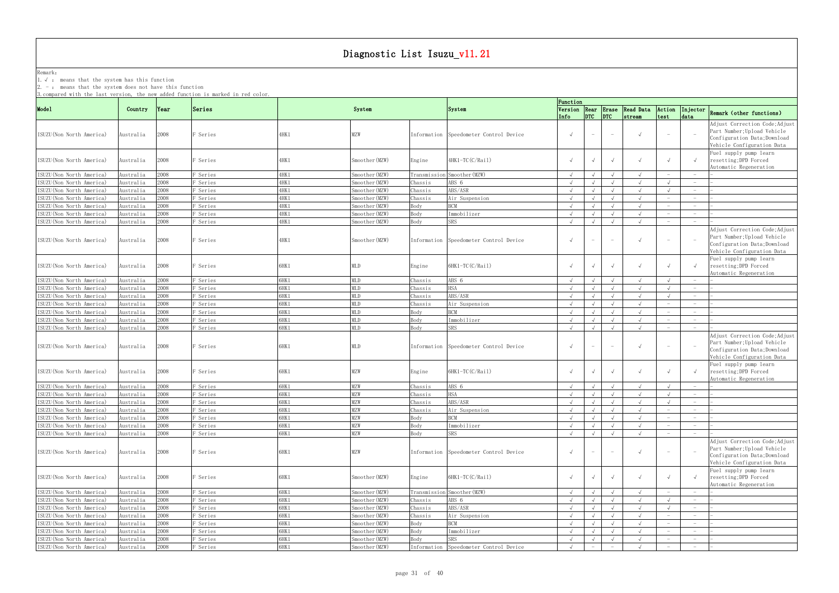Remark: The contract of the contract of  $\mathbb{R}$  and  $\mathbb{R}$  are contract of  $\mathbb{R}$  and  $\mathbb{R}$  are contract of  $\mathbb{R}$  and  $\mathbb{R}$  are contract of  $\mathbb{R}$  and  $\mathbb{R}$  are contract of  $\mathbb{R}$  and  $\mathbb{R}$  are cont 1.√ : means that the system has this function

2. - : means that the system does not have this function

| 3. compared with the last version, the new added function is marked in red color. |                        |               |                      |              |                   |         |                                                      | Function                 |                      |                                 |                                        |                                 |                                   |                                                                                                                                                       |
|-----------------------------------------------------------------------------------|------------------------|---------------|----------------------|--------------|-------------------|---------|------------------------------------------------------|--------------------------|----------------------|---------------------------------|----------------------------------------|---------------------------------|-----------------------------------|-------------------------------------------------------------------------------------------------------------------------------------------------------|
| Mode1                                                                             | Country                | $\gamma$ Year | Series               |              | System            |         | System                                               | Info                     | DTC                  | DTC                             | Version Rear Erase Read Data<br>stream | Action<br>test                  | Injector<br>data                  | Remark (other functions)                                                                                                                              |
| ISUZU (Non North America)                                                         | Australia              | 2008          | F Series             | 4HK1         | MZW               |         | Information Speedometer Control Device               | $\sqrt{ }$               | $\sim$               | $\overline{\phantom{0}}$        | $\sqrt{ }$                             |                                 |                                   | Adjust Correction Code; Adjust<br>Part Number; Upload Vehicle<br>Configuration Data; Download<br>Vehicle Configuration Data                           |
| ISUZU(Non North America)                                                          | Australia              | 2008          | F Series             | 4HK 1        | Smoother(MZW)     | Engine  | 4HK1-TC(C/Rail)                                      |                          |                      |                                 | $\sqrt{ }$                             |                                 |                                   | Fuel supply pump learn<br>resetting; DPD Forced<br>Automatic Regeneration                                                                             |
| ISUZU (Non North America)                                                         | Australia              | 2008          | F Series             | 4HK 1        | Smoother (MZW)    |         | Transmission Smoother (MZW)                          | $\sqrt{ }$               |                      |                                 | $\sqrt{ }$                             |                                 |                                   |                                                                                                                                                       |
| ISUZU(Non North America)                                                          | Australia              | 2008          | F Series             | 4HK1         | Smoother (MZW)    | Chassis | ABS 6                                                | $\sqrt{ }$               |                      |                                 | $\sqrt{ }$                             |                                 |                                   |                                                                                                                                                       |
| ISUZU (Non North America)                                                         | Australia              | 2008          | F Series             | 4HK1         | Smoother (MZW)    | Chassis | ABS/ASR                                              | $\sqrt{ }$               |                      | $\sqrt{ }$                      | $\sqrt{ }$                             |                                 |                                   |                                                                                                                                                       |
| ISUZU (Non North America)                                                         | Australia              | 2008          | F Series             | 4HK1         | Smoother (MZW)    | Chassis | Air Suspension                                       | $\sqrt{ }$               |                      |                                 | $\sqrt{ }$                             |                                 | $\sim$                            |                                                                                                                                                       |
| ISUZU (Non North America)                                                         | Australia              | 2008          | F Series             | 4HK 1        | Smoother (MZW)    | Body    | <b>RCM</b>                                           | $\sqrt{ }$               |                      | $\sqrt{ }$                      | $\sqrt{ }$                             |                                 | $\hspace{0.1mm}-\hspace{0.1mm}$   |                                                                                                                                                       |
| ISUZU (Non North America)                                                         | Australia              | 2008          | F Series             | 4HK1         | Smoother (MZW)    | Body    | Immobilizer                                          | $\sqrt{ }$               |                      |                                 |                                        |                                 |                                   |                                                                                                                                                       |
| ISUZU (Non North America)                                                         | Australia              | 2008          | F Series             | 4HK1         | Smoother (MZW)    | Body    | <b>SRS</b>                                           | $\sqrt{ }$               |                      | $\sqrt{ }$                      | $\sqrt{ }$                             |                                 |                                   |                                                                                                                                                       |
| ISUZU (Non North America)                                                         | Australia              | 2008          | F Series             | 4HK 1        | Smoother(MZW)     |         | Information Speedometer Control Device               | $\sqrt{ }$               | $ \,$                | $-$                             | $\sqrt{ }$                             | $\hspace{0.1mm}-\hspace{0.1mm}$ |                                   | Adjust Correction Code; Adjust<br>Part Number; Upload Vehicle<br>Configuration Data; Download<br>Vehicle Configuration Data<br>Fuel supply pump learn |
| ISUZU (Non North America)                                                         | Australia              | 2008          | Series <sup>.</sup>  | 6HK1         | MLD               | Engine  | 6HK1-TC(C/Rail)                                      |                          |                      |                                 | $\sqrt{ }$                             |                                 |                                   | resetting; DPD Forced<br>Automatic Regeneration                                                                                                       |
| ISUZU(Non North America)                                                          | Australia              | 2008          | F Series             | 6HK1         | <b>MLD</b>        | Chassis | ABS 6                                                | $\sqrt{ }$               |                      |                                 | $\sqrt{ }$                             |                                 |                                   |                                                                                                                                                       |
| ISUZU (Non North America)                                                         | Australia              | 2008          | F Series             | 6HK1         | <b>MLD</b>        | Chassis | HSA                                                  | $\sqrt{ }$               |                      |                                 | $\sqrt{ }$                             |                                 |                                   |                                                                                                                                                       |
| ISUZU (Non North America)                                                         | Australia              | 2008          | F Series             | 6HK1         | MLD               | Chassis | ABS/ASR                                              | $\sqrt{ }$               |                      | $\sqrt{ }$                      | $\sqrt{ }$                             |                                 |                                   |                                                                                                                                                       |
| ISUZU (Non North America)                                                         | Australia              | 2008          | F Series             | 6HK1         | <b>MLD</b>        | Chassis | Air Suspension                                       | $\sqrt{ }$               |                      | $\sqrt{ }$                      | $\sqrt{ }$                             |                                 | $\hspace{0.1mm}-\hspace{0.1mm}$   |                                                                                                                                                       |
| ISUZU (Non North America)                                                         | Australia              | 2008          | F Series             | 6HK1         | <b>MLD</b>        | Body    | <b>BCM</b>                                           | $\sqrt{ }$               |                      |                                 | $\sqrt{ }$                             |                                 | $\hspace{0.1mm}-\hspace{0.1mm}$   |                                                                                                                                                       |
| ISUZU (Non North America)                                                         | Australia              | 2008          | F Series             | 6HK1         | <b>MLD</b>        | Body    | Immobilizer                                          | $\sqrt{ }$               |                      | $\sqrt{ }$                      | $\sqrt{ }$                             |                                 | $\hspace{1.0cm} - \hspace{1.0cm}$ |                                                                                                                                                       |
| ISUZU (Non North America)<br>ISUZU(Non North America)                             | Australia<br>Australia | 2008<br>2008  | F Series<br>F Series | 6HK1<br>6HK1 | <b>MLD</b><br>MLD | Body    | <b>SRS</b><br>Information Speedometer Control Device | $\sqrt{ }$<br>$\sqrt{ }$ | $ \,$                | $\sqrt{ }$<br>$ \,$             | $\sqrt{ }$<br>$\sqrt{ }$               |                                 |                                   | Adjust Correction Code; Adjust<br>Part Number; Upload Vehicle<br>Configuration Data; Download<br>Vehicle Configuration Data                           |
| ISUZU (Non North America)                                                         | Australia              | 2008          | F Series             | 6HK1         | MZW               | Engine  | 6HK1-TC(C/Rail)                                      |                          |                      | $\sqrt{ }$                      | $\sqrt{ }$                             |                                 |                                   | Fuel supply pump learn<br>resetting; DPD Forced<br>Automatic Regeneration                                                                             |
| ISUZU (Non North America)                                                         | Australia              | 2008          | F Series             | 6HK1         | MZW               | Chassis | ABS 6                                                | $\sqrt{ }$               |                      |                                 | $\sqrt{ }$                             |                                 |                                   |                                                                                                                                                       |
| ISUZU (Non North America)                                                         | Australia              | 2008          | F Series             | 6HK1         | MZW               | Chassis | HSA                                                  | $\sqrt{ }$               |                      |                                 | $\sqrt{ }$                             |                                 |                                   |                                                                                                                                                       |
| ISUZU (Non North America)                                                         | Australia              | 2008          | F Series             | 6HK1         | MZW               | Chassis | ABS/ASR                                              | $\sqrt{ }$               |                      |                                 |                                        |                                 |                                   |                                                                                                                                                       |
| ISUZU (Non North America)                                                         | Australia              | 2008          | F Series             | 6HK1         | <b>MZW</b>        | Chassis | Air Suspension                                       | $\sqrt{ }$               | $\sim$ $\sim$ $\sim$ | $\sqrt{ }$                      | $\mathbf{\hat{v}}$                     |                                 |                                   |                                                                                                                                                       |
| ISUZU (Non North America)                                                         | Australia              | 2008          | F Series             | 6HK1         | MZW               | Body    | <b>BCM</b>                                           | $\sqrt{ }$               | $\sqrt{ }$           | $\sqrt{ }$                      |                                        |                                 | $\overline{\phantom{0}}$          |                                                                                                                                                       |
| ISUZU (Non North America)                                                         | Australia              | 2008          | F Series             | 6HK1         | MZW               | Body    | Immobilizer                                          | $\sqrt{ }$               | $\sqrt{ }$           | $\sqrt{ }$                      | $\sqrt{ }$<br>$\sqrt{ }$               |                                 | $-$                               |                                                                                                                                                       |
| ISUZU (Non North America)<br>ISUZU(Non North America)                             | Australia<br>Australia | 2008<br>2008  | F Series<br>F Series | 6HK1<br>6HK1 | <b>MZW</b><br>MZW | Body    | SRS<br>Information Speedometer Control Device        | $\sqrt{ }$<br>$\sqrt{ }$ | $ \,$                | $\sqrt{ }$<br>$ \,$             | $\sqrt{ }$                             |                                 |                                   | Adjust Correction Code; Adjust<br>Part Number; Upload Vehicle<br>Configuration Data; Download<br>Vehicle Configuration Data                           |
| ISUZU (Non North America)                                                         | Australia              | 2008          | F Series             | 6HK1         | Smoother (MZW)    | Engine  | 6HK1-TC(C/Rail)                                      |                          | $\sqrt{ }$           | $\sqrt{ }$                      | $\sqrt{ }$                             |                                 |                                   | Fuel supply pump learn<br>resetting; DPD Forced<br>Automatic Regeneration                                                                             |
| ISUZU (Non North America)                                                         | Australia              | 2008          | F Series             | 6HK1         | Smoother (MZW)    |         | Transmission Smoother (MZW)                          | $\sqrt{ }$               | $\sqrt{ }$           | $\sqrt{ }$                      |                                        |                                 |                                   |                                                                                                                                                       |
| ISUZU (Non North America)                                                         | Australia              | 2008          | F Series             | 6HK1         | Smoother (MZW)    | Chassis | ABS 6                                                | $\sqrt{ }$               |                      |                                 | $\sqrt{ }$                             |                                 | $\overline{\phantom{0}}$          |                                                                                                                                                       |
| ISUZU (Non North America)                                                         | Australia              | 2008          | F Series             | 6HK1         | Smoother (MZW)    | Chassis | ABS/ASR                                              | $\sqrt{ }$               |                      |                                 | $\sqrt{ }$                             |                                 |                                   |                                                                                                                                                       |
| ISUZU (Non North America)                                                         | Australia              | 2008          | F Series             | 6HK1         | Smoother (MZW)    | Chassis | Air Suspension                                       | $\sqrt{ }$               | $\sqrt{ }$           | $\sqrt{ }$                      | $\sqrt{ }$                             |                                 | $\hspace{0.1mm}-\hspace{0.1mm}$   |                                                                                                                                                       |
| ISUZU (Non North America)                                                         | Australia              | 2008          | F Series             | 6HK1         | Smoother (MZW)    | Body    | <b>BCM</b>                                           | $\sqrt{ }$               |                      | $\sqrt{ }$                      | $\sqrt{ }$                             |                                 | $\sim$                            |                                                                                                                                                       |
| ISUZU (Non North America)                                                         | Australia              | 2008          | F Series             | 6HK1         | Smoother (MZW)    | Body    | Immobilizer                                          | $\sqrt{ }$               | $\sqrt{ }$           | $\sqrt{ }$                      | $\sqrt{ }$                             |                                 | $\overline{\phantom{0}}$          |                                                                                                                                                       |
| ISUZU (Non North America)                                                         | Australia              | 2008          | F Series             | 6HK1         | Smoother (MZW)    | Body    | SRS                                                  | $\sqrt{ }$               |                      | $\sqrt{ }$                      | $\sqrt{ }$                             |                                 | $-$                               |                                                                                                                                                       |
| ISUZU (Non North America)                                                         | Australia              | 2008          | F Series             | 6HK1         | Smoother (MZW)    |         | Information Speedometer Control Device               | $\sqrt{ }$               |                      | $\hspace{0.1mm}-\hspace{0.1mm}$ | $\sqrt{ }$                             |                                 | $\hspace{1.0cm} - \hspace{1.0cm}$ |                                                                                                                                                       |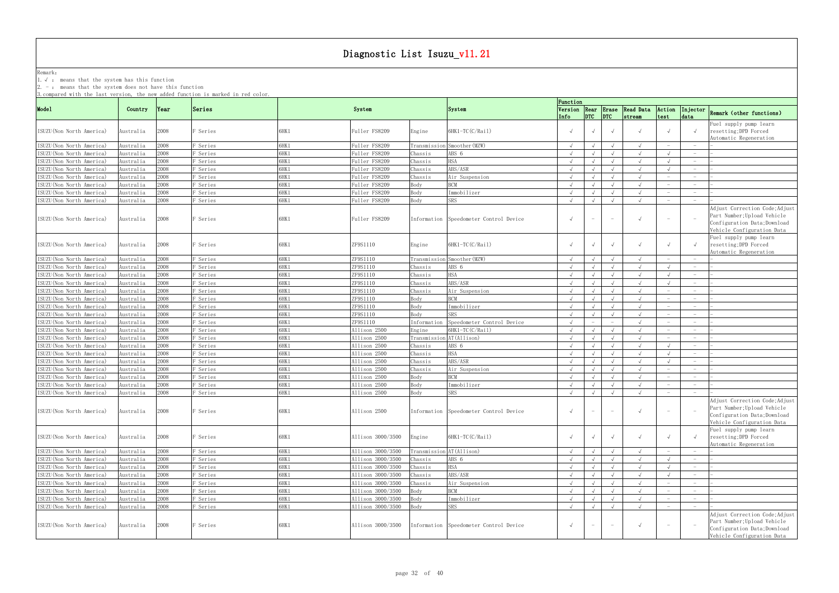Remark: The contract of the contract of  $\mathbb{R}$  and  $\mathbb{R}$  are contract of  $\mathbb{R}$  and  $\mathbb{R}$  are contract of  $\mathbb{R}$  and  $\mathbb{R}$  are contract of  $\mathbb{R}$  and  $\mathbb{R}$  are contract of  $\mathbb{R}$  and  $\mathbb{R}$  are cont

1.√ : means that the system has this function

2. - : means that the system does not have this function

|                                                      |                             |              |                     |              |                                |             |                                                | Function                 |            |                                 |                                               |                                   |                                 |                                                                                                                             |
|------------------------------------------------------|-----------------------------|--------------|---------------------|--------------|--------------------------------|-------------|------------------------------------------------|--------------------------|------------|---------------------------------|-----------------------------------------------|-----------------------------------|---------------------------------|-----------------------------------------------------------------------------------------------------------------------------|
| Mode1                                                | Country                     | Year         | Series              |              | System                         |             | System                                         | Info                     | DTC        | DTC                             | Version Rear Erase Read Data<br><i>stream</i> | Action<br>test                    | data                            | Injector Remark (other functions)                                                                                           |
| ISUZU(Non North America)                             | Australia                   | 2008         | Series <sup>.</sup> | SHK1         | Fuller FS8209                  | Engine      | $6HK1-TC(C/Rai1)$                              |                          |            | $\sqrt{ }$                      |                                               |                                   |                                 | Fuel supply pump learn<br>resetting; DPD Forced<br>Automatic Regeneration                                                   |
| ISUZU(Non North America)                             | \ustralia                   | 2008         | Series <sup></sup>  | SHK1         | Fuller FS8209                  |             | Transmission Smoother (MZW)                    | $\sqrt{ }$               | $\sqrt{ }$ | $\sqrt{ }$                      | $\sqrt{ }$                                    |                                   |                                 |                                                                                                                             |
| ISUZU(Non North America)                             | ustralia                    | :008         | Series              | SHK1         | Fuller FS8209                  | Chassis     | ABS 6                                          |                          |            |                                 |                                               |                                   |                                 |                                                                                                                             |
| ISUZU (Non North America)                            | Australia                   | 2008         | Series <sup></sup>  | SHK1         | Fuller FS8209                  | Chassis     | <b>HSA</b>                                     |                          |            |                                 |                                               |                                   |                                 |                                                                                                                             |
| ISUZU (Non North America)                            | Australia                   | 2008         | Series <sup></sup>  | 6HK1         | Fuller FS8209                  | Chassis     | ABS/ASR                                        | $\sqrt{ }$               | $\sqrt{ }$ | $\sqrt{ }$                      | $\sqrt{ }$                                    |                                   | $-$                             |                                                                                                                             |
| ISUZU (Non North America)                            | Australia                   | 2008         | <sup>3</sup> Series | SHK1         | Fuller FS8209                  | Chassis     | Air Suspension                                 | $\sqrt{ }$               | $\sqrt{ }$ | $\sqrt{ }$                      |                                               | $\hspace{0.1mm}-\hspace{0.1mm}$   | $\hspace{0.1mm}-\hspace{0.1mm}$ |                                                                                                                             |
| ISUZU (Non North America)                            |                             | 800          | <sup>3</sup> Series | SHK1         | Fuller FS8209                  | Body        | <b>BCM</b>                                     |                          |            | $\sqrt{ }$                      |                                               |                                   | $\overline{\phantom{m}}$        |                                                                                                                             |
|                                                      | \ustralia                   | 800          | Series              | SHK1         |                                | Body        | Immobilizer                                    | $\sqrt{ }$               | $\sqrt{ }$ |                                 | $\sqrt{ }$                                    |                                   | $-$                             |                                                                                                                             |
| ISUZU(Non North America)                             | Australia                   |              |                     |              | Fuller FS8209                  |             |                                                |                          |            | $\sqrt{ }$                      |                                               |                                   |                                 |                                                                                                                             |
| ISUZU(Non North America)<br>ISUZU(Non North America) | \ustralia<br>Australia      | :008<br>2008 | Series<br>F Series  | SHK1<br>SHK1 | Fuller FS8209<br>Fuller FS8209 | Body        | SRS<br>Information  Speedometer Control Device | $\sqrt{ }$<br>$\sqrt{ }$ | $ \,$      | $\sqrt{ }$<br>$\sim$            | $\sqrt{ }$                                    | $\hspace{0.1mm}-\hspace{0.1mm}$   | $\hspace{0.1mm}-\hspace{0.1mm}$ | Adjust Correction Code; Adjust<br>Part Number; Upload Vehicle<br>Configuration Data; Download<br>Vehicle Configuration Data |
| ISUZU(Non North America)                             | Australia                   | 2008         | F Series            | 5HK 1        | ZF9S1110                       | Engine      | $6HK1-TC(C/Rai1)$                              |                          |            | $\sqrt{ }$                      |                                               |                                   |                                 | Fuel supply pump learn<br>resetting; DPD Forced<br>Automatic Regeneration                                                   |
| ISUZU(Non North America)                             | \ustralia                   | 2008         | Series <sup></sup>  | 5HK1         | ZF9S1110                       |             | Transmission Smoother (MZW)                    | $\sqrt{ }$               | $\sqrt{ }$ | $\sqrt{ }$                      | $\sqrt{ }$                                    |                                   |                                 |                                                                                                                             |
| ISUZU (Non North America)                            | ustralia                    | 2008         | Series <sup></sup>  | 3HK1         | ZF9S1110                       | Chassis     | ABS 6                                          |                          | $\sqrt{ }$ | $\sqrt{ }$                      |                                               |                                   |                                 |                                                                                                                             |
| ISUZU(Non North America)                             | Australia                   | 2008         | Series <sup></sup>  | 6HK1         | ZF9S1110                       | Chassis     | <b>HSA</b>                                     | $\sqrt{ }$               | $\sqrt{ }$ | $\sqrt{ }$                      | $\sqrt{ }$                                    |                                   | $\hspace{0.1mm}-\hspace{0.1mm}$ |                                                                                                                             |
| ISUZU (Non North America)                            | Australia                   | 8009         | Series <sup></sup>  | SHK1         | ZF9S1110                       | Chassis     | ABS/ASR                                        |                          |            |                                 |                                               |                                   | $\overline{\phantom{0}}$        |                                                                                                                             |
| ISUZU (Non North America)                            | \ustralia                   | 2008         | Series <sup></sup>  | 5HK1         | ZF9S1110                       | Chassis     | Air Suspension                                 |                          | $\sqrt{ }$ | $\sqrt{ }$                      |                                               | $\overline{\phantom{0}}$          | $\hspace{0.1mm}-\hspace{0.1mm}$ |                                                                                                                             |
| ISUZU (Non North America)                            | Australia                   | :008         | <sup>3</sup> Series | SHK1         | ZF9S1110                       | Body        | BCM                                            | $\sqrt{ }$               |            | $\sqrt{ }$                      |                                               |                                   | $\overline{\phantom{m}}$        |                                                                                                                             |
| ISUZU(Non North America)                             | Australia                   | :008         | Series              | 5HK1         | ZF9S1110                       | Body        | Immobilizer                                    | $\sqrt{ }$               |            | $\sqrt{ }$                      | $\sqrt{ }$                                    |                                   | $\hspace{0.1mm}-\hspace{0.1mm}$ |                                                                                                                             |
| ISUZU(Non North America)                             | \ustralia                   | 800          | Series              | 5HK1         | ZF9S1110                       | Body        | SRS.                                           | $\sqrt{ }$               |            | $\sqrt{ }$                      | $\sqrt{ }$                                    |                                   |                                 |                                                                                                                             |
| ISUZU (Non North America)                            | Australia                   | :008         | <sup>3</sup> Series | SHK1         | ZF9S1110                       | Information | Speedometer Control Device                     |                          |            |                                 |                                               |                                   |                                 |                                                                                                                             |
| ISUZU(Non North America)                             | Australia                   | 2008         | Series <sup></sup>  | SHK1         | Allison 2500                   | Engine      | 6HK1-TC(C/Rail)                                | $\sqrt{ }$               |            |                                 |                                               |                                   | $\hspace{0.1mm}-\hspace{0.1mm}$ |                                                                                                                             |
| ISUZU(Non North America)                             | Australia                   | 800          | Series <sup></sup>  | SHK1         | Allison 2500                   |             | Transmission AT (Allison)                      |                          |            |                                 |                                               |                                   | $\hspace{0.1mm}-\hspace{0.1mm}$ |                                                                                                                             |
| ISUZU (Non North America)                            | \ustralia                   | 800'         | Series <sup></sup>  | SHK1         | Allison 2500                   | Chassis     | ABS 6                                          |                          |            |                                 |                                               |                                   | $\overline{\phantom{0}}$        |                                                                                                                             |
| ISUZU (Non North America)                            | Australia                   | 008          | <sup>3</sup> Series | SHK1         | Allison 2500                   | Chassis     | <b>HSA</b>                                     |                          |            | $\sqrt{ }$                      |                                               |                                   | $\overline{\phantom{0}}$        |                                                                                                                             |
| ISUZU(Non North America)                             | Australia                   | 2008         | Series              | SHK1         | Allison 2500                   | Chassis     | ABS/ASR                                        | $\sqrt{ }$               | $\sqrt{ }$ | $\sqrt{ }$                      | $\sqrt{ }$                                    |                                   | $\overline{\phantom{0}}$        |                                                                                                                             |
| ISUZU (Non North America)                            | Australia                   | :008         | <sup>3</sup> Series | 3HK1         | Allison 2500                   | Chassis     | Air Suspension                                 | $\sqrt{ }$               | $\sqrt{ }$ | $\sqrt{ }$                      | $\sqrt{ }$                                    |                                   | $\overline{\phantom{0}}$        |                                                                                                                             |
| ISUZU (Non North America)                            | \ustralia                   | 2008         | Series <sup></sup>  | SHK1         | Allison 2500                   | Body        | BCM                                            | $\sqrt{ }$               | $\sqrt{ }$ | $\sqrt{ }$                      | $\sqrt{ }$                                    |                                   |                                 |                                                                                                                             |
| ISUZU(Non North America)                             | Australia                   | 2008         | <sup>3</sup> Series | SHK1         | Allison 2500                   | Body        | Immobilizer                                    | $\sqrt{ }$               | $\sqrt{ }$ | $\sqrt{ }$                      | $\sqrt{ }$                                    |                                   | $-$                             |                                                                                                                             |
| ISUZU (Non North America)                            |                             | 2008         | <sup>3</sup> Series | 5HK1         | Allison 2500                   | Body        | SRS                                            | $\sqrt{ }$               | $\sqrt{ }$ | $\sqrt{ }$                      | $\sqrt{ }$                                    |                                   | $\overline{\phantom{0}}$        |                                                                                                                             |
| ISUZU (Non North America)                            | Australia<br>Australia 2008 |              | F Series            | 6HK1         | Allison 2500                   |             | Information Speedometer Control Device         | $\sqrt{ }$               |            |                                 |                                               |                                   |                                 | Adjust Correction Code; Adjust<br>Part Number; Upload Vehicle<br>Configuration Data; Download<br>Vehicle Configuration Data |
| ISUZU (Non North America)                            | Australia                   | 2008         | F Series            | 3HK1         | Allison 3000/3500              | Engine      | 6HK1-TC(C/Rail)                                | $\sqrt{ }$               | $\sqrt{ }$ | $\sqrt{ }$                      | $\sqrt{ }$                                    |                                   |                                 | Fuel supply pump learn<br>resetting; DPD Forced<br>Automatic Regeneration                                                   |
| ISUZU (Non North America)                            | Australia                   | 2008         | F Series            | SHK1         | Allison 3000/3500              |             | Transmission AT (Allison)                      | $\sqrt{ }$               | $\sqrt{ }$ | $\sqrt{ }$                      | $\sqrt{ }$                                    | $\hspace{1.0cm} - \hspace{1.0cm}$ |                                 |                                                                                                                             |
| ISUZU (Non North America)                            | Australia                   | 2008         | <sup>3</sup> Series | 5HK1         | Allison 3000/3500              | Chassis     | ABS 6                                          | $\sqrt{ }$               | $\sqrt{ }$ | $\sqrt{ }$                      | $\sqrt{ }$                                    | $\sqrt{ }$                        | $-$                             |                                                                                                                             |
| ISUZU (Non North America)                            | Australia                   | 2008         | <sup>3</sup> Series | SHK1         | Allison 3000/3500              | Chassis     | <b>HSA</b>                                     | $\sqrt{ }$               | $\sqrt{ }$ | $\sqrt{ }$                      | $\sqrt{ }$                                    |                                   | $-$                             |                                                                                                                             |
| ISUZU (Non North America)                            | Australia                   | 2008         | Series <sup></sup>  | SHK1         | Allison 3000/3500              | Chassis     | ABS/ASR                                        | $\sqrt{ }$               | $\sqrt{ }$ | $\sqrt{ }$                      | $\sqrt{ }$                                    |                                   |                                 |                                                                                                                             |
| ISUZU (Non North America)                            | Australia                   | 2008         | Series <sup></sup>  | 6HK1         | Allison 3000/3500              | Chassis     | Air Suspension                                 | $\sqrt{ }$               | $\sqrt{ }$ | $\sqrt{ }$                      | $\sqrt{ }$                                    |                                   |                                 |                                                                                                                             |
| ISUZU (Non North America)                            | Australia                   | 2008         | F Series            | SHK1         | Allison 3000/3500              | Body        | <b>BCM</b>                                     | $\sqrt{ }$               | $\sqrt{ }$ | $\sqrt{ }$                      | $\sqrt{ }$                                    |                                   |                                 |                                                                                                                             |
| ISUZU (Non North America)                            | Australia                   | 2008         | F Series            | 6HK1         | Allison 3000/3500              | Body        | Immobilizer                                    | $\sqrt{ }$               | $\sqrt{ }$ | $\sqrt{ }$                      | $\sqrt{ }$                                    |                                   | $-$                             |                                                                                                                             |
| ISUZU(Non North America)                             | Australia                   | 2008         | F Series            | SHK1         | Allison 3000/3500              | Body        | <b>SRS</b>                                     | $\sqrt{ }$               | $\sqrt{ }$ | $\sqrt{ }$                      | $\sqrt{ }$                                    | $\overline{\phantom{0}}$          | $-$                             |                                                                                                                             |
| ISUZU (Non North America)                            | Australia                   | 2008         | F Series            | 6HK1         | Allison 3000/3500              |             | Information Speedometer Control Device         |                          | $ \,$      | $\hspace{0.1mm}-\hspace{0.1mm}$ | $\sqrt{ }$                                    |                                   |                                 | Adjust Correction Code; Adjust<br>Part Number; Upload Vehicle<br>Configuration Data; Download<br>Vehicle Configuration Data |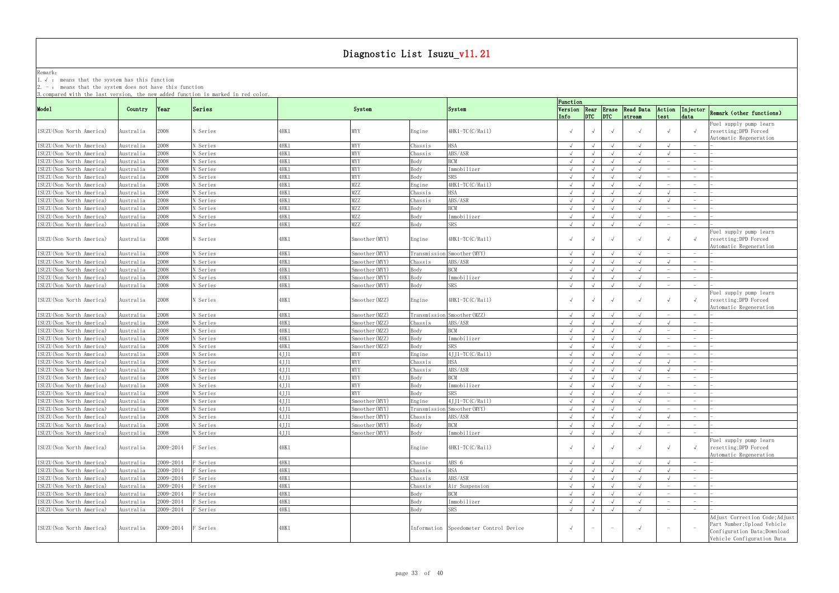Remark: The contract of the contract of  $\mathbb{R}$  and  $\mathbb{R}$  are contract of  $\mathbb{R}$  and  $\mathbb{R}$  are contract of  $\mathbb{R}$  and  $\mathbb{R}$  are contract of  $\mathbb{R}$  and  $\mathbb{R}$  are contract of  $\mathbb{R}$  and  $\mathbb{R}$  are cont

1.√ : means that the system has this function

2. - : means that the system does not have this function

|                           |           |               | o compared wrth the rast version, the new added runction is marked in red coror. |       |                |         |                                        | Function   |            |            |                                                     |                          |                                 |                                                                                                                             |
|---------------------------|-----------|---------------|----------------------------------------------------------------------------------|-------|----------------|---------|----------------------------------------|------------|------------|------------|-----------------------------------------------------|--------------------------|---------------------------------|-----------------------------------------------------------------------------------------------------------------------------|
| Mode1                     | Country   | $\gamma$ Year | Series                                                                           |       | System         |         | System                                 |            |            |            | Version Rear Erase Read Data<br>Info DTC DTC stream | Action<br>test           | data                            | Injector Remark (other functions)                                                                                           |
| ISUZU(Non North America)  | Australia | 2008          | N Series                                                                         | 4HK 1 | MYY            | Engine  | $4HK1-TC(C/Rai1)$                      |            |            | $\sqrt{ }$ |                                                     |                          |                                 | Fuel supply pump learn<br>resetting; DPD Forced<br>Automatic Regeneration                                                   |
| ISUZU (Non North America) | Australia | 2008          | N Series                                                                         | 4HK1  | MYY            | Chassis | HSA                                    |            |            |            |                                                     |                          |                                 |                                                                                                                             |
| ISUZU (Non North America) | Australia | 2008          | N Series                                                                         | 4HK 1 | MYY            | Chassis | ABS/ASR                                |            |            |            |                                                     |                          |                                 |                                                                                                                             |
| ISUZU (Non North America) | Australia | 800           | N Series                                                                         | 4HK1  | MYY            | Body    | <b>BCM</b>                             |            |            |            |                                                     |                          | $\hspace{0.1mm}-\hspace{0.1mm}$ |                                                                                                                             |
| ISUZU (Non North America) | Australia | 2008          | N Series                                                                         | 4HK1  | MYY            | Body    | Immobilizer                            | $\sqrt{ }$ |            | $\sqrt{ }$ | $\sqrt{ }$                                          |                          | $\overline{\phantom{0}}$        |                                                                                                                             |
| ISUZU (Non North America) | Australia | :008          | N Series                                                                         | 1HK 1 | MYY            | Body    | SRS                                    |            |            | $\sqrt{ }$ |                                                     |                          |                                 |                                                                                                                             |
| ISUZU (Non North America) | Australia | :008          | N Series                                                                         | 4HK 1 | MZZ            | Engine  | 4HK1-TC(C/Rail)                        | $\sqrt{ }$ |            | $\sqrt{ }$ | $\sqrt{ }$                                          |                          | $\hspace{0.1mm}-\hspace{0.1mm}$ |                                                                                                                             |
| ISUZU (Non North America) | Australia | :008          | N Series                                                                         | 1HK 1 | MZZ            | Chassis | ISA                                    | $\sqrt{ }$ |            | $\sqrt{ }$ | $\sqrt{ }$                                          |                          | $-$                             |                                                                                                                             |
| ISUZU (Non North America) | Australia | :008          | V Series                                                                         | 1HK 1 | MZZ            | Chassis | ABS/ASR                                | $\sqrt{ }$ |            |            | $\sqrt{ }$                                          |                          |                                 |                                                                                                                             |
| ISUZU (Non North America) | Australia | 800           | N Series                                                                         | 1HK 1 | MZZ            | Body    | <b>BCM</b>                             |            |            |            |                                                     |                          |                                 |                                                                                                                             |
|                           |           |               | N Series                                                                         |       | MZZ            |         |                                        |            |            |            |                                                     |                          | $-$                             |                                                                                                                             |
| ISUZU (Non North America) | Australia | 2008          |                                                                                  | 4HK 1 |                | Body    | Immobilizer                            |            |            |            |                                                     |                          | $\overline{\phantom{0}}$        |                                                                                                                             |
| ISUZU (Non North America) | Australia | 2008          | N Series                                                                         | 4HK 1 | MZZ            | Body    | <b>SRS</b>                             | $\sqrt{ }$ |            | $\sqrt{ }$ |                                                     | $\overline{\phantom{0}}$ |                                 |                                                                                                                             |
| ISUZU (Non North America) | Australia | 2008          | N Series                                                                         | 1HK 1 | Smoother(MYY)  | Engine  | 4HK1-TC(C/Rail)                        |            | $\sqrt{ }$ | $\sqrt{ }$ |                                                     |                          |                                 | Fuel supply pump learn<br>resetting; DPD Forced<br>Automatic Regeneration                                                   |
| ISUZU (Non North America) | Australia | 2008          | N Series                                                                         | 4HK 1 | Smoother (MYY) |         | Transmission Smoother (MYY)            | $\sqrt{ }$ | $\sqrt{ }$ | $\sqrt{ }$ |                                                     | $-$                      |                                 |                                                                                                                             |
| ISUZU (Non North America) | Australia | 800           | N Series                                                                         | 1HK 1 | Smoother (MYY) | Chassis | ABS/ASR                                |            |            |            |                                                     |                          |                                 |                                                                                                                             |
| ISUZU (Non North America) | Australia | 2008          | N Series                                                                         | 1HK 1 | Smoother (MYY) | Body    | <b>BCM</b>                             | $\sqrt{ }$ |            |            |                                                     |                          | $-$                             |                                                                                                                             |
| ISUZU (Non North America) | Australia | :008          | N Series                                                                         | 1HK 1 | Smoother (MYY) | Body    | Immobilizer                            | $\sqrt{ }$ |            |            |                                                     |                          | $-$                             |                                                                                                                             |
| ISUZU (Non North America) | Australia | 2008          | N Series                                                                         | 1HK 1 | Smoother (MYY) | Body    | SRS                                    |            |            |            |                                                     |                          |                                 |                                                                                                                             |
| ISUZU (Non North America) | Australia | 2008 -        | N Series                                                                         | 1HK 1 | Smoother(MZZ)  | Engine  | 4HK1-TC(C/Rail)                        |            |            | $\sqrt{ }$ |                                                     |                          |                                 | Fuel supply pump learn<br>resetting; DPD Forced<br>Automatic Regeneration                                                   |
| ISUZU (Non North America) | Australia | :008          | <b>Series</b>                                                                    | 1HK 1 | Smoother (MZZ) |         | Transmission Smoother (MZZ)            | $\sqrt{ }$ |            |            |                                                     |                          |                                 |                                                                                                                             |
| ISUZU (Non North America) | Australia | 2008          | N Series                                                                         | 4HK1  | Smoother (MZZ) | Chassis | ABS/ASR                                |            |            |            |                                                     |                          |                                 |                                                                                                                             |
| ISUZU (Non North America) | Australia | 2008          | N Series                                                                         | 4HK1  | Smoother (MZZ) | Body    | <b>BCM</b>                             | $\sqrt{ }$ |            |            |                                                     |                          | $-$                             |                                                                                                                             |
| ISUZU (Non North America) | Australia | 800           | N Series                                                                         | 1HK 1 | Smoother (MZZ) | Body    | Immobilizer                            | $\sqrt{ }$ |            | $\sqrt{ }$ | $\sqrt{ }$                                          | $\overline{\phantom{0}}$ | $\hspace{0.1mm}-\hspace{0.1mm}$ |                                                                                                                             |
| ISUZU (Non North America) | Australia | 800           | N Series                                                                         | 1HK 1 | Smoother (MZZ) | Body    | <b>SRS</b>                             |            |            | $\sqrt{ }$ |                                                     |                          | $\hspace{0.1mm}-\hspace{0.1mm}$ |                                                                                                                             |
| ISUZU (Non North America) | Australia | 800           | N Series                                                                         | 4JJ1  | MYY            | Engine  | 4JJ1-TC(C/Rail)                        | $\sqrt{ }$ |            | $\sqrt{ }$ | $\sqrt{ }$                                          |                          | $-$                             |                                                                                                                             |
| ISUZU(Non North America)  | Australia | :008          | N Series                                                                         | 4JJ1  | MYY            | Chassis | HSA .                                  | $\sqrt{ }$ |            |            | $\sqrt{ }$                                          |                          | $\overline{\phantom{0}}$        |                                                                                                                             |
| ISUZU (Non North America) | Australia | 2008          | N Series                                                                         | 4JJ1  | MYY            |         | ABS/ASR                                | $\sqrt{ }$ |            | $\sqrt{ }$ | $\sqrt{ }$                                          |                          |                                 |                                                                                                                             |
|                           |           |               |                                                                                  | 4JJ1  |                | Chassis | <b>BCM</b>                             |            |            |            |                                                     |                          |                                 |                                                                                                                             |
| ISUZU (Non North America) | Australia | 800           | N Series                                                                         |       | MYY            | Body    |                                        |            |            |            |                                                     |                          |                                 |                                                                                                                             |
| ISUZU (Non North America) | Australia | :008          | N Series                                                                         | 4JJ1  | MYY            | Body    | Immobilizer                            | $\sqrt{ }$ |            |            |                                                     |                          | $-$                             |                                                                                                                             |
| ISUZU (Non North America) | Australia | 800:          | N Series                                                                         | 4JJ1  | MYY            | Body    | <b>SRS</b>                             |            |            |            |                                                     |                          | $\hspace{0.1mm}-\hspace{0.1mm}$ |                                                                                                                             |
| ISUZU (Non North America) | Australia | 800           | N Series                                                                         | 4JJ1  | Smoother (MYY) | Engine  | $4$ JJ1-TC(C/Rail)                     |            |            |            |                                                     |                          |                                 |                                                                                                                             |
| ISUZU (Non North America) | Australia | 2008          | N Series                                                                         | 4JJ1  | Smoother (MYY) |         | Transmission Smoother (MYY)            | $\sqrt{ }$ | $\sqrt{ }$ | $\sqrt{ }$ |                                                     | $-$                      | $-$                             |                                                                                                                             |
| ISUZU (Non North America) | Australia | 2008          | N Series                                                                         | 4JJ1  | Smoother (MYY) | Chassis | ABS/ASR                                | $\sqrt{ }$ |            | $\sqrt{ }$ | $\sqrt{ }$                                          |                          | $\overline{\phantom{0}}$        |                                                                                                                             |
| ISUZU (Non North America) | Australia | 2008          | N Series                                                                         | 4JJ1  | Smoother (MYY) | Body    | <b>BCM</b>                             | $\sqrt{ }$ | $\sqrt{ }$ | $\sqrt{ }$ | $\sqrt{ }$                                          |                          |                                 |                                                                                                                             |
| ISUZU (Non North America) | Australia | 2008          | N Series                                                                         | 4JJ1  | Smoother (MYY) | Body    | Immobilizer                            | $\sqrt{ }$ |            | $\sqrt{ }$ | $\sqrt{ }$                                          |                          |                                 |                                                                                                                             |
| ISUZU (Non North America) | Australia | 2009-2014     | <sup>3</sup> Series                                                              | 1HK 1 |                | Engine  | 4HK1-TC(C/Rail)                        |            | $\sqrt{ }$ | $\sqrt{ }$ | $\sqrt{ }$                                          |                          |                                 | Fuel supply pump learn<br>resetting; DPD Forced<br>Automatic Regeneration                                                   |
| ISUZU (Non North America) | Australia | 2009-2014     | Series <sup></sup>                                                               | 1HK 1 |                | Chassis | ABS 6                                  | $\sqrt{ }$ | $\sqrt{ }$ | $\sqrt{ }$ | $\sqrt{ }$                                          |                          |                                 |                                                                                                                             |
| ISUZU (Non North America) | Australia | 2009-2014     | Series <sup></sup>                                                               | 4HK1  |                | Chassis | <b>HSA</b>                             | $\sqrt{ }$ | $\sqrt{ }$ | $\sqrt{ }$ | $\sqrt{ }$                                          |                          | $\hspace{0.1mm}-\hspace{0.1mm}$ |                                                                                                                             |
| ISUZU (Non North America) | Australia | 2009-2014     | Series <sup></sup>                                                               | 4HK 1 |                | Chassis | ABS/ASR                                | $\sqrt{ }$ | $\sqrt{ }$ | $\sqrt{ }$ | $\sqrt{ }$                                          |                          | $-$                             |                                                                                                                             |
| ISUZU (Non North America) | Australia | 2009-2014     | Series <sup></sup>                                                               | 4HK1  |                | Chassis | Air Suspension                         | $\sqrt{ }$ |            | $\sqrt{ }$ |                                                     |                          | $\hspace{0.1mm}-\hspace{0.1mm}$ |                                                                                                                             |
| ISUZU (Non North America) | Australia | 2009-2014     | Series <sup></sup>                                                               | 1HK 1 |                | Body    | <b>BCM</b>                             |            |            | $\sqrt{ }$ |                                                     |                          | $\overline{\phantom{m}}$        |                                                                                                                             |
| ISUZU (Non North America) | Australia | 2009-2014     | Series <sup></sup>                                                               | 4HK 1 |                | Body    | Immobilizer                            | $\sqrt{ }$ |            | $\sqrt{ }$ | $\sqrt{ }$                                          |                          | $-$                             |                                                                                                                             |
| ISUZU (Non North America) | Australia | 2009-2014     | Series <sup></sup>                                                               | 4HK 1 |                | Body    | SRS                                    | $\sqrt{ }$ |            | $\sqrt{ }$ | $\sqrt{ }$                                          |                          |                                 |                                                                                                                             |
| ISUZU (Non North America) | Australia | 2009-2014     | F Series                                                                         | 4HK 1 |                |         | Information Speedometer Control Device | $\sqrt{ }$ | $-$        | $\sim$     | $\sqrt{ }$                                          |                          |                                 | Adjust Correction Code; Adjust<br>Part Number; Upload Vehicle<br>Configuration Data; Download<br>Vehicle Configuration Data |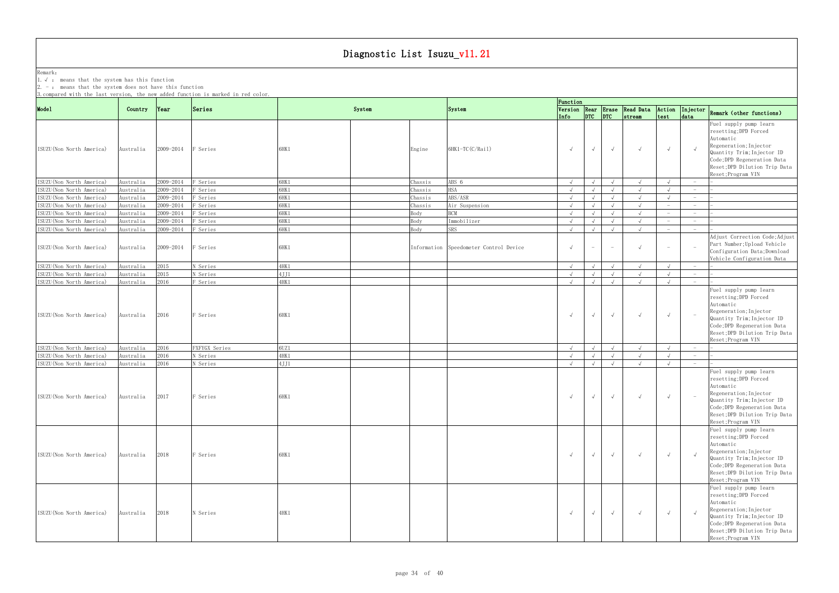Remark: The contract of the contract of  $\mathbb{R}$  and  $\mathbb{R}$  are contract of  $\mathbb{R}$  and  $\mathbb{R}$  are contract of  $\mathbb{R}$  and  $\mathbb{R}$  are contract of  $\mathbb{R}$  and  $\mathbb{R}$  are contract of  $\mathbb{R}$  and  $\mathbb{R}$  are cont 1.√ : means that the system has this function

| 3. compared with the last version, the new added function is marked in red color. |                        |              |                      |                 |         |                 |                                        | Function                 |            |                                       |                              |                                 |                                        |                                                                                                                                                                                                            |
|-----------------------------------------------------------------------------------|------------------------|--------------|----------------------|-----------------|---------|-----------------|----------------------------------------|--------------------------|------------|---------------------------------------|------------------------------|---------------------------------|----------------------------------------|------------------------------------------------------------------------------------------------------------------------------------------------------------------------------------------------------------|
| Mode1                                                                             | Country                | Year         | Series               |                 | System  | System          |                                        |                          |            | $ $ <sub>DTC</sub> $ $ <sub>DTC</sub> | Version Rear Erase Read Data | Action                          |                                        | Injector Remark (other functions)                                                                                                                                                                          |
| ISUZU (Non North America)                                                         | Australia              | 2009-2014    | F Series             | 6HK1            | Engine  | 6HK1-TC(C/Rail) |                                        | Info<br>$\sqrt{ }$       | $\sqrt{ }$ | $\sqrt{ }$                            | stream<br>$\sqrt{ }$         | test<br>$\sqrt{ }$              | data                                   | Fuel supply pump learn<br>resetting; DPD Forced<br>Automatic<br>Regeneration; Injector<br>Quantity Trim; Injector ID<br>Code;DPD Regeneration Data<br>Reset; DPD Dilution Trip Data<br>Reset; Program VIN  |
| ISUZU (Non North America)                                                         | Australia              | 2009-2014    | F Series             | 6HK1            | Chassis | ABS 6           |                                        | $\sqrt{ }$               | $\sqrt{ }$ | $\sqrt{ }$                            | $\sqrt{ }$                   |                                 | $\hspace{0.1mm}-\hspace{0.1mm}$        |                                                                                                                                                                                                            |
| ISUZU (Non North America)                                                         | Australia              | 2009-2014    | F Series             | 6HK1            | Chassis | <b>HSA</b>      |                                        | $\sqrt{ }$               | $\sqrt{ }$ | $\sqrt{ }$                            | $\sqrt{ }$                   |                                 | $\sim$                                 |                                                                                                                                                                                                            |
| ISUZU (Non North America)                                                         | Australia              | 2009-2014    | F Series             | 6HK1            | Chassis | ABS/ASR         |                                        | $\sqrt{ }$               |            | $\sqrt{ }$                            | $\sqrt{ }$                   |                                 | $\overline{\phantom{0}}$               |                                                                                                                                                                                                            |
| ISUZU (Non North America)                                                         | Australia              | 2009-2014    | F Series             | 6HK1            | Chassis | Air Suspension  |                                        | $\sqrt{ }$               |            | $\sqrt{ }$                            | $\sqrt{ }$                   |                                 | $\hspace{0.1mm}-\hspace{0.1mm}$        |                                                                                                                                                                                                            |
| ISUZU (Non North America)                                                         | Australia              | 2009-2014    | F Series             | 6HK1            | Body    | <b>BCM</b>      |                                        | $\sqrt{ }$               | $\sqrt{ }$ | $\sqrt{ }$                            | $\sqrt{ }$                   |                                 | $\overline{\phantom{0}}$               |                                                                                                                                                                                                            |
| ISUZU (Non North America)                                                         | Australia              | 2009-2014    | F Series             | 6HK1            | Body    | Immobilizer     |                                        | $\sqrt{ }$               | $\sqrt{ }$ | $\sqrt{ }$                            | $\sqrt{ }$                   | $\hspace{0.1mm}-\hspace{0.1mm}$ | $\sim$                                 |                                                                                                                                                                                                            |
| ISUZU (Non North America)                                                         | Australia              | 2009-2014    | F Series             | 6HK1            | Body    | <b>SRS</b>      |                                        | $\sqrt{ }$               |            | $\sqrt{ }$                            | $\sqrt{ }$                   | $\hspace{0.1mm}-\hspace{0.1mm}$ | $\sim$ $-$                             |                                                                                                                                                                                                            |
| ISUZU (Non North America)                                                         | Australia              | 2009-2014    | F Series             | 6HK1            |         |                 | Information Speedometer Control Device | $\sqrt{ }$               | $-$        | $\sim$                                | $\sqrt{ }$                   |                                 |                                        | Adjust Correction Code; Adjust<br>Part Number; Upload Vehicle<br>Configuration Data; Download<br>Vehicle Configuration Data                                                                                |
| ISUZU (Non North America)                                                         | Australia              | 2015         | N Series             | $4\mathrm{HK1}$ |         |                 |                                        | $\sqrt{ }$               |            | $\sqrt{ }$                            | $\sqrt{ }$                   |                                 |                                        |                                                                                                                                                                                                            |
| ISUZU (Non North America)                                                         | Australia              | 2015         | N Series             | 4JJ1            |         |                 |                                        | $\sqrt{ }$               |            |                                       | $\sqrt{ }$                   |                                 | $\sim$                                 |                                                                                                                                                                                                            |
| ISUZU (Non North America)                                                         | Australia              | 2016         | F Series             | 4HK1            |         |                 |                                        | $\sqrt{ }$               |            |                                       |                              |                                 | $\hspace{0.1mm}-\hspace{0.1mm}$        | Fuel supply pump learn                                                                                                                                                                                     |
| ISUZU (Non North America)                                                         | Australia              | 2016         | F Series             | 6HK1            |         |                 |                                        | $\sqrt{ }$               | $\sqrt{ }$ | $\sqrt{ }$                            | $\sqrt{ }$                   | $\sqrt{ }$                      |                                        | resetting; DPD Forced<br>Automatic<br>Regeneration; Injector<br>Quantity Trim; Injector ID<br>Code;DPD Regeneration Data<br>Reset; DPD Dilution Trip Data<br>Reset; Program VIN                            |
| ISUZU (Non North America)                                                         | Australia              | 2016         | FXFYGX Series        | 6UZ1            |         |                 |                                        | $\sqrt{ }$               | $\sqrt{ }$ | $\sqrt{ }$                            | $\sqrt{ }$                   |                                 | $-$                                    |                                                                                                                                                                                                            |
| ISUZU (Non North America)<br>ISUZU (Non North America)                            | Australia<br>Australia | 2016<br>2016 | N Series<br>N Series | 4HK1<br>4JJ1    |         |                 |                                        | $\sqrt{ }$<br>$\sqrt{ }$ | $\sqrt{ }$ | $\sqrt{ }$<br>$\sqrt{ }$              | $\sqrt{ }$<br>$\sqrt{ }$     | $\sqrt{ }$                      | $-$<br>$\hspace{0.1mm}-\hspace{0.1mm}$ |                                                                                                                                                                                                            |
| ISUZU (Non North America)                                                         | Australia              | 2017         | F Series             | 6HK1            |         |                 |                                        | $\sqrt{ }$               | $\sqrt{ }$ | $\sqrt{ }$                            | $\sqrt{ }$                   |                                 |                                        | Fuel supply pump learn<br>resetting; DPD Forced<br>Automatic<br>Regeneration; Injector<br>Quantity Trim; Injector ID<br>Code; DPD Regeneration Data<br>Reset; DPD Dilution Trip Data<br>Reset; Program VIN |
| ISUZU (Non North America)                                                         | Australia              | 2018         | F Series             | 6HK1            |         |                 |                                        | $\sqrt{ }$               | $\sqrt{ }$ | $\sqrt{ }$                            | $\sqrt{ }$                   | $\sqrt{ }$                      |                                        | Fuel supply pump learn<br>resetting; DPD Forced<br>Automatic<br>Regeneration; Injector<br>Quantity Trim; Injector ID<br>Code;DPD Regeneration Data<br>Reset; DPD Dilution Trip Data<br>Reset; Program VIN  |
| ISUZU (Non North America)                                                         | Australia              | 2018         | N Series             | 4HK1            |         |                 |                                        | $\sqrt{ }$               | $\sqrt{ }$ | $\sqrt{ }$                            | $\sqrt{ }$                   | $\sqrt{ }$                      |                                        | Fuel supply pump learn<br>resetting; DPD Forced<br>Automatic<br>Regeneration; Injector<br>Quantity Trim; Injector ID<br>Code;DPD Regeneration Data<br>Reset; DPD Dilution Trip Data<br>Reset; Program VIN  |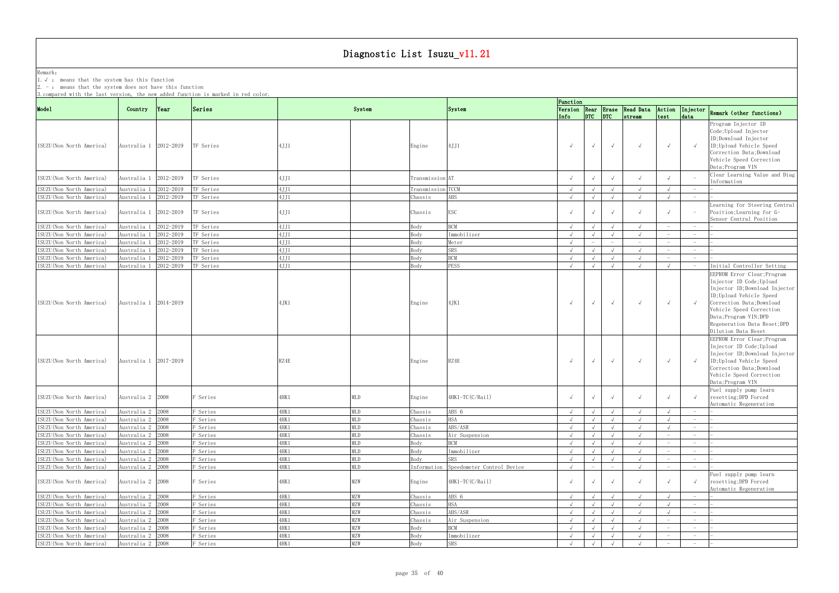Remark: The contract of the contract of  $\mathbb{R}$  and  $\mathbb{R}$  are contract of  $\mathbb{R}$  and  $\mathbb{R}$  are contract of  $\mathbb{R}$  and  $\mathbb{R}$  are contract of  $\mathbb{R}$  and  $\mathbb{R}$  are contract of  $\mathbb{R}$  and  $\mathbb{R}$  are cont 1.√ : means that the system has this function

2. - : means that the system does not have this function

|                                                        |                                      |           |                      |                |                   |                    |                            | Function                 |                                       |                          |                                        |                          |                                 |                                                                                                                                                                                                                                                                                               |
|--------------------------------------------------------|--------------------------------------|-----------|----------------------|----------------|-------------------|--------------------|----------------------------|--------------------------|---------------------------------------|--------------------------|----------------------------------------|--------------------------|---------------------------------|-----------------------------------------------------------------------------------------------------------------------------------------------------------------------------------------------------------------------------------------------------------------------------------------------|
| Mode1                                                  | Country                              | Year      | Series               |                | System            |                    | System                     | Info                     | $ $ <sub>DTC</sub> $ $ <sub>DTC</sub> |                          | Version Rear Erase Read Data<br>stream | Action<br>test           | data                            | Injector Remark (other functions)                                                                                                                                                                                                                                                             |
| ISUZU(Non North America)                               | Australia 1 2012-2019                |           | TF Series            | 4JJ1           |                   | Engine             | 4JJ1                       | $\sqrt{ }$               | $\sqrt{ }$                            | $\sqrt{ }$               | $\sqrt{ }$                             | $\sqrt{ }$               |                                 | Program Injector ID<br>Code; Upload Injector<br>ID;Download Injector<br>ID; Upload Vehicle Speed<br>Correction Data; Download<br>Vehicle Speed Correction<br>Data; Program VIN                                                                                                                |
| ISUZU (Non North America)                              | Australia 1 2012-2019                |           | TF Series            | 4JJ1           |                   | Transmission AT    |                            |                          | $\sqrt{ }$                            | $\sqrt{ }$               | $\sqrt{ }$                             |                          |                                 | Clear Learning Value and Diag<br>Information                                                                                                                                                                                                                                                  |
| ISUZU (Non North America)                              | Australia 1                          | 2012-2019 | TF Series            | 4JJ1           |                   | Transmission TCCM  |                            | $\sqrt{ }$               |                                       | $\sqrt{ }$               | $\sqrt{ }$                             |                          |                                 |                                                                                                                                                                                                                                                                                               |
| ISUZU (Non North America)                              | Australia 1                          | 2012-2019 | TF Series            | 4JJ1           |                   | Chassis            | ABS                        | $\sqrt{ }$               |                                       | $\sqrt{ }$               | $\sqrt{ }$                             |                          | $-$                             |                                                                                                                                                                                                                                                                                               |
| ISUZU (Non North America)                              | Australia 1 2012-2019                |           | TF Series            | 4JJ1           |                   | Chassis            | <b>ESC</b>                 |                          | $\sqrt{ }$                            | $\sqrt{ }$               | $\sqrt{ }$                             |                          |                                 | Learning for Steering Central<br>Position; Learning for G-<br>Sensor Central Position                                                                                                                                                                                                         |
| ISUZU (Non North America)                              | Australia 1                          | 2012-2019 | TF Series            | 4JJ1           |                   | Body               | <b>BCM</b>                 | $\sqrt{ }$               | $\sqrt{ }$                            | $\sqrt{ }$               | $\sqrt{ }$                             |                          | $-$                             |                                                                                                                                                                                                                                                                                               |
| ISUZU (Non North America)                              | Australia 1                          | 2012-2019 | TF Series            | 4JJ1           |                   | Body               | Immobilizer                | $\sqrt{ }$               |                                       | $\sqrt{ }$               | $\sqrt{ }$                             | $\overline{\phantom{0}}$ | $\overline{\phantom{0}}$        |                                                                                                                                                                                                                                                                                               |
| ISUZU (Non North America)                              | Australia 1                          | 2012-2019 | TF Series            | 4JJ1           |                   | Body               | Meter                      | $\sqrt{ }$               | $\overline{\phantom{m}}$              |                          | $ \,$                                  |                          |                                 |                                                                                                                                                                                                                                                                                               |
| ISUZU (Non North America)                              | Australia 1                          | 2012-2019 | TF Series            | 4JJ1           |                   | Body               | SRS                        | $\sqrt{ }$               | $\sqrt{ }$                            | $\sqrt{ }$               | $\sqrt{ }$                             |                          | $\hspace{0.1mm}-\hspace{0.1mm}$ |                                                                                                                                                                                                                                                                                               |
| ISUZU (Non North America)                              | Australia 1                          | 2012-2019 | TF Series            | 4JJ1           |                   | Body               | <b>BCM</b>                 | $\sqrt{ }$               | $\sqrt{ }$                            | $\sqrt{ }$               | $\sqrt{ }$                             |                          | $\sim$                          |                                                                                                                                                                                                                                                                                               |
| ISUZU (Non North America)<br>ISUZU(Non North America)  | Australia 1<br>Australia 1 2014-2019 | 2012-2019 | TF Series            | 4JJ1<br>4.JK1  |                   | Body<br>Engine     | PESS<br>4JK1               | $\sqrt{ }$               | $\sqrt{ }$                            | $\sqrt{ }$<br>$\sqrt{ }$ | $\sqrt{ }$<br>$\sqrt{ }$               | $\sqrt{ }$               |                                 | Initial Controller Setting<br>EEPROM Error Clear; Program<br>Injector ID Code; Upload<br>Injector ID; Download Injector<br>ID; Upload Vehicle Speed<br>Correction Data; Download<br>Vehicle Speed Correction<br>Data; Program VIN; DPD<br>Regeneration Data Reset; DPD<br>Dilution Data Reset |
| ISUZU (Non North America)                              | Australia 1 2017-2019                |           |                      | RZ4E           |                   | Engine             | RZ4E                       | $\sqrt{ }$               | $\sqrt{ }$                            | $\sqrt{ }$               | $\sqrt{ }$                             | $\sqrt{ }$               |                                 | EEPROM Error Clear; Program<br>Injector ID Code; Upload<br>Injector ID; Download Injector<br>ID; Upload Vehicle Speed<br>Correction Data; Download<br>Vehicle Speed Correction<br>Data; Program VIN                                                                                           |
| ISUZU (Non North America)                              | Australia 2 2008                     |           | F Series             | 4HK 1          | MLD               | Engine             | 4HK1-TC(C/Rail)            | $\sqrt{ }$               |                                       | $\sqrt{ }$               | $\sqrt{ }$                             |                          |                                 | Fuel supply pump learn<br>resetting; DPD Forced<br>Automatic Regeneration                                                                                                                                                                                                                     |
| ISUZU(Non North America)                               | Australia 2 2008                     |           | F Series             | 4HK 1          | MLD               | Chassis            | ABS 6                      | $\sqrt{ }$               | $\sqrt{ }$                            | $\sqrt{ }$               | $\sqrt{ }$                             | $\sqrt{ }$               |                                 |                                                                                                                                                                                                                                                                                               |
| ISUZU (Non North America)<br>ISUZU (Non North America) | Australia 2 2008<br>Australia 2 2008 |           | F Series             | 4HK 1          | MLD<br>MLD        | Chassis            | <b>HSA</b><br>ABS/ASR      | $\sqrt{ }$               |                                       |                          | $\sqrt{ }$<br>$\sqrt{ }$               |                          |                                 |                                                                                                                                                                                                                                                                                               |
| ISUZU (Non North America)                              | Australia 2 2008                     |           | F Series<br>F Series | 1HK 1<br>4HK 1 | MLD               | Chassis<br>Chassis | Air Suspension             |                          |                                       | $\sqrt{ }$               | $\sqrt{ }$                             |                          | $ \,$                           |                                                                                                                                                                                                                                                                                               |
| ISUZU (Non North America)                              | Australia 2 2008                     |           | F Series             | 4HK1           | MLD               | Body               | <b>BCM</b>                 | $\sqrt{ }$               |                                       | $\sqrt{ }$               | $\sqrt{ }$                             |                          | $-$                             |                                                                                                                                                                                                                                                                                               |
| ISUZU (Non North America)                              | Australia 2 2008                     |           | F Series             | 4HK1           | MLD               | Body               | Immobilizer                | $\sqrt{ }$               |                                       |                          |                                        |                          | $\overline{\phantom{0}}$        |                                                                                                                                                                                                                                                                                               |
| ISUZU(Non North America)                               | Australia 2 2008                     |           | F Series             | 4HK1           | <b>MLD</b>        | Body               | SRS                        | $\sqrt{ }$               |                                       | $\sqrt{ }$               | $\sqrt{ }$                             |                          | $\sim$                          |                                                                                                                                                                                                                                                                                               |
| ISUZU (Non North America)                              | Australia 2 2008                     |           | F Series             | 4HK 1          | MLD               | Information        | Speedometer Control Device | $\sqrt{ }$               |                                       |                          | $\sqrt{ }$                             |                          | $\overline{\phantom{0}}$        |                                                                                                                                                                                                                                                                                               |
| ISUZU (Non North America)                              | Australia 2 2008                     |           | F Series             | 4HK 1          | MZW               | Engine             | 4HK1-TC(C/Rail)            | $\sqrt{ }$               |                                       | $\sqrt{ }$               | $\sqrt{ }$                             |                          |                                 | Fuel supply pump learn<br>resetting; DPD Forced<br>Automatic Regeneration                                                                                                                                                                                                                     |
| ISUZU (Non North America)                              | Australia 2 2008                     |           | F Series             | 4HK 1          | MZW               | Chassis            | ABS 6                      | $\sqrt{ }$               |                                       | $\sqrt{ }$               | $\sqrt{ }$                             |                          | $\hspace{0.1mm}-\hspace{0.1mm}$ |                                                                                                                                                                                                                                                                                               |
| ISUZU (Non North America)                              | Australia 2 2008                     |           | F Series             | 4HK 1          | MZW               | Chassis            | HSA                        | $\sqrt{ }$               | $\sqrt{ }$                            | $\sqrt{ }$               | $\sqrt{ }$                             |                          |                                 |                                                                                                                                                                                                                                                                                               |
| ISUZU (Non North America)                              | Australia 2 2008                     |           | F Series             | 1HK 1          | MZW               | Chassis            | ABS/ASR                    |                          | $\sqrt{ }$                            | $\sqrt{ }$               | $\sqrt{ }$                             |                          |                                 |                                                                                                                                                                                                                                                                                               |
| ISUZU (Non North America)                              | Australia 2 2008                     |           | F Series             | 4HK1           | <b>MZW</b>        | Chassis            | Air Suspension             | $\sqrt{ }$               | $\sqrt{ }$                            | $\sqrt{ }$               | $\sqrt{ }$                             |                          | $ \,$                           |                                                                                                                                                                                                                                                                                               |
| ISUZU (Non North America)<br>ISUZU (Non North America) | Australia 2 2008                     |           | F Series             | 4HK 1          | MZW               | Body               | <b>BCM</b>                 | $\sqrt{ }$               | $\sqrt{ }$                            | $\sqrt{ }$               | $\sqrt{ }$                             | $\overline{\phantom{0}}$ | $ \,$                           |                                                                                                                                                                                                                                                                                               |
| ISUZU(Non North America)                               | Australia 2 2008<br>Australia 2 2008 |           | F Series<br>F Series | 4HK 1<br>4HK1  | MZW<br><b>MZW</b> | Body<br>Body       | Immobilizer<br>SRS         | $\sqrt{ }$<br>$\sqrt{ }$ | $\sqrt{ }$                            | $\sqrt{ }$<br>$\sqrt{ }$ | $\sqrt{ }$                             | $-$                      | $-$<br>$-$                      |                                                                                                                                                                                                                                                                                               |
|                                                        |                                      |           |                      |                |                   |                    |                            |                          |                                       |                          |                                        |                          |                                 |                                                                                                                                                                                                                                                                                               |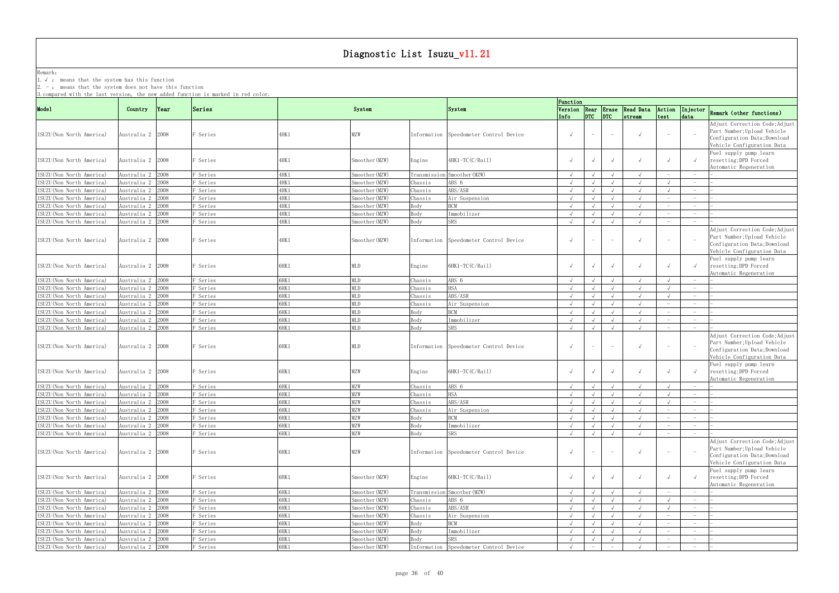Remark: The contract of the contract of  $\mathbb{R}$  and  $\mathbb{R}$  are contract of  $\mathbb{R}$  and  $\mathbb{R}$  are contract of  $\mathbb{R}$  and  $\mathbb{R}$  are contract of  $\mathbb{R}$  and  $\mathbb{R}$  are contract of  $\mathbb{R}$  and  $\mathbb{R}$  are cont 1.√ : means that the system has this function

2. - : means that the system does not have this function

| 3. compared with the last version, the new added function is marked in red color. |                    |               |                     |       |                |         |                                        | Function   |                             |                          |                                        |                |                                   |                                                                                                                                                       |
|-----------------------------------------------------------------------------------|--------------------|---------------|---------------------|-------|----------------|---------|----------------------------------------|------------|-----------------------------|--------------------------|----------------------------------------|----------------|-----------------------------------|-------------------------------------------------------------------------------------------------------------------------------------------------------|
| Mode1                                                                             | Country            | $\gamma$ Year | Series              |       | System         |         | System                                 | Info       | DTC                         | DTC                      | Version Rear Erase Read Data<br>stream | Action<br>test | Injector<br>data                  | Remark (other functions)                                                                                                                              |
| ISUZU (Non North America)                                                         | Australia 2 2008   |               | F Series            | 4HK1  | MZW            |         | Information Speedometer Control Device | $\sqrt{ }$ | $\sim$                      | $\overline{\phantom{0}}$ | $\sqrt{ }$                             |                |                                   | Adjust Correction Code; Adjust<br>Part Number; Upload Vehicle<br>Configuration Data; Download<br>Vehicle Configuration Data                           |
| ISUZU(Non North America)                                                          | Australia 2   2008 |               | F Series            | 4HK 1 | Smoother(MZW)  | Engine  | 4HK1-TC(C/Rail)                        |            |                             |                          | $\sqrt{ }$                             |                |                                   | Fuel supply pump learn<br>resetting; DPD Forced<br>Automatic Regeneration                                                                             |
| ISUZU (Non North America)                                                         | Australia 2 2008   |               | F Series            | 4HK 1 | Smoother (MZW) |         | Transmission Smoother (MZW)            | $\sqrt{ }$ |                             |                          | $\sqrt{ }$                             |                |                                   |                                                                                                                                                       |
| ISUZU(Non North America)                                                          | Australia 2 2008   |               | F Series            | 4HK1  | Smoother (MZW) | Chassis | ABS 6                                  | $\sqrt{ }$ |                             |                          | $\sqrt{ }$                             |                |                                   |                                                                                                                                                       |
| ISUZU (Non North America)                                                         | Australia 2 2008   |               | F Series            | 4HK1  | Smoother (MZW) | Chassis | ABS/ASR                                | $\sqrt{ }$ |                             |                          | $\sqrt{ }$                             |                |                                   |                                                                                                                                                       |
| ISUZU (Non North America)                                                         | Australia 2 2008   |               | F Series            | 4HK1  | Smoother (MZW) | Chassis | Air Suspension                         | $\sqrt{ }$ |                             |                          | $\sqrt{ }$                             |                | $\sim$                            |                                                                                                                                                       |
| ISUZU (Non North America)                                                         | Australia 2 2008   |               | F Series            | 4HK 1 | Smoother (MZW) | Body    | <b>RCM</b>                             | $\sqrt{ }$ |                             | $\sqrt{ }$               | $\sqrt{ }$                             |                | $\hspace{0.1mm}-\hspace{0.1mm}$   |                                                                                                                                                       |
| ISUZU (Non North America)                                                         | Australia 2 2008   |               | F Series            | 4HK1  | Smoother (MZW) | Body    | Immobilizer                            | $\sqrt{ }$ |                             |                          |                                        |                |                                   |                                                                                                                                                       |
| ISUZU(Non North America)                                                          | Australia 2 2008   |               | F Series            | 4HK1  | Smoother (MZW) | Body    | <b>SRS</b>                             | $\sqrt{ }$ |                             |                          |                                        |                |                                   |                                                                                                                                                       |
| ISUZU (Non North America)                                                         | Australia 2   2008 |               | F Series            | 4HK 1 | Smoother(MZW)  |         | Information Speedometer Control Device | $\sqrt{ }$ | $ \,$                       | $-$                      | $\sqrt{ }$                             |                |                                   | Adjust Correction Code; Adjust<br>Part Number; Upload Vehicle<br>Configuration Data; Download<br>Vehicle Configuration Data<br>Fuel supply pump learn |
| ISUZU (Non North America)                                                         | Australia 2   2008 |               | Series <sup>.</sup> | 6HK1  | MLD            | Engine  | 6HK1-TC(C/Rail)                        |            |                             |                          | $\sqrt{ }$                             |                |                                   | resetting; DPD Forced<br>Automatic Regeneration                                                                                                       |
| ISUZU(Non North America)                                                          | Australia 2 2008   |               | F Series            | 6HK1  | <b>MLD</b>     | Chassis | ABS 6                                  | $\sqrt{ }$ |                             |                          | $\sqrt{ }$                             |                |                                   |                                                                                                                                                       |
| ISUZU(Non North America)                                                          | Australia 2 2008   |               | F Series            | 6HK1  | <b>MLD</b>     | Chassis | HSA                                    | $\sqrt{ }$ |                             |                          | $\sqrt{ }$                             |                |                                   |                                                                                                                                                       |
| ISUZU (Non North America)                                                         | Australia 2 2008   |               | F Series            | 6HK1  | MLD            | Chassis | ABS/ASR                                | $\sqrt{ }$ |                             | $\sqrt{ }$               | $\sqrt{ }$                             |                |                                   |                                                                                                                                                       |
| ISUZU (Non North America)                                                         | Australia 2 2008   |               | F Series            | 6HK1  | <b>MLD</b>     | Chassis | Air Suspension                         | $\sqrt{ }$ |                             |                          | $\sqrt{ }$                             |                | $\hspace{0.1mm}-\hspace{0.1mm}$   |                                                                                                                                                       |
| ISUZU (Non North America)                                                         | Australia 2        | 2008          | F Series            | 6HK1  | <b>MLD</b>     | Body    | <b>RCM</b>                             | $\sqrt{ }$ |                             |                          | $\sqrt{ }$                             |                | $\overline{\phantom{0}}$          |                                                                                                                                                       |
| ISUZU (Non North America)                                                         | Australia 2 2008   |               | F Series            | 6HK1  | <b>MLD</b>     | Body    | Immobilizer                            | $\sqrt{ }$ |                             | $\sqrt{ }$               | $\sqrt{ }$                             |                | $\hspace{1.0cm} - \hspace{1.0cm}$ |                                                                                                                                                       |
| ISUZU (Non North America)                                                         | Australia 2 2008   |               | F Series            | 6HK1  | <b>MLD</b>     | Body    | <b>SRS</b>                             | $\sqrt{ }$ |                             | $\sqrt{ }$               |                                        |                |                                   |                                                                                                                                                       |
| ISUZU(Non North America)                                                          | Australia 2 2008   |               | F Series            | 6HK1  | MLD            |         | Information Speedometer Control Device | $\sqrt{ }$ | $ \,$                       | $ \,$                    | $\sqrt{ }$                             |                |                                   | Adjust Correction Code; Adjust<br>Part Number; Upload Vehicle<br>Configuration Data; Download<br>Vehicle Configuration Data                           |
| ISUZU (Non North America)                                                         | Australia 2   2008 |               | F Series            | 6HK1  | MZW            | Engine  | 6HK1-TC(C/Rail)                        |            |                             | $\sqrt{ }$               | $\sqrt{ }$                             |                |                                   | Fuel supply pump learn<br>resetting; DPD Forced<br>Automatic Regeneration                                                                             |
| ISUZU (Non North America)                                                         | Australia 2 2008   |               | F Series            | 6HK1  | MZW            | Chassis | ABS 6                                  | $\sqrt{ }$ |                             |                          | $\sqrt{ }$                             |                |                                   |                                                                                                                                                       |
| ISUZU(Non North America)                                                          | Australia 2 2008   |               | F Series            | 6HK1  | MZW            | Chassis | HSA                                    | $\sqrt{ }$ |                             |                          | $\sqrt{ }$                             |                |                                   |                                                                                                                                                       |
| ISUZU (Non North America)                                                         | Australia 2 2008   |               | F Series            | 6HK1  | MZW            | Chassis | ABS/ASR                                | $\sqrt{ }$ |                             |                          |                                        |                |                                   |                                                                                                                                                       |
| ISUZU (Non North America)                                                         | Australia 2 2008   |               | F Series            | 6HK1  | <b>MZW</b>     | Chassis | Air Suspension                         | $\sqrt{ }$ | $\sim$ $\sim$ $\sim$ $\sim$ | $\sqrt{ }$               | $\mathbf{\hat{v}}$                     |                |                                   |                                                                                                                                                       |
| ISUZU (Non North America)                                                         | Australia 2 2008   |               | F Series            | 6HK1  | <b>MZW</b>     | Body    | <b>BCM</b>                             | $\sqrt{ }$ | $\sqrt{ }$                  | $\sqrt{ }$               |                                        |                | $\overline{\phantom{0}}$          |                                                                                                                                                       |
| ISUZU (Non North America)                                                         | Australia 2 2008   |               | F Series            | 6HK1  | MZW            | Body    | Immobilizer                            | $\sqrt{ }$ | $\sqrt{ }$                  | $\sqrt{ }$               | $\sqrt{ }$                             |                | $-$                               |                                                                                                                                                       |
| ISUZU (Non North America)                                                         | Australia 2 2008   |               | F Series            | 6HK1  | <b>MZW</b>     | Body    | SRS                                    | $\sqrt{ }$ |                             | $\sqrt{ }$               |                                        |                |                                   |                                                                                                                                                       |
| ISUZU(Non North America)                                                          | Australia 2 2008   |               | F Series            | 6HK1  | MZW            |         | Information Speedometer Control Device | $\sqrt{ }$ | $\overline{\phantom{a}}$    | $ \,$                    | $\sqrt{ }$                             |                |                                   | Adjust Correction Code; Adjust<br>Part Number; Upload Vehicle<br>Configuration Data; Download<br>Vehicle Configuration Data                           |
| ISUZU (Non North America)                                                         | Australia 2 2008   |               | F Series            | 6HK1  | Smoother (MZW) | Engine  | 6HK1-TC(C/Rail)                        |            | $\sqrt{ }$                  | $\sqrt{ }$               | $\sqrt{ }$                             |                |                                   | Fuel supply pump learn<br>resetting; DPD Forced<br>Automatic Regeneration                                                                             |
| ISUZU (Non North America)                                                         | Australia 2 2008   |               | F Series            | 6HK1  | Smoother (MZW) |         | Transmission Smoother (MZW)            | $\sqrt{ }$ |                             |                          |                                        |                |                                   |                                                                                                                                                       |
| ISUZU (Non North America)                                                         | Australia 2 2008   |               | F Series            | 6HK1  | Smoother (MZW) | Chassis | ABS 6                                  | $\sqrt{ }$ |                             |                          | $\sqrt{ }$                             |                | $\overline{\phantom{0}}$          |                                                                                                                                                       |
| ISUZU (Non North America)                                                         | Australia 2 2008   |               | F Series            | 6HK1  | Smoother (MZW) | Chassis | ABS/ASR                                | $\sqrt{ }$ |                             |                          | $\sqrt{ }$                             |                |                                   |                                                                                                                                                       |
| ISUZU (Non North America)                                                         | Australia 2 2008   |               | F Series            | 6HK1  | Smoother (MZW) | Chassis | Air Suspension                         | $\sqrt{ }$ | $\sqrt{ }$                  | $\sqrt{ }$               | $\sqrt{ }$                             |                | $\hspace{0.1mm}-\hspace{0.1mm}$   |                                                                                                                                                       |
| ISUZU (Non North America)                                                         | Australia 2 2008   |               | F Series            | 6HK1  | Smoother (MZW) | Body    | <b>BCM</b>                             | $\sqrt{ }$ |                             | $\sqrt{ }$               | $\sqrt{ }$                             |                | $\sim$                            |                                                                                                                                                       |
| ISUZU (Non North America)                                                         | Australia 2 2008   |               | F Series            | 6HK1  | Smoother (MZW) | Body    | Immobilizer                            | $\sqrt{ }$ |                             | $\sqrt{ }$               | $\sqrt{ }$                             |                | $\overline{\phantom{0}}$          |                                                                                                                                                       |
| ISUZU (Non North America)                                                         | Australia 2 2008   |               | F Series            | 6HK1  | Smoother (MZW) | Body    | SRS                                    | $\sqrt{ }$ |                             | $\sqrt{ }$               | $\sqrt{ }$                             |                | $-$                               |                                                                                                                                                       |
| ISUZU (Non North America)                                                         | Australia 2 2008   |               | F Series            | 6HK1  | Smoother (MZW) |         | Information Speedometer Control Device | $\sqrt{ }$ |                             |                          | $\sqrt{ }$                             |                | $\hspace{1.0cm} - \hspace{1.0cm}$ |                                                                                                                                                       |
|                                                                                   |                    |               |                     |       |                |         |                                        |            |                             |                          |                                        |                |                                   |                                                                                                                                                       |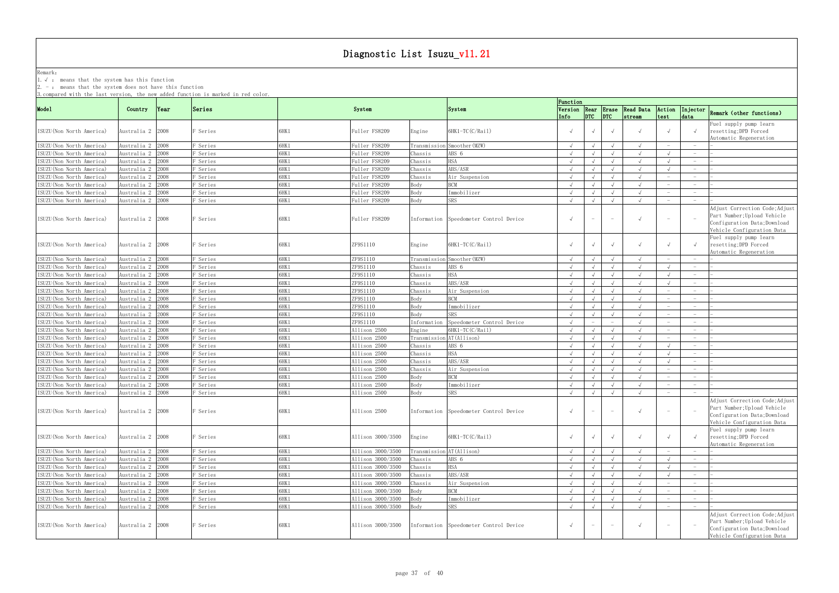Remark: The contract of the contract of  $\mathbb{R}$  and  $\mathbb{R}$  are contract of  $\mathbb{R}$  and  $\mathbb{R}$  are contract of  $\mathbb{R}$  and  $\mathbb{R}$  are contract of  $\mathbb{R}$  and  $\mathbb{R}$  are contract of  $\mathbb{R}$  and  $\mathbb{R}$  are cont

1.√ : means that the system has this function

2. - : means that the system does not have this function

| ə.compared with the last version, the new added function is marked in red color. |                    |               |                     |       |                   |             |                                        | Function   |            |                                 |                                               |                                 |                                 |                                                                                                                             |
|----------------------------------------------------------------------------------|--------------------|---------------|---------------------|-------|-------------------|-------------|----------------------------------------|------------|------------|---------------------------------|-----------------------------------------------|---------------------------------|---------------------------------|-----------------------------------------------------------------------------------------------------------------------------|
| Mode1                                                                            | Country            | $\gamma$ Year | Series              |       | System            |             | System                                 | Info       | DTC        | DTC                             | Version Rear Erase Read Data<br><i>stream</i> | Action<br>test                  | data                            | Injector Remark (other functions)                                                                                           |
| ISUZU(Non North America)                                                         | Australia 2   2008 |               | Series <sup>.</sup> | 6HK1  | Fuller FS8209     | Engine      | $6HK1-TC(C/Rai1)$                      |            |            | $\sqrt{ }$                      |                                               |                                 |                                 | Fuel supply pump learn<br>resetting; DPD Forced<br>Automatic Regeneration                                                   |
| ISUZU(Non North America)                                                         | Australia 2 2008   |               | Series <sup></sup>  | 6HK1  | Fuller FS8209     |             | Transmission Smoother (MZW)            | $\sqrt{ }$ |            |                                 |                                               |                                 |                                 |                                                                                                                             |
| ISUZU(Non North America)                                                         | Australia 2        | 2008          | Series <sup></sup>  | 3HK 1 | Fuller FS8209     | Chassis     | ABS 6                                  |            |            |                                 |                                               |                                 |                                 |                                                                                                                             |
| ISUZU (Non North America)                                                        | Australia 2        | 2008          | F Series            | 6HK1  | Fuller FS8209     | Chassis     | <b>HSA</b>                             |            |            |                                 |                                               |                                 |                                 |                                                                                                                             |
| ISUZU (Non North America)                                                        | Australia 2 2008   |               | F Series            | 6HK1  | Fuller FS8209     | Chassis     | ABS/ASR                                |            |            |                                 | $\sqrt{ }$                                    |                                 | $-$                             |                                                                                                                             |
| ISUZU (Non North America)                                                        | Australia 2        | 2008          | F Series            | 6HK1  | Fuller FS8209     | Chassis     | Air Suspension                         | $\sqrt{ }$ |            | $\sqrt{ }$                      |                                               |                                 | $\hspace{0.1mm}-\hspace{0.1mm}$ |                                                                                                                             |
|                                                                                  |                    |               |                     |       |                   |             | <b>BCM</b>                             |            |            |                                 |                                               |                                 |                                 |                                                                                                                             |
| ISUZU (Non North America)                                                        | Australia 2        | :008          | F Series            | 6HK1  | Fuller FS8209     | Body        |                                        |            |            | $\sqrt{ }$                      |                                               |                                 | $\hspace{0.1mm}-\hspace{0.1mm}$ |                                                                                                                             |
| ISUZU(Non North America)                                                         | Australia 2 2008   |               | Series <sup></sup>  | 6HK1  | Fuller FS8209     | Body        | Immobilizer                            | $\sqrt{ }$ |            | $\sqrt{ }$                      | $\sqrt{ }$                                    |                                 | $ \,$                           |                                                                                                                             |
| ISUZU(Non North America)                                                         | Australia 2 2008   |               | Series <sup></sup>  | 6HK1  | Fuller FS8209     | Body        | SRS                                    | $\sqrt{ }$ |            |                                 | $\sqrt{ }$                                    |                                 | $\hspace{0.1mm}-\hspace{0.1mm}$ |                                                                                                                             |
| ISUZU(Non North America)                                                         | Australia 2 2008   |               | F Series            | 6HK1  | Fuller FS8209     |             | Information Speedometer Control Device | $\sqrt{ }$ | $\sim$     | $\sim$                          | $\sqrt{ }$                                    |                                 |                                 | Adjust Correction Code; Adjust<br>Part Number; Upload Vehicle<br>Configuration Data; Download<br>Vehicle Configuration Data |
| ISUZU(Non North America)                                                         | Australia 2 2008   |               | Series <sup>.</sup> | 6HK1  | ZF9S1110          | Engine      | $6HK1-TC(C/Rai1)$                      |            |            | $\sqrt{ }$                      |                                               |                                 |                                 | Fuel supply pump learn<br>resetting; DPD Forced<br>Automatic Regeneration                                                   |
| ISUZU (Non North America)                                                        | Australia 2 2008   |               | Series <sup>?</sup> | 6HK1  | ZF9S1110          |             | Transmission Smoother (MZW)            | $\sqrt{ }$ |            | $\sqrt{ }$                      | $\sqrt{ }$                                    |                                 |                                 |                                                                                                                             |
| ISUZU (Non North America)                                                        | Australia 2 2008   |               | Series <sup></sup>  | 6HK1  | ZF9S1110          | Chassis     | ABS 6                                  |            |            |                                 |                                               |                                 |                                 |                                                                                                                             |
| ISUZU (Non North America)                                                        | Australia 2 2008   |               | F Series            | 6HK1  | ZF9S1110          | Chassis     | <b>HSA</b>                             | $\sqrt{ }$ |            |                                 | $\sqrt{ }$                                    |                                 | $-$                             |                                                                                                                             |
| ISUZU (Non North America)                                                        | Australia 2        | 2008          | F Series            | 6HK1  | ZF9S1110          | Chassis     | ABS/ASR                                |            |            |                                 |                                               |                                 | $\overline{\phantom{0}}$        |                                                                                                                             |
| ISUZU (Non North America)                                                        | Australia 2        | 2008          | F Series            | 6HK1  | ZF9S1110          | Chassis     | Air Suspension                         | $\sqrt{ }$ |            | $\sqrt{ }$                      |                                               |                                 | $\overline{\phantom{0}}$        |                                                                                                                             |
| ISUZU (Non North America)                                                        | Australia 2        | 2008          | Series <sup>?</sup> | 6HK1  | ZF9S1110          | Body        | BCM                                    | $\sqrt{ }$ |            | $\sqrt{ }$                      |                                               |                                 |                                 |                                                                                                                             |
| ISUZU (Non North America)                                                        | Australia 2        | 2008          | <sup>3</sup> Series | 6HK1  | ZF9S1110          | Body        | Immobilizer                            | $\sqrt{ }$ |            |                                 | $\sqrt{ }$                                    |                                 | $\hspace{0.1mm}-\hspace{0.1mm}$ |                                                                                                                             |
| ISUZU(Non North America)                                                         | Australia 2 2008   |               | Series <sup></sup>  | 6HK1  | ZF9S1110          | Body        | SRS.                                   | $\sqrt{ }$ |            |                                 | $\sqrt{ }$                                    |                                 |                                 |                                                                                                                             |
| ISUZU (Non North America)                                                        | Australia 2        | 2008          | <sup>3</sup> Series | 3HK 1 | ZF9S1110          | Information | Speedometer Control Device             |            |            |                                 |                                               |                                 |                                 |                                                                                                                             |
| ISUZU (Non North America)                                                        | Australia 2        | 2008          | F Series            | 6HK1  | Allison 2500      | Engine      | $6HK1-TC(C/Rai1)$                      |            |            |                                 |                                               |                                 | $\hspace{0.1mm}-\hspace{0.1mm}$ |                                                                                                                             |
| ISUZU (Non North America)                                                        | Australia 2        | 2008          | F Series            | 6HK1  | Allison 2500      | Transmissio | n AT(Allison)                          |            |            |                                 |                                               |                                 | $\hspace{0.1mm}-\hspace{0.1mm}$ |                                                                                                                             |
| ISUZU (Non North America)                                                        | Australia 2        | 2008          | Series <sup></sup>  | 3HK 1 | Allison 2500      |             | ABS 6                                  |            |            |                                 |                                               |                                 | $\overline{\phantom{0}}$        |                                                                                                                             |
|                                                                                  | Australia 2        | 2008          |                     |       | Allison 2500      | Chassis     | HSA                                    |            |            |                                 |                                               |                                 | $\overline{\phantom{0}}$        |                                                                                                                             |
| ISUZU (Non North America)                                                        |                    |               | <sup>3</sup> Series | 6HK1  |                   | Chassis     |                                        |            |            | $\sqrt{ }$                      |                                               |                                 |                                 |                                                                                                                             |
| ISUZU(Non North America)                                                         | Australia 2 2008   |               | Series <sup></sup>  | 6HK1  | Allison 2500      | Chassis     | ABS/ASR                                | $\sqrt{ }$ |            | $\sqrt{ }$                      | $\sqrt{ }$                                    |                                 | $\overline{\phantom{0}}$        |                                                                                                                             |
| ISUZU (Non North America)                                                        | Australia 2        | 2008          | <sup>3</sup> Series | 6HK 1 | Allison 2500      | Chassis     | Air Suspension                         | $\sqrt{ }$ |            | $\sqrt{ }$                      | $\sqrt{ }$                                    |                                 | $\overline{\phantom{0}}$        |                                                                                                                             |
| ISUZU(Non North America)                                                         | Australia 2        | 2008          | F Series            | 6HK1  | Allison 2500      | Body        | <b>RCM</b>                             | $\sqrt{ }$ |            | $\sqrt{ }$                      | $\sqrt{ }$                                    |                                 |                                 |                                                                                                                             |
| ISUZU (Non North America)                                                        | Australia 2 2008   |               | F Series            | 6HK1  | Allison 2500      | Body        | Immobilizer                            | $\sqrt{ }$ | $\sqrt{ }$ | $\sqrt{ }$                      | $\sqrt{ }$                                    |                                 | $\hspace{0.1mm}-\hspace{0.1mm}$ |                                                                                                                             |
| ISUZU (Non North America)                                                        | Australia 2 2008   |               | <sup>3</sup> Series | 6HK1  | Allison 2500      | Body        | SRS                                    | $\sqrt{ }$ |            | $\sqrt{ }$                      | $\sqrt{ }$                                    |                                 | $\overline{\phantom{0}}$        |                                                                                                                             |
| ISUZU(Non North America)                                                         | Australia 2 2008   |               | F Series            | 6HK1  | Allison 2500      |             | Information Speedometer Control Device | $\sqrt{ }$ |            |                                 |                                               |                                 |                                 | Adjust Correction Code; Adjust<br>Part Number; Upload Vehicle<br>Configuration Data; Download<br>Vehicle Configuration Data |
| ISUZU (Non North America)                                                        | Australia 2 2008   |               | F Series            | 6HK1  | Allison 3000/3500 | Engine      | 6HK1-TC(C/Rail)                        | $\sqrt{ }$ | $\sqrt{ }$ | $\sqrt{ }$                      | $\sqrt{ }$                                    |                                 |                                 | Fuel supply pump learn<br>resetting; DPD Forced<br>Automatic Regeneration                                                   |
| ISUZU (Non North America)                                                        | Australia 2 2008   |               | F Series            | 6HK1  | Allison 3000/3500 |             | Transmission AT (Allison)              | $\sqrt{ }$ |            | $\sqrt{ }$                      | $\sqrt{ }$                                    |                                 |                                 |                                                                                                                             |
| ISUZU (Non North America)                                                        | Australia 2 2008   |               | F Series            | 6HK1  | Allison 3000/3500 | Chassis     | ABS 6                                  | $\sqrt{ }$ |            | $\sqrt{ }$                      | $\sqrt{ }$                                    | $\sqrt{ }$                      | $-$                             |                                                                                                                             |
| ISUZU (Non North America)                                                        | Australia 2 2008   |               | F Series            | 6HK1  | Allison 3000/3500 | Chassis     | <b>HSA</b>                             | $\sqrt{ }$ |            | $\sqrt{ }$                      | $\sqrt{ }$                                    |                                 | $-$                             |                                                                                                                             |
| ISUZU (Non North America)                                                        | Australia 2 2008   |               | Series <sup></sup>  | 6HK 1 | Allison 3000/3500 | Chassis     | ABS/ASR                                | $\sqrt{ }$ |            |                                 | $\sqrt{ }$                                    |                                 |                                 |                                                                                                                             |
| ISUZU (Non North America)                                                        | Australia 2 2008   |               | F Series            | 6HK1  | Allison 3000/3500 | Chassis     | Air Suspension                         | $\sqrt{ }$ | $\sqrt{ }$ | $\sqrt{ }$                      | $\sqrt{ }$                                    |                                 |                                 |                                                                                                                             |
| ISUZU (Non North America)                                                        | Australia 2 2008   |               | F Series            | 6HK1  | Allison 3000/3500 | Body        | <b>BCM</b>                             | $\sqrt{ }$ | $\sqrt{ }$ | $\sqrt{ }$                      | $\sqrt{ }$                                    |                                 |                                 |                                                                                                                             |
| ISUZU (Non North America)                                                        | Australia 2 2008   |               | F Series            | 6HK1  | Allison 3000/3500 | Body        | Immobilizer                            | $\sqrt{ }$ | $\sqrt{ }$ | $\sqrt{ }$                      | $\sqrt{ }$                                    |                                 | $ \,$                           |                                                                                                                             |
| ISUZU (Non North America)                                                        | Australia 2 2008   |               | F Series            | 6HK1  | Allison 3000/3500 | Body        | SRS                                    | $\sqrt{ }$ | $\sqrt{ }$ | $\sqrt{ }$                      | $\sqrt{ }$                                    | $\hspace{0.1mm}-\hspace{0.1mm}$ | $\hspace{0.1mm}-\hspace{0.1mm}$ |                                                                                                                             |
| ISUZU (Non North America)                                                        | Australia 2 2008   |               | F Series            | 6HK1  | Allison 3000/3500 |             | Information Speedometer Control Device | $\sqrt{ }$ | $ \,$      | $\hspace{0.1mm}-\hspace{0.1mm}$ | $\sqrt{ }$                                    |                                 |                                 | Adjust Correction Code; Adjust<br>Part Number; Upload Vehicle<br>Configuration Data; Download<br>Vehicle Configuration Data |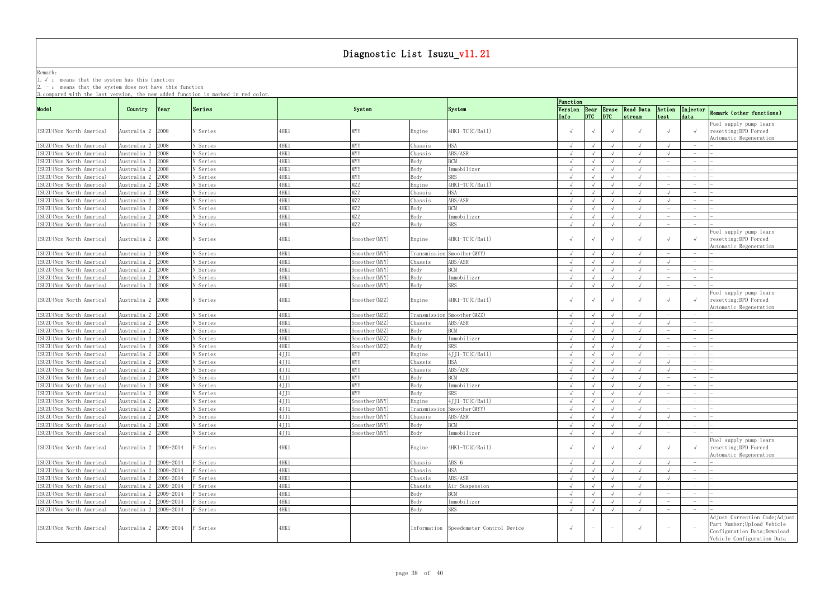Remark: The contract of the contract of  $\mathbb{R}$  and  $\mathbb{R}$  are contract of  $\mathbb{R}$  and  $\mathbb{R}$  are contract of  $\mathbb{R}$  and  $\mathbb{R}$  are contract of  $\mathbb{R}$  and  $\mathbb{R}$  are contract of  $\mathbb{R}$  and  $\mathbb{R}$  are cont

1.√ : means that the system has this function

2. - : means that the system does not have this function

|                           |                       |           | o compared wrth the fast version, the new auueu runction is marked in rea coror. |       |                |         |                                        | Function   |            |            |                                                     |                                 |                                 |                                                                                                                             |
|---------------------------|-----------------------|-----------|----------------------------------------------------------------------------------|-------|----------------|---------|----------------------------------------|------------|------------|------------|-----------------------------------------------------|---------------------------------|---------------------------------|-----------------------------------------------------------------------------------------------------------------------------|
| Mode1                     | Country               | Year      | Series                                                                           |       | System         |         | System                                 |            |            |            | Version Rear Erase Read Data<br>Info DTC DTC stream | Action<br>test                  | data                            | Injector Remark (other functions)                                                                                           |
| ISUZU (Non North America) | Australia 2  2008     |           | N Series                                                                         | 4HK 1 | MYY            | Engine  | $4HK1-TC(C/Rai1)$                      |            |            | $\sqrt{ }$ |                                                     |                                 |                                 | Fuel supply pump learn<br>resetting; DPD Forced<br>Automatic Regeneration                                                   |
| ISUZU (Non North America) | Australia 2 2008      |           | N Series                                                                         | 4HK1  | MYY            | Chassis | HSA                                    |            |            |            |                                                     |                                 |                                 |                                                                                                                             |
| ISUZU (Non North America) | Australia 2 2008      |           | N Series                                                                         | 4HK 1 | MYY            | Chassis | ABS/ASR                                |            |            |            |                                                     |                                 |                                 |                                                                                                                             |
| ISUZU (Non North America) | Australia 2 2008      |           | N Series                                                                         | 4HK1  | MYY            | Body    | <b>BCM</b>                             |            |            |            |                                                     |                                 | $\hspace{0.1mm}-\hspace{0.1mm}$ |                                                                                                                             |
| ISUZU (Non North America) | Australia 2 2008      |           | N Series                                                                         | 4HK1  | MYY            | Body    | Immobilizer                            | $\sqrt{ }$ |            | $\sqrt{ }$ | $\sqrt{ }$                                          |                                 | $\overline{\phantom{0}}$        |                                                                                                                             |
| ISUZU (Non North America) | Australia 2           | 2008      | N Series                                                                         | 1HK 1 | MYY            | Body    | SRS                                    |            |            |            |                                                     |                                 |                                 |                                                                                                                             |
| ISUZU (Non North America) | Australia 2           | 2008      | N Series                                                                         | 4HK 1 | MZZ            | Engine  | 4HK1-TC(C/Rail)                        | $\sqrt{ }$ |            | $\sqrt{ }$ | $\sqrt{ }$                                          |                                 | $\hspace{0.1mm}-\hspace{0.1mm}$ |                                                                                                                             |
| ISUZU (Non North America) | Australia 2           | 2008      | N Series                                                                         | 1HK 1 | MZZ            | Chassis |                                        | $\sqrt{ }$ |            | $\sqrt{ }$ | $\sqrt{ }$                                          |                                 | $-$                             |                                                                                                                             |
| ISUZU (Non North America) | Australia 2 2008      |           | N Series                                                                         | 1HK 1 | MZZ            | Chassis | ABS/ASR                                | $\sqrt{ }$ |            |            |                                                     |                                 |                                 |                                                                                                                             |
|                           | Australia 2 2008      |           | N Series                                                                         |       | MZZ            |         | <b>BCM</b>                             |            |            |            |                                                     |                                 |                                 |                                                                                                                             |
| ISUZU (Non North America) |                       |           | N Series                                                                         | 1HK 1 | MZZ            | Body    |                                        |            |            |            |                                                     |                                 | $-$                             |                                                                                                                             |
| ISUZU (Non North America) | Australia 2 2008      |           |                                                                                  | 4HK 1 |                | Body    | Immobilizer                            |            |            |            |                                                     |                                 | $\overline{\phantom{0}}$        |                                                                                                                             |
| ISUZU (Non North America) | Australia 2 2008      |           | N Series                                                                         | 4HK 1 | MZZ            | Body    | <b>SRS</b>                             | $\sqrt{ }$ |            | $\sqrt{ }$ |                                                     | $\overline{\phantom{0}}$        |                                 |                                                                                                                             |
| ISUZU (Non North America) | Australia 2 2008      |           | N Series                                                                         | 1HK 1 | Smoother(MYY)  | Engine  | 4HK1-TC(C/Rail)                        |            | $\sqrt{ }$ | $\sqrt{ }$ |                                                     |                                 |                                 | Fuel supply pump learn<br>resetting; DPD Forced<br>Automatic Regeneration                                                   |
| ISUZU (Non North America) | Australia 2 2008      |           | N Series                                                                         | 4HK 1 | Smoother (MYY) |         | Transmission Smoother (MYY)            | $\sqrt{ }$ |            | $\sqrt{ }$ |                                                     | $-$                             |                                 |                                                                                                                             |
| ISUZU (Non North America) | Australia 2           | 2008      | N Series                                                                         | 1HK 1 | Smoother (MYY) | Chassis | ABS/ASR                                |            |            |            |                                                     |                                 |                                 |                                                                                                                             |
| ISUZU (Non North America) | Australia 2 2008      |           | N Series                                                                         | 1HK 1 | Smoother (MYY) | Body    | <b>BCM</b>                             | $\sqrt{ }$ |            |            |                                                     |                                 | $-$                             |                                                                                                                             |
| ISUZU(Non North America)  | Australia 2           | 2008      | N Series                                                                         | 1HK 1 | Smoother (MYY) | Body    | Immobilizer                            | $\sqrt{ }$ |            |            |                                                     |                                 | $\overline{\phantom{0}}$        |                                                                                                                             |
| ISUZU (Non North America) | Australia 2           | 2008      | N Series                                                                         | 1HK 1 | Smoother (MYY) | Body    | SRS                                    |            |            |            |                                                     |                                 |                                 |                                                                                                                             |
| ISUZU (Non North America) | Australia 2 2008      |           | N Series                                                                         | 4HK 1 | Smoother(MZZ)  | Engine  | 4HK1-TC(C/Rail)                        |            |            | $\sqrt{ }$ |                                                     |                                 |                                 | Fuel supply pump learn<br>resetting; DPD Forced<br>Automatic Regeneration                                                   |
| ISUZU (Non North America) | Australia 2           | 2008      | N Series                                                                         | 1HK 1 | Smoother (MZZ) |         | Transmission Smoother (MZZ)            | $\sqrt{ }$ |            |            |                                                     |                                 |                                 |                                                                                                                             |
| ISUZU (Non North America) | Australia 2 2008      |           | N Series                                                                         | 4HK1  | Smoother (MZZ) | Chassis | ABS/ASR                                |            |            |            |                                                     |                                 |                                 |                                                                                                                             |
| ISUZU (Non North America) | Australia 2 2008      |           | N Series                                                                         | 4HK1  | Smoother (MZZ) | Body    | <b>BCM</b>                             | $\sqrt{ }$ |            |            |                                                     |                                 | $-$                             |                                                                                                                             |
| ISUZU (Non North America) | Australia 2           | 2008      | N Series                                                                         | 1HK 1 | Smoother (MZZ) | Body    | Immobilizer                            | $\sqrt{ }$ |            | $\sqrt{ }$ | $\sqrt{ }$                                          | $\hspace{0.1mm}-\hspace{0.1mm}$ | $\hspace{0.1mm}-\hspace{0.1mm}$ |                                                                                                                             |
| ISUZU (Non North America) | Australia 2           | 2008      | N Series                                                                         | 1HK 1 | Smoother (MZZ) | Body    | <b>SRS</b>                             |            |            | $\sqrt{ }$ |                                                     |                                 | $\hspace{0.1mm}-\hspace{0.1mm}$ |                                                                                                                             |
| ISUZU(Non North America)  | Australia 2 2008      |           | N Series                                                                         | 4JJ1  | MYY            | Engine  | 4JJ1-TC(C/Rail)                        | $\sqrt{ }$ |            | $\sqrt{ }$ | $\sqrt{ }$                                          |                                 | $-$                             |                                                                                                                             |
| ISUZU (Non North America) | Australia 2           | 2008      | N Series                                                                         | 4JJ1  | MYY            | Chassis | HSA .                                  | $\sqrt{ }$ |            |            | $\sqrt{ }$                                          |                                 | $\overline{\phantom{0}}$        |                                                                                                                             |
| ISUZU (Non North America) | Australia 2 2008      |           | N Series                                                                         | 4JJ1  | MYY            |         | ABS/ASR                                | $\sqrt{ }$ |            | $\sqrt{ }$ | $\sqrt{ }$                                          |                                 |                                 |                                                                                                                             |
|                           |                       |           |                                                                                  | 4JJ1  |                | Chassis | <b>BCM</b>                             |            |            |            |                                                     |                                 |                                 |                                                                                                                             |
| ISUZU (Non North America) | Australia 2 2008      |           | N Series                                                                         |       | MYY            | Body    |                                        |            |            |            |                                                     |                                 |                                 |                                                                                                                             |
| ISUZU (Non North America) | Australia 2           | 2008      | N Series                                                                         | 4JJ1  | MYY            | Body    | Immobilizer                            | $\sqrt{ }$ |            |            |                                                     |                                 | $-$                             |                                                                                                                             |
| ISUZU (Non North America) | Australia 2           | 2008      | N Series                                                                         | 4JJ1  | MYY            | Body    | SRS.                                   |            |            |            |                                                     |                                 | $\hspace{0.1mm}-\hspace{0.1mm}$ |                                                                                                                             |
| ISUZU (Non North America) | Australia 2           | 2008      | N Series                                                                         | 4JJ1  | Smoother (MYY) | Engine  | $4$ JJ1-TC(C/Rail)                     |            |            |            |                                                     |                                 |                                 |                                                                                                                             |
| ISUZU(Non North America)  | Australia 2 2008      |           | N Series                                                                         | 4JJ1  | Smoother (MYY) |         | Transmission Smoother (MYY)            | $\sqrt{ }$ | $\sqrt{ }$ | $\sqrt{ }$ |                                                     | $-$                             | $-$                             |                                                                                                                             |
| ISUZU (Non North America) | Australia 2 2008      |           | N Series                                                                         | 4JJ1  | Smoother (MYY) | Chassis | ABS/ASR                                | $\sqrt{ }$ |            | $\sqrt{ }$ |                                                     |                                 | $\overline{\phantom{0}}$        |                                                                                                                             |
| ISUZU (Non North America) | Australia 2 2008      |           | N Series                                                                         | 4JJ1  | Smoother (MYY) | Body    | <b>RCM</b>                             | $\sqrt{ }$ | $\sqrt{ }$ | $\sqrt{ }$ | $\sqrt{ }$                                          |                                 |                                 |                                                                                                                             |
| ISUZU (Non North America) | Australia 2 2008      |           | N Series                                                                         | 4JJ1  | Smoother (MYY) | Body    | Immobilizer                            | $\sqrt{ }$ |            | $\sqrt{ }$ | $\sqrt{ }$                                          |                                 |                                 |                                                                                                                             |
| ISUZU (Non North America) | Australia 2 2009-2014 |           | <sup>3</sup> Series                                                              | 1HK 1 |                | Engine  | 4HK1-TC(C/Rail)                        |            | $\sqrt{ }$ | $\sqrt{ }$ | $\sqrt{ }$                                          |                                 |                                 | Fuel supply pump learn<br>resetting; DPD Forced<br>Automatic Regeneration                                                   |
| ISUZU (Non North America) | Australia 2 2009-2014 |           | Series <sup></sup>                                                               | 1HK 1 |                | Chassis | ABS 6                                  | $\sqrt{ }$ | $\sqrt{ }$ | $\sqrt{ }$ | $\sqrt{ }$                                          |                                 |                                 |                                                                                                                             |
| ISUZU (Non North America) | Australia 2           | 2009-2014 | Series <sup></sup>                                                               | 4HK1  |                | Chassis | <b>HSA</b>                             | $\sqrt{ }$ | $\sqrt{ }$ | $\sqrt{ }$ | $\sqrt{ }$                                          |                                 | $\hspace{0.1mm}-\hspace{0.1mm}$ |                                                                                                                             |
| ISUZU (Non North America) | Australia 2           | 2009-2014 | Series <sup></sup>                                                               | 4HK 1 |                | Chassis | ABS/ASR                                | $\sqrt{ }$ | $\sqrt{ }$ | $\sqrt{ }$ | $\sqrt{ }$                                          |                                 | $\overline{\phantom{0}}$        |                                                                                                                             |
| ISUZU (Non North America) | Australia 2           | 2009-2014 | Series <sup></sup>                                                               | 4HK1  |                | Chassis | Air Suspension                         | $\sqrt{ }$ |            | $\sqrt{ }$ |                                                     |                                 | $\hspace{0.1mm}-\hspace{0.1mm}$ |                                                                                                                             |
| ISUZU (Non North America) | Australia 2           | 2009-2014 | Series <sup></sup>                                                               | 1HK 1 |                | Body    | <b>BCM</b>                             |            |            | $\sqrt{ }$ |                                                     |                                 | $\overline{\phantom{m}}$        |                                                                                                                             |
| ISUZU (Non North America) | Australia 2           | 2009-2014 | Series <sup></sup>                                                               | 4HK 1 |                | Body    | Immobilizer                            | $\sqrt{ }$ |            | $\sqrt{ }$ | $\sqrt{ }$                                          |                                 | $-$                             |                                                                                                                             |
| ISUZU (Non North America) | Australia 2           | 2009-2014 | Series <sup></sup>                                                               | 4HK 1 |                | Body    | SRS                                    | $\sqrt{ }$ |            | $\sqrt{ }$ | $\sqrt{ }$                                          |                                 |                                 |                                                                                                                             |
| ISUZU (Non North America) | Australia 2 2009-2014 |           | <sup>3</sup> Series                                                              | 4HK 1 |                |         | Information Speedometer Control Device | $\sqrt{ }$ | $-$        | $\sim$     | $\sqrt{ }$                                          |                                 |                                 | Adjust Correction Code; Adjust<br>Part Number; Upload Vehicle<br>Configuration Data; Download<br>Vehicle Configuration Data |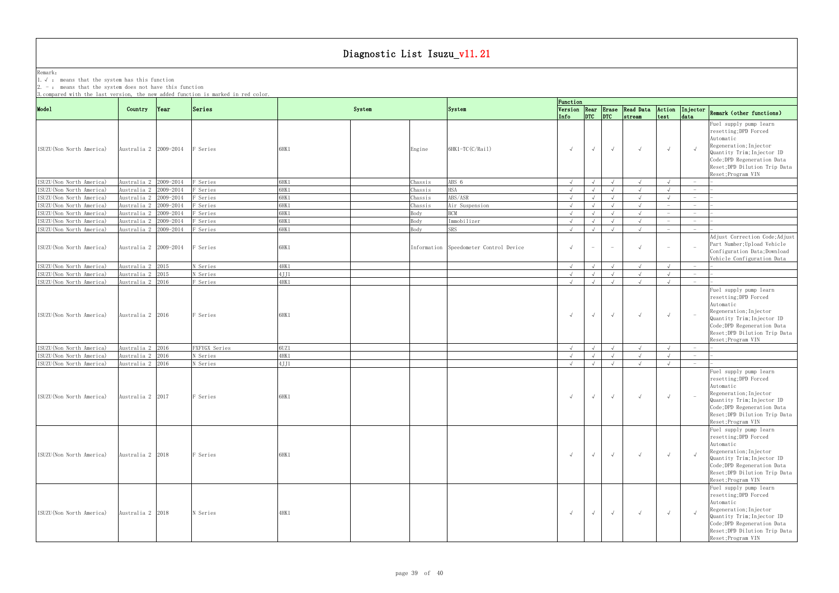Remark: The contract of the contract of  $\mathbb{R}$  and  $\mathbb{R}$  are contract of  $\mathbb{R}$  and  $\mathbb{R}$  are contract of  $\mathbb{R}$  and  $\mathbb{R}$  are contract of  $\mathbb{R}$  and  $\mathbb{R}$  are contract of  $\mathbb{R}$  and  $\mathbb{R}$  are cont 1.√ : means that the system has this function

| 3. compared with the last version, the new added function is marked in red color. |                                      |      |                      |                 |        |         |                                        | Function                 |                                       |                                 |                                            |                                 |                                        |                                                                                                                                                                                                            |
|-----------------------------------------------------------------------------------|--------------------------------------|------|----------------------|-----------------|--------|---------|----------------------------------------|--------------------------|---------------------------------------|---------------------------------|--------------------------------------------|---------------------------------|----------------------------------------|------------------------------------------------------------------------------------------------------------------------------------------------------------------------------------------------------------|
| Mode1                                                                             | Country                              | Year | Series               |                 | System |         | System                                 | Info                     | $ $ <sub>DTC</sub> $ $ <sub>DTC</sub> |                                 | Version Rear Erase Read Data<br>$ $ stream | Action<br>test                  | Injector<br>data                       | Remark (other functions)                                                                                                                                                                                   |
| ISUZU (Non North America)                                                         | Australia 2 2009-2014                |      | F Series             | 6HK1            |        | Engine  | 6HK1-TC(C/Rail)                        | $\sqrt{ }$               | $\sqrt{ }$                            | $\sqrt{ }$                      | $\sqrt{ }$                                 | $\sqrt{ }$                      |                                        | Fuel supply pump learn<br>resetting; DPD Forced<br>Automatic<br>Regeneration; Injector<br>Quantity Trim; Injector ID<br>Code; DPD Regeneration Data<br>Reset; DPD Dilution Trip Data<br>Reset; Program VIN |
| ISUZU (Non North America)                                                         | Australia 2 2009-2014                |      | F Series             | 6HK1            |        | Chassis | ABS 6                                  | $\sqrt{ }$               | $\sqrt{ }$                            | $\sqrt{ }$                      | $\sqrt{ }$                                 |                                 | $\hspace{0.1mm}-\hspace{0.1mm}$        |                                                                                                                                                                                                            |
| ISUZU (Non North America)                                                         | Australia 2 2009-2014                |      | F Series             | 6HK1            |        | Chassis | <b>HSA</b>                             | $\sqrt{ }$               |                                       | $\sqrt{ }$                      | $\sqrt{ }$                                 |                                 | $\sim$                                 |                                                                                                                                                                                                            |
| ISUZU (Non North America)                                                         | Australia 2 2009-2014                |      | F Series             | 6HK1            |        | Chassis | ABS/ASR                                | $\sqrt{ }$               |                                       | $\sqrt{ }$                      | $\sqrt{ }$                                 |                                 | $-$                                    |                                                                                                                                                                                                            |
| ISUZU (Non North America)                                                         | Australia 2 2009-2014                |      | F Series             | 6HK1            |        | Chassis | Air Suspension                         | $\sqrt{ }$               |                                       | $\sqrt{ }$                      | $\sqrt{ }$                                 |                                 | $\hspace{1.0cm} - \hspace{1.0cm}$      |                                                                                                                                                                                                            |
| ISUZU (Non North America)                                                         | Australia 2 2009-2014                |      | F Series             | 6HK1            |        | Body    | <b>BCM</b>                             | $\sqrt{ }$               | $\sqrt{ }$                            | $\sqrt{ }$                      | $\sqrt{ }$                                 |                                 | $\overline{\phantom{0}}$               |                                                                                                                                                                                                            |
| ISUZU (Non North America)                                                         | Australia 2 2009-2014                |      | F Series             | $6\mathrm{HK1}$ |        | Body    | Immobilizer                            | $\sqrt{ }$               |                                       | $\sqrt{ }$                      | $\sqrt{ }$                                 | $\hspace{0.1mm}-\hspace{0.1mm}$ | $\sim$                                 |                                                                                                                                                                                                            |
| ISUZU (Non North America)                                                         | Australia 2 2009-2014                |      | F Series             | 6HK1            |        | Body    | <b>SRS</b>                             | $\sqrt{ }$               |                                       | $\sqrt{ }$                      | $\sqrt{ }$                                 | $ \,$                           | $\sim$                                 |                                                                                                                                                                                                            |
| ISUZU(Non North America)                                                          | Australia 2 2009-2014                |      | F Series             | 6HK1            |        |         | Information Speedometer Control Device | $\sqrt{ }$               | $ \,$                                 | $\hspace{0.1mm}-\hspace{0.1mm}$ | $\sqrt{ }$                                 |                                 |                                        | Adjust Correction Code; Adjust<br>Part Number; Upload Vehicle<br>Configuration Data; Download<br>Vehicle Configuration Data                                                                                |
| ISUZU (Non North America)                                                         | Australia 2 2015                     |      | N Series             | 4HK 1           |        |         |                                        | $\sqrt{ }$               |                                       |                                 |                                            |                                 |                                        |                                                                                                                                                                                                            |
| ISUZU (Non North America)                                                         | Australia 2 2015                     |      | N Series             | 4JJ1            |        |         |                                        | $\sqrt{ }$               |                                       |                                 | $\sqrt{ }$                                 |                                 | $-$                                    |                                                                                                                                                                                                            |
| ISUZU (Non North America)                                                         | Australia 2 2016                     |      | F Series             | 4HK1            |        |         |                                        | $\sqrt{ }$               |                                       |                                 |                                            |                                 | $\overline{\phantom{0}}$               |                                                                                                                                                                                                            |
| ISUZU (Non North America)                                                         | Australia 2 2016                     |      | F Series             | 6HK1            |        |         |                                        | $\sqrt{ }$               | $\sqrt{ }$                            | $\sqrt{ }$                      | $\sqrt{ }$                                 | $\sqrt{ }$                      |                                        | resetting; DPD Forced<br>Automatic<br>Regeneration; Injector<br>Quantity Trim; Injector ID<br>Code; DPD Regeneration Data<br>Reset; DPD Dilution Trip Data<br>Reset; Program VIN                           |
| ISUZU (Non North America)                                                         | Australia 2 2016                     |      | FXFYGX Series        | 60Z1            |        |         |                                        | $\sqrt{ }$               | $\sqrt{ }$                            | $\sqrt{ }$                      | $\sqrt{ }$                                 |                                 | $-$                                    |                                                                                                                                                                                                            |
| ISUZU (Non North America)<br>ISUZU (Non North America)                            | Australia 2 2016<br>Australia 2 2016 |      | N Series<br>N Series | 4HK 1<br>4JJ1   |        |         |                                        | $\sqrt{ }$<br>$\sqrt{ }$ |                                       | $\sqrt{ }$<br>$\sqrt{ }$        | $\sqrt{ }$<br>$\sqrt{ }$                   | $\sqrt{ }$                      | $-$<br>$\hspace{0.1mm}-\hspace{0.1mm}$ |                                                                                                                                                                                                            |
| ISUZU (Non North America)                                                         | Australia 2 2017                     |      | F Series             | 6HK1            |        |         |                                        | $\sqrt{ }$               | $\sqrt{ }$                            | $\sqrt{ }$                      | $\sqrt{ }$                                 |                                 |                                        | Fuel supply pump learn<br>resetting; DPD Forced<br>Automatic<br>Regeneration; Injector<br>Quantity Trim; Injector ID<br>Code; DPD Regeneration Data<br>Reset; DPD Dilution Trip Data<br>Reset; Program VIN |
| ISUZU (Non North America)                                                         | Australia 2 2018                     |      | F Series             | 6HK1            |        |         |                                        | $\sqrt{ }$               | $\sqrt{ }$                            | $\sqrt{ }$                      | $\sqrt{ }$                                 | $\sqrt{ }$                      |                                        | Fuel supply pump learn<br>resetting; DPD Forced<br>Automatic<br>Regeneration; Injector<br>Quantity Trim; Injector ID<br>Code;DPD Regeneration Data<br>Reset; DPD Dilution Trip Data<br>Reset; Program VIN  |
| ISUZU (Non North America)                                                         | Australia 2 2018                     |      | N Series             | 4HK1            |        |         |                                        | $\sqrt{ }$               | $\sqrt{ }$                            | $\sqrt{ }$                      | $\sqrt{ }$                                 | $\sqrt{ }$                      |                                        | Fuel supply pump learn<br>resetting; DPD Forced<br>Automatic<br>Regeneration; Injector<br>Quantity Trim; Injector ID<br>Code;DPD Regeneration Data<br>Reset; DPD Dilution Trip Data<br>Reset; Program VIN  |